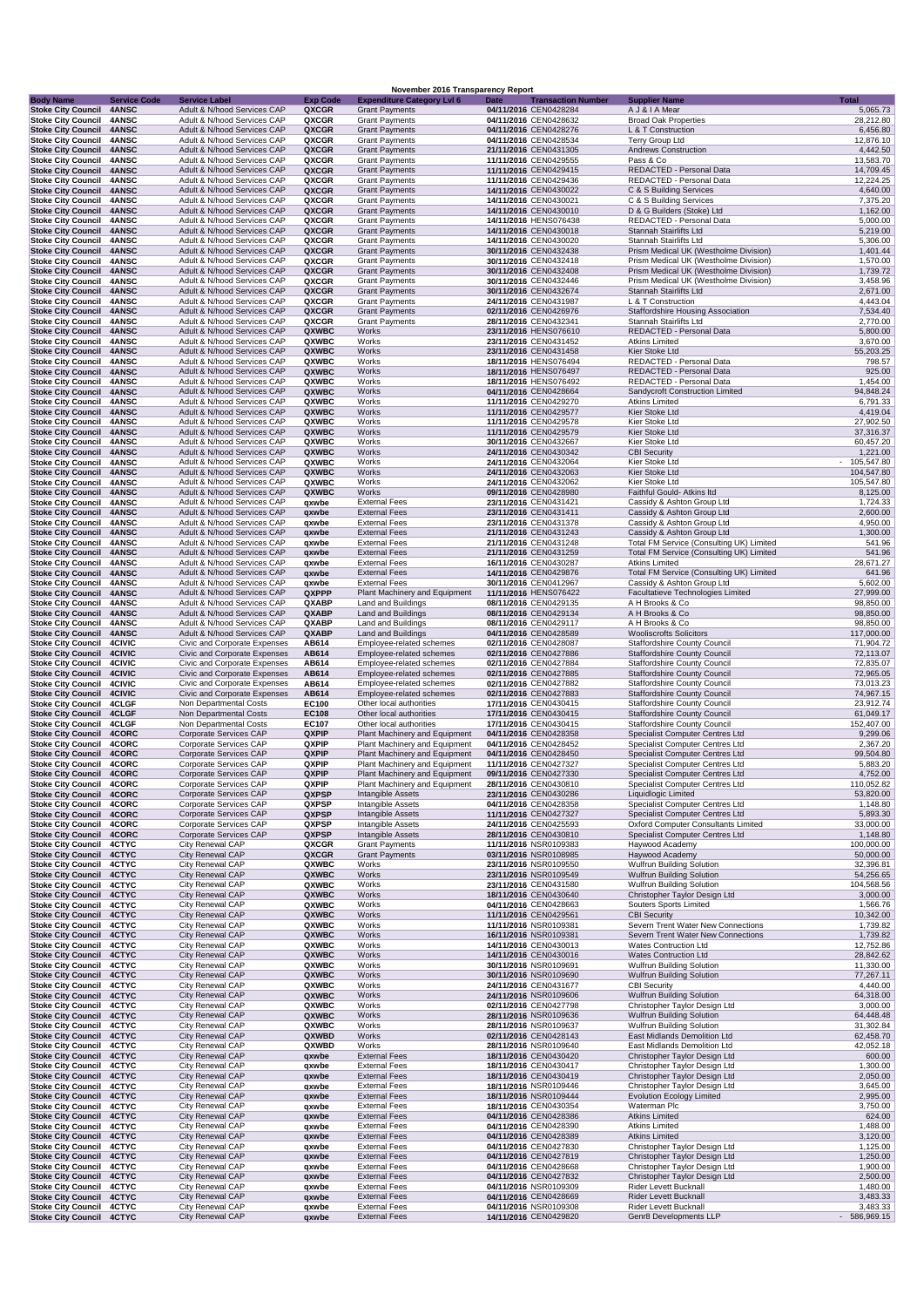|                                                        |                                |                                                              |                          | November 2016 Transparency Report                              |      |                                                    |                                                                                      |                          |
|--------------------------------------------------------|--------------------------------|--------------------------------------------------------------|--------------------------|----------------------------------------------------------------|------|----------------------------------------------------|--------------------------------------------------------------------------------------|--------------------------|
| <b>Body Name</b><br><b>Stoke City Council</b>          | <b>Service Code</b><br>4ANSC   | <b>Service Label</b><br>Adult & N/hood Services CAP          | <b>Exp Code</b><br>QXCGR | <b>Expenditure Category Lvl 6</b><br><b>Grant Payments</b>     | Date | <b>Transaction Number</b><br>04/11/2016 CEN0428284 | <b>Supplier Name</b><br>A J & I A Mear                                               | Total<br>5,065.73        |
| <b>Stoke City Council</b>                              | <b>4ANSC</b>                   | Adult & N/hood Services CAP                                  | QXCGR                    | <b>Grant Payments</b>                                          |      | 04/11/2016 CEN0428632                              | <b>Broad Oak Properties</b>                                                          | 28,212.80                |
| <b>Stoke City Council</b>                              | 4ANSC<br>4ANSC                 | Adult & N/hood Services CAP<br>Adult & N/hood Services CAP   | QXCGR                    | <b>Grant Payments</b>                                          |      | 04/11/2016 CEN0428276                              | L & T Construction                                                                   | 6,456.80                 |
| <b>Stoke City Council</b><br><b>Stoke City Council</b> | 4ANSC                          | Adult & N/hood Services CAP                                  | QXCGR<br>QXCGR           | <b>Grant Payments</b><br><b>Grant Payments</b>                 |      | 04/11/2016 CEN0428534<br>21/11/2016 CEN0431305     | Terry Group Ltd<br><b>Andrews Construction</b>                                       | 12,876.10<br>4,442.50    |
| <b>Stoke City Council</b>                              | 4ANSC                          | Adult & N/hood Services CAP                                  | QXCGR                    | <b>Grant Payments</b>                                          |      | 11/11/2016 CEN0429555                              | Pass & Co                                                                            | 13,583.70                |
| <b>Stoke City Council</b>                              | 4ANSC<br>4ANSC                 | Adult & N/hood Services CAP<br>Adult & N/hood Services CAP   | QXCGR<br>QXCGR           | <b>Grant Payments</b><br><b>Grant Payments</b>                 |      | 11/11/2016 CEN0429415<br>11/11/2016 CEN0429436     | REDACTED - Personal Data<br>REDACTED - Personal Data                                 | 14,709.45<br>12,224.25   |
| <b>Stoke City Council</b><br><b>Stoke City Council</b> | 4ANSC                          | Adult & N/hood Services CAP                                  | QXCGR                    | <b>Grant Payments</b>                                          |      | 14/11/2016 CEN0430022                              | C & S Building Services                                                              | 4,640.00                 |
| <b>Stoke City Council</b>                              | 4ANSC                          | Adult & N/hood Services CAP                                  | QXCGR                    | <b>Grant Payments</b>                                          |      | 14/11/2016 CEN0430021                              | C & S Building Services                                                              | 7,375.20                 |
| <b>Stoke City Council</b><br><b>Stoke City Council</b> | 4ANSC<br><b>4ANSC</b>          | Adult & N/hood Services CAP<br>Adult & N/hood Services CAP   | QXCGR<br>QXCGR           | <b>Grant Payments</b><br><b>Grant Payments</b>                 |      | 14/11/2016 CEN0430010<br>14/11/2016 HENS076438     | D & G Builders (Stoke) Ltd<br>REDACTED - Personal Data                               | 1,162.00<br>5,000.00     |
| <b>Stoke City Council</b>                              | 4ANSC                          | Adult & N/hood Services CAP                                  | QXCGR                    | <b>Grant Payments</b>                                          |      | 14/11/2016 CEN0430018                              | Stannah Stairlifts Ltd                                                               | 5,219.00                 |
| <b>Stoke City Council</b>                              | 4ANSC                          | Adult & N/hood Services CAP                                  | QXCGR                    | <b>Grant Payments</b>                                          |      | 14/11/2016 CEN0430020                              | Stannah Stairlifts Ltd                                                               | 5,306.00                 |
| <b>Stoke City Council</b><br><b>Stoke City Council</b> | 4ANSC<br>4ANSC                 | Adult & N/hood Services CAP<br>Adult & N/hood Services CAP   | QXCGR<br>QXCGR           | <b>Grant Payments</b><br><b>Grant Payments</b>                 |      | 30/11/2016 CEN0432438<br>30/11/2016 CEN0432418     | Prism Medical UK (Westholme Division)<br>Prism Medical UK (Westholme Division)       | 1,401.44<br>1,570.00     |
| <b>Stoke City Council</b>                              | 4ANSC                          | Adult & N/hood Services CAP                                  | QXCGR                    | <b>Grant Payments</b>                                          |      | 30/11/2016 CEN0432408                              | Prism Medical UK (Westholme Division)                                                | 1,739.72                 |
| <b>Stoke City Council</b>                              | <b>4ANSC</b>                   | Adult & N/hood Services CAP                                  | QXCGR                    | <b>Grant Payments</b>                                          |      | 30/11/2016 CEN0432446                              | Prism Medical UK (Westholme Division)                                                | 3,458.96                 |
| <b>Stoke City Council</b><br><b>Stoke City Council</b> | 4ANSC<br>4ANSC                 | Adult & N/hood Services CAP<br>Adult & N/hood Services CAP   | QXCGR<br>QXCGR           | <b>Grant Payments</b><br><b>Grant Payments</b>                 |      | 30/11/2016 CEN0432674<br>24/11/2016 CEN0431987     | Stannah Stairlifts Ltd<br>L & T Construction                                         | 2,671.00<br>4,443.04     |
| <b>Stoke City Council</b>                              | 4ANSC                          | Adult & N/hood Services CAP                                  | QXCGR                    | <b>Grant Payments</b>                                          |      | 02/11/2016 CEN0426976                              | <b>Staffordshire Housing Association</b>                                             | 7,534.40                 |
| <b>Stoke City Council</b>                              | 4ANSC                          | Adult & N/hood Services CAP                                  | QXCGR                    | <b>Grant Payments</b>                                          |      | 28/11/2016 CEN0432341                              | Stannah Stairlifts Ltd                                                               | 2,770.00                 |
| <b>Stoke City Council</b>                              | 4ANSC                          | Adult & N/hood Services CAP<br>Adult & N/hood Services CAP   | QXWBC                    | Works<br>Works                                                 |      | 23/11/2016 HENS076610                              | REDACTED - Personal Data<br><b>Atkins Limited</b>                                    | 5,800.00<br>3,670.00     |
| <b>Stoke City Council</b><br><b>Stoke City Council</b> | <b>4ANSC</b><br>4ANSC          | Adult & N/hood Services CAP                                  | QXWBC<br>QXWBC           | Works                                                          |      | 23/11/2016 CEN0431452<br>23/11/2016 CEN0431458     | Kier Stoke Ltd                                                                       | 55,203.25                |
| <b>Stoke City Council</b>                              | 4ANSC                          | Adult & N/hood Services CAP                                  | QXWBC                    | Works                                                          |      | 18/11/2016 HENS076494                              | REDACTED - Personal Data                                                             | 798.57                   |
| <b>Stoke City Council</b>                              | 4ANSC                          | Adult & N/hood Services CAP                                  | QXWBC                    | Works                                                          |      | 18/11/2016 HENS076497                              | REDACTED - Personal Data                                                             | 925.00                   |
| <b>Stoke City Council</b><br><b>Stoke City Council</b> | 4ANSC<br>4ANSC                 | Adult & N/hood Services CAP<br>Adult & N/hood Services CAP   | QXWBC<br>QXWBC           | Works<br>Works                                                 |      | 18/11/2016 HENS076492<br>04/11/2016 CEN0428664     | REDACTED - Personal Data<br>Sandycroft Construction Limited                          | 1,454.00<br>94,848.24    |
| <b>Stoke City Council</b>                              | 4ANSC                          | Adult & N/hood Services CAP                                  | QXWBC                    | Works                                                          |      | 11/11/2016 CEN0429270                              | <b>Atkins Limited</b>                                                                | 6,791.33                 |
| <b>Stoke City Council</b>                              | 4ANSC                          | Adult & N/hood Services CAP                                  | QXWBC                    | Works                                                          |      | 11/11/2016 CEN0429577                              | Kier Stoke Ltd                                                                       | 4,419.04                 |
| <b>Stoke City Council</b><br><b>Stoke City Council</b> | 4ANSC<br>4ANSC                 | Adult & N/hood Services CAP<br>Adult & N/hood Services CAP   | QXWBC<br>QXWBC           | Works<br>Works                                                 |      | 11/11/2016 CEN0429578<br>11/11/2016 CEN0429579     | Kier Stoke Ltd<br>Kier Stoke Ltd                                                     | 27,902.50<br>37,316.37   |
| <b>Stoke City Council</b>                              | 4ANSC                          | Adult & N/hood Services CAP                                  | QXWBC                    | Works                                                          |      | 30/11/2016 CEN0432667                              | Kier Stoke Ltd                                                                       | 60,457.20                |
| <b>Stoke City Council</b>                              | 4ANSC                          | Adult & N/hood Services CAP                                  | QXWBC                    | Works                                                          |      | 24/11/2016 CEN0430342                              | <b>CBI Security</b>                                                                  | 1,221.00                 |
| <b>Stoke City Council</b><br><b>Stoke City Council</b> | 4ANSC<br>4ANSC                 | Adult & N/hood Services CAP<br>Adult & N/hood Services CAP   | QXWBC<br>QXWBC           | Works<br>Works                                                 |      | 24/11/2016 CEN0432064<br>24/11/2016 CEN0432063     | Kier Stoke Ltd<br>Kier Stoke Ltd                                                     | 105,547.80<br>104,547.80 |
| <b>Stoke City Council</b>                              | 4ANSC                          | Adult & N/hood Services CAP                                  | QXWBC                    | Works                                                          |      | 24/11/2016 CEN0432062                              | Kier Stoke Ltd                                                                       | 105,547.80               |
| <b>Stoke City Council</b>                              | 4ANSC                          | Adult & N/hood Services CAP                                  | QXWBC                    | Works                                                          |      | 09/11/2016 CEN0428980                              | Faithful Gould- Atkins Itd                                                           | 8,125.00                 |
| <b>Stoke City Council</b><br><b>Stoke City Council</b> | <b>4ANSC</b><br>4ANSC          | Adult & N/hood Services CAP<br>Adult & N/hood Services CAP   | qxwbe<br>qxwbe           | <b>External Fees</b><br><b>External Fees</b>                   |      | 23/11/2016 CEN0431421<br>23/11/2016 CEN0431411     | Cassidy & Ashton Group Ltd<br>Cassidy & Ashton Group Ltd                             | 1,724.33<br>2,600.00     |
| <b>Stoke City Council</b>                              | 4ANSC                          | Adult & N/hood Services CAP                                  | qxwbe                    | <b>External Fees</b>                                           |      | 23/11/2016 CEN0431378                              | Cassidy & Ashton Group Ltd                                                           | 4,950.00                 |
| <b>Stoke City Council</b>                              | 4ANSC                          | Adult & N/hood Services CAP                                  | qxwbe                    | <b>External Fees</b>                                           |      | 21/11/2016 CEN0431243                              | Cassidy & Ashton Group Ltd                                                           | 1,300.00                 |
| <b>Stoke City Council</b><br><b>Stoke City Council</b> | 4ANSC<br>4ANSC                 | Adult & N/hood Services CAP<br>Adult & N/hood Services CAP   | qxwbe<br>qxwbe           | <b>External Fees</b><br><b>External Fees</b>                   |      | 21/11/2016 CEN0431248<br>21/11/2016 CEN0431259     | Total FM Service (Consulting UK) Limited<br>Total FM Service (Consulting UK) Limited | 541.96<br>541.96         |
| <b>Stoke City Council</b>                              | <b>4ANSC</b>                   | Adult & N/hood Services CAP                                  | qxwbe                    | <b>External Fees</b>                                           |      | 16/11/2016 CEN0430287                              | <b>Atkins Limited</b>                                                                | 28,671.27                |
| <b>Stoke City Council</b>                              | 4ANSC                          | Adult & N/hood Services CAP                                  | qxwbe                    | <b>External Fees</b>                                           |      | 14/11/2016 CEN0429876                              | Total FM Service (Consulting UK) Limited                                             | 641.96                   |
| <b>Stoke City Council</b><br><b>Stoke City Council</b> | 4ANSC<br>4ANSC                 | Adult & N/hood Services CAP<br>Adult & N/hood Services CAP   | qxwbe<br>QXPPP           | <b>External Fees</b><br>Plant Machinery and Equipment          |      | 30/11/2016 CEN0412967<br>11/11/2016 HENS076422     | Cassidy & Ashton Group Ltd<br>Facultatieve Technologies Limited                      | 5,602.00<br>27,999.00    |
| <b>Stoke City Council</b>                              | <b>4ANSC</b>                   | Adult & N/hood Services CAP                                  | QXABP                    | Land and Buildings                                             |      | 08/11/2016 CEN0429135                              | A H Brooks & Co                                                                      | 98,850.00                |
| <b>Stoke City Council</b>                              | 4ANSC                          | Adult & N/hood Services CAP                                  | QXABP                    | Land and Buildings                                             |      | 08/11/2016 CEN0429134                              | A H Brooks & Co                                                                      | 98,850.00                |
| <b>Stoke City Council</b><br><b>Stoke City Council</b> | <b>4ANSC</b><br>4ANSC          | Adult & N/hood Services CAP<br>Adult & N/hood Services CAP   | QXABP<br>QXABP           | Land and Buildings<br><b>Land and Buildings</b>                |      | 08/11/2016 CEN0429117<br>04/11/2016 CEN0428589     | A H Brooks & Co<br><b>Wooliscrofts Solicitors</b>                                    | 98,850.00<br>117,000.00  |
| <b>Stoke City Council</b>                              | <b>4CIVIC</b>                  | Civic and Corporate Expenses                                 | AB614                    | Employee-related schemes                                       |      | 02/11/2016 CEN0428087                              | <b>Staffordshire County Council</b>                                                  | 71,904.72                |
| <b>Stoke City Council</b>                              | 4CIVIC                         | Civic and Corporate Expenses                                 | AB614                    | Employee-related schemes                                       |      | 02/11/2016 CEN0427886                              | <b>Staffordshire County Council</b>                                                  | 72,113.07                |
| <b>Stoke City Council</b><br><b>Stoke City Council</b> | <b>4CIVIC</b><br><b>4CIVIC</b> | Civic and Corporate Expenses<br>Civic and Corporate Expenses | AB614<br>AB614           | Employee-related schemes<br>Employee-related schemes           |      | 02/11/2016 CEN0427884<br>02/11/2016 CEN0427885     | Staffordshire County Council<br><b>Staffordshire County Council</b>                  | 72,835.07<br>72,965.05   |
| <b>Stoke City Council</b>                              | <b>4CIVIC</b>                  | Civic and Corporate Expenses                                 | AB614                    | Employee-related schemes                                       |      | 02/11/2016 CEN0427882                              | <b>Staffordshire County Council</b>                                                  | 73,013.23                |
| <b>Stoke City Council</b>                              | <b>4CIVIC</b>                  | Civic and Corporate Expenses                                 | AB614                    | Employee-related schemes                                       |      | 02/11/2016 CEN0427883                              | <b>Staffordshire County Council</b>                                                  | 74,967.15                |
| <b>Stoke City Council</b><br><b>Stoke City Council</b> | 4CLGF<br>4CLGF                 | Non Departmental Costs<br>Non Departmental Costs             | EC100<br><b>EC108</b>    | Other local authorities<br>Other local authorities             |      | 17/11/2016 CEN0430415<br>17/11/2016 CEN0430415     | Staffordshire County Council<br><b>Staffordshire County Council</b>                  | 23,912.74<br>61,049.17   |
| <b>Stoke City Council</b>                              | 4CLGF                          | Non Departmental Costs                                       | EC107                    | Other local authorities                                        |      | 17/11/2016 CEN0430415                              | <b>Staffordshire County Council</b>                                                  | 152,407.00               |
| <b>Stoke City Council</b>                              | 4CORC                          | Corporate Services CAP                                       | QXPIP                    | Plant Machinery and Equipment                                  |      | 04/11/2016 CEN0428358                              | Specialist Computer Centres Ltd                                                      | 9,299.06                 |
| <b>Stoke City Council</b><br><b>Stoke City Council</b> | 4CORC<br>4CORC                 | Corporate Services CAP<br>Corporate Services CAP             | QXPIP<br>QXPIP           | Plant Machinery and Equipment<br>Plant Machinery and Equipment |      | 04/11/2016 CEN0428452<br>04/11/2016 CEN0428450     | Specialist Computer Centres Ltd<br>Specialist Computer Centres Ltd                   | 2,367.20<br>99,504.80    |
| Stoke City Council 4CORC                               |                                | Corporate Services CAP                                       | QXPIP                    | Plant Machinery and Equipment                                  |      | 11/11/2016 CEN0427327                              | Specialist Computer Centres Ltd                                                      | 5,883.20                 |
| <b>Stoke City Council</b>                              | 4CORC                          | Corporate Services CAP                                       | QXPIP                    | Plant Machinery and Equipment                                  |      | 09/11/2016 CEN0427330                              | Specialist Computer Centres Ltd                                                      | 4,752.00                 |
| <b>Stoke City Council</b><br><b>Stoke City Council</b> | 4CORC<br>4CORC                 | Corporate Services CAP<br>Corporate Services CAP             | QXPIP<br>QXPSP           | Plant Machinery and Equipment<br>Intangible Assets             |      | 28/11/2016 CEN0430810<br>23/11/2016 CEN0430286     | Specialist Computer Centres Ltd<br>Liquidlogic Limited                               | 110,052.82<br>53,820.00  |
| <b>Stoke City Council</b>                              | 4CORC                          | Corporate Services CAP                                       | QXPSP                    | Intangible Assets                                              |      | 04/11/2016 CEN0428358                              | Specialist Computer Centres Ltd                                                      | 1,148.80                 |
| <b>Stoke City Council</b>                              | 4CORC                          | Corporate Services CAP                                       | <b>QXPSP</b>             | Intangible Assets                                              |      | 11/11/2016 CEN0427327                              | Specialist Computer Centres Ltd                                                      | 5,893.30                 |
| <b>Stoke City Council</b><br><b>Stoke City Council</b> | 4CORC<br>4CORC                 | Corporate Services CAP<br>Corporate Services CAP             | QXPSP<br>QXPSP           | Intangible Assets<br>Intangible Assets                         |      | 24/11/2016 CEN0425593<br>28/11/2016 CEN0430810     | Oxford Computer Consultants Limited<br>Specialist Computer Centres Ltd               | 33,000.00<br>1,148.80    |
| <b>Stoke City Council</b>                              | 4CTYC                          | City Renewal CAP                                             | QXCGR                    | <b>Grant Payments</b>                                          |      | 11/11/2016 NSR0109383                              | Haywood Academy                                                                      | 100,000.00               |
| <b>Stoke City Council</b>                              | 4CTYC                          | City Renewal CAP                                             | QXCGR                    | <b>Grant Payments</b>                                          |      | 03/11/2016 NSR0108985                              | Haywood Academy                                                                      | 50,000.00                |
| <b>Stoke City Council</b><br><b>Stoke City Council</b> | 4CTYC<br>4CTYC                 | City Renewal CAP<br>City Renewal CAP                         | QXWBC<br>QXWBC           | Works<br>Works                                                 |      | 23/11/2016 NSR0109550<br>23/11/2016 NSR0109549     | Wulfrun Building Solution<br>Wulfrun Building Solution                               | 32,396.81<br>54,256.65   |
| <b>Stoke City Council</b>                              | 4CTYC                          | City Renewal CAP                                             | QXWBC                    | Works                                                          |      | 23/11/2016 CEN0431580                              | Wulfrun Building Solution                                                            | 104,568.56               |
| <b>Stoke City Council</b>                              | 4CTYC                          | City Renewal CAP<br>City Renewal CAP                         | QXWBC                    | Works                                                          |      | 18/11/2016 CEN0430640                              | Christopher Taylor Design Ltd                                                        | 3,000.00                 |
| <b>Stoke City Council</b><br><b>Stoke City Council</b> | 4CTYC<br>4CTYC                 | City Renewal CAP                                             | QXWBC<br><b>QXWBC</b>    | Works<br>Works                                                 |      | 04/11/2016 CEN0428663<br>11/11/2016 CEN0429561     | <b>Souters Sports Limited</b><br><b>CBI Security</b>                                 | 1,566.76<br>10,342.00    |
| <b>Stoke City Council</b>                              | 4CTYC                          | City Renewal CAP                                             | QXWBC                    | Works                                                          |      | 11/11/2016 NSR0109381                              | Severn Trent Water New Connections                                                   | 1,739.82                 |
| <b>Stoke City Council</b>                              | 4CTYC                          | City Renewal CAP                                             | QXWBC                    | Works                                                          |      | 16/11/2016 NSR0109381                              | Severn Trent Water New Connections                                                   | 1,739.82                 |
| <b>Stoke City Council</b><br><b>Stoke City Council</b> | 4CTYC<br>4CTYC                 | City Renewal CAP<br>City Renewal CAP                         | QXWBC<br>QXWBC           | Works<br>Works                                                 |      | 14/11/2016 CEN0430013<br>14/11/2016 CEN0430016     | <b>Wates Contruction Ltd</b><br><b>Wates Contruction Ltd</b>                         | 12,752.86<br>28,842.62   |
| <b>Stoke City Council</b>                              | 4CTYC                          | City Renewal CAP                                             | QXWBC                    | Works                                                          |      | 30/11/2016 NSR0109691                              | Wulfrun Building Solution                                                            | 11,330.00                |
| <b>Stoke City Council</b>                              | 4CTYC                          | City Renewal CAP                                             | QXWBC                    | Works                                                          |      | 30/11/2016 NSR0109690                              | <b>Wulfrun Building Solution</b>                                                     | 77,267.11                |
| <b>Stoke City Council</b><br><b>Stoke City Council</b> | 4CTYC<br>4CTYC                 | City Renewal CAP<br>City Renewal CAP                         | QXWBC<br>QXWBC           | Works<br>Works                                                 |      | 24/11/2016 CEN0431677<br>24/11/2016 NSR0109606     | <b>CBI Security</b><br><b>Wulfrun Building Solution</b>                              | 4,440.00<br>64,318.00    |
| <b>Stoke City Council</b>                              | 4CTYC                          | City Renewal CAP                                             | QXWBC                    | Works                                                          |      | 02/11/2016 CEN0427798                              | Christopher Taylor Design Ltd                                                        | 3,000.00                 |
| <b>Stoke City Council</b>                              | 4CTYC                          | City Renewal CAP                                             | QXWBC                    | Works                                                          |      | 28/11/2016 NSR0109636                              | <b>Wulfrun Building Solution</b>                                                     | 64,448.48                |
| <b>Stoke City Council</b><br><b>Stoke City Council</b> | 4CTYC<br>4CTYC                 | City Renewal CAP<br>City Renewal CAP                         | QXWBC<br>QXWBD           | Works<br>Works                                                 |      | 28/11/2016 NSR0109637<br>02/11/2016 CEN0428143     | Wulfrun Building Solution<br>East Midlands Demolition Ltd                            | 31,302.84<br>62,458.70   |
| <b>Stoke City Council</b>                              | 4CTYC                          | City Renewal CAP                                             | QXWBD                    | Works                                                          |      | 28/11/2016 NSR0109640                              | East Midlands Demolition Ltd                                                         | 42,052.18                |
| <b>Stoke City Council</b>                              | 4CTYC                          | City Renewal CAP                                             | qxwbe                    | <b>External Fees</b>                                           |      | 18/11/2016 CEN0430420                              | Christopher Taylor Design Ltd                                                        | 600.00                   |
| <b>Stoke City Council</b><br><b>Stoke City Council</b> | 4CTYC<br>4CTYC                 | City Renewal CAP<br>City Renewal CAP                         | qxwbe<br>qxwbe           | <b>External Fees</b><br><b>External Fees</b>                   |      | 18/11/2016 CEN0430417<br>18/11/2016 CEN0430419     | Christopher Taylor Design Ltd<br>Christopher Taylor Design Ltd                       | 1,300.00<br>2,050.00     |
| <b>Stoke City Council</b>                              | 4CTYC                          | City Renewal CAP                                             | qxwbe                    | <b>External Fees</b>                                           |      | 18/11/2016 NSR0109446                              | Christopher Taylor Design Ltd                                                        | 3,645.00                 |
| <b>Stoke City Council</b>                              | 4CTYC                          | City Renewal CAP                                             | qxwbe                    | <b>External Fees</b>                                           |      | 18/11/2016 NSR0109444                              | <b>Evolution Ecology Limited</b>                                                     | 2,995.00                 |
| <b>Stoke City Council</b><br><b>Stoke City Council</b> | 4CTYC<br>4CTYC                 | City Renewal CAP<br>City Renewal CAP                         | qxwbe<br>qxwbe           | <b>External Fees</b><br><b>External Fees</b>                   |      | 18/11/2016 CEN0430354<br>04/11/2016 CEN0428386     | Waterman Plc<br><b>Atkins Limited</b>                                                | 3,750.00<br>624.00       |
| <b>Stoke City Council</b>                              | 4CTYC                          | City Renewal CAP                                             | qxwbe                    | <b>External Fees</b>                                           |      | 04/11/2016 CEN0428390                              | <b>Atkins Limited</b>                                                                | 1,488.00                 |
| <b>Stoke City Council</b>                              | 4CTYC                          | City Renewal CAP                                             | qxwbe                    | <b>External Fees</b>                                           |      | 04/11/2016 CEN0428389                              | <b>Atkins Limited</b>                                                                | 3,120.00                 |
| <b>Stoke City Council</b><br><b>Stoke City Council</b> | 4CTYC<br>4CTYC                 | City Renewal CAP<br>City Renewal CAP                         | qxwbe<br>qxwbe           | <b>External Fees</b><br><b>External Fees</b>                   |      | 04/11/2016 CEN0427830<br>04/11/2016 CEN0427819     | Christopher Taylor Design Ltd<br>Christopher Taylor Design Ltd                       | 1,125.00<br>1,250.00     |
| <b>Stoke City Council</b>                              | 4CTYC                          | City Renewal CAP                                             | qxwbe                    | <b>External Fees</b>                                           |      | 04/11/2016 CEN0428668                              | Christopher Taylor Design Ltd                                                        | 1,900.00                 |
| <b>Stoke City Council</b>                              | 4CTYC                          | City Renewal CAP                                             | qxwbe                    | <b>External Fees</b>                                           |      | 04/11/2016 CEN0427832                              | Christopher Taylor Design Ltd                                                        | 2,500.00                 |
| <b>Stoke City Council</b><br><b>Stoke City Council</b> | 4CTYC<br>4CTYC                 | City Renewal CAP<br>City Renewal CAP                         | qxwbe                    | <b>External Fees</b><br><b>External Fees</b>                   |      | 04/11/2016 NSR0109309<br>04/11/2016 CEN0428669     | Rider Levett Bucknall<br><b>Rider Levett Bucknall</b>                                | 1,480.00                 |
| <b>Stoke City Council</b>                              | 4CTYC                          | City Renewal CAP                                             | qxwbe<br>qxwbe           | <b>External Fees</b>                                           |      | 04/11/2016 NSR0109308                              | Rider Levett Bucknall                                                                | 3,483.33<br>3,483.33     |
| <b>Stoke City Council</b>                              | 4CTYC                          | City Renewal CAP                                             | qxwbe                    | <b>External Fees</b>                                           |      | 14/11/2016 CEN0429820                              | Genr8 Developments LLP                                                               | $-586,969.15$            |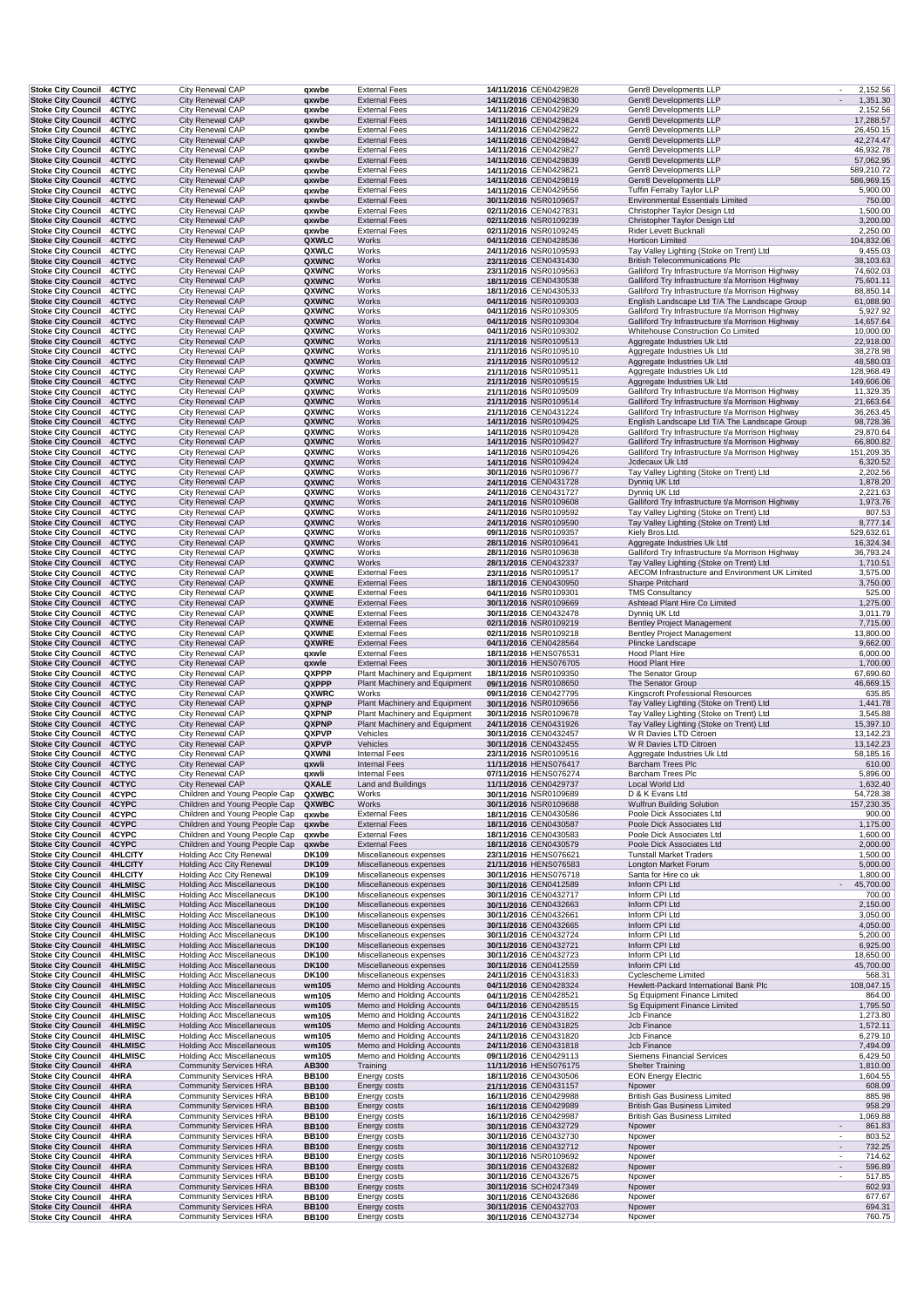| Stoke City Council 4CTYC                                 |                | City Renewal CAP                 | qxwbe        | <b>External Fees</b>                             | 14/11/2016 CEN0429828 | Genr8 Developments LLP                            | 2,152.56                           |
|----------------------------------------------------------|----------------|----------------------------------|--------------|--------------------------------------------------|-----------------------|---------------------------------------------------|------------------------------------|
| Stoke City Council 4CTYC                                 |                | City Renewal CAP                 | qxwbe        | <b>External Fees</b>                             | 14/11/2016 CEN0429830 | Genr8 Developments LLP                            | 1,351.30<br>$\sim$                 |
| <b>Stoke City Council</b>                                | 4CTYC          | City Renewal CAP                 | qxwbe        | <b>External Fees</b>                             | 14/11/2016 CEN0429829 | Genr8 Developments LLP                            | 2,152.56                           |
| <b>Stoke City Council</b>                                | 4CTYC          | City Renewal CAP                 | qxwbe        | <b>External Fees</b>                             | 14/11/2016 CEN0429824 | Genr8 Developments LLP                            | 17,288.57                          |
| <b>Stoke City Council</b>                                | 4CTYC          | City Renewal CAP                 | qxwbe        | <b>External Fees</b>                             | 14/11/2016 CEN0429822 | Genr8 Developments LLP                            | 26,450.15                          |
| <b>Stoke City Council</b>                                | 4CTYC          | City Renewal CAP                 | qxwbe        | <b>External Fees</b>                             | 14/11/2016 CEN0429842 | Genr8 Developments LLP                            | 42,274.47                          |
| Stoke City Council 4CTYC                                 |                | City Renewal CAP                 | qxwbe        | <b>External Fees</b>                             | 14/11/2016 CEN0429827 | Genr8 Developments LLP                            | 46,932.78                          |
| Stoke City Council 4CTYC                                 |                | City Renewal CAP                 | qxwbe        | <b>External Fees</b>                             | 14/11/2016 CEN0429839 | Genr8 Developments LLP                            | 57,062.95                          |
| Stoke City Council 4CTYC                                 |                | City Renewal CAP                 | qxwbe        | <b>External Fees</b>                             | 14/11/2016 CEN0429821 | Genr8 Developments LLP                            | 589,210.72                         |
| Stoke City Council 4CTYC                                 |                | City Renewal CAP                 | qxwbe        | <b>External Fees</b>                             | 14/11/2016 CEN0429819 | Genr8 Developments LLP                            | 586,969.15                         |
| <b>Stoke City Council</b>                                | 4CTYC          | City Renewal CAP                 | qxwbe        | <b>External Fees</b>                             | 14/11/2016 CEN0429556 | <b>Tuffin Ferraby Taylor LLP</b>                  | 5,900.00                           |
| Stoke City Council 4CTYC                                 |                | City Renewal CAP                 | qxwbe        | <b>External Fees</b>                             | 30/11/2016 NSR0109657 | <b>Environmental Essentials Limited</b>           | 750.00                             |
| Stoke City Council 4CTYC                                 |                | City Renewal CAP                 | qxwbe        | <b>External Fees</b>                             | 02/11/2016 CEN0427831 | Christopher Taylor Design Ltd                     | 1,500.00                           |
| Stoke City Council 4CTYC                                 |                | City Renewal CAP                 | qxwbe        | <b>External Fees</b>                             | 02/11/2016 NSR0109239 | Christopher Taylor Design Ltd                     | 3,200.00                           |
| <b>Stoke City Council</b>                                | 4CTYC          | City Renewal CAP                 | qxwbe        | <b>External Fees</b>                             | 02/11/2016 NSR0109245 | Rider Levett Bucknall                             | 2,250.00                           |
| <b>Stoke City Council</b>                                | 4CTYC          | City Renewal CAP                 | QXWLC        | Works                                            | 04/11/2016 CEN0428536 | <b>Horticon Limited</b>                           | 104,832.06                         |
| <b>Stoke City Council</b>                                | 4CTYC          | City Renewal CAP                 | QXWLC        | Works                                            | 24/11/2016 NSR0109593 | Tay Valley Lighting (Stoke on Trent) Ltd          | 9,455.03                           |
| <b>Stoke City Council</b>                                | 4CTYC          | City Renewal CAP                 | QXWNC        | Works                                            | 23/11/2016 CEN0431430 | <b>British Telecommunications Plc</b>             | 38,103.63                          |
| Stoke City Council 4CTYC                                 |                | City Renewal CAP                 | QXWNC        | Works                                            | 23/11/2016 NSR0109563 | Galliford Try Infrastructure t/a Morrison Highway | 74,602.03                          |
| Stoke City Council 4CTYC                                 |                | City Renewal CAP                 | QXWNC        | Works                                            | 18/11/2016 CEN0430538 | Galliford Try Infrastructure t/a Morrison Highway | 75,601.11                          |
| Stoke City Council 4CTYC                                 |                | City Renewal CAP                 | QXWNC        | Works                                            | 18/11/2016 CEN0430533 | Galliford Try Infrastructure t/a Morrison Highway | 88,850.14                          |
| Stoke City Council 4CTYC                                 |                | City Renewal CAP                 | QXWNC        | Works                                            | 04/11/2016 NSR0109303 | English Landscape Ltd T/A The Landscape Group     | 61,088.90                          |
| <b>Stoke City Council</b>                                | 4CTYC          | City Renewal CAP                 | QXWNC        | Works                                            | 04/11/2016 NSR0109305 | Galliford Try Infrastructure t/a Morrison Highway | 5,927.92                           |
| Stoke City Council 4CTYC                                 |                | City Renewal CAP                 | QXWNC        | Works                                            | 04/11/2016 NSR0109304 | Galliford Try Infrastructure t/a Morrison Highway | 14,657.64                          |
| Stoke City Council 4CTYC                                 |                | City Renewal CAP                 | QXWNC        | Works                                            | 04/11/2016 NSR0109302 | Whitehouse Construction Co Limited                | 10,000.00                          |
| Stoke City Council 4CTYC                                 |                | City Renewal CAP                 | QXWNC        | Works                                            | 21/11/2016 NSR0109513 | Aggregate Industries Uk Ltd                       | 22,918.00                          |
| Stoke City Council 4CTYC                                 |                | City Renewal CAP                 | QXWNC        | Works                                            | 21/11/2016 NSR0109510 | Aggregate Industries Uk Ltd                       | 38,278.98                          |
| Stoke City Council 4CTYC                                 |                | City Renewal CAP                 | QXWNC        | Works                                            | 21/11/2016 NSR0109512 | Aggregate Industries Uk Ltd                       | 48,580.03                          |
| <b>Stoke City Council</b>                                | 4CTYC          | City Renewal CAP                 | QXWNC        | Works                                            | 21/11/2016 NSR0109511 | Aggregate Industries Uk Ltd                       | 128,968.49                         |
| <b>Stoke City Council</b>                                | 4CTYC          | City Renewal CAP                 | QXWNC        | Works                                            | 21/11/2016 NSR0109515 | Aggregate Industries Uk Ltd                       | 149,606.06                         |
| Stoke City Council 4CTYC                                 |                | City Renewal CAP                 | QXWNC        | Works                                            | 21/11/2016 NSR0109509 | Galliford Try Infrastructure t/a Morrison Highway | 11,329.35                          |
| Stoke City Council 4CTYC                                 |                | City Renewal CAP                 | QXWNC        | Works                                            | 21/11/2016 NSR0109514 | Galliford Try Infrastructure t/a Morrison Highway | 21,663.64                          |
| Stoke City Council 4CTYC                                 |                | City Renewal CAP                 | QXWNC        | Works                                            | 21/11/2016 CEN0431224 | Galliford Try Infrastructure t/a Morrison Highway | 36,263.45                          |
| Stoke City Council 4CTYC                                 |                | City Renewal CAP                 | QXWNC        | Works                                            | 14/11/2016 NSR0109425 | English Landscape Ltd T/A The Landscape Group     | 98,728.36                          |
| Stoke City Council 4CTYC                                 |                | City Renewal CAP                 | QXWNC        | Works                                            | 14/11/2016 NSR0109428 | Galliford Try Infrastructure t/a Morrison Highway | 29,870.64                          |
| <b>Stoke City Council</b>                                | 4CTYC          | City Renewal CAP                 | QXWNC        | Works                                            | 14/11/2016 NSR0109427 | Galliford Try Infrastructure t/a Morrison Highway | 66,800.82                          |
| Stoke City Council 4CTYC                                 |                | City Renewal CAP                 | QXWNC        | Works                                            | 14/11/2016 NSR0109426 | Galliford Try Infrastructure t/a Morrison Highway | 151,209.35                         |
| Stoke City Council 4CTYC                                 |                | City Renewal CAP                 | QXWNC        | Works                                            | 14/11/2016 NSR0109424 | Jcdecaux Uk Ltd                                   | 6,320.52                           |
| Stoke City Council 4CTYC                                 |                | City Renewal CAP                 | QXWNC        | Works                                            | 30/11/2016 NSR0109677 | Tay Valley Lighting (Stoke on Trent) Ltd          | 2,202.56                           |
| <b>Stoke City Council</b>                                | 4CTYC          | City Renewal CAP                 | QXWNC        | Works                                            | 24/11/2016 CEN0431728 | Dynnig UK Ltd                                     | 1,878.20                           |
| <b>Stoke City Council</b>                                | 4CTYC          | City Renewal CAP                 | QXWNC        | Works                                            | 24/11/2016 CEN0431727 | Dynniq UK Ltd                                     | 2,221.63                           |
| <b>Stoke City Council</b>                                | 4CTYC          | City Renewal CAP                 | QXWNC        | Works                                            | 24/11/2016 NSR0109608 | Galliford Try Infrastructure t/a Morrison Highway | 1,973.76                           |
| Stoke City Council 4CTYC                                 |                | City Renewal CAP                 | QXWNC        | Works                                            | 24/11/2016 NSR0109592 | Tay Valley Lighting (Stoke on Trent) Ltd          | 807.53                             |
| Stoke City Council 4CTYC                                 |                | City Renewal CAP                 | QXWNC        | Works                                            | 24/11/2016 NSR0109590 | Tay Valley Lighting (Stoke on Trent) Ltd          | 8,777.14                           |
| Stoke City Council 4CTYC                                 |                | City Renewal CAP                 | QXWNC        | Works                                            | 09/11/2016 NSR0109357 | Kiely Bros.Ltd.                                   | 529,632.61                         |
| Stoke City Council 4CTYC                                 |                | City Renewal CAP                 | QXWNC        | Works                                            | 28/11/2016 NSR0109641 | Aggregate Industries Uk Ltd                       | 16,324.34                          |
| Stoke City Council 4CTYC                                 |                | City Renewal CAP                 | QXWNC        | Works                                            | 28/11/2016 NSR0109638 | Galliford Try Infrastructure t/a Morrison Highway | 36,793.24                          |
| <b>Stoke City Council</b>                                | 4CTYC          | City Renewal CAP                 | QXWNC        | Works                                            | 28/11/2016 CEN0432337 | Tay Valley Lighting (Stoke on Trent) Ltd          | 1,710.51                           |
| Stoke City Council 4CTYC                                 |                | City Renewal CAP                 | QXWNE        | <b>External Fees</b>                             | 23/11/2016 NSR0109517 | AECOM Infrastructure and Environment UK Limited   | 3,575.00                           |
| Stoke City Council 4CTYC                                 |                | City Renewal CAP                 | QXWNE        | <b>External Fees</b>                             | 18/11/2016 CEN0430950 | Sharpe Pritchard                                  | 3,750.00                           |
| <b>Stoke City Council</b>                                | 4CTYC          | City Renewal CAP                 | QXWNE        | <b>External Fees</b>                             | 04/11/2016 NSR0109301 | <b>TMS Consultancy</b>                            | 525.00                             |
| Stoke City Council 4CTYC                                 |                | City Renewal CAP                 | QXWNE        | <b>External Fees</b>                             | 30/11/2016 NSR0109669 | Ashtead Plant Hire Co Limited                     | 1,275.00                           |
| Stoke City Council 4CTYC                                 |                | City Renewal CAP                 | QXWNE        | <b>External Fees</b>                             | 30/11/2016 CEN0432478 | Dynnig UK Ltd                                     | 3,011.79                           |
| <b>Stoke City Council</b>                                | 4CTYC          | City Renewal CAP                 | QXWNE        | <b>External Fees</b>                             | 02/11/2016 NSR0109219 | <b>Bentley Project Management</b>                 | 7,715.00                           |
| <b>Stoke City Council</b>                                | 4CTYC          | City Renewal CAP                 | QXWNE        | <b>External Fees</b>                             | 02/11/2016 NSR0109218 | <b>Bentley Project Management</b>                 | 13,800.00                          |
| Stoke City Council 4CTYC                                 |                | City Renewal CAP                 | QXWRE        | <b>External Fees</b>                             | 04/11/2016 CEN0428564 | Plincke Landscape                                 | 9,662.00                           |
| Stoke City Council 4CTYC                                 |                | City Renewal CAP                 | qxwle        | <b>External Fees</b>                             | 18/11/2016 HENS076531 | Hood Plant Hire                                   | 6,000.00                           |
| Stoke City Council 4CTYC                                 |                | City Renewal CAP                 | qxwle        | <b>External Fees</b>                             | 30/11/2016 HENS076705 | Hood Plant Hire                                   | 1,700.00                           |
| Stoke City Council 4CTYC                                 |                | City Renewal CAP                 | QXPPP        | Plant Machinery and Equipment                    | 18/11/2016 NSR0109350 | The Senator Group                                 | 67,690.60                          |
| Stoke City Council 4CTYC                                 |                | City Renewal CAP                 | QXPPP        | Plant Machinery and Equipment                    | 09/11/2016 NSR0108650 | The Senator Group                                 | 46,669.15                          |
| Stoke City Council 4CTYC                                 |                | City Renewal CAP                 | QXWRC        | Works                                            | 09/11/2016 CEN0427795 | Kingscroft Professional Resources                 | 635.85                             |
| Stoke City Council 4CTYC                                 |                | City Renewal CAP                 | QXPNP        | Plant Machinery and Equipment                    | 30/11/2016 NSR0109656 | Tay Valley Lighting (Stoke on Trent) Ltd          | 1,441.78                           |
| Stoke City Council 4CTYC                                 |                | City Renewal CAP                 | QXPNP        | Plant Machinery and Equipment                    | 30/11/2016 NSR0109678 | Tay Valley Lighting (Stoke on Trent) Ltd          | 3,545.88                           |
| Stoke City Council 4CTYC                                 |                | City Renewal CAP                 | QXPNP        | Plant Machinery and Equipment                    | 24/11/2016 CEN0431926 | Tay Valley Lighting (Stoke on Trent) Ltd          | 15,397.10                          |
| <b>Stoke City Council</b>                                | 4CTYC          | City Renewal CAP                 | <b>QXPVP</b> | Vehicles                                         | 30/11/2016 CEN0432457 | W R Davies LTD Citroen                            | 13,142.23                          |
| <b>Stoke City Council</b>                                | 4CTYC          | City Renewal CAP                 | QXPVP        | Vehicles                                         | 30/11/2016 CEN0432455 | W R Davies LTD Citroen                            | 13,142.23                          |
| <b>Stoke City Council</b>                                | 4CTYC          | City Renewal CAP                 | QXWNI        | <b>Internal Fees</b>                             | 23/11/2016 NSR0109516 | Aggregate Industries Uk Ltd                       | 58,185.16                          |
| Stoke City Council 4CTYC                                 |                | City Renewal CAP                 | qxwli        | <b>Internal Fees</b>                             | 11/11/2016 HENS076417 | Barcham Trees Plc                                 | 610.00                             |
| Stoke City Council 4CTYC                                 |                | City Renewal CAP                 | qxwli        | <b>Internal Fees</b>                             | 07/11/2016 HENS076274 | Barcham Trees Plc                                 | 5,896.00                           |
| Stoke City Council 4CTYC                                 |                | City Renewal CAP                 | QXALE        | Land and Buildings                               | 11/11/2016 CEN0429737 | Local World Ltd                                   | 1,632.40                           |
| Stoke City Council 4CYPC                                 |                | Children and Young People Cap    | QXWBC        | Works                                            | 30/11/2016 NSR0109689 | D & K Evans Ltd                                   | 54,728.38                          |
| Stoke City Council 4CYPC                                 |                | Children and Young People Cap    | QXWBC        | Works                                            | 30/11/2016 NSR0109688 | Wulfrun Building Solution                         | 157,230.35                         |
| <b>Stoke City Council</b>                                | 4CYPC          | Children and Young People Cap    | qxwbe        | <b>External Fees</b>                             | 18/11/2016 CEN0430586 | Poole Dick Associates Ltd                         | 900.00                             |
| <b>Stoke City Council</b>                                | 4CYPC          | Children and Young People Cap    | qxwbe        | <b>External Fees</b>                             | 18/11/2016 CEN0430587 | Poole Dick Associates Ltd                         | 1,175.00                           |
| Stoke City Council 4CYPC                                 |                | Children and Young People Cap    | qxwbe        | <b>External Fees</b>                             | 18/11/2016 CEN0430583 | Poole Dick Associates Ltd                         | 1,600.00                           |
| Stoke City Council 4CYPC                                 |                | Children and Young People Cap    | qxwbe        | <b>External Fees</b>                             | 18/11/2016 CEN0430579 | Poole Dick Associates Ltd                         | 2,000.00                           |
| Stoke City Council 4HLCITY                               |                | <b>Holding Acc City Renewal</b>  | DK109        | Miscellaneous expenses                           | 23/11/2016 HENS076621 | <b>Tunstall Market Traders</b>                    | 1,500.00                           |
| <b>Stoke City Council</b>                                | <b>4HLCITY</b> | <b>Holding Acc City Renewal</b>  | <b>DK109</b> | Miscellaneous expenses                           | 21/11/2016 HENS076583 | Longton Market Forum                              | 5,000.00                           |
| <b>Stoke City Council</b>                                | <b>4HLCITY</b> | <b>Holding Acc City Renewal</b>  | DK109        | Miscellaneous expenses                           | 30/11/2016 HENS076718 | Santa for Hire co uk                              | 1,800.00                           |
| Stoke City Council 4HLMISC                               |                | <b>Holding Acc Miscellaneous</b> | <b>DK100</b> | Miscellaneous expenses<br>Miscellaneous expenses | 30/11/2016 CEN0412589 | Inform CPI Ltd<br>Inform CPI Ltd                  | 45,700.00                          |
| Stoke City Council 4HLMISC                               |                | <b>Holding Acc Miscellaneous</b> | <b>DK100</b> |                                                  | 30/11/2016 CEN0432717 |                                                   | 700.00                             |
| Stoke City Council 4HLMISC                               |                | <b>Holding Acc Miscellaneous</b> | <b>DK100</b> | Miscellaneous expenses                           | 30/11/2016 CEN0432663 | Inform CPI Ltd                                    | 2,150.00                           |
| Stoke City Council 4HLMISC<br>Stoke City Council 4HLMISC |                | <b>Holding Acc Miscellaneous</b> | <b>DK100</b> | Miscellaneous expenses                           | 30/11/2016 CEN0432661 | Inform CPI Ltd<br>Inform CPI Ltd                  | 3,050.00                           |
|                                                          |                | <b>Holding Acc Miscellaneous</b> | <b>DK100</b> | Miscellaneous expenses                           | 30/11/2016 CEN0432665 |                                                   | 4,050.00                           |
| Stoke City Council 4HLMISC                               |                | <b>Holding Acc Miscellaneous</b> | <b>DK100</b> | Miscellaneous expenses                           | 30/11/2016 CEN0432724 | Inform CPI Ltd                                    | 5,200.00                           |
| Stoke City Council 4HLMISC                               |                | <b>Holding Acc Miscellaneous</b> | <b>DK100</b> | Miscellaneous expenses                           | 30/11/2016 CEN0432721 | Inform CPI Ltd                                    | 6,925.00                           |
| Stoke City Council 4HLMISC                               |                | <b>Holding Acc Miscellaneous</b> | <b>DK100</b> | Miscellaneous expenses                           | 30/11/2016 CEN0432723 | Inform CPI Ltd<br>Inform CPI Ltd                  | 18,650.00                          |
| Stoke City Council 4HLMISC                               |                | <b>Holding Acc Miscellaneous</b> | <b>DK100</b> | Miscellaneous expenses                           | 30/11/2016 CEN0412559 |                                                   | 45,700.00                          |
| Stoke City Council 4HLMISC                               |                | <b>Holding Acc Miscellaneous</b> | <b>DK100</b> | Miscellaneous expenses                           | 24/11/2016 CEN0431833 | Cyclescheme Limited                               | 568.31                             |
| Stoke City Council 4HLMISC                               |                | <b>Holding Acc Miscellaneous</b> | wm105        | Memo and Holding Accounts                        | 04/11/2016 CEN0428324 | Hewlett-Packard International Bank Plc            | 108,047.15                         |
| Stoke City Council 4HLMISC                               |                | <b>Holding Acc Miscellaneous</b> | wm105        | Memo and Holding Accounts                        | 04/11/2016 CEN0428521 | Sg Equipment Finance Limited                      | 864.00                             |
| <b>Stoke City Council</b>                                | <b>4HLMISC</b> | <b>Holding Acc Miscellaneous</b> | wm105        | Memo and Holding Accounts                        | 04/11/2016 CEN0428515 | Sg Equipment Finance Limited                      | 1,795.50                           |
| Stoke City Council 4HLMISC                               |                | <b>Holding Acc Miscellaneous</b> | wm105        | Memo and Holding Accounts                        | 24/11/2016 CEN0431822 | Jcb Finance                                       | 1,273.80                           |
| Stoke City Council 4HLMISC                               |                | <b>Holding Acc Miscellaneous</b> | wm105        | Memo and Holding Accounts                        | 24/11/2016 CEN0431825 | Jcb Finance                                       | 1,572.11                           |
| Stoke City Council 4HLMISC                               |                | <b>Holding Acc Miscellaneous</b> | wm105        | Memo and Holding Accounts                        | 24/11/2016 CEN0431820 | Jcb Finance                                       | 6,279.10                           |
| Stoke City Council 4HLMISC                               |                | <b>Holding Acc Miscellaneous</b> | wm105        | Memo and Holding Accounts                        | 24/11/2016 CEN0431818 | Jcb Finance                                       | 7,494.09                           |
| Stoke City Council 4HLMISC                               |                | <b>Holding Acc Miscellaneous</b> | wm105        | Memo and Holding Accounts                        | 09/11/2016 CEN0429113 | <b>Siemens Financial Services</b>                 | 6,429.50                           |
| <b>Stoke City Council</b>                                | 4HRA           | <b>Community Services HRA</b>    | AB300        | Training                                         | 11/11/2016 HENS076175 | <b>Shelter Training</b>                           | 1,810.00                           |
| Stoke City Council 4HRA                                  |                | <b>Community Services HRA</b>    | <b>BB100</b> | Energy costs                                     | 18/11/2016 CEN0430506 | <b>EON Energy Electric</b>                        | 1,604.55                           |
| <b>Stoke City Council</b>                                | 4HRA           | <b>Community Services HRA</b>    | <b>BB100</b> | Energy costs                                     | 21/11/2016 CEN0431157 | Npower                                            | 608.09                             |
| <b>Stoke City Council</b>                                | 4HRA           | <b>Community Services HRA</b>    | <b>BB100</b> | Energy costs                                     | 16/11/2016 CEN0429988 | <b>British Gas Business Limited</b>               | 885.98                             |
| <b>Stoke City Council</b>                                | 4HRA           | <b>Community Services HRA</b>    | <b>BB100</b> | Energy costs                                     | 16/11/2016 CEN0429989 | <b>British Gas Business Limited</b>               | 958.29                             |
| <b>Stoke City Council</b>                                | 4HRA           | <b>Community Services HRA</b>    | <b>BB100</b> | Energy costs                                     | 16/11/2016 CEN0429987 | <b>British Gas Business Limited</b>               | 1,069.88                           |
| <b>Stoke City Council</b>                                | 4HRA           | <b>Community Services HRA</b>    | <b>BB100</b> | Energy costs                                     | 30/11/2016 CEN0432729 | Npower                                            | 861.83                             |
| <b>Stoke City Council</b>                                | 4HRA           | <b>Community Services HRA</b>    | <b>BB100</b> | Energy costs                                     | 30/11/2016 CEN0432730 | Npower                                            | 803.52                             |
| <b>Stoke City Council</b>                                | 4HRA           | <b>Community Services HRA</b>    | <b>BB100</b> | Energy costs                                     | 30/11/2016 CEN0432712 | Npower                                            | 732.25                             |
| <b>Stoke City Council</b>                                | 4HRA           | <b>Community Services HRA</b>    | <b>BB100</b> | Energy costs                                     | 30/11/2016 NSR0109692 | Npower                                            | 714.62<br>$\overline{\phantom{a}}$ |
| Stoke City Council 4HRA                                  |                | <b>Community Services HRA</b>    | <b>BB100</b> | Energy costs                                     | 30/11/2016 CEN0432682 | Npower                                            | 596.89<br>$\overline{\phantom{a}}$ |
| Stoke City Council 4HRA                                  |                | <b>Community Services HRA</b>    | <b>BB100</b> | Energy costs                                     | 30/11/2016 CEN0432675 | Npower                                            | 517.85<br>$\overline{\phantom{a}}$ |
| <b>Stoke City Council</b>                                | 4HRA           | <b>Community Services HRA</b>    | <b>BB100</b> | Energy costs                                     | 30/11/2016 SCH0247349 | Npower                                            | 602.93                             |
| Stoke City Council 4HRA                                  |                | <b>Community Services HRA</b>    | <b>BB100</b> | Energy costs                                     | 30/11/2016 CEN0432686 | Npower                                            | 677.67                             |
| <b>Stoke City Council</b>                                | 4HRA           | <b>Community Services HRA</b>    | <b>BB100</b> | Energy costs                                     | 30/11/2016 CEN0432703 | Npower                                            | 694.31                             |
| Stoke City Council 4HRA                                  |                | <b>Community Services HRA</b>    | <b>BB100</b> | Energy costs                                     | 30/11/2016 CEN0432734 | Npower                                            | 760.75                             |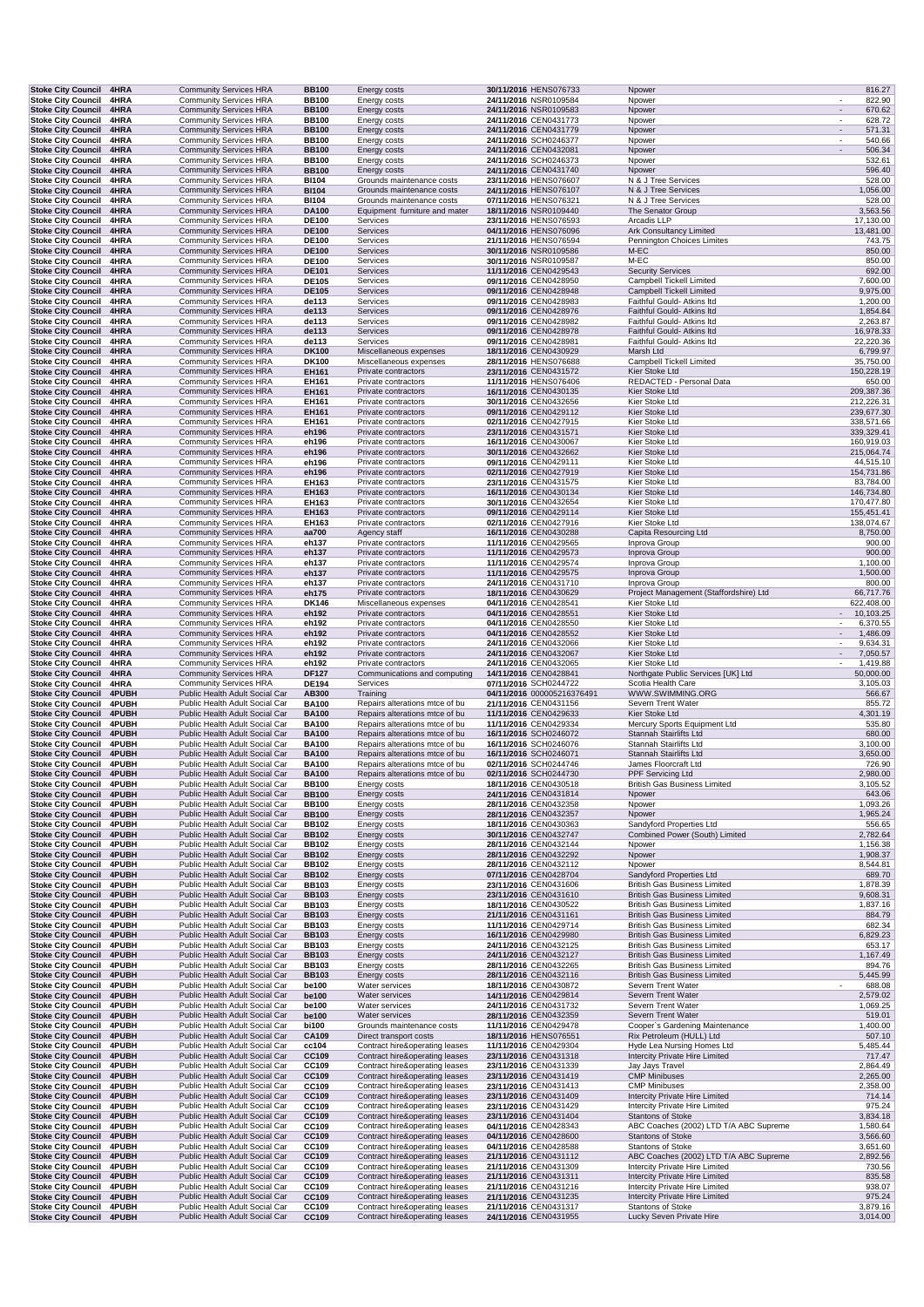| Stoke City Council 4HRA                                |                       | <b>Community Services HRA</b>                                    |  | <b>BB100</b>                 | Energy costs                                                     | 30/11/2016 HENS076733                          | Npower                                                                     | 816.27                                       |
|--------------------------------------------------------|-----------------------|------------------------------------------------------------------|--|------------------------------|------------------------------------------------------------------|------------------------------------------------|----------------------------------------------------------------------------|----------------------------------------------|
| <b>Stoke City Council</b>                              | 4HRA                  | <b>Community Services HRA</b>                                    |  | <b>BB100</b>                 | Energy costs                                                     | 24/11/2016 NSR0109584                          | Npower                                                                     | 822.90                                       |
| <b>Stoke City Council</b>                              | 4HRA                  | <b>Community Services HRA</b>                                    |  | <b>BB100</b><br><b>BB100</b> | Energy costs                                                     | 24/11/2016 NSR0109583<br>24/11/2016 CEN0431773 | Npower<br>Npower                                                           | 670.62<br>$\overline{\phantom{a}}$<br>628.72 |
| <b>Stoke City Council</b><br><b>Stoke City Council</b> | 4HRA<br>4HRA          | <b>Community Services HRA</b><br><b>Community Services HRA</b>   |  | <b>BB100</b>                 | <b>Energy costs</b><br>Energy costs                              | 24/11/2016 CEN0431779                          | Npower                                                                     | 571.31                                       |
| Stoke City Council 4HRA                                |                       | <b>Community Services HRA</b>                                    |  | <b>BB100</b>                 | Energy costs                                                     | 24/11/2016 SCH0246377                          | Npower                                                                     | 540.66                                       |
| <b>Stoke City Council</b>                              | 4HRA                  | <b>Community Services HRA</b>                                    |  | <b>BB100</b>                 | <b>Energy costs</b>                                              | 24/11/2016 CEN0432081                          | Npower                                                                     | 506.34<br>$\overline{\phantom{a}}$           |
| <b>Stoke City Council</b>                              | 4HRA                  | <b>Community Services HRA</b>                                    |  | <b>BB100</b>                 | Energy costs                                                     | 24/11/2016 SCH0246373                          | Npower                                                                     | 532.61                                       |
| <b>Stoke City Council</b>                              | 4HRA                  | <b>Community Services HRA</b>                                    |  | <b>BB100</b>                 | Energy costs                                                     | 24/11/2016 CEN0431740                          | Npower                                                                     | 596.40                                       |
| <b>Stoke City Council</b><br><b>Stoke City Council</b> | 4HRA<br>4HRA          | <b>Community Services HRA</b><br><b>Community Services HRA</b>   |  | <b>BI104</b><br><b>BI104</b> | Grounds maintenance costs<br>Grounds maintenance costs           | 23/11/2016 HENS076607<br>24/11/2016 HENS076107 | N & J Tree Services<br>N & J Tree Services                                 | 528.00<br>1,056.00                           |
| Stoke City Council 4HRA                                |                       | <b>Community Services HRA</b>                                    |  | <b>BI104</b>                 | Grounds maintenance costs                                        | 07/11/2016 HENS076321                          | N & J Tree Services                                                        | 528.00                                       |
| <b>Stoke City Council</b>                              | 4HRA                  | <b>Community Services HRA</b>                                    |  | <b>DA100</b>                 | Equipment furniture and mater                                    | 18/11/2016 NSR0109440                          | The Senator Group                                                          | 3,563.56                                     |
| Stoke City Council 4HRA                                |                       | <b>Community Services HRA</b>                                    |  | <b>DE100</b>                 | Services                                                         | 23/11/2016 HENS076593                          | Arcadis LLP                                                                | 17,130.00                                    |
| <b>Stoke City Council</b>                              | 4HRA                  | <b>Community Services HRA</b>                                    |  | <b>DE100</b>                 | Services                                                         | 04/11/2016 HENS076096                          | Ark Consultancy Limited                                                    | 13,481.00                                    |
| <b>Stoke City Council</b>                              | 4HRA                  | <b>Community Services HRA</b>                                    |  | <b>DE100</b>                 | Services                                                         | 21/11/2016 HENS076594                          | Pennington Choices Limites                                                 | 743.75                                       |
| <b>Stoke City Council</b><br><b>Stoke City Council</b> | 4HRA<br>4HRA          | <b>Community Services HRA</b><br><b>Community Services HRA</b>   |  | <b>DE100</b><br><b>DE100</b> | Services<br>Services                                             | 30/11/2016 NSR0109586<br>30/11/2016 NSR0109587 | M-EC<br>M-EC                                                               | 850.00<br>850.00                             |
| Stoke City Council 4HRA                                |                       | <b>Community Services HRA</b>                                    |  | <b>DE101</b>                 | Services                                                         | 11/11/2016 CEN0429543                          | <b>Security Services</b>                                                   | 692.00                                       |
| Stoke City Council 4HRA                                |                       | <b>Community Services HRA</b>                                    |  | <b>DE105</b>                 | Services                                                         | 09/11/2016 CEN0428950                          | Campbell Tickell Limited                                                   | 7,600.00                                     |
| <b>Stoke City Council 4HRA</b>                         |                       | <b>Community Services HRA</b>                                    |  | <b>DE105</b>                 | Services                                                         | 09/11/2016 CEN0428948                          | <b>Campbell Tickell Limited</b>                                            | 9,975.00                                     |
| <b>Stoke City Council</b>                              | 4HRA                  | <b>Community Services HRA</b>                                    |  | de113                        | Services                                                         | 09/11/2016 CEN0428983                          | Faithful Gould- Atkins Itd                                                 | 1,200.00                                     |
| <b>Stoke City Council</b>                              | 4HRA                  | <b>Community Services HRA</b><br><b>Community Services HRA</b>   |  | de113<br>de113               | Services<br>Services                                             | 09/11/2016 CEN0428976<br>09/11/2016 CEN0428982 | Faithful Gould- Atkins Itd<br>Faithful Gould- Atkins Itd                   | 1,854.84<br>2,263.87                         |
| Stoke City Council 4HRA<br><b>Stoke City Council</b>   | 4HRA                  | <b>Community Services HRA</b>                                    |  | de113                        | Services                                                         | 09/11/2016 CEN0428978                          | Faithful Gould- Atkins Itd                                                 | 16,978.33                                    |
| <b>Stoke City Council</b>                              | 4HRA                  | <b>Community Services HRA</b>                                    |  | de113                        | Services                                                         | 09/11/2016 CEN0428981                          | Faithful Gould- Atkins Itd                                                 | 22,220.36                                    |
| <b>Stoke City Council</b>                              | 4HRA                  | <b>Community Services HRA</b>                                    |  | <b>DK100</b>                 | Miscellaneous expenses                                           | 18/11/2016 CEN0430929                          | Marsh Ltd                                                                  | 6,799.97                                     |
| <b>Stoke City Council</b>                              | 4HRA                  | <b>Community Services HRA</b>                                    |  | <b>DK100</b>                 | Miscellaneous expenses                                           | 28/11/2016 HENS076688                          | Campbell Tickell Limited                                                   | 35,750.00                                    |
| <b>Stoke City Council</b>                              | 4HRA                  | <b>Community Services HRA</b>                                    |  | EH161                        | Private contractors                                              | 23/11/2016 CEN0431572                          | Kier Stoke Ltd                                                             | 150,228.19                                   |
| <b>Stoke City Council</b><br><b>Stoke City Council</b> | 4HRA<br>4HRA          | <b>Community Services HRA</b><br><b>Community Services HRA</b>   |  | EH161<br>EH161               | Private contractors<br>Private contractors                       | 11/11/2016 HENS076406<br>16/11/2016 CEN0430135 | REDACTED - Personal Data<br>Kier Stoke Ltd                                 | 650.00<br>209,387.36                         |
| <b>Stoke City Council</b>                              | 4HRA                  | <b>Community Services HRA</b>                                    |  | EH161                        | Private contractors                                              | 30/11/2016 CEN0432656                          | Kier Stoke Ltd                                                             | 212,226.31                                   |
| <b>Stoke City Council</b>                              | 4HRA                  | <b>Community Services HRA</b>                                    |  | EH161                        | Private contractors                                              | 09/11/2016 CEN0429112                          | Kier Stoke Ltd                                                             | 239,677.30                                   |
| <b>Stoke City Council</b>                              | 4HRA                  | <b>Community Services HRA</b>                                    |  | EH161                        | Private contractors                                              | 02/11/2016 CEN0427915                          | Kier Stoke Ltd                                                             | 338,571.66                                   |
| <b>Stoke City Council</b>                              | 4HRA                  | <b>Community Services HRA</b>                                    |  | eh196                        | Private contractors                                              | 23/11/2016 CEN0431571                          | Kier Stoke Ltd                                                             | 339,329.41                                   |
| Stoke City Council 4HRA                                |                       | <b>Community Services HRA</b>                                    |  | eh196                        | Private contractors<br>Private contractors                       | 16/11/2016 CEN0430067<br>30/11/2016 CEN0432662 | Kier Stoke Ltd<br>Kier Stoke Ltd                                           | 160,919.03                                   |
| <b>Stoke City Council</b><br><b>Stoke City Council</b> | 4HRA<br>4HRA          | <b>Community Services HRA</b><br><b>Community Services HRA</b>   |  | eh196<br>eh196               | Private contractors                                              | 09/11/2016 CEN0429111                          | Kier Stoke Ltd                                                             | 215,064.74<br>44,515.10                      |
| <b>Stoke City Council</b>                              | 4HRA                  | <b>Community Services HRA</b>                                    |  | eh196                        | Private contractors                                              | 02/11/2016 CEN0427919                          | Kier Stoke Ltd                                                             | 154,731.86                                   |
| <b>Stoke City Council</b>                              | 4HRA                  | <b>Community Services HRA</b>                                    |  | EH163                        | Private contractors                                              | 23/11/2016 CEN0431575                          | Kier Stoke Ltd                                                             | 83,784.00                                    |
| <b>Stoke City Council</b>                              | 4HRA                  | <b>Community Services HRA</b>                                    |  | EH163                        | Private contractors                                              | 16/11/2016 CEN0430134                          | Kier Stoke Ltd                                                             | 146,734.80                                   |
| <b>Stoke City Council</b>                              | 4HRA                  | <b>Community Services HRA</b>                                    |  | EH163                        | Private contractors                                              | 30/11/2016 CEN0432654                          | Kier Stoke Ltd                                                             | 170,477.80                                   |
| <b>Stoke City Council</b>                              | 4HRA                  | <b>Community Services HRA</b>                                    |  | EH163                        | Private contractors<br>Private contractors                       | 09/11/2016 CEN0429114                          | Kier Stoke Ltd                                                             | 155,451.41                                   |
| <b>Stoke City Council</b><br>Stoke City Council 4HRA   | 4HRA                  | <b>Community Services HRA</b><br><b>Community Services HRA</b>   |  | EH163<br>aa700               | Agency staff                                                     | 02/11/2016 CEN0427916<br>16/11/2016 CEN0430288 | Kier Stoke Ltd<br>Capita Resourcing Ltd                                    | 138,074.67<br>8,750.00                       |
| Stoke City Council 4HRA                                |                       | <b>Community Services HRA</b>                                    |  | eh137                        | Private contractors                                              | 11/11/2016 CEN0429565                          | Inprova Group                                                              | 900.00                                       |
| <b>Stoke City Council</b>                              | 4HRA                  | <b>Community Services HRA</b>                                    |  | eh137                        | Private contractors                                              | 11/11/2016 CEN0429573                          | Inprova Group                                                              | 900.00                                       |
| <b>Stoke City Council</b>                              | 4HRA                  | <b>Community Services HRA</b>                                    |  | eh137                        | Private contractors                                              | 11/11/2016 CEN0429574                          | Inprova Group                                                              | 1,100.00                                     |
| <b>Stoke City Council</b>                              | 4HRA                  | <b>Community Services HRA</b>                                    |  | eh137                        | Private contractors                                              | 11/11/2016 CEN0429575                          | Inprova Group                                                              | 1,500.00                                     |
| <b>Stoke City Council</b>                              | 4HRA                  | <b>Community Services HRA</b>                                    |  | eh137                        | Private contractors                                              | 24/11/2016 CEN0431710                          | Inprova Group                                                              | 800.00                                       |
| <b>Stoke City Council</b><br><b>Stoke City Council</b> | 4HRA<br>4HRA          | <b>Community Services HRA</b><br><b>Community Services HRA</b>   |  | eh175<br><b>DK146</b>        | Private contractors<br>Miscellaneous expenses                    | 18/11/2016 CEN0430629<br>04/11/2016 CEN0428541 | Project Management (Staffordshire) Ltd<br>Kier Stoke Ltd                   | 66,717.76<br>622,408.00                      |
| <b>Stoke City Council</b>                              | 4HRA                  | <b>Community Services HRA</b>                                    |  | eh192                        | Private contractors                                              | 04/11/2016 CEN0428551                          | Kier Stoke Ltd                                                             | 10,103.25<br>$\overline{\phantom{a}}$        |
| <b>Stoke City Council</b>                              | 4HRA                  | <b>Community Services HRA</b>                                    |  | eh192                        | Private contractors                                              | 04/11/2016 CEN0428550                          | Kier Stoke Ltd                                                             | 6,370.55                                     |
| <b>Stoke City Council</b>                              | 4HRA                  | <b>Community Services HRA</b>                                    |  | eh192                        | Private contractors                                              | 04/11/2016 CEN0428552                          | Kier Stoke Ltd                                                             | 1,486.09                                     |
|                                                        |                       |                                                                  |  |                              |                                                                  |                                                |                                                                            |                                              |
| Stoke City Council 4HRA                                |                       | <b>Community Services HRA</b>                                    |  | eh192                        | Private contractors                                              | 24/11/2016 CEN0432066                          | Kier Stoke Ltd                                                             | 9,634.31                                     |
| <b>Stoke City Council</b>                              | 4HRA                  | <b>Community Services HRA</b>                                    |  | eh192                        | Private contractors                                              | 24/11/2016 CEN0432067                          | Kier Stoke Ltd                                                             | 7,050.57<br>$\overline{\phantom{a}}$         |
| <b>Stoke City Council</b>                              | 4HRA                  | <b>Community Services HRA</b>                                    |  | eh192                        | Private contractors                                              | 24/11/2016 CEN0432065                          | Kier Stoke Ltd                                                             | 1,419.88                                     |
| <b>Stoke City Council</b><br><b>Stoke City Council</b> | 4HRA<br>4HRA          | <b>Community Services HRA</b>                                    |  | <b>DF127</b><br><b>DE194</b> | Communications and computing<br>Services                         | 14/11/2016 CEN0428841<br>07/11/2016 SCH0244722 | Northgate Public Services [UK] Ltd<br>Scotia Health Care                   | 50,000.00                                    |
| <b>Stoke City Council</b>                              | 4PUBH                 | <b>Community Services HRA</b><br>Public Health Adult Social Car  |  | AB300                        | Training                                                         | 04/11/2016 000005216376491                     | WWW.SWIMMING.ORG                                                           | 3,105.03<br>566.67                           |
| <b>Stoke City Council</b>                              | <b>4PUBH</b>          | Public Health Adult Social Car                                   |  | <b>BA100</b>                 | Repairs alterations mtce of bu                                   | 21/11/2016 CEN0431156                          | Severn Trent Water                                                         | 855.72                                       |
| Stoke City Council 4PUBH                               |                       | Public Health Adult Social Car                                   |  | <b>BA100</b>                 | Repairs alterations mtce of bu                                   | 11/11/2016 CEN0429633                          | Kier Stoke Ltd                                                             | 4,301.19                                     |
| <b>Stoke City Council</b>                              | 4PUBH                 | Public Health Adult Social Car                                   |  | <b>BA100</b>                 | Repairs alterations mtce of bu                                   | 11/11/2016 CEN0429334                          | Mercury Sports Equipment Ltd                                               | 535.80                                       |
| <b>Stoke City Council</b>                              | 4PUBH                 | Public Health Adult Social Car                                   |  | <b>BA100</b>                 | Repairs alterations mtce of bu                                   | 16/11/2016 SCH0246072<br>16/11/2016 SCH0246076 | Stannah Stairlifts Ltd                                                     | 680.00                                       |
| <b>Stoke City Council</b><br><b>Stoke City Council</b> | 4PUBH<br>4PUBH        | Public Health Adult Social Car<br>Public Health Adult Social Car |  | <b>BA100</b><br><b>BA100</b> | Repairs alterations mtce of bu<br>Repairs alterations mtce of bu | 16/11/2016 SCH0246071                          | Stannah Stairlifts Ltd<br>Stannah Stairlifts Ltd                           | 3,100.00<br>3,650.00                         |
| Stoke City Council 4PUBH                               |                       | Public Health Adult Social Car                                   |  | <b>BA100</b>                 | Repairs alterations mtce of bu                                   | 02/11/2016 SCH0244746                          | James Floorcraft Ltd                                                       | 726.90                                       |
| Stoke City Council 4PUBH                               |                       | Public Health Adult Social Car                                   |  | <b>BA100</b>                 | Repairs alterations mtce of bu                                   | 02/11/2016 SCH0244730                          | PPF Servicing Ltd                                                          | 2,980.00                                     |
| Stoke City Council 4PUBH                               |                       | Public Health Adult Social Car                                   |  | <b>BB100</b>                 | Energy costs                                                     | 18/11/2016 CEN0430518                          | British Gas Business Limited                                               | 3,105.52                                     |
| Stoke City Council 4PUBH<br><b>Stoke City Council</b>  | 4PUBH                 | Public Health Adult Social Car<br>Public Health Adult Social Car |  | <b>BB100</b><br><b>BB100</b> | Energy costs                                                     | 24/11/2016 CEN0431814<br>28/11/2016 CEN0432358 | Npower                                                                     | 643.06                                       |
| <b>Stoke City Council</b>                              | 4PUBH                 | Public Health Adult Social Car                                   |  | <b>BB100</b>                 | Energy costs<br>Energy costs                                     | 28/11/2016 CEN0432357                          | Npower<br>Npower                                                           | 1,093.26<br>1,965.24                         |
| Stoke City Council 4PUBH                               |                       | Public Health Adult Social Car                                   |  | <b>BB102</b>                 | Energy costs                                                     | 18/11/2016 CEN0430363                          | Sandyford Properties Ltd                                                   | 556.65                                       |
| <b>Stoke City Council</b>                              | 4PUBH                 | Public Health Adult Social Car                                   |  | <b>BB102</b>                 | Energy costs                                                     | 30/11/2016 CEN0432747                          | Combined Power (South) Limited                                             | 2,782.64                                     |
| <b>Stoke City Council</b>                              | 4PUBH                 | Public Health Adult Social Car                                   |  | <b>BB102</b>                 | Energy costs                                                     | 28/11/2016 CEN0432144                          | Npower                                                                     | 1,156.38                                     |
| Stoke City Council 4PUBH                               |                       | Public Health Adult Social Car                                   |  | <b>BB102</b>                 | Energy costs                                                     | 28/11/2016 CEN0432292                          | Npower                                                                     | 1,908.37                                     |
| <b>Stoke City Council</b><br><b>Stoke City Council</b> | 4PUBH<br>4PUBH        | Public Health Adult Social Car<br>Public Health Adult Social Car |  | <b>BB102</b><br><b>BB102</b> | Energy costs<br>Energy costs                                     | 28/11/2016 CEN0432112<br>07/11/2016 CEN0428704 | Npower<br>Sandyford Properties Ltd                                         | 8,544.81<br>689.70                           |
| Stoke City Council 4PUBH                               |                       | Public Health Adult Social Car                                   |  | <b>BB103</b>                 | Energy costs                                                     | 23/11/2016 CEN0431606                          | <b>British Gas Business Limited</b>                                        | 1,878.39                                     |
| <b>Stoke City Council</b>                              | 4PUBH                 | Public Health Adult Social Car                                   |  | <b>BB103</b>                 | Energy costs                                                     | 23/11/2016 CEN0431610                          | <b>British Gas Business Limited</b>                                        | 9,608.31                                     |
| <b>Stoke City Council</b>                              | 4PUBH                 | Public Health Adult Social Car                                   |  | <b>BB103</b>                 | Energy costs                                                     | 18/11/2016 CEN0430522                          | <b>British Gas Business Limited</b>                                        | 1,837.16                                     |
| Stoke City Council 4PUBH                               |                       | Public Health Adult Social Car                                   |  | <b>BB103</b>                 | Energy costs                                                     | 21/11/2016 CEN0431161                          | <b>British Gas Business Limited</b>                                        | 884.79                                       |
| Stoke City Council 4PUBH                               |                       | Public Health Adult Social Car<br>Public Health Adult Social Car |  | <b>BB103</b>                 | Energy costs                                                     | 11/11/2016 CEN0429714<br>16/11/2016 CEN0429980 | <b>British Gas Business Limited</b><br><b>British Gas Business Limited</b> | 682.34<br>6,829.23                           |
| <b>Stoke City Council</b><br>Stoke City Council 4PUBH  | 4PUBH                 | Public Health Adult Social Car                                   |  | <b>BB103</b><br><b>BB103</b> | Energy costs<br>Energy costs                                     | 24/11/2016 CEN0432125                          | <b>British Gas Business Limited</b>                                        | 653.17                                       |
| Stoke City Council 4PUBH                               |                       | Public Health Adult Social Car                                   |  | <b>BB103</b>                 | Energy costs                                                     | 24/11/2016 CEN0432127                          | <b>British Gas Business Limited</b>                                        | 1,167.49                                     |
| <b>Stoke City Council</b>                              | <b>4PUBH</b>          | Public Health Adult Social Car                                   |  | <b>BB103</b>                 | Energy costs                                                     | 28/11/2016 CEN0432265                          | <b>British Gas Business Limited</b>                                        | 894.76                                       |
| <b>Stoke City Council</b>                              | 4PUBH                 | Public Health Adult Social Car                                   |  | <b>BB103</b>                 | Energy costs                                                     | 28/11/2016 CEN0432116                          | <b>British Gas Business Limited</b>                                        | 5,445.99                                     |
| <b>Stoke City Council</b>                              | 4PUBH                 | Public Health Adult Social Car                                   |  | be100                        | Water services                                                   | 18/11/2016 CEN0430872                          | Severn Trent Water                                                         | 688.08                                       |
| <b>Stoke City Council</b><br>Stoke City Council 4PUBH  | 4PUBH                 | Public Health Adult Social Car<br>Public Health Adult Social Car |  | be100<br>be100               | Water services<br>Water services                                 | 14/11/2016 CEN0429814<br>24/11/2016 CEN0431732 | Severn Trent Water<br>Severn Trent Water                                   | 2,579.02<br>1,069.25                         |
| Stoke City Council 4PUBH                               |                       | Public Health Adult Social Car                                   |  | be100                        | Water services                                                   | 28/11/2016 CEN0432359                          | Severn Trent Water                                                         | 519.01                                       |
| Stoke City Council 4PUBH                               |                       | Public Health Adult Social Car                                   |  | bi100                        | Grounds maintenance costs                                        | 11/11/2016 CEN0429478                          | Cooper's Gardening Maintenance                                             | 1,400.00                                     |
| Stoke City Council 4PUBH                               |                       | Public Health Adult Social Car                                   |  | CA109                        | Direct transport costs                                           | 18/11/2016 HENS076551                          | Rix Petroleum (HULL) Ltd                                                   | 507.10                                       |
| Stoke City Council 4PUBH                               |                       | Public Health Adult Social Car                                   |  | cc104                        | Contract hire&operating leases                                   | 11/11/2016 CEN0429304                          | Hyde Lea Nursing Homes Ltd                                                 | 5,485.44                                     |
| <b>Stoke City Council</b><br>Stoke City Council 4PUBH  | 4PUBH                 | Public Health Adult Social Car<br>Public Health Adult Social Car |  | CC109<br>CC109               | Contract hire&operating leases<br>Contract hire&operating leases | 23/11/2016 CEN0431318<br>23/11/2016 CEN0431339 | Intercity Private Hire Limited<br>Jay Jays Travel                          | 717.47<br>2,864.49                           |
| Stoke City Council 4PUBH                               |                       | Public Health Adult Social Car                                   |  | CC109                        | Contract hire&operating leases                                   | 23/11/2016 CEN0431419                          | <b>CMP Minibuses</b>                                                       | 2,265.00                                     |
| <b>Stoke City Council</b>                              | <b>4PUBH</b>          | Public Health Adult Social Car                                   |  | CC109                        | Contract hire&operating leases                                   | 23/11/2016 CEN0431413                          | <b>CMP Minibuses</b>                                                       | 2,358.00                                     |
| Stoke City Council 4PUBH                               |                       | Public Health Adult Social Car                                   |  | CC109                        | Contract hire&operating leases                                   | 23/11/2016 CEN0431409                          | Intercity Private Hire Limited                                             | 714.14                                       |
| <b>Stoke City Council</b>                              | <b>4PUBH</b>          | Public Health Adult Social Car                                   |  | CC109                        | Contract hire&operating leases                                   | 23/11/2016 CEN0431429                          | Intercity Private Hire Limited                                             | 975.24                                       |
| <b>Stoke City Council</b>                              | 4PUBH                 | Public Health Adult Social Car                                   |  | CC109                        | Contract hire&operating leases                                   | 23/11/2016 CEN0431404                          | Stantons of Stoke                                                          | 3,834.18                                     |
| <b>Stoke City Council</b><br><b>Stoke City Council</b> | <b>4PUBH</b><br>4PUBH | Public Health Adult Social Car<br>Public Health Adult Social Car |  | CC109<br>CC109               | Contract hire&operating leases<br>Contract hire&operating leases | 04/11/2016 CEN0428343<br>04/11/2016 CEN0428600 | ABC Coaches (2002) LTD T/A ABC Supreme<br><b>Stantons of Stoke</b>         | 1,580.64<br>3,566.60                         |
| <b>Stoke City Council</b>                              | <b>4PUBH</b>          | Public Health Adult Social Car                                   |  | CC109                        | Contract hire&operating leases                                   | 04/11/2016 CEN0428588                          | Stantons of Stoke                                                          | 3,651.60                                     |
| Stoke City Council 4PUBH                               |                       | Public Health Adult Social Car                                   |  | CC109                        | Contract hire&operating leases                                   | 21/11/2016 CEN0431112                          | ABC Coaches (2002) LTD T/A ABC Supreme                                     | 2,892.56                                     |
| Stoke City Council 4PUBH                               |                       | Public Health Adult Social Car                                   |  | CC109                        | Contract hire&operating leases                                   | 21/11/2016 CEN0431309                          | Intercity Private Hire Limited                                             | 730.56                                       |
| Stoke City Council 4PUBH                               |                       | Public Health Adult Social Car                                   |  | CC109                        | Contract hire&operating leases                                   | 21/11/2016 CEN0431311                          | Intercity Private Hire Limited                                             | 835.58                                       |
| <b>Stoke City Council</b><br><b>Stoke City Council</b> | <b>4PUBH</b><br>4PUBH | Public Health Adult Social Car<br>Public Health Adult Social Car |  | CC109<br>CC109               | Contract hire&operating leases<br>Contract hire&operating leases | 21/11/2016 CEN0431216<br>21/11/2016 CEN0431235 | Intercity Private Hire Limited<br>Intercity Private Hire Limited           | 938.07<br>975.24                             |
| <b>Stoke City Council</b><br><b>Stoke City Council</b> | 4PUBH<br>4PUBH        | Public Health Adult Social Car<br>Public Health Adult Social Car |  | CC109<br>CC109               | Contract hire&operating leases<br>Contract hire&operating leases | 21/11/2016 CEN0431317<br>24/11/2016 CEN0431955 | Stantons of Stoke<br>Lucky Seven Private Hire                              | 3,879.16<br>3,014.00                         |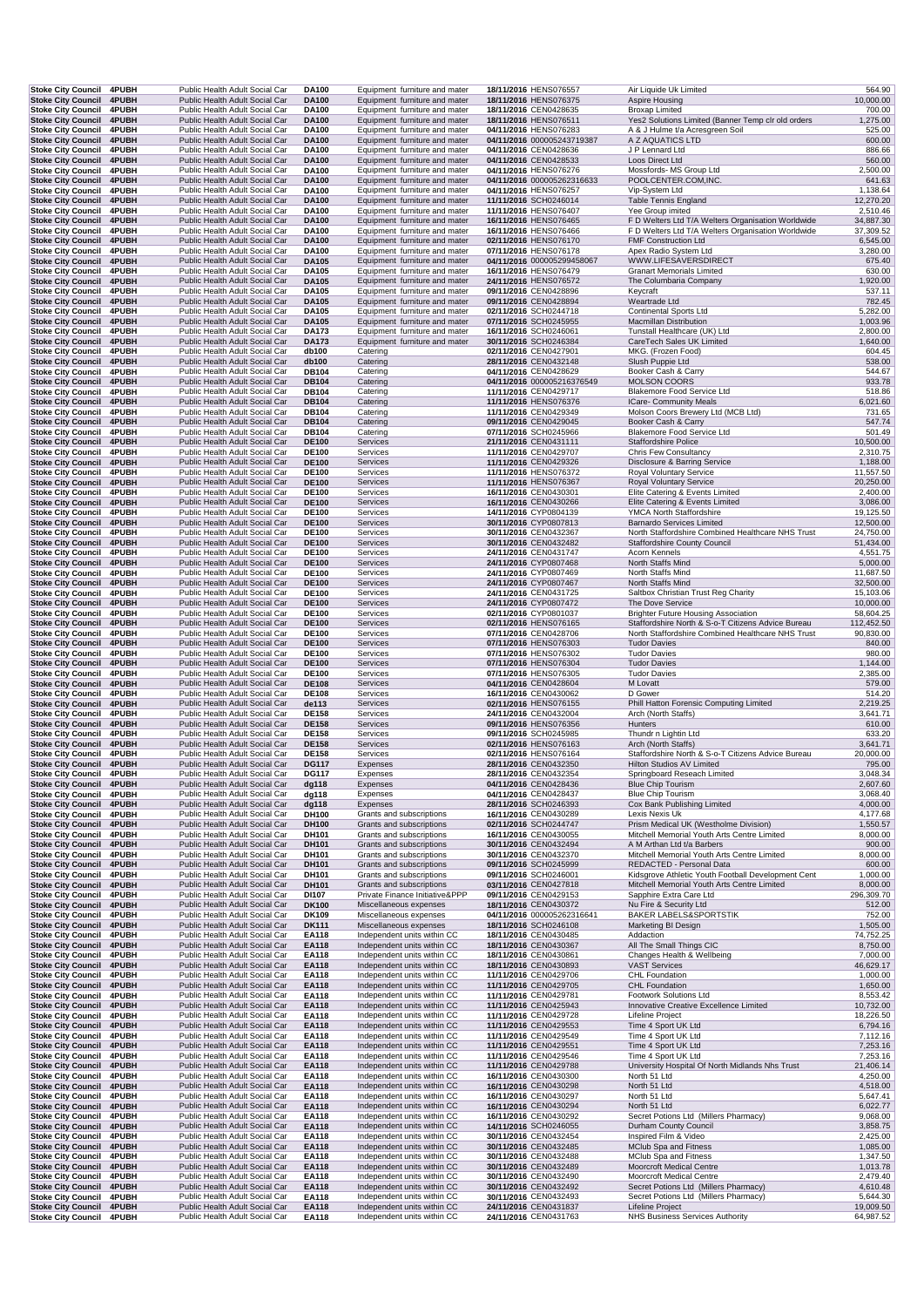|                                                      | Stoke City Council 4PUBH | Public Health Adult Social Car                                   | <b>DA100</b>                 | Equipment furniture and mater                              | 18/11/2016 HENS076557                          | Air Liquide Uk Limited                                                          | 564.90                 |
|------------------------------------------------------|--------------------------|------------------------------------------------------------------|------------------------------|------------------------------------------------------------|------------------------------------------------|---------------------------------------------------------------------------------|------------------------|
| Stoke City Council 4PUBH                             |                          | Public Health Adult Social Car                                   | <b>DA100</b>                 | Equipment furniture and mater                              | 18/11/2016 HENS076375                          | Aspire Housing                                                                  | 10,000.00              |
| <b>Stoke City Council</b>                            | 4PUBH                    | Public Health Adult Social Car                                   | DA100                        | Equipment furniture and mater                              | 18/11/2016 CEN0428635                          | <b>Broxap Limited</b>                                                           | 700.00                 |
| <b>Stoke City Council</b>                            | 4PUBH                    | Public Health Adult Social Car                                   | <b>DA100</b>                 | Equipment furniture and mater                              | 18/11/2016 HENS076511                          | Yes2 Solutions Limited (Banner Temp clr old orders                              | 1,275.00               |
| <b>Stoke City Council</b>                            | 4PUBH                    | Public Health Adult Social Car                                   | <b>DA100</b>                 | Equipment furniture and mater                              | 04/11/2016 HENS076283                          | A & J Hulme t/a Acresgreen Soil                                                 | 525.00                 |
| <b>Stoke City Council</b>                            | 4PUBH                    | Public Health Adult Social Car                                   | <b>DA100</b>                 | Equipment furniture and mater                              | 04/11/2016 000005243719387                     | A Z AQUATICS LTD                                                                | 600.00                 |
| <b>Stoke City Council</b>                            | 4PUBH                    | Public Health Adult Social Car                                   | <b>DA100</b>                 | Equipment furniture and mater                              | 04/11/2016 CEN0428636                          | J P Lennard Ltd                                                                 | 886.66                 |
| Stoke City Council 4PUBH                             |                          | Public Health Adult Social Car                                   | <b>DA100</b>                 | Equipment furniture and mater                              | 04/11/2016 CEN0428533                          | Loos Direct Ltd                                                                 | 560.00                 |
| <b>Stoke City Council</b>                            | <b>4PUBH</b>             | Public Health Adult Social Car                                   | DA100                        | Equipment furniture and mater                              | 04/11/2016 HENS076276                          | Mossfords- MS Group Ltd                                                         | 2,500.00               |
| Stoke City Council 4PUBH                             |                          | Public Health Adult Social Car                                   | <b>DA100</b>                 | Equipment furniture and mater                              | 04/11/2016 000005262316633                     | POOLCENTER.COM, INC.                                                            | 641.63                 |
| <b>Stoke City Council</b>                            | 4PUBH                    | Public Health Adult Social Car                                   | DA100                        | Equipment furniture and mater                              | 04/11/2016 HENS076257                          | Vip-System Ltd                                                                  | 1,138.64               |
| <b>Stoke City Council</b>                            | 4PUBH                    | Public Health Adult Social Car                                   | <b>DA100</b>                 | Equipment furniture and mater                              | 11/11/2016 SCH0246014                          | <b>Table Tennis England</b>                                                     | 12,270.20              |
| <b>Stoke City Council</b>                            | <b>4PUBH</b>             | Public Health Adult Social Car                                   | <b>DA100</b>                 | Equipment furniture and mater                              | 11/11/2016 HENS076407                          | Yee Group imited                                                                | 2,510.46               |
| <b>Stoke City Council</b>                            | 4PUBH                    | Public Health Adult Social Car                                   | <b>DA100</b>                 | Equipment furniture and mater                              | 16/11/2016 HENS076465                          | F D Welters Ltd T/A Welters Organisation Worldwide                              | 34,887.30              |
| <b>Stoke City Council</b>                            | 4PUBH                    | Public Health Adult Social Car                                   | DA100                        | Equipment furniture and mater                              | 16/11/2016 HENS076466                          | F D Welters Ltd T/A Welters Organisation Worldwide                              | 37,309.52              |
| <b>Stoke City Council</b>                            | 4PUBH                    | Public Health Adult Social Car                                   | <b>DA100</b>                 | Equipment furniture and mater                              | 02/11/2016 HENS076170                          | FMF Construction Ltd                                                            | 6,545.00               |
| <b>Stoke City Council</b>                            | 4PUBH                    | Public Health Adult Social Car                                   | DA100                        | Equipment furniture and mater                              | 07/11/2016 HENS076178                          | Apex Radio System Ltd                                                           | 3,280.00               |
| <b>Stoke City Council</b>                            | 4PUBH                    | Public Health Adult Social Car                                   | <b>DA105</b>                 | Equipment furniture and mater                              | 04/11/2016 000005299458067                     | WWW.LIFESAVERSDIRECT                                                            | 675.40                 |
| <b>Stoke City Council</b>                            | 4PUBH                    | Public Health Adult Social Car                                   | DA105                        | Equipment furniture and mater                              | 16/11/2016 HENS076479                          | <b>Granart Memorials Limited</b>                                                | 630.00                 |
| <b>Stoke City Council</b>                            | 4PUBH                    | Public Health Adult Social Car                                   | DA105                        | Equipment furniture and mater                              | 24/11/2016 HENS076572                          | The Columbaria Company                                                          | 1,920.00               |
| Stoke City Council 4PUBH                             |                          | Public Health Adult Social Car                                   | <b>DA105</b>                 | Equipment furniture and mater                              | 09/11/2016 CEN0428896                          | Keycraft                                                                        | 537.11                 |
| Stoke City Council 4PUBH                             |                          | Public Health Adult Social Car                                   | <b>DA105</b>                 | Equipment furniture and mater                              | 09/11/2016 CEN0428894                          | Weartrade Ltd                                                                   | 782.45                 |
| <b>Stoke City Council</b>                            | 4PUBH                    | Public Health Adult Social Car                                   | DA105                        | Equipment furniture and mater                              | 02/11/2016 SCH0244718                          | <b>Continental Sports Ltd</b>                                                   | 5,282.00               |
| <b>Stoke City Council</b>                            | <b>4PUBH</b>             | Public Health Adult Social Car                                   | DA105                        | Equipment furniture and mater                              | 07/11/2016 SCH0245955                          | <b>Macmillan Distribution</b>                                                   | 1,003.96               |
| <b>Stoke City Council</b>                            | <b>4PUBH</b>             | Public Health Adult Social Car                                   | <b>DA173</b>                 | Equipment furniture and mater                              | 16/11/2016 SCH0246061                          | Tunstall Healthcare (UK) Ltd                                                    | 2,800.00               |
| <b>Stoke City Council</b>                            | 4PUBH                    | Public Health Adult Social Car                                   | <b>DA173</b>                 | Equipment furniture and mater                              | 30/11/2016 SCH0246384                          | CareTech Sales UK Limited                                                       | 1,640.00               |
| <b>Stoke City Council</b>                            | 4PUBH                    | Public Health Adult Social Car                                   | db100                        | Catering                                                   | 02/11/2016 CEN0427901                          | MKG. (Frozen Food)                                                              | 604.45                 |
| Stoke City Council 4PUBH                             |                          | Public Health Adult Social Car                                   | db100                        | Catering                                                   | 28/11/2016 CEN0432148                          | Slush Puppie Ltd                                                                | 538.00                 |
| <b>Stoke City Council</b>                            | 4PUBH                    | Public Health Adult Social Car                                   | <b>DB104</b>                 | Catering                                                   | 04/11/2016 CEN0428629                          | Booker Cash & Carry                                                             | 544.67                 |
| <b>Stoke City Council</b>                            | 4PUBH                    | Public Health Adult Social Car                                   | <b>DB104</b>                 | Catering                                                   | 04/11/2016 000005216376549                     | <b>MOLSON COORS</b>                                                             | 933.78                 |
| <b>Stoke City Council</b>                            | 4PUBH                    | Public Health Adult Social Car                                   | <b>DB104</b>                 | Catering                                                   | 11/11/2016 CEN0429717                          | Blakemore Food Service Ltd                                                      | 518.86                 |
| <b>Stoke City Council</b>                            | 4PUBH                    | Public Health Adult Social Car                                   | <b>DB104</b>                 | Catering                                                   | 11/11/2016 HENS076376                          | <b>ICare- Community Meals</b>                                                   | 6,021.60               |
| <b>Stoke City Council</b>                            | 4PUBH                    | Public Health Adult Social Car                                   | <b>DB104</b>                 | Catering                                                   | 11/11/2016 CEN0429349                          | Molson Coors Brewery Ltd (MCB Ltd)                                              | 731.65                 |
| Stoke City Council 4PUBH                             |                          | Public Health Adult Social Car                                   | <b>DB104</b>                 | Catering                                                   | 09/11/2016 CEN0429045                          | Booker Cash & Carry                                                             | 547.74                 |
| Stoke City Council 4PUBH                             |                          | Public Health Adult Social Car                                   | <b>DB104</b>                 | Catering                                                   | 07/11/2016 SCH0245966                          | Blakemore Food Service Ltd                                                      | 501.49                 |
| <b>Stoke City Council</b>                            | 4PUBH                    | Public Health Adult Social Car                                   | <b>DE100</b>                 | Services                                                   | 21/11/2016 CEN0431111                          | <b>Staffordshire Police</b>                                                     | 10,500.00              |
| <b>Stoke City Council</b>                            | 4PUBH                    | Public Health Adult Social Car                                   | <b>DE100</b>                 | Services                                                   | 11/11/2016 CEN0429707                          | Chris Few Consultancy                                                           | 2,310.75               |
| <b>Stoke City Council</b>                            | 4PUBH                    | Public Health Adult Social Car                                   | <b>DE100</b>                 | Services                                                   | 11/11/2016 CEN0429326                          | Disclosure & Barring Service                                                    | 1,188.00               |
| <b>Stoke City Council</b>                            | 4PUBH                    | Public Health Adult Social Car                                   | <b>DE100</b>                 | Services                                                   | 11/11/2016 HENS076372                          | Royal Voluntary Service                                                         | 11,557.50              |
| <b>Stoke City Council</b>                            | 4PUBH                    | Public Health Adult Social Car                                   | <b>DE100</b>                 | Services                                                   | 11/11/2016 HENS076367                          | <b>Royal Voluntary Service</b>                                                  | 20,250.00              |
| <b>Stoke City Council</b>                            | <b>4PUBH</b>             | Public Health Adult Social Car                                   | <b>DE100</b>                 | Services                                                   | 16/11/2016 CEN0430301                          | Elite Catering & Events Limited                                                 | 2,400.00               |
| <b>Stoke City Council</b>                            | 4PUBH                    | Public Health Adult Social Car                                   | <b>DE100</b>                 | Services                                                   | 16/11/2016 CEN0430266                          | Elite Catering & Events Limited                                                 | 3,086.00               |
| <b>Stoke City Council</b>                            | 4PUBH                    | Public Health Adult Social Car                                   | <b>DE100</b>                 | Services                                                   | 14/11/2016 CYP0804139                          | YMCA North Staffordshire                                                        | 19,125.50              |
| <b>Stoke City Council</b>                            | 4PUBH                    | Public Health Adult Social Car                                   | <b>DE100</b>                 | Services                                                   | 30/11/2016 CYP0807813                          | <b>Barnardo Services Limited</b>                                                | 12,500.00              |
| <b>Stoke City Council</b>                            | <b>4PUBH</b>             | Public Health Adult Social Car                                   | <b>DE100</b>                 | Services                                                   | 30/11/2016 CEN0432367                          | North Staffordshire Combined Healthcare NHS Trust                               | 24,750.00              |
| Stoke City Council 4PUBH                             |                          | Public Health Adult Social Car                                   | <b>DE100</b>                 | Services                                                   | 30/11/2016 CEN0432482                          | <b>Staffordshire County Council</b>                                             | 51,434.00              |
| Stoke City Council 4PUBH                             |                          | Public Health Adult Social Car                                   | <b>DE100</b>                 | Services                                                   | 24/11/2016 CEN0431747                          | Acorn Kennels                                                                   | 4,551.75               |
| <b>Stoke City Council</b>                            | 4PUBH                    | Public Health Adult Social Car                                   | <b>DE100</b>                 | Services                                                   | 24/11/2016 CYP0807468                          | North Staffs Mind                                                               | 5,000.00               |
| <b>Stoke City Council</b>                            | <b>4PUBH</b>             | Public Health Adult Social Car                                   | <b>DE100</b>                 | Services                                                   | 24/11/2016 CYP0807469                          | North Staffs Mind                                                               | 11,687.50              |
| <b>Stoke City Council</b>                            | 4PUBH                    | Public Health Adult Social Car                                   | <b>DE100</b>                 | Services                                                   | 24/11/2016 CYP0807467                          | North Staffs Mind                                                               | 32,500.00              |
| <b>Stoke City Council</b>                            | 4PUBH                    | Public Health Adult Social Car                                   | <b>DE100</b>                 | Services                                                   | 24/11/2016 CEN0431725                          | Saltbox Christian Trust Reg Charity                                             | 15,103.06              |
| Stoke City Council 4PUBH                             |                          | Public Health Adult Social Car                                   | <b>DE100</b>                 | Services                                                   | 24/11/2016 CYP0807472                          | The Dove Service                                                                | 10,000.00              |
| <b>Stoke City Council</b>                            | <b>4PUBH</b>             | Public Health Adult Social Car                                   | <b>DE100</b>                 | Services                                                   | 02/11/2016 CYP0801037                          | <b>Brighter Future Housing Association</b>                                      | 58,604.25              |
| <b>Stoke City Council</b>                            | 4PUBH                    | Public Health Adult Social Car                                   | <b>DE100</b>                 | Services                                                   | 02/11/2016 HENS076165                          | Staffordshire North & S-o-T Citizens Advice Bureau                              | 112,452.50             |
| <b>Stoke City Council</b>                            | 4PUBH                    | Public Health Adult Social Car                                   | <b>DE100</b>                 | Services                                                   | 07/11/2016 CEN0428706                          | North Staffordshire Combined Healthcare NHS Trust                               | 90,830.00              |
| <b>Stoke City Council</b>                            | 4PUBH                    | Public Health Adult Social Car                                   | <b>DE100</b>                 | Services                                                   | 07/11/2016 HENS076303                          | <b>Tudor Davies</b>                                                             | 840.00                 |
| <b>Stoke City Council</b>                            | <b>4PUBH</b>             | Public Health Adult Social Car                                   | <b>DE100</b>                 | Services                                                   | 07/11/2016 HENS076302                          | <b>Tudor Davies</b>                                                             | 980.00                 |
| Stoke City Council 4PUBH                             |                          |                                                                  | <b>DE100</b>                 |                                                            |                                                |                                                                                 |                        |
|                                                      |                          |                                                                  |                              |                                                            |                                                |                                                                                 |                        |
|                                                      |                          | Public Health Adult Social Car<br>Public Health Adult Social Car | <b>DE100</b>                 | Services<br>Services                                       | 07/11/2016 HENS076304<br>07/11/2016 HENS076305 | <b>Tudor Davies</b><br><b>Tudor Davies</b>                                      | 1,144.00               |
| Stoke City Council 4PUBH                             |                          | Public Health Adult Social Car                                   | <b>DE108</b>                 | Services                                                   |                                                | M Lovatt                                                                        | 2,385.00               |
| Stoke City Council 4PUBH                             | 4PUBH                    | Public Health Adult Social Car                                   | <b>DE108</b>                 | Services                                                   | 04/11/2016 CEN0428604                          | D Gower                                                                         | 579.00                 |
| <b>Stoke City Council</b>                            | 4PUBH                    | Public Health Adult Social Car                                   | de113                        | Services                                                   | 16/11/2016 CEN0430062<br>02/11/2016 HENS076155 | Phill Hatton Forensic Computing Limited                                         | 514.20                 |
| <b>Stoke City Council</b>                            |                          |                                                                  |                              |                                                            |                                                |                                                                                 | 2,219.25               |
| <b>Stoke City Council</b>                            | <b>4PUBH</b>             | Public Health Adult Social Car                                   | <b>DE158</b>                 | Services                                                   | 24/11/2016 CEN0432004                          | Arch (North Staffs)                                                             | 3,641.71               |
| <b>Stoke City Council</b>                            | <b>4PUBH</b><br>4PUBH    | Public Health Adult Social Car<br>Public Health Adult Social Car | <b>DE158</b><br><b>DE158</b> | Services<br>Services                                       | 09/11/2016 HENS076356                          | Hunters                                                                         | 610.00                 |
| <b>Stoke City Council</b>                            |                          |                                                                  |                              |                                                            | 09/11/2016 SCH0245985<br>02/11/2016 HENS076163 | Thundr n Lightin Ltd                                                            | 633.20                 |
| <b>Stoke City Council</b>                            | 4PUBH                    | Public Health Adult Social Car                                   | <b>DE158</b>                 | Services                                                   | 02/11/2016 HENS076164                          | Arch (North Staffs)                                                             | 3,641.71               |
| <b>Stoke City Council</b>                            | 4PUBH                    | Public Health Adult Social Car                                   | <b>DE158</b>                 | Services                                                   |                                                | Staffordshire North & S-o-T Citizens Advice Bureau<br>Hilton Studios AV Limited | 20,000.00              |
| <b>Stoke City Council</b>                            | 4PUBH                    | Public Health Adult Social Car                                   | <b>DG117</b>                 | Expenses                                                   | 28/11/2016 CEN0432350                          |                                                                                 | 795.00                 |
| Stoke City Council 4PUBH                             |                          | Public Health Adult Social Car                                   | <b>DG117</b>                 | Expenses<br>Expenses                                       | 28/11/2016 CEN0432354                          | Springboard Reseach Limited                                                     | 3,048.34               |
| <b>Stoke City Council 4PUBH</b>                      |                          | Public Health Adult Social Car                                   | dg118                        |                                                            | 04/11/2016 CEN0428436                          | Blue Chip Tourism                                                               | 2,607.60               |
| Stoke City Council 4PUBH<br>Stoke City Council 4PUBH |                          | Public Health Adult Social Car<br>Public Health Adult Social Car | dg118                        | Expenses<br>Expenses                                       | 04/11/2016 CEN0428437                          | <b>Blue Chip Tourism</b>                                                        | 3,068.40               |
| <b>Stoke City Council</b>                            | 4PUBH                    | Public Health Adult Social Car                                   | dg118<br>DH100               | Grants and subscriptions                                   | 28/11/2016 SCH0246393<br>16/11/2016 CEN0430289 | Cox Bank Publishing Limited<br>Lexis Nexis Uk                                   | 4,000.00<br>4,177.68   |
| <b>Stoke City Council</b>                            | 4PUBH                    | Public Health Adult Social Car                                   | DH100                        | Grants and subscriptions                                   | 02/11/2016 SCH0244747                          | Prism Medical UK (Westholme Division)                                           | 1,550.57               |
|                                                      |                          |                                                                  |                              |                                                            |                                                |                                                                                 |                        |
| <b>Stoke City Council</b>                            | 4PUBH                    | Public Health Adult Social Car<br>Public Health Adult Social Car | DH101                        | Grants and subscriptions                                   | 16/11/2016 CEN0430055                          | Mitchell Memorial Youth Arts Centre Limited                                     | 8,000.00               |
| <b>Stoke City Council</b>                            | 4PUBH                    | Public Health Adult Social Car                                   | DH101                        | Grants and subscriptions                                   | 30/11/2016 CEN0432494                          | A M Arthan Ltd t/a Barbers                                                      | 900.00                 |
| Stoke City Council 4PUBH<br>Stoke City Council 4PUBH |                          | Public Health Adult Social Car                                   | DH101<br><b>DH101</b>        | Grants and subscriptions<br>Grants and subscriptions       | 30/11/2016 CEN0432370<br>09/11/2016 SCH0245999 | Mitchell Memorial Youth Arts Centre Limited<br>REDACTED - Personal Data         | 8,000.00<br>600.00     |
| <b>Stoke City Council</b>                            | 4PUBH                    | Public Health Adult Social Car                                   | DH101                        | Grants and subscriptions                                   | 09/11/2016 SCH0246001                          | Kidsgrove Athletic Youth Football Development Cent                              | 1,000.00               |
| <b>Stoke City Council</b>                            | 4PUBH                    | Public Health Adult Social Car                                   | DH101                        | Grants and subscriptions                                   | 03/11/2016 CEN0427818                          | Mitchell Memorial Youth Arts Centre Limited                                     | 8,000.00               |
| <b>Stoke City Council</b>                            | 4PUBH                    | Public Health Adult Social Car                                   | DI107                        | Private Finance Initiative&PPP                             | 09/11/2016 CEN0429153                          | Sapphire Extra Care Ltd                                                         | 296,309.70             |
| <b>Stoke City Council</b>                            | 4PUBH                    | Public Health Adult Social Car                                   | <b>DK100</b>                 | Miscellaneous expenses                                     | 18/11/2016 CEN0430372                          | Nu Fire & Security Ltd                                                          | 512.00                 |
| Stoke City Council 4PUBH                             |                          | Public Health Adult Social Car                                   | DK109                        | Miscellaneous expenses                                     | 04/11/2016 000005262316641                     | <b>BAKER LABELS&amp;SPORTSTIK</b>                                               | 752.00                 |
| Stoke City Council 4PUBH                             |                          | Public Health Adult Social Car                                   | <b>DK111</b>                 | Miscellaneous expenses                                     | 18/11/2016 SCH0246108                          | Marketing BI Design                                                             | 1,505.00               |
| <b>Stoke City Council</b>                            | 4PUBH                    | Public Health Adult Social Car                                   | <b>EA118</b>                 | Independent units within CC                                | 18/11/2016 CEN0430485                          | Addaction                                                                       | 74,752.25              |
| <b>Stoke City Council</b>                            | 4PUBH                    | Public Health Adult Social Car                                   | EA118                        | Independent units within CC                                | 18/11/2016 CEN0430367                          | All The Small Things CIC                                                        | 8,750.00               |
| <b>Stoke City Council</b>                            | <b>4PUBH</b>             | Public Health Adult Social Car                                   | EA118                        | Independent units within CC                                | 18/11/2016 CEN0430861                          | Changes Health & Wellbeing                                                      | 7,000.00               |
| <b>Stoke City Council</b>                            | 4PUBH                    | Public Health Adult Social Car                                   | <b>EA118</b>                 | Independent units within CC                                | 18/11/2016 CEN0430893                          | <b>VAST Services</b>                                                            | 46,629.17              |
| <b>Stoke City Council</b>                            | 4PUBH                    | Public Health Adult Social Car                                   | EA118                        | Independent units within CC                                | 11/11/2016 CEN0429706                          | CHL Foundation                                                                  | 1,000.00               |
| Stoke City Council 4PUBH                             |                          | Public Health Adult Social Car                                   | EA118                        | Independent units within CC                                | 11/11/2016 CEN0429705                          | <b>CHL Foundation</b>                                                           | 1,650.00               |
| <b>Stoke City Council</b>                            | 4PUBH                    | Public Health Adult Social Car                                   | EA118                        | Independent units within CC                                | 11/11/2016 CEN0429781                          | Footwork Solutions Ltd                                                          | 8,553.42               |
| <b>Stoke City Council</b>                            | 4PUBH                    | Public Health Adult Social Car                                   | <b>EA118</b>                 | Independent units within CC                                | 11/11/2016 CEN0425943                          | Innovative Creative Excellence Limited                                          | 10,732.00              |
| <b>Stoke City Council</b>                            | <b>4PUBH</b>             | Public Health Adult Social Car                                   | EA118                        | Independent units within CC                                | 11/11/2016 CEN0429728                          | Lifeline Project                                                                | 18,226.50              |
| <b>Stoke City Council</b>                            | 4PUBH                    | Public Health Adult Social Car                                   | <b>EA118</b>                 | Independent units within CC                                | 11/11/2016 CEN0429553                          | Time 4 Sport UK Ltd                                                             | 6,794.16               |
| Stoke City Council 4PUBH                             |                          | Public Health Adult Social Car                                   | EA118                        | Independent units within CC                                | 11/11/2016 CEN0429549                          | Time 4 Sport UK Ltd                                                             | 7,112.16               |
| Stoke City Council 4PUBH                             |                          | Public Health Adult Social Car                                   | EA118                        | Independent units within CC                                | 11/11/2016 CEN0429551                          | Time 4 Sport UK Ltd                                                             | 7,253.16               |
| Stoke City Council 4PUBH                             |                          | Public Health Adult Social Car                                   | EA118                        | Independent units within CC                                | 11/11/2016 CEN0429546                          | Time 4 Sport UK Ltd                                                             | 7,253.16               |
| Stoke City Council 4PUBH                             |                          | Public Health Adult Social Car                                   | <b>EA118</b>                 | Independent units within CC                                | 11/11/2016 CEN0429788                          | University Hospital Of North Midlands Nhs Trust                                 | 21,406.14              |
| Stoke City Council 4PUBH                             |                          | Public Health Adult Social Car                                   | <b>EA118</b>                 | Independent units within CC                                | 16/11/2016 CEN0430300                          | North 51 Ltd                                                                    | 4,250.00               |
| Stoke City Council 4PUBH                             |                          | Public Health Adult Social Car                                   | <b>EA118</b>                 | Independent units within CC                                |                                                | North 51 Ltd                                                                    |                        |
| <b>Stoke City Council</b>                            | 4PUBH                    | Public Health Adult Social Car                                   | EA118                        | Independent units within CC                                | 16/11/2016 CEN0430298<br>16/11/2016 CEN0430297 | North 51 Ltd                                                                    | 4,518.00               |
| Stoke City Council 4PUBH                             |                          | Public Health Adult Social Car                                   | EA118                        | Independent units within CC                                | 16/11/2016 CEN0430294                          | North 51 Ltd                                                                    | 5,647.41<br>6,022.77   |
| <b>Stoke City Council</b>                            | <b>4PUBH</b>             | Public Health Adult Social Car                                   | EA118                        | Independent units within CC                                | 16/11/2016 CEN0430292                          | Secret Potions Ltd (Millers Pharmacy)                                           | 9,068.00               |
| <b>Stoke City Council</b>                            | 4PUBH                    | Public Health Adult Social Car                                   | <b>EA118</b>                 | Independent units within CC                                | 14/11/2016 SCH0246055                          | Durham County Council                                                           | 3,858.75               |
| <b>Stoke City Council</b>                            | 4PUBH                    | Public Health Adult Social Car                                   | EA118                        | Independent units within CC                                | 30/11/2016 CEN0432454                          | Inspired Film & Video                                                           | 2,425.00               |
| Stoke City Council 4PUBH                             |                          | Public Health Adult Social Car                                   | <b>EA118</b>                 | Independent units within CC                                | 30/11/2016 CEN0432485                          | MClub Spa and Fitness                                                           | 1,085.00               |
| Stoke City Council 4PUBH                             |                          | Public Health Adult Social Car                                   | EA118                        | Independent units within CC                                | 30/11/2016 CEN0432488                          | MClub Spa and Fitness                                                           | 1,347.50               |
| Stoke City Council 4PUBH                             |                          | Public Health Adult Social Car                                   | EA118                        | Independent units within CC                                | 30/11/2016 CEN0432489                          | Moorcroft Medical Centre                                                        | 1,013.78               |
| Stoke City Council 4PUBH                             |                          | Public Health Adult Social Car                                   | EA118                        | Independent units within CC                                | 30/11/2016 CEN0432490                          | Moorcroft Medical Centre                                                        | 2,479.40               |
| <b>Stoke City Council</b>                            | 4PUBH                    | Public Health Adult Social Car                                   | <b>EA118</b>                 | Independent units within CC                                | 30/11/2016 CEN0432492                          | Secret Potions Ltd (Millers Pharmacy)                                           | 4,610.48               |
| Stoke City Council 4PUBH                             |                          | Public Health Adult Social Car                                   | EA118                        | Independent units within CC                                | 30/11/2016 CEN0432493                          | Secret Potions Ltd (Millers Pharmacy)                                           | 5,644.30               |
| Stoke City Council 4PUBH<br>Stoke City Council 4PUBH |                          | Public Health Adult Social Car<br>Public Health Adult Social Car | <b>EA118</b><br><b>EA118</b> | Independent units within CC<br>Independent units within CC | 24/11/2016 CEN0431837<br>24/11/2016 CEN0431763 | Lifeline Project<br><b>NHS Business Services Authority</b>                      | 19,009.50<br>64,987.52 |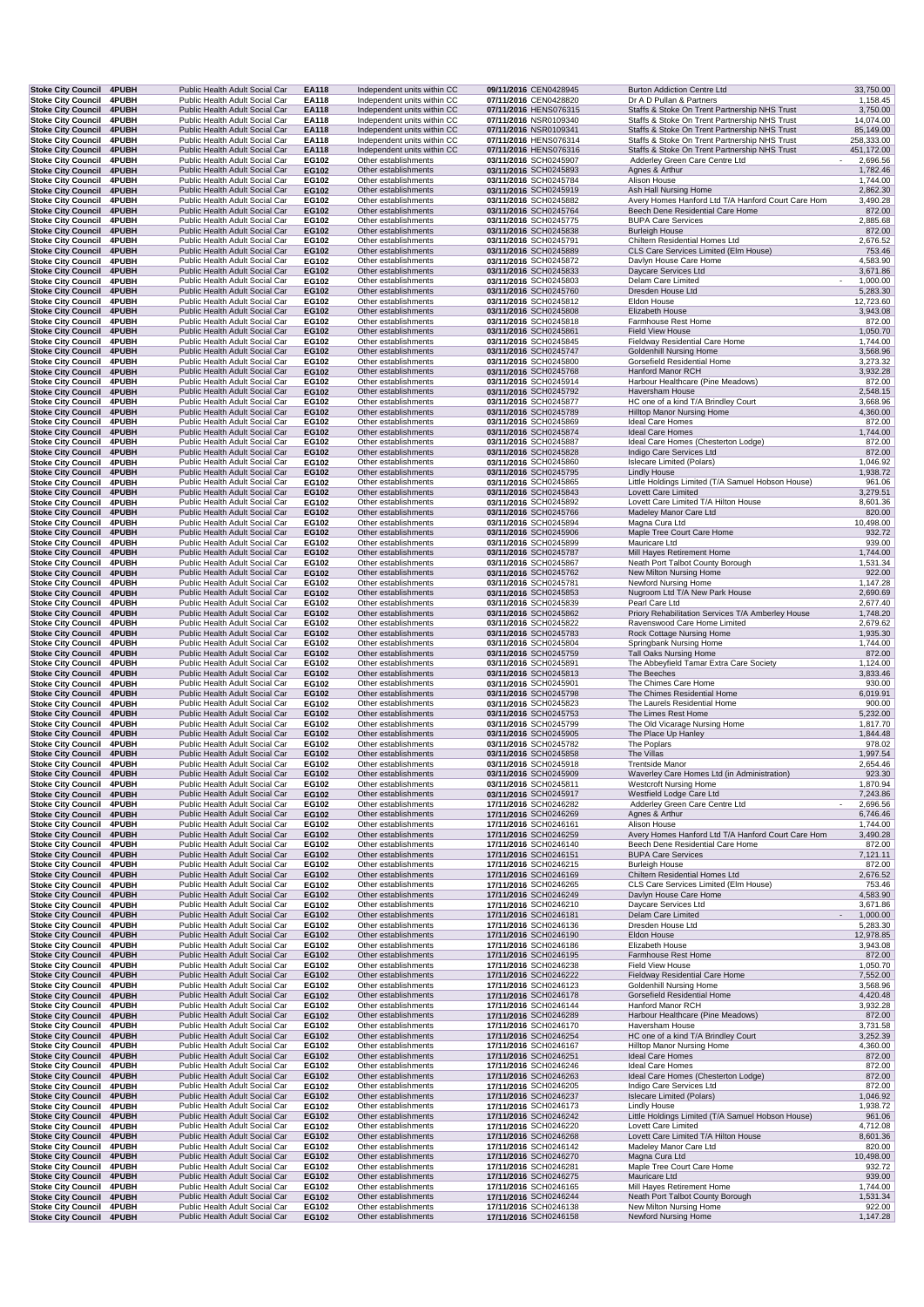| Stoke City Council 4PUBH                               |                       | Public Health Adult Social Car                                   | EA118                 | Independent units within CC                                | 09/11/2016 CEN0428945                                 | <b>Burton Addiction Centre Ltd</b>                                                             | 33,750.00                                        |
|--------------------------------------------------------|-----------------------|------------------------------------------------------------------|-----------------------|------------------------------------------------------------|-------------------------------------------------------|------------------------------------------------------------------------------------------------|--------------------------------------------------|
| <b>Stoke City Council</b>                              | 4PUBH                 | Public Health Adult Social Car                                   | EA118                 | Independent units within CC                                | 07/11/2016 CEN0428820                                 | Dr A D Pullan & Partners                                                                       | 1,158.45                                         |
| <b>Stoke City Council</b><br><b>Stoke City Council</b> | 4PUBH<br>4PUBH        | Public Health Adult Social Car<br>Public Health Adult Social Car | <b>EA118</b><br>EA118 | Independent units within CC<br>Independent units within CC | 07/11/2016 HENS076315<br>07/11/2016 NSR0109340        | Staffs & Stoke On Trent Partnership NHS Trust<br>Staffs & Stoke On Trent Partnership NHS Trust | 3,750.00<br>14,074.00                            |
| <b>Stoke City Council</b>                              | 4PUBH                 | Public Health Adult Social Car                                   | EA118                 | Independent units within CC                                | 07/11/2016 NSR0109341                                 | Staffs & Stoke On Trent Partnership NHS Trust                                                  | 85,149.00                                        |
| <b>Stoke City Council</b>                              | <b>4PUBH</b>          | Public Health Adult Social Car                                   | EA118                 | Independent units within CC                                | 07/11/2016 HENS076314                                 | Staffs & Stoke On Trent Partnership NHS Trust                                                  | 258,333.00                                       |
| Stoke City Council 4PUBH                               |                       | Public Health Adult Social Car                                   | EA118                 | Independent units within CC                                | 07/11/2016 HENS076316                                 | Staffs & Stoke On Trent Partnership NHS Trust                                                  | 451,172.00                                       |
| <b>Stoke City Council</b><br>Stoke City Council 4PUBH  | 4PUBH                 | Public Health Adult Social Car<br>Public Health Adult Social Car | EG102<br>EG102        | Other establishments<br>Other establishments               | 03/11/2016 SCH0245907<br>03/11/2016 SCH0245893        | Adderley Green Care Centre Ltd<br>Agnes & Arthur                                               | 2,696.56<br>$\overline{\phantom{a}}$<br>1,782.46 |
| <b>Stoke City Council</b>                              | <b>4PUBH</b>          | Public Health Adult Social Car                                   | EG102                 | Other establishments                                       | 03/11/2016 SCH0245784                                 | Alison House                                                                                   | 1,744.00                                         |
| Stoke City Council 4PUBH                               |                       | Public Health Adult Social Car                                   | EG102                 | Other establishments                                       | 03/11/2016 SCH0245919                                 | Ash Hall Nursing Home                                                                          | 2,862.30                                         |
| Stoke City Council 4PUBH                               |                       | Public Health Adult Social Car                                   | EG102                 | Other establishments                                       | 03/11/2016 SCH0245882                                 | Avery Homes Hanford Ltd T/A Hanford Court Care Hom                                             | 3,490.28                                         |
| Stoke City Council 4PUBH                               |                       | Public Health Adult Social Car                                   | EG102                 | Other establishments                                       | 03/11/2016 SCH0245764                                 | Beech Dene Residential Care Home                                                               | 872.00                                           |
| Stoke City Council 4PUBH<br>Stoke City Council 4PUBH   |                       | Public Health Adult Social Car<br>Public Health Adult Social Car | EG102<br>EG102        | Other establishments<br>Other establishments               | 03/11/2016 SCH0245775<br>03/11/2016 SCH0245838        | <b>BUPA Care Services</b><br><b>Burleigh House</b>                                             | 2,885.68<br>872.00                               |
| <b>Stoke City Council</b>                              | 4PUBH                 | Public Health Adult Social Car                                   | EG102                 | Other establishments                                       | 03/11/2016 SCH0245791                                 | Chiltern Residential Homes Ltd                                                                 | 2,676.52                                         |
| <b>Stoke City Council</b>                              | 4PUBH                 | Public Health Adult Social Car                                   | EG102                 | Other establishments                                       | 03/11/2016 SCH0245889                                 | CLS Care Services Limited (Elm House)                                                          | 753.46                                           |
| Stoke City Council 4PUBH                               |                       | Public Health Adult Social Car                                   | EG102                 | Other establishments                                       | 03/11/2016 SCH0245872                                 | Davlyn House Care Home                                                                         | 4,583.90                                         |
| Stoke City Council 4PUBH                               |                       | Public Health Adult Social Car                                   | EG102                 | Other establishments                                       | 03/11/2016 SCH0245833<br>03/11/2016 SCH0245803        | Daycare Services Ltd                                                                           | 3,671.86                                         |
| Stoke City Council 4PUBH<br>Stoke City Council 4PUBH   |                       | Public Health Adult Social Car<br>Public Health Adult Social Car | EG102<br>EG102        | Other establishments<br>Other establishments               | 03/11/2016 SCH0245760                                 | Delam Care Limited<br>Dresden House Ltd                                                        | 1,000.00<br>5,283.30                             |
| <b>Stoke City Council</b>                              | <b>4PUBH</b>          | Public Health Adult Social Car                                   | EG102                 | Other establishments                                       | 03/11/2016 SCH0245812                                 | Eldon House                                                                                    | 12,723.60                                        |
| Stoke City Council 4PUBH                               |                       | Public Health Adult Social Car                                   | EG102                 | Other establishments                                       | 03/11/2016 SCH0245808                                 | Elizabeth House                                                                                | 3,943.08                                         |
| Stoke City Council 4PUBH                               |                       | Public Health Adult Social Car                                   | EG102                 | Other establishments                                       | 03/11/2016 SCH0245818                                 | Farmhouse Rest Home                                                                            | 872.00                                           |
| Stoke City Council 4PUBH<br><b>Stoke City Council</b>  | <b>4PUBH</b>          | Public Health Adult Social Car<br>Public Health Adult Social Car | EG102<br>EG102        | Other establishments<br>Other establishments               | 03/11/2016 SCH0245861<br>03/11/2016 SCH0245845        | <b>Field View House</b><br>Fieldway Residential Care Home                                      | 1,050.70<br>1,744.00                             |
| Stoke City Council 4PUBH                               |                       | Public Health Adult Social Car                                   | EG102                 | Other establishments                                       | 03/11/2016 SCH0245747                                 | <b>Goldenhill Nursing Home</b>                                                                 | 3,568.96                                         |
| Stoke City Council 4PUBH                               |                       | Public Health Adult Social Car                                   | EG102                 | Other establishments                                       | 03/11/2016 SCH0245800                                 | Gorsefield Residential Home                                                                    | 3,273.32                                         |
| <b>Stoke City Council</b>                              | 4PUBH                 | Public Health Adult Social Car                                   | EG102                 | Other establishments                                       | 03/11/2016 SCH0245768                                 | Hanford Manor RCH                                                                              | 3,932.28                                         |
| <b>Stoke City Council</b>                              | <b>4PUBH</b>          | Public Health Adult Social Car                                   | EG102                 | Other establishments                                       | 03/11/2016 SCH0245914                                 | Harbour Healthcare (Pine Meadows)                                                              | 872.00                                           |
| Stoke City Council 4PUBH<br>Stoke City Council 4PUBH   |                       | Public Health Adult Social Car<br>Public Health Adult Social Car | EG102<br>EG102        | Other establishments<br>Other establishments               | 03/11/2016 SCH0245792<br>03/11/2016 SCH0245877        | Haversham House<br>HC one of a kind T/A Brindley Court                                         | 2,548.15<br>3,668.96                             |
| Stoke City Council 4PUBH                               |                       | Public Health Adult Social Car                                   | EG102                 | Other establishments                                       | 03/11/2016 SCH0245789                                 | Hilltop Manor Nursing Home                                                                     | 4,360.00                                         |
| Stoke City Council 4PUBH                               |                       | Public Health Adult Social Car                                   | EG102                 | Other establishments                                       | 03/11/2016 SCH0245869                                 | <b>Ideal Care Homes</b>                                                                        | 872.00                                           |
| Stoke City Council 4PUBH                               |                       | Public Health Adult Social Car                                   | EG102                 | Other establishments                                       | 03/11/2016 SCH0245874                                 | Ideal Care Homes                                                                               | 1,744.00                                         |
| Stoke City Council 4PUBH                               |                       | Public Health Adult Social Car<br>Public Health Adult Social Car | EG102                 | Other establishments                                       | 03/11/2016 SCH0245887                                 | Ideal Care Homes (Chesterton Lodge)                                                            | 872.00                                           |
| Stoke City Council 4PUBH<br><b>Stoke City Council</b>  | <b>4PUBH</b>          | Public Health Adult Social Car                                   | EG102<br>EG102        | Other establishments<br>Other establishments               | 03/11/2016 SCH0245828<br>03/11/2016 SCH0245860        | Indigo Care Services Ltd<br><b>Islecare Limited (Polars)</b>                                   | 872.00<br>1,046.92                               |
| Stoke City Council 4PUBH                               |                       | Public Health Adult Social Car                                   | EG102                 | Other establishments                                       | 03/11/2016 SCH0245795                                 | <b>Lindly House</b>                                                                            | 1,938.72                                         |
| <b>Stoke City Council</b>                              | <b>4PUBH</b>          | Public Health Adult Social Car                                   | EG102                 | Other establishments                                       | 03/11/2016 SCH0245865                                 | Little Holdings Limited (T/A Samuel Hobson House)                                              | 961.06                                           |
| <b>Stoke City Council</b>                              | 4PUBH                 | Public Health Adult Social Car                                   | EG102                 | Other establishments                                       | 03/11/2016 SCH0245843                                 | Lovett Care Limited                                                                            | 3,279.51                                         |
| <b>Stoke City Council</b><br>Stoke City Council 4PUBH  | <b>4PUBH</b>          | Public Health Adult Social Car<br>Public Health Adult Social Car | EG102<br>EG102        | Other establishments<br>Other establishments               | 03/11/2016 SCH0245892<br>03/11/2016 SCH0245766        | Lovett Care Limited T/A Hilton House<br>Madeley Manor Care Ltd                                 | 8,601.36<br>820.00                               |
| <b>Stoke City Council</b>                              | <b>4PUBH</b>          | Public Health Adult Social Car                                   | EG102                 | Other establishments                                       | 03/11/2016 SCH0245894                                 | Magna Cura Ltd                                                                                 | 10,498.00                                        |
| Stoke City Council 4PUBH                               |                       | Public Health Adult Social Car                                   | EG102                 | Other establishments                                       | 03/11/2016 SCH0245906                                 | Maple Tree Court Care Home                                                                     | 932.72                                           |
| Stoke City Council 4PUBH                               |                       | Public Health Adult Social Car                                   | EG102                 | Other establishments                                       | 03/11/2016 SCH0245899                                 | Mauricare Ltd                                                                                  | 939.00                                           |
| <b>Stoke City Council</b>                              | 4PUBH                 | Public Health Adult Social Car                                   | EG102                 | Other establishments                                       | 03/11/2016 SCH0245787                                 | Mill Hayes Retirement Home                                                                     | 1,744.00                                         |
| Stoke City Council 4PUBH<br>Stoke City Council 4PUBH   |                       | Public Health Adult Social Car<br>Public Health Adult Social Car | EG102<br>EG102        | Other establishments<br>Other establishments               | 03/11/2016 SCH0245867<br>03/11/2016 SCH0245762        | Neath Port Talbot County Borough<br>New Milton Nursing Home                                    | 1,531.34<br>922.00                               |
| Stoke City Council 4PUBH                               |                       | Public Health Adult Social Car                                   | EG102                 | Other establishments                                       | 03/11/2016 SCH0245781                                 | Newford Nursing Home                                                                           | 1,147.28                                         |
| Stoke City Council 4PUBH                               |                       | Public Health Adult Social Car                                   | EG102                 | Other establishments                                       | 03/11/2016 SCH0245853                                 | Nugroom Ltd T/A New Park House                                                                 | 2,690.69                                         |
| <b>Stoke City Council</b>                              | <b>4PUBH</b>          | Public Health Adult Social Car                                   | EG102                 | Other establishments                                       | 03/11/2016 SCH0245839                                 | Pearl Care Ltd                                                                                 | 2,677.40                                         |
| <b>Stoke City Council</b><br><b>Stoke City Council</b> | 4PUBH<br>4PUBH        | Public Health Adult Social Car<br>Public Health Adult Social Car | EG102<br>EG102        | Other establishments<br>Other establishments               | 03/11/2016 SCH0245862<br>03/11/2016 SCH0245822        | Priory Rehabilitation Services T/A Amberley House<br>Ravenswood Care Home Limited              | 1,748.20<br>2,679.62                             |
| <b>Stoke City Council</b>                              | 4PUBH                 | Public Health Adult Social Car                                   | EG102                 | Other establishments                                       | 03/11/2016 SCH0245783                                 | Rock Cottage Nursing Home                                                                      | 1,935.30                                         |
| Stoke City Council 4PUBH                               |                       | Public Health Adult Social Car                                   | EG102                 | Other establishments                                       | 03/11/2016 SCH0245804                                 | Springbank Nursing Home                                                                        | 1,744.00                                         |
| Stoke City Council 4PUBH                               |                       | Public Health Adult Social Car                                   | EG102                 | Other establishments                                       | 03/11/2016 SCH0245759                                 | Tall Oaks Nursing Home                                                                         | 872.00                                           |
| Stoke City Council 4PUBH                               |                       | Public Health Adult Social Car                                   | EG102                 | Other establishments                                       | 03/11/2016 SCH0245891                                 | The Abbeyfield Tamar Extra Care Society                                                        | 1,124.00                                         |
| Stoke City Council 4PUBH<br><b>Stoke City Council</b>  | <b>4PUBH</b>          | Public Health Adult Social Car<br>Public Health Adult Social Car | EG102<br>EG102        | Other establishments<br>Other establishments               | 03/11/2016 SCH0245813<br>03/11/2016 SCH0245901        | The Beeches<br>The Chimes Care Home                                                            | 3,833.46<br>930.00                               |
| Stoke City Council 4PUBH                               |                       | Public Health Adult Social Car                                   | EG102                 | Other establishments                                       | 03/11/2016 SCH0245798                                 | The Chimes Residential Home                                                                    | 6,019.91                                         |
| Stoke City Council 4PUBH                               |                       | Public Health Adult Social Car                                   | EG102                 | Other establishments                                       | 03/11/2016 SCH0245823                                 | The Laurels Residential Home                                                                   | 900.00                                           |
| Stoke City Council 4PUBH                               |                       | Public Health Adult Social Car                                   | EG102                 | Other establishments                                       | 03/11/2016 SCH0245753                                 | The Limes Rest Home                                                                            | 5,232.00                                         |
| Stoke City Council 4PUBH<br><b>Stoke City Council</b>  | 4PUBH                 | Public Health Adult Social Car<br>Public Health Adult Social Car | EG102<br>EG102        | Other establishments<br>Other establishments               | 03/11/2016 SCH0245799<br>03/11/2016 SCH0245905        | The Old Vicarage Nursing Home<br>The Place Up Hanley                                           | 1,817.70<br>1,844.48                             |
| <b>Stoke City Council</b>                              | 4PUBH                 | Public Health Adult Social Car                                   | EG102                 | Other establishments                                       | 03/11/2016 SCH0245782                                 | The Poplars                                                                                    | 978.02                                           |
| <b>Stoke City Council</b>                              | <b>4PUBH</b>          | Public Health Adult Social Car                                   | EG102                 | Other establishments                                       | 03/11/2016 SCH0245858                                 | The Villas                                                                                     | 1,997.54                                         |
| Stoke City Council 4PUBH                               |                       | Public Health Adult Social Car                                   | EG102                 | Other establishments                                       | 03/11/2016 SCH0245918                                 | <b>Trentside Manor</b>                                                                         | 2,654.46                                         |
| Stoke City Council 4PUBH                               |                       | Public Health Adult Social Car                                   | EG102                 | Other establishments                                       | 03/11/2016 SCH0245909                                 | Waverley Care Homes Ltd (in Administration)                                                    | 923.30                                           |
| Stoke City Council 4PUBH<br>Stoke City Council 4PUBH   |                       | Public Health Adult Social Car<br>Public Health Adult Social Car | EG102<br>EG102        | Other establishments<br>Other establishments               | <b>03/11/2016</b> SCH0245811<br>03/11/2016 SCH0245917 | <b>Westcroft Nursing Home</b><br>Westfield Lodge Care Ltd                                      | 1,870.94<br>7,243.86                             |
| <b>Stoke City Council</b>                              | 4PUBH                 | Public Health Adult Social Car                                   | EG102                 | Other establishments                                       | 17/11/2016 SCH0246282                                 | Adderley Green Care Centre Ltd                                                                 | 2,696.56                                         |
| <b>Stoke City Council</b>                              | 4PUBH                 | Public Health Adult Social Car                                   | EG102                 | Other establishments                                       | 17/11/2016 SCH0246269                                 | Agnes & Arthur                                                                                 | 6,746.46                                         |
| <b>Stoke City Council</b>                              | 4PUBH                 | Public Health Adult Social Car                                   | EG102                 | Other establishments                                       | 17/11/2016 SCH0246161                                 | Alison House                                                                                   | 1,744.00                                         |
| <b>Stoke City Council</b>                              | 4PUBH                 | Public Health Adult Social Car<br>Public Health Adult Social Car | EG102                 | Other establishments<br>Other establishments               | 17/11/2016 SCH0246259<br>17/11/2016 SCH0246140        | Avery Homes Hanford Ltd T/A Hanford Court Care Hom<br>Beech Dene Residential Care Home         | 3,490.28                                         |
| <b>Stoke City Council</b><br>Stoke City Council 4PUBH  | <b>4PUBH</b>          | Public Health Adult Social Car                                   | EG102<br>EG102        | Other establishments                                       | 17/11/2016 SCH0246151                                 | <b>BUPA Care Services</b>                                                                      | 872.00<br>7,121.11                               |
| <b>Stoke City Council</b>                              | 4PUBH                 | Public Health Adult Social Car                                   | EG102                 | Other establishments                                       | 17/11/2016 SCH0246215                                 | <b>Burleigh House</b>                                                                          | 872.00                                           |
| <b>Stoke City Council</b>                              | 4PUBH                 | Public Health Adult Social Car                                   | EG102                 | Other establishments                                       | 17/11/2016 SCH0246169                                 | Chiltern Residential Homes Ltd                                                                 | 2,676.52                                         |
| Stoke City Council 4PUBH<br>Stoke City Council 4PUBH   |                       | Public Health Adult Social Car<br>Public Health Adult Social Car | EG102<br>EG102        | Other establishments<br>Other establishments               | 17/11/2016 SCH0246265<br>17/11/2016 SCH0246249        | CLS Care Services Limited (Elm House)<br>Davlyn House Care Home                                | 753.46<br>4,583.90                               |
| <b>Stoke City Council</b>                              | 4PUBH                 | Public Health Adult Social Car                                   | EG102                 | Other establishments                                       | 17/11/2016 SCH0246210                                 | Daycare Services Ltd                                                                           | 3,671.86                                         |
| Stoke City Council 4PUBH                               |                       | Public Health Adult Social Car                                   | EG102                 | Other establishments                                       | 17/11/2016 SCH0246181                                 | <b>Delam Care Limited</b>                                                                      | 1,000.00                                         |
| Stoke City Council 4PUBH                               |                       | Public Health Adult Social Car                                   | EG102                 | Other establishments                                       | 17/11/2016 SCH0246136                                 | Dresden House Ltd                                                                              | 5,283.30                                         |
| <b>Stoke City Council</b>                              | 4PUBH                 | Public Health Adult Social Car                                   | EG102                 | Other establishments                                       | 17/11/2016 SCH0246190                                 | Eldon House                                                                                    | 12,978.85                                        |
| Stoke City Council 4PUBH<br>Stoke City Council 4PUBH   |                       | Public Health Adult Social Car<br>Public Health Adult Social Car | EG102<br>EG102        | Other establishments<br>Other establishments               | 17/11/2016 SCH0246186<br>17/11/2016 SCH0246195        | Elizabeth House<br>Farmhouse Rest Home                                                         | 3,943.08<br>872.00                               |
| Stoke City Council 4PUBH                               |                       | Public Health Adult Social Car                                   | EG102                 | Other establishments                                       | 17/11/2016 SCH0246238                                 | <b>Field View House</b>                                                                        | 1,050.70                                         |
| Stoke City Council 4PUBH                               |                       | Public Health Adult Social Car                                   | EG102                 | Other establishments                                       | 17/11/2016 SCH0246222                                 | Fieldway Residential Care Home                                                                 | 7,552.00                                         |
| <b>Stoke City Council</b>                              | 4PUBH                 | Public Health Adult Social Car                                   | EG102                 | Other establishments                                       | 17/11/2016 SCH0246123                                 | <b>Goldenhill Nursing Home</b>                                                                 | 3,568.96                                         |
| <b>Stoke City Council</b>                              | 4PUBH                 | Public Health Adult Social Car                                   | EG102                 | Other establishments                                       | 17/11/2016 SCH0246178                                 | Gorsefield Residential Home                                                                    | 4,420.48                                         |
| Stoke City Council 4PUBH<br>Stoke City Council 4PUBH   |                       | Public Health Adult Social Car<br>Public Health Adult Social Car | EG102<br>EG102        | Other establishments<br>Other establishments               | 17/11/2016 SCH0246144<br>17/11/2016 SCH0246289        | Hanford Manor RCH<br>Harbour Healthcare (Pine Meadows)                                         | 3,932.28<br>872.00                               |
| Stoke City Council 4PUBH                               |                       | Public Health Adult Social Car                                   | EG102                 | Other establishments                                       | 17/11/2016 SCH0246170                                 | Haversham House                                                                                | 3,731.58                                         |
| Stoke City Council 4PUBH                               |                       | Public Health Adult Social Car                                   | EG102                 | Other establishments                                       | 17/11/2016 SCH0246254                                 | HC one of a kind T/A Brindley Court                                                            | 3,252.39                                         |
| Stoke City Council 4PUBH                               |                       | Public Health Adult Social Car                                   | EG102                 | Other establishments                                       | 17/11/2016 SCH0246167                                 | Hilltop Manor Nursing Home                                                                     | 4,360.00                                         |
| <b>Stoke City Council</b><br>Stoke City Council 4PUBH  | 4PUBH                 | Public Health Adult Social Car<br>Public Health Adult Social Car | EG102<br>EG102        | Other establishments<br>Other establishments               | 17/11/2016 SCH0246251<br>17/11/2016 SCH0246246        | Ideal Care Homes<br>Ideal Care Homes                                                           | 872.00<br>872.00                                 |
| Stoke City Council 4PUBH                               |                       | Public Health Adult Social Car                                   | EG102                 | Other establishments                                       | 17/11/2016 SCH0246263                                 | Ideal Care Homes (Chesterton Lodge)                                                            | 872.00                                           |
| <b>Stoke City Council</b>                              | <b>4PUBH</b>          | Public Health Adult Social Car                                   | EG102                 | Other establishments                                       | 17/11/2016 SCH0246205                                 | Indigo Care Services Ltd                                                                       | 872.00                                           |
| Stoke City Council 4PUBH                               |                       | Public Health Adult Social Car                                   | EG102                 | Other establishments                                       | 17/11/2016 SCH0246237                                 | <b>Islecare Limited (Polars)</b>                                                               | 1,046.92                                         |
| <b>Stoke City Council</b>                              | <b>4PUBH</b>          | Public Health Adult Social Car                                   | EG102                 | Other establishments                                       | 17/11/2016 SCH0246173                                 | <b>Lindly House</b>                                                                            | 1,938.72                                         |
| <b>Stoke City Council</b><br><b>Stoke City Council</b> | 4PUBH<br><b>4PUBH</b> | Public Health Adult Social Car<br>Public Health Adult Social Car | EG102<br>EG102        | Other establishments<br>Other establishments               | 17/11/2016 SCH0246242<br>17/11/2016 SCH0246220        | Little Holdings Limited (T/A Samuel Hobson House)<br>Lovett Care Limited                       | 961.06<br>4,712.08                               |
| <b>Stoke City Council</b>                              | 4PUBH                 | Public Health Adult Social Car                                   | EG102                 | Other establishments                                       | 17/11/2016 SCH0246268                                 | Lovett Care Limited T/A Hilton House                                                           | 8,601.36                                         |
| Stoke City Council 4PUBH                               |                       | Public Health Adult Social Car                                   | EG102                 | Other establishments                                       | 17/11/2016 SCH0246142                                 | Madeley Manor Care Ltd                                                                         | 820.00                                           |
| Stoke City Council 4PUBH                               |                       | Public Health Adult Social Car                                   | EG102                 | Other establishments                                       | 17/11/2016 SCH0246270                                 | Magna Cura Ltd                                                                                 | 10,498.00                                        |
| Stoke City Council 4PUBH<br>Stoke City Council 4PUBH   |                       | Public Health Adult Social Car<br>Public Health Adult Social Car | EG102<br>EG102        | Other establishments<br>Other establishments               | 17/11/2016 SCH0246281<br>17/11/2016 SCH0246275        | Maple Tree Court Care Home<br>Mauricare Ltd                                                    | 932.72<br>939.00                                 |
| <b>Stoke City Council</b>                              | <b>4PUBH</b>          | Public Health Adult Social Car                                   | EG102                 | Other establishments                                       | 17/11/2016 SCH0246165                                 | Mill Hayes Retirement Home                                                                     | 1,744.00                                         |
| <b>Stoke City Council</b>                              | 4PUBH                 | Public Health Adult Social Car                                   | EG102                 | Other establishments                                       | 17/11/2016 SCH0246244                                 | Neath Port Talbot County Borough                                                               | 1,531.34                                         |
| <b>Stoke City Council</b>                              | <b>4PUBH</b>          | Public Health Adult Social Car                                   | EG102                 | Other establishments                                       | 17/11/2016 SCH0246138                                 | New Milton Nursing Home                                                                        | 922.00                                           |
| <b>Stoke City Council</b>                              | 4PUBH                 | Public Health Adult Social Car                                   | EG102                 | Other establishments                                       | 17/11/2016 SCH0246158                                 | Newford Nursing Home                                                                           | 1,147.28                                         |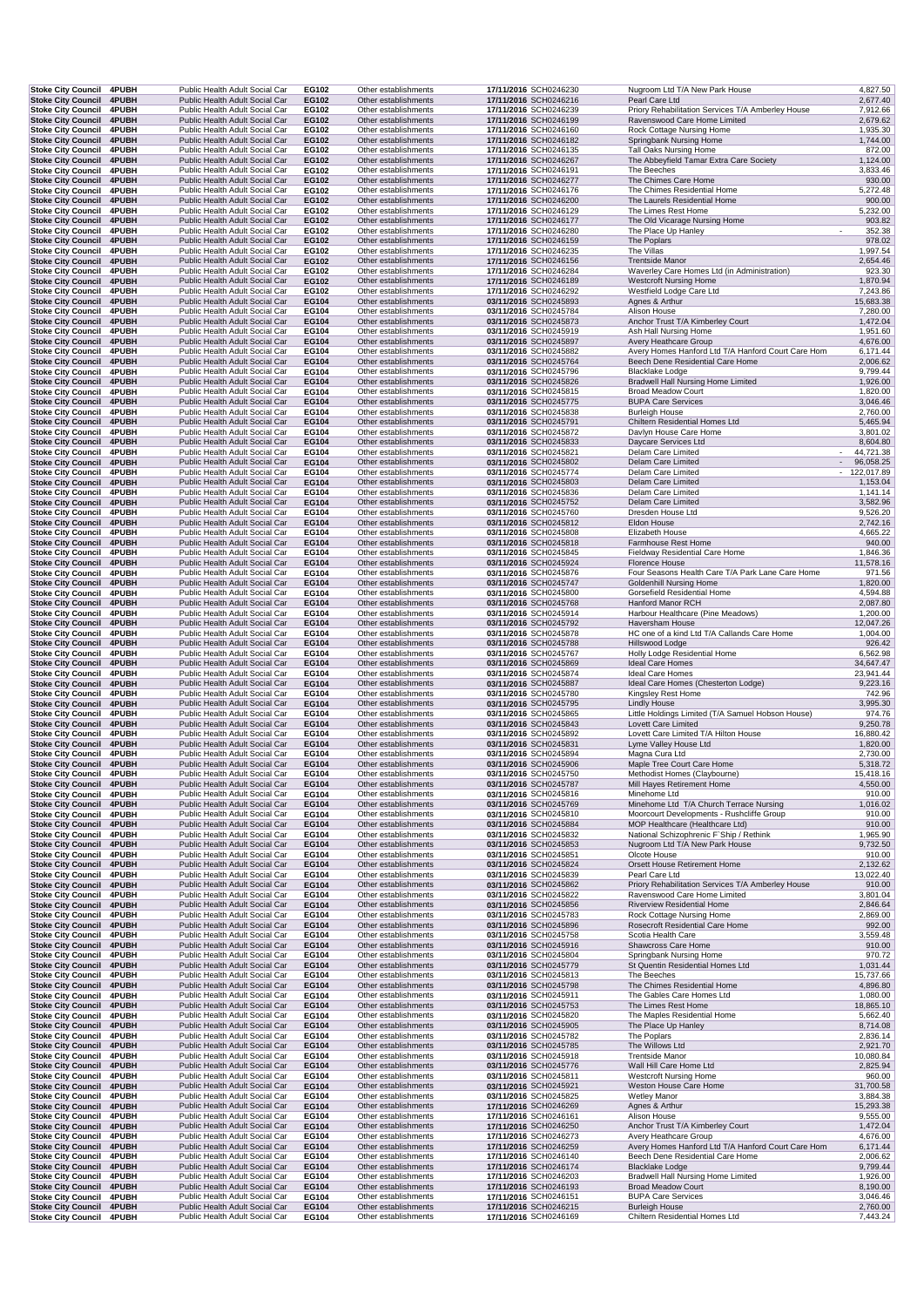| <b>Stoke City Council</b><br><b>Stoke City Council</b> | Stoke City Council 4PUBH | Public Health Adult Social Car                                   | EG102          | Other establishments                         | 17/11/2016 SCH0246230                                 | Nugroom Ltd T/A New Park House                                             | 4,827.50                    |
|--------------------------------------------------------|--------------------------|------------------------------------------------------------------|----------------|----------------------------------------------|-------------------------------------------------------|----------------------------------------------------------------------------|-----------------------------|
|                                                        | 4PUBH<br><b>4PUBH</b>    | Public Health Adult Social Car<br>Public Health Adult Social Car | EG102<br>EG102 | Other establishments<br>Other establishments | 17/11/2016 SCH0246216<br>17/11/2016 SCH0246239        | Pearl Care Ltd<br>Priory Rehabilitation Services T/A Amberley House        | 2,677.40                    |
| <b>Stoke City Council</b>                              | 4PUBH                    | Public Health Adult Social Car                                   | EG102          | Other establishments                         | 17/11/2016 SCH0246199                                 | Ravenswood Care Home Limited                                               | 7,912.66<br>2,679.62        |
| <b>Stoke City Council</b>                              | 4PUBH                    | Public Health Adult Social Car                                   | EG102          | Other establishments                         | 17/11/2016 SCH0246160                                 | Rock Cottage Nursing Home                                                  | 1,935.30                    |
| <b>Stoke City Council</b>                              | 4PUBH                    | Public Health Adult Social Car                                   | EG102          | Other establishments                         | 17/11/2016 SCH0246182                                 | Springbank Nursing Home                                                    | 1,744.00                    |
| Stoke City Council 4PUBH                               |                          | Public Health Adult Social Car                                   | EG102          | Other establishments                         | 17/11/2016 SCH0246135                                 | Tall Oaks Nursing Home                                                     | 872.00                      |
| Stoke City Council 4PUBH<br>Stoke City Council 4PUBH   |                          | Public Health Adult Social Car<br>Public Health Adult Social Car | EG102<br>EG102 | Other establishments<br>Other establishments | 17/11/2016 SCH0246267<br>17/11/2016 SCH0246191        | The Abbeyfield Tamar Extra Care Society<br>The Beeches                     | 1,124.00<br>3,833.46        |
| Stoke City Council 4PUBH                               |                          | Public Health Adult Social Car                                   | EG102          | Other establishments                         | 17/11/2016 SCH0246277                                 | The Chimes Care Home                                                       | 930.00                      |
| Stoke City Council 4PUBH                               |                          | Public Health Adult Social Car                                   | EG102          | Other establishments                         | 17/11/2016 SCH0246176                                 | The Chimes Residential Home                                                | 5,272.48                    |
| Stoke City Council 4PUBH                               |                          | Public Health Adult Social Car                                   | EG102          | Other establishments                         | 17/11/2016 SCH0246200                                 | The Laurels Residential Home                                               | 900.00                      |
| <b>Stoke City Council</b><br>Stoke City Council 4PUBH  | <b>4PUBH</b>             | Public Health Adult Social Car<br>Public Health Adult Social Car | EG102<br>EG102 | Other establishments<br>Other establishments | 17/11/2016 SCH0246129<br>17/11/2016 SCH0246177        | The Limes Rest Home<br>The Old Vicarage Nursing Home                       | 5,232.00<br>903.82          |
| <b>Stoke City Council</b>                              | <b>4PUBH</b>             | Public Health Adult Social Car                                   | EG102          | Other establishments                         | 17/11/2016 SCH0246280                                 | The Place Up Hanley                                                        | 352.38                      |
| <b>Stoke City Council</b>                              | 4PUBH                    | Public Health Adult Social Car                                   | EG102          | Other establishments                         | 17/11/2016 SCH0246159                                 | The Poplars                                                                | 978.02                      |
| <b>Stoke City Council</b>                              | <b>4PUBH</b>             | Public Health Adult Social Car                                   | EG102          | Other establishments                         | 17/11/2016 SCH0246235                                 | The Villas                                                                 | 1,997.54                    |
| Stoke City Council 4PUBH<br><b>Stoke City Council</b>  | <b>4PUBH</b>             | Public Health Adult Social Car<br>Public Health Adult Social Car | EG102<br>EG102 | Other establishments<br>Other establishments | 17/11/2016 SCH0246156<br>17/11/2016 SCH0246284        | <b>Trentside Manor</b><br>Waverley Care Homes Ltd (in Administration)      | 2,654.46<br>923.30          |
| Stoke City Council 4PUBH                               |                          | Public Health Adult Social Car                                   | EG102          | Other establishments                         | 17/11/2016 SCH0246189                                 | <b>Westcroft Nursing Home</b>                                              | 1,870.94                    |
| Stoke City Council 4PUBH                               |                          | Public Health Adult Social Car                                   | EG102          | Other establishments                         | 17/11/2016 SCH0246292                                 | Westfield Lodge Care Ltd                                                   | 7,243.86                    |
| <b>Stoke City Council</b>                              | 4PUBH                    | Public Health Adult Social Car                                   | EG104          | Other establishments                         | 03/11/2016 SCH0245893                                 | Agnes & Arthur                                                             | 15,683.38                   |
| Stoke City Council 4PUBH                               |                          | Public Health Adult Social Car                                   | EG104          | Other establishments                         | 03/11/2016 SCH0245784                                 | Alison House                                                               | 7,280.00                    |
| Stoke City Council 4PUBH<br>Stoke City Council 4PUBH   |                          | Public Health Adult Social Car<br>Public Health Adult Social Car | EG104<br>EG104 | Other establishments<br>Other establishments | 03/11/2016 SCH0245873<br>03/11/2016 SCH0245919        | Anchor Trust T/A Kimberley Court<br>Ash Hall Nursing Home                  | 1,472.04<br>1,951.60        |
| Stoke City Council 4PUBH                               |                          | Public Health Adult Social Car                                   | EG104          | Other establishments                         | 03/11/2016 SCH0245897                                 | Avery Heathcare Group                                                      | 4,676.00                    |
| Stoke City Council 4PUBH                               |                          | Public Health Adult Social Car                                   | EG104          | Other establishments                         | 03/11/2016 SCH0245882                                 | Avery Homes Hanford Ltd T/A Hanford Court Care Hom                         | 6,171.44                    |
| Stoke City Council 4PUBH                               |                          | Public Health Adult Social Car                                   | EG104          | Other establishments                         | 03/11/2016 SCH0245764                                 | Beech Dene Residential Care Home                                           | 2,006.62                    |
| <b>Stoke City Council</b>                              | 4PUBH<br>4PUBH           | Public Health Adult Social Car<br>Public Health Adult Social Car | EG104<br>EG104 | Other establishments<br>Other establishments | 03/11/2016 SCH0245796                                 | <b>Blacklake Lodge</b>                                                     | 9,799.44                    |
| <b>Stoke City Council</b><br><b>Stoke City Council</b> | <b>4PUBH</b>             | Public Health Adult Social Car                                   | EG104          | Other establishments                         | 03/11/2016 SCH0245826<br>03/11/2016 SCH0245815        | Bradwell Hall Nursing Home Limited<br><b>Broad Meadow Court</b>            | 1,926.00<br>1,820.00        |
| Stoke City Council 4PUBH                               |                          | Public Health Adult Social Car                                   | EG104          | Other establishments                         | 03/11/2016 SCH0245775                                 | <b>BUPA Care Services</b>                                                  | 3,046.46                    |
| <b>Stoke City Council</b>                              | 4PUBH                    | Public Health Adult Social Car                                   | EG104          | Other establishments                         | 03/11/2016 SCH0245838                                 | <b>Burleigh House</b>                                                      | 2,760.00                    |
| Stoke City Council 4PUBH                               |                          | Public Health Adult Social Car                                   | EG104          | Other establishments                         | 03/11/2016 SCH0245791                                 | Chiltern Residential Homes Ltd                                             | 5,465.94                    |
| <b>Stoke City Council</b><br>Stoke City Council 4PUBH  | <b>4PUBH</b>             | Public Health Adult Social Car<br>Public Health Adult Social Car | EG104<br>EG104 | Other establishments<br>Other establishments | 03/11/2016 SCH0245872<br>03/11/2016 SCH0245833        | Davlyn House Care Home<br>Daycare Services Ltd                             | 3,801.02<br>8,604.80        |
| Stoke City Council 4PUBH                               |                          | Public Health Adult Social Car                                   | EG104          | Other establishments                         | 03/11/2016 SCH0245821                                 | Delam Care Limited                                                         | 44,721.38<br>$\sim$         |
| Stoke City Council 4PUBH                               |                          | Public Health Adult Social Car                                   | EG104          | Other establishments                         | 03/11/2016 SCH0245802                                 | Delam Care Limited                                                         | 96,058.25<br>$\blacksquare$ |
| Stoke City Council 4PUBH                               |                          | Public Health Adult Social Car                                   | EG104          | Other establishments                         | 03/11/2016 SCH0245774                                 | Delam Care Limited                                                         | $-122,017.89$               |
| <b>Stoke City Council</b>                              | 4PUBH                    | Public Health Adult Social Car                                   | EG104          | Other establishments                         | 03/11/2016 SCH0245803                                 | Delam Care Limited                                                         | 1,153.04                    |
| <b>Stoke City Council</b><br><b>Stoke City Council</b> | 4PUBH<br>4PUBH           | Public Health Adult Social Car<br>Public Health Adult Social Car | EG104<br>EG104 | Other establishments<br>Other establishments | 03/11/2016 SCH0245836<br>03/11/2016 SCH0245752        | Delam Care Limited<br>Delam Care Limited                                   | 1,141.14<br>3,582.96        |
| <b>Stoke City Council</b>                              | 4PUBH                    | Public Health Adult Social Car                                   | EG104          | Other establishments                         | 03/11/2016 SCH0245760                                 | Dresden House Ltd                                                          | 9,526.20                    |
| Stoke City Council 4PUBH                               |                          | Public Health Adult Social Car                                   | EG104          | Other establishments                         | 03/11/2016 SCH0245812                                 | Eldon House                                                                | 2,742.16                    |
| Stoke City Council 4PUBH                               |                          | Public Health Adult Social Car                                   | EG104          | Other establishments                         | 03/11/2016 SCH0245808                                 | Elizabeth House                                                            | 4,665.22                    |
| Stoke City Council 4PUBH                               |                          | Public Health Adult Social Car<br>Public Health Adult Social Car | EG104<br>EG104 | Other establishments<br>Other establishments | 03/11/2016 SCH0245818<br>03/11/2016 SCH0245845        | Farmhouse Rest Home<br>Fieldway Residential Care Home                      | 940.00<br>1,846.36          |
| <b>Stoke City Council</b><br>Stoke City Council 4PUBH  | <b>4PUBH</b>             | Public Health Adult Social Car                                   | EG104          | Other establishments                         | 03/11/2016 SCH0245924                                 | <b>Florence House</b>                                                      | 11,578.16                   |
| Stoke City Council 4PUBH                               |                          | Public Health Adult Social Car                                   | EG104          | Other establishments                         | 03/11/2016 SCH0245876                                 | Four Seasons Health Care T/A Park Lane Care Home                           | 971.56                      |
| Stoke City Council 4PUBH                               |                          | Public Health Adult Social Car                                   | EG104          | Other establishments                         | 03/11/2016 SCH0245747                                 | <b>Goldenhill Nursing Home</b>                                             | 1,820.00                    |
| <b>Stoke City Council</b>                              | 4PUBH                    | Public Health Adult Social Car                                   | EG104          | Other establishments                         | 03/11/2016 SCH0245800                                 | Gorsefield Residential Home                                                | 4,594.88                    |
| Stoke City Council 4PUBH<br><b>Stoke City Council</b>  | <b>4PUBH</b>             | Public Health Adult Social Car<br>Public Health Adult Social Car | EG104<br>EG104 | Other establishments<br>Other establishments | 03/11/2016 SCH0245768<br>03/11/2016 SCH0245914        | Hanford Manor RCH<br>Harbour Healthcare (Pine Meadows)                     | 2,087.80<br>1,200.00        |
| <b>Stoke City Council</b>                              | 4PUBH                    | Public Health Adult Social Car                                   | EG104          | Other establishments                         | 03/11/2016 SCH0245792                                 | Haversham House                                                            | 12,047.26                   |
| <b>Stoke City Council</b>                              | 4PUBH                    | Public Health Adult Social Car                                   | EG104          | Other establishments                         | 03/11/2016 SCH0245878                                 | HC one of a kind Ltd T/A Callands Care Home                                | 1,004.00                    |
| Stoke City Council 4PUBH                               |                          | Public Health Adult Social Car                                   | EG104          | Other establishments                         | 03/11/2016 SCH0245788                                 | Hillswood Lodge                                                            | 926.42                      |
| <b>Stoke City Council</b><br>Stoke City Council 4PUBH  | <b>4PUBH</b>             | Public Health Adult Social Car<br>Public Health Adult Social Car | EG104<br>EG104 | Other establishments<br>Other establishments | 03/11/2016 SCH0245767<br>03/11/2016 SCH0245869        | Holly Lodge Residential Home<br><b>Ideal Care Homes</b>                    | 6,562.98<br>34,647.47       |
| Stoke City Council 4PUBH                               |                          | Public Health Adult Social Car                                   | EG104          | Other establishments                         | 03/11/2016 SCH0245874                                 | Ideal Care Homes                                                           | 23,941.44                   |
| Stoke City Council 4PUBH                               |                          | Public Health Adult Social Car                                   | EG104          | Other establishments                         | 03/11/2016 SCH0245887                                 | Ideal Care Homes (Chesterton Lodge)                                        | 9,223.16                    |
| Stoke City Council 4PUBH                               |                          | Public Health Adult Social Car                                   | EG104          | Other establishments                         | 03/11/2016 SCH0245780                                 | Kingsley Rest Home                                                         | 742.96                      |
| Stoke City Council 4PUBH                               |                          | Public Health Adult Social Car                                   | EG104          | Other establishments                         | 03/11/2016 SCH0245795                                 | <b>Lindly House</b><br>Little Holdings Limited (T/A Samuel Hobson House)   | 3,995.30                    |
| <b>Stoke City Council</b><br>Stoke City Council 4PUBH  | <b>4PUBH</b>             |                                                                  |                |                                              |                                                       |                                                                            |                             |
|                                                        |                          | Public Health Adult Social Car                                   | EG104          | Other establishments                         | 03/11/2016 SCH0245865                                 |                                                                            | 974.76                      |
|                                                        |                          | Public Health Adult Social Car<br>Public Health Adult Social Car | EG104<br>EG104 | Other establishments                         | 03/11/2016 SCH0245843<br>03/11/2016 SCH0245892        | Lovett Care Limited                                                        | 9,250.78                    |
| <b>Stoke City Council</b><br><b>Stoke City Council</b> | <b>4PUBH</b><br>4PUBH    | Public Health Adult Social Car                                   | EG104          | Other establishments<br>Other establishments | 03/11/2016 SCH0245831                                 | Lovett Care Limited T/A Hilton House<br>Lyme Valley House Ltd              | 16,880.42<br>1,820.00       |
| <b>Stoke City Council</b>                              | 4PUBH                    | Public Health Adult Social Car                                   | EG104          | Other establishments                         | 03/11/2016 SCH0245894                                 | Magna Cura Ltd                                                             | 2,730.00                    |
| Stoke City Council 4PUBH                               |                          | Public Health Adult Social Car                                   | EG104          | Other establishments                         | 03/11/2016 SCH0245906                                 | Maple Tree Court Care Home                                                 | 5,318.72                    |
| Stoke City Council 4PUBH                               |                          | Public Health Adult Social Car                                   | EG104          | Other establishments                         | 03/11/2016 SCH0245750                                 | Methodist Homes (Claybourne)                                               | 15,418.16                   |
| Stoke City Council 4PUBH<br>Stoke City Council 4PUBH   |                          | Public Health Adult Social Car<br>Public Health Adult Social Car | EG104<br>EG104 | Other establishments<br>Other establishments | <b>03/11/2016</b> SCH0245787<br>03/11/2016 SCH0245816 | Mill Hayes Retirement Home<br>Minehome Ltd                                 | 4,550.00<br>910.00          |
| Stoke City Council 4PUBH                               |                          | Public Health Adult Social Car                                   | EG104          | Other establishments                         | 03/11/2016 SCH0245769                                 | Minehome Ltd T/A Church Terrace Nursing                                    | 1,016.02                    |
| Stoke City Council 4PUBH                               |                          | Public Health Adult Social Car                                   | EG104          | Other establishments                         | 03/11/2016 SCH0245810                                 | Moorcourt Developments - Rushcliffe Group                                  | 910.00                      |
| <b>Stoke City Council</b>                              | 4PUBH                    | Public Health Adult Social Car                                   | EG104          | Other establishments                         | 03/11/2016 SCH0245884                                 | MOP Healthcare (Healthcare Ltd)<br>National Schizophrenic F'Ship / Rethink | 910.00                      |
| <b>Stoke City Council</b><br>Stoke City Council 4PUBH  | <b>4PUBH</b>             | Public Health Adult Social Car<br>Public Health Adult Social Car | EG104<br>EG104 | Other establishments<br>Other establishments | 03/11/2016 SCH0245832<br>03/11/2016 SCH0245853        | Nugroom Ltd T/A New Park House                                             | 1,965.90<br>9,732.50        |
| Stoke City Council 4PUBH                               |                          | Public Health Adult Social Car                                   | EG104          | Other establishments                         | 03/11/2016 SCH0245851                                 | Olcote House                                                               | 910.00                      |
| <b>Stoke City Council</b>                              | 4PUBH                    | Public Health Adult Social Car                                   | EG104          | Other establishments                         | 03/11/2016 SCH0245824                                 | Orsett House Retirement Home                                               | 2,132.62                    |
| <b>Stoke City Council</b>                              | 4PUBH                    | Public Health Adult Social Car                                   | EG104<br>EG104 | Other establishments                         | 03/11/2016 SCH0245839<br>03/11/2016 SCH0245862        | Pearl Care Ltd<br>Priory Rehabilitation Services T/A Amberley House        | 13,022.40                   |
| <b>Stoke City Council</b><br>Stoke City Council 4PUBH  | 4PUBH                    | Public Health Adult Social Car<br>Public Health Adult Social Car | EG104          | Other establishments<br>Other establishments | 03/11/2016 SCH0245822                                 | Ravenswood Care Home Limited                                               | 910.00<br>3,801.04          |
| Stoke City Council 4PUBH                               |                          | Public Health Adult Social Car                                   | EG104          | Other establishments                         | 03/11/2016 SCH0245856                                 | <b>Riverview Residential Home</b>                                          | 2,846.64                    |
| Stoke City Council 4PUBH                               |                          | Public Health Adult Social Car                                   | EG104          | Other establishments                         | 03/11/2016 SCH0245783                                 | Rock Cottage Nursing Home                                                  | 2,869.00                    |
| Stoke City Council 4PUBH                               |                          | Public Health Adult Social Car                                   | EG104          | Other establishments                         | 03/11/2016 SCH0245896                                 | Rosecroft Residential Care Home                                            | 992.00                      |
| <b>Stoke City Council</b><br>Stoke City Council 4PUBH  | 4PUBH                    | Public Health Adult Social Car<br>Public Health Adult Social Car | EG104<br>EG104 | Other establishments<br>Other establishments | 03/11/2016 SCH0245758<br>03/11/2016 SCH0245916        | Scotia Health Care<br>Shawcross Care Home                                  | 3,559.48<br>910.00          |
| Stoke City Council 4PUBH                               |                          | Public Health Adult Social Car                                   | EG104          | Other establishments                         | 03/11/2016 SCH0245804                                 | Springbank Nursing Home                                                    | 970.72                      |
| Stoke City Council 4PUBH                               |                          | Public Health Adult Social Car                                   | EG104          | Other establishments                         | 03/11/2016 SCH0245779                                 | St Quentin Residential Homes Ltd                                           | 1,031.44                    |
| <b>Stoke City Council</b>                              | <b>4PUBH</b>             | Public Health Adult Social Car                                   | EG104          | Other establishments                         | 03/11/2016 SCH0245813                                 | The Beeches                                                                | 15,737.66                   |
| <b>Stoke City Council</b><br><b>Stoke City Council</b> | 4PUBH<br><b>4PUBH</b>    | Public Health Adult Social Car<br>Public Health Adult Social Car | EG104<br>EG104 | Other establishments<br>Other establishments | 03/11/2016 SCH0245798<br>03/11/2016 SCH0245911        | The Chimes Residential Home                                                | 4,896.80<br>1,080.00        |
| <b>Stoke City Council</b>                              | 4PUBH                    | Public Health Adult Social Car                                   | EG104          | Other establishments                         | 03/11/2016 SCH0245753                                 | The Gables Care Homes Ltd<br>The Limes Rest Home                           | 18,865.10                   |
| Stoke City Council 4PUBH                               |                          | Public Health Adult Social Car                                   | EG104          | Other establishments                         | 03/11/2016 SCH0245820                                 | The Maples Residential Home                                                | 5,662.40                    |
| Stoke City Council 4PUBH                               |                          | Public Health Adult Social Car                                   | EG104          | Other establishments                         | 03/11/2016 SCH0245905                                 | The Place Up Hanley                                                        | 8,714.08                    |
| Stoke City Council 4PUBH                               |                          | Public Health Adult Social Car                                   | EG104          | Other establishments                         | 03/11/2016 SCH0245782                                 | The Poplars                                                                | 2,836.14                    |
| Stoke City Council 4PUBH<br><b>Stoke City Council</b>  | 4PUBH                    | Public Health Adult Social Car<br>Public Health Adult Social Car | EG104<br>EG104 | Other establishments<br>Other establishments | 03/11/2016 SCH0245785<br>03/11/2016 SCH0245918        | The Willows Ltd<br><b>Trentside Manor</b>                                  | 2,921.70<br>10,080.84       |
| Stoke City Council 4PUBH                               |                          | Public Health Adult Social Car                                   | EG104          | Other establishments                         | 03/11/2016 SCH0245776                                 | Wall Hill Care Home Ltd                                                    | 2,825.94                    |
| Stoke City Council 4PUBH                               |                          | Public Health Adult Social Car                                   | EG104          | Other establishments                         | 03/11/2016 SCH0245811                                 | <b>Westcroft Nursing Home</b>                                              | 960.00                      |
| Stoke City Council 4PUBH                               |                          | Public Health Adult Social Car                                   | EG104          | Other establishments                         | 03/11/2016 SCH0245921                                 | Weston House Care Home                                                     | 31,700.58                   |
| <b>Stoke City Council</b><br>Stoke City Council 4PUBH  | <b>4PUBH</b>             | Public Health Adult Social Car<br>Public Health Adult Social Car | EG104<br>EG104 | Other establishments<br>Other establishments | 03/11/2016 SCH0245825<br>17/11/2016 SCH0246269        | <b>Wetley Manor</b><br>Agnes & Arthur                                      | 3,884.38<br>15,293.38       |
| <b>Stoke City Council</b>                              | <b>4PUBH</b>             | Public Health Adult Social Car                                   | EG104          | Other establishments                         | 17/11/2016 SCH0246161                                 | Alison House                                                               | 9,555.00                    |
| <b>Stoke City Council</b>                              | 4PUBH                    | Public Health Adult Social Car                                   | EG104          | Other establishments                         | 17/11/2016 SCH0246250                                 | Anchor Trust T/A Kimberley Court                                           | 1,472.04                    |
| Stoke City Council 4PUBH                               |                          | Public Health Adult Social Car                                   | EG104          | Other establishments                         | 17/11/2016 SCH0246273                                 | Avery Heathcare Group                                                      | 4,676.00                    |
| Stoke City Council 4PUBH                               |                          | Public Health Adult Social Car                                   | <b>EG104</b>   | Other establishments                         | 17/11/2016 SCH0246259                                 | Avery Homes Hanford Ltd T/A Hanford Court Care Hom                         | 6,171.44                    |
| Stoke City Council 4PUBH<br>Stoke City Council 4PUBH   |                          | Public Health Adult Social Car<br>Public Health Adult Social Car | EG104<br>EG104 | Other establishments<br>Other establishments | 17/11/2016 SCH0246140<br>17/11/2016 SCH0246174        | Beech Dene Residential Care Home<br><b>Blacklake Lodge</b>                 | 2,006.62<br>9,799.44        |
| Stoke City Council 4PUBH                               |                          | Public Health Adult Social Car                                   | EG104          | Other establishments                         | 17/11/2016 SCH0246203                                 | Bradwell Hall Nursing Home Limited                                         | 1,926.00                    |
| Stoke City Council 4PUBH                               |                          | Public Health Adult Social Car                                   | EG104          | Other establishments                         | 17/11/2016 SCH0246193                                 | <b>Broad Meadow Court</b>                                                  | 8,190.00                    |
| Stoke City Council 4PUBH<br><b>Stoke City Council</b>  | 4PUBH                    | Public Health Adult Social Car<br>Public Health Adult Social Car | EG104<br>EG104 | Other establishments<br>Other establishments | 17/11/2016 SCH0246151<br>17/11/2016 SCH0246215        | <b>BUPA Care Services</b><br><b>Burleigh House</b>                         | 3,046.46<br>2,760.00        |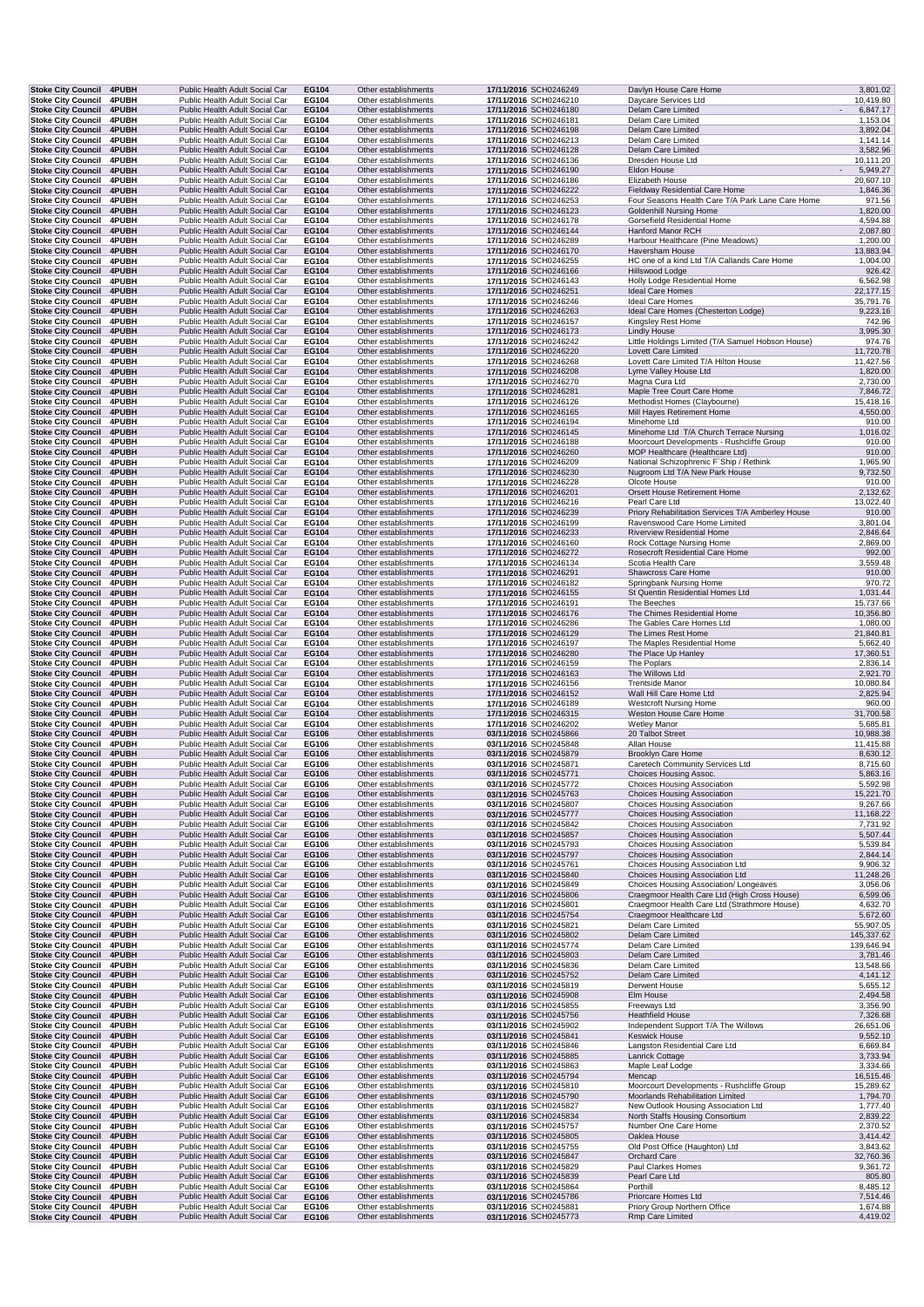| <b>Stoke City Council 4PUBH</b>                              |                       | Public Health Adult Social Car                                   | EG104          | Other establishments                         | 17/11/2016 SCH0246249                          | Davlyn House Care Home                                                               | 3,801.02                        |
|--------------------------------------------------------------|-----------------------|------------------------------------------------------------------|----------------|----------------------------------------------|------------------------------------------------|--------------------------------------------------------------------------------------|---------------------------------|
| <b>Stoke City Council</b><br><b>Stoke City Council</b>       | 4PUBH<br>4PUBH        | Public Health Adult Social Car<br>Public Health Adult Social Car | EG104<br>EG104 | Other establishments<br>Other establishments | 17/11/2016 SCH0246210<br>17/11/2016 SCH0246180 | Daycare Services Ltd<br>Delam Care Limited                                           | 10,419.80<br>6,847.17           |
| <b>Stoke City Council</b>                                    | 4PUBH                 | Public Health Adult Social Car                                   | EG104          | Other establishments                         | 17/11/2016 SCH0246181                          | Delam Care Limited                                                                   | 1,153.04                        |
| Stoke City Council 4PUBH                                     |                       | Public Health Adult Social Car                                   | EG104          | Other establishments                         | 17/11/2016 SCH0246198                          | Delam Care Limited                                                                   | 3,892.04                        |
| <b>Stoke City Council</b><br>Stoke City Council 4PUBH        | 4PUBH                 | Public Health Adult Social Car<br>Public Health Adult Social Car | EG104<br>EG104 | Other establishments<br>Other establishments | 17/11/2016 SCH0246213<br>17/11/2016 SCH0246128 | Delam Care Limited<br>Delam Care Limited                                             | 1,141.14<br>3,582.96            |
| <b>Stoke City Council</b>                                    | <b>4PUBH</b>          | Public Health Adult Social Car                                   | EG104          | Other establishments                         | 17/11/2016 SCH0246136                          | Dresden House Ltd                                                                    | 10,111.20                       |
| <b>Stoke City Council</b><br>Stoke City Council 4PUBH        | 4PUBH                 | Public Health Adult Social Car<br>Public Health Adult Social Car | EG104<br>EG104 | Other establishments<br>Other establishments | 17/11/2016 SCH0246190<br>17/11/2016 SCH0246186 | Eldon House<br>Elizabeth House                                                       | 5,949.27<br>$\sim$<br>20,607.10 |
| Stoke City Council 4PUBH                                     |                       | Public Health Adult Social Car                                   | EG104          | Other establishments                         | 17/11/2016 SCH0246222                          | Fieldway Residential Care Home                                                       | 1,846.36                        |
| <b>Stoke City Council</b>                                    | <b>4PUBH</b>          | Public Health Adult Social Car                                   | EG104          | Other establishments                         | 17/11/2016 SCH0246253                          | Four Seasons Health Care T/A Park Lane Care Home                                     | 971.56                          |
| <b>Stoke City Council 4PUBH</b><br><b>Stoke City Council</b> | <b>4PUBH</b>          | Public Health Adult Social Car<br>Public Health Adult Social Car | EG104<br>EG104 | Other establishments<br>Other establishments | 17/11/2016 SCH0246123<br>17/11/2016 SCH0246178 | <b>Goldenhill Nursing Home</b><br>Gorsefield Residential Home                        | 1,820.00<br>4,594.88            |
| <b>Stoke City Council</b>                                    | 4PUBH                 | Public Health Adult Social Car                                   | EG104          | Other establishments                         | 17/11/2016 SCH0246144                          | Hanford Manor RCH                                                                    | 2,087.80                        |
| <b>Stoke City Council</b>                                    | 4PUBH                 | Public Health Adult Social Car                                   | EG104          | Other establishments                         | 17/11/2016 SCH0246289                          | Harbour Healthcare (Pine Meadows)                                                    | 1,200.00                        |
| <b>Stoke City Council</b><br><b>Stoke City Council</b>       | 4PUBH<br><b>4PUBH</b> | Public Health Adult Social Car<br>Public Health Adult Social Car | EG104<br>EG104 | Other establishments<br>Other establishments | 17/11/2016 SCH0246170<br>17/11/2016 SCH0246255 | Haversham House<br>HC one of a kind Ltd T/A Callands Care Home                       | 13,883.94<br>1,004.00           |
| <b>Stoke City Council 4PUBH</b>                              |                       | Public Health Adult Social Car                                   | EG104          | Other establishments                         | 17/11/2016 SCH0246166                          | Hillswood Lodge                                                                      | 926.42                          |
| <b>Stoke City Council</b><br>Stoke City Council 4PUBH        | <b>4PUBH</b>          | Public Health Adult Social Car<br>Public Health Adult Social Car | EG104<br>EG104 | Other establishments<br>Other establishments | 17/11/2016 SCH0246143<br>17/11/2016 SCH0246251 | Holly Lodge Residential Home<br><b>Ideal Care Homes</b>                              | 6,562.98<br>22,177.15           |
| <b>Stoke City Council</b>                                    | <b>4PUBH</b>          | Public Health Adult Social Car                                   | EG104          | Other establishments                         | 17/11/2016 SCH0246246                          | Ideal Care Homes                                                                     | 35,791.76                       |
| <b>Stoke City Council</b>                                    | 4PUBH                 | Public Health Adult Social Car                                   | EG104          | Other establishments                         | 17/11/2016 SCH0246263                          | Ideal Care Homes (Chesterton Lodge)                                                  | 9,223.16                        |
| Stoke City Council 4PUBH<br>Stoke City Council 4PUBH         |                       | Public Health Adult Social Car<br>Public Health Adult Social Car | EG104<br>EG104 | Other establishments<br>Other establishments | 17/11/2016 SCH0246157<br>17/11/2016 SCH0246173 | Kingsley Rest Home<br><b>Lindly House</b>                                            | 742.96<br>3,995.30              |
| <b>Stoke City Council</b>                                    | 4PUBH                 | Public Health Adult Social Car                                   | EG104          | Other establishments                         | 17/11/2016 SCH0246242                          | Little Holdings Limited (T/A Samuel Hobson House)                                    | 974.76                          |
| <b>Stoke City Council</b>                                    | 4PUBH                 | Public Health Adult Social Car                                   | EG104          | Other establishments                         | 17/11/2016 SCH0246220                          | Lovett Care Limited                                                                  | 11,720.78                       |
| <b>Stoke City Council</b><br><b>Stoke City Council</b>       | 4PUBH<br>4PUBH        | Public Health Adult Social Car<br>Public Health Adult Social Car | EG104<br>EG104 | Other establishments<br>Other establishments | 17/11/2016 SCH0246268<br>17/11/2016 SCH0246208 | Lovett Care Limited T/A Hilton House<br>Lyme Valley House Ltd                        | 11,427.56<br>1,820.00           |
| <b>Stoke City Council</b>                                    | <b>4PUBH</b>          | Public Health Adult Social Car                                   | EG104          | Other establishments                         | 17/11/2016 SCH0246270                          | Magna Cura Ltd                                                                       | 2,730.00                        |
| Stoke City Council 4PUBH<br>Stoke City Council 4PUBH         |                       | Public Health Adult Social Car<br>Public Health Adult Social Car | EG104<br>EG104 | Other establishments<br>Other establishments | 17/11/2016 SCH0246281<br>17/11/2016 SCH0246126 | Maple Tree Court Care Home<br>Methodist Homes (Claybourne)                           | 7,846.72<br>15,418.16           |
| Stoke City Council 4PUBH                                     |                       | Public Health Adult Social Car                                   | EG104          | Other establishments                         | 17/11/2016 SCH0246165                          | Mill Hayes Retirement Home                                                           | 4,550.00                        |
| <b>Stoke City Council</b>                                    | 4PUBH                 | Public Health Adult Social Car                                   | EG104          | Other establishments                         | 17/11/2016 SCH0246194                          | Minehome Ltd                                                                         | 910.00                          |
| Stoke City Council 4PUBH<br>Stoke City Council 4PUBH         |                       | Public Health Adult Social Car<br>Public Health Adult Social Car | EG104<br>EG104 | Other establishments<br>Other establishments | 17/11/2016 SCH0246145<br>17/11/2016 SCH0246188 | Minehome Ltd T/A Church Terrace Nursing<br>Moorcourt Developments - Rushcliffe Group | 1,016.02<br>910.00              |
| Stoke City Council 4PUBH                                     |                       | Public Health Adult Social Car                                   | EG104          | Other establishments                         | 17/11/2016 SCH0246260                          | MOP Healthcare (Healthcare Ltd)                                                      | 910.00                          |
| Stoke City Council 4PUBH                                     |                       | Public Health Adult Social Car                                   | EG104          | Other establishments                         | 17/11/2016 SCH0246209                          | National Schizophrenic F'Ship / Rethink                                              | 1,965.90                        |
| Stoke City Council 4PUBH<br><b>Stoke City Council</b>        | 4PUBH                 | Public Health Adult Social Car<br>Public Health Adult Social Car | EG104<br>EG104 | Other establishments<br>Other establishments | 17/11/2016 SCH0246230<br>17/11/2016 SCH0246228 | Nugroom Ltd T/A New Park House<br>Olcote House                                       | 9,732.50<br>910.00              |
| <b>Stoke City Council</b>                                    | 4PUBH                 | Public Health Adult Social Car                                   | EG104          | Other establishments                         | 17/11/2016 SCH0246201                          | Orsett House Retirement Home                                                         | 2,132.62                        |
| <b>Stoke City Council</b><br><b>Stoke City Council</b>       | <b>4PUBH</b><br>4PUBH | Public Health Adult Social Car<br>Public Health Adult Social Car | EG104<br>EG104 | Other establishments<br>Other establishments | 17/11/2016 SCH0246216<br>17/11/2016 SCH0246239 | Pearl Care Ltd<br>Priory Rehabilitation Services T/A Amberley House                  | 13,022.40<br>910.00             |
| <b>Stoke City Council</b>                                    | <b>4PUBH</b>          | Public Health Adult Social Car                                   | EG104          | Other establishments                         | 17/11/2016 SCH0246199                          | Ravenswood Care Home Limited                                                         | 3,801.04                        |
| Stoke City Council 4PUBH                                     |                       | Public Health Adult Social Car                                   | EG104          | Other establishments                         | 17/11/2016 SCH0246233                          | <b>Riverview Residential Home</b>                                                    | 2,846.64                        |
| Stoke City Council 4PUBH<br><b>Stoke City Council</b>        | 4PUBH                 | Public Health Adult Social Car<br>Public Health Adult Social Car | EG104<br>EG104 | Other establishments<br>Other establishments | 17/11/2016 SCH0246160<br>17/11/2016 SCH0246272 | Rock Cottage Nursing Home<br>Rosecroft Residential Care Home                         | 2,869.00<br>992.00              |
| Stoke City Council 4PUBH                                     |                       | Public Health Adult Social Car                                   | EG104          | Other establishments                         | 17/11/2016 SCH0246134                          | Scotia Health Care                                                                   | 3,559.48                        |
| Stoke City Council 4PUBH                                     |                       | Public Health Adult Social Car                                   | EG104          | Other establishments                         | 17/11/2016 SCH0246291                          | Shawcross Care Home                                                                  | 910.00                          |
| <b>Stoke City Council</b><br><b>Stoke City Council</b>       | 4PUBH<br>4PUBH        | Public Health Adult Social Car<br>Public Health Adult Social Car | EG104<br>EG104 | Other establishments<br>Other establishments | 17/11/2016 SCH0246182<br>17/11/2016 SCH0246155 | Springbank Nursing Home<br>St Quentin Residential Homes Ltd                          | 970.72<br>1,031.44              |
| <b>Stoke City Council</b>                                    | 4PUBH                 | Public Health Adult Social Car                                   | EG104          | Other establishments                         | 17/11/2016 SCH0246191                          | The Beeches                                                                          | 15,737.66                       |
| <b>Stoke City Council</b><br><b>Stoke City Council</b>       | 4PUBH<br><b>4PUBH</b> | Public Health Adult Social Car<br>Public Health Adult Social Car | EG104<br>EG104 | Other establishments<br>Other establishments | 17/11/2016 SCH0246176<br>17/11/2016 SCH0246286 | The Chimes Residential Home<br>The Gables Care Homes Ltd                             | 10,356.80<br>1,080.00           |
| <b>Stoke City Council</b>                                    | 4PUBH                 | Public Health Adult Social Car                                   | EG104          | Other establishments                         | 17/11/2016 SCH0246129                          | The Limes Rest Home                                                                  | 21,840.81                       |
| <b>Stoke City Council</b>                                    | <b>4PUBH</b>          | Public Health Adult Social Car                                   | EG104          | Other establishments                         | 17/11/2016 SCH0246197                          | The Maples Residential Home                                                          | 5,662.40                        |
| Stoke City Council 4PUBH<br>Stoke City Council 4PUBH         |                       | Public Health Adult Social Car<br>Public Health Adult Social Car | EG104<br>EG104 | Other establishments<br>Other establishments | 17/11/2016 SCH0246280<br>17/11/2016 SCH0246159 | The Place Up Hanley<br>The Poplars                                                   | 17,360.51<br>2,836.14           |
| <b>Stoke City Council</b>                                    | 4PUBH                 | Public Health Adult Social Car                                   | EG104          | Other establishments                         | 17/11/2016 SCH0246163                          | The Willows Ltd                                                                      | 2,921.70                        |
| Stoke City Council 4PUBH                                     |                       | Public Health Adult Social Car                                   | EG104          | Other establishments                         | 17/11/2016 SCH0246156                          | <b>Trentside Manor</b><br>Wall Hill Care Home Ltd                                    | 10,080.84                       |
| Stoke City Council 4PUBH<br><b>Stoke City Council</b>        | <b>4PUBH</b>          | Public Health Adult Social Car<br>Public Health Adult Social Car | EG104<br>EG104 | Other establishments<br>Other establishments | 17/11/2016 SCH0246152<br>17/11/2016 SCH0246189 | <b>Westcroft Nursing Home</b>                                                        | 2,825.94<br>960.00              |
| Stoke City Council 4PUBH                                     |                       | Public Health Adult Social Car                                   | EG104          | Other establishments                         | 17/11/2016 SCH0246315                          | Weston House Care Home                                                               | 31,700.58                       |
| <b>Stoke City Council</b><br><b>Stoke City Council</b>       | 4PUBH<br>4PUBH        | Public Health Adult Social Car<br>Public Health Adult Social Car | EG104<br>EG106 | Other establishments<br>Other establishments | 17/11/2016 SCH0246202<br>03/11/2016 SCH0245866 | <b>Wetley Manor</b><br>20 Talbot Street                                              | 5,685.81<br>10,988.38           |
| <b>Stoke City Council</b>                                    | 4PUBH                 | Public Health Adult Social Car                                   | EG106          | Other establishments                         | 03/11/2016 SCH0245848                          | Allan House                                                                          | 11,415.88                       |
| <b>Stoke City Council</b>                                    | 4PUBH                 | Public Health Adult Social Car                                   | EG106          | Other establishments                         | 03/11/2016 SCH0245879                          | Brooklyn Care Home                                                                   | 8,630.12                        |
| Stoke City Council 4PUBH<br><b>Stoke City Council 4PUBH</b>  |                       | Public Health Adult Social Car<br>Public Health Adult Social Car | EG106<br>EG106 | Other establishments<br>Other establishments | 03/11/2016 SCH0245871<br>03/11/2016 SCH0245771 | Caretech Community Services Ltd<br>Choices Housing Assoc.                            | 8,715.60<br>5,863.16            |
| Stoke City Council 4PUBH                                     |                       | Public Health Adult Social Car                                   | EG106          | Other establishments                         | 03/11/2016 SCH0245772                          | Choices Housing Association                                                          | 5,592.98                        |
| <b>Stoke City Council</b><br><b>Stoke City Council</b>       | 4PUBH<br>4PUBH        | Public Health Adult Social Car                                   | <b>EG106</b>   | Other establishments                         | 03/11/2016 SCH0245763<br>03/11/2016 SCH0245807 | <b>Choices Housing Association</b><br>Choices Housing Association                    | 15,221.70<br>9,267.66           |
| <b>Stoke City Council</b>                                    | 4PUBH                 | Public Health Adult Social Car<br>Public Health Adult Social Car | EG106<br>EG106 | Other establishments<br>Other establishments | 03/11/2016 SCH0245777                          | <b>Choices Housing Association</b>                                                   | 11,168.22                       |
| <b>Stoke City Council</b>                                    | 4PUBH                 | Public Health Adult Social Car                                   | EG106          | Other establishments                         | 03/11/2016 SCH0245842                          | Choices Housing Association                                                          | 7,731.92                        |
| Stoke City Council 4PUBH<br><b>Stoke City Council</b>        | 4PUBH                 | Public Health Adult Social Car<br>Public Health Adult Social Car | EG106<br>EG106 | Other establishments<br>Other establishments | 03/11/2016 SCH0245857<br>03/11/2016 SCH0245793 | <b>Choices Housing Association</b><br>Choices Housing Association                    | 5,507.44<br>5,539.84            |
| <b>Stoke City Council</b>                                    | 4PUBH                 | Public Health Adult Social Car                                   | EG106          | Other establishments                         | 03/11/2016 SCH0245797                          | <b>Choices Housing Association</b>                                                   | 2,844.14                        |
| <b>Stoke City Council</b>                                    | 4PUBH                 | Public Health Adult Social Car                                   | EG106          | Other establishments                         | 03/11/2016 SCH0245761                          | Choices Housing Association Ltd                                                      | 9,906.32                        |
| <b>Stoke City Council</b><br>Stoke City Council 4PUBH        | 4PUBH                 | Public Health Adult Social Car<br>Public Health Adult Social Car | EG106<br>EG106 | Other establishments<br>Other establishments | 03/11/2016 SCH0245840<br>03/11/2016 SCH0245849 | Choices Housing Association Ltd<br>Choices Housing Association/ Longeaves            | 11,248.26<br>3,056.06           |
| <b>Stoke City Council</b>                                    | 4PUBH                 | Public Health Adult Social Car                                   | EG106          | Other establishments                         | 03/11/2016 SCH0245806                          | Craegmoor Health Care Ltd (High Cross House)                                         | 6,599.06                        |
| <b>Stoke City Council</b><br>Stoke City Council 4PUBH        | 4PUBH                 | Public Health Adult Social Car<br>Public Health Adult Social Car | EG106<br>EG106 | Other establishments<br>Other establishments | 03/11/2016 SCH0245801<br>03/11/2016 SCH0245754 | Craegmoor Health Care Ltd (Strathmore House)<br>Craegmoor Healthcare Ltd             | 4,632.70<br>5,672.60            |
| <b>Stoke City Council</b>                                    | <b>4PUBH</b>          | Public Health Adult Social Car                                   | EG106          | Other establishments                         | 03/11/2016 SCH0245821                          | Delam Care Limited                                                                   | 55,907.05                       |
| Stoke City Council 4PUBH                                     |                       | Public Health Adult Social Car                                   | EG106          | Other establishments                         | 03/11/2016 SCH0245802                          | Delam Care Limited                                                                   | 145,337.62                      |
| Stoke City Council 4PUBH<br>Stoke City Council 4PUBH         |                       | Public Health Adult Social Car<br>Public Health Adult Social Car | EG106<br>EG106 | Other establishments<br>Other establishments | 03/11/2016 SCH0245774<br>03/11/2016 SCH0245803 | Delam Care Limited<br>Delam Care Limited                                             | 139,646.94<br>3,781.46          |
| Stoke City Council 4PUBH                                     |                       | Public Health Adult Social Car                                   | EG106          | Other establishments                         | 03/11/2016 SCH0245836                          | Delam Care Limited                                                                   | 13,548.66                       |
| <b>Stoke City Council</b><br><b>Stoke City Council</b>       | 4PUBH<br>4PUBH        | Public Health Adult Social Car<br>Public Health Adult Social Car | EG106<br>EG106 | Other establishments<br>Other establishments | 03/11/2016 SCH0245752<br>03/11/2016 SCH0245819 | Delam Care Limited<br>Derwent House                                                  | 4,141.12<br>5,655.12            |
| <b>Stoke City Council</b>                                    | 4PUBH                 | Public Health Adult Social Car                                   | EG106          | Other establishments                         | 03/11/2016 SCH0245908                          | Elm House                                                                            | 2,494.58                        |
| Stoke City Council 4PUBH                                     |                       | Public Health Adult Social Car                                   | EG106          | Other establishments                         | 03/11/2016 SCH0245855                          | Freeways Ltd                                                                         | 3,356.90                        |
| Stoke City Council 4PUBH<br>Stoke City Council 4PUBH         |                       | Public Health Adult Social Car<br>Public Health Adult Social Car | EG106<br>EG106 | Other establishments<br>Other establishments | 03/11/2016 SCH0245756<br>03/11/2016 SCH0245902 | <b>Heathfield House</b><br>Independent Support T/A The Willows                       | 7,326.68<br>26,651.06           |
| Stoke City Council 4PUBH                                     |                       | Public Health Adult Social Car                                   | EG106          | Other establishments                         | 03/11/2016 SCH0245841                          | <b>Keswick House</b>                                                                 | 9,552.10                        |
| <b>Stoke City Council</b><br>Stoke City Council 4PUBH        | <b>4PUBH</b>          | Public Health Adult Social Car<br>Public Health Adult Social Car | EG106<br>EG106 | Other establishments<br>Other establishments | 03/11/2016 SCH0245846<br>03/11/2016 SCH0245885 | Langston Residential Care Ltd<br>Lanrick Cottage                                     | 6,669.84<br>3,733.94            |
| Stoke City Council 4PUBH                                     |                       | Public Health Adult Social Car                                   | EG106          | Other establishments                         | 03/11/2016 SCH0245863                          | Maple Leaf Lodge                                                                     | 3,334.66                        |
| Stoke City Council 4PUBH                                     |                       | Public Health Adult Social Car                                   | <b>EG106</b>   | Other establishments                         | 03/11/2016 SCH0245794                          | Mencap                                                                               | 16,515.46                       |
| <b>Stoke City Council</b><br><b>Stoke City Council</b>       | 4PUBH<br>4PUBH        | Public Health Adult Social Car<br>Public Health Adult Social Car | EG106<br>EG106 | Other establishments<br>Other establishments | 03/11/2016 SCH0245810<br>03/11/2016 SCH0245790 | Moorcourt Developments - Rushcliffe Group<br>Moorlands Rehabilitation Limited        | 15,289.62<br>1,794.70           |
| <b>Stoke City Council</b>                                    | <b>4PUBH</b>          | Public Health Adult Social Car                                   | EG106          | Other establishments                         | 03/11/2016 SCH0245827                          | New Outlook Housing Association Ltd                                                  | 1,777.40                        |
| <b>Stoke City Council</b>                                    | 4PUBH                 | Public Health Adult Social Car                                   | EG106          | Other establishments                         | 03/11/2016 SCH0245834                          | North Staffs Housing Consortium                                                      | 2,839.22                        |
| Stoke City Council 4PUBH<br><b>Stoke City Council</b>        | 4PUBH                 | Public Health Adult Social Car<br>Public Health Adult Social Car | EG106<br>EG106 | Other establishments<br>Other establishments | 03/11/2016 SCH0245757<br>03/11/2016 SCH0245805 | Number One Care Home<br>Oaklea House                                                 | 2,370.52<br>3,414.42            |
| <b>Stoke City Council</b>                                    | 4PUBH                 | Public Health Adult Social Car                                   | EG106          | Other establishments                         | 03/11/2016 SCH0245755                          | Old Post Office (Haughton) Ltd                                                       | 3,843.62                        |
| Stoke City Council 4PUBH<br><b>Stoke City Council</b>        | <b>4PUBH</b>          | Public Health Adult Social Car<br>Public Health Adult Social Car | EG106<br>EG106 | Other establishments<br>Other establishments | 03/11/2016 SCH0245847<br>03/11/2016 SCH0245829 | Orchard Care<br>Paul Clarkes Homes                                                   | 32,760.36<br>9,361.72           |
| <b>Stoke City Council</b>                                    | 4PUBH                 | Public Health Adult Social Car                                   | EG106          | Other establishments                         | 03/11/2016 SCH0245839                          | Pearl Care Ltd                                                                       | 805.80                          |
| Stoke City Council 4PUBH                                     |                       | Public Health Adult Social Car                                   | EG106          | Other establishments                         | 03/11/2016 SCH0245864                          | Porthill                                                                             | 8,485.12                        |
| Stoke City Council 4PUBH<br><b>Stoke City Council</b>        | 4PUBH                 | Public Health Adult Social Car<br>Public Health Adult Social Car | EG106<br>EG106 | Other establishments<br>Other establishments | 03/11/2016 SCH0245786<br>03/11/2016 SCH0245881 | Priorcare Homes Ltd<br>Priory Group Northern Office                                  | 7,514.46<br>1,674.88            |
| <b>Stoke City Council</b>                                    | 4PUBH                 | Public Health Adult Social Car                                   | EG106          | Other establishments                         | 03/11/2016 SCH0245773                          | Rmp Care Limited                                                                     | 4,419.02                        |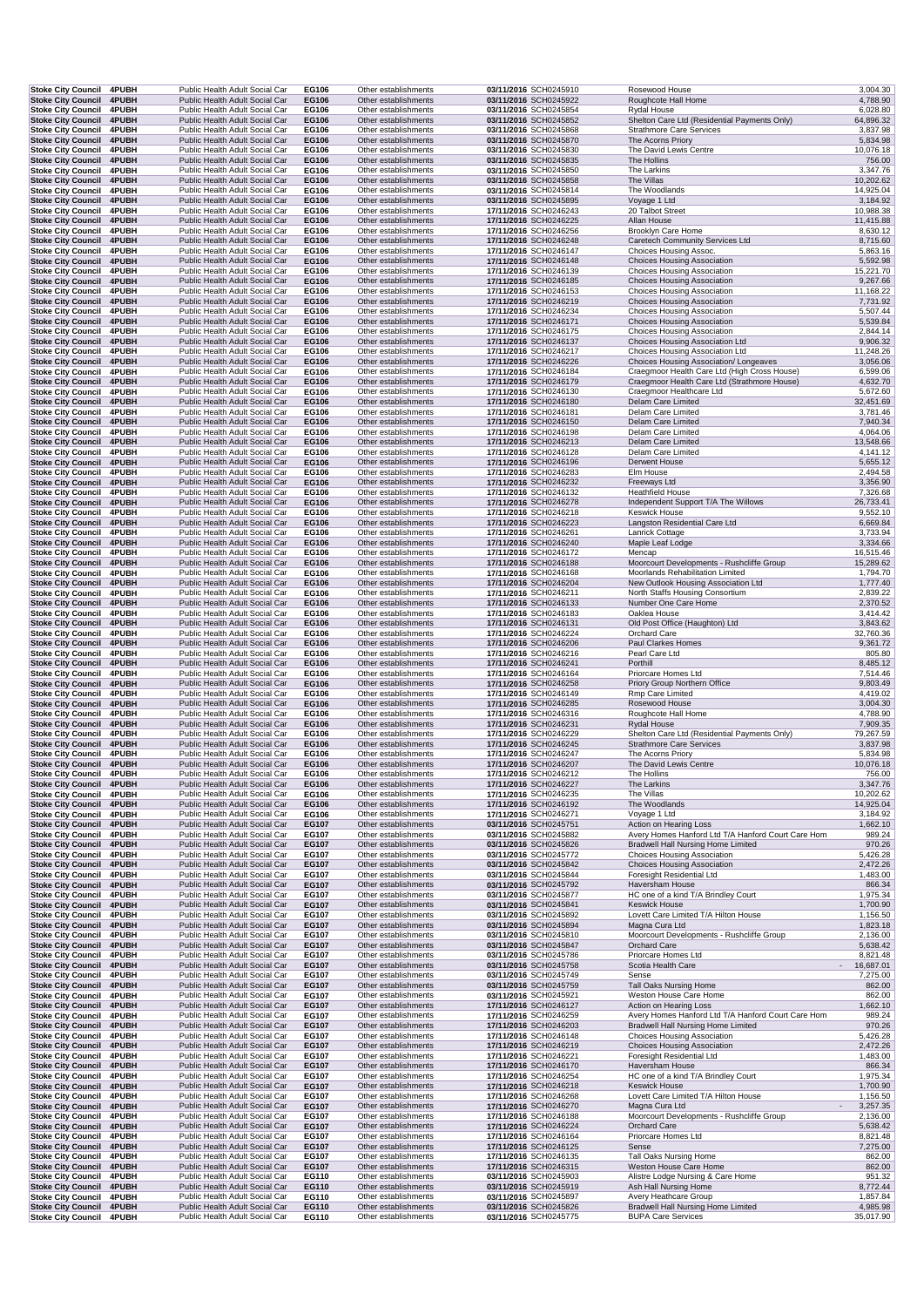| <b>Stoke City Council</b>                              | <b>4PUBH</b>          | Public Health Adult Social Car                                   | EG106                 | Other establishments                         | 03/11/2016 SCH0245910                          | Rosewood House                                                                                  | 3,004.30               |
|--------------------------------------------------------|-----------------------|------------------------------------------------------------------|-----------------------|----------------------------------------------|------------------------------------------------|-------------------------------------------------------------------------------------------------|------------------------|
| <b>Stoke City Council</b><br><b>Stoke City Council</b> | 4PUBH<br>4PUBH        | Public Health Adult Social Car<br>Public Health Adult Social Car | EG106<br>EG106        | Other establishments<br>Other establishments | 03/11/2016 SCH0245922<br>03/11/2016 SCH0245854 | Roughcote Hall Home<br>Rydal House                                                              | 4,788.90<br>6,028.80   |
| <b>Stoke City Council</b>                              | 4PUBH                 | Public Health Adult Social Car                                   | EG106                 | Other establishments                         | 03/11/2016 SCH0245852                          | Shelton Care Ltd (Residential Payments Only)                                                    | 64,896.32              |
| <b>Stoke City Council</b><br><b>Stoke City Council</b> | <b>4PUBH</b><br>4PUBH | Public Health Adult Social Car<br>Public Health Adult Social Car | EG106<br>EG106        | Other establishments<br>Other establishments | 03/11/2016 SCH0245868<br>03/11/2016 SCH0245870 | <b>Strathmore Care Services</b><br>The Acorns Priory                                            | 3,837.98<br>5,834.98   |
| Stoke City Council 4PUBH                               |                       | Public Health Adult Social Car                                   | EG106                 | Other establishments                         | 03/11/2016 SCH0245830                          | The David Lewis Centre                                                                          | 10,076.18              |
| Stoke City Council 4PUBH<br><b>Stoke City Council</b>  | 4PUBH                 | Public Health Adult Social Car<br>Public Health Adult Social Car | EG106<br>EG106        | Other establishments<br>Other establishments | 03/11/2016 SCH0245835<br>03/11/2016 SCH0245850 | The Hollins<br>The Larkins                                                                      | 756.00<br>3,347.76     |
| <b>Stoke City Council 4PUBH</b>                        |                       | Public Health Adult Social Car                                   | EG106                 | Other establishments                         | 03/11/2016 SCH0245858                          | The Villas                                                                                      | 10,202.62              |
| Stoke City Council 4PUBH<br>Stoke City Council 4PUBH   |                       | Public Health Adult Social Car<br>Public Health Adult Social Car | EG106<br>EG106        | Other establishments<br>Other establishments | 03/11/2016 SCH0245814<br>03/11/2016 SCH0245895 | The Woodlands<br>Voyage 1 Ltd                                                                   | 14,925.04<br>3,184.92  |
| <b>Stoke City Council</b>                              | 4PUBH                 | Public Health Adult Social Car                                   | EG106                 | Other establishments                         | 17/11/2016 SCH0246243                          | 20 Talbot Street                                                                                | 10,988.38              |
| <b>Stoke City Council</b><br><b>Stoke City Council</b> | 4PUBH<br>4PUBH        | Public Health Adult Social Car<br>Public Health Adult Social Car | EG106<br>EG106        | Other establishments<br>Other establishments | 17/11/2016 SCH0246225<br>17/11/2016 SCH0246256 | Allan House<br>Brooklyn Care Home                                                               | 11,415.88<br>8,630.12  |
| <b>Stoke City Council</b>                              | 4PUBH                 | Public Health Adult Social Car                                   | EG106                 | Other establishments                         | 17/11/2016 SCH0246248                          | Caretech Community Services Ltd                                                                 | 8,715.60               |
| Stoke City Council 4PUBH                               |                       | Public Health Adult Social Car<br>Public Health Adult Social Car | EG106                 | Other establishments<br>Other establishments | 17/11/2016 SCH0246147                          | Choices Housing Assoc.<br><b>Choices Housing Association</b>                                    | 5,863.16<br>5,592.98   |
| <b>Stoke City Council</b><br><b>Stoke City Council</b> | 4PUBH<br><b>4PUBH</b> | Public Health Adult Social Car                                   | EG106<br>EG106        | Other establishments                         | 17/11/2016 SCH0246148<br>17/11/2016 SCH0246139 | Choices Housing Association                                                                     | 15,221.70              |
| Stoke City Council 4PUBH                               |                       | Public Health Adult Social Car                                   | EG106                 | Other establishments                         | 17/11/2016 SCH0246185                          | <b>Choices Housing Association</b>                                                              | 9,267.66               |
| Stoke City Council 4PUBH<br><b>Stoke City Council</b>  | 4PUBH                 | Public Health Adult Social Car<br>Public Health Adult Social Car | EG106<br>EG106        | Other establishments<br>Other establishments | 17/11/2016 SCH0246153<br>17/11/2016 SCH0246219 | Choices Housing Association<br><b>Choices Housing Association</b>                               | 11,168.22<br>7,731.92  |
| Stoke City Council 4PUBH                               |                       | Public Health Adult Social Car                                   | EG106                 | Other establishments                         | 17/11/2016 SCH0246234                          | Choices Housing Association                                                                     | 5,507.44               |
| Stoke City Council 4PUBH<br><b>Stoke City Council</b>  | 4PUBH                 | Public Health Adult Social Car<br>Public Health Adult Social Car | EG106<br>EG106        | Other establishments<br>Other establishments | 17/11/2016 SCH0246171<br>17/11/2016 SCH0246175 | <b>Choices Housing Association</b><br>Choices Housing Association                               | 5,539.84<br>2,844.14   |
| <b>Stoke City Council</b>                              | 4PUBH                 | Public Health Adult Social Car                                   | EG106                 | Other establishments                         | 17/11/2016 SCH0246137                          | Choices Housing Association Ltd                                                                 | 9,906.32               |
| <b>Stoke City Council</b><br><b>Stoke City Council</b> | 4PUBH<br>4PUBH        | Public Health Adult Social Car<br>Public Health Adult Social Car | EG106<br>EG106        | Other establishments<br>Other establishments | 17/11/2016 SCH0246217<br>17/11/2016 SCH0246226 | Choices Housing Association Ltd<br>Choices Housing Association/ Longeaves                       | 11,248.26<br>3,056.06  |
| Stoke City Council 4PUBH                               |                       | Public Health Adult Social Car                                   | EG106                 | Other establishments                         | 17/11/2016 SCH0246184                          | Craegmoor Health Care Ltd (High Cross House)                                                    | 6,599.06               |
| <b>Stoke City Council</b>                              | 4PUBH                 | Public Health Adult Social Car                                   | EG106                 | Other establishments                         | 17/11/2016 SCH0246179                          | Craegmoor Health Care Ltd (Strathmore House)                                                    | 4,632.70               |
| <b>Stoke City Council</b><br>Stoke City Council 4PUBH  | <b>4PUBH</b>          | Public Health Adult Social Car<br>Public Health Adult Social Car | EG106<br>EG106        | Other establishments<br>Other establishments | 17/11/2016 SCH0246130<br>17/11/2016 SCH0246180 | Craegmoor Healthcare Ltd<br>Delam Care Limited                                                  | 5,672.60<br>32,451.69  |
| Stoke City Council 4PUBH                               |                       | Public Health Adult Social Car                                   | EG106                 | Other establishments                         | 17/11/2016 SCH0246181                          | Delam Care Limited                                                                              | 3,781.46               |
| <b>Stoke City Council</b><br>Stoke City Council 4PUBH  | 4PUBH                 | Public Health Adult Social Car<br>Public Health Adult Social Car | EG106<br>EG106        | Other establishments<br>Other establishments | 17/11/2016 SCH0246150<br>17/11/2016 SCH0246198 | Delam Care Limited<br>Delam Care Limited                                                        | 7,940.34<br>4,064.06   |
| Stoke City Council 4PUBH                               |                       | Public Health Adult Social Car                                   | <b>EG106</b>          | Other establishments                         | 17/11/2016 SCH0246213                          | Delam Care Limited                                                                              | 13,548.66              |
| <b>Stoke City Council</b><br>Stoke City Council 4PUBH  | <b>4PUBH</b>          | Public Health Adult Social Car<br>Public Health Adult Social Car | EG106<br>EG106        | Other establishments<br>Other establishments | 17/11/2016 SCH0246128<br>17/11/2016 SCH0246196 | Delam Care Limited<br>Derwent House                                                             | 4,141.12<br>5,655.12   |
| <b>Stoke City Council</b>                              | <b>4PUBH</b>          | Public Health Adult Social Car                                   | EG106                 | Other establishments                         | 17/11/2016 SCH0246283                          | Elm House                                                                                       | 2,494.58               |
| <b>Stoke City Council</b><br><b>Stoke City Council</b> | 4PUBH<br>4PUBH        | Public Health Adult Social Car                                   | EG106<br>EG106        | Other establishments<br>Other establishments | 17/11/2016 SCH0246232                          | Freeways Ltd                                                                                    | 3,356.90<br>7,326.68   |
| <b>Stoke City Council</b>                              | 4PUBH                 | Public Health Adult Social Car<br>Public Health Adult Social Car | EG106                 | Other establishments                         | 17/11/2016 SCH0246132<br>17/11/2016 SCH0246278 | <b>Heathfield House</b><br>Independent Support T/A The Willows                                  | 26,733.41              |
| <b>Stoke City Council</b>                              | <b>4PUBH</b>          | Public Health Adult Social Car                                   | EG106                 | Other establishments                         | 17/11/2016 SCH0246218                          | Keswick House                                                                                   | 9,552.10               |
| Stoke City Council 4PUBH<br><b>Stoke City Council</b>  | <b>4PUBH</b>          | Public Health Adult Social Car<br>Public Health Adult Social Car | EG106<br>EG106        | Other establishments<br>Other establishments | 17/11/2016 SCH0246223<br>17/11/2016 SCH0246261 | Langston Residential Care Ltd<br>Lanrick Cottage                                                | 6,669.84<br>3,733.94   |
| Stoke City Council 4PUBH                               |                       | Public Health Adult Social Car                                   | EG106                 | Other establishments                         | 17/11/2016 SCH0246240                          | Maple Leaf Lodge                                                                                | 3,334.66               |
| <b>Stoke City Council</b><br><b>Stoke City Council</b> | 4PUBH<br>4PUBH        | Public Health Adult Social Car<br>Public Health Adult Social Car | EG106<br>EG106        | Other establishments<br>Other establishments | 17/11/2016 SCH0246172<br>17/11/2016 SCH0246188 | Mencap<br>Moorcourt Developments - Rushcliffe Group                                             | 16,515.46<br>15,289.62 |
| Stoke City Council 4PUBH                               |                       | Public Health Adult Social Car                                   | EG106                 | Other establishments                         | 17/11/2016 SCH0246168                          | Moorlands Rehabilitation Limited                                                                | 1,794.70               |
| Stoke City Council 4PUBH<br><b>Stoke City Council</b>  | 4PUBH                 | Public Health Adult Social Car<br>Public Health Adult Social Car | EG106<br>EG106        | Other establishments<br>Other establishments | 17/11/2016 SCH0246204<br>17/11/2016 SCH0246211 | New Outlook Housing Association Ltd<br>North Staffs Housing Consortium                          | 1,777.40<br>2,839.22   |
| <b>Stoke City Council</b>                              | 4PUBH                 | Public Health Adult Social Car                                   | EG106                 | Other establishments                         | 17/11/2016 SCH0246133                          | Number One Care Home                                                                            | 2,370.52               |
| <b>Stoke City Council</b>                              | 4PUBH                 | Public Health Adult Social Car                                   | EG106                 | Other establishments                         | 17/11/2016 SCH0246183                          | Oaklea House                                                                                    | 3,414.42<br>3,843.62   |
| <b>Stoke City Council</b><br><b>Stoke City Council</b> | 4PUBH<br><b>4PUBH</b> | Public Health Adult Social Car<br>Public Health Adult Social Car | EG106<br>EG106        | Other establishments<br>Other establishments | 17/11/2016 SCH0246131<br>17/11/2016 SCH0246224 | Old Post Office (Haughton) Ltd<br>Orchard Care                                                  | 32,760.36              |
| Stoke City Council 4PUBH                               |                       | Public Health Adult Social Car                                   | EG106                 | Other establishments                         | 17/11/2016 SCH0246206                          | Paul Clarkes Homes                                                                              | 9,361.72               |
| <b>Stoke City Council</b><br>Stoke City Council 4PUBH  | <b>4PUBH</b>          | Public Health Adult Social Car<br>Public Health Adult Social Car | EG106<br>EG106        | Other establishments<br>Other establishments | 17/11/2016 SCH0246216<br>17/11/2016 SCH0246241 | Pearl Care Ltd<br>Porthill                                                                      | 805.80<br>8,485.12     |
| <b>Stoke City Council</b>                              | 4PUBH                 | Public Health Adult Social Car                                   | EG106                 | Other establishments                         | 17/11/2016 SCH0246164                          | Priorcare Homes Ltd                                                                             | 7,514.46               |
| <b>Stoke City Council</b><br>Stoke City Council 4PUBH  | 4PUBH                 | Public Health Adult Social Car<br>Public Health Adult Social Car | EG106<br>EG106        | Other establishments<br>Other establishments | 17/11/2016 SCH0246258<br>17/11/2016 SCH0246149 | Priory Group Northern Office<br>Rmp Care Limited                                                | 9,803.49<br>4,419.02   |
| <b>Stoke City Council</b>                              | 4PUBH                 | Public Health Adult Social Car                                   | EG106                 | Other establishments                         | 17/11/2016 SCH0246285                          | Rosewood House                                                                                  | 3,004.30               |
| Stoke City Council 4PUBH<br><b>Stoke City Council</b>  | 4PUBH                 | Public Health Adult Social Car<br>Public Health Adult Social Car | EG106<br>EG106        | Other establishments<br>Other establishments | 17/11/2016 SCH0246316<br>17/11/2016 SCH0246231 | Roughcote Hall Home<br><b>Rydal House</b>                                                       | 4,788.90<br>7,909.35   |
| <b>Stoke City Council</b>                              | 4PUBH                 | Public Health Adult Social Car                                   | EG106                 | Other establishments                         | 17/11/2016 SCH0246229                          | Shelton Care Ltd (Residential Payments Only)                                                    | 79,267.59              |
| <b>Stoke City Council</b><br><b>Stoke City Council</b> | 4PUBH<br><b>4PUBH</b> | Public Health Adult Social Car<br>Public Health Adult Social Car | EG106<br>EG106        | Other establishments<br>Other establishments | 17/11/2016 SCH0246245<br>17/11/2016 SCH0246247 | <b>Strathmore Care Services</b><br>The Acorns Priory                                            | 3,837.98<br>5,834.98   |
| Stoke City Council 4PUBH                               |                       | Public Health Adult Social Car                                   | EG106                 | Other establishments                         | 17/11/2016 SCH0246207                          | The David Lewis Centre                                                                          | 10,076.18              |
| Stoke City Council 4PUBH                               |                       | Public Health Adult Social Car                                   | EG106                 | Other establishments                         | 17/11/2016 SCH0246212                          | The Hollins                                                                                     | 756.00                 |
| Stoke City Council 4PUBH<br><b>Stoke City Council</b>  | 4PUBH                 | Public Health Adult Social Car<br>Public Health Adult Social Car | EG106<br>EG106        | Other establishments<br>Other establishments | 17/11/2016 SCH0246227<br>17/11/2016 SCH0246235 | <b>The Larkins</b><br>The Villas                                                                | 3,347.76<br>10,202.62  |
| <b>Stoke City Council</b>                              | 4PUBH                 | Public Health Adult Social Car                                   | EG106                 | Other establishments                         | 17/11/2016 SCH0246192                          | The Woodlands                                                                                   | 14,925.04              |
| <b>Stoke City Council</b><br><b>Stoke City Council</b> | <b>4PUBH</b><br>4PUBH | Public Health Adult Social Car<br>Public Health Adult Social Car | EG106<br>EG107        | Other establishments<br>Other establishments | 17/11/2016 SCH0246271<br>03/11/2016 SCH0245751 | Voyage 1 Ltd<br>Action on Hearing Loss                                                          | 3,184.92<br>1,662.10   |
| <b>Stoke City Council</b>                              | 4PUBH                 | Public Health Adult Social Car                                   | EG107                 | Other establishments                         | 03/11/2016 SCH0245882                          | Avery Homes Hanford Ltd T/A Hanford Court Care Hom                                              | 989.24                 |
| <b>Stoke City Council</b><br><b>Stoke City Council</b> | 4PUBH<br><b>4PUBH</b> | Public Health Adult Social Car<br>Public Health Adult Social Car | EG107<br>EG107        | Other establishments<br>Other establishments | 03/11/2016 SCH0245826<br>03/11/2016 SCH0245772 | Bradwell Hall Nursing Home Limited<br>Choices Housing Association                               | 970.26<br>5,426.28     |
| <b>Stoke City Council</b>                              | 4PUBH                 | Public Health Adult Social Car                                   | EG107                 | Other establishments                         | 03/11/2016 SCH0245842                          | <b>Choices Housing Association</b>                                                              | 2,472.26               |
| Stoke City Council 4PUBH                               |                       | Public Health Adult Social Car                                   | EG107                 | Other establishments                         | 03/11/2016 SCH0245844                          | Foresight Residential Ltd                                                                       | 1,483.00               |
| Stoke City Council 4PUBH<br><b>Stoke City Council</b>  | <b>4PUBH</b>          | Public Health Adult Social Car<br>Public Health Adult Social Car | EG107<br>EG107        | Other establishments<br>Other establishments | 03/11/2016 SCH0245792<br>03/11/2016 SCH0245877 | Haversham House<br>HC one of a kind T/A Brindley Court                                          | 866.34<br>1,975.34     |
| <b>Stoke City Council</b>                              | 4PUBH                 | Public Health Adult Social Car                                   | EG107                 | Other establishments                         | 03/11/2016 SCH0245841                          | <b>Keswick House</b>                                                                            | 1,700.90               |
| <b>Stoke City Council</b><br><b>Stoke City Council</b> | <b>4PUBH</b><br>4PUBH | Public Health Adult Social Car<br>Public Health Adult Social Car | EG107<br>EG107        | Other establishments<br>Other establishments | 03/11/2016 SCH0245892<br>03/11/2016 SCH0245894 | Lovett Care Limited T/A Hilton House<br>Magna Cura Ltd                                          | 1,156.50<br>1,823.18   |
| Stoke City Council 4PUBH                               |                       | Public Health Adult Social Car                                   | EG107                 | Other establishments                         | 03/11/2016 SCH0245810                          | Moorcourt Developments - Rushcliffe Group                                                       | 2,136.00               |
| Stoke City Council 4PUBH<br><b>Stoke City Council</b>  | <b>4PUBH</b>          | Public Health Adult Social Car<br>Public Health Adult Social Car | EG107<br>EG107        | Other establishments<br>Other establishments | 03/11/2016 SCH0245847<br>03/11/2016 SCH0245786 | Orchard Care<br>Priorcare Homes Ltd                                                             | 5,638.42<br>8,821.48   |
| Stoke City Council 4PUBH                               |                       | Public Health Adult Social Car                                   | EG107                 | Other establishments                         | 03/11/2016 SCH0245758                          | Scotia Health Care                                                                              | 16,687.01              |
| <b>Stoke City Council</b><br><b>Stoke City Council</b> | <b>4PUBH</b><br>4PUBH | Public Health Adult Social Car<br>Public Health Adult Social Car | EG107<br>EG107        | Other establishments<br>Other establishments | 03/11/2016 SCH0245749<br>03/11/2016 SCH0245759 | Sense<br>Tall Oaks Nursing Home                                                                 | 7,275.00<br>862.00     |
| <b>Stoke City Council</b>                              | 4PUBH                 | Public Health Adult Social Car                                   | EG107                 | Other establishments                         | 03/11/2016 SCH0245921                          | Weston House Care Home                                                                          | 862.00                 |
| Stoke City Council 4PUBH                               |                       | Public Health Adult Social Car                                   | EG107                 | Other establishments                         | 17/11/2016 SCH0246127                          | Action on Hearing Loss                                                                          | 1,662.10               |
| Stoke City Council 4PUBH<br>Stoke City Council 4PUBH   |                       | Public Health Adult Social Car<br>Public Health Adult Social Car | EG107<br>EG107        | Other establishments<br>Other establishments | 17/11/2016 SCH0246259<br>17/11/2016 SCH0246203 | Avery Homes Hanford Ltd T/A Hanford Court Care Hom<br><b>Bradwell Hall Nursing Home Limited</b> | 989.24<br>970.26       |
| Stoke City Council 4PUBH                               |                       | Public Health Adult Social Car                                   | EG107                 | Other establishments                         | 17/11/2016 SCH0246148                          | <b>Choices Housing Association</b>                                                              | 5,426.28               |
| <b>Stoke City Council</b><br>Stoke City Council 4PUBH  | 4PUBH                 | Public Health Adult Social Car<br>Public Health Adult Social Car | EG107<br>EG107        | Other establishments<br>Other establishments | 17/11/2016 SCH0246219<br>17/11/2016 SCH0246221 | <b>Choices Housing Association</b><br>Foresight Residential Ltd                                 | 2,472.26<br>1,483.00   |
| <b>Stoke City Council</b>                              | 4PUBH                 | Public Health Adult Social Car                                   | EG107                 | Other establishments                         | 17/11/2016 SCH0246170                          | Haversham House                                                                                 | 866.34                 |
| <b>Stoke City Council</b><br><b>Stoke City Council</b> | 4PUBH<br>4PUBH        | Public Health Adult Social Car<br>Public Health Adult Social Car | EG107<br>EG107        | Other establishments<br>Other establishments | 17/11/2016 SCH0246254<br>17/11/2016 SCH0246218 | HC one of a kind T/A Brindley Court<br><b>Keswick House</b>                                     | 1,975.34<br>1,700.90   |
| <b>Stoke City Council</b>                              | 4PUBH                 | Public Health Adult Social Car                                   | EG107                 | Other establishments                         | 17/11/2016 SCH0246268                          | Lovett Care Limited T/A Hilton House                                                            | 1,156.50               |
| <b>Stoke City Council</b><br><b>Stoke City Council</b> | 4PUBH<br>4PUBH        | Public Health Adult Social Car<br>Public Health Adult Social Car | EG107<br>EG107        | Other establishments<br>Other establishments | 17/11/2016 SCH0246270<br>17/11/2016 SCH0246188 | Magna Cura Ltd<br>Moorcourt Developments - Rushcliffe Group                                     | 3,257.35<br>2,136.00   |
| <b>Stoke City Council</b>                              | 4PUBH                 | Public Health Adult Social Car                                   | EG107                 | Other establishments                         | 17/11/2016 SCH0246224                          | Orchard Care                                                                                    | 5,638.42               |
| <b>Stoke City Council</b>                              | <b>4PUBH</b>          | Public Health Adult Social Car                                   | EG107                 | Other establishments                         | 17/11/2016 SCH0246164                          | Priorcare Homes Ltd                                                                             | 8,821.48               |
| <b>Stoke City Council</b><br><b>Stoke City Council</b> | 4PUBH<br>4PUBH        | Public Health Adult Social Car<br>Public Health Adult Social Car | <b>EG107</b><br>EG107 | Other establishments<br>Other establishments | 17/11/2016 SCH0246125<br>17/11/2016 SCH0246135 | Sense<br>Tall Oaks Nursing Home                                                                 | 7,275.00<br>862.00     |
| <b>Stoke City Council</b>                              | 4PUBH                 | Public Health Adult Social Car                                   | EG107                 | Other establishments                         | 17/11/2016 SCH0246315                          | Weston House Care Home                                                                          | 862.00                 |
| <b>Stoke City Council</b><br>Stoke City Council 4PUBH  | 4PUBH                 | Public Health Adult Social Car<br>Public Health Adult Social Car | EG110<br>EG110        | Other establishments<br>Other establishments | 03/11/2016 SCH0245903<br>03/11/2016 SCH0245919 | Alistre Lodge Nursing & Care Home<br>Ash Hall Nursing Home                                      | 951.32<br>8,772.44     |
| Stoke City Council 4PUBH                               |                       | Public Health Adult Social Car                                   | EG110                 | Other establishments                         | 03/11/2016 SCH0245897                          | Avery Heathcare Group                                                                           | 1,857.84               |
| <b>Stoke City Council</b><br><b>Stoke City Council</b> | 4PUBH<br>4PUBH        | Public Health Adult Social Car<br>Public Health Adult Social Car | EG110<br>EG110        | Other establishments<br>Other establishments | 03/11/2016 SCH0245826<br>03/11/2016 SCH0245775 | <b>Bradwell Hall Nursing Home Limited</b><br><b>BUPA Care Services</b>                          | 4,985.98<br>35,017.90  |
|                                                        |                       |                                                                  |                       |                                              |                                                |                                                                                                 |                        |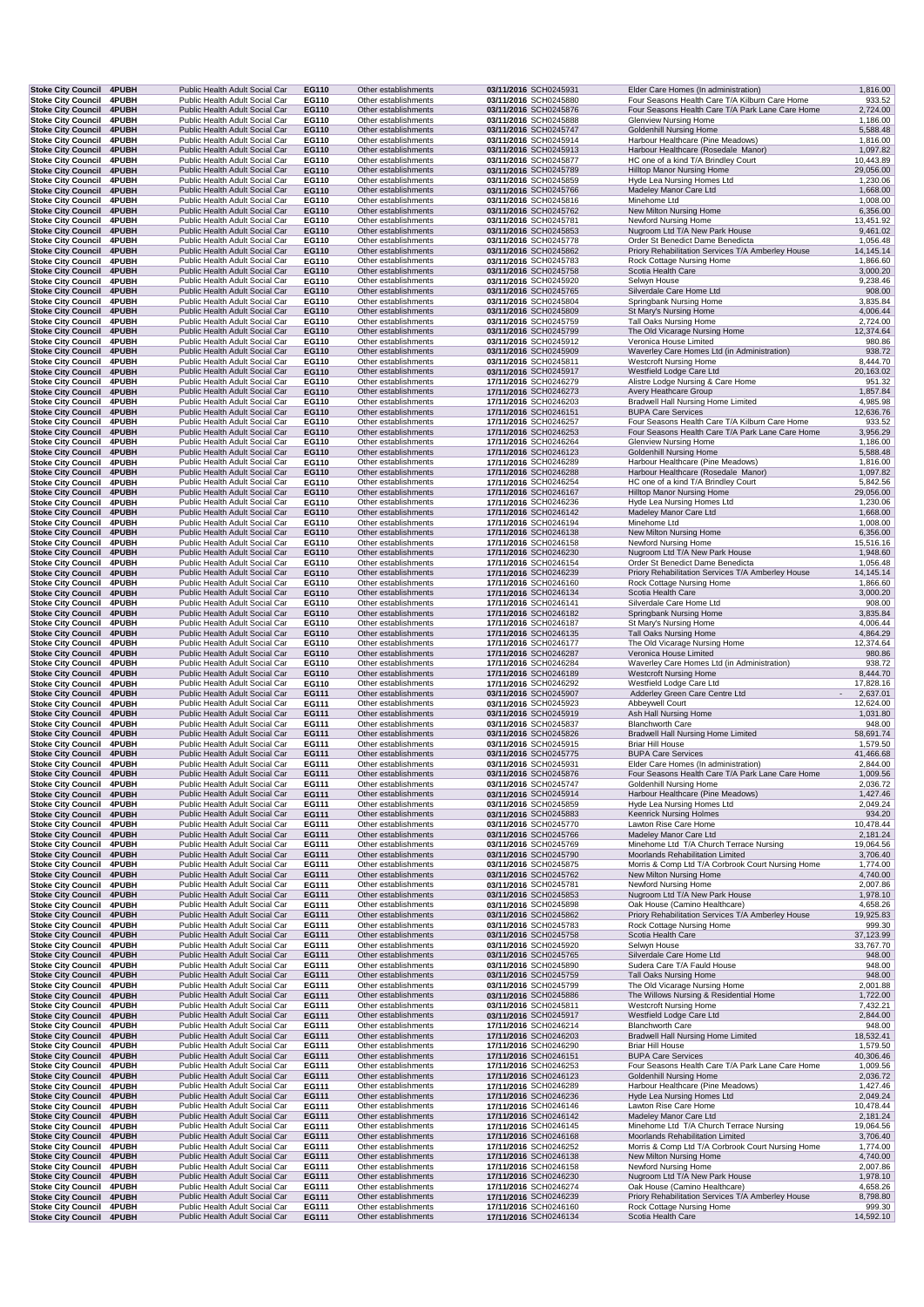| Stoke City Council 4PUBH                               |                       |                                | Public Health Adult Social Car                                   | EG110          | Other establishments                         | 03/11/2016 SCH0245931                          | Elder Care Homes (In administration)                                                               | 1,816.00               |
|--------------------------------------------------------|-----------------------|--------------------------------|------------------------------------------------------------------|----------------|----------------------------------------------|------------------------------------------------|----------------------------------------------------------------------------------------------------|------------------------|
| <b>Stoke City Council</b><br><b>Stoke City Council</b> | 4PUBH<br>4PUBH        |                                | Public Health Adult Social Car<br>Public Health Adult Social Car | EG110<br>EG110 | Other establishments<br>Other establishments | 03/11/2016 SCH0245880<br>03/11/2016 SCH0245876 | Four Seasons Health Care T/A Kilburn Care Home<br>Four Seasons Health Care T/A Park Lane Care Home | 933.52<br>2,724.00     |
| <b>Stoke City Council</b>                              | 4PUBH                 |                                | Public Health Adult Social Car                                   | EG110          | Other establishments                         | 03/11/2016 SCH0245888                          | <b>Glenview Nursing Home</b>                                                                       | 1,186.00               |
| <b>Stoke City Council</b>                              | 4PUBH                 |                                | Public Health Adult Social Car                                   | EG110          | Other establishments                         | 03/11/2016 SCH0245747                          | <b>Goldenhill Nursing Home</b>                                                                     | 5,588.48               |
| <b>Stoke City Council</b>                              | <b>4PUBH</b>          |                                | Public Health Adult Social Car                                   | EG110          | Other establishments                         | 03/11/2016 SCH0245914                          | Harbour Healthcare (Pine Meadows)                                                                  | 1,816.00               |
| <b>Stoke City Council</b>                              | 4PUBH                 |                                | Public Health Adult Social Car                                   | EG110          | Other establishments                         | 03/11/2016 SCH0245913                          | Harbour Healthcare (Rosedale Manor)                                                                | 1,097.82               |
| <b>Stoke City Council</b><br>Stoke City Council 4PUBH  | <b>4PUBH</b>          |                                | Public Health Adult Social Car<br>Public Health Adult Social Car | EG110<br>EG110 | Other establishments<br>Other establishments | 03/11/2016 SCH0245877<br>03/11/2016 SCH0245789 | HC one of a kind T/A Brindley Court<br>Hilltop Manor Nursing Home                                  | 10,443.89<br>29,056.00 |
| <b>Stoke City Council</b>                              | <b>4PUBH</b>          |                                | Public Health Adult Social Car                                   | EG110          | Other establishments                         | 03/11/2016 SCH0245859                          | Hyde Lea Nursing Homes Ltd                                                                         | 1,230.06               |
| Stoke City Council 4PUBH                               |                       |                                | Public Health Adult Social Car                                   | EG110          | Other establishments                         | 03/11/2016 SCH0245766                          | Madeley Manor Care Ltd                                                                             | 1,668.00               |
| Stoke City Council 4PUBH                               |                       |                                | Public Health Adult Social Car                                   | EG110          | Other establishments                         | 03/11/2016 SCH0245816                          | Minehome Ltd                                                                                       | 1,008.00               |
| Stoke City Council 4PUBH<br>Stoke City Council 4PUBH   |                       |                                | Public Health Adult Social Car<br>Public Health Adult Social Car | EG110<br>EG110 | Other establishments<br>Other establishments | 03/11/2016 SCH0245762<br>03/11/2016 SCH0245781 | New Milton Nursing Home<br>Newford Nursing Home                                                    | 6,356.00<br>13,451.92  |
| <b>Stoke City Council</b>                              | 4PUBH                 |                                | Public Health Adult Social Car                                   | EG110          | Other establishments                         | 03/11/2016 SCH0245853                          | Nugroom Ltd T/A New Park House                                                                     | 9,461.02               |
| <b>Stoke City Council</b>                              | 4PUBH                 |                                | Public Health Adult Social Car                                   | EG110          | Other establishments                         | 03/11/2016 SCH0245778                          | Order St Benedict Dame Benedicta                                                                   | 1,056.48               |
| <b>Stoke City Council</b>                              | 4PUBH                 |                                | Public Health Adult Social Car                                   | EG110          | Other establishments                         | 03/11/2016 SCH0245862                          | Priory Rehabilitation Services T/A Amberley House                                                  | 14,145.14              |
| Stoke City Council 4PUBH                               |                       |                                | Public Health Adult Social Car<br>Public Health Adult Social Car | EG110<br>EG110 | Other establishments<br>Other establishments | 03/11/2016 SCH0245783                          | Rock Cottage Nursing Home<br>Scotia Health Care                                                    | 1,866.60<br>3,000.20   |
| <b>Stoke City Council</b><br>Stoke City Council 4PUBH  | 4PUBH                 |                                | Public Health Adult Social Car                                   | EG110          | Other establishments                         | 03/11/2016 SCH0245758<br>03/11/2016 SCH0245920 | Selwyn House                                                                                       | 9,238.46               |
| Stoke City Council 4PUBH                               |                       |                                | Public Health Adult Social Car                                   | EG110          | Other establishments                         | 03/11/2016 SCH0245765                          | Silverdale Care Home Ltd                                                                           | 908.00                 |
| <b>Stoke City Council</b>                              | 4PUBH                 |                                | Public Health Adult Social Car                                   | EG110          | Other establishments                         | 03/11/2016 SCH0245804                          | Springbank Nursing Home                                                                            | 3,835.84               |
| Stoke City Council 4PUBH                               |                       |                                | Public Health Adult Social Car                                   | EG110          | Other establishments                         | 03/11/2016 SCH0245809                          | St Mary's Nursing Home                                                                             | 4,006.44               |
| Stoke City Council 4PUBH<br>Stoke City Council 4PUBH   |                       |                                | Public Health Adult Social Car<br>Public Health Adult Social Car | EG110<br>EG110 | Other establishments<br>Other establishments | 03/11/2016 SCH0245759<br>03/11/2016 SCH0245799 | Tall Oaks Nursing Home<br>The Old Vicarage Nursing Home                                            | 2,724.00<br>12,374.64  |
| <b>Stoke City Council</b>                              | 4PUBH                 |                                | Public Health Adult Social Car                                   | EG110          | Other establishments                         | 03/11/2016 SCH0245912                          | Veronica House Limited                                                                             | 980.86                 |
| <b>Stoke City Council</b>                              | 4PUBH                 |                                | Public Health Adult Social Car                                   | EG110          | Other establishments                         | 03/11/2016 SCH0245909                          | Waverley Care Homes Ltd (in Administration)                                                        | 938.72                 |
| <b>Stoke City Council</b>                              | 4PUBH                 |                                | Public Health Adult Social Car                                   | EG110          | Other establishments                         | 03/11/2016 SCH0245811                          | <b>Westcroft Nursing Home</b>                                                                      | 8,444.70               |
| <b>Stoke City Council</b>                              | 4PUBH                 |                                | Public Health Adult Social Car                                   | EG110          | Other establishments                         | 03/11/2016 SCH0245917                          | Westfield Lodge Care Ltd                                                                           | 20,163.02              |
| <b>Stoke City Council</b><br><b>Stoke City Council</b> | <b>4PUBH</b><br>4PUBH |                                | Public Health Adult Social Car<br>Public Health Adult Social Car | EG110<br>EG110 | Other establishments<br>Other establishments | 17/11/2016 SCH0246279<br>17/11/2016 SCH0246273 | Alistre Lodge Nursing & Care Home<br>Avery Heathcare Group                                         | 951.32<br>1,857.84     |
| <b>Stoke City Council</b>                              | <b>4PUBH</b>          |                                | Public Health Adult Social Car                                   | EG110          | Other establishments                         | 17/11/2016 SCH0246203                          | Bradwell Hall Nursing Home Limited                                                                 | 4,985.98               |
| <b>Stoke City Council</b>                              | <b>4PUBH</b>          |                                | Public Health Adult Social Car                                   | EG110          | Other establishments                         | 17/11/2016 SCH0246151                          | <b>BUPA Care Services</b>                                                                          | 12,636.76              |
| <b>Stoke City Council</b>                              | <b>4PUBH</b>          |                                | Public Health Adult Social Car                                   | EG110          | Other establishments                         | 17/11/2016 SCH0246257                          | Four Seasons Health Care T/A Kilburn Care Home                                                     | 933.52                 |
| <b>Stoke City Council</b><br>Stoke City Council 4PUBH  | 4PUBH                 |                                | Public Health Adult Social Car<br>Public Health Adult Social Car | EG110<br>EG110 | Other establishments<br>Other establishments | 17/11/2016 SCH0246253<br>17/11/2016 SCH0246264 | Four Seasons Health Care T/A Park Lane Care Home<br><b>Glenview Nursing Home</b>                   | 3,956.29<br>1,186.00   |
| Stoke City Council 4PUBH                               |                       |                                | Public Health Adult Social Car                                   | EG110          | Other establishments                         | 17/11/2016 SCH0246123                          | <b>Goldenhill Nursing Home</b>                                                                     | 5,588.48               |
| <b>Stoke City Council</b>                              | <b>4PUBH</b>          |                                | Public Health Adult Social Car                                   | EG110          | Other establishments                         | 17/11/2016 SCH0246289                          | Harbour Healthcare (Pine Meadows)                                                                  | 1,816.00               |
| Stoke City Council 4PUBH                               |                       |                                | Public Health Adult Social Car                                   | EG110          | Other establishments                         | 17/11/2016 SCH0246288                          | Harbour Healthcare (Rosedale Manor)                                                                | 1,097.82               |
| <b>Stoke City Council</b>                              | 4PUBH                 |                                | Public Health Adult Social Car                                   | EG110          | Other establishments                         | 17/11/2016 SCH0246254                          | HC one of a kind T/A Brindley Court                                                                | 5,842.56               |
| <b>Stoke City Council</b><br><b>Stoke City Council</b> | 4PUBH<br><b>4PUBH</b> |                                | Public Health Adult Social Car<br>Public Health Adult Social Car | EG110<br>EG110 | Other establishments<br>Other establishments | 17/11/2016 SCH0246167<br>17/11/2016 SCH0246236 | Hilltop Manor Nursing Home<br>Hyde Lea Nursing Homes Ltd                                           | 29,056.00<br>1,230.06  |
| <b>Stoke City Council</b>                              | 4PUBH                 |                                | Public Health Adult Social Car                                   | <b>EG110</b>   | Other establishments                         | 17/11/2016 SCH0246142                          | Madeley Manor Care Ltd                                                                             | 1,668.00               |
| <b>Stoke City Council</b>                              | <b>4PUBH</b>          |                                | Public Health Adult Social Car                                   | EG110          | Other establishments                         | 17/11/2016 SCH0246194                          | Minehome Ltd                                                                                       | 1,008.00               |
| Stoke City Council 4PUBH                               |                       |                                | Public Health Adult Social Car                                   | EG110          | Other establishments                         | 17/11/2016 SCH0246138                          | New Milton Nursing Home                                                                            | 6,356.00               |
| Stoke City Council 4PUBH                               |                       |                                | Public Health Adult Social Car<br>Public Health Adult Social Car | EG110<br>EG110 | Other establishments<br>Other establishments | 17/11/2016 SCH0246158                          | Newford Nursing Home                                                                               | 15,516.16<br>1,948.60  |
| <b>Stoke City Council</b><br>Stoke City Council 4PUBH  | 4PUBH                 |                                | Public Health Adult Social Car                                   | EG110          | Other establishments                         | 17/11/2016 SCH0246230<br>17/11/2016 SCH0246154 | Nugroom Ltd T/A New Park House<br>Order St Benedict Dame Benedicta                                 | 1,056.48               |
| Stoke City Council 4PUBH                               |                       |                                | Public Health Adult Social Car                                   | EG110          | Other establishments                         | 17/11/2016 SCH0246239                          | Priory Rehabilitation Services T/A Amberley House                                                  | 14,145.14              |
| Stoke City Council 4PUBH                               |                       |                                | Public Health Adult Social Car                                   | EG110          | Other establishments                         | 17/11/2016 SCH0246160                          | Rock Cottage Nursing Home                                                                          | 1,866.60               |
| Stoke City Council 4PUBH                               |                       |                                | Public Health Adult Social Car                                   | EG110          | Other establishments                         | 17/11/2016 SCH0246134                          | Scotia Health Care                                                                                 | 3,000.20               |
| <b>Stoke City Council</b><br><b>Stoke City Council</b> | 4PUBH<br>4PUBH        |                                | Public Health Adult Social Car<br>Public Health Adult Social Car | EG110<br>EG110 | Other establishments<br>Other establishments | 17/11/2016 SCH0246141<br>17/11/2016 SCH0246182 | Silverdale Care Home Ltd<br>Springbank Nursing Home                                                | 908.00<br>3,835.84     |
| <b>Stoke City Council</b>                              | 4PUBH                 |                                | Public Health Adult Social Car                                   | EG110          | Other establishments                         | 17/11/2016 SCH0246187                          | St Mary's Nursing Home                                                                             | 4,006.44               |
| <b>Stoke City Council</b>                              | 4PUBH                 |                                | Public Health Adult Social Car                                   | EG110          | Other establishments                         | 17/11/2016 SCH0246135                          | <b>Tall Oaks Nursing Home</b>                                                                      | 4,864.29               |
| Stoke City Council 4PUBH                               |                       |                                | Public Health Adult Social Car                                   | EG110          | Other establishments                         | 17/11/2016 SCH0246177                          | The Old Vicarage Nursing Home                                                                      | 12,374.64              |
| Stoke City Council 4PUBH                               |                       |                                | Public Health Adult Social Car                                   | EG110          | Other establishments                         | 17/11/2016 SCH0246287                          | Veronica House Limited                                                                             | 980.86                 |
| <b>Stoke City Council</b><br>Stoke City Council 4PUBH  | <b>4PUBH</b>          |                                | Public Health Adult Social Car<br>Public Health Adult Social Car | EG110<br>EG110 | Other establishments<br>Other establishments | 17/11/2016 SCH0246284<br>17/11/2016 SCH0246189 | Waverley Care Homes Ltd (in Administration)<br><b>Westcroft Nursing Home</b>                       | 938.72<br>8,444.70     |
| <b>Stoke City Council</b>                              | 4PUBH                 |                                | Public Health Adult Social Car                                   | EG110          | Other establishments                         | 17/11/2016 SCH0246292                          | Westfield Lodge Care Ltd                                                                           | 17,828.16              |
| Stoke City Council 4PUBH                               |                       |                                | Public Health Adult Social Car                                   | EG111          | Other establishments                         | 03/11/2016 SCH0245907                          | Adderley Green Care Centre Ltd                                                                     | $\sim$<br>2,637.01     |
| Stoke City Council 4PUBH                               |                       |                                | Public Health Adult Social Car                                   | EG111          | Other establishments                         | 03/11/2016 SCH0245923                          | Abbeywell Court                                                                                    | 12,624.00              |
| Stoke City Council 4PUBH<br><b>Stoke City Council</b>  | 4PUBH                 |                                | Public Health Adult Social Car<br>Public Health Adult Social Car | EG111<br>EG111 | Other establishments<br>Other establishments | 03/11/2016 SCH0245919<br>03/11/2016 SCH0245837 | Ash Hall Nursing Home<br><b>Blanchworth Care</b>                                                   | 1,031.80<br>948.00     |
| <b>Stoke City Council</b>                              | 4PUBH                 |                                | Public Health Adult Social Car                                   | EG111          | Other establishments                         | 03/11/2016 SCH0245826                          | <b>Bradwell Hall Nursing Home Limited</b>                                                          | 58,691.74              |
| <b>Stoke City Council</b>                              | 4PUBH                 |                                | Public Health Adult Social Car                                   | EG111          | Other establishments                         | 03/11/2016 SCH0245915                          | <b>Briar Hill House</b>                                                                            | 1,579.50               |
| <b>Stoke City Council</b>                              | 4PUBH                 |                                | Public Health Adult Social Car                                   | EG111          | Other establishments                         | 03/11/2016 SCH0245775                          | <b>BUPA Care Services</b>                                                                          | 41,466.68              |
| Stoke City Council 4PUBH<br>Stoke City Council 4PUBH   |                       |                                | Public Health Adult Social Car                                   | EG111<br>EG111 | Other establishments                         | 03/11/2016 SCH0245931                          | Elder Care Homes (In administration)                                                               | 2,844.00<br>1,009.56   |
| Stoke City Council 4PUBH                               |                       |                                | Public Health Adult Social Car<br>Public Health Adult Social Car | EG111          | Other establishments<br>Other establishments | 03/11/2016 SCH0245876<br>03/11/2016 SCH0245747 | Four Seasons Health Care T/A Park Lane Care Home<br>Goldenhill Nursing Home                        | 2,036.72               |
| Stoke City Council 4PUBH                               |                       |                                | Public Health Adult Social Car                                   | EG111          | Other establishments                         | 03/11/2016 SCH0245914                          | Harbour Healthcare (Pine Meadows)                                                                  | 1,427.46               |
| <b>Stoke City Council</b>                              | 4PUBH                 |                                | Public Health Adult Social Car                                   | EG111          | Other establishments                         | 03/11/2016 SCH0245859                          | Hyde Lea Nursing Homes Ltd                                                                         | 2,049.24               |
| <b>Stoke City Council</b>                              | 4PUBH                 |                                | Public Health Adult Social Car                                   | EG111          | Other establishments                         | 03/11/2016 SCH0245883                          | <b>Keenrick Nursing Holmes</b>                                                                     | 934.20                 |
| Stoke City Council 4PUBH<br><b>Stoke City Council</b>  | 4PUBH                 |                                | Public Health Adult Social Car<br>Public Health Adult Social Car | EG111<br>EG111 | Other establishments<br>Other establishments | 03/11/2016 SCH0245770<br>03/11/2016 SCH0245766 | Lawton Rise Care Home<br>Madeley Manor Care Ltd                                                    | 10,478.44<br>2,181.24  |
| <b>Stoke City Council</b>                              | 4PUBH                 |                                | Public Health Adult Social Car                                   | EG111          | Other establishments                         | 03/11/2016 SCH0245769                          | Minehome Ltd T/A Church Terrace Nursing                                                            | 19,064.56              |
| Stoke City Council 4PUBH                               |                       |                                | Public Health Adult Social Car                                   | EG111          | Other establishments                         | 03/11/2016 SCH0245790                          | Moorlands Rehabilitation Limited                                                                   | 3,706.40               |
| <b>Stoke City Council</b>                              | 4PUBH                 |                                | Public Health Adult Social Car                                   | EG111          | Other establishments                         | 03/11/2016 SCH0245875                          | Morris & Comp Ltd T/A Corbrook Court Nursing Home                                                  | 1,774.00               |
| <b>Stoke City Council</b><br>Stoke City Council 4PUBH  | 4PUBH                 |                                | Public Health Adult Social Car<br>Public Health Adult Social Car | EG111<br>EG111 | Other establishments<br>Other establishments | 03/11/2016 SCH0245762<br>03/11/2016 SCH0245781 | New Milton Nursing Home<br>Newford Nursing Home                                                    | 4,740.00<br>2,007.86   |
| <b>Stoke City Council</b>                              | 4PUBH                 |                                | Public Health Adult Social Car                                   | EG111          | Other establishments                         | 03/11/2016 SCH0245853                          | Nugroom Ltd T/A New Park House                                                                     | 1,978.10               |
| <b>Stoke City Council</b>                              | 4PUBH                 |                                | Public Health Adult Social Car                                   | EG111          | Other establishments                         | 03/11/2016 SCH0245898                          | Oak House (Camino Healthcare)                                                                      | 4,658.26               |
| Stoke City Council 4PUBH                               |                       |                                | Public Health Adult Social Car                                   | EG111          | Other establishments                         | 03/11/2016 SCH0245862                          | Priory Rehabilitation Services T/A Amberley House                                                  | 19,925.83              |
| Stoke City Council 4PUBH                               |                       |                                | Public Health Adult Social Car                                   | EG111          | Other establishments                         | 03/11/2016 SCH0245783<br>03/11/2016 SCH0245758 | Rock Cottage Nursing Home<br>Scotia Health Care                                                    | 999.30                 |
| <b>Stoke City Council</b><br>Stoke City Council 4PUBH  | 4PUBH                 |                                | Public Health Adult Social Car<br>Public Health Adult Social Car | EG111<br>EG111 | Other establishments<br>Other establishments | 03/11/2016 SCH0245920                          | Selwyn House                                                                                       | 37,123.99<br>33,767.70 |
| Stoke City Council 4PUBH                               |                       |                                | Public Health Adult Social Car                                   | EG111          | Other establishments                         | 03/11/2016 SCH0245765                          | Silverdale Care Home Ltd                                                                           | 948.00                 |
| <b>Stoke City Council</b>                              | 4PUBH                 |                                | Public Health Adult Social Car                                   | EG111          | Other establishments                         | 03/11/2016 SCH0245890                          | Sudera Care T/A Fauld House                                                                        | 948.00                 |
| <b>Stoke City Council</b>                              | 4PUBH                 |                                | Public Health Adult Social Car                                   | EG111          | Other establishments                         | 03/11/2016 SCH0245759                          | Tall Oaks Nursing Home                                                                             | 948.00                 |
| <b>Stoke City Council</b><br><b>Stoke City Council</b> | 4PUBH<br>4PUBH        |                                | Public Health Adult Social Car<br>Public Health Adult Social Car | EG111<br>EG111 | Other establishments<br>Other establishments | 03/11/2016 SCH0245799<br>03/11/2016 SCH0245886 | The Old Vicarage Nursing Home<br>The Willows Nursing & Residential Home                            | 2,001.88<br>1,722.00   |
| Stoke City Council 4PUBH                               |                       |                                | Public Health Adult Social Car                                   | EG111          | Other establishments                         | 03/11/2016 SCH0245811                          | <b>Westcroft Nursing Home</b>                                                                      | 7,432.21               |
| Stoke City Council 4PUBH                               |                       |                                | Public Health Adult Social Car                                   | EG111          | Other establishments                         | 03/11/2016 SCH0245917                          | Westfield Lodge Care Ltd                                                                           | 2,844.00               |
| <b>Stoke City Council</b>                              | <b>4PUBH</b>          |                                | Public Health Adult Social Car                                   | EG111          | Other establishments                         | 17/11/2016 SCH0246214                          | <b>Blanchworth Care</b>                                                                            | 948.00                 |
| Stoke City Council 4PUBH                               |                       |                                | Public Health Adult Social Car                                   | EG111          | Other establishments                         | 17/11/2016 SCH0246203                          | <b>Bradwell Hall Nursing Home Limited</b><br><b>Briar Hill House</b>                               | 18,532.41              |
| Stoke City Council 4PUBH<br><b>Stoke City Council</b>  | 4PUBH                 |                                | Public Health Adult Social Car<br>Public Health Adult Social Car | EG111<br>EG111 | Other establishments<br>Other establishments | 17/11/2016 SCH0246290<br>17/11/2016 SCH0246151 | <b>BUPA Care Services</b>                                                                          | 1,579.50<br>40,306.46  |
| Stoke City Council 4PUBH                               |                       |                                | Public Health Adult Social Car                                   | EG111          | Other establishments                         | 17/11/2016 SCH0246253                          | Four Seasons Health Care T/A Park Lane Care Home                                                   | 1,009.56               |
| Stoke City Council 4PUBH                               |                       |                                | Public Health Adult Social Car                                   | EG111          | Other establishments                         | 17/11/2016 SCH0246123                          | <b>Goldenhill Nursing Home</b>                                                                     | 2,036.72               |
| <b>Stoke City Council</b>                              | 4PUBH                 |                                | Public Health Adult Social Car                                   | EG111          | Other establishments                         | 17/11/2016 SCH0246289                          | Harbour Healthcare (Pine Meadows)                                                                  | 1,427.46               |
| Stoke City Council 4PUBH<br><b>Stoke City Council</b>  | 4PUBH                 |                                | Public Health Adult Social Car<br>Public Health Adult Social Car | EG111<br>EG111 | Other establishments<br>Other establishments | 17/11/2016 SCH0246236<br>17/11/2016 SCH0246146 | Hyde Lea Nursing Homes Ltd<br>Lawton Rise Care Home                                                | 2,049.24<br>10,478.44  |
| <b>Stoke City Council</b>                              | 4PUBH                 |                                | Public Health Adult Social Car                                   | EG111          | Other establishments                         | 17/11/2016 SCH0246142                          | Madeley Manor Care Ltd                                                                             | 2,181.24               |
| <b>Stoke City Council</b>                              | 4PUBH                 |                                | Public Health Adult Social Car                                   | EG111          | Other establishments                         | 17/11/2016 SCH0246145                          | Minehome Ltd T/A Church Terrace Nursing                                                            | 19,064.56              |
| <b>Stoke City Council</b>                              | 4PUBH                 |                                | Public Health Adult Social Car                                   | EG111          | Other establishments                         | 17/11/2016 SCH0246168                          | Moorlands Rehabilitation Limited                                                                   | 3,706.40               |
| <b>Stoke City Council</b>                              | <b>4PUBH</b>          |                                | Public Health Adult Social Car                                   | EG111          | Other establishments                         | 17/11/2016 SCH0246252                          | Morris & Comp Ltd T/A Corbrook Court Nursing Home                                                  | 1,774.00               |
| Stoke City Council 4PUBH<br>Stoke City Council 4PUBH   |                       |                                | Public Health Adult Social Car<br>Public Health Adult Social Car | EG111<br>EG111 | Other establishments<br>Other establishments | 17/11/2016 SCH0246138<br>17/11/2016 SCH0246158 | New Milton Nursing Home<br>Newford Nursing Home                                                    | 4,740.00<br>2,007.86   |
| Stoke City Council 4PUBH                               |                       |                                | Public Health Adult Social Car                                   | EG111          | Other establishments                         | 17/11/2016 SCH0246230                          | Nugroom Ltd T/A New Park House                                                                     | 1,978.10               |
| <b>Stoke City Council</b>                              | <b>4PUBH</b>          |                                | Public Health Adult Social Car                                   | EG111          | Other establishments                         | 17/11/2016 SCH0246274                          | Oak House (Camino Healthcare)                                                                      | 4,658.26               |
| <b>Stoke City Council</b>                              | 4PUBH                 |                                | Public Health Adult Social Car                                   | EG111          | Other establishments                         | 17/11/2016 SCH0246239                          | Priory Rehabilitation Services T/A Amberley House                                                  | 8,798.80               |
| <b>Stoke City Council</b>                              | 4PUBH                 |                                | Public Health Adult Social Car                                   | EG111          | Other establishments                         | 17/11/2016 SCH0246160                          | Rock Cottage Nursing Home                                                                          | 999.30                 |
| <b>Stoke City Council</b>                              | 4PUBH                 | Public Health Adult Social Car |                                                                  | EG111          | Other establishments                         | 17/11/2016 SCH0246134                          | Scotia Health Care                                                                                 | 14,592.10              |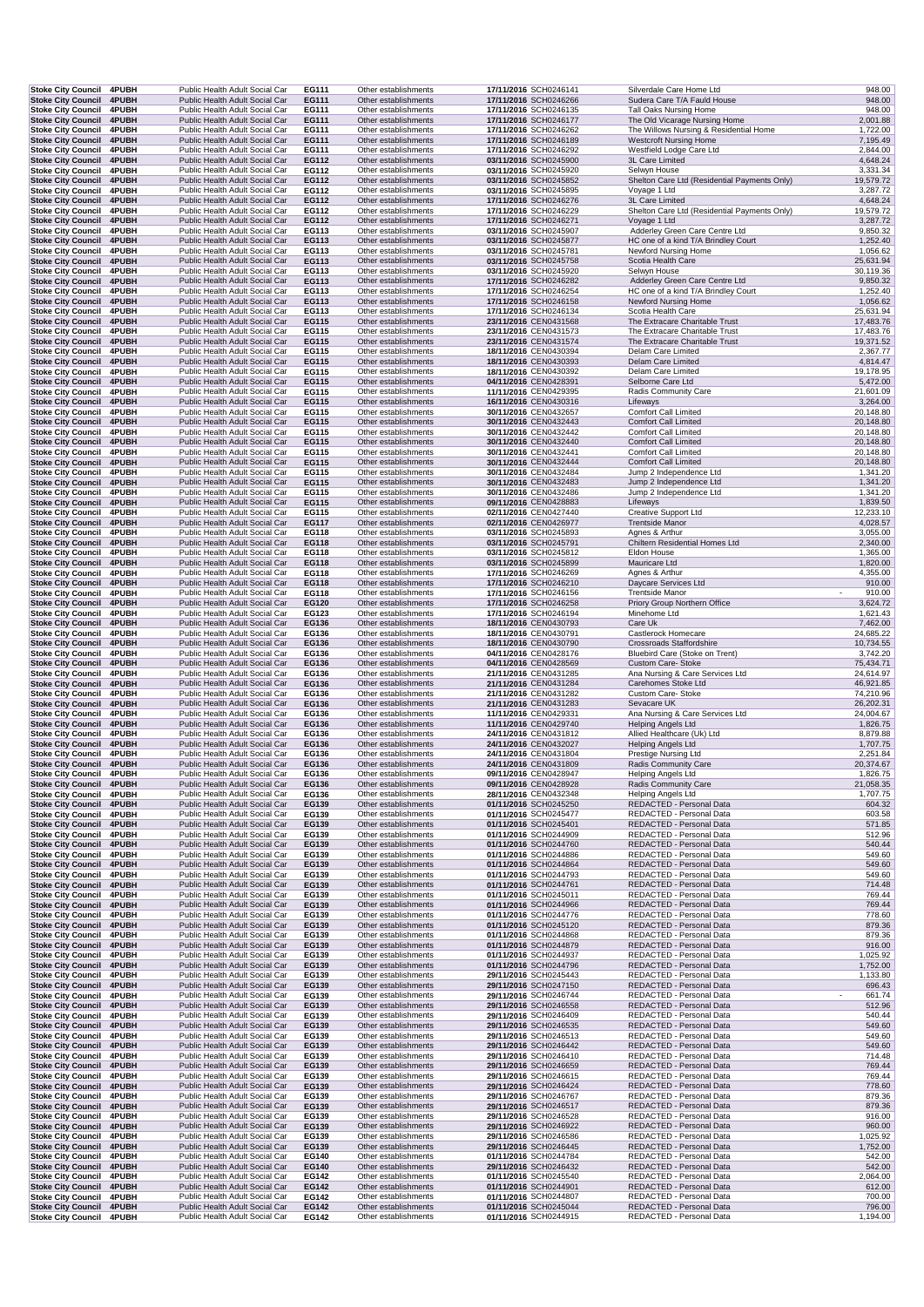| Stoke City Council 4PUBH                               |                       | Public Health Adult Social Car                                   | EG111          | Other establishments                         | 17/11/2016 SCH0246141                          |                       | Silverdale Care Home Ltd                                         | 948.00                       |
|--------------------------------------------------------|-----------------------|------------------------------------------------------------------|----------------|----------------------------------------------|------------------------------------------------|-----------------------|------------------------------------------------------------------|------------------------------|
| <b>Stoke City Council</b>                              | 4PUBH                 | Public Health Adult Social Car                                   | EG111          | Other establishments                         | 17/11/2016 SCH0246266                          |                       | Sudera Care T/A Fauld House                                      | 948.00                       |
| <b>Stoke City Council</b><br><b>Stoke City Council</b> | 4PUBH<br>4PUBH        | Public Health Adult Social Car<br>Public Health Adult Social Car | EG111<br>EG111 | Other establishments<br>Other establishments | 17/11/2016 SCH0246135<br>17/11/2016 SCH0246177 |                       | Tall Oaks Nursing Home<br>The Old Vicarage Nursing Home          | 948.00<br>2,001.88           |
| <b>Stoke City Council</b>                              | 4PUBH                 | Public Health Adult Social Car                                   | EG111          | Other establishments                         | 17/11/2016 SCH0246262                          |                       | The Willows Nursing & Residential Home                           | 1,722.00                     |
| <b>Stoke City Council</b>                              | 4PUBH                 | Public Health Adult Social Car                                   | EG111          | Other establishments                         | 17/11/2016 SCH0246189                          |                       | <b>Westcroft Nursing Home</b>                                    | 7,195.49                     |
| <b>Stoke City Council</b>                              | <b>4PUBH</b>          | Public Health Adult Social Car                                   | EG111          | Other establishments                         | 17/11/2016 SCH0246292                          |                       | Westfield Lodge Care Ltd                                         | 2,844.00                     |
| <b>Stoke City Council</b><br><b>Stoke City Council</b> | 4PUBH<br><b>4PUBH</b> | Public Health Adult Social Car<br>Public Health Adult Social Car | EG112<br>EG112 | Other establishments<br>Other establishments | 03/11/2016 SCH0245900<br>03/11/2016 SCH0245920 |                       | 3L Care Limited<br>Selwyn House                                  | 4,648.24<br>3,331.34         |
| <b>Stoke City Council</b>                              | 4PUBH                 | Public Health Adult Social Car                                   | EG112          | Other establishments                         | 03/11/2016 SCH0245852                          |                       | Shelton Care Ltd (Residential Payments Only)                     | 19,579.72                    |
| Stoke City Council 4PUBH                               |                       | Public Health Adult Social Car                                   | EG112          | Other establishments                         | 03/11/2016 SCH0245895                          |                       | Voyage 1 Ltd                                                     | 3,287.72                     |
| Stoke City Council 4PUBH                               |                       | Public Health Adult Social Car                                   | EG112          | Other establishments                         | 17/11/2016 SCH0246276                          |                       | 3L Care Limited                                                  | 4,648.24                     |
| <b>Stoke City Council</b>                              | 4PUBH                 | Public Health Adult Social Car                                   | EG112          | Other establishments                         | 17/11/2016 SCH0246229                          |                       | Shelton Care Ltd (Residential Payments Only)                     | 19,579.72                    |
| Stoke City Council 4PUBH<br><b>Stoke City Council</b>  | <b>4PUBH</b>          | Public Health Adult Social Car<br>Public Health Adult Social Car | EG112<br>EG113 | Other establishments<br>Other establishments | 17/11/2016 SCH0246271<br>03/11/2016 SCH0245907 |                       | Voyage 1 Ltd<br>Adderley Green Care Centre Ltd                   | 3,287.72<br>9,850.32         |
| <b>Stoke City Council</b>                              | 4PUBH                 | Public Health Adult Social Car                                   | EG113          | Other establishments                         | 03/11/2016 SCH0245877                          |                       | HC one of a kind T/A Brindley Court                              | 1,252.40                     |
| <b>Stoke City Council</b>                              | 4PUBH                 | Public Health Adult Social Car                                   | EG113          | Other establishments                         | 03/11/2016 SCH0245781                          |                       | Newford Nursing Home                                             | 1,056.62                     |
| <b>Stoke City Council</b>                              | 4PUBH                 | Public Health Adult Social Car                                   | EG113          | Other establishments                         | 03/11/2016 SCH0245758                          |                       | Scotia Health Care                                               | 25,631.94                    |
| <b>Stoke City Council</b>                              | <b>4PUBH</b>          | Public Health Adult Social Car                                   | EG113          | Other establishments                         | 03/11/2016 SCH0245920                          |                       | Selwyn House<br>Adderley Green Care Centre Ltd                   | 30,119.36                    |
| Stoke City Council 4PUBH<br>Stoke City Council 4PUBH   |                       | Public Health Adult Social Car<br>Public Health Adult Social Car | EG113<br>EG113 | Other establishments<br>Other establishments | 17/11/2016 SCH0246282<br>17/11/2016 SCH0246254 |                       | HC one of a kind T/A Brindley Court                              | 9,850.32<br>1,252.40         |
| <b>Stoke City Council</b>                              | 4PUBH                 | Public Health Adult Social Car                                   | EG113          | Other establishments                         | 17/11/2016 SCH0246158                          |                       | Newford Nursing Home                                             | 1,056.62                     |
| <b>Stoke City Council</b>                              | 4PUBH                 | Public Health Adult Social Car                                   | EG113          | Other establishments                         |                                                | 17/11/2016 SCH0246134 | Scotia Health Care                                               | 25,631.94                    |
| <b>Stoke City Council</b>                              | 4PUBH                 | Public Health Adult Social Car                                   | EG115          | Other establishments                         | 23/11/2016 CEN0431568                          |                       | The Extracare Charitable Trust                                   | 17,483.76                    |
| <b>Stoke City Council</b><br>Stoke City Council 4PUBH  | <b>4PUBH</b>          | Public Health Adult Social Car<br>Public Health Adult Social Car | EG115          | Other establishments<br>Other establishments | 23/11/2016 CEN0431573<br>23/11/2016 CEN0431574 |                       | The Extracare Charitable Trust<br>The Extracare Charitable Trust | 17,483.76<br>19,371.52       |
| <b>Stoke City Council</b>                              | <b>4PUBH</b>          | Public Health Adult Social Car                                   | EG115<br>EG115 | Other establishments                         | 18/11/2016 CEN0430394                          |                       | Delam Care Limited                                               | 2,367.77                     |
| <b>Stoke City Council</b>                              | 4PUBH                 | Public Health Adult Social Car                                   | EG115          | Other establishments                         | 18/11/2016 CEN0430393                          |                       | Delam Care Limited                                               | 4,814.47                     |
| <b>Stoke City Council</b>                              | 4PUBH                 | Public Health Adult Social Car                                   | EG115          | Other establishments                         | 18/11/2016 CEN0430392                          |                       | Delam Care Limited                                               | 19,178.95                    |
| <b>Stoke City Council</b>                              | 4PUBH                 | Public Health Adult Social Car                                   | EG115          | Other establishments                         | 04/11/2016 CEN0428391                          |                       | Selborne Care Ltd                                                | 5,472.00                     |
| <b>Stoke City Council</b>                              | 4PUBH                 | Public Health Adult Social Car                                   | EG115          | Other establishments                         | 11/11/2016 CEN0429395                          |                       | Radis Community Care                                             | 21,601.09                    |
| <b>Stoke City Council</b><br><b>Stoke City Council</b> | 4PUBH<br><b>4PUBH</b> | Public Health Adult Social Car<br>Public Health Adult Social Car | EG115<br>EG115 | Other establishments<br>Other establishments | 16/11/2016 CEN0430316<br>30/11/2016 CEN0432657 |                       | Lifeways<br><b>Comfort Call Limited</b>                          | 3,264.00<br>20,148.80        |
| Stoke City Council 4PUBH                               |                       | Public Health Adult Social Car                                   | EG115          | Other establishments                         | 30/11/2016 CEN0432443                          |                       | <b>Comfort Call Limited</b>                                      | 20,148.80                    |
| <b>Stoke City Council</b>                              | 4PUBH                 | Public Health Adult Social Car                                   | EG115          | Other establishments                         | 30/11/2016 CEN0432442                          |                       | <b>Comfort Call Limited</b>                                      | 20,148.80                    |
| <b>Stoke City Council</b>                              | 4PUBH                 | Public Health Adult Social Car                                   | EG115          | Other establishments                         | 30/11/2016 CEN0432440                          |                       | <b>Comfort Call Limited</b>                                      | 20,148.80                    |
| <b>Stoke City Council</b>                              | <b>4PUBH</b>          | Public Health Adult Social Car                                   | EG115          | Other establishments                         | 30/11/2016 CEN0432441                          |                       | <b>Comfort Call Limited</b>                                      | 20,148.80                    |
| <b>Stoke City Council</b><br>Stoke City Council 4PUBH  | <b>4PUBH</b>          | Public Health Adult Social Car<br>Public Health Adult Social Car | EG115<br>EG115 | Other establishments<br>Other establishments | 30/11/2016 CEN0432444<br>30/11/2016 CEN0432484 |                       | <b>Comfort Call Limited</b><br>Jump 2 Independence Ltd           | 20,148.80<br>1,341.20        |
| <b>Stoke City Council</b>                              | 4PUBH                 | Public Health Adult Social Car                                   | EG115          | Other establishments                         | 30/11/2016 CEN0432483                          |                       | Jump 2 Independence Ltd                                          | 1,341.20                     |
| <b>Stoke City Council</b>                              | 4PUBH                 | Public Health Adult Social Car                                   | EG115          | Other establishments                         | 30/11/2016 CEN0432486                          |                       | Jump 2 Independence Ltd                                          | 1,341.20                     |
| <b>Stoke City Council</b>                              | 4PUBH                 | Public Health Adult Social Car                                   | EG115          | Other establishments                         | 09/11/2016 CEN0428883                          |                       | Lifeways                                                         | 1,839.50                     |
| <b>Stoke City Council</b>                              | 4PUBH                 | Public Health Adult Social Car                                   | EG115          | Other establishments                         | 02/11/2016 CEN0427440                          |                       | Creative Support Ltd                                             | 12,233.10                    |
| <b>Stoke City Council</b><br>Stoke City Council 4PUBH  | 4PUBH                 | Public Health Adult Social Car                                   | EG117          | Other establishments                         | 02/11/2016 CEN0426977                          |                       | <b>Trentside Manor</b>                                           | 4,028.57                     |
| Stoke City Council 4PUBH                               |                       | Public Health Adult Social Car<br>Public Health Adult Social Car | EG118<br>EG118 | Other establishments<br>Other establishments | 03/11/2016 SCH0245893<br>03/11/2016 SCH0245791 |                       | Agnes & Arthur<br>Chiltern Residential Homes Ltd                 | 3,055.00<br>2,340.00         |
| <b>Stoke City Council</b>                              | 4PUBH                 | Public Health Adult Social Car                                   | EG118          | Other establishments                         | 03/11/2016 SCH0245812                          |                       | Eldon House                                                      | 1,365.00                     |
| <b>Stoke City Council</b>                              | 4PUBH                 | Public Health Adult Social Car                                   | EG118          | Other establishments                         | 03/11/2016 SCH0245899                          |                       | Mauricare Ltd                                                    | 1,820.00                     |
| <b>Stoke City Council</b>                              | <b>4PUBH</b>          | Public Health Adult Social Car                                   | EG118          | Other establishments                         | 17/11/2016 SCH0246269                          |                       | Agnes & Arthur                                                   | 4,355.00                     |
| <b>Stoke City Council</b>                              | 4PUBH                 | Public Health Adult Social Car                                   | EG118          | Other establishments                         | 17/11/2016 SCH0246210                          |                       | Daycare Services Ltd                                             | 910.00                       |
| <b>Stoke City Council</b><br><b>Stoke City Council</b> | 4PUBH<br>4PUBH        | Public Health Adult Social Car<br>Public Health Adult Social Car | EG118<br>EG120 | Other establishments<br>Other establishments | 17/11/2016 SCH0246156<br>17/11/2016 SCH0246258 |                       | <b>Trentside Manor</b><br>Priory Group Northern Office           | 910.00<br>$\sim$<br>3,624.72 |
| <b>Stoke City Council</b>                              | 4PUBH                 | Public Health Adult Social Car                                   | EG123          | Other establishments                         | 17/11/2016 SCH0246194                          |                       | Minehome Ltd                                                     | 1,621.43                     |
| <b>Stoke City Council</b>                              | 4PUBH                 | Public Health Adult Social Car                                   | EG136          | Other establishments                         | 18/11/2016 CEN0430793                          |                       | Care Uk                                                          | 7,462.00                     |
| <b>Stoke City Council</b>                              | 4PUBH                 | Public Health Adult Social Car                                   | EG136          | Other establishments                         | 18/11/2016 CEN0430791                          |                       | Castlerock Homecare                                              | 24,685.22                    |
| <b>Stoke City Council</b>                              | 4PUBH                 | Public Health Adult Social Car                                   | EG136          | Other establishments                         | 18/11/2016 CEN0430790                          |                       | Crossroads Staffordshire                                         | 10,734.55                    |
| <b>Stoke City Council</b><br>Stoke City Council 4PUBH  | 4PUBH                 | Public Health Adult Social Car<br>Public Health Adult Social Car | EG136<br>EG136 | Other establishments<br>Other establishments | 04/11/2016 CEN0428176<br>04/11/2016 CEN0428569 |                       | Bluebird Care (Stoke on Trent)<br>Custom Care- Stoke             | 3,742.20                     |
| <b>Stoke City Council</b>                              | <b>4PUBH</b>          | Public Health Adult Social Car                                   | EG136          | Other establishments                         | 21/11/2016 CEN0431285                          |                       | Ana Nursing & Care Services Ltd                                  | 75,434.71<br>24,614.97       |
| <b>Stoke City Council</b>                              | 4PUBH                 | Public Health Adult Social Car                                   | EG136          | Other establishments                         | 21/11/2016 CEN0431284                          |                       | Carehomes Stoke Ltd                                              | 46,921.85                    |
| <b>Stoke City Council</b>                              | <b>4PUBH</b>          | Public Health Adult Social Car                                   | EG136          | Other establishments                         |                                                | 21/11/2016 CEN0431282 | Custom Care- Stoke                                               | 74,210.96                    |
| <b>Stoke City Council</b>                              | 4PUBH                 | Public Health Adult Social Car                                   | EG136          | Other establishments                         | 21/11/2016 CEN0431283                          |                       | Sevacare UK                                                      | 26,202.31                    |
| <b>Stoke City Council</b>                              | 4PUBH                 | Public Health Adult Social Car                                   | EG136          | Other establishments                         | 11/11/2016 CEN0429331                          |                       | Ana Nursing & Care Services Ltd                                  | 24,004.67                    |
| Stoke City Council 4PUBH<br><b>Stoke City Council</b>  | <b>4PUBH</b>          | Public Health Adult Social Car<br>Public Health Adult Social Car | EG136<br>EG136 | Other establishments<br>Other establishments | 11/11/2016 CEN0429740<br>24/11/2016 CEN0431812 |                       | <b>Helping Angels Ltd</b>                                        | 1,826.75                     |
| <b>Stoke City Council</b>                              | 4PUBH                 | Public Health Adult Social Car                                   | EG136          | Other establishments                         | 24/11/2016 CEN0432027                          |                       | Allied Healthcare (Uk) Ltd<br><b>Helping Angels Ltd</b>          | 8,879.88<br>1,707.75         |
| <b>Stoke City Council</b>                              | 4PUBH                 | Public Health Adult Social Car                                   | EG136          | Other establishments                         | 24/11/2016 CEN0431804                          |                       | Prestige Nursing Ltd                                             | 2,251.84                     |
| Stoke City Council 4PUBH                               |                       | Public Health Adult Social Car                                   | EG136          | Other establishments                         | 24/11/2016 CEN0431809                          |                       | Radis Community Care                                             | 20,374.67                    |
| Stoke City Council 4PUBH                               |                       | Public Health Adult Social Car                                   | EG136          | Other establishments                         | 09/11/2016 CEN0428947                          |                       | <b>Helping Angels Ltd</b>                                        | 1,826.75                     |
| Stoke City Council 4PUBH<br>Stoke City Council 4PUBH   |                       | Public Health Adult Social Car<br>Public Health Adult Social Car | EG136<br>EG136 | Other establishments<br>Other establishments | 09/11/2016 CEN0428928<br>28/11/2016 CEN0432348 |                       | Radis Community Care<br><b>Helping Angels Ltd</b>                | 21,058.35<br>1,707.75        |
| <b>Stoke City Council</b>                              | 4PUBH                 | Public Health Adult Social Car                                   | EG139          | Other establishments                         | 01/11/2016 SCH0245250                          |                       | REDACTED - Personal Data                                         | 604.32                       |
| <b>Stoke City Council</b>                              | <b>4PUBH</b>          | Public Health Adult Social Car                                   | EG139          | Other establishments                         | 01/11/2016 SCH0245477                          |                       | REDACTED - Personal Data                                         | 603.58                       |
| <b>Stoke City Council</b>                              | 4PUBH                 | Public Health Adult Social Car                                   | EG139          | Other establishments                         | 01/11/2016 SCH0245401                          |                       | REDACTED - Personal Data                                         | 571.85                       |
| <b>Stoke City Council</b>                              | 4PUBH                 | Public Health Adult Social Car                                   | EG139          | Other establishments                         | 01/11/2016 SCH0244909                          |                       | REDACTED - Personal Data                                         | 512.96                       |
| Stoke City Council 4PUBH<br>Stoke City Council 4PUBH   |                       | Public Health Adult Social Car<br>Public Health Adult Social Car | EG139<br>EG139 | Other establishments<br>Other establishments | 01/11/2016 SCH0244760<br>01/11/2016 SCH0244886 |                       | REDACTED - Personal Data<br>REDACTED - Personal Data             | 540.44<br>549.60             |
| <b>Stoke City Council</b>                              | 4PUBH                 | Public Health Adult Social Car                                   | EG139          | Other establishments                         | 01/11/2016 SCH0244864                          |                       | REDACTED - Personal Data                                         | 549.60                       |
| <b>Stoke City Council</b>                              | 4PUBH                 | Public Health Adult Social Car                                   | EG139          | Other establishments                         | 01/11/2016 SCH0244793                          |                       | REDACTED - Personal Data                                         | 549.60                       |
| <b>Stoke City Council</b>                              | 4PUBH                 | Public Health Adult Social Car                                   | EG139          | Other establishments                         | 01/11/2016 SCH0244761                          |                       | REDACTED - Personal Data                                         | 714.48                       |
| <b>Stoke City Council</b><br>Stoke City Council 4PUBH  | 4PUBH                 | Public Health Adult Social Car<br>Public Health Adult Social Car | EG139<br>EG139 | Other establishments<br>Other establishments | 01/11/2016 SCH0245011<br>01/11/2016 SCH0244966 |                       | REDACTED - Personal Data<br>REDACTED - Personal Data             | 769.44<br>769.44             |
| Stoke City Council 4PUBH                               |                       | Public Health Adult Social Car                                   | EG139          | Other establishments                         | 01/11/2016 SCH0244776                          |                       | REDACTED - Personal Data                                         | 778.60                       |
| Stoke City Council 4PUBH                               |                       | Public Health Adult Social Car                                   | EG139          | Other establishments                         | 01/11/2016 SCH0245120                          |                       | REDACTED - Personal Data                                         | 879.36                       |
| <b>Stoke City Council</b>                              | 4PUBH                 | Public Health Adult Social Car                                   | EG139          | Other establishments                         | 01/11/2016 SCH0244868                          |                       | REDACTED - Personal Data                                         | 879.36                       |
| <b>Stoke City Council</b>                              | 4PUBH                 | Public Health Adult Social Car                                   | EG139          | Other establishments                         | 01/11/2016 SCH0244879                          |                       | REDACTED - Personal Data                                         | 916.00                       |
| <b>Stoke City Council</b><br>Stoke City Council 4PUBH  | 4PUBH                 | Public Health Adult Social Car<br>Public Health Adult Social Car | EG139<br>EG139 | Other establishments<br>Other establishments | 01/11/2016 SCH0244937<br>01/11/2016 SCH0244796 |                       | REDACTED - Personal Data<br>REDACTED - Personal Data             | 1,025.92<br>1,752.00         |
| Stoke City Council 4PUBH                               |                       | Public Health Adult Social Car                                   | EG139          | Other establishments                         | 29/11/2016 SCH0245443                          |                       | REDACTED - Personal Data                                         | 1,133.80                     |
| <b>Stoke City Council</b>                              | 4PUBH                 | Public Health Adult Social Car                                   | EG139          | Other establishments                         | 29/11/2016 SCH0247150                          |                       | REDACTED - Personal Data                                         | 696.43                       |
| <b>Stoke City Council</b>                              | 4PUBH                 | Public Health Adult Social Car                                   | EG139          | Other establishments                         |                                                | 29/11/2016 SCH0246744 | REDACTED - Personal Data                                         | 661.74                       |
| <b>Stoke City Council</b>                              | 4PUBH                 | Public Health Adult Social Car                                   | EG139          | Other establishments                         |                                                | 29/11/2016 SCH0246558 | REDACTED - Personal Data                                         | 512.96                       |
| <b>Stoke City Council</b><br>Stoke City Council 4PUBH  | <b>4PUBH</b>          | Public Health Adult Social Car<br>Public Health Adult Social Car | EG139<br>EG139 | Other establishments<br>Other establishments | 29/11/2016 SCH0246409<br>29/11/2016 SCH0246535 |                       | REDACTED - Personal Data<br>REDACTED - Personal Data             | 540.44<br>549.60             |
| Stoke City Council 4PUBH                               |                       | Public Health Adult Social Car                                   | EG139          | Other establishments                         | 29/11/2016 SCH0246513                          |                       | REDACTED - Personal Data                                         | 549.60                       |
| Stoke City Council 4PUBH                               |                       | Public Health Adult Social Car                                   | EG139          | Other establishments                         | 29/11/2016 SCH0246442                          |                       | REDACTED - Personal Data                                         | 549.60                       |
| <b>Stoke City Council</b>                              | 4PUBH                 | Public Health Adult Social Car                                   | EG139          | Other establishments                         |                                                | 29/11/2016 SCH0246410 | REDACTED - Personal Data                                         | 714.48                       |
| <b>Stoke City Council</b>                              | 4PUBH                 | Public Health Adult Social Car                                   | EG139          | Other establishments                         | 29/11/2016 SCH0246659                          |                       | REDACTED - Personal Data                                         | 769.44                       |
| <b>Stoke City Council</b><br><b>Stoke City Council</b> | <b>4PUBH</b><br>4PUBH | Public Health Adult Social Car<br>Public Health Adult Social Car | EG139<br>EG139 | Other establishments<br>Other establishments | 29/11/2016 SCH0246615<br>29/11/2016 SCH0246424 |                       | REDACTED - Personal Data<br>REDACTED - Personal Data             | 769.44<br>778.60             |
| Stoke City Council 4PUBH                               |                       | Public Health Adult Social Car                                   | EG139          | Other establishments                         | 29/11/2016 SCH0246767                          |                       | REDACTED - Personal Data                                         | 879.36                       |
| Stoke City Council 4PUBH                               |                       | Public Health Adult Social Car                                   | EG139          | Other establishments                         |                                                | 29/11/2016 SCH0246517 | REDACTED - Personal Data                                         | 879.36                       |
| <b>Stoke City Council</b>                              | 4PUBH                 | Public Health Adult Social Car                                   | EG139          | Other establishments                         | 29/11/2016 SCH0246528                          |                       | REDACTED - Personal Data                                         | 916.00                       |
| <b>Stoke City Council</b>                              | 4PUBH                 | Public Health Adult Social Car                                   | EG139          | Other establishments                         |                                                | 29/11/2016 SCH0246922 | REDACTED - Personal Data                                         | 960.00                       |
| <b>Stoke City Council</b><br><b>Stoke City Council</b> | 4PUBH<br>4PUBH        | Public Health Adult Social Car<br>Public Health Adult Social Car | EG139<br>EG139 | Other establishments<br>Other establishments | 29/11/2016 SCH0246445                          | 29/11/2016 SCH0246586 | REDACTED - Personal Data<br>REDACTED - Personal Data             | 1,025.92<br>1,752.00         |
| Stoke City Council 4PUBH                               |                       | Public Health Adult Social Car                                   | EG140          | Other establishments                         | 01/11/2016 SCH0244784                          |                       | REDACTED - Personal Data                                         | 542.00                       |
| Stoke City Council 4PUBH                               |                       | Public Health Adult Social Car                                   | EG140          | Other establishments                         | 29/11/2016 SCH0246432                          |                       | REDACTED - Personal Data                                         | 542.00                       |
| Stoke City Council 4PUBH                               |                       | Public Health Adult Social Car                                   | EG142          | Other establishments                         | 01/11/2016 SCH0245540                          |                       | REDACTED - Personal Data                                         | 2,064.00                     |
| Stoke City Council 4PUBH                               |                       | Public Health Adult Social Car                                   | EG142          | Other establishments                         | 01/11/2016 SCH0244901                          |                       | REDACTED - Personal Data                                         | 612.00                       |
| <b>Stoke City Council</b><br><b>Stoke City Council</b> | <b>4PUBH</b><br>4PUBH | Public Health Adult Social Car<br>Public Health Adult Social Car | EG142<br>EG142 | Other establishments<br>Other establishments | 01/11/2016 SCH0244807<br>01/11/2016 SCH0245044 |                       | REDACTED - Personal Data<br>REDACTED - Personal Data             | 700.00<br>796.00             |
| Stoke City Council 4PUBH                               |                       | Public Health Adult Social Car                                   | EG142          | Other establishments                         | 01/11/2016 SCH0244915                          |                       | REDACTED - Personal Data                                         | 1,194.00                     |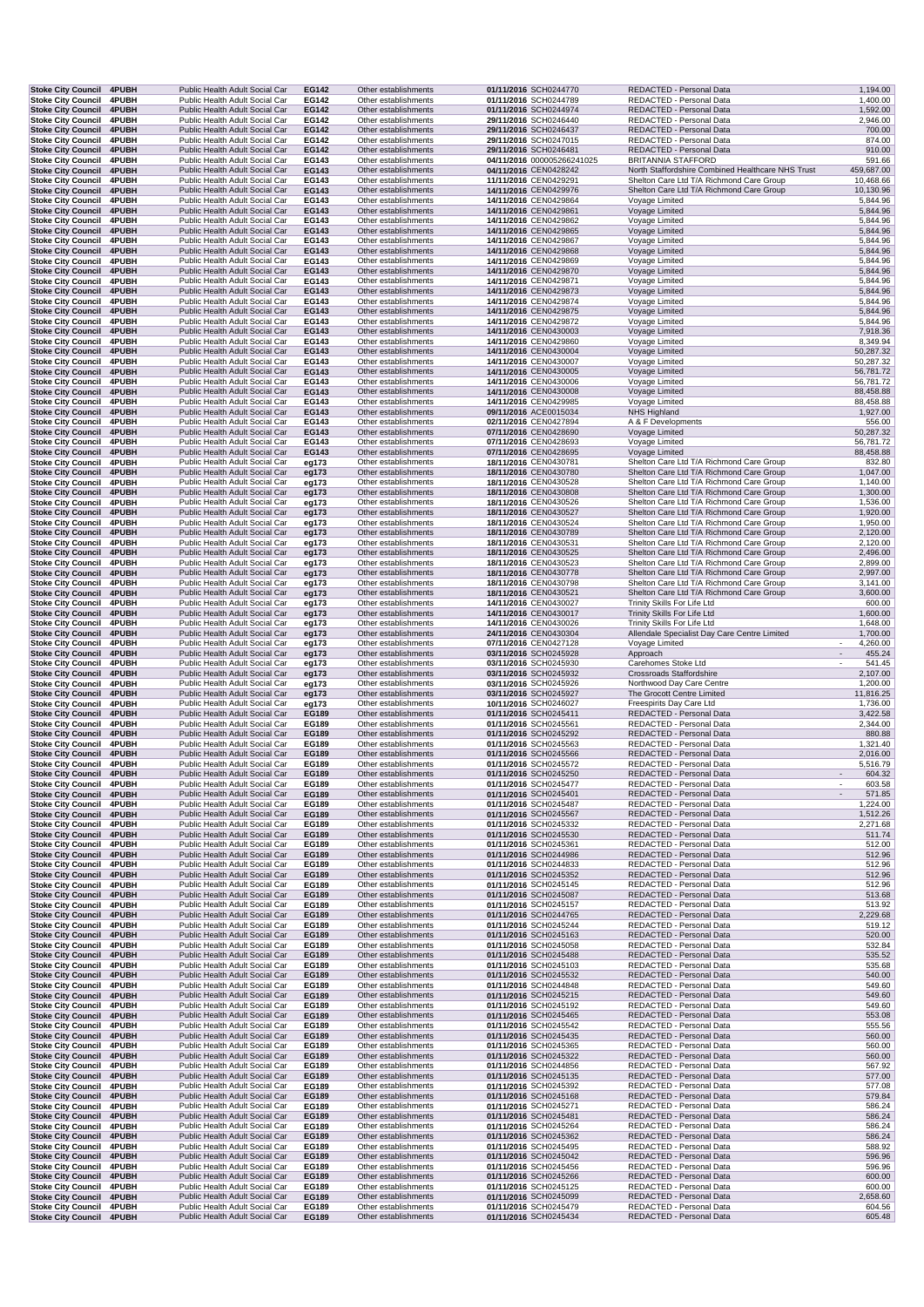| Stoke City Council 4PUBH                                     |                       | Public Health Adult Social Car                                   | EG142          | Other establishments                         | 01/11/2016 SCH0244770                          | REDACTED - Personal Data                                                             | 1,194.00                                       |
|--------------------------------------------------------------|-----------------------|------------------------------------------------------------------|----------------|----------------------------------------------|------------------------------------------------|--------------------------------------------------------------------------------------|------------------------------------------------|
| <b>Stoke City Council</b><br><b>Stoke City Council</b>       | 4PUBH<br>4PUBH        | Public Health Adult Social Car<br>Public Health Adult Social Car | EG142<br>EG142 | Other establishments<br>Other establishments | 01/11/2016 SCH0244789<br>01/11/2016 SCH0244974 | REDACTED - Personal Data<br>REDACTED - Personal Data                                 | 1,400.00<br>1,592.00                           |
| <b>Stoke City Council</b>                                    | 4PUBH                 | Public Health Adult Social Car                                   | EG142          | Other establishments                         | 29/11/2016 SCH0246440                          | REDACTED - Personal Data                                                             | 2,946.00                                       |
| Stoke City Council 4PUBH                                     |                       | Public Health Adult Social Car                                   | EG142          | Other establishments                         | 29/11/2016 SCH0246437                          | REDACTED - Personal Data                                                             | 700.00                                         |
| <b>Stoke City Council</b><br><b>Stoke City Council 4PUBH</b> | 4PUBH                 | Public Health Adult Social Car<br>Public Health Adult Social Car | EG142<br>EG142 | Other establishments<br>Other establishments | 29/11/2016 SCH0247015<br>29/11/2016 SCH0246481 | REDACTED - Personal Data<br>REDACTED - Personal Data                                 | 874.00<br>910.00                               |
| Stoke City Council 4PUBH                                     |                       | Public Health Adult Social Car                                   | EG143          | Other establishments                         | 04/11/2016 000005266241025                     | <b>BRITANNIA STAFFORD</b>                                                            | 591.66                                         |
| <b>Stoke City Council</b>                                    | 4PUBH                 | Public Health Adult Social Car                                   | EG143          | Other establishments                         | 04/11/2016 CEN0428242                          | North Staffordshire Combined Healthcare NHS Trust                                    | 459,687.00                                     |
| Stoke City Council 4PUBH<br>Stoke City Council 4PUBH         |                       | Public Health Adult Social Car<br>Public Health Adult Social Car | EG143<br>EG143 | Other establishments<br>Other establishments | 11/11/2016 CEN0429291<br>14/11/2016 CEN0429976 | Shelton Care Ltd T/A Richmond Care Group<br>Shelton Care Ltd T/A Richmond Care Group | 10,468.66<br>10,130.96                         |
| Stoke City Council 4PUBH                                     |                       | Public Health Adult Social Car                                   | EG143          | Other establishments                         | 14/11/2016 CEN0429864                          | Voyage Limited                                                                       | 5,844.96                                       |
| <b>Stoke City Council 4PUBH</b>                              |                       | Public Health Adult Social Car                                   | EG143          | Other establishments                         | 14/11/2016 CEN0429861                          | Voyage Limited                                                                       | 5,844.96                                       |
| <b>Stoke City Council</b><br><b>Stoke City Council</b>       | <b>4PUBH</b><br>4PUBH | Public Health Adult Social Car<br>Public Health Adult Social Car | EG143<br>EG143 | Other establishments<br>Other establishments | 14/11/2016 CEN0429862<br>14/11/2016 CEN0429865 | Voyage Limited<br>Voyage Limited                                                     | 5,844.96<br>5,844.96                           |
| <b>Stoke City Council</b>                                    | <b>4PUBH</b>          | Public Health Adult Social Car                                   | EG143          | Other establishments                         | 14/11/2016 CEN0429867                          | Voyage Limited                                                                       | 5,844.96                                       |
| <b>Stoke City Council</b>                                    | <b>4PUBH</b>          | Public Health Adult Social Car                                   | EG143          | Other establishments                         | 14/11/2016 CEN0429868                          | Voyage Limited                                                                       | 5,844.96                                       |
| Stoke City Council 4PUBH                                     |                       | Public Health Adult Social Car<br>Public Health Adult Social Car | EG143          | Other establishments<br>Other establishments | 14/11/2016 CEN0429869                          | Voyage Limited                                                                       | 5,844.96<br>5,844.96                           |
| <b>Stoke City Council 4PUBH</b><br>Stoke City Council 4PUBH  |                       | Public Health Adult Social Car                                   | EG143<br>EG143 | Other establishments                         | 14/11/2016 CEN0429870<br>14/11/2016 CEN0429871 | Voyage Limited<br>Voyage Limited                                                     | 5,844.96                                       |
| Stoke City Council 4PUBH                                     |                       | Public Health Adult Social Car                                   | EG143          | Other establishments                         | 14/11/2016 CEN0429873                          | Voyage Limited                                                                       | 5,844.96                                       |
| <b>Stoke City Council</b><br>Stoke City Council 4PUBH        | 4PUBH                 | Public Health Adult Social Car<br>Public Health Adult Social Car | EG143<br>EG143 | Other establishments<br>Other establishments | 14/11/2016 CEN0429874<br>14/11/2016 CEN0429875 | Voyage Limited<br>Voyage Limited                                                     | 5,844.96<br>5,844.96                           |
| Stoke City Council 4PUBH                                     |                       | Public Health Adult Social Car                                   | EG143          | Other establishments                         | 14/11/2016 CEN0429872                          | Voyage Limited                                                                       | 5,844.96                                       |
| Stoke City Council 4PUBH                                     |                       | Public Health Adult Social Car                                   | EG143          | Other establishments                         | 14/11/2016 CEN0430003                          | Voyage Limited                                                                       | 7,918.36                                       |
| <b>Stoke City Council</b><br><b>Stoke City Council</b>       | 4PUBH<br>4PUBH        | Public Health Adult Social Car<br>Public Health Adult Social Car | EG143<br>EG143 | Other establishments<br>Other establishments | 14/11/2016 CEN0429860<br>14/11/2016 CEN0430004 | Voyage Limited                                                                       | 8,349.94                                       |
| <b>Stoke City Council</b>                                    | 4PUBH                 | Public Health Adult Social Car                                   | EG143          | Other establishments                         | 14/11/2016 CEN0430007                          | Voyage Limited<br>Voyage Limited                                                     | 50,287.32<br>50,287.32                         |
| <b>Stoke City Council</b>                                    | 4PUBH                 | Public Health Adult Social Car                                   | EG143          | Other establishments                         | 14/11/2016 CEN0430005                          | Voyage Limited                                                                       | 56,781.72                                      |
| Stoke City Council 4PUBH<br>Stoke City Council 4PUBH         |                       | Public Health Adult Social Car<br>Public Health Adult Social Car | EG143          | Other establishments                         | 14/11/2016 CEN0430006                          | Voyage Limited                                                                       | 56,781.72                                      |
| Stoke City Council 4PUBH                                     |                       | Public Health Adult Social Car                                   | EG143<br>EG143 | Other establishments<br>Other establishments | 14/11/2016 CEN0430008<br>14/11/2016 CEN0429985 | Voyage Limited<br>Voyage Limited                                                     | 88,458.88<br>88,458.88                         |
| Stoke City Council 4PUBH                                     |                       | Public Health Adult Social Car                                   | EG143          | Other establishments                         | 09/11/2016 ACE0015034                          | NHS Highland                                                                         | 1,927.00                                       |
| <b>Stoke City Council</b>                                    | 4PUBH                 | Public Health Adult Social Car                                   | EG143          | Other establishments                         | 02/11/2016 CEN0427894                          | A & F Developments                                                                   | 556.00                                         |
| <b>Stoke City Council 4PUBH</b><br>Stoke City Council 4PUBH  |                       | Public Health Adult Social Car<br>Public Health Adult Social Car | EG143<br>EG143 | Other establishments<br>Other establishments | 07/11/2016 CEN0428690<br>07/11/2016 CEN0428693 | Voyage Limited<br>Voyage Limited                                                     | 50,287.32<br>56,781.72                         |
| Stoke City Council 4PUBH                                     |                       | Public Health Adult Social Car                                   | EG143          | Other establishments                         | 07/11/2016 CEN0428695                          | Voyage Limited                                                                       | 88,458.88                                      |
| Stoke City Council 4PUBH                                     |                       | Public Health Adult Social Car<br>Public Health Adult Social Car | eg173          | Other establishments<br>Other establishments | 18/11/2016 CEN0430781                          | Shelton Care Ltd T/A Richmond Care Group<br>Shelton Care Ltd T/A Richmond Care Group | 832.80                                         |
| Stoke City Council 4PUBH<br><b>Stoke City Council</b>        | 4PUBH                 | Public Health Adult Social Car                                   | eg173<br>eg173 | Other establishments                         | 18/11/2016 CEN0430780<br>18/11/2016 CEN0430528 | Shelton Care Ltd T/A Richmond Care Group                                             | 1,047.00<br>1,140.00                           |
| <b>Stoke City Council</b>                                    | 4PUBH                 | Public Health Adult Social Car                                   | eg173          | Other establishments                         | 18/11/2016 CEN0430808                          | Shelton Care Ltd T/A Richmond Care Group                                             | 1,300.00                                       |
| Stoke City Council 4PUBH<br>Stoke City Council 4PUBH         |                       | Public Health Adult Social Car<br>Public Health Adult Social Car | eg173          | Other establishments<br>Other establishments | 18/11/2016 CEN0430526                          | Shelton Care Ltd T/A Richmond Care Group                                             | 1,536.00<br>1,920.00                           |
| Stoke City Council 4PUBH                                     |                       | Public Health Adult Social Car                                   | eg173<br>eg173 | Other establishments                         | 18/11/2016 CEN0430527<br>18/11/2016 CEN0430524 | Shelton Care Ltd T/A Richmond Care Group<br>Shelton Care Ltd T/A Richmond Care Group | 1,950.00                                       |
| Stoke City Council 4PUBH                                     |                       | Public Health Adult Social Car                                   | eg173          | Other establishments                         | 18/11/2016 CEN0430789                          | Shelton Care Ltd T/A Richmond Care Group                                             | 2,120.00                                       |
| Stoke City Council 4PUBH                                     |                       | Public Health Adult Social Car                                   | eg173          | Other establishments                         | 18/11/2016 CEN0430531                          | Shelton Care Ltd T/A Richmond Care Group                                             | 2,120.00                                       |
| Stoke City Council 4PUBH<br>Stoke City Council 4PUBH         |                       | Public Health Adult Social Car<br>Public Health Adult Social Car | eg173<br>eg173 | Other establishments<br>Other establishments | 18/11/2016 CEN0430525<br>18/11/2016 CEN0430523 | Shelton Care Ltd T/A Richmond Care Group<br>Shelton Care Ltd T/A Richmond Care Group | 2,496.00<br>2,899.00                           |
| Stoke City Council 4PUBH                                     |                       | Public Health Adult Social Car                                   | eg173          | Other establishments                         | 18/11/2016 CEN0430778                          | Shelton Care Ltd T/A Richmond Care Group                                             | 2,997.00                                       |
| <b>Stoke City Council</b>                                    | 4PUBH                 | Public Health Adult Social Car                                   | eg173          | Other establishments                         | 18/11/2016 CEN0430798                          | Shelton Care Ltd T/A Richmond Care Group                                             | 3,141.00                                       |
| <b>Stoke City Council</b><br><b>Stoke City Council</b>       | 4PUBH<br><b>4PUBH</b> | Public Health Adult Social Car<br>Public Health Adult Social Car | eg173<br>eg173 | Other establishments<br>Other establishments | 18/11/2016 CEN0430521<br>14/11/2016 CEN0430027 | Shelton Care Ltd T/A Richmond Care Group<br>Trinity Skills For Life Ltd              | 3,600.00<br>600.00                             |
| <b>Stoke City Council</b>                                    | 4PUBH                 | Public Health Adult Social Car                                   | eg173          | Other establishments                         | 14/11/2016 CEN0430017                          | Trinity Skills For Life Ltd                                                          | 1,600.00                                       |
| Stoke City Council 4PUBH                                     |                       | Public Health Adult Social Car                                   | eg173          | Other establishments                         | 14/11/2016 CEN0430026                          | Trinity Skills For Life Ltd                                                          | 1,648.00                                       |
| Stoke City Council 4PUBH                                     |                       | Public Health Adult Social Car                                   | eg173          | Other establishments                         | 24/11/2016 CEN0430304                          | Allendale Specialist Day Care Centre Limited                                         | 1,700.00                                       |
|                                                              |                       |                                                                  |                |                                              |                                                |                                                                                      | ٠                                              |
| Stoke City Council 4PUBH<br>Stoke City Council 4PUBH         |                       | Public Health Adult Social Car<br>Public Health Adult Social Car | eg173<br>eg173 | Other establishments<br>Other establishments | 07/11/2016 CEN0427128<br>03/11/2016 SCH0245928 | Voyage Limited<br>Approach                                                           | 4,260.00<br>455.24<br>$\overline{\phantom{a}}$ |
| Stoke City Council 4PUBH                                     |                       | Public Health Adult Social Car                                   | eg173          | Other establishments                         | 03/11/2016 SCH0245930                          | Carehomes Stoke Ltd                                                                  | 541.45                                         |
| <b>Stoke City Council</b>                                    | 4PUBH                 | Public Health Adult Social Car                                   | eg173          | Other establishments                         | 03/11/2016 SCH0245932                          | Crossroads Staffordshire                                                             | 2,107.00                                       |
| Stoke City Council 4PUBH<br>Stoke City Council 4PUBH         |                       | Public Health Adult Social Car<br>Public Health Adult Social Car | eg173          | Other establishments<br>Other establishments | 03/11/2016 SCH0245926<br>03/11/2016 SCH0245927 | Northwood Day Care Centre<br>The Grocott Centre Limited                              | 1,200.00<br>11,816.25                          |
| <b>Stoke City Council</b>                                    | 4PUBH                 | Public Health Adult Social Car                                   | eg173<br>eg173 | Other establishments                         | 10/11/2016 SCH0246027                          | Freespirits Day Care Ltd                                                             | 1,736.00                                       |
| <b>Stoke City Council 4PUBH</b>                              |                       | Public Health Adult Social Car                                   | EG189          | Other establishments                         | 01/11/2016 SCH0245411                          | REDACTED - Personal Data                                                             | 3,422.58                                       |
| <b>Stoke City Council</b><br><b>Stoke City Council</b>       | 4PUBH<br>4PUBH        | Public Health Adult Social Car<br>Public Health Adult Social Car | EG189<br>EG189 | Other establishments<br>Other establishments | 01/11/2016 SCH0245561<br>01/11/2016 SCH0245292 | REDACTED - Personal Data<br>REDACTED - Personal Data                                 | 2,344.00<br>880.88                             |
| <b>Stoke City Council</b>                                    | 4PUBH                 | Public Health Adult Social Car                                   | EG189          | Other establishments                         | 01/11/2016 SCH0245563                          | REDACTED - Personal Data                                                             | 1,321.40                                       |
| <b>Stoke City Council</b>                                    | 4PUBH                 | Public Health Adult Social Car                                   | EG189          | Other establishments                         | 01/11/2016 SCH0245566                          | REDACTED - Personal Data                                                             | 2,016.00                                       |
| Stoke City Council 4PUBH<br>Stoke City Council 4PUBH         |                       | Public Health Adult Social Car<br>Public Health Adult Social Car | EG189<br>EG189 | Other establishments<br>Other establishments | 01/11/2016 SCH0245572<br>01/11/2016 SCH0245250 | REDACTED - Personal Data<br>REDACTED - Personal Data                                 | 5,516.79<br>604.32                             |
| Stoke City Council 4PUBH                                     |                       | Public Health Adult Social Car                                   | EG189          | Other establishments                         | 01/11/2016 SCH0245477                          | REDACTED - Personal Data                                                             | 603.58                                         |
| Stoke City Council 4PUBH                                     |                       | Public Health Adult Social Car                                   | EG189          | Other establishments                         | 01/11/2016 SCH0245401                          | REDACTED - Personal Data                                                             | 571.85                                         |
| Stoke City Council 4PUBH                                     | 4PUBH                 | Public Health Adult Social Car                                   | EG189          | Other establishments                         | 01/11/2016 SCH0245487                          | REDACTED - Personal Data                                                             | 1,224.00                                       |
| <b>Stoke City Council</b><br><b>Stoke City Council</b>       | 4PUBH                 | Public Health Adult Social Car<br>Public Health Adult Social Car | EG189<br>EG189 | Other establishments<br>Other establishments | 01/11/2016 SCH0245567<br>01/11/2016 SCH0245332 | REDACTED - Personal Data<br>REDACTED - Personal Data                                 | 1,512.26<br>2,271.68                           |
| Stoke City Council 4PUBH                                     |                       | Public Health Adult Social Car                                   | EG189          | Other establishments                         | 01/11/2016 SCH0245530                          | REDACTED - Personal Data                                                             | 511.74                                         |
| Stoke City Council 4PUBH<br>Stoke City Council 4PUBH         |                       | Public Health Adult Social Car<br>Public Health Adult Social Car | EG189<br>EG189 | Other establishments<br>Other establishments | 01/11/2016 SCH0245361<br>01/11/2016 SCH0244986 | REDACTED - Personal Data<br>REDACTED - Personal Data                                 | 512.00<br>512.96                               |
| <b>Stoke City Council</b>                                    | 4PUBH                 | Public Health Adult Social Car                                   | EG189          | Other establishments                         | 01/11/2016 SCH0244833                          | REDACTED - Personal Data                                                             | 512.96                                         |
| Stoke City Council 4PUBH                                     |                       | Public Health Adult Social Car                                   | EG189          | Other establishments                         | 01/11/2016 SCH0245352                          | REDACTED - Personal Data                                                             | 512.96                                         |
| Stoke City Council 4PUBH<br>Stoke City Council 4PUBH         |                       | Public Health Adult Social Car<br>Public Health Adult Social Car | EG189<br>EG189 | Other establishments<br>Other establishments | 01/11/2016 SCH0245145<br>01/11/2016 SCH0245087 | REDACTED - Personal Data<br>REDACTED - Personal Data                                 | 512.96<br>513.68                               |
| Stoke City Council 4PUBH                                     |                       | Public Health Adult Social Car                                   | EG189          | Other establishments                         | 01/11/2016 SCH0245157                          | REDACTED - Personal Data                                                             | 513.92                                         |
| Stoke City Council 4PUBH                                     |                       | Public Health Adult Social Car                                   | EG189          | Other establishments                         | 01/11/2016 SCH0244765                          | REDACTED - Personal Data                                                             | 2,229.68                                       |
| Stoke City Council 4PUBH<br>Stoke City Council 4PUBH         |                       | Public Health Adult Social Car<br>Public Health Adult Social Car | EG189<br>EG189 | Other establishments<br>Other establishments | 01/11/2016 SCH0245244<br>01/11/2016 SCH0245163 | REDACTED - Personal Data<br>REDACTED - Personal Data                                 | 519.12<br>520.00                               |
| Stoke City Council 4PUBH                                     |                       | Public Health Adult Social Car                                   | EG189          | Other establishments                         | 01/11/2016 SCH0245058                          | REDACTED - Personal Data                                                             | 532.84                                         |
| Stoke City Council 4PUBH                                     |                       | Public Health Adult Social Car                                   | EG189          | Other establishments                         | 01/11/2016 SCH0245488                          | REDACTED - Personal Data                                                             | 535.52                                         |
| Stoke City Council 4PUBH<br>Stoke City Council 4PUBH         |                       | Public Health Adult Social Car<br>Public Health Adult Social Car | EG189<br>EG189 | Other establishments<br>Other establishments | 01/11/2016 SCH0245103<br>01/11/2016 SCH0245532 | REDACTED - Personal Data<br>REDACTED - Personal Data                                 | 535.68<br>540.00                               |
| <b>Stoke City Council</b>                                    | 4PUBH                 | Public Health Adult Social Car                                   | EG189          | Other establishments                         | 01/11/2016 SCH0244848                          | REDACTED - Personal Data                                                             | 549.60                                         |
| <b>Stoke City Council</b>                                    | <b>4PUBH</b>          | Public Health Adult Social Car                                   | EG189          | Other establishments                         | 01/11/2016 SCH0245215                          | REDACTED - Personal Data                                                             | 549.60                                         |
| Stoke City Council 4PUBH<br>Stoke City Council 4PUBH         |                       | Public Health Adult Social Car<br>Public Health Adult Social Car | EG189<br>EG189 | Other establishments<br>Other establishments | 01/11/2016 SCH0245192<br>01/11/2016 SCH0245465 | REDACTED - Personal Data<br>REDACTED - Personal Data                                 | 549.60<br>553.08                               |
| Stoke City Council 4PUBH                                     |                       | Public Health Adult Social Car                                   | EG189          | Other establishments                         | 01/11/2016 SCH0245542                          | REDACTED - Personal Data                                                             | 555.56                                         |
| Stoke City Council 4PUBH                                     |                       | Public Health Adult Social Car                                   | EG189          | Other establishments                         | 01/11/2016 SCH0245435                          | REDACTED - Personal Data                                                             | 560.00                                         |
| Stoke City Council 4PUBH<br>Stoke City Council 4PUBH         |                       | Public Health Adult Social Car<br>Public Health Adult Social Car | EG189<br>EG189 | Other establishments<br>Other establishments | 01/11/2016 SCH0245365<br>01/11/2016 SCH0245322 | REDACTED - Personal Data<br>REDACTED - Personal Data                                 | 560.00<br>560.00                               |
| Stoke City Council 4PUBH                                     |                       | Public Health Adult Social Car                                   | EG189          | Other establishments                         | 01/11/2016 SCH0244856                          | REDACTED - Personal Data                                                             | 567.92                                         |
| Stoke City Council 4PUBH                                     |                       | Public Health Adult Social Car                                   | EG189          | Other establishments                         | 01/11/2016 SCH0245135                          | REDACTED - Personal Data                                                             | 577.00                                         |
| <b>Stoke City Council</b><br>Stoke City Council 4PUBH        | <b>4PUBH</b>          | Public Health Adult Social Car<br>Public Health Adult Social Car | EG189<br>EG189 | Other establishments<br>Other establishments | 01/11/2016 SCH0245392<br>01/11/2016 SCH0245168 | REDACTED - Personal Data<br>REDACTED - Personal Data                                 | 577.08<br>579.84                               |
| Stoke City Council 4PUBH                                     |                       | Public Health Adult Social Car                                   | EG189          | Other establishments                         | 01/11/2016 SCH0245271                          | REDACTED - Personal Data                                                             | 586.24                                         |
| <b>Stoke City Council</b>                                    | 4PUBH                 | Public Health Adult Social Car                                   | EG189          | Other establishments                         | 01/11/2016 SCH0245481                          | REDACTED - Personal Data                                                             | 586.24                                         |
| Stoke City Council 4PUBH<br>Stoke City Council 4PUBH         |                       | Public Health Adult Social Car<br>Public Health Adult Social Car | EG189<br>EG189 | Other establishments<br>Other establishments | 01/11/2016 SCH0245264<br>01/11/2016 SCH0245362 | REDACTED - Personal Data<br>REDACTED - Personal Data                                 | 586.24<br>586.24                               |
| Stoke City Council 4PUBH                                     |                       | Public Health Adult Social Car                                   | EG189          | Other establishments                         | 01/11/2016 SCH0245495                          | REDACTED - Personal Data                                                             | 588.92                                         |
| Stoke City Council 4PUBH                                     |                       | Public Health Adult Social Car                                   | EG189          | Other establishments                         | 01/11/2016 SCH0245042                          | REDACTED - Personal Data                                                             | 596.96                                         |
| Stoke City Council 4PUBH<br>Stoke City Council 4PUBH         |                       | Public Health Adult Social Car<br>Public Health Adult Social Car | EG189<br>EG189 | Other establishments<br>Other establishments | 01/11/2016 SCH0245456<br>01/11/2016 SCH0245266 | REDACTED - Personal Data<br>REDACTED - Personal Data                                 | 596.96<br>600.00                               |
| Stoke City Council 4PUBH                                     |                       | Public Health Adult Social Car                                   | EG189          | Other establishments                         | 01/11/2016 SCH0245125                          | REDACTED - Personal Data                                                             | 600.00                                         |
| Stoke City Council 4PUBH<br>Stoke City Council 4PUBH         |                       | Public Health Adult Social Car<br>Public Health Adult Social Car | EG189<br>EG189 | Other establishments<br>Other establishments | 01/11/2016 SCH0245099<br>01/11/2016 SCH0245479 | REDACTED - Personal Data<br>REDACTED - Personal Data                                 | 2,658.60<br>604.56                             |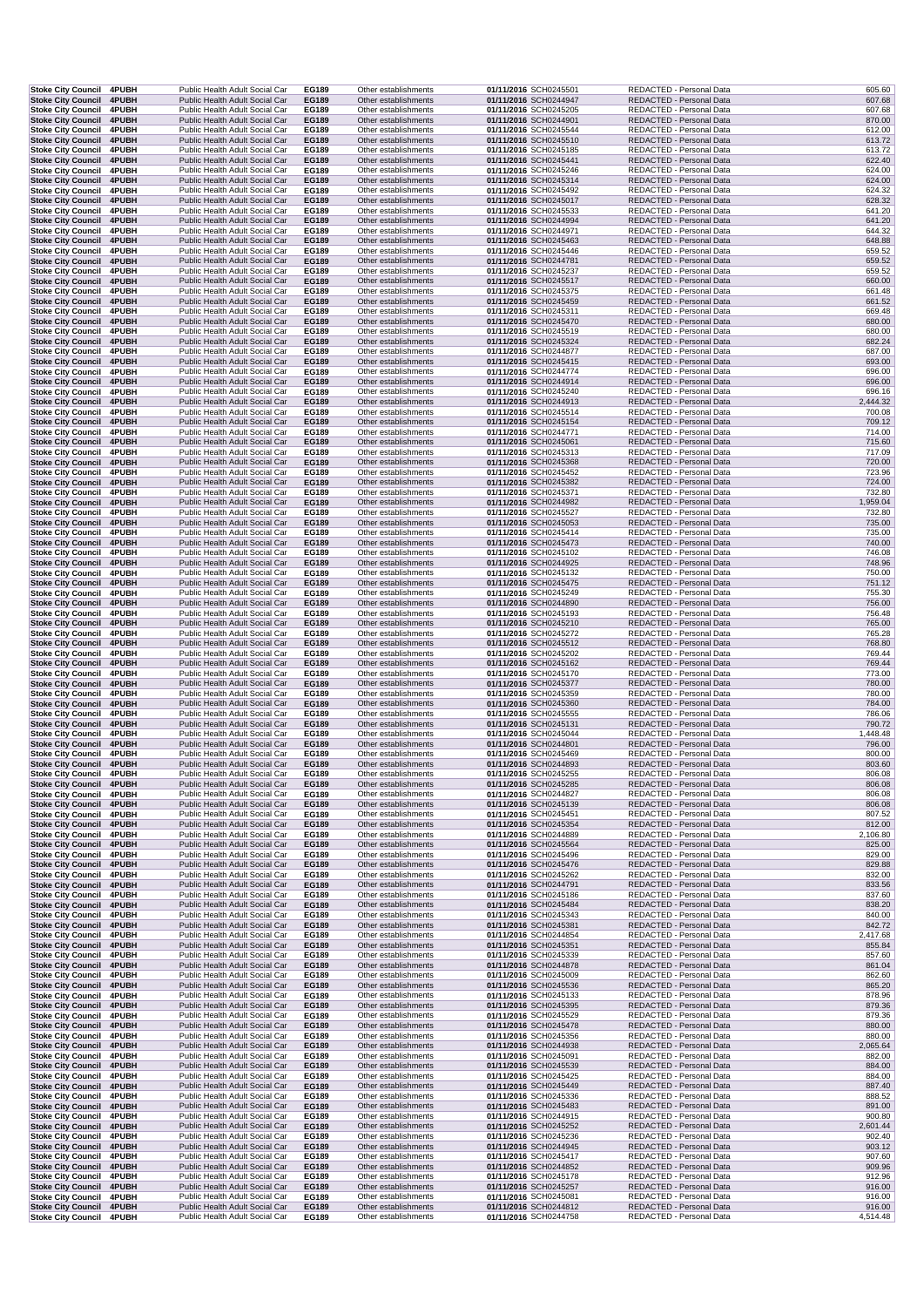| Stoke City Council 4PUBH                                     |                       | Public Health Adult Social Car                                   |  | EG189                 | Other establishments                         | 01/11/2016 SCH0245501                          | REDACTED - Personal Data                             | 605.60             |
|--------------------------------------------------------------|-----------------------|------------------------------------------------------------------|--|-----------------------|----------------------------------------------|------------------------------------------------|------------------------------------------------------|--------------------|
| <b>Stoke City Council</b><br><b>Stoke City Council</b>       | 4PUBH<br>4PUBH        | Public Health Adult Social Car<br>Public Health Adult Social Car |  | EG189<br>EG189        | Other establishments<br>Other establishments | 01/11/2016 SCH0244947<br>01/11/2016 SCH0245205 | REDACTED - Personal Data<br>REDACTED - Personal Data | 607.68<br>607.68   |
| <b>Stoke City Council</b>                                    | 4PUBH                 | Public Health Adult Social Car                                   |  | EG189                 | Other establishments                         | 01/11/2016 SCH0244901                          | REDACTED - Personal Data                             | 870.00             |
| <b>Stoke City Council</b>                                    | <b>4PUBH</b>          | Public Health Adult Social Car                                   |  | EG189                 | Other establishments                         | 01/11/2016 SCH0245544                          | REDACTED - Personal Data                             | 612.00             |
| Stoke City Council 4PUBH<br>Stoke City Council 4PUBH         |                       | Public Health Adult Social Car<br>Public Health Adult Social Car |  | EG189<br>EG189        | Other establishments<br>Other establishments | 01/11/2016 SCH0245510<br>01/11/2016 SCH0245185 | REDACTED - Personal Data<br>REDACTED - Personal Data | 613.72<br>613.72   |
| Stoke City Council 4PUBH                                     |                       | Public Health Adult Social Car                                   |  | EG189                 | Other establishments                         | 01/11/2016 SCH0245441                          | REDACTED - Personal Data                             | 622.40             |
| <b>Stoke City Council</b>                                    | 4PUBH                 | Public Health Adult Social Car                                   |  | EG189                 | Other establishments                         | 01/11/2016 SCH0245246                          | REDACTED - Personal Data                             | 624.00             |
| Stoke City Council 4PUBH<br>Stoke City Council 4PUBH         |                       | Public Health Adult Social Car<br>Public Health Adult Social Car |  | EG189<br>EG189        | Other establishments<br>Other establishments | 01/11/2016 SCH0245314<br>01/11/2016 SCH0245492 | REDACTED - Personal Data<br>REDACTED - Personal Data | 624.00<br>624.32   |
| <b>Stoke City Council 4PUBH</b>                              |                       | Public Health Adult Social Car                                   |  | EG189                 | Other establishments                         | 01/11/2016 SCH0245017                          | REDACTED - Personal Data                             | 628.32             |
| Stoke City Council 4PUBH                                     |                       | Public Health Adult Social Car                                   |  | EG189                 | Other establishments                         | 01/11/2016 SCH0245533                          | REDACTED - Personal Data                             | 641.20             |
| <b>Stoke City Council 4PUBH</b>                              |                       | Public Health Adult Social Car<br>Public Health Adult Social Car |  | EG189                 | Other establishments<br>Other establishments | 01/11/2016 SCH0244994                          | REDACTED - Personal Data<br>REDACTED - Personal Data | 641.20<br>644.32   |
| <b>Stoke City Council</b><br><b>Stoke City Council</b>       | 4PUBH<br><b>4PUBH</b> | Public Health Adult Social Car                                   |  | EG189<br>EG189        | Other establishments                         | 01/11/2016 SCH0244971<br>01/11/2016 SCH0245463 | REDACTED - Personal Data                             | 648.88             |
| Stoke City Council 4PUBH                                     |                       | Public Health Adult Social Car                                   |  | EG189                 | Other establishments                         | 01/11/2016 SCH0245446                          | REDACTED - Personal Data                             | 659.52             |
| Stoke City Council 4PUBH                                     |                       | Public Health Adult Social Car                                   |  | <b>EG189</b>          | Other establishments                         | 01/11/2016 SCH0244781                          | REDACTED - Personal Data                             | 659.52             |
| Stoke City Council 4PUBH<br>Stoke City Council 4PUBH         |                       | Public Health Adult Social Car<br>Public Health Adult Social Car |  | EG189<br>EG189        | Other establishments<br>Other establishments | 01/11/2016 SCH0245237<br>01/11/2016 SCH0245517 | REDACTED - Personal Data<br>REDACTED - Personal Data | 659.52<br>660.00   |
| Stoke City Council 4PUBH                                     |                       | Public Health Adult Social Car                                   |  | EG189                 | Other establishments                         | 01/11/2016 SCH0245375                          | REDACTED - Personal Data                             | 661.48             |
| Stoke City Council 4PUBH                                     |                       | Public Health Adult Social Car                                   |  | EG189                 | Other establishments                         | 01/11/2016 SCH0245459                          | REDACTED - Personal Data                             | 661.52             |
| Stoke City Council 4PUBH<br>Stoke City Council 4PUBH         |                       | Public Health Adult Social Car<br>Public Health Adult Social Car |  | EG189<br>EG189        | Other establishments<br>Other establishments | 01/11/2016 SCH0245311<br>01/11/2016 SCH0245470 | REDACTED - Personal Data<br>REDACTED - Personal Data | 669.48<br>680.00   |
| Stoke City Council 4PUBH                                     |                       | Public Health Adult Social Car                                   |  | EG189                 | Other establishments                         | 01/11/2016 SCH0245519                          | REDACTED - Personal Data                             | 680.00             |
| Stoke City Council 4PUBH                                     |                       | Public Health Adult Social Car                                   |  | EG189                 | Other establishments                         | 01/11/2016 SCH0245324                          | REDACTED - Personal Data                             | 682.24             |
| <b>Stoke City Council</b><br><b>Stoke City Council</b>       | 4PUBH<br>4PUBH        | Public Health Adult Social Car<br>Public Health Adult Social Car |  | EG189<br>EG189        | Other establishments<br>Other establishments | 01/11/2016 SCH0244877<br>01/11/2016 SCH0245415 | REDACTED - Personal Data<br>REDACTED - Personal Data | 687.00<br>693.00   |
| Stoke City Council 4PUBH                                     |                       | Public Health Adult Social Car                                   |  | EG189                 | Other establishments                         | 01/11/2016 SCH0244774                          | REDACTED - Personal Data                             | 696.00             |
| Stoke City Council 4PUBH                                     |                       | Public Health Adult Social Car                                   |  | EG189                 | Other establishments                         | 01/11/2016 SCH0244914                          | REDACTED - Personal Data                             | 696.00             |
| Stoke City Council 4PUBH<br>Stoke City Council 4PUBH         |                       | Public Health Adult Social Car<br>Public Health Adult Social Car |  | EG189<br>EG189        | Other establishments<br>Other establishments | 01/11/2016 SCH0245240<br>01/11/2016 SCH0244913 | REDACTED - Personal Data<br>REDACTED - Personal Data | 696.16<br>2,444.32 |
| Stoke City Council 4PUBH                                     |                       | Public Health Adult Social Car                                   |  | EG189                 | Other establishments                         | 01/11/2016 SCH0245514                          | REDACTED - Personal Data                             | 700.08             |
| <b>Stoke City Council</b>                                    | 4PUBH                 | Public Health Adult Social Car                                   |  | EG189                 | Other establishments                         | 01/11/2016 SCH0245154                          | REDACTED - Personal Data                             | 709.12             |
| Stoke City Council 4PUBH<br>Stoke City Council 4PUBH         |                       | Public Health Adult Social Car<br>Public Health Adult Social Car |  | EG189<br><b>EG189</b> | Other establishments<br>Other establishments | 01/11/2016 SCH0244771<br>01/11/2016 SCH0245061 | REDACTED - Personal Data<br>REDACTED - Personal Data | 714.00<br>715.60   |
| Stoke City Council 4PUBH                                     |                       | Public Health Adult Social Car                                   |  | EG189                 | Other establishments                         | 01/11/2016 SCH0245313                          | REDACTED - Personal Data                             | 717.09             |
| <b>Stoke City Council 4PUBH</b>                              |                       | Public Health Adult Social Car                                   |  | EG189                 | Other establishments                         | 01/11/2016 SCH0245368                          | REDACTED - Personal Data                             | 720.00             |
| Stoke City Council 4PUBH<br><b>Stoke City Council</b>        | 4PUBH                 | Public Health Adult Social Car<br>Public Health Adult Social Car |  | EG189<br>EG189        | Other establishments<br>Other establishments | 01/11/2016 SCH0245452<br>01/11/2016 SCH0245382 | REDACTED - Personal Data<br>REDACTED - Personal Data | 723.96<br>724.00   |
| <b>Stoke City Council</b>                                    | 4PUBH                 | Public Health Adult Social Car                                   |  | EG189                 | Other establishments                         | 01/11/2016 SCH0245371                          | REDACTED - Personal Data                             | 732.80             |
| <b>Stoke City Council</b>                                    | 4PUBH                 | Public Health Adult Social Car                                   |  | EG189                 | Other establishments                         | 01/11/2016 SCH0244982                          | REDACTED - Personal Data                             | ,959.04            |
| <b>Stoke City Council</b><br><b>Stoke City Council 4PUBH</b> | <b>4PUBH</b>          | Public Health Adult Social Car<br>Public Health Adult Social Car |  | EG189<br>EG189        | Other establishments<br>Other establishments | 01/11/2016 SCH0245527<br>01/11/2016 SCH0245053 | REDACTED - Personal Data<br>REDACTED - Personal Data | 732.80<br>735.00   |
| Stoke City Council 4PUBH                                     |                       | Public Health Adult Social Car                                   |  | EG189                 | Other establishments                         | 01/11/2016 SCH0245414                          | REDACTED - Personal Data                             | 735.00             |
| Stoke City Council 4PUBH                                     |                       | Public Health Adult Social Car                                   |  | EG189                 | Other establishments                         | 01/11/2016 SCH0245473                          | REDACTED - Personal Data                             | 740.00             |
| Stoke City Council 4PUBH<br><b>Stoke City Council</b>        | 4PUBH                 | Public Health Adult Social Car<br>Public Health Adult Social Car |  | EG189<br>EG189        | Other establishments<br>Other establishments | 01/11/2016 SCH0245102<br>01/11/2016 SCH0244925 | REDACTED - Personal Data<br>REDACTED - Personal Data | 746.08<br>748.96   |
| Stoke City Council 4PUBH                                     |                       | Public Health Adult Social Car                                   |  | EG189                 | Other establishments                         | 01/11/2016 SCH0245132                          | REDACTED - Personal Data                             | 750.00             |
| <b>Stoke City Council 4PUBH</b>                              |                       | Public Health Adult Social Car                                   |  | EG189                 | Other establishments                         | 01/11/2016 SCH0245475                          | REDACTED - Personal Data                             | 751.12             |
| <b>Stoke City Council</b><br><b>Stoke City Council</b>       | 4PUBH<br>4PUBH        | Public Health Adult Social Car<br>Public Health Adult Social Car |  | EG189<br>EG189        | Other establishments<br>Other establishments | 01/11/2016 SCH0245249<br>01/11/2016 SCH0244890 | REDACTED - Personal Data<br>REDACTED - Personal Data | 755.30<br>756.00   |
| <b>Stoke City Council</b>                                    | 4PUBH                 | Public Health Adult Social Car                                   |  | EG189                 | Other establishments                         | 01/11/2016 SCH0245193                          | REDACTED - Personal Data                             | 756.48             |
| <b>Stoke City Council</b>                                    | 4PUBH                 | Public Health Adult Social Car                                   |  | EG189                 | Other establishments                         | 01/11/2016 SCH0245210                          | REDACTED - Personal Data                             | 765.00             |
| Stoke City Council 4PUBH<br><b>Stoke City Council 4PUBH</b>  |                       | Public Health Adult Social Car<br>Public Health Adult Social Car |  | EG189<br>EG189        | Other establishments<br>Other establishments | 01/11/2016 SCH0245272<br>01/11/2016 SCH0245512 | REDACTED - Personal Data<br>REDACTED - Personal Data | 765.28<br>768.80   |
| Stoke City Council 4PUBH                                     |                       | Public Health Adult Social Car                                   |  | EG189                 | Other establishments                         | 01/11/2016 SCH0245202                          | REDACTED - Personal Data                             | 769.44             |
| Stoke City Council 4PUBH                                     |                       | Public Health Adult Social Car                                   |  | EG189                 | Other establishments                         | 01/11/2016 SCH0245162                          | REDACTED - Personal Data                             | 769.44             |
| <b>Stoke City Council</b><br><b>Stoke City Council 4PUBH</b> | 4PUBH                 | Public Health Adult Social Car<br>Public Health Adult Social Car |  | EG189<br>EG189        | Other establishments<br>Other establishments | 01/11/2016 SCH0245170<br>01/11/2016 SCH0245377 | REDACTED - Personal Data<br>REDACTED - Personal Data | 773.00<br>780.00   |
| Stoke City Council 4PUBH                                     |                       | Public Health Adult Social Car                                   |  | EG189                 | Other establishments                         | 01/11/2016 SCH0245359                          | REDACTED - Personal Data                             | 780.00             |
| <b>Stoke City Council 4PUBH</b>                              |                       | Public Health Adult Social Car                                   |  | EG189                 | Other establishments                         | 01/11/2016 SCH0245360                          | REDACTED - Personal Data                             | 784.00             |
| Stoke City Council 4PUBH                                     |                       | Public Health Adult Social Car<br>Public Health Adult Social Car |  | EG189<br>EG189        | Other establishments<br>Other establishments | 01/11/2016 SCH0245555<br>01/11/2016 SCH0245131 | REDACTED - Personal Data<br>REDACTED - Personal Data | 786.06<br>790.72   |
| Stoke City Council 4PUBH<br><b>Stoke City Council</b>        | 4PUBH                 | Public Health Adult Social Car                                   |  | EG189                 | Other establishments                         | 01/11/2016 SCH0245044                          | REDACTED - Personal Data                             | 1,448.48           |
| <b>Stoke City Council</b>                                    | 4PUBH                 | Public Health Adult Social Car                                   |  | EG189                 | Other establishments                         | 01/11/2016 SCH0244801                          | REDACTED - Personal Data                             | 796.00             |
| Stoke City Council 4PUBH                                     |                       | Public Health Adult Social Car<br>Public Health Adult Social Car |  | EG189                 | Other establishments                         | 01/11/2016 SCH0245469                          | REDACTED - Personal Data<br>REDACTED - Personal Data | 800.00<br>803.60   |
| Stoke City Council 4PUBH<br>Stoke City Council 4PUBH         |                       | Public Health Adult Social Car                                   |  | EG189<br>EG189        | Other establishments<br>Other establishments | 01/11/2016 SCH0244893<br>01/11/2016 SCH0245255 | REDACTED - Personal Data                             | 806.08             |
| Stoke City Council 4PUBH                                     |                       | Public Health Adult Social Car                                   |  | EG189                 | Other establishments                         | 01/11/2016 SCH0245285                          | REDACTED - Personal Data                             | 806.08             |
| Stoke City Council 4PUBH                                     |                       | Public Health Adult Social Car                                   |  | EG189                 | Other establishments                         | 01/11/2016 SCH0244827                          | REDACTED - Personal Data                             | 806.08             |
| <b>Stoke City Council</b><br>Stoke City Council 4PUBH        | 4PUBH                 | Public Health Adult Social Car<br>Public Health Adult Social Car |  | EG189<br>EG189        | Other establishments<br>Other establishments | 01/11/2016 SCH0245139<br>01/11/2016 SCH0245451 | REDACTED - Personal Data<br>REDACTED - Personal Data | 806.08<br>807.52   |
| <b>Stoke City Council</b>                                    | 4PUBH                 | Public Health Adult Social Car                                   |  | EG189                 | Other establishments                         | 01/11/2016 SCH0245354                          | REDACTED - Personal Data                             | 812.00             |
| <b>Stoke City Council</b>                                    | 4PUBH                 | Public Health Adult Social Car<br>Public Health Adult Social Car |  | EG189                 | Other establishments                         | 01/11/2016 SCH0244889                          | REDACTED - Personal Data                             | 2,106.80           |
| Stoke City Council 4PUBH<br>Stoke City Council 4PUBH         |                       | Public Health Adult Social Car                                   |  | EG189<br>EG189        | Other establishments<br>Other establishments | 01/11/2016 SCH0245564<br>01/11/2016 SCH0245496 | REDACTED - Personal Data<br>REDACTED - Personal Data | 825.00<br>829.00   |
| <b>Stoke City Council</b>                                    | 4PUBH                 | Public Health Adult Social Car                                   |  | <b>EG189</b>          | Other establishments                         | 01/11/2016 SCH0245476                          | REDACTED - Personal Data                             | 829.88             |
| Stoke City Council 4PUBH                                     |                       | Public Health Adult Social Car                                   |  | EG189                 | Other establishments                         | 01/11/2016 SCH0245262                          | REDACTED - Personal Data                             | 832.00             |
| Stoke City Council 4PUBH<br>Stoke City Council 4PUBH         |                       | Public Health Adult Social Car<br>Public Health Adult Social Car |  | EG189<br>EG189        | Other establishments<br>Other establishments | 01/11/2016 SCH0244791<br>01/11/2016 SCH0245186 | REDACTED - Personal Data<br>REDACTED - Personal Data | 833.56<br>837.60   |
| Stoke City Council 4PUBH                                     |                       | Public Health Adult Social Car                                   |  | EG189                 | Other establishments                         | 01/11/2016 SCH0245484                          | REDACTED - Personal Data                             | 838.20             |
| Stoke City Council 4PUBH                                     |                       | Public Health Adult Social Car                                   |  | EG189                 | Other establishments                         | 01/11/2016 SCH0245343                          | REDACTED - Personal Data                             | 840.00             |
| Stoke City Council 4PUBH<br>Stoke City Council 4PUBH         |                       | Public Health Adult Social Car<br>Public Health Adult Social Car |  | EG189<br>EG189        | Other establishments<br>Other establishments | 01/11/2016 SCH0245381<br>01/11/2016 SCH0244854 | REDACTED - Personal Data<br>REDACTED - Personal Data | 842.72<br>2,417.68 |
| Stoke City Council 4PUBH                                     |                       | Public Health Adult Social Car                                   |  | EG189                 | Other establishments                         | 01/11/2016 SCH0245351                          | REDACTED - Personal Data                             | 855.84             |
| Stoke City Council 4PUBH                                     |                       | Public Health Adult Social Car                                   |  | EG189                 | Other establishments                         | 01/11/2016 SCH0245339                          | REDACTED - Personal Data                             | 857.60             |
| <b>Stoke City Council 4PUBH</b><br>Stoke City Council 4PUBH  |                       | Public Health Adult Social Car<br>Public Health Adult Social Car |  | EG189<br>EG189        | Other establishments<br>Other establishments | 01/11/2016 SCH0244878<br>01/11/2016 SCH0245009 | REDACTED - Personal Data<br>REDACTED - Personal Data | 861.04<br>862.60   |
| <b>Stoke City Council</b>                                    | 4PUBH                 | Public Health Adult Social Car                                   |  | EG189                 | Other establishments                         | 01/11/2016 SCH0245536                          | REDACTED - Personal Data                             | 865.20             |
| Stoke City Council 4PUBH                                     |                       | Public Health Adult Social Car                                   |  | EG189                 | Other establishments                         | 01/11/2016 SCH0245133                          | REDACTED - Personal Data                             | 878.96             |
| Stoke City Council 4PUBH<br>Stoke City Council 4PUBH         |                       | Public Health Adult Social Car<br>Public Health Adult Social Car |  | <b>EG189</b><br>EG189 | Other establishments<br>Other establishments | 01/11/2016 SCH0245395<br>01/11/2016 SCH0245529 | REDACTED - Personal Data<br>REDACTED - Personal Data | 879.36<br>879.36   |
| Stoke City Council 4PUBH                                     |                       | Public Health Adult Social Car                                   |  | EG189                 | Other establishments                         | 01/11/2016 SCH0245478                          | REDACTED - Personal Data                             | 880.00             |
| Stoke City Council 4PUBH                                     |                       | Public Health Adult Social Car                                   |  | EG189                 | Other establishments                         | 01/11/2016 SCH0245356                          | REDACTED - Personal Data                             | 880.00             |
| <b>Stoke City Council</b><br>Stoke City Council 4PUBH        | 4PUBH                 | Public Health Adult Social Car<br>Public Health Adult Social Car |  | EG189<br>EG189        | Other establishments<br>Other establishments | 01/11/2016 SCH0244938<br>01/11/2016 SCH0245091 | REDACTED - Personal Data<br>REDACTED - Personal Data | 2,065.64<br>882.00 |
| Stoke City Council 4PUBH                                     |                       | Public Health Adult Social Car                                   |  | EG189                 | Other establishments                         | 01/11/2016 SCH0245539                          | REDACTED - Personal Data                             | 884.00             |
| Stoke City Council 4PUBH                                     |                       | Public Health Adult Social Car                                   |  | EG189                 | Other establishments                         | 01/11/2016 SCH0245425                          | REDACTED - Personal Data                             | 884.00             |
| Stoke City Council 4PUBH<br>Stoke City Council 4PUBH         |                       | Public Health Adult Social Car<br>Public Health Adult Social Car |  | EG189<br>EG189        | Other establishments<br>Other establishments | 01/11/2016 SCH0245449<br>01/11/2016 SCH0245336 | REDACTED - Personal Data<br>REDACTED - Personal Data | 887.40<br>888.52   |
| <b>Stoke City Council</b>                                    | 4PUBH                 | Public Health Adult Social Car                                   |  | EG189                 | Other establishments                         | 01/11/2016 SCH0245483                          | REDACTED - Personal Data                             | 891.00             |
| <b>Stoke City Council</b>                                    | 4PUBH                 | Public Health Adult Social Car                                   |  | EG189                 | Other establishments                         | 01/11/2016 SCH0244915                          | REDACTED - Personal Data                             | 900.80             |
| <b>Stoke City Council</b><br>Stoke City Council 4PUBH        | 4PUBH                 | Public Health Adult Social Car<br>Public Health Adult Social Car |  | EG189<br>EG189        | Other establishments<br>Other establishments | 01/11/2016 SCH0245252<br>01/11/2016 SCH0245236 | REDACTED - Personal Data<br>REDACTED - Personal Data | 2,601.44<br>902.40 |
| Stoke City Council 4PUBH                                     |                       | Public Health Adult Social Car                                   |  | <b>EG189</b>          | Other establishments                         | 01/11/2016 SCH0244945                          | REDACTED - Personal Data                             | 903.12             |
| Stoke City Council 4PUBH                                     |                       | Public Health Adult Social Car                                   |  | EG189                 | Other establishments                         | 01/11/2016 SCH0245417                          | REDACTED - Personal Data                             | 907.60             |
| Stoke City Council 4PUBH<br><b>Stoke City Council</b>        | <b>4PUBH</b>          | Public Health Adult Social Car<br>Public Health Adult Social Car |  | EG189<br>EG189        | Other establishments<br>Other establishments | 01/11/2016 SCH0244852<br>01/11/2016 SCH0245178 | REDACTED - Personal Data<br>REDACTED - Personal Data | 909.96<br>912.96   |
| Stoke City Council 4PUBH                                     |                       | Public Health Adult Social Car                                   |  | EG189                 | Other establishments                         | 01/11/2016 SCH0245257                          | REDACTED - Personal Data                             | 916.00             |
| Stoke City Council 4PUBH                                     |                       | Public Health Adult Social Car                                   |  | EG189                 | Other establishments                         | 01/11/2016 SCH0245081                          | REDACTED - Personal Data                             | 916.00             |
| <b>Stoke City Council 4PUBH</b><br>Stoke City Council 4PUBH  |                       | Public Health Adult Social Car<br>Public Health Adult Social Car |  | EG189<br>EG189        | Other establishments<br>Other establishments | 01/11/2016 SCH0244812<br>01/11/2016 SCH0244758 | REDACTED - Personal Data<br>REDACTED - Personal Data | 916.00<br>4,514.48 |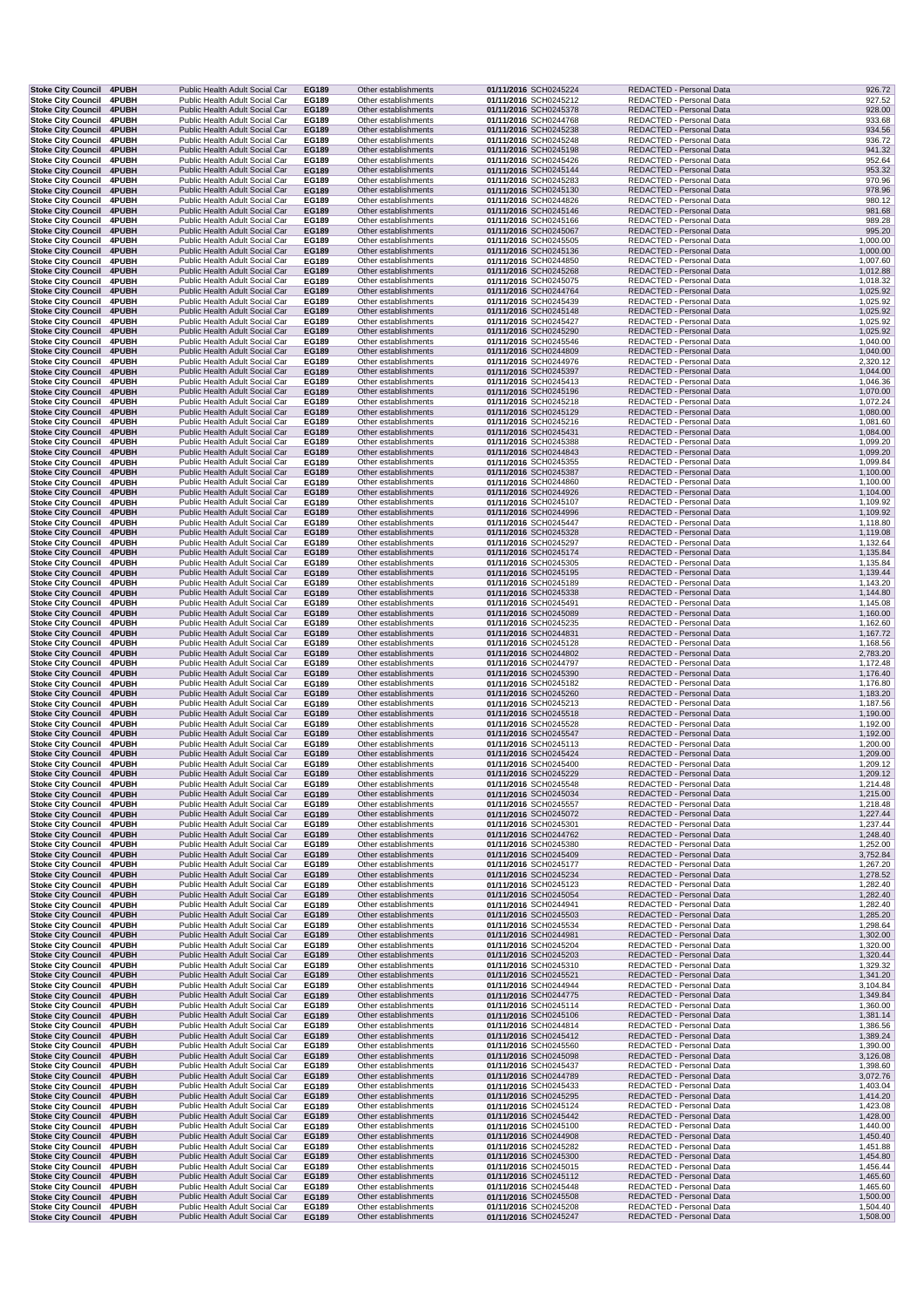| <b>Stoke City Council 4PUBH</b>                             |                       | Public Health Adult Social Car                                   | EG189                 | Other establishments                         | 01/11/2016 SCH0245224                          | REDACTED - Personal Data                             | 926.72               |
|-------------------------------------------------------------|-----------------------|------------------------------------------------------------------|-----------------------|----------------------------------------------|------------------------------------------------|------------------------------------------------------|----------------------|
| <b>Stoke City Council</b>                                   | 4PUBH                 | Public Health Adult Social Car                                   | EG189                 | Other establishments                         | 01/11/2016 SCH0245212                          | REDACTED - Personal Data                             | 927.52               |
| <b>Stoke City Council</b>                                   | 4PUBH                 | Public Health Adult Social Car                                   | EG189                 | Other establishments                         | 01/11/2016 SCH0245378                          | REDACTED - Personal Data                             | 928.00               |
| <b>Stoke City Council</b>                                   | 4PUBH                 | Public Health Adult Social Car                                   | EG189                 | Other establishments                         | 01/11/2016 SCH0244768                          | REDACTED - Personal Data                             | 933.68               |
| <b>Stoke City Council</b>                                   | 4PUBH                 | Public Health Adult Social Car<br>Public Health Adult Social Car | EG189<br>EG189        | Other establishments                         | 01/11/2016 SCH0245238                          | REDACTED - Personal Data                             | 934.56<br>936.72     |
| Stoke City Council 4PUBH<br><b>Stoke City Council 4PUBH</b> |                       | Public Health Adult Social Car                                   | EG189                 | Other establishments<br>Other establishments | 01/11/2016 SCH0245248<br>01/11/2016 SCH0245198 | REDACTED - Personal Data<br>REDACTED - Personal Data | 941.32               |
| <b>Stoke City Council</b>                                   | <b>4PUBH</b>          | Public Health Adult Social Car                                   | EG189                 | Other establishments                         | 01/11/2016 SCH0245426                          | REDACTED - Personal Data                             | 952.64               |
| Stoke City Council 4PUBH                                    |                       | Public Health Adult Social Car                                   | EG189                 | Other establishments                         | 01/11/2016 SCH0245144                          | REDACTED - Personal Data                             | 953.32               |
| <b>Stoke City Council</b>                                   | 4PUBH                 | Public Health Adult Social Car                                   | EG189                 | Other establishments                         | 01/11/2016 SCH0245283                          | REDACTED - Personal Data                             | 970.96               |
| Stoke City Council 4PUBH                                    |                       | Public Health Adult Social Car                                   | EG189                 | Other establishments                         | 01/11/2016 SCH0245130                          | REDACTED - Personal Data                             | 978.96               |
| Stoke City Council 4PUBH                                    |                       | Public Health Adult Social Car                                   | EG189                 | Other establishments                         | 01/11/2016 SCH0244826                          | REDACTED - Personal Data                             | 980.12               |
| <b>Stoke City Council 4PUBH</b>                             |                       | Public Health Adult Social Car                                   | EG189                 | Other establishments                         | 01/11/2016 SCH0245146                          | REDACTED - Personal Data                             | 981.68               |
| Stoke City Council 4PUBH                                    |                       | Public Health Adult Social Car                                   | EG189                 | Other establishments                         | 01/11/2016 SCH0245166                          | REDACTED - Personal Data                             | 989.28               |
| Stoke City Council 4PUBH<br><b>Stoke City Council</b>       | 4PUBH                 | Public Health Adult Social Car<br>Public Health Adult Social Car | EG189<br>EG189        | Other establishments<br>Other establishments | 01/11/2016 SCH0245067<br>01/11/2016 SCH0245505 | REDACTED - Personal Data<br>REDACTED - Personal Data | 995.20<br>1,000.00   |
| <b>Stoke City Council</b>                                   | <b>4PUBH</b>          | Public Health Adult Social Car                                   | EG189                 | Other establishments                         | 01/11/2016 SCH0245136                          | REDACTED - Personal Data                             | 1,000.00             |
| Stoke City Council 4PUBH                                    |                       | Public Health Adult Social Car                                   | EG189                 | Other establishments                         | 01/11/2016 SCH0244850                          | REDACTED - Personal Data                             | 1,007.60             |
| Stoke City Council 4PUBH                                    |                       | Public Health Adult Social Car                                   | EG189                 | Other establishments                         | 01/11/2016 SCH0245268                          | REDACTED - Personal Data                             | 1,012.88             |
| Stoke City Council 4PUBH                                    |                       | Public Health Adult Social Car                                   | EG189                 | Other establishments                         | 01/11/2016 SCH0245075                          | REDACTED - Personal Data                             | 1,018.32             |
| Stoke City Council 4PUBH                                    |                       | Public Health Adult Social Car                                   | EG189                 | Other establishments                         | 01/11/2016 SCH0244764                          | REDACTED - Personal Data                             | 1,025.92             |
| <b>Stoke City Council</b>                                   | 4PUBH                 | Public Health Adult Social Car                                   | EG189                 | Other establishments                         | 01/11/2016 SCH0245439                          | REDACTED - Personal Data                             | 1,025.92             |
| Stoke City Council 4PUBH                                    |                       | Public Health Adult Social Car                                   | EG189                 | Other establishments                         | 01/11/2016 SCH0245148                          | REDACTED - Personal Data                             | 1,025.92             |
| Stoke City Council 4PUBH                                    |                       | Public Health Adult Social Car<br>Public Health Adult Social Car | EG189                 | Other establishments<br>Other establishments | 01/11/2016 SCH0245427                          | REDACTED - Personal Data                             | 1,025.92             |
| Stoke City Council 4PUBH<br><b>Stoke City Council</b>       | <b>4PUBH</b>          | Public Health Adult Social Car                                   | EG189<br>EG189        | Other establishments                         | 01/11/2016 SCH0245290<br>01/11/2016 SCH0245546 | REDACTED - Personal Data<br>REDACTED - Personal Data | 1,025.92<br>1,040.00 |
| Stoke City Council 4PUBH                                    |                       | Public Health Adult Social Car                                   | EG189                 | Other establishments                         | 01/11/2016 SCH0244809                          | REDACTED - Personal Data                             | 1,040.00             |
| <b>Stoke City Council</b>                                   | <b>4PUBH</b>          | Public Health Adult Social Car                                   | EG189                 | Other establishments                         | 01/11/2016 SCH0244976                          | REDACTED - Personal Data                             | 2,320.12             |
| <b>Stoke City Council</b>                                   | 4PUBH                 | Public Health Adult Social Car                                   | EG189                 | Other establishments                         | 01/11/2016 SCH0245397                          | REDACTED - Personal Data                             | 1,044.00             |
| <b>Stoke City Council</b>                                   | <b>4PUBH</b>          | Public Health Adult Social Car                                   | EG189                 | Other establishments                         | 01/11/2016 SCH0245413                          | REDACTED - Personal Data                             | 1,046.36             |
| Stoke City Council 4PUBH                                    |                       | Public Health Adult Social Car                                   | EG189                 | Other establishments                         | 01/11/2016 SCH0245196                          | REDACTED - Personal Data                             | 1,070.00             |
| Stoke City Council 4PUBH                                    |                       | Public Health Adult Social Car                                   | EG189                 | Other establishments                         | 01/11/2016 SCH0245218                          | REDACTED - Personal Data                             | 1,072.24             |
| <b>Stoke City Council 4PUBH</b>                             |                       | Public Health Adult Social Car                                   | EG189                 | Other establishments                         | 01/11/2016 SCH0245129                          | REDACTED - Personal Data                             | 1,080.00             |
| Stoke City Council 4PUBH                                    |                       | Public Health Adult Social Car<br>Public Health Adult Social Car | EG189<br>EG189        | Other establishments                         | 01/11/2016 SCH0245216                          | REDACTED - Personal Data<br>REDACTED - Personal Data | 1,081.60<br>1,084.00 |
| <b>Stoke City Council 4PUBH</b><br>Stoke City Council 4PUBH |                       | Public Health Adult Social Car                                   | EG189                 | Other establishments<br>Other establishments | 01/11/2016 SCH0245431<br>01/11/2016 SCH0245388 | REDACTED - Personal Data                             | 1,099.20             |
| Stoke City Council 4PUBH                                    |                       | Public Health Adult Social Car                                   | EG189                 | Other establishments                         | 01/11/2016 SCH0244843                          | REDACTED - Personal Data                             | 1,099.20             |
| Stoke City Council 4PUBH                                    |                       | Public Health Adult Social Car                                   | EG189                 | Other establishments                         | 01/11/2016 SCH0245355                          | REDACTED - Personal Data                             | 1,099.84             |
| Stoke City Council 4PUBH                                    |                       | Public Health Adult Social Car                                   | EG189                 | Other establishments                         | 01/11/2016 SCH0245387                          | REDACTED - Personal Data                             | 1,100.00             |
| <b>Stoke City Council</b>                                   | <b>4PUBH</b>          | Public Health Adult Social Car                                   | EG189                 | Other establishments                         | 01/11/2016 SCH0244860                          | REDACTED - Personal Data                             | 1,100.00             |
| <b>Stoke City Council</b>                                   | 4PUBH                 | Public Health Adult Social Car                                   | EG189                 | Other establishments                         | 01/11/2016 SCH0244926                          | REDACTED - Personal Data                             | 1,104.00             |
| <b>Stoke City Council</b>                                   | <b>4PUBH</b>          | Public Health Adult Social Car                                   | EG189                 | Other establishments                         | 01/11/2016 SCH0245107                          | REDACTED - Personal Data                             | 1,109.92             |
| Stoke City Council 4PUBH                                    |                       | Public Health Adult Social Car                                   | EG189                 | Other establishments                         | 01/11/2016 SCH0244996                          | REDACTED - Personal Data                             | 1,109.92             |
| Stoke City Council 4PUBH<br><b>Stoke City Council 4PUBH</b> |                       | Public Health Adult Social Car<br>Public Health Adult Social Car | EG189<br>EG189        | Other establishments<br>Other establishments | 01/11/2016 SCH0245447<br>01/11/2016 SCH0245328 | REDACTED - Personal Data<br>REDACTED - Personal Data | 1,118.80<br>1,119.08 |
| Stoke City Council 4PUBH                                    |                       | Public Health Adult Social Car                                   | EG189                 | Other establishments                         | 01/11/2016 SCH0245297                          | REDACTED - Personal Data                             | 1,132.64             |
| <b>Stoke City Council</b>                                   | 4PUBH                 | Public Health Adult Social Car                                   | EG189                 | Other establishments                         | 01/11/2016 SCH0245174                          | REDACTED - Personal Data                             | 1,135.84             |
| Stoke City Council 4PUBH                                    |                       | Public Health Adult Social Car                                   | EG189                 | Other establishments                         | 01/11/2016 SCH0245305                          | REDACTED - Personal Data                             | 1,135.84             |
| Stoke City Council 4PUBH                                    |                       | Public Health Adult Social Car                                   | EG189                 | Other establishments                         | 01/11/2016 SCH0245195                          | REDACTED - Personal Data                             | 1,139.44             |
| Stoke City Council 4PUBH                                    |                       | Public Health Adult Social Car                                   | EG189                 | Other establishments                         | 01/11/2016 SCH0245189                          | REDACTED - Personal Data                             | 1,143.20             |
| <b>Stoke City Council 4PUBH</b>                             |                       | Public Health Adult Social Car                                   | EG189                 | Other establishments                         | 01/11/2016 SCH0245338                          | REDACTED - Personal Data                             | 1,144.80             |
| <b>Stoke City Council</b>                                   | <b>4PUBH</b>          | Public Health Adult Social Car                                   | EG189                 | Other establishments                         | 01/11/2016 SCH0245491                          | REDACTED - Personal Data                             | 1,145.08             |
| <b>Stoke City Council</b>                                   | 4PUBH                 | Public Health Adult Social Car                                   | EG189                 | Other establishments                         | 01/11/2016 SCH0245089                          | REDACTED - Personal Data                             | 1,160.00             |
| <b>Stoke City Council</b><br><b>Stoke City Council</b>      | <b>4PUBH</b><br>4PUBH | Public Health Adult Social Car<br>Public Health Adult Social Car | EG189<br>EG189        | Other establishments<br>Other establishments | 01/11/2016 SCH0245235<br>01/11/2016 SCH0244831 | REDACTED - Personal Data<br>REDACTED - Personal Data | 1,162.60<br>1,167.72 |
| Stoke City Council 4PUBH                                    |                       | Public Health Adult Social Car                                   | EG189                 | Other establishments                         | 01/11/2016 SCH0245128                          | REDACTED - Personal Data                             | 1,168.56             |
| Stoke City Council 4PUBH                                    |                       | Public Health Adult Social Car                                   | <b>EG189</b>          | Other establishments                         | 01/11/2016 SCH0244802                          | REDACTED - Personal Data                             | 2,783.20             |
| Stoke City Council 4PUBH                                    |                       | Public Health Adult Social Car                                   | EG189                 | Other establishments                         | 01/11/2016 SCH0244797                          | REDACTED - Personal Data                             | 1,172.48             |
| Stoke City Council 4PUBH                                    |                       | Public Health Adult Social Car                                   | EG189                 | Other establishments                         | 01/11/2016 SCH0245390                          | REDACTED - Personal Data                             | 1,176.40             |
| <b>Stoke City Council</b>                                   | <b>4PUBH</b>          | Public Health Adult Social Car                                   | EG189                 | Other establishments                         | 01/11/2016 SCH0245182                          | REDACTED - Personal Data                             | 1,176.80             |
| Stoke City Council 4PUBH                                    |                       | Public Health Adult Social Car                                   | EG189                 | Other establishments                         | 01/11/2016 SCH0245260                          | REDACTED - Personal Data                             | 1,183.20             |
| Stoke City Council 4PUBH                                    |                       | Public Health Adult Social Car                                   | EG189                 | Other establishments                         | 01/11/2016 SCH0245213                          | REDACTED - Personal Data                             | 1,187.56             |
| <b>Stoke City Council 4PUBH</b>                             |                       | Public Health Adult Social Car                                   | EG189                 | Other establishments                         | 01/11/2016 SCH0245518                          | REDACTED - Personal Data                             | 1,190.00             |
| Stoke City Council 4PUBH                                    |                       | Public Health Adult Social Car                                   | EG189                 | Other establishments                         | 01/11/2016 SCH0245528                          | REDACTED - Personal Data                             | 1,192.00             |
| <b>Stoke City Council</b><br><b>Stoke City Council</b>      | 4PUBH<br>4PUBH        | Public Health Adult Social Car                                   | EG189<br>EG189        | Other establishments                         | 01/11/2016 SCH0245547<br>01/11/2016 SCH0245113 | REDACTED - Personal Data<br>REDACTED - Personal Data | 1,192.00             |
| <b>Stoke City Council</b>                                   | 4PUBH                 | Public Health Adult Social Car<br>Public Health Adult Social Car | EG189                 | Other establishments<br>Other establishments | 01/11/2016 SCH0245424                          | REDACTED - Personal Data                             | 1,200.00<br>1,209.00 |
| Stoke City Council 4PUBH                                    |                       | Public Health Adult Social Car                                   | EG189                 | Other establishments                         | 01/11/2016 SCH0245400                          | REDACTED - Personal Data                             | 1,209.12             |
| Stoke City Council 4PUBH                                    |                       | Public Health Adult Social Car                                   | EG189                 | Other establishments                         | 01/11/2016 SCH0245229                          | REDACTED - Personal Data                             | 1,209.12             |
| Stoke City Council 4PUBH                                    |                       | Public Health Adult Social Car                                   | EG189                 | Other establishments                         | 01/11/2016 SCH0245548                          | REDACTED - Personal Data                             | 1,214.48             |
| Stoke City Council 4PUBH                                    |                       | Public Health Adult Social Car                                   | <b>EG189</b>          | Other establishments                         | 01/11/2016 SCH0245034                          | REDACTED - Personal Data                             | 1,215.00             |
| <b>Stoke City Council</b>                                   | <b>4PUBH</b>          | Public Health Adult Social Car                                   | EG189                 | Other establishments                         | 01/11/2016 SCH0245557                          | REDACTED - Personal Data                             | 1,218.48             |
| Stoke City Council 4PUBH                                    |                       | Public Health Adult Social Car                                   | EG189                 | Other establishments                         | 01/11/2016 SCH0245072                          | REDACTED - Personal Data                             | 1,227.44             |
| Stoke City Council 4PUBH                                    |                       | Public Health Adult Social Car                                   | EG189                 | Other establishments                         | 01/11/2016 SCH0245301                          | REDACTED - Personal Data                             | 1,237.44             |
| Stoke City Council 4PUBH<br>Stoke City Council 4PUBH        |                       | Public Health Adult Social Car<br>Public Health Adult Social Car | EG189<br>EG189        | Other establishments<br>Other establishments | 01/11/2016 SCH0244762<br>01/11/2016 SCH0245380 | REDACTED - Personal Data<br>REDACTED - Personal Data | 1,248.40<br>1,252.00 |
| Stoke City Council 4PUBH                                    |                       | Public Health Adult Social Car                                   | EG189                 | Other establishments                         | 01/11/2016 SCH0245409                          | REDACTED - Personal Data                             | 3,752.84             |
| <b>Stoke City Council</b>                                   | 4PUBH                 | Public Health Adult Social Car                                   | EG189                 | Other establishments                         | 01/11/2016 SCH0245177                          | REDACTED - Personal Data                             | 1,267.20             |
| <b>Stoke City Council</b>                                   | 4PUBH                 | Public Health Adult Social Car                                   | EG189                 | Other establishments                         | 01/11/2016 SCH0245234                          | REDACTED - Personal Data                             | 1,278.52             |
| Stoke City Council 4PUBH                                    |                       | Public Health Adult Social Car                                   | EG189                 | Other establishments                         | 01/11/2016 SCH0245123                          | REDACTED - Personal Data                             | 1,282.40             |
| Stoke City Council 4PUBH                                    |                       | Public Health Adult Social Car                                   | EG189                 | Other establishments                         | 01/11/2016 SCH0245054                          | REDACTED - Personal Data                             | 1,282.40             |
| <b>Stoke City Council</b>                                   | 4PUBH                 | Public Health Adult Social Car                                   | EG189                 | Other establishments                         | 01/11/2016 SCH0244941                          | REDACTED - Personal Data                             | 1,282.40             |
| Stoke City Council 4PUBH                                    |                       | Public Health Adult Social Car<br>Public Health Adult Social Car | EG189                 | Other establishments<br>Other establishments | 01/11/2016 SCH0245503<br>01/11/2016 SCH0245534 | REDACTED - Personal Data                             | 1,285.20             |
| Stoke City Council 4PUBH<br><b>Stoke City Council</b>       | 4PUBH                 | Public Health Adult Social Car                                   | EG189<br><b>EG189</b> | Other establishments                         | 01/11/2016 SCH0244981                          | REDACTED - Personal Data<br>REDACTED - Personal Data | 1,298.64<br>1,302.00 |
| Stoke City Council 4PUBH                                    |                       | Public Health Adult Social Car                                   | EG189                 | Other establishments                         | 01/11/2016 SCH0245204                          | REDACTED - Personal Data                             | 1,320.00             |
| Stoke City Council 4PUBH                                    |                       | Public Health Adult Social Car                                   | EG189                 | Other establishments                         | 01/11/2016 SCH0245203                          | REDACTED - Personal Data                             | 1,320.44             |
| Stoke City Council 4PUBH                                    |                       | Public Health Adult Social Car                                   | EG189                 | Other establishments                         | 01/11/2016 SCH0245310                          | REDACTED - Personal Data                             | 1,329.32             |
| Stoke City Council 4PUBH                                    |                       | Public Health Adult Social Car                                   | EG189                 | Other establishments                         | 01/11/2016 SCH0245521                          | REDACTED - Personal Data                             | 1,341.20             |
| <b>Stoke City Council</b>                                   | 4PUBH                 | Public Health Adult Social Car                                   | EG189                 | Other establishments                         | 01/11/2016 SCH0244944                          | REDACTED - Personal Data                             | 3,104.84             |
| <b>Stoke City Council</b>                                   | 4PUBH                 | Public Health Adult Social Car                                   | EG189                 | Other establishments                         | 01/11/2016 SCH0244775                          | REDACTED - Personal Data                             | 1,349.84             |
| Stoke City Council 4PUBH                                    |                       | Public Health Adult Social Car<br>Public Health Adult Social Car | EG189                 | Other establishments                         | 01/11/2016 SCH0245114                          | REDACTED - Personal Data                             | 1,360.00             |
| Stoke City Council 4PUBH<br>Stoke City Council 4PUBH        |                       | Public Health Adult Social Car                                   | EG189<br>EG189        | Other establishments<br>Other establishments | 01/11/2016 SCH0245106<br>01/11/2016 SCH0244814 | REDACTED - Personal Data<br>REDACTED - Personal Data | 1,381.14<br>1,386.56 |
| Stoke City Council 4PUBH                                    |                       | Public Health Adult Social Car                                   | EG189                 | Other establishments                         | 01/11/2016 SCH0245412                          | REDACTED - Personal Data                             | 1,389.24             |
| Stoke City Council 4PUBH                                    |                       | Public Health Adult Social Car                                   | EG189                 | Other establishments                         | 01/11/2016 SCH0245560                          | REDACTED - Personal Data                             | 1,390.00             |
| Stoke City Council 4PUBH                                    |                       | Public Health Adult Social Car                                   | EG189                 | Other establishments                         | 01/11/2016 SCH0245098                          | REDACTED - Personal Data                             | 3,126.08             |
| Stoke City Council 4PUBH                                    |                       | Public Health Adult Social Car                                   | EG189                 | Other establishments                         | 01/11/2016 SCH0245437                          | REDACTED - Personal Data                             | 1,398.60             |
| Stoke City Council 4PUBH                                    |                       | Public Health Adult Social Car                                   | <b>EG189</b>          | Other establishments                         | 01/11/2016 SCH0244789                          | REDACTED - Personal Data                             | 3,072.76             |
| Stoke City Council 4PUBH                                    |                       | Public Health Adult Social Car                                   | EG189                 | Other establishments                         | 01/11/2016 SCH0245433                          | REDACTED - Personal Data                             | 1,403.04             |
| Stoke City Council 4PUBH                                    |                       | Public Health Adult Social Car                                   | EG189                 | Other establishments                         | 01/11/2016 SCH0245295                          | REDACTED - Personal Data                             | 1,414.20             |
| Stoke City Council 4PUBH<br><b>Stoke City Council</b>       | 4PUBH                 | Public Health Adult Social Car<br>Public Health Adult Social Car | EG189<br>EG189        | Other establishments<br>Other establishments | 01/11/2016 SCH0245124<br>01/11/2016 SCH0245442 | REDACTED - Personal Data<br>REDACTED - Personal Data | 1,423.08<br>1,428.00 |
| Stoke City Council 4PUBH                                    |                       | Public Health Adult Social Car                                   | EG189                 | Other establishments                         | 01/11/2016 SCH0245100                          | REDACTED - Personal Data                             | 1,440.00             |
| Stoke City Council 4PUBH                                    |                       | Public Health Adult Social Car                                   | EG189                 | Other establishments                         | 01/11/2016 SCH0244908                          | REDACTED - Personal Data                             | 1,450.40             |
| Stoke City Council 4PUBH                                    |                       | Public Health Adult Social Car                                   | EG189                 | Other establishments                         | 01/11/2016 SCH0245282                          | REDACTED - Personal Data                             | 1,451.88             |
| Stoke City Council 4PUBH                                    |                       | Public Health Adult Social Car                                   | EG189                 | Other establishments                         | 01/11/2016 SCH0245300                          | REDACTED - Personal Data                             | 1,454.80             |
| Stoke City Council 4PUBH                                    |                       | Public Health Adult Social Car                                   | EG189                 | Other establishments                         | 01/11/2016 SCH0245015                          | REDACTED - Personal Data                             | 1,456.44             |
| Stoke City Council 4PUBH                                    |                       | Public Health Adult Social Car                                   | EG189                 | Other establishments                         | 01/11/2016 SCH0245112                          | REDACTED - Personal Data                             | 1,465.60             |
| Stoke City Council 4PUBH<br>Stoke City Council 4PUBH        |                       | Public Health Adult Social Car<br>Public Health Adult Social Car | EG189<br>EG189        | Other establishments<br>Other establishments | 01/11/2016 SCH0245448<br>01/11/2016 SCH0245508 | REDACTED - Personal Data<br>REDACTED - Personal Data | 1,465.60<br>1,500.00 |
| Stoke City Council 4PUBH                                    |                       | Public Health Adult Social Car                                   | EG189                 | Other establishments                         | 01/11/2016 SCH0245208                          | REDACTED - Personal Data                             | 1,504.40             |
| Stoke City Council 4PUBH                                    |                       | Public Health Adult Social Car                                   | EG189                 | Other establishments                         | 01/11/2016 SCH0245247                          | REDACTED - Personal Data                             | 1,508.00             |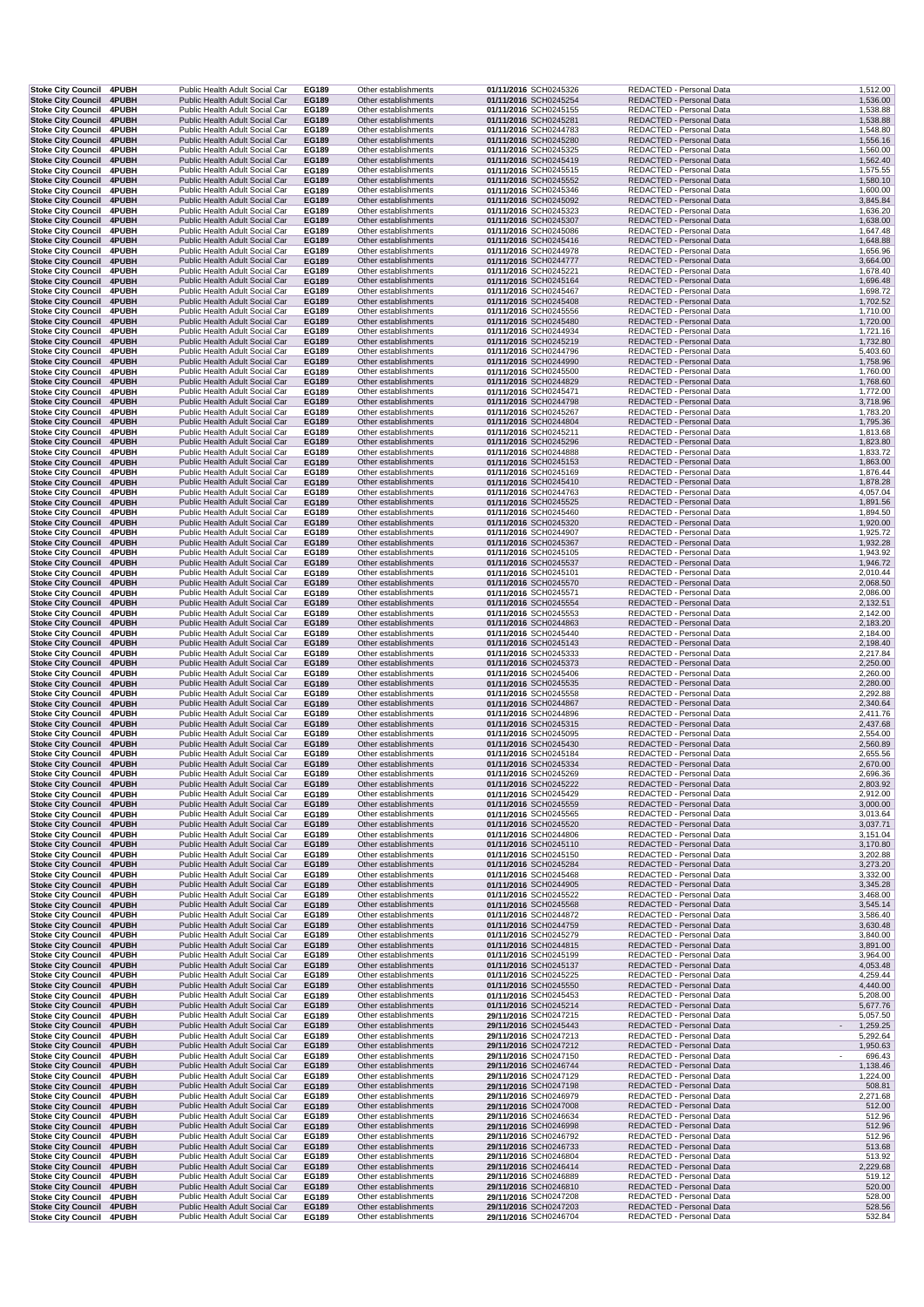| Stoke City Council 4PUBH                                     |                       | Public Health Adult Social Car                                   | EG189                 | Other establishments                         | 01/11/2016 SCH0245326                          | REDACTED - Personal Data                             | 1,512.00             |
|--------------------------------------------------------------|-----------------------|------------------------------------------------------------------|-----------------------|----------------------------------------------|------------------------------------------------|------------------------------------------------------|----------------------|
| <b>Stoke City Council</b><br><b>Stoke City Council</b>       | 4PUBH<br>4PUBH        | Public Health Adult Social Car<br>Public Health Adult Social Car | EG189<br>EG189        | Other establishments<br>Other establishments | 01/11/2016 SCH0245254<br>01/11/2016 SCH0245155 | REDACTED - Personal Data<br>REDACTED - Personal Data | 1,536.00<br>1,538.88 |
| <b>Stoke City Council</b>                                    | 4PUBH                 | Public Health Adult Social Car                                   | EG189                 | Other establishments                         | 01/11/2016 SCH0245281                          | REDACTED - Personal Data                             | 1,538.88             |
| <b>Stoke City Council</b>                                    | <b>4PUBH</b>          | Public Health Adult Social Car                                   | EG189                 | Other establishments                         | 01/11/2016 SCH0244783                          | REDACTED - Personal Data                             | 1,548.80             |
| Stoke City Council 4PUBH<br>Stoke City Council 4PUBH         |                       | Public Health Adult Social Car<br>Public Health Adult Social Car | EG189<br>EG189        | Other establishments<br>Other establishments | 01/11/2016 SCH0245280<br>01/11/2016 SCH0245325 | REDACTED - Personal Data<br>REDACTED - Personal Data | 1,556.16<br>1,560.00 |
| Stoke City Council 4PUBH                                     |                       | Public Health Adult Social Car                                   | EG189                 | Other establishments                         | 01/11/2016 SCH0245419                          | REDACTED - Personal Data                             | 1,562.40             |
| <b>Stoke City Council</b>                                    | 4PUBH                 | Public Health Adult Social Car                                   | EG189                 | Other establishments                         | 01/11/2016 SCH0245515                          | REDACTED - Personal Data                             | 1,575.55             |
| Stoke City Council 4PUBH<br>Stoke City Council 4PUBH         |                       | Public Health Adult Social Car<br>Public Health Adult Social Car | EG189<br>EG189        | Other establishments<br>Other establishments | 01/11/2016 SCH0245552<br>01/11/2016 SCH0245346 | REDACTED - Personal Data<br>REDACTED - Personal Data | 1,580.10<br>1,600.00 |
| Stoke City Council 4PUBH                                     |                       | Public Health Adult Social Car                                   | EG189                 | Other establishments                         | 01/11/2016 SCH0245092                          | REDACTED - Personal Data                             | 3,845.84             |
| <b>Stoke City Council</b>                                    | <b>4PUBH</b>          | Public Health Adult Social Car                                   | EG189                 | Other establishments                         | 01/11/2016 SCH0245323                          | REDACTED - Personal Data                             | 1,636.20             |
| Stoke City Council 4PUBH<br><b>Stoke City Council</b>        | 4PUBH                 | Public Health Adult Social Car<br>Public Health Adult Social Car | EG189<br>EG189        | Other establishments<br>Other establishments | 01/11/2016 SCH0245307<br>01/11/2016 SCH0245086 | REDACTED - Personal Data<br>REDACTED - Personal Data | 1,638.00<br>1,647.48 |
| <b>Stoke City Council</b>                                    | 4PUBH                 | Public Health Adult Social Car                                   | EG189                 | Other establishments                         | 01/11/2016 SCH0245416                          | REDACTED - Personal Data                             | 1,648.88             |
| <b>Stoke City Council</b>                                    | <b>4PUBH</b>          | Public Health Adult Social Car                                   | EG189                 | Other establishments                         | 01/11/2016 SCH0244978                          | REDACTED - Personal Data                             | 1,656.96             |
| Stoke City Council 4PUBH<br>Stoke City Council 4PUBH         |                       | Public Health Adult Social Car<br>Public Health Adult Social Car | <b>EG189</b><br>EG189 | Other establishments<br>Other establishments | 01/11/2016 SCH0244777<br>01/11/2016 SCH0245221 | REDACTED - Personal Data<br>REDACTED - Personal Data | 3,664.00<br>1,678.40 |
| Stoke City Council 4PUBH                                     |                       | Public Health Adult Social Car                                   | EG189                 | Other establishments                         | 01/11/2016 SCH0245164                          | REDACTED - Personal Data                             | 1,696.48             |
| Stoke City Council 4PUBH                                     |                       | Public Health Adult Social Car                                   | EG189                 | Other establishments                         | 01/11/2016 SCH0245467                          | REDACTED - Personal Data                             | 1,698.72             |
| Stoke City Council 4PUBH<br>Stoke City Council 4PUBH         |                       | Public Health Adult Social Car<br>Public Health Adult Social Car | EG189<br>EG189        | Other establishments<br>Other establishments | 01/11/2016 SCH0245408<br>01/11/2016 SCH0245556 | REDACTED - Personal Data<br>REDACTED - Personal Data | 1,702.52<br>1,710.00 |
| Stoke City Council 4PUBH                                     |                       | Public Health Adult Social Car                                   | EG189                 | Other establishments                         | 01/11/2016 SCH0245480                          | REDACTED - Personal Data                             | 1,720.00             |
| <b>Stoke City Council</b>                                    | <b>4PUBH</b>          | Public Health Adult Social Car                                   | EG189                 | Other establishments                         | 01/11/2016 SCH0244934                          | REDACTED - Personal Data                             | 1,721.16             |
| Stoke City Council 4PUBH<br><b>Stoke City Council</b>        | 4PUBH                 | Public Health Adult Social Car<br>Public Health Adult Social Car | EG189<br>EG189        | Other establishments<br>Other establishments | 01/11/2016 SCH0245219<br>01/11/2016 SCH0244796 | REDACTED - Personal Data<br>REDACTED - Personal Data | 1,732.80             |
| <b>Stoke City Council</b>                                    | 4PUBH                 | Public Health Adult Social Car                                   | EG189                 | Other establishments                         | 01/11/2016 SCH0244990                          | REDACTED - Personal Data                             | 5,403.60<br>1,758.96 |
| Stoke City Council 4PUBH                                     |                       | Public Health Adult Social Car                                   | EG189                 | Other establishments                         | 01/11/2016 SCH0245500                          | REDACTED - Personal Data                             | 1,760.00             |
| Stoke City Council 4PUBH                                     |                       | Public Health Adult Social Car                                   | EG189                 | Other establishments                         | 01/11/2016 SCH0244829                          | REDACTED - Personal Data                             | 1,768.60             |
| Stoke City Council 4PUBH<br>Stoke City Council 4PUBH         |                       | Public Health Adult Social Car<br>Public Health Adult Social Car | EG189<br>EG189        | Other establishments<br>Other establishments | 01/11/2016 SCH0245471<br>01/11/2016 SCH0244798 | REDACTED - Personal Data<br>REDACTED - Personal Data | 1,772.00<br>3,718.96 |
| Stoke City Council 4PUBH                                     |                       | Public Health Adult Social Car                                   | EG189                 | Other establishments                         | 01/11/2016 SCH0245267                          | REDACTED - Personal Data                             | 1,783.20             |
| <b>Stoke City Council</b>                                    | 4PUBH                 | Public Health Adult Social Car                                   | EG189                 | Other establishments                         | 01/11/2016 SCH0244804                          | REDACTED - Personal Data                             | 1,795.36             |
| Stoke City Council 4PUBH<br>Stoke City Council 4PUBH         |                       | Public Health Adult Social Car<br>Public Health Adult Social Car | EG189<br><b>EG189</b> | Other establishments<br>Other establishments | 01/11/2016 SCH0245211<br>01/11/2016 SCH0245296 | REDACTED - Personal Data<br>REDACTED - Personal Data | 1,813.68<br>1,823.80 |
| Stoke City Council 4PUBH                                     |                       | Public Health Adult Social Car                                   | EG189                 | Other establishments                         | 01/11/2016 SCH0244888                          | REDACTED - Personal Data                             | 1,833.72             |
| <b>Stoke City Council 4PUBH</b>                              |                       | Public Health Adult Social Car                                   | EG189                 | Other establishments                         | 01/11/2016 SCH0245153                          | REDACTED - Personal Data<br>REDACTED - Personal Data | 1,863.00             |
| Stoke City Council 4PUBH<br><b>Stoke City Council</b>        | 4PUBH                 | Public Health Adult Social Car<br>Public Health Adult Social Car | EG189<br>EG189        | Other establishments<br>Other establishments | 01/11/2016 SCH0245169<br>01/11/2016 SCH0245410 | REDACTED - Personal Data                             | 1,876.44<br>1,878.28 |
| <b>Stoke City Council</b>                                    | 4PUBH                 | Public Health Adult Social Car                                   | EG189                 | Other establishments                         | 01/11/2016 SCH0244763                          | REDACTED - Personal Data                             | 4,057.04             |
| <b>Stoke City Council</b>                                    | 4PUBH                 | Public Health Adult Social Car                                   | EG189                 | Other establishments                         | 01/11/2016 SCH0245525                          | REDACTED - Personal Data                             | 1,891.56             |
| <b>Stoke City Council</b><br><b>Stoke City Council 4PUBH</b> | <b>4PUBH</b>          | Public Health Adult Social Car<br>Public Health Adult Social Car | EG189<br>EG189        | Other establishments<br>Other establishments | 01/11/2016 SCH0245460<br>01/11/2016 SCH0245320 | REDACTED - Personal Data<br>REDACTED - Personal Data | 1,894.50<br>1,920.00 |
| Stoke City Council 4PUBH                                     |                       | Public Health Adult Social Car                                   | EG189                 | Other establishments                         | 01/11/2016 SCH0244907                          | REDACTED - Personal Data                             | 1,925.72             |
| Stoke City Council 4PUBH                                     |                       | Public Health Adult Social Car                                   | EG189                 | Other establishments                         | 01/11/2016 SCH0245367                          | REDACTED - Personal Data                             | 1,932.28             |
| Stoke City Council 4PUBH<br>Stoke City Council 4PUBH         |                       | Public Health Adult Social Car<br>Public Health Adult Social Car | EG189<br>EG189        | Other establishments<br>Other establishments | 01/11/2016 SCH0245105<br>01/11/2016 SCH0245537 | REDACTED - Personal Data<br>REDACTED - Personal Data | 1,943.92<br>1,946.72 |
| Stoke City Council 4PUBH                                     |                       | Public Health Adult Social Car                                   | EG189                 | Other establishments                         | 01/11/2016 SCH0245101                          | REDACTED - Personal Data                             | 2,010.44             |
| Stoke City Council 4PUBH                                     |                       | Public Health Adult Social Car                                   | EG189                 | Other establishments                         | 01/11/2016 SCH0245570                          | REDACTED - Personal Data                             | 2,068.50             |
| <b>Stoke City Council</b><br><b>Stoke City Council</b>       | <b>4PUBH</b><br>4PUBH | Public Health Adult Social Car<br>Public Health Adult Social Car | EG189<br>EG189        | Other establishments<br>Other establishments | 01/11/2016 SCH0245571<br>01/11/2016 SCH0245554 | REDACTED - Personal Data<br>REDACTED - Personal Data | 2,086.00<br>2,132.51 |
| <b>Stoke City Council</b>                                    | 4PUBH                 | Public Health Adult Social Car                                   | EG189                 | Other establishments                         | 01/11/2016 SCH0245553                          | REDACTED - Personal Data                             | 2,142.00             |
| <b>Stoke City Council</b>                                    | 4PUBH                 | Public Health Adult Social Car                                   | EG189                 | Other establishments                         | 01/11/2016 SCH0244863                          | REDACTED - Personal Data                             | 2,183.20             |
| Stoke City Council 4PUBH<br>Stoke City Council 4PUBH         |                       | Public Health Adult Social Car<br>Public Health Adult Social Car | EG189<br>EG189        | Other establishments<br>Other establishments | 01/11/2016 SCH0245440<br>01/11/2016 SCH0245143 | REDACTED - Personal Data<br>REDACTED - Personal Data | 2,184.00<br>2,198.40 |
| Stoke City Council 4PUBH                                     |                       | Public Health Adult Social Car                                   | EG189                 | Other establishments                         | 01/11/2016 SCH0245333                          | REDACTED - Personal Data                             | 2,217.84             |
| Stoke City Council 4PUBH                                     |                       | Public Health Adult Social Car                                   | EG189                 | Other establishments                         | 01/11/2016 SCH0245373                          | REDACTED - Personal Data                             | 2,250.00             |
| <b>Stoke City Council</b><br><b>Stoke City Council 4PUBH</b> | 4PUBH                 | Public Health Adult Social Car<br>Public Health Adult Social Car | EG189<br>EG189        | Other establishments<br>Other establishments | 01/11/2016 SCH0245406<br>01/11/2016 SCH0245535 | REDACTED - Personal Data<br>REDACTED - Personal Data | 2,260.00<br>2,280.00 |
| Stoke City Council 4PUBH                                     |                       | Public Health Adult Social Car                                   | EG189                 | Other establishments                         | 01/11/2016 SCH0245558                          | REDACTED - Personal Data                             | 2,292.88             |
| Stoke City Council 4PUBH                                     |                       | Public Health Adult Social Car                                   | EG189                 | Other establishments                         | 01/11/2016 SCH0244867                          | REDACTED - Personal Data                             | 2,340.64             |
| Stoke City Council 4PUBH<br>Stoke City Council 4PUBH         |                       | Public Health Adult Social Car<br>Public Health Adult Social Car | EG189<br>EG189        | Other establishments<br>Other establishments | 01/11/2016 SCH0244896<br>01/11/2016 SCH0245315 | REDACTED - Personal Data<br>REDACTED - Personal Data | 2,411.76<br>2,437.68 |
| <b>Stoke City Council</b>                                    | 4PUBH                 | Public Health Adult Social Car                                   | EG189                 | Other establishments                         | 01/11/2016 SCH0245095                          | REDACTED - Personal Data                             | 2,554.00             |
| <b>Stoke City Council</b>                                    | 4PUBH                 | Public Health Adult Social Car                                   | EG189                 | Other establishments                         | 01/11/2016 SCH0245430                          | REDACTED - Personal Data                             | 2,560.89             |
| Stoke City Council 4PUBH<br>Stoke City Council 4PUBH         |                       | Public Health Adult Social Car<br>Public Health Adult Social Car | EG189<br>EG189        | Other establishments<br>Other establishments | 01/11/2016 SCH0245184<br>01/11/2016 SCH0245334 | REDACTED - Personal Data<br>REDACTED - Personal Data | 2,655.56<br>2,670.00 |
| Stoke City Council 4PUBH                                     |                       | Public Health Adult Social Car                                   | EG189                 | Other establishments                         | 01/11/2016 SCH0245269                          | REDACTED - Personal Data                             | 2,696.36             |
| <b>Stoke City Council 4PUBH</b>                              |                       | Public Health Adult Social Car                                   | EG189                 | Other establishments                         | 01/11/2016 SCH0245222                          | REDACTED - Personal Data                             | 2,803.92             |
| Stoke City Council 4PUBH<br><b>Stoke City Council</b>        | 4PUBH                 | Public Health Adult Social Car<br>Public Health Adult Social Car | EG189<br>EG189        | Other establishments<br>Other establishments | 01/11/2016 SCH0245429<br>01/11/2016 SCH0245559 | REDACTED - Personal Data<br>REDACTED - Personal Data | 2,912.00<br>3,000.00 |
| Stoke City Council 4PUBH                                     |                       | Public Health Adult Social Car                                   | EG189                 | Other establishments                         | 01/11/2016 SCH0245565                          | REDACTED - Personal Data                             | 3,013.64             |
| <b>Stoke City Council</b>                                    | 4PUBH                 | Public Health Adult Social Car                                   | EG189                 | Other establishments                         | 01/11/2016 SCH0245520                          | REDACTED - Personal Data                             | 3,037.71             |
| <b>Stoke City Council</b><br>Stoke City Council 4PUBH        | 4PUBH                 | Public Health Adult Social Car<br>Public Health Adult Social Car | EG189<br>EG189        | Other establishments<br>Other establishments | 01/11/2016 SCH0244806<br>01/11/2016 SCH0245110 | REDACTED - Personal Data<br>REDACTED - Personal Data | 3,151.04<br>3,170.80 |
| Stoke City Council 4PUBH                                     |                       | Public Health Adult Social Car                                   | EG189                 | Other establishments                         | 01/11/2016 SCH0245150                          | REDACTED - Personal Data                             | 3,202.88             |
| <b>Stoke City Council</b>                                    | 4PUBH                 | Public Health Adult Social Car                                   | <b>EG189</b>          | Other establishments                         | 01/11/2016 SCH0245284                          | REDACTED - Personal Data                             | 3,273.20             |
| Stoke City Council 4PUBH<br>Stoke City Council 4PUBH         |                       | Public Health Adult Social Car<br>Public Health Adult Social Car | EG189<br>EG189        | Other establishments<br>Other establishments | 01/11/2016 SCH0245468<br>01/11/2016 SCH0244905 | REDACTED - Personal Data<br>REDACTED - Personal Data | 3,332.00<br>3,345.28 |
| Stoke City Council 4PUBH                                     |                       | Public Health Adult Social Car                                   | EG189                 | Other establishments                         | 01/11/2016 SCH0245522                          | REDACTED - Personal Data                             | 3,468.00             |
| Stoke City Council 4PUBH                                     |                       | Public Health Adult Social Car                                   | EG189                 | Other establishments                         | 01/11/2016 SCH0245568                          | REDACTED - Personal Data                             | 3,545.14             |
| Stoke City Council 4PUBH<br>Stoke City Council 4PUBH         |                       | Public Health Adult Social Car<br>Public Health Adult Social Car | EG189<br>EG189        | Other establishments<br>Other establishments | 01/11/2016 SCH0244872<br>01/11/2016 SCH0244759 | REDACTED - Personal Data<br>REDACTED - Personal Data | 3,586.40<br>3,630.48 |
| Stoke City Council 4PUBH                                     |                       | Public Health Adult Social Car                                   | EG189                 | Other establishments                         | 01/11/2016 SCH0245279                          | REDACTED - Personal Data                             | 3,840.00             |
| Stoke City Council 4PUBH                                     |                       | Public Health Adult Social Car                                   | EG189                 | Other establishments                         | 01/11/2016 SCH0244815                          | REDACTED - Personal Data                             | 3,891.00             |
| Stoke City Council 4PUBH<br><b>Stoke City Council 4PUBH</b>  |                       | Public Health Adult Social Car<br>Public Health Adult Social Car | EG189<br>EG189        | Other establishments<br>Other establishments | 01/11/2016 SCH0245199<br>01/11/2016 SCH0245137 | REDACTED - Personal Data<br>REDACTED - Personal Data | 3,964.00<br>4,053.48 |
| Stoke City Council 4PUBH                                     |                       | Public Health Adult Social Car                                   | EG189                 | Other establishments                         | 01/11/2016 SCH0245225                          | REDACTED - Personal Data                             | 4,259.44             |
| <b>Stoke City Council</b>                                    | 4PUBH                 | Public Health Adult Social Car                                   | EG189                 | Other establishments                         | 01/11/2016 SCH0245550                          | REDACTED - Personal Data                             | 4,440.00             |
| Stoke City Council 4PUBH<br>Stoke City Council 4PUBH         |                       | Public Health Adult Social Car<br>Public Health Adult Social Car | EG189<br><b>EG189</b> | Other establishments<br>Other establishments | 01/11/2016 SCH0245453<br>01/11/2016 SCH0245214 | REDACTED - Personal Data<br>REDACTED - Personal Data | 5,208.00<br>5,677.76 |
| Stoke City Council 4PUBH                                     |                       | Public Health Adult Social Car                                   | EG189                 | Other establishments                         | 29/11/2016 SCH0247215                          | REDACTED - Personal Data                             | 5,057.50             |
| Stoke City Council 4PUBH                                     |                       | Public Health Adult Social Car                                   | EG189                 | Other establishments                         | 29/11/2016 SCH0245443                          | REDACTED - Personal Data                             | 1,259.25             |
| Stoke City Council 4PUBH<br><b>Stoke City Council</b>        | 4PUBH                 | Public Health Adult Social Car<br>Public Health Adult Social Car | EG189<br>EG189        | Other establishments<br>Other establishments | 29/11/2016 SCH0247213<br>29/11/2016 SCH0247212 | REDACTED - Personal Data<br>REDACTED - Personal Data | 5,292.64<br>1,950.63 |
| Stoke City Council 4PUBH                                     |                       | Public Health Adult Social Car                                   | EG189                 | Other establishments                         | 29/11/2016 SCH0247150                          | REDACTED - Personal Data                             | 696.43               |
| Stoke City Council 4PUBH                                     |                       | Public Health Adult Social Car                                   | EG189                 | Other establishments                         | 29/11/2016 SCH0246744                          | REDACTED - Personal Data                             | 1,138.46             |
| Stoke City Council 4PUBH<br><b>Stoke City Council 4PUBH</b>  |                       | Public Health Adult Social Car                                   | EG189                 | Other establishments                         | 29/11/2016 SCH0247129                          | REDACTED - Personal Data                             | 1,224.00             |
| Stoke City Council 4PUBH                                     |                       | Public Health Adult Social Car<br>Public Health Adult Social Car | EG189<br>EG189        | Other establishments<br>Other establishments | 29/11/2016 SCH0247198<br>29/11/2016 SCH0246979 | REDACTED - Personal Data<br>REDACTED - Personal Data | 508.81<br>2,271.68   |
| <b>Stoke City Council</b>                                    | 4PUBH                 | Public Health Adult Social Car                                   | EG189                 | Other establishments                         | 29/11/2016 SCH0247008                          | REDACTED - Personal Data                             | 512.00               |
| <b>Stoke City Council</b><br><b>Stoke City Council</b>       | 4PUBH<br>4PUBH        | Public Health Adult Social Car<br>Public Health Adult Social Car | EG189<br>EG189        | Other establishments<br>Other establishments | 29/11/2016 SCH0246634<br>29/11/2016 SCH0246998 | REDACTED - Personal Data<br>REDACTED - Personal Data | 512.96<br>512.96     |
| Stoke City Council 4PUBH                                     |                       | Public Health Adult Social Car                                   | EG189                 | Other establishments                         | 29/11/2016 SCH0246792                          | REDACTED - Personal Data                             | 512.96               |
| Stoke City Council 4PUBH                                     |                       | Public Health Adult Social Car                                   | <b>EG189</b>          | Other establishments                         | 29/11/2016 SCH0246733                          | REDACTED - Personal Data                             | 513.68               |
| Stoke City Council 4PUBH<br>Stoke City Council 4PUBH         |                       | Public Health Adult Social Car<br>Public Health Adult Social Car | EG189<br>EG189        | Other establishments<br>Other establishments | 29/11/2016 SCH0246804<br>29/11/2016 SCH0246414 | REDACTED - Personal Data<br>REDACTED - Personal Data | 513.92<br>2,229.68   |
| <b>Stoke City Council</b>                                    | <b>4PUBH</b>          | Public Health Adult Social Car                                   | EG189                 | Other establishments                         | 29/11/2016 SCH0246889                          | REDACTED - Personal Data                             | 519.12               |
| Stoke City Council 4PUBH                                     |                       | Public Health Adult Social Car                                   | EG189                 | Other establishments                         | 29/11/2016 SCH0246810                          | REDACTED - Personal Data                             | 520.00               |
| Stoke City Council 4PUBH                                     |                       | Public Health Adult Social Car<br>Public Health Adult Social Car | EG189<br>EG189        | Other establishments<br>Other establishments | 29/11/2016 SCH0247208<br>29/11/2016 SCH0247203 | REDACTED - Personal Data<br>REDACTED - Personal Data | 528.00<br>528.56     |
| <b>Stoke City Council 4PUBH</b><br>Stoke City Council 4PUBH  |                       | Public Health Adult Social Car                                   | EG189                 | Other establishments                         | 29/11/2016 SCH0246704                          | REDACTED - Personal Data                             | 532.84               |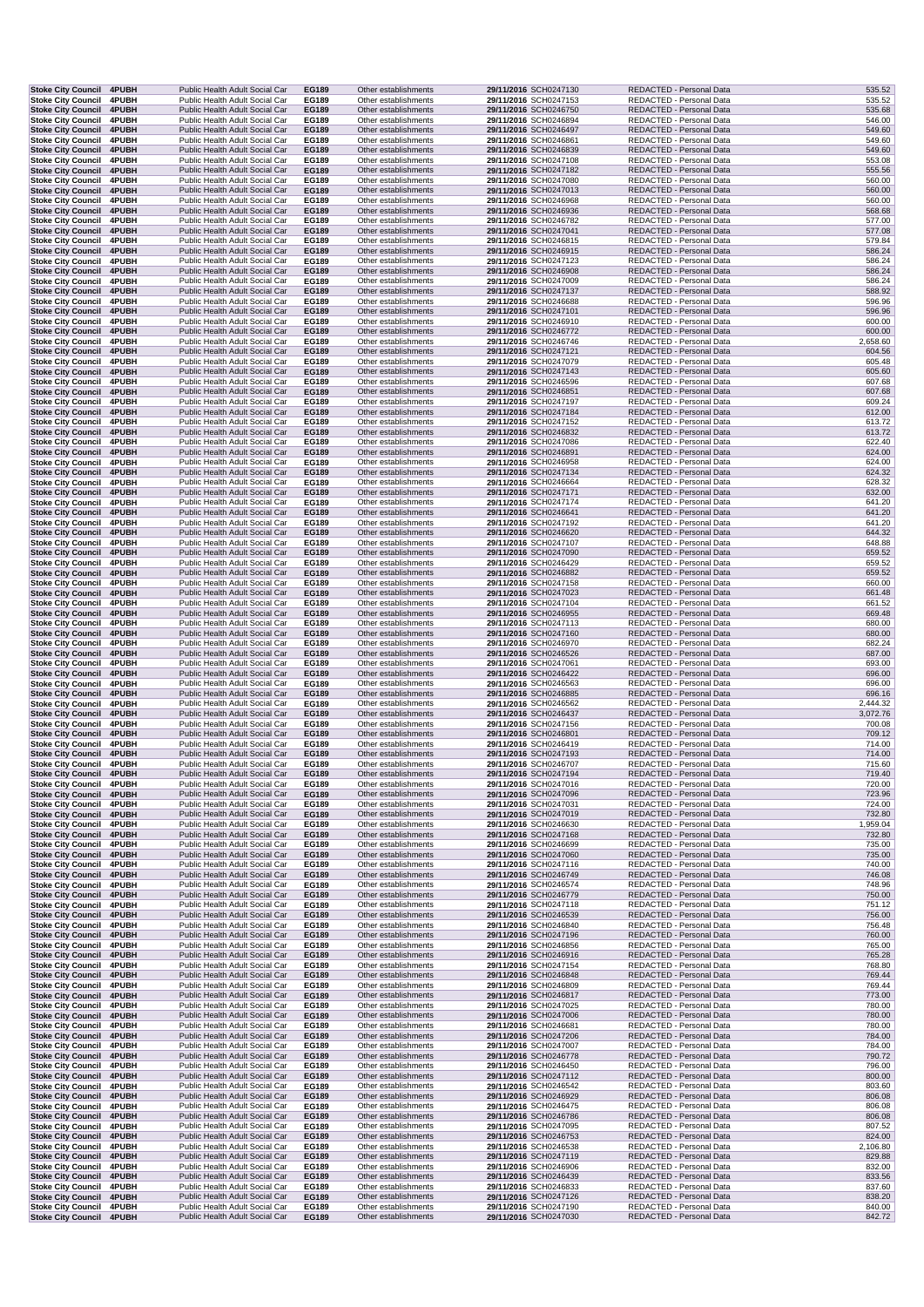| Stoke City Council 4PUBH                                     |                       | Public Health Adult Social Car                                   |  | EG189                 | Other establishments                         | 29/11/2016 SCH0247130                          | REDACTED - Personal Data                             | 535.52           |
|--------------------------------------------------------------|-----------------------|------------------------------------------------------------------|--|-----------------------|----------------------------------------------|------------------------------------------------|------------------------------------------------------|------------------|
| <b>Stoke City Council</b><br><b>Stoke City Council</b>       | 4PUBH<br>4PUBH        | Public Health Adult Social Car<br>Public Health Adult Social Car |  | EG189<br>EG189        | Other establishments<br>Other establishments | 29/11/2016 SCH0247153<br>29/11/2016 SCH0246750 | REDACTED - Personal Data<br>REDACTED - Personal Data | 535.52<br>535.68 |
| <b>Stoke City Council</b>                                    | 4PUBH                 | Public Health Adult Social Car                                   |  | EG189                 | Other establishments                         | 29/11/2016 SCH0246894                          | REDACTED - Personal Data                             | 546.00           |
| <b>Stoke City Council</b>                                    | 4PUBH                 | Public Health Adult Social Car                                   |  | EG189                 | Other establishments                         | 29/11/2016 SCH0246497                          | REDACTED - Personal Data                             | 549.60           |
| <b>Stoke City Council</b><br><b>Stoke City Council 4PUBH</b> | <b>4PUBH</b>          | Public Health Adult Social Car<br>Public Health Adult Social Car |  | EG189<br>EG189        | Other establishments<br>Other establishments | 29/11/2016 SCH0246861<br>29/11/2016 SCH0246839 | REDACTED - Personal Data<br>REDACTED - Personal Data | 549.60<br>549.60 |
| Stoke City Council 4PUBH                                     |                       | Public Health Adult Social Car                                   |  | EG189                 | Other establishments                         | 29/11/2016 SCH0247108                          | REDACTED - Personal Data                             | 553.08           |
| <b>Stoke City Council</b>                                    | 4PUBH                 | Public Health Adult Social Car                                   |  | EG189                 | Other establishments                         | 29/11/2016 SCH0247182                          | REDACTED - Personal Data                             | 555.56           |
| Stoke City Council 4PUBH<br>Stoke City Council 4PUBH         |                       | Public Health Adult Social Car<br>Public Health Adult Social Car |  | EG189<br><b>EG189</b> | Other establishments<br>Other establishments | 29/11/2016 SCH0247080<br>29/11/2016 SCH0247013 | REDACTED - Personal Data<br>REDACTED - Personal Data | 560.00<br>560.00 |
| Stoke City Council 4PUBH                                     |                       | Public Health Adult Social Car                                   |  | EG189                 | Other establishments                         | 29/11/2016 SCH0246968                          | REDACTED - Personal Data                             | 560.00           |
| Stoke City Council 4PUBH                                     |                       | Public Health Adult Social Car                                   |  | EG189                 | Other establishments                         | 29/11/2016 SCH0246936                          | REDACTED - Personal Data                             | 568.68           |
| <b>Stoke City Council</b>                                    | <b>4PUBH</b>          | Public Health Adult Social Car<br>Public Health Adult Social Car |  | EG189<br>EG189        | Other establishments<br>Other establishments | 29/11/2016 SCH0246782<br>29/11/2016 SCH0247041 | REDACTED - Personal Data<br>REDACTED - Personal Data | 577.00<br>577.08 |
| <b>Stoke City Council</b><br><b>Stoke City Council</b>       | 4PUBH<br><b>4PUBH</b> | Public Health Adult Social Car                                   |  | EG189                 | Other establishments                         | 29/11/2016 SCH0246815                          | REDACTED - Personal Data                             | 579.84           |
| <b>Stoke City Council</b>                                    | 4PUBH                 | Public Health Adult Social Car                                   |  | EG189                 | Other establishments                         | 29/11/2016 SCH0246915                          | REDACTED - Personal Data                             | 586.24           |
| Stoke City Council 4PUBH                                     |                       | Public Health Adult Social Car                                   |  | EG189                 | Other establishments                         | 29/11/2016 SCH0247123                          | REDACTED - Personal Data                             | 586.24           |
| Stoke City Council 4PUBH<br>Stoke City Council 4PUBH         |                       | Public Health Adult Social Car<br>Public Health Adult Social Car |  | EG189<br>EG189        | Other establishments<br>Other establishments | 29/11/2016 SCH0246908<br>29/11/2016 SCH0247009 | REDACTED - Personal Data<br>REDACTED - Personal Data | 586.24<br>586.24 |
| Stoke City Council 4PUBH                                     |                       | Public Health Adult Social Car                                   |  | EG189                 | Other establishments                         | 29/11/2016 SCH0247137                          | REDACTED - Personal Data                             | 588.92           |
| <b>Stoke City Council</b>                                    | <b>4PUBH</b>          | Public Health Adult Social Car                                   |  | EG189                 | Other establishments                         | 29/11/2016 SCH0246688                          | REDACTED - Personal Data                             | 596.96           |
| Stoke City Council 4PUBH<br>Stoke City Council 4PUBH         |                       | Public Health Adult Social Car<br>Public Health Adult Social Car |  | EG189<br>EG189        | Other establishments<br>Other establishments | 29/11/2016 SCH0247101<br>29/11/2016 SCH0246910 | REDACTED - Personal Data<br>REDACTED - Personal Data | 596.96<br>600.00 |
| Stoke City Council 4PUBH                                     |                       | Public Health Adult Social Car                                   |  | EG189                 | Other establishments                         | 29/11/2016 SCH0246772                          | REDACTED - Personal Data                             | 600.00           |
| <b>Stoke City Council</b>                                    | <b>4PUBH</b>          | Public Health Adult Social Car                                   |  | EG189                 | Other establishments                         | 29/11/2016 SCH0246746                          | REDACTED - Personal Data                             | 2,658.60         |
| <b>Stoke City Council</b><br><b>Stoke City Council</b>       | 4PUBH<br>4PUBH        | Public Health Adult Social Car<br>Public Health Adult Social Car |  | EG189<br>EG189        | Other establishments<br>Other establishments | 29/11/2016 SCH0247121<br>29/11/2016 SCH0247079 | REDACTED - Personal Data<br>REDACTED - Personal Data | 604.56<br>605.48 |
| <b>Stoke City Council</b>                                    | 4PUBH                 | Public Health Adult Social Car                                   |  | EG189                 | Other establishments                         | 29/11/2016 SCH0247143                          | REDACTED - Personal Data                             | 605.60           |
| Stoke City Council 4PUBH                                     |                       | Public Health Adult Social Car                                   |  | EG189                 | Other establishments                         | 29/11/2016 SCH0246596                          | REDACTED - Personal Data                             | 607.68           |
| Stoke City Council 4PUBH<br>Stoke City Council 4PUBH         |                       | Public Health Adult Social Car<br>Public Health Adult Social Car |  | EG189<br>EG189        | Other establishments<br>Other establishments | 29/11/2016 SCH0246851<br>29/11/2016 SCH0247197 | REDACTED - Personal Data<br>REDACTED - Personal Data | 607.68<br>609.24 |
| Stoke City Council 4PUBH                                     |                       | Public Health Adult Social Car                                   |  | EG189                 | Other establishments                         | 29/11/2016 SCH0247184                          | REDACTED - Personal Data                             | 612.00           |
| <b>Stoke City Council</b>                                    | 4PUBH                 | Public Health Adult Social Car                                   |  | EG189                 | Other establishments                         | 29/11/2016 SCH0247152                          | REDACTED - Personal Data                             | 613.72           |
| <b>Stoke City Council 4PUBH</b>                              |                       | Public Health Adult Social Car<br>Public Health Adult Social Car |  | EG189                 | Other establishments<br>Other establishments | 29/11/2016 SCH0246832<br>29/11/2016 SCH0247086 | REDACTED - Personal Data<br>REDACTED - Personal Data | 613.72<br>622.40 |
| Stoke City Council 4PUBH<br>Stoke City Council 4PUBH         |                       | Public Health Adult Social Car                                   |  | EG189<br>EG189        | Other establishments                         | 29/11/2016 SCH0246891                          | REDACTED - Personal Data                             | 624.00           |
| Stoke City Council 4PUBH                                     |                       | Public Health Adult Social Car                                   |  | EG189                 | Other establishments                         | 29/11/2016 SCH0246958                          | REDACTED - Personal Data                             | 624.00           |
| Stoke City Council 4PUBH<br><b>Stoke City Council</b>        |                       | Public Health Adult Social Car<br>Public Health Adult Social Car |  | EG189                 | Other establishments                         | 29/11/2016 SCH0247134                          | REDACTED - Personal Data<br>REDACTED - Personal Data | 624.32<br>628.32 |
| <b>Stoke City Council</b>                                    | 4PUBH<br>4PUBH        | Public Health Adult Social Car                                   |  | EG189<br>EG189        | Other establishments<br>Other establishments | 29/11/2016 SCH0246664<br>29/11/2016 SCH0247171 | REDACTED - Personal Data                             | 632.00           |
| <b>Stoke City Council</b>                                    | <b>4PUBH</b>          | Public Health Adult Social Car                                   |  | EG189                 | Other establishments                         | 29/11/2016 SCH0247174                          | REDACTED - Personal Data                             | 641.20           |
| <b>Stoke City Council</b>                                    | 4PUBH                 | Public Health Adult Social Car                                   |  | EG189                 | Other establishments                         | 29/11/2016 SCH0246641                          | REDACTED - Personal Data                             | 641.20           |
| Stoke City Council 4PUBH<br>Stoke City Council 4PUBH         |                       | Public Health Adult Social Car<br>Public Health Adult Social Car |  | EG189<br>EG189        | Other establishments<br>Other establishments | 29/11/2016 SCH0247192<br>29/11/2016 SCH0246620 | REDACTED - Personal Data<br>REDACTED - Personal Data | 641.20<br>644.32 |
| Stoke City Council 4PUBH                                     |                       | Public Health Adult Social Car                                   |  | EG189                 | Other establishments                         | 29/11/2016 SCH0247107                          | REDACTED - Personal Data                             | 648.88           |
| <b>Stoke City Council</b>                                    | <b>4PUBH</b>          | Public Health Adult Social Car                                   |  | EG189                 | Other establishments                         | 29/11/2016 SCH0247090                          | REDACTED - Personal Data                             | 659.52           |
| Stoke City Council 4PUBH<br>Stoke City Council 4PUBH         |                       | Public Health Adult Social Car<br>Public Health Adult Social Car |  | EG189<br>EG189        | Other establishments<br>Other establishments | 29/11/2016 SCH0246429<br>29/11/2016 SCH0246882 | REDACTED - Personal Data<br>REDACTED - Personal Data | 659.52<br>659.52 |
| <b>Stoke City Council</b>                                    | <b>4PUBH</b>          | Public Health Adult Social Car                                   |  | EG189                 | Other establishments                         | 29/11/2016 SCH0247158                          | REDACTED - Personal Data                             | 660.00           |
| <b>Stoke City Council</b>                                    | 4PUBH                 | Public Health Adult Social Car                                   |  | EG189                 | Other establishments                         | 29/11/2016 SCH0247023                          | REDACTED - Personal Data                             | 661.48           |
| <b>Stoke City Council</b><br><b>Stoke City Council</b>       | <b>4PUBH</b><br>4PUBH | Public Health Adult Social Car<br>Public Health Adult Social Car |  | EG189<br>EG189        | Other establishments<br>Other establishments | 29/11/2016 SCH0247104<br>29/11/2016 SCH0246955 | REDACTED - Personal Data<br>REDACTED - Personal Data | 661.52<br>669.48 |
| Stoke City Council 4PUBH                                     |                       | Public Health Adult Social Car                                   |  | EG189                 | Other establishments                         | 29/11/2016 SCH0247113                          | REDACTED - Personal Data                             | 680.00           |
| Stoke City Council 4PUBH                                     |                       | Public Health Adult Social Car                                   |  | EG189                 | Other establishments                         | 29/11/2016 SCH0247160                          | REDACTED - Personal Data                             | 680.00           |
| Stoke City Council 4PUBH<br>Stoke City Council 4PUBH         |                       | Public Health Adult Social Car<br>Public Health Adult Social Car |  | EG189<br>EG189        | Other establishments<br>Other establishments | 29/11/2016 SCH0246970<br>29/11/2016 SCH0246526 | REDACTED - Personal Data<br>REDACTED - Personal Data | 682.24<br>687.00 |
| Stoke City Council 4PUBH                                     |                       | Public Health Adult Social Car                                   |  | EG189                 | Other establishments                         | 29/11/2016 SCH0247061                          | REDACTED - Personal Data                             | 693.00           |
| <b>Stoke City Council</b>                                    | 4PUBH                 | Public Health Adult Social Car                                   |  | EG189                 | Other establishments                         | 29/11/2016 SCH0246422                          | REDACTED - Personal Data                             | 696.00           |
| Stoke City Council 4PUBH<br>Stoke City Council 4PUBH         |                       | Public Health Adult Social Car<br>Public Health Adult Social Car |  | EG189<br>EG189        | Other establishments<br>Other establishments | 29/11/2016 SCH0246563<br>29/11/2016 SCH0246885 | REDACTED - Personal Data<br>REDACTED - Personal Data | 696.00<br>696.16 |
| <b>Stoke City Council</b>                                    | <b>4PUBH</b>          | Public Health Adult Social Car                                   |  | EG189                 | Other establishments                         | 29/11/2016 SCH0246562                          | REDACTED - Personal Data                             | 2,444.32         |
| Stoke City Council 4PUBH                                     |                       | Public Health Adult Social Car                                   |  | EG189                 | Other establishments                         | 29/11/2016 SCH0246437                          | REDACTED - Personal Data                             | 3,072.76         |
| <b>Stoke City Council</b><br><b>Stoke City Council</b>       | 4PUBH<br>4PUBH        | Public Health Adult Social Car<br>Public Health Adult Social Car |  | EG189<br>EG189        | Other establishments<br>Other establishments | 29/11/2016 SCH0247156<br>29/11/2016 SCH0246801 | REDACTED - Personal Data<br>REDACTED - Personal Data | 700.08<br>709.12 |
| <b>Stoke City Council</b>                                    | <b>4PUBH</b>          | Public Health Adult Social Car                                   |  | EG189                 | Other establishments                         | 29/11/2016 SCH0246419                          | REDACTED - Personal Data                             | 714.00           |
| <b>Stoke City Council</b>                                    | 4PUBH                 | Public Health Adult Social Car                                   |  | EG189                 | Other establishments                         | 29/11/2016 SCH0247193                          | REDACTED - Personal Data                             | 714.00           |
| Stoke City Council 4PUBH<br><b>Stoke City Council 4PUBH</b>  |                       | Public Health Adult Social Car<br>Public Health Adult Social Car |  | EG189<br>EG189        | Other establishments<br>Other establishments | 29/11/2016 SCH0246707<br>29/11/2016 SCH0247194 | REDACTED - Personal Data<br>REDACTED - Personal Data | 715.60<br>719.40 |
| Stoke City Council 4PUBH                                     |                       | Public Health Adult Social Car                                   |  | EG189                 | Other establishments                         | 29/11/2016 SCH0247016                          | REDACTED - Personal Data                             | 720.00           |
| Stoke City Council 4PUBH                                     |                       | Public Health Adult Social Car                                   |  | <b>EG189</b>          | Other establishments                         | 29/11/2016 SCH0247096                          | REDACTED - Personal Data                             | 723.96           |
| <b>Stoke City Council</b><br><b>Stoke City Council</b>       | <b>4PUBH</b><br>4PUBH | Public Health Adult Social Car<br>Public Health Adult Social Car |  | EG189<br>EG189        | Other establishments<br>Other establishments | 29/11/2016 SCH0247031<br>29/11/2016 SCH0247019 | REDACTED - Personal Data<br>REDACTED - Personal Data | 724.00<br>732.80 |
| <b>Stoke City Council</b>                                    | <b>4PUBH</b>          | Public Health Adult Social Car                                   |  | EG189                 | Other establishments                         | 29/11/2016 SCH0246630                          | REDACTED - Personal Data                             | 1,959.04         |
| Stoke City Council 4PUBH                                     |                       | Public Health Adult Social Car                                   |  | EG189                 | Other establishments                         | 29/11/2016 SCH0247168                          | REDACTED - Personal Data                             | 732.80           |
| <b>Stoke City Council</b><br>Stoke City Council 4PUBH        | <b>4PUBH</b>          | Public Health Adult Social Car<br>Public Health Adult Social Car |  | EG189<br>EG189        | Other establishments<br>Other establishments | 29/11/2016 SCH0246699<br>29/11/2016 SCH0247060 | REDACTED - Personal Data<br>REDACTED - Personal Data | 735.00<br>735.00 |
| <b>Stoke City Council</b>                                    | 4PUBH                 | Public Health Adult Social Car                                   |  | EG189                 | Other establishments                         | 29/11/2016 SCH0247116                          | REDACTED - Personal Data                             | 740.00           |
| <b>Stoke City Council</b>                                    | 4PUBH                 | Public Health Adult Social Car                                   |  | EG189                 | Other establishments                         | 29/11/2016 SCH0246749                          | REDACTED - Personal Data                             | 746.08           |
| Stoke City Council 4PUBH<br>Stoke City Council 4PUBH         |                       | Public Health Adult Social Car<br>Public Health Adult Social Car |  | EG189<br>EG189        | Other establishments<br>Other establishments | 29/11/2016 SCH0246574<br>29/11/2016 SCH0246779 | REDACTED - Personal Data<br>REDACTED - Personal Data | 748.96<br>750.00 |
| <b>Stoke City Council</b>                                    | <b>4PUBH</b>          | Public Health Adult Social Car                                   |  | EG189                 | Other establishments                         | 29/11/2016 SCH0247118                          | REDACTED - Personal Data                             | 751.12           |
| Stoke City Council 4PUBH                                     |                       | Public Health Adult Social Car                                   |  | EG189                 | Other establishments                         | 29/11/2016 SCH0246539                          | REDACTED - Personal Data                             | 756.00           |
| Stoke City Council 4PUBH<br>Stoke City Council 4PUBH         |                       | Public Health Adult Social Car<br>Public Health Adult Social Car |  | EG189<br>EG189        | Other establishments<br>Other establishments | 29/11/2016 SCH0246840<br>29/11/2016 SCH0247196 | REDACTED - Personal Data<br>REDACTED - Personal Data | 756.48<br>760.00 |
| Stoke City Council 4PUBH                                     |                       | Public Health Adult Social Car                                   |  | EG189                 | Other establishments                         | 29/11/2016 SCH0246856                          | REDACTED - Personal Data                             | 765.00           |
| Stoke City Council 4PUBH                                     |                       | Public Health Adult Social Car                                   |  | EG189                 | Other establishments                         | 29/11/2016 SCH0246916                          | REDACTED - Personal Data                             | 765.28           |
| Stoke City Council 4PUBH<br>Stoke City Council 4PUBH         |                       | Public Health Adult Social Car<br>Public Health Adult Social Car |  | EG189<br>EG189        | Other establishments<br>Other establishments | 29/11/2016 SCH0247154<br>29/11/2016 SCH0246848 | REDACTED - Personal Data<br>REDACTED - Personal Data | 768.80<br>769.44 |
| <b>Stoke City Council</b>                                    | 4PUBH                 | Public Health Adult Social Car                                   |  | EG189                 | Other establishments                         | 29/11/2016 SCH0246809                          | REDACTED - Personal Data                             | 769.44           |
| <b>Stoke City Council</b>                                    | 4PUBH                 | Public Health Adult Social Car                                   |  | EG189                 | Other establishments                         | 29/11/2016 SCH0246817                          | REDACTED - Personal Data                             | 773.00           |
| Stoke City Council 4PUBH<br>Stoke City Council 4PUBH         |                       | Public Health Adult Social Car<br>Public Health Adult Social Car |  | EG189                 | Other establishments<br>Other establishments | 29/11/2016 SCH0247025<br>29/11/2016 SCH0247006 | REDACTED - Personal Data<br>REDACTED - Personal Data | 780.00<br>780.00 |
| Stoke City Council 4PUBH                                     |                       | Public Health Adult Social Car                                   |  | EG189<br>EG189        | Other establishments                         | 29/11/2016 SCH0246681                          | REDACTED - Personal Data                             | 780.00           |
| Stoke City Council 4PUBH                                     |                       | Public Health Adult Social Car                                   |  | EG189                 | Other establishments                         | 29/11/2016 SCH0247206                          | REDACTED - Personal Data                             | 784.00           |
| Stoke City Council 4PUBH<br>Stoke City Council 4PUBH         |                       | Public Health Adult Social Car<br>Public Health Adult Social Car |  | EG189<br>EG189        | Other establishments<br>Other establishments | 29/11/2016 SCH0247007<br>29/11/2016 SCH0246778 | REDACTED - Personal Data<br>REDACTED - Personal Data | 784.00<br>790.72 |
| Stoke City Council 4PUBH                                     |                       | Public Health Adult Social Car                                   |  | EG189                 | Other establishments                         | 29/11/2016 SCH0246450                          | REDACTED - Personal Data                             | 796.00           |
| Stoke City Council 4PUBH                                     |                       | Public Health Adult Social Car                                   |  | EG189                 | Other establishments                         | 29/11/2016 SCH0247112                          | REDACTED - Personal Data                             | 800.00           |
| <b>Stoke City Council</b><br>Stoke City Council 4PUBH        | 4PUBH                 | Public Health Adult Social Car<br>Public Health Adult Social Car |  | EG189<br>EG189        | Other establishments<br>Other establishments | 29/11/2016 SCH0246542<br>29/11/2016 SCH0246929 | REDACTED - Personal Data<br>REDACTED - Personal Data | 803.60<br>806.08 |
| Stoke City Council 4PUBH                                     |                       | Public Health Adult Social Car                                   |  | EG189                 | Other establishments                         | 29/11/2016 SCH0246475                          | REDACTED - Personal Data                             | 806.08           |
| <b>Stoke City Council</b>                                    | 4PUBH                 | Public Health Adult Social Car                                   |  | EG189                 | Other establishments                         | 29/11/2016 SCH0246786                          | REDACTED - Personal Data                             | 806.08           |
| Stoke City Council 4PUBH<br>Stoke City Council 4PUBH         |                       | Public Health Adult Social Car<br>Public Health Adult Social Car |  | EG189<br>EG189        | Other establishments<br>Other establishments | 29/11/2016 SCH0247095<br>29/11/2016 SCH0246753 | REDACTED - Personal Data<br>REDACTED - Personal Data | 807.52<br>824.00 |
| <b>Stoke City Council</b>                                    | <b>4PUBH</b>          | Public Health Adult Social Car                                   |  | EG189                 | Other establishments                         | 29/11/2016 SCH0246538                          | REDACTED - Personal Data                             | 2,106.80         |
| Stoke City Council 4PUBH                                     |                       | Public Health Adult Social Car                                   |  | EG189                 | Other establishments                         | 29/11/2016 SCH0247119                          | REDACTED - Personal Data                             | 829.88           |
| Stoke City Council 4PUBH<br><b>Stoke City Council</b>        | 4PUBH                 | Public Health Adult Social Car<br>Public Health Adult Social Car |  | EG189<br>EG189        | Other establishments<br>Other establishments | 29/11/2016 SCH0246906<br>29/11/2016 SCH0246439 | REDACTED - Personal Data<br>REDACTED - Personal Data | 832.00<br>833.56 |
| Stoke City Council 4PUBH                                     |                       | Public Health Adult Social Car                                   |  | EG189                 | Other establishments                         | 29/11/2016 SCH0246833                          | REDACTED - Personal Data                             | 837.60           |
|                                                              |                       |                                                                  |  |                       |                                              |                                                |                                                      |                  |
| Stoke City Council 4PUBH<br>Stoke City Council 4PUBH         |                       | Public Health Adult Social Car<br>Public Health Adult Social Car |  | EG189<br>EG189        | Other establishments<br>Other establishments | 29/11/2016 SCH0247126<br>29/11/2016 SCH0247190 | REDACTED - Personal Data<br>REDACTED - Personal Data | 838.20<br>840.00 |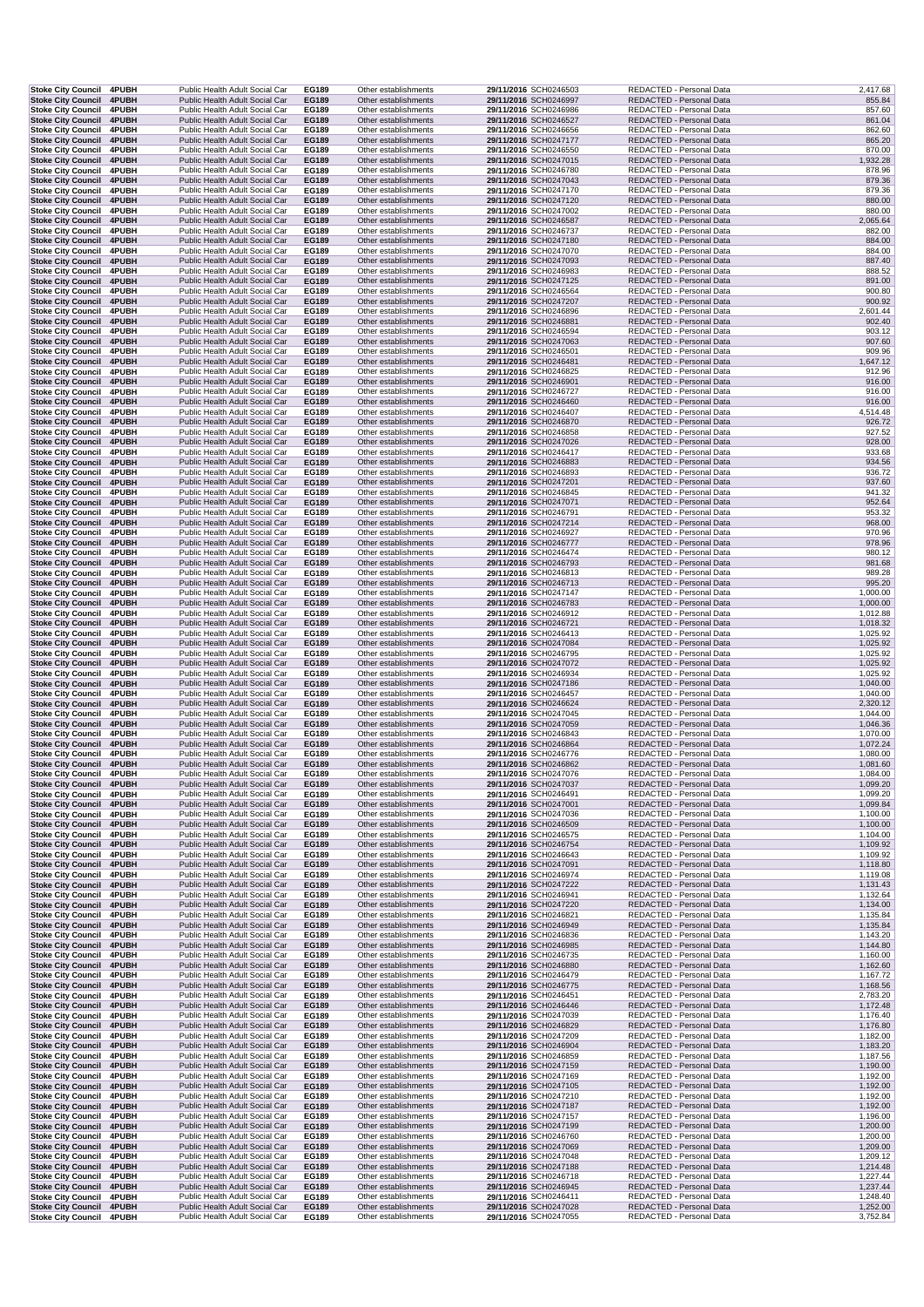| Stoke City Council 4PUBH                                     |                | Public Health Adult Social Car                                   |  | EG189                 | Other establishments                         | 29/11/2016 SCH0246503                          | REDACTED - Personal Data                             |                      | 2,417.68             |
|--------------------------------------------------------------|----------------|------------------------------------------------------------------|--|-----------------------|----------------------------------------------|------------------------------------------------|------------------------------------------------------|----------------------|----------------------|
| <b>Stoke City Council</b><br><b>Stoke City Council</b>       | 4PUBH<br>4PUBH | Public Health Adult Social Car<br>Public Health Adult Social Car |  | EG189<br>EG189        | Other establishments<br>Other establishments | 29/11/2016 SCH0246997<br>29/11/2016 SCH0246986 | REDACTED - Personal Data<br>REDACTED - Personal Data |                      | 855.84<br>857.60     |
| <b>Stoke City Council</b>                                    | 4PUBH          | Public Health Adult Social Car                                   |  | EG189                 | Other establishments                         | 29/11/2016 SCH0246527                          | REDACTED - Personal Data                             |                      | 861.04               |
| <b>Stoke City Council</b>                                    | <b>4PUBH</b>   | Public Health Adult Social Car                                   |  | EG189                 | Other establishments                         | 29/11/2016 SCH0246656                          | REDACTED - Personal Data                             |                      | 862.60               |
| <b>Stoke City Council</b><br>Stoke City Council 4PUBH        | <b>4PUBH</b>   | Public Health Adult Social Car<br>Public Health Adult Social Car |  | EG189<br>EG189        | Other establishments<br>Other establishments | 29/11/2016 SCH0247177<br>29/11/2016 SCH0246550 | REDACTED - Personal Data<br>REDACTED - Personal Data |                      | 865.20<br>870.00     |
| Stoke City Council 4PUBH                                     |                | Public Health Adult Social Car                                   |  | EG189                 | Other establishments                         | 29/11/2016 SCH0247015                          | REDACTED - Personal Data                             |                      | 1,932.28             |
| <b>Stoke City Council</b>                                    | 4PUBH          | Public Health Adult Social Car                                   |  | EG189                 | Other establishments                         | 29/11/2016 SCH0246780                          | REDACTED - Personal Data                             |                      | 878.96               |
| Stoke City Council 4PUBH<br>Stoke City Council 4PUBH         |                | Public Health Adult Social Car<br>Public Health Adult Social Car |  | EG189<br>EG189        | Other establishments<br>Other establishments | 29/11/2016 SCH0247043<br>29/11/2016 SCH0247170 | REDACTED - Personal Data<br>REDACTED - Personal Data |                      | 879.36<br>879.36     |
| <b>Stoke City Council 4PUBH</b>                              |                | Public Health Adult Social Car                                   |  | EG189                 | Other establishments                         | 29/11/2016 SCH0247120                          | REDACTED - Personal Data                             |                      | 880.00               |
| <b>Stoke City Council</b>                                    | <b>4PUBH</b>   | Public Health Adult Social Car                                   |  | EG189                 | Other establishments                         | 29/11/2016 SCH0247002                          | REDACTED - Personal Data                             |                      | 880.00               |
| Stoke City Council 4PUBH<br><b>Stoke City Council</b>        | 4PUBH          | Public Health Adult Social Car<br>Public Health Adult Social Car |  | EG189<br>EG189        | Other establishments<br>Other establishments | 29/11/2016 SCH0246587<br>29/11/2016 SCH0246737 | REDACTED - Personal Data<br>REDACTED - Personal Data |                      | 2,065.64<br>882.00   |
| <b>Stoke City Council</b>                                    | 4PUBH          | Public Health Adult Social Car                                   |  | EG189                 | Other establishments                         | 29/11/2016 SCH0247180                          | REDACTED - Personal Data                             |                      | 884.00               |
| <b>Stoke City Council</b>                                    | <b>4PUBH</b>   | Public Health Adult Social Car                                   |  | EG189                 | Other establishments                         | 29/11/2016 SCH0247070                          | REDACTED - Personal Data                             |                      | 884.00               |
| <b>Stoke City Council</b><br>Stoke City Council 4PUBH        | <b>4PUBH</b>   | Public Health Adult Social Car<br>Public Health Adult Social Car |  | <b>EG189</b><br>EG189 | Other establishments<br>Other establishments | 29/11/2016 SCH0247093<br>29/11/2016 SCH0246983 | REDACTED - Personal Data<br>REDACTED - Personal Data |                      | 887.40<br>888.52     |
| Stoke City Council 4PUBH                                     |                | Public Health Adult Social Car                                   |  | EG189                 | Other establishments                         | 29/11/2016 SCH0247125                          | REDACTED - Personal Data                             |                      | 891.00               |
| Stoke City Council 4PUBH                                     |                | Public Health Adult Social Car                                   |  | EG189                 | Other establishments                         | 29/11/2016 SCH0246564                          | REDACTED - Personal Data                             |                      | 900.80               |
| Stoke City Council 4PUBH<br>Stoke City Council 4PUBH         |                | Public Health Adult Social Car<br>Public Health Adult Social Car |  | EG189<br>EG189        | Other establishments<br>Other establishments | 29/11/2016 SCH0247207<br>29/11/2016 SCH0246896 | REDACTED - Personal Data<br>REDACTED - Personal Data |                      | 900.92<br>2,601.44   |
| Stoke City Council 4PUBH                                     |                | Public Health Adult Social Car                                   |  | EG189                 | Other establishments                         | 29/11/2016 SCH0246881                          | REDACTED - Personal Data                             |                      | 902.40               |
| <b>Stoke City Council</b>                                    | <b>4PUBH</b>   | Public Health Adult Social Car                                   |  | EG189                 | Other establishments                         | 29/11/2016 SCH0246594                          | REDACTED - Personal Data                             |                      | 903.12               |
| Stoke City Council 4PUBH                                     |                | Public Health Adult Social Car                                   |  | EG189                 | Other establishments                         | 29/11/2016 SCH0247063                          | REDACTED - Personal Data                             |                      | 907.60               |
| <b>Stoke City Council</b><br><b>Stoke City Council</b>       | 4PUBH<br>4PUBH | Public Health Adult Social Car<br>Public Health Adult Social Car |  | EG189<br>EG189        | Other establishments<br>Other establishments | 29/11/2016 SCH0246501<br>29/11/2016 SCH0246481 | REDACTED - Personal Data<br>REDACTED - Personal Data |                      | 909.96<br>1,647.12   |
| Stoke City Council 4PUBH                                     |                | Public Health Adult Social Car                                   |  | EG189                 | Other establishments                         | 29/11/2016 SCH0246825                          | REDACTED - Personal Data                             |                      | 912.96               |
| <b>Stoke City Council</b>                                    | 4PUBH          | Public Health Adult Social Car                                   |  | EG189                 | Other establishments                         | 29/11/2016 SCH0246901                          | REDACTED - Personal Data                             |                      | 916.00               |
| Stoke City Council 4PUBH<br>Stoke City Council 4PUBH         |                | Public Health Adult Social Car<br>Public Health Adult Social Car |  | EG189<br>EG189        | Other establishments<br>Other establishments | 29/11/2016 SCH0246727<br>29/11/2016 SCH0246460 | REDACTED - Personal Data<br>REDACTED - Personal Data |                      | 916.00<br>916.00     |
| Stoke City Council 4PUBH                                     |                | Public Health Adult Social Car                                   |  | EG189                 | Other establishments                         | 29/11/2016 SCH0246407                          | REDACTED - Personal Data                             |                      | 4,514.48             |
| <b>Stoke City Council</b>                                    | 4PUBH          | Public Health Adult Social Car                                   |  | EG189                 | Other establishments                         | 29/11/2016 SCH0246870                          | REDACTED - Personal Data                             |                      | 926.72               |
| Stoke City Council 4PUBH<br>Stoke City Council 4PUBH         |                | Public Health Adult Social Car<br>Public Health Adult Social Car |  | EG189<br><b>EG189</b> | Other establishments<br>Other establishments | 29/11/2016 SCH0246858<br>29/11/2016 SCH0247026 | REDACTED - Personal Data<br>REDACTED - Personal Data |                      | 927.52<br>928.00     |
| Stoke City Council 4PUBH                                     |                | Public Health Adult Social Car                                   |  | EG189                 | Other establishments                         | 29/11/2016 SCH0246417                          | REDACTED - Personal Data                             |                      | 933.68               |
| Stoke City Council 4PUBH                                     |                | Public Health Adult Social Car                                   |  | EG189                 | Other establishments                         | 29/11/2016 SCH0246883                          | REDACTED - Personal Data<br>REDACTED - Personal Data |                      | 934.56               |
| Stoke City Council 4PUBH<br><b>Stoke City Council</b>        | 4PUBH          | Public Health Adult Social Car<br>Public Health Adult Social Car |  | EG189<br>EG189        | Other establishments<br>Other establishments | 29/11/2016 SCH0246893<br>29/11/2016 SCH0247201 | REDACTED - Personal Data                             |                      | 936.72<br>937.60     |
| <b>Stoke City Council</b>                                    | 4PUBH          | Public Health Adult Social Car                                   |  | EG189                 | Other establishments                         | 29/11/2016 SCH0246845                          | REDACTED - Personal Data                             |                      | 941.32               |
| <b>Stoke City Council</b>                                    | 4PUBH          | Public Health Adult Social Car                                   |  | EG189                 | Other establishments                         | 29/11/2016 SCH0247071                          | REDACTED - Personal Data<br>REDACTED - Personal Data |                      | 952.64               |
| <b>Stoke City Council</b><br>Stoke City Council 4PUBH        | <b>4PUBH</b>   | Public Health Adult Social Car<br>Public Health Adult Social Car |  | EG189<br>EG189        | Other establishments<br>Other establishments | 29/11/2016 SCH0246791<br>29/11/2016 SCH0247214 | REDACTED - Personal Data                             |                      | 953.32<br>968.00     |
| Stoke City Council 4PUBH                                     |                | Public Health Adult Social Car                                   |  | EG189                 | Other establishments                         | 29/11/2016 SCH0246927                          | REDACTED - Personal Data                             |                      | 970.96               |
| Stoke City Council 4PUBH                                     |                | Public Health Adult Social Car                                   |  | EG189                 | Other establishments                         | 29/11/2016 SCH0246777                          | REDACTED - Personal Data                             |                      | 978.96               |
| Stoke City Council 4PUBH<br><b>Stoke City Council</b>        | 4PUBH          | Public Health Adult Social Car<br>Public Health Adult Social Car |  | EG189<br>EG189        | Other establishments<br>Other establishments | 29/11/2016 SCH0246474<br>29/11/2016 SCH0246793 | REDACTED - Personal Data<br>REDACTED - Personal Data |                      | 980.12<br>981.68     |
| Stoke City Council 4PUBH                                     |                | Public Health Adult Social Car                                   |  | EG189                 | Other establishments                         | 29/11/2016 SCH0246813                          | REDACTED - Personal Data                             |                      | 989.28               |
| Stoke City Council 4PUBH                                     |                | Public Health Adult Social Car                                   |  | EG189                 | Other establishments                         | 29/11/2016 SCH0246713                          | REDACTED - Personal Data                             |                      | 995.20               |
| <b>Stoke City Council</b><br><b>Stoke City Council</b>       | 4PUBH<br>4PUBH | Public Health Adult Social Car<br>Public Health Adult Social Car |  | EG189<br>EG189        | Other establishments<br>Other establishments | 29/11/2016 SCH0247147<br>29/11/2016 SCH0246783 | REDACTED - Personal Data<br>REDACTED - Personal Data | 1,000.00<br>1,000.00 |                      |
| <b>Stoke City Council</b>                                    | 4PUBH          | Public Health Adult Social Car                                   |  | EG189                 | Other establishments                         | 29/11/2016 SCH0246912                          | REDACTED - Personal Data                             | 1,012.88             |                      |
| <b>Stoke City Council</b>                                    | 4PUBH          | Public Health Adult Social Car                                   |  | EG189                 | Other establishments                         | 29/11/2016 SCH0246721                          | REDACTED - Personal Data                             | 1,018.32             |                      |
| Stoke City Council 4PUBH<br>Stoke City Council 4PUBH         |                | Public Health Adult Social Car<br>Public Health Adult Social Car |  | EG189<br>EG189        | Other establishments<br>Other establishments | 29/11/2016 SCH0246413<br>29/11/2016 SCH0247084 | REDACTED - Personal Data<br>REDACTED - Personal Data | 1,025.92             | 1,025.92             |
| Stoke City Council 4PUBH                                     |                | Public Health Adult Social Car                                   |  | EG189                 | Other establishments                         | 29/11/2016 SCH0246795                          | REDACTED - Personal Data                             |                      | 1,025.92             |
| Stoke City Council 4PUBH                                     |                | Public Health Adult Social Car                                   |  | EG189                 | Other establishments                         | 29/11/2016 SCH0247072                          | REDACTED - Personal Data                             |                      | 1,025.92             |
| <b>Stoke City Council</b><br><b>Stoke City Council 4PUBH</b> | 4PUBH          | Public Health Adult Social Car<br>Public Health Adult Social Car |  | EG189<br>EG189        | Other establishments<br>Other establishments | 29/11/2016 SCH0246934<br>29/11/2016 SCH0247186 | REDACTED - Personal Data<br>REDACTED - Personal Data | 1,025.92<br>1,040.00 |                      |
| Stoke City Council 4PUBH                                     |                | Public Health Adult Social Car                                   |  | EG189                 | Other establishments                         | 29/11/2016 SCH0246457                          | REDACTED - Personal Data                             | 1,040.00             |                      |
| Stoke City Council 4PUBH                                     |                | Public Health Adult Social Car                                   |  | EG189                 | Other establishments                         | 29/11/2016 SCH0246624                          | REDACTED - Personal Data                             |                      | 2,320.12             |
| Stoke City Council 4PUBH<br><b>Stoke City Council</b>        | 4PUBH          | Public Health Adult Social Car<br>Public Health Adult Social Car |  | EG189<br>EG189        | Other establishments<br>Other establishments | 29/11/2016 SCH0247045<br>29/11/2016 SCH0247059 | REDACTED - Personal Data<br>REDACTED - Personal Data | 1,044.00<br>1,046.36 |                      |
| <b>Stoke City Council</b>                                    | 4PUBH          | Public Health Adult Social Car                                   |  | EG189                 | Other establishments                         | 29/11/2016 SCH0246843                          | REDACTED - Personal Data                             | 1,070.00             |                      |
| <b>Stoke City Council</b>                                    | 4PUBH          | Public Health Adult Social Car                                   |  | EG189                 | Other establishments                         | 29/11/2016 SCH0246864                          | REDACTED - Personal Data                             | 1,072.24             |                      |
| <b>Stoke City Council</b><br>Stoke City Council 4PUBH        | <b>4PUBH</b>   | Public Health Adult Social Car<br>Public Health Adult Social Car |  | EG189<br>EG189        | Other establishments<br>Other establishments | 29/11/2016 SCH0246776<br>29/11/2016 SCH0246862 | REDACTED - Personal Data<br>REDACTED - Personal Data | 1,080.00<br>1,081.60 |                      |
| Stoke City Council 4PUBH                                     |                | Public Health Adult Social Car                                   |  | EG189                 | Other establishments                         | 29/11/2016 SCH0247076                          | REDACTED - Personal Data                             |                      | 1,084.00             |
| Stoke City Council 4PUBH                                     |                | Public Health Adult Social Car                                   |  | EG189                 | Other establishments                         | 29/11/2016 SCH0247037                          | REDACTED - Personal Data                             |                      | 1,099.20             |
| Stoke City Council 4PUBH<br><b>Stoke City Council</b>        | 4PUBH          | Public Health Adult Social Car<br>Public Health Adult Social Car |  | EG189<br>EG189        | Other establishments<br>Other establishments | 29/11/2016 SCH0246491<br>29/11/2016 SCH0247001 | REDACTED - Personal Data<br>REDACTED - Personal Data |                      | 1,099.20<br>1,099.84 |
| Stoke City Council 4PUBH                                     |                | Public Health Adult Social Car                                   |  | EG189                 | Other establishments                         | 29/11/2016 SCH0247036                          | REDACTED - Personal Data                             |                      | 1,100.00             |
| <b>Stoke City Council</b>                                    | 4PUBH          | Public Health Adult Social Car                                   |  | EG189                 | Other establishments                         | 29/11/2016 SCH0246509                          | REDACTED - Personal Data                             |                      | 1,100.00             |
| <b>Stoke City Council</b><br>Stoke City Council 4PUBH        | 4PUBH          | Public Health Adult Social Car<br>Public Health Adult Social Car |  | EG189<br>EG189        | Other establishments<br>Other establishments | 29/11/2016 SCH0246575<br>29/11/2016 SCH0246754 | REDACTED - Personal Data<br>REDACTED - Personal Data | 1,109.92             | 1,104.00             |
| Stoke City Council 4PUBH                                     |                | Public Health Adult Social Car                                   |  | EG189                 | Other establishments                         | 29/11/2016 SCH0246643                          | REDACTED - Personal Data                             |                      | 1,109.92             |
| <b>Stoke City Council</b>                                    | 4PUBH          | Public Health Adult Social Car                                   |  | <b>EG189</b>          | Other establishments                         | 29/11/2016 SCH0247091                          | REDACTED - Personal Data                             | 1,118.80             |                      |
| Stoke City Council 4PUBH<br>Stoke City Council 4PUBH         |                | Public Health Adult Social Car<br>Public Health Adult Social Car |  | EG189<br>EG189        | Other establishments<br>Other establishments | 29/11/2016 SCH0246974<br>29/11/2016 SCH0247222 | REDACTED - Personal Data<br>REDACTED - Personal Data | 1,119.08             |                      |
| Stoke City Council 4PUBH                                     |                | Public Health Adult Social Car                                   |  | EG189                 | Other establishments                         | 29/11/2016 SCH0246941                          | REDACTED - Personal Data                             |                      | 1,131.43<br>1,132.64 |
| Stoke City Council 4PUBH                                     |                | Public Health Adult Social Car                                   |  | EG189                 | Other establishments                         | 29/11/2016 SCH0247220                          | REDACTED - Personal Data                             |                      | 1,134.00             |
| Stoke City Council 4PUBH                                     |                | Public Health Adult Social Car                                   |  | EG189                 | Other establishments                         | 29/11/2016 SCH0246821                          | REDACTED - Personal Data<br>REDACTED - Personal Data |                      | 1,135.84             |
| Stoke City Council 4PUBH<br>Stoke City Council 4PUBH         |                | Public Health Adult Social Car<br>Public Health Adult Social Car |  | EG189<br>EG189        | Other establishments<br>Other establishments | 29/11/2016 SCH0246949<br>29/11/2016 SCH0246836 | REDACTED - Personal Data                             | 1,143.20             | 1,135.84             |
| Stoke City Council 4PUBH                                     |                | Public Health Adult Social Car                                   |  | EG189                 | Other establishments                         | 29/11/2016 SCH0246985                          | REDACTED - Personal Data                             |                      | 1,144.80             |
| Stoke City Council 4PUBH                                     |                | Public Health Adult Social Car                                   |  | EG189                 | Other establishments                         | 29/11/2016 SCH0246735                          | REDACTED - Personal Data                             |                      | 1,160.00             |
| Stoke City Council 4PUBH<br>Stoke City Council 4PUBH         |                | Public Health Adult Social Car<br>Public Health Adult Social Car |  | EG189<br>EG189        | Other establishments<br>Other establishments | 29/11/2016 SCH0246880<br>29/11/2016 SCH0246479 | REDACTED - Personal Data<br>REDACTED - Personal Data | 1,162.60<br>1,167.72 |                      |
| <b>Stoke City Council</b>                                    | 4PUBH          | Public Health Adult Social Car                                   |  | EG189                 | Other establishments                         | 29/11/2016 SCH0246775                          | REDACTED - Personal Data                             |                      | 1,168.56             |
| Stoke City Council 4PUBH                                     |                | Public Health Adult Social Car                                   |  | EG189                 | Other establishments                         | 29/11/2016 SCH0246451                          | REDACTED - Personal Data                             |                      | 2,783.20             |
| Stoke City Council 4PUBH<br>Stoke City Council 4PUBH         |                | Public Health Adult Social Car<br>Public Health Adult Social Car |  | <b>EG189</b><br>EG189 | Other establishments<br>Other establishments | 29/11/2016 SCH0246446<br>29/11/2016 SCH0247039 | REDACTED - Personal Data<br>REDACTED - Personal Data |                      | 1,172.48<br>1,176.40 |
| Stoke City Council 4PUBH                                     |                | Public Health Adult Social Car                                   |  | EG189                 | Other establishments                         | 29/11/2016 SCH0246829                          | REDACTED - Personal Data                             |                      | 1,176.80             |
| Stoke City Council 4PUBH                                     |                | Public Health Adult Social Car                                   |  | EG189                 | Other establishments                         | 29/11/2016 SCH0247209                          | REDACTED - Personal Data                             |                      | 1,182.00             |
| <b>Stoke City Council</b><br>Stoke City Council 4PUBH        | 4PUBH          | Public Health Adult Social Car<br>Public Health Adult Social Car |  | EG189<br>EG189        | Other establishments<br>Other establishments | 29/11/2016 SCH0246904<br>29/11/2016 SCH0246859 | REDACTED - Personal Data<br>REDACTED - Personal Data | 1,187.56             | 1,183.20             |
| Stoke City Council 4PUBH                                     |                | Public Health Adult Social Car                                   |  | EG189                 | Other establishments                         | 29/11/2016 SCH0247159                          | REDACTED - Personal Data                             |                      | 1,190.00             |
| Stoke City Council 4PUBH                                     |                | Public Health Adult Social Car                                   |  | EG189                 | Other establishments                         | 29/11/2016 SCH0247169                          | REDACTED - Personal Data                             |                      | 1,192.00             |
| Stoke City Council 4PUBH<br>Stoke City Council 4PUBH         |                | Public Health Adult Social Car<br>Public Health Adult Social Car |  | EG189<br>EG189        | Other establishments<br>Other establishments | 29/11/2016 SCH0247105<br>29/11/2016 SCH0247210 | REDACTED - Personal Data<br>REDACTED - Personal Data | 1,192.00<br>1,192.00 |                      |
| <b>Stoke City Council</b>                                    | 4PUBH          | Public Health Adult Social Car                                   |  | EG189                 | Other establishments                         | 29/11/2016 SCH0247187                          | REDACTED - Personal Data                             | 1,192.00             |                      |
| <b>Stoke City Council</b>                                    | 4PUBH          | Public Health Adult Social Car                                   |  | EG189                 | Other establishments                         | 29/11/2016 SCH0247157                          | REDACTED - Personal Data                             |                      | 1,196.00             |
| <b>Stoke City Council</b><br>Stoke City Council 4PUBH        | 4PUBH          | Public Health Adult Social Car<br>Public Health Adult Social Car |  | EG189<br>EG189        | Other establishments<br>Other establishments | 29/11/2016 SCH0247199<br>29/11/2016 SCH0246760 | REDACTED - Personal Data<br>REDACTED - Personal Data |                      | 1,200.00<br>1,200.00 |
| Stoke City Council 4PUBH                                     |                | Public Health Adult Social Car                                   |  | <b>EG189</b>          | Other establishments                         | 29/11/2016 SCH0247069                          | REDACTED - Personal Data                             |                      | 1,209.00             |
| Stoke City Council 4PUBH                                     |                | Public Health Adult Social Car                                   |  | EG189                 | Other establishments                         | 29/11/2016 SCH0247048                          | REDACTED - Personal Data                             |                      | 1,209.12             |
| Stoke City Council 4PUBH<br><b>Stoke City Council</b>        | <b>4PUBH</b>   | Public Health Adult Social Car<br>Public Health Adult Social Car |  | EG189<br>EG189        | Other establishments<br>Other establishments | 29/11/2016 SCH0247188<br>29/11/2016 SCH0246718 | REDACTED - Personal Data<br>REDACTED - Personal Data |                      | 1,214.48<br>1,227.44 |
| Stoke City Council 4PUBH                                     |                | Public Health Adult Social Car                                   |  | EG189                 | Other establishments                         | 29/11/2016 SCH0246945                          | REDACTED - Personal Data                             |                      | 1,237.44             |
| Stoke City Council 4PUBH                                     |                | Public Health Adult Social Car                                   |  | EG189                 | Other establishments                         | 29/11/2016 SCH0246411                          | REDACTED - Personal Data                             |                      | 1,248.40             |
| <b>Stoke City Council 4PUBH</b><br>Stoke City Council 4PUBH  |                | Public Health Adult Social Car<br>Public Health Adult Social Car |  | EG189<br>EG189        | Other establishments<br>Other establishments | 29/11/2016 SCH0247028<br>29/11/2016 SCH0247055 | REDACTED - Personal Data<br>REDACTED - Personal Data |                      | 1,252.00<br>3,752.84 |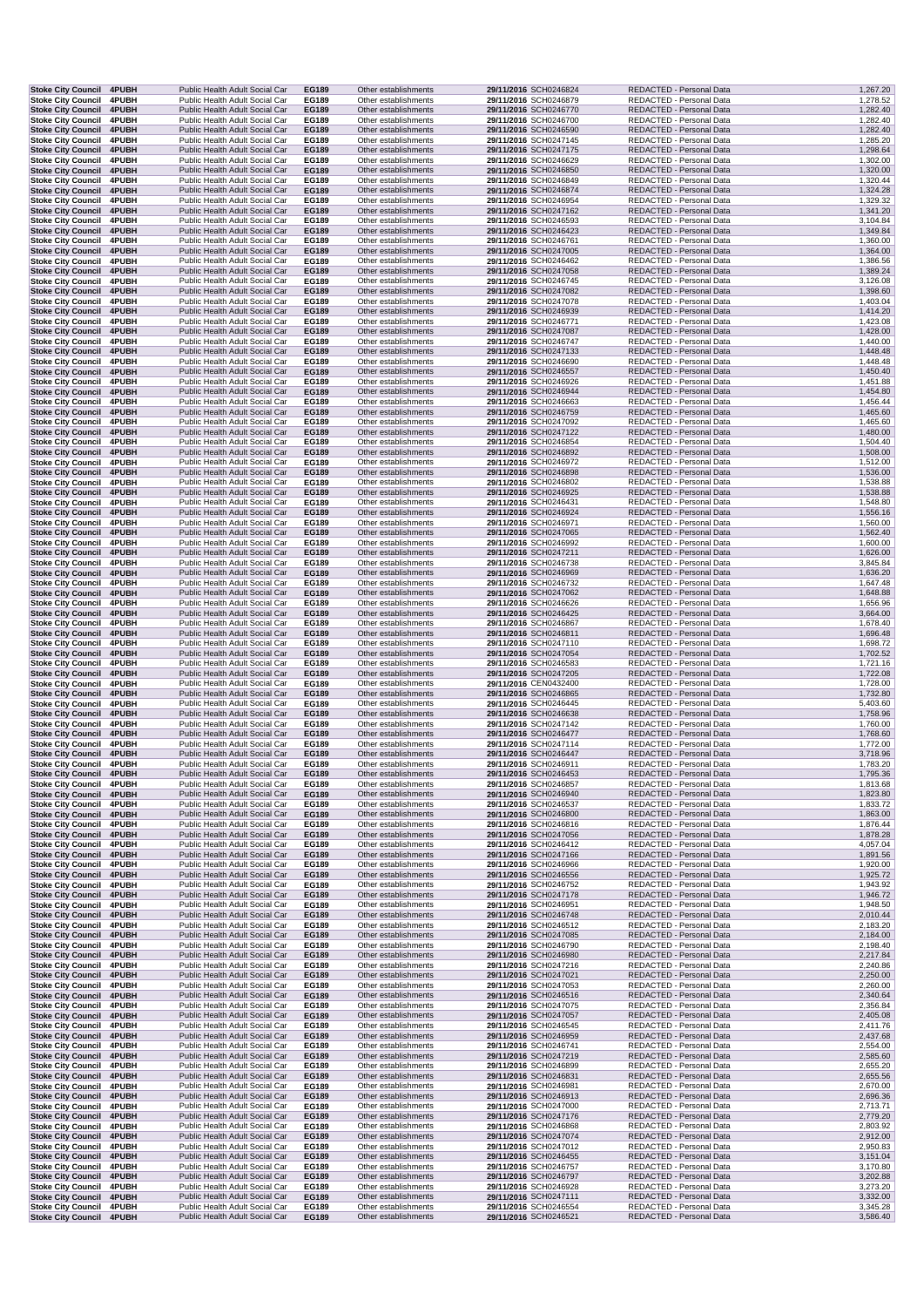| <b>Stoke City Council</b>                              | 4PUBH                 | Public Health Adult Social Car                                   | EG189          | Other establishments                         | 29/11/2016 SCH0246824                          | REDACTED - Personal Data                             | 1,267.20             |
|--------------------------------------------------------|-----------------------|------------------------------------------------------------------|----------------|----------------------------------------------|------------------------------------------------|------------------------------------------------------|----------------------|
| <b>Stoke City Council</b>                              | 4PUBH                 | Public Health Adult Social Car                                   | EG189          | Other establishments                         | 29/11/2016 SCH0246879                          | REDACTED - Personal Data                             | 1,278.52             |
| <b>Stoke City Council</b>                              | 4PUBH                 | Public Health Adult Social Car                                   | EG189          | Other establishments                         | 29/11/2016 SCH0246770                          | REDACTED - Personal Data                             | 1,282.40             |
| <b>Stoke City Council</b>                              | 4PUBH                 | Public Health Adult Social Car                                   | EG189          | Other establishments                         | 29/11/2016 SCH0246700                          | REDACTED - Personal Data                             | 1,282.40             |
| <b>Stoke City Council</b>                              | 4PUBH                 | Public Health Adult Social Car                                   | EG189          | Other establishments                         | 29/11/2016 SCH0246590                          | REDACTED - Personal Data                             | 1,282.40             |
| <b>Stoke City Council</b><br>Stoke City Council 4PUBH  | <b>4PUBH</b>          | Public Health Adult Social Car<br>Public Health Adult Social Car | EG189<br>EG189 | Other establishments<br>Other establishments | 29/11/2016 SCH0247145<br>29/11/2016 SCH0247175 | REDACTED - Personal Data<br>REDACTED - Personal Data | 1,285.20<br>1,298.64 |
| <b>Stoke City Council</b>                              | 4PUBH                 | Public Health Adult Social Car                                   | EG189          | Other establishments                         | 29/11/2016 SCH0246629                          | REDACTED - Personal Data                             | 1,302.00             |
| Stoke City Council 4PUBH                               |                       | Public Health Adult Social Car                                   | EG189          | Other establishments                         | 29/11/2016 SCH0246850                          | REDACTED - Personal Data                             | 1,320.00             |
| Stoke City Council 4PUBH                               |                       | Public Health Adult Social Car                                   | EG189          | Other establishments                         | 29/11/2016 SCH0246849                          | REDACTED - Personal Data                             | 1,320.44             |
| Stoke City Council 4PUBH                               |                       | Public Health Adult Social Car                                   | EG189          | Other establishments                         | 29/11/2016 SCH0246874                          | REDACTED - Personal Data                             | 1,324.28             |
| <b>Stoke City Council</b>                              | <b>4PUBH</b>          | Public Health Adult Social Car                                   | EG189          | Other establishments                         | 29/11/2016 SCH0246954                          | REDACTED - Personal Data                             | 1,329.32             |
| Stoke City Council 4PUBH                               |                       | Public Health Adult Social Car                                   | EG189          | Other establishments                         | 29/11/2016 SCH0247162                          | REDACTED - Personal Data                             | 1,341.20             |
| <b>Stoke City Council</b>                              | <b>4PUBH</b>          | Public Health Adult Social Car                                   | EG189          | Other establishments                         | 29/11/2016 SCH0246593                          | REDACTED - Personal Data                             | 3,104.84             |
| <b>Stoke City Council</b>                              | 4PUBH                 | Public Health Adult Social Car                                   | EG189          | Other establishments                         | 29/11/2016 SCH0246423                          | REDACTED - Personal Data                             | 1,349.84             |
| <b>Stoke City Council</b>                              | <b>4PUBH</b>          | Public Health Adult Social Car                                   | EG189          | Other establishments                         | 29/11/2016 SCH0246761                          | REDACTED - Personal Data                             | 1,360.00             |
| Stoke City Council 4PUBH                               |                       | Public Health Adult Social Car                                   | EG189          | Other establishments                         | 29/11/2016 SCH0247005                          | REDACTED - Personal Data                             | 1,364.00             |
| <b>Stoke City Council</b>                              | 4PUBH                 | Public Health Adult Social Car                                   | EG189          | Other establishments                         | 29/11/2016 SCH0246462                          | REDACTED - Personal Data                             | 1,386.56             |
| Stoke City Council 4PUBH                               |                       | Public Health Adult Social Car<br>Public Health Adult Social Car | EG189          | Other establishments                         | 29/11/2016 SCH0247058                          | REDACTED - Personal Data                             | 1,389.24             |
| Stoke City Council 4PUBH<br><b>Stoke City Council</b>  | <b>4PUBH</b>          | Public Health Adult Social Car                                   | EG189<br>EG189 | Other establishments<br>Other establishments | 29/11/2016 SCH0246745<br>29/11/2016 SCH0247082 | REDACTED - Personal Data<br>REDACTED - Personal Data | 3,126.08<br>1,398.60 |
| Stoke City Council 4PUBH                               |                       | Public Health Adult Social Car                                   | EG189          | Other establishments                         | 29/11/2016 SCH0247078                          | REDACTED - Personal Data                             | 1,403.04             |
| Stoke City Council 4PUBH                               |                       | Public Health Adult Social Car                                   | EG189          | Other establishments                         | 29/11/2016 SCH0246939                          | REDACTED - Personal Data                             | 1,414.20             |
| <b>Stoke City Council</b>                              | <b>4PUBH</b>          | Public Health Adult Social Car                                   | EG189          | Other establishments                         | 29/11/2016 SCH0246771                          | REDACTED - Personal Data                             | 1,423.08             |
| Stoke City Council 4PUBH                               |                       | Public Health Adult Social Car                                   | EG189          | Other establishments                         | 29/11/2016 SCH0247087                          | REDACTED - Personal Data                             | 1,428.00             |
| Stoke City Council 4PUBH                               |                       | Public Health Adult Social Car                                   | EG189          | Other establishments                         | 29/11/2016 SCH0246747                          | REDACTED - Personal Data                             | 1,440.00             |
| <b>Stoke City Council</b>                              | 4PUBH                 | Public Health Adult Social Car                                   | EG189          | Other establishments                         | 29/11/2016 SCH0247133                          | REDACTED - Personal Data                             | 1,448.48             |
| <b>Stoke City Council</b>                              | <b>4PUBH</b>          | Public Health Adult Social Car                                   | EG189          | Other establishments                         | 29/11/2016 SCH0246690                          | REDACTED - Personal Data                             | 1,448.48             |
| Stoke City Council 4PUBH                               |                       | Public Health Adult Social Car                                   | EG189          | Other establishments                         | 29/11/2016 SCH0246557                          | REDACTED - Personal Data                             | 1,450.40             |
| <b>Stoke City Council</b>                              | 4PUBH                 | Public Health Adult Social Car                                   | EG189          | Other establishments                         | 29/11/2016 SCH0246926                          | REDACTED - Personal Data                             | 1,451.88             |
| <b>Stoke City Council 4PUBH</b>                        |                       | Public Health Adult Social Car                                   | EG189          | Other establishments                         | 29/11/2016 SCH0246944                          | REDACTED - Personal Data                             | 1,454.80             |
| Stoke City Council 4PUBH                               |                       | Public Health Adult Social Car                                   | EG189          | Other establishments<br>Other establishments | 29/11/2016 SCH0246663                          | REDACTED - Personal Data<br>REDACTED - Personal Data | 1,456.44             |
| <b>Stoke City Council</b><br>Stoke City Council 4PUBH  | 4PUBH                 | Public Health Adult Social Car<br>Public Health Adult Social Car | EG189<br>EG189 | Other establishments                         | 29/11/2016 SCH0246759<br>29/11/2016 SCH0247092 | REDACTED - Personal Data                             | 1,465.60<br>1,465.60 |
| Stoke City Council 4PUBH                               |                       | Public Health Adult Social Car                                   | EG189          | Other establishments                         | 29/11/2016 SCH0247122                          | REDACTED - Personal Data                             | 1,480.00             |
| Stoke City Council 4PUBH                               |                       | Public Health Adult Social Car                                   | EG189          | Other establishments                         | 29/11/2016 SCH0246854                          | REDACTED - Personal Data                             | 1,504.40             |
| <b>Stoke City Council 4PUBH</b>                        |                       | Public Health Adult Social Car                                   | EG189          | Other establishments                         | 29/11/2016 SCH0246892                          | REDACTED - Personal Data                             | 1,508.00             |
| Stoke City Council 4PUBH                               |                       | Public Health Adult Social Car                                   | EG189          | Other establishments                         | 29/11/2016 SCH0246972                          | REDACTED - Personal Data                             | 1,512.00             |
| <b>Stoke City Council</b>                              | 4PUBH                 | Public Health Adult Social Car                                   | <b>EG189</b>   | Other establishments                         | 29/11/2016 SCH0246898                          | REDACTED - Personal Data                             | 1,536.00             |
| <b>Stoke City Council</b>                              | 4PUBH                 | Public Health Adult Social Car                                   | EG189          | Other establishments                         | 29/11/2016 SCH0246802                          | REDACTED - Personal Data                             | 1,538.88             |
| <b>Stoke City Council</b>                              | 4PUBH                 | Public Health Adult Social Car                                   | EG189          | Other establishments                         | 29/11/2016 SCH0246925                          | REDACTED - Personal Data                             | 1,538.88             |
| <b>Stoke City Council</b>                              | <b>4PUBH</b>          | Public Health Adult Social Car                                   | EG189          | Other establishments                         | 29/11/2016 SCH0246431                          | REDACTED - Personal Data                             | 1,548.80             |
| Stoke City Council 4PUBH                               |                       | Public Health Adult Social Car                                   | EG189          | Other establishments                         | 29/11/2016 SCH0246924                          | REDACTED - Personal Data                             | 1,556.16             |
| Stoke City Council 4PUBH                               |                       | Public Health Adult Social Car                                   | EG189          | Other establishments                         | 29/11/2016 SCH0246971                          | REDACTED - Personal Data                             | 1,560.00             |
| Stoke City Council 4PUBH<br><b>Stoke City Council</b>  | <b>4PUBH</b>          | Public Health Adult Social Car<br>Public Health Adult Social Car | EG189<br>EG189 | Other establishments<br>Other establishments | 29/11/2016 SCH0247065<br>29/11/2016 SCH0246992 | REDACTED - Personal Data<br>REDACTED - Personal Data | 1,562.40<br>1,600.00 |
| Stoke City Council 4PUBH                               |                       | Public Health Adult Social Car                                   | EG189          | Other establishments                         | 29/11/2016 SCH0247211                          | REDACTED - Personal Data                             | 1,626.00             |
| Stoke City Council 4PUBH                               |                       | Public Health Adult Social Car                                   | EG189          | Other establishments                         | 29/11/2016 SCH0246738                          | REDACTED - Personal Data                             | 3,845.84             |
| <b>Stoke City Council 4PUBH</b>                        |                       | Public Health Adult Social Car                                   | EG189          | Other establishments                         | 29/11/2016 SCH0246969                          | REDACTED - Personal Data                             | 1,636.20             |
| <b>Stoke City Council</b>                              | 4PUBH                 | Public Health Adult Social Car                                   | EG189          | Other establishments                         | 29/11/2016 SCH0246732                          | REDACTED - Personal Data                             | 1,647.48             |
| <b>Stoke City Council</b>                              | 4PUBH                 | Public Health Adult Social Car                                   | EG189          | Other establishments                         | 29/11/2016 SCH0247062                          | REDACTED - Personal Data                             | 1,648.88             |
| <b>Stoke City Council</b>                              | 4PUBH                 | Public Health Adult Social Car                                   | EG189          | Other establishments                         | 29/11/2016 SCH0246626                          | REDACTED - Personal Data                             | 1,656.96             |
| <b>Stoke City Council</b>                              | 4PUBH                 | Public Health Adult Social Car                                   | EG189          | Other establishments                         | 29/11/2016 SCH0246425                          | REDACTED - Personal Data                             | 3,664.00             |
| Stoke City Council 4PUBH                               |                       | Public Health Adult Social Car                                   | EG189          | Other establishments                         | 29/11/2016 SCH0246867                          | REDACTED - Personal Data                             | 1,678.40             |
| Stoke City Council 4PUBH                               |                       | Public Health Adult Social Car                                   | EG189          | Other establishments                         | 29/11/2016 SCH0246811                          | REDACTED - Personal Data                             | 1,696.48             |
| Stoke City Council 4PUBH                               |                       | Public Health Adult Social Car<br>Public Health Adult Social Car | EG189          | Other establishments                         | 29/11/2016 SCH0247110                          | REDACTED - Personal Data                             | 1,698.72             |
| Stoke City Council 4PUBH<br><b>Stoke City Council</b>  | 4PUBH                 | Public Health Adult Social Car                                   | EG189<br>EG189 | Other establishments<br>Other establishments | 29/11/2016 SCH0247054<br>29/11/2016 SCH0246583 | REDACTED - Personal Data<br>REDACTED - Personal Data | 1,702.52<br>1,721.16 |
| <b>Stoke City Council 4PUBH</b>                        |                       | Public Health Adult Social Car                                   | EG189          | Other establishments                         | 29/11/2016 SCH0247205                          | REDACTED - Personal Data                             | 1,722.08             |
| Stoke City Council 4PUBH                               |                       | Public Health Adult Social Car                                   | EG189          | Other establishments                         | 29/11/2016 CEN0432400                          | REDACTED - Personal Data                             | 1,728.00             |
| Stoke City Council 4PUBH                               |                       | Public Health Adult Social Car                                   | EG189          | Other establishments                         | 29/11/2016 SCH0246865                          | REDACTED - Personal Data                             | 1,732.80             |
| <b>Stoke City Council</b>                              | <b>4PUBH</b>          | Public Health Adult Social Car                                   | EG189          | Other establishments                         | 29/11/2016 SCH0246445                          | REDACTED - Personal Data                             | 5,403.60             |
| <b>Stoke City Council 4PUBH</b>                        |                       | Public Health Adult Social Car                                   | EG189          | Other establishments                         | 29/11/2016 SCH0246638                          | REDACTED - Personal Data                             | 1,758.96             |
| <b>Stoke City Council</b>                              | 4PUBH                 | Public Health Adult Social Car                                   | EG189          | Other establishments                         | 29/11/2016 SCH0247142                          | REDACTED - Personal Data                             | 1,760.00             |
| <b>Stoke City Council</b>                              | 4PUBH                 | Public Health Adult Social Car                                   | EG189          | Other establishments                         | 29/11/2016 SCH0246477                          | REDACTED - Personal Data                             | 1,768.60             |
| <b>Stoke City Council</b>                              | <b>4PUBH</b>          | Public Health Adult Social Car                                   | EG189          | Other establishments                         | 29/11/2016 SCH0247114                          | REDACTED - Personal Data                             | 1,772.00             |
| Stoke City Council 4PUBH                               |                       | Public Health Adult Social Car                                   | EG189          | Other establishments                         | 29/11/2016 SCH0246447                          | REDACTED - Personal Data                             | 3,718.96             |
| Stoke City Council 4PUBH                               |                       | Public Health Adult Social Car                                   | EG189          | Other establishments                         | 29/11/2016 SCH0246911                          | REDACTED - Personal Data                             | 1,783.20             |
| Stoke City Council 4PUBH                               |                       | Public Health Adult Social Car                                   | EG189<br>EG189 | Other establishments                         | 29/11/2016 SCH0246453                          | REDACTED - Personal Data<br>REDACTED - Personal Data | 1,795.36             |
| Stoke City Council 4PUBH<br>Stoke City Council 4PUBH   |                       | Public Health Adult Social Car<br>Public Health Adult Social Car | EG189          | Other establishments<br>Other establishments | 29/11/2016 SCH0246857<br>29/11/2016 SCH0246940 | REDACTED - Personal Data                             | 1,813.68<br>1,823.80 |
| Stoke City Council 4PUBH                               |                       | Public Health Adult Social Car                                   | EG189          | Other establishments                         | 29/11/2016 SCH0246537                          | REDACTED - Personal Data                             | 1,833.72             |
| <b>Stoke City Council</b>                              | 4PUBH                 | Public Health Adult Social Car                                   | EG189          | Other establishments                         | 29/11/2016 SCH0246800                          | REDACTED - Personal Data                             | 1,863.00             |
| <b>Stoke City Council</b>                              | 4PUBH                 | Public Health Adult Social Car                                   | EG189          | Other establishments                         | 29/11/2016 SCH0246816                          | REDACTED - Personal Data                             | 1,876.44             |
| Stoke City Council 4PUBH                               |                       | Public Health Adult Social Car                                   | EG189          | Other establishments                         | 29/11/2016 SCH0247056                          | REDACTED - Personal Data                             | 1,878.28             |
| <b>Stoke City Council</b>                              | <b>4PUBH</b>          | Public Health Adult Social Car                                   | EG189          | Other establishments                         | 29/11/2016 SCH0246412                          | REDACTED - Personal Data                             | 4,057.04             |
| <b>Stoke City Council</b>                              | 4PUBH                 | Public Health Adult Social Car                                   | EG189          | Other establishments                         | 29/11/2016 SCH0247166                          | REDACTED - Personal Data                             | 1,891.56             |
| Stoke City Council 4PUBH                               |                       | Public Health Adult Social Car                                   | EG189          | Other establishments                         | 29/11/2016 SCH0246966                          | REDACTED - Personal Data                             | 1,920.00             |
| Stoke City Council 4PUBH<br>Stoke City Council 4PUBH   |                       | Public Health Adult Social Car<br>Public Health Adult Social Car | EG189          | Other establishments<br>Other establishments | 29/11/2016 SCH0246556<br>29/11/2016 SCH0246752 | REDACTED - Personal Data<br>REDACTED - Personal Data | 1,925.72<br>1,943.92 |
| Stoke City Council 4PUBH                               |                       | Public Health Adult Social Car                                   | EG189<br>EG189 | Other establishments                         | 29/11/2016 SCH0247178                          | REDACTED - Personal Data                             | 1,946.72             |
| Stoke City Council 4PUBH                               |                       | Public Health Adult Social Car                                   | EG189          | Other establishments                         | 29/11/2016 SCH0246951                          | REDACTED - Personal Data                             | 1,948.50             |
| <b>Stoke City Council</b>                              | 4PUBH                 | Public Health Adult Social Car                                   | EG189          | Other establishments                         | 29/11/2016 SCH0246748                          | REDACTED - Personal Data                             | 2,010.44             |
| Stoke City Council 4PUBH                               |                       | Public Health Adult Social Car                                   | EG189          | Other establishments                         | 29/11/2016 SCH0246512                          | REDACTED - Personal Data                             | 2,183.20             |
| Stoke City Council 4PUBH                               |                       | Public Health Adult Social Car                                   | EG189          | Other establishments                         | 29/11/2016 SCH0247085                          | REDACTED - Personal Data                             | 2,184.00             |
| Stoke City Council 4PUBH                               |                       | Public Health Adult Social Car                                   | EG189          | Other establishments                         | 29/11/2016 SCH0246790                          | REDACTED - Personal Data                             | 2,198.40             |
| Stoke City Council 4PUBH                               |                       | Public Health Adult Social Car                                   | EG189          | Other establishments                         | 29/11/2016 SCH0246980                          | REDACTED - Personal Data                             | 2,217.84             |
| Stoke City Council 4PUBH                               |                       | Public Health Adult Social Car                                   | EG189          | Other establishments                         | 29/11/2016 SCH0247216                          | REDACTED - Personal Data                             | 2,240.86             |
| <b>Stoke City Council</b>                              | 4PUBH                 | Public Health Adult Social Car                                   | EG189          | Other establishments                         | 29/11/2016 SCH0247021                          | REDACTED - Personal Data                             | 2,250.00             |
| <b>Stoke City Council</b><br><b>Stoke City Council</b> | <b>4PUBH</b><br>4PUBH | Public Health Adult Social Car<br>Public Health Adult Social Car | EG189<br>EG189 | Other establishments<br>Other establishments | 29/11/2016 SCH0247053<br>29/11/2016 SCH0246516 | REDACTED - Personal Data<br>REDACTED - Personal Data | 2,260.00<br>2,340.64 |
| Stoke City Council 4PUBH                               |                       | Public Health Adult Social Car                                   | EG189          | Other establishments                         | 29/11/2016 SCH0247075                          | REDACTED - Personal Data                             | 2,356.84             |
| Stoke City Council 4PUBH                               |                       | Public Health Adult Social Car                                   | EG189          | Other establishments                         | 29/11/2016 SCH0247057                          | REDACTED - Personal Data                             | 2,405.08             |
| Stoke City Council 4PUBH                               |                       | Public Health Adult Social Car                                   | EG189          | Other establishments                         | 29/11/2016 SCH0246545                          | REDACTED - Personal Data                             | 2,411.76             |
| Stoke City Council 4PUBH                               |                       | Public Health Adult Social Car                                   | EG189          | Other establishments                         | 29/11/2016 SCH0246959                          | REDACTED - Personal Data                             | 2,437.68             |
| Stoke City Council 4PUBH                               |                       | Public Health Adult Social Car                                   | EG189          | Other establishments                         | 29/11/2016 SCH0246741                          | REDACTED - Personal Data                             | 2,554.00             |
| <b>Stoke City Council</b>                              | 4PUBH                 | Public Health Adult Social Car                                   | EG189          | Other establishments                         | 29/11/2016 SCH0247219                          | REDACTED - Personal Data                             | 2,585.60             |
| Stoke City Council 4PUBH                               |                       | Public Health Adult Social Car                                   | EG189          | Other establishments                         | 29/11/2016 SCH0246899                          | REDACTED - Personal Data                             | 2,655.20             |
| Stoke City Council 4PUBH                               |                       | Public Health Adult Social Car                                   | EG189          | Other establishments                         | 29/11/2016 SCH0246831                          | REDACTED - Personal Data                             | 2,655.56             |
| Stoke City Council 4PUBH                               |                       | Public Health Adult Social Car                                   | EG189          | Other establishments                         | 29/11/2016 SCH0246981                          | REDACTED - Personal Data                             | 2,670.00             |
| <b>Stoke City Council</b><br><b>Stoke City Council</b> | 4PUBH<br>4PUBH        | Public Health Adult Social Car<br>Public Health Adult Social Car | EG189<br>EG189 | Other establishments<br>Other establishments | 29/11/2016 SCH0246913<br>29/11/2016 SCH0247000 | REDACTED - Personal Data<br>REDACTED - Personal Data | 2,696.36<br>2,713.71 |
| Stoke City Council 4PUBH                               |                       | Public Health Adult Social Car                                   | EG189          | Other establishments                         | 29/11/2016 SCH0247176                          | REDACTED - Personal Data                             | 2,779.20             |
| Stoke City Council 4PUBH                               |                       | Public Health Adult Social Car                                   | EG189          | Other establishments                         | 29/11/2016 SCH0246868                          | REDACTED - Personal Data                             | 2,803.92             |
| Stoke City Council 4PUBH                               |                       | Public Health Adult Social Car                                   | EG189          | Other establishments                         | 29/11/2016 SCH0247074                          | REDACTED - Personal Data                             | 2,912.00             |
| Stoke City Council 4PUBH                               |                       | Public Health Adult Social Car                                   | EG189          | Other establishments                         | 29/11/2016 SCH0247012                          | REDACTED - Personal Data                             | 2,950.83             |
| Stoke City Council 4PUBH                               |                       | Public Health Adult Social Car                                   | EG189          | Other establishments                         | 29/11/2016 SCH0246455                          | REDACTED - Personal Data                             | 3,151.04             |
| <b>Stoke City Council</b>                              | 4PUBH                 | Public Health Adult Social Car                                   | EG189          | Other establishments                         | 29/11/2016 SCH0246757                          | REDACTED - Personal Data                             | 3,170.80             |
| Stoke City Council 4PUBH                               |                       | Public Health Adult Social Car                                   | EG189          | Other establishments                         | 29/11/2016 SCH0246797                          | REDACTED - Personal Data                             | 3,202.88             |
| Stoke City Council 4PUBH                               |                       | Public Health Adult Social Car                                   | EG189          | Other establishments                         | 29/11/2016 SCH0246928                          | REDACTED - Personal Data                             | 3,273.20             |
| Stoke City Council 4PUBH<br>Stoke City Council 4PUBH   |                       | Public Health Adult Social Car<br>Public Health Adult Social Car | EG189<br>EG189 | Other establishments<br>Other establishments | 29/11/2016 SCH0247111<br>29/11/2016 SCH0246554 | REDACTED - Personal Data<br>REDACTED - Personal Data | 3,332.00<br>3,345.28 |
| Stoke City Council 4PUBH                               |                       | Public Health Adult Social Car                                   | EG189          | Other establishments                         | 29/11/2016 SCH0246521                          | REDACTED - Personal Data                             | 3,586.40             |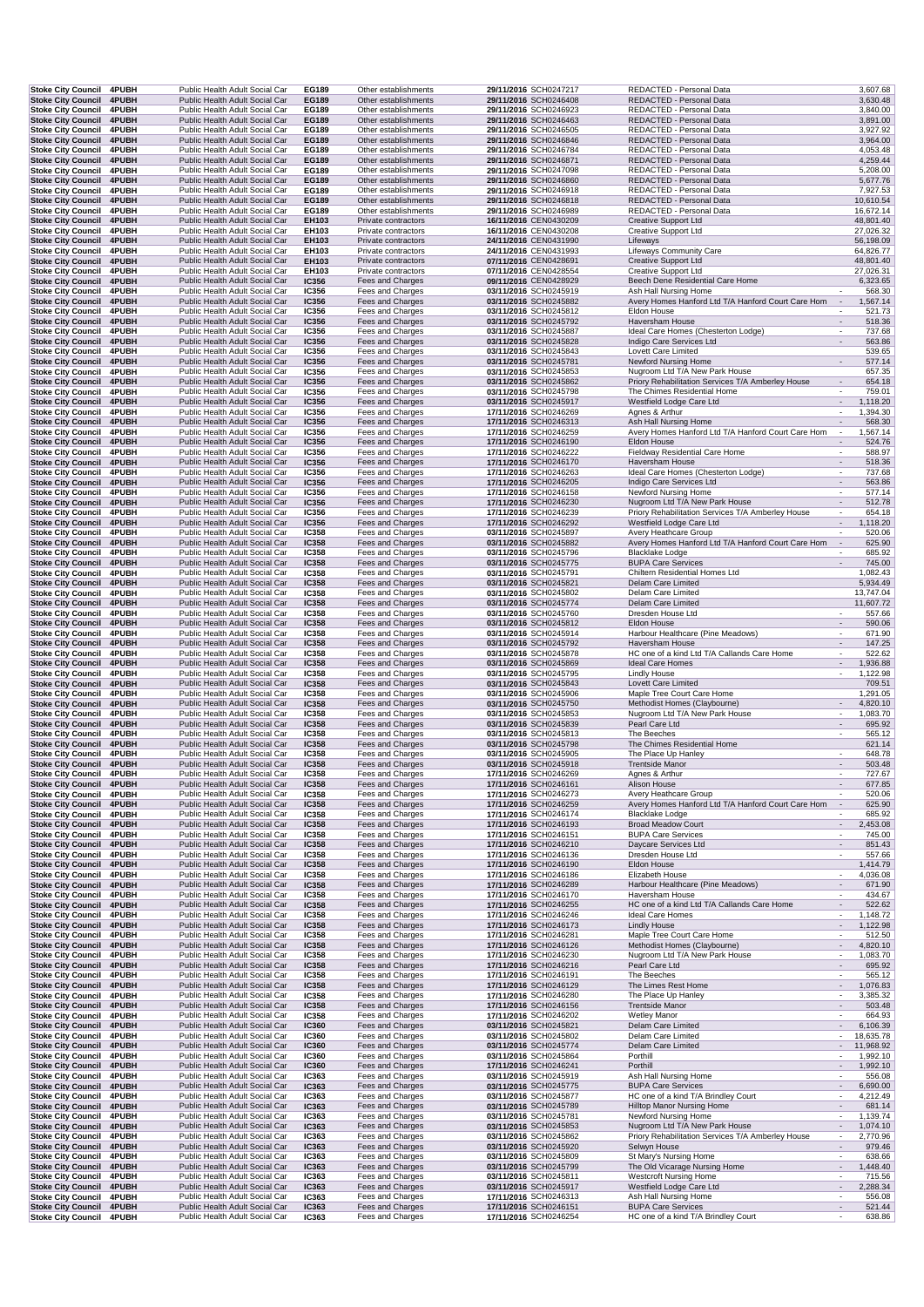| <b>Stoke City Council 4PUBH</b>                                                    | Stoke City Council 4PUBH | Public Health Adult Social Car                                                                     | EG189                        | Other establishments                                     | 29/11/2016 SCH0247217                                                   | REDACTED - Personal Data                                                                  | 3,607.68                                                          |
|------------------------------------------------------------------------------------|--------------------------|----------------------------------------------------------------------------------------------------|------------------------------|----------------------------------------------------------|-------------------------------------------------------------------------|-------------------------------------------------------------------------------------------|-------------------------------------------------------------------|
|                                                                                    |                          | Public Health Adult Social Car                                                                     | EG189                        | Other establishments                                     | 29/11/2016 SCH0246408                                                   | REDACTED - Personal Data                                                                  | 3,630.48                                                          |
| <b>Stoke City Council</b>                                                          | 4PUBH                    | Public Health Adult Social Car                                                                     | EG189                        | Other establishments                                     | 29/11/2016 SCH0246923                                                   | REDACTED - Personal Data                                                                  | 3,840.00                                                          |
| <b>Stoke City Council</b>                                                          | 4PUBH                    | Public Health Adult Social Car                                                                     | EG189                        | Other establishments                                     | 29/11/2016 SCH0246463                                                   | REDACTED - Personal Data                                                                  | 3,891.00                                                          |
| <b>Stoke City Council</b><br><b>Stoke City Council</b>                             | 4PUBH<br>4PUBH           | Public Health Adult Social Car<br>Public Health Adult Social Car                                   | EG189<br>EG189               | Other establishments<br>Other establishments             | 29/11/2016 SCH0246505<br>29/11/2016 SCH0246846                          | REDACTED - Personal Data<br>REDACTED - Personal Data                                      | 3,927.92<br>3,964.00                                              |
| <b>Stoke City Council</b>                                                          | <b>4PUBH</b>             | Public Health Adult Social Car                                                                     | EG189                        | Other establishments                                     | 29/11/2016 SCH0246784                                                   | REDACTED - Personal Data                                                                  | 4,053.48                                                          |
| Stoke City Council 4PUBH                                                           |                          | Public Health Adult Social Car                                                                     | EG189                        | Other establishments                                     | 29/11/2016 SCH0246871                                                   | REDACTED - Personal Data                                                                  | 4,259.44                                                          |
| <b>Stoke City Council</b>                                                          | <b>4PUBH</b>             | Public Health Adult Social Car                                                                     | EG189                        | Other establishments                                     | 29/11/2016 SCH0247098                                                   | REDACTED - Personal Data                                                                  | 5,208.00                                                          |
| Stoke City Council 4PUBH                                                           |                          | Public Health Adult Social Car                                                                     | EG189                        | Other establishments                                     | 29/11/2016 SCH0246860                                                   | REDACTED - Personal Data                                                                  | 5,677.76                                                          |
| <b>Stoke City Council</b>                                                          | 4PUBH                    | Public Health Adult Social Car                                                                     | EG189                        | Other establishments                                     | 29/11/2016 SCH0246918                                                   | REDACTED - Personal Data                                                                  | 7,927.53                                                          |
| Stoke City Council 4PUBH                                                           |                          | Public Health Adult Social Car                                                                     | EG189                        | Other establishments                                     | 29/11/2016 SCH0246818                                                   | REDACTED - Personal Data                                                                  | 10,610.54                                                         |
| Stoke City Council 4PUBH                                                           |                          | Public Health Adult Social Car                                                                     | EG189                        | Other establishments                                     | 29/11/2016 SCH0246989                                                   | REDACTED - Personal Data                                                                  | 16,672.14                                                         |
| Stoke City Council 4PUBH                                                           |                          | Public Health Adult Social Car                                                                     | EH103                        | Private contractors                                      | 16/11/2016 CEN0430209                                                   | <b>Creative Support Ltd</b>                                                               | 48,801.40                                                         |
| <b>Stoke City Council</b>                                                          | 4PUBH                    | Public Health Adult Social Car                                                                     | EH103                        | Private contractors                                      | 16/11/2016 CEN0430208<br>24/11/2016 CEN0431990                          | Creative Support Ltd                                                                      | 27,026.32                                                         |
| <b>Stoke City Council</b><br><b>Stoke City Council</b>                             | 4PUBH<br>4PUBH           | Public Health Adult Social Car<br>Public Health Adult Social Car                                   | EH103<br>EH103               | Private contractors<br>Private contractors               | 24/11/2016 CEN0431993                                                   | Lifeways<br>Lifeways Community Care                                                       | 56,198.09<br>64,826.77                                            |
| <b>Stoke City Council</b>                                                          | 4PUBH                    | Public Health Adult Social Car                                                                     | EH103                        | Private contractors                                      | 07/11/2016 CEN0428691                                                   | <b>Creative Support Ltd</b>                                                               | 48,801.40                                                         |
| Stoke City Council 4PUBH                                                           |                          | Public Health Adult Social Car                                                                     | EH103                        | Private contractors                                      | 07/11/2016 CEN0428554                                                   | <b>Creative Support Ltd</b>                                                               | 27,026.31                                                         |
| Stoke City Council 4PUBH                                                           |                          | Public Health Adult Social Car                                                                     | <b>IC356</b>                 | Fees and Charges                                         | 09/11/2016 CEN0428929                                                   | Beech Dene Residential Care Home                                                          | 6,323.65                                                          |
| Stoke City Council 4PUBH                                                           |                          | Public Health Adult Social Car                                                                     | IC356                        | Fees and Charges                                         | 03/11/2016 SCH0245919                                                   | Ash Hall Nursing Home                                                                     | 568.30                                                            |
| Stoke City Council 4PUBH                                                           |                          | Public Health Adult Social Car                                                                     | <b>IC356</b>                 | Fees and Charges                                         | 03/11/2016 SCH0245882                                                   | Avery Homes Hanford Ltd T/A Hanford Court Care Hom                                        | $\sim$<br>1,567.14                                                |
| <b>Stoke City Council</b>                                                          | 4PUBH                    | Public Health Adult Social Car                                                                     | IC356                        | Fees and Charges                                         | 03/11/2016 SCH0245812                                                   | Eldon House                                                                               | 521.73                                                            |
| Stoke City Council 4PUBH                                                           |                          | Public Health Adult Social Car                                                                     | IC356                        | Fees and Charges                                         | 03/11/2016 SCH0245792                                                   | Haversham House                                                                           | 518.36                                                            |
| Stoke City Council 4PUBH                                                           |                          | Public Health Adult Social Car<br>Public Health Adult Social Car                                   | <b>IC356</b>                 | Fees and Charges<br>Fees and Charges                     | 03/11/2016 SCH0245887                                                   | Ideal Care Homes (Chesterton Lodge)                                                       | 737.68<br>563.86<br>$\overline{\phantom{a}}$                      |
| Stoke City Council 4PUBH<br><b>Stoke City Council</b>                              | 4PUBH                    | Public Health Adult Social Car                                                                     | <b>IC356</b><br>IC356        | Fees and Charges                                         | 03/11/2016 SCH0245828<br>03/11/2016 SCH0245843                          | Indigo Care Services Ltd<br>Lovett Care Limited                                           | 539.65                                                            |
| Stoke City Council 4PUBH                                                           |                          | Public Health Adult Social Car                                                                     | <b>IC356</b>                 | Fees and Charges                                         | 03/11/2016 SCH0245781                                                   | <b>Newford Nursing Home</b>                                                               | 577.14<br>$\blacksquare$                                          |
| <b>Stoke City Council</b>                                                          | 4PUBH                    | Public Health Adult Social Car                                                                     | IC356                        | Fees and Charges                                         | 03/11/2016 SCH0245853                                                   | Nugroom Ltd T/A New Park House                                                            | 657.35                                                            |
| <b>Stoke City Council</b>                                                          | 4PUBH                    | Public Health Adult Social Car                                                                     | <b>IC356</b>                 | Fees and Charges                                         | 03/11/2016 SCH0245862                                                   | Priory Rehabilitation Services T/A Amberley House                                         | 654.18<br>$\overline{\phantom{a}}$                                |
| <b>Stoke City Council</b>                                                          | <b>4PUBH</b>             | Public Health Adult Social Car                                                                     | IC356                        | Fees and Charges                                         | 03/11/2016 SCH0245798                                                   | The Chimes Residential Home                                                               | 759.01                                                            |
| <b>Stoke City Council</b>                                                          | 4PUBH                    | Public Health Adult Social Car                                                                     | <b>IC356</b>                 | Fees and Charges                                         | 03/11/2016 SCH0245917                                                   | Westfield Lodge Care Ltd                                                                  | $\overline{\phantom{a}}$<br>1,118.20                              |
| <b>Stoke City Council</b>                                                          | 4PUBH                    | Public Health Adult Social Car                                                                     | IC356                        | Fees and Charges                                         | 17/11/2016 SCH0246269                                                   | Agnes & Arthur                                                                            | 1,394.30<br>$\overline{\phantom{a}}$                              |
| Stoke City Council 4PUBH                                                           |                          | Public Health Adult Social Car                                                                     | <b>IC356</b>                 | Fees and Charges                                         | 17/11/2016 SCH0246313                                                   | Ash Hall Nursing Home                                                                     | 568.30<br>$\blacksquare$                                          |
| Stoke City Council 4PUBH                                                           |                          | Public Health Adult Social Car                                                                     | IC356                        | Fees and Charges                                         | 17/11/2016 SCH0246259                                                   | Avery Homes Hanford Ltd T/A Hanford Court Care Hom                                        | 1,567.14<br>$\epsilon$                                            |
| <b>Stoke City Council</b>                                                          | 4PUBH                    | Public Health Adult Social Car                                                                     | IC356                        | Fees and Charges                                         | 17/11/2016 SCH0246190                                                   | Eldon House                                                                               | 524.76                                                            |
| Stoke City Council 4PUBH<br>Stoke City Council 4PUBH                               |                          | Public Health Adult Social Car<br>Public Health Adult Social Car                                   | IC356<br><b>IC356</b>        | Fees and Charges<br>Fees and Charges                     | 17/11/2016 SCH0246222<br>17/11/2016 SCH0246170                          | Fieldway Residential Care Home<br><b>Haversham House</b>                                  | 588.97<br>518.36<br>$\overline{\phantom{a}}$                      |
| <b>Stoke City Council</b>                                                          | 4PUBH                    | Public Health Adult Social Car                                                                     | <b>IC356</b>                 | Fees and Charges                                         | 17/11/2016 SCH0246263                                                   | Ideal Care Homes (Chesterton Lodge)                                                       | 737.68<br>$\overline{\phantom{a}}$                                |
| <b>Stoke City Council</b>                                                          | 4PUBH                    | Public Health Adult Social Car                                                                     | <b>IC356</b>                 | Fees and Charges                                         | 17/11/2016 SCH0246205                                                   | Indigo Care Services Ltd                                                                  | 563.86<br>$\overline{\phantom{a}}$                                |
| <b>Stoke City Council</b>                                                          | 4PUBH                    | Public Health Adult Social Car                                                                     | IC356                        | Fees and Charges                                         | 17/11/2016 SCH0246158                                                   | Newford Nursing Home                                                                      | 577.14<br>$\overline{\phantom{a}}$                                |
| <b>Stoke City Council</b>                                                          | 4PUBH                    | Public Health Adult Social Car                                                                     | <b>IC356</b>                 | Fees and Charges                                         | 17/11/2016 SCH0246230                                                   | Nugroom Ltd T/A New Park House                                                            | 512.78<br>$\overline{a}$                                          |
| <b>Stoke City Council</b>                                                          | <b>4PUBH</b>             | Public Health Adult Social Car                                                                     | IC356                        | Fees and Charges                                         | 17/11/2016 SCH0246239                                                   | Priory Rehabilitation Services T/A Amberley House                                         | 654.18                                                            |
| <b>Stoke City Council</b>                                                          | 4PUBH                    | Public Health Adult Social Car                                                                     | <b>IC356</b>                 | Fees and Charges                                         | 17/11/2016 SCH0246292                                                   | Westfield Lodge Care Ltd                                                                  | 1,118.20<br>$\overline{\phantom{a}}$                              |
| <b>Stoke City Council</b>                                                          | 4PUBH                    | Public Health Adult Social Car                                                                     | IC358                        | Fees and Charges                                         | 03/11/2016 SCH0245897                                                   | Avery Heathcare Group                                                                     | 520.06<br>$\overline{\phantom{a}}$                                |
| Stoke City Council 4PUBH                                                           |                          | Public Health Adult Social Car                                                                     | <b>IC358</b>                 | Fees and Charges                                         | 03/11/2016 SCH0245882                                                   | Avery Homes Hanford Ltd T/A Hanford Court Care Hom                                        | 625.90<br>$\overline{\phantom{a}}$                                |
| Stoke City Council 4PUBH<br><b>Stoke City Council</b>                              | 4PUBH                    | Public Health Adult Social Car<br>Public Health Adult Social Car                                   | <b>IC358</b><br><b>IC358</b> | Fees and Charges<br>Fees and Charges                     | 03/11/2016 SCH0245796<br>03/11/2016 SCH0245775                          | <b>Blacklake Lodge</b><br><b>BUPA Care Services</b>                                       | 685.92<br>745.00                                                  |
| Stoke City Council 4PUBH                                                           |                          | Public Health Adult Social Car                                                                     | IC358                        | Fees and Charges                                         | 03/11/2016 SCH0245791                                                   | Chiltern Residential Homes Ltd                                                            | 1,082.43                                                          |
| Stoke City Council 4PUBH                                                           |                          | Public Health Adult Social Car                                                                     | <b>IC358</b>                 | Fees and Charges                                         | 03/11/2016 SCH0245821                                                   | Delam Care Limited                                                                        | 5,934.49                                                          |
| <b>Stoke City Council</b>                                                          | 4PUBH                    | Public Health Adult Social Car                                                                     | IC358                        | Fees and Charges                                         | 03/11/2016 SCH0245802                                                   | Delam Care Limited                                                                        | 13,747.04                                                         |
| <b>Stoke City Council 4PUBH</b>                                                    |                          | Public Health Adult Social Car                                                                     | <b>IC358</b>                 | Fees and Charges                                         | 03/11/2016 SCH0245774                                                   | Delam Care Limited                                                                        | 11,607.72                                                         |
| <b>Stoke City Council</b>                                                          | 4PUBH                    | Public Health Adult Social Car                                                                     | <b>IC358</b>                 | Fees and Charges                                         | 03/11/2016 SCH0245760                                                   | Dresden House Ltd                                                                         | 557.66                                                            |
| <b>Stoke City Council</b>                                                          | 4PUBH                    | Public Health Adult Social Car                                                                     | <b>IC358</b>                 | Fees and Charges                                         | 03/11/2016 SCH0245812                                                   | Eldon House                                                                               | $\sim$<br>590.06                                                  |
| <b>Stoke City Council</b>                                                          | 4PUBH                    | Public Health Adult Social Car                                                                     | IC358                        | Fees and Charges                                         | 03/11/2016 SCH0245914                                                   | Harbour Healthcare (Pine Meadows)                                                         | 671.90                                                            |
| <b>Stoke City Council</b>                                                          | 4PUBH                    | Public Health Adult Social Car                                                                     | <b>IC358</b>                 | Fees and Charges                                         | 03/11/2016 SCH0245792                                                   | Haversham House                                                                           | 147.25                                                            |
| <b>Stoke City Council</b><br><b>Stoke City Council 4PUBH</b>                       | <b>4PUBH</b>             | Public Health Adult Social Car<br>Public Health Adult Social Car                                   | <b>IC358</b><br><b>IC358</b> | Fees and Charges<br>Fees and Charges                     | 03/11/2016 SCH0245878<br>03/11/2016 SCH0245869                          | HC one of a kind Ltd T/A Callands Care Home<br>Ideal Care Homes                           | 522.62<br>1,936.88<br>$\blacksquare$                              |
| Stoke City Council 4PUBH                                                           |                          | Public Health Adult Social Car                                                                     | <b>IC358</b>                 | Fees and Charges                                         | 03/11/2016 SCH0245795                                                   | Lindly House                                                                              | 1,122.98<br>$\overline{\phantom{a}}$                              |
| Stoke City Council 4PUBH                                                           |                          | Public Health Adult Social Car                                                                     | <b>IC358</b>                 | Fees and Charges                                         | 03/11/2016 SCH0245843                                                   | Lovett Care Limited                                                                       | 709.51                                                            |
|                                                                                    |                          |                                                                                                    |                              |                                                          |                                                                         |                                                                                           |                                                                   |
|                                                                                    |                          |                                                                                                    |                              |                                                          |                                                                         |                                                                                           |                                                                   |
| Stoke City Council 4PUBH<br>Stoke City Council 4PUBH                               |                          | Public Health Adult Social Car<br>Public Health Adult Social Car                                   | <b>IC358</b><br><b>IC358</b> | Fees and Charges<br>Fees and Charges                     | 03/11/2016 SCH0245906<br>03/11/2016 SCH0245750                          | Maple Tree Court Care Home<br>Methodist Homes (Claybourne)                                | 1,291.05<br>4,820.10                                              |
| Stoke City Council 4PUBH                                                           |                          | Public Health Adult Social Car                                                                     | IC358                        | Fees and Charges                                         | 03/11/2016 SCH0245853                                                   | Nugroom Ltd T/A New Park House                                                            | 1,083.70                                                          |
| Stoke City Council 4PUBH                                                           |                          | Public Health Adult Social Car                                                                     | <b>IC358</b>                 | Fees and Charges                                         | 03/11/2016 SCH0245839                                                   | Pearl Care Ltd                                                                            | 695.92<br>$\overline{\phantom{a}}$                                |
| <b>Stoke City Council</b>                                                          | 4PUBH                    | Public Health Adult Social Car                                                                     | <b>IC358</b>                 | Fees and Charges                                         | 03/11/2016 SCH0245813                                                   | The Beeches                                                                               | 565.12                                                            |
| <b>Stoke City Council</b>                                                          | 4PUBH                    | Public Health Adult Social Car                                                                     | <b>IC358</b>                 | Fees and Charges                                         | 03/11/2016 SCH0245798                                                   | The Chimes Residential Home                                                               | 621.14                                                            |
| <b>Stoke City Council</b>                                                          | 4PUBH                    | Public Health Adult Social Car                                                                     | IC358                        | Fees and Charges                                         | 03/11/2016 SCH0245905                                                   | The Place Up Hanley                                                                       | 648.78                                                            |
| <b>Stoke City Council</b>                                                          | 4PUBH                    | Public Health Adult Social Car                                                                     | <b>IC358</b>                 | Fees and Charges                                         | 03/11/2016 SCH0245918                                                   | <b>Trentside Manor</b>                                                                    | 503.48<br>$\overline{\phantom{a}}$                                |
| Stoke City Council 4PUBH                                                           |                          | Public Health Adult Social Car                                                                     | <b>IC358</b>                 | Fees and Charges                                         | 17/11/2016 SCH0246269                                                   | Agnes & Arthur                                                                            | 727.67                                                            |
| Stoke City Council 4PUBH                                                           |                          | Public Health Adult Social Car<br>Public Health Adult Social Car                                   | IC358                        | Fees and Charges                                         | 17/11/2016 SCH0246161                                                   | Alison House<br>Avery Heathcare Group                                                     | 677.85<br>$\overline{\phantom{a}}$                                |
| Stoke City Council 4PUBH<br>Stoke City Council 4PUBH                               |                          | Public Health Adult Social Car                                                                     | <b>IC358</b><br><b>IC358</b> | Fees and Charges<br>Fees and Charges                     | 17/11/2016 SCH0246273<br>17/11/2016 SCH0246259                          | Avery Homes Hanford Ltd T/A Hanford Court Care Hom                                        | 520.06<br>625.90                                                  |
| <b>Stoke City Council</b>                                                          | 4PUBH                    | Public Health Adult Social Car                                                                     | IC358                        | Fees and Charges                                         | 17/11/2016 SCH0246174                                                   | <b>Blacklake Lodge</b>                                                                    | 685.92                                                            |
| <b>Stoke City Council</b>                                                          | 4PUBH                    | Public Health Adult Social Car                                                                     | <b>IC358</b>                 | Fees and Charges                                         | 17/11/2016 SCH0246193                                                   | <b>Broad Meadow Court</b>                                                                 | 2,453.08                                                          |
| <b>Stoke City Council</b>                                                          | <b>4PUBH</b>             | Public Health Adult Social Car                                                                     | IC358                        | Fees and Charges                                         | 17/11/2016 SCH0246151                                                   | <b>BUPA Care Services</b>                                                                 | 745.00                                                            |
| Stoke City Council 4PUBH                                                           |                          | Public Health Adult Social Car                                                                     | <b>IC358</b>                 | Fees and Charges                                         | 17/11/2016 SCH0246210                                                   | Daycare Services Ltd                                                                      | 851.43<br>$\overline{\phantom{a}}$                                |
| Stoke City Council 4PUBH                                                           |                          | Public Health Adult Social Car                                                                     | IC358                        | Fees and Charges                                         | 17/11/2016 SCH0246136                                                   | Dresden House Ltd                                                                         | 557.66<br>$\overline{\phantom{a}}$                                |
| <b>Stoke City Council</b>                                                          | 4PUBH                    | Public Health Adult Social Car                                                                     | <b>IC358</b>                 | Fees and Charges                                         | 17/11/2016 SCH0246190                                                   | Eldon House                                                                               | 1,414.79                                                          |
| <b>Stoke City Council</b><br><b>Stoke City Council</b>                             | 4PUBH<br>4PUBH           | Public Health Adult Social Car<br>Public Health Adult Social Car                                   | IC358<br><b>IC358</b>        | Fees and Charges<br>Fees and Charges                     | 17/11/2016 SCH0246186<br>17/11/2016 SCH0246289                          | Elizabeth House                                                                           | 4,036.08<br>671.90                                                |
| Stoke City Council 4PUBH                                                           |                          | Public Health Adult Social Car                                                                     | IC358                        | Fees and Charges                                         | 17/11/2016 SCH0246170                                                   | Harbour Healthcare (Pine Meadows)<br>Haversham House                                      | 434.67                                                            |
| <b>Stoke City Council</b>                                                          | 4PUBH                    | Public Health Adult Social Car                                                                     | <b>IC358</b>                 | Fees and Charges                                         | 17/11/2016 SCH0246255                                                   | HC one of a kind Ltd T/A Callands Care Home                                               | 522.62<br>$\overline{\phantom{a}}$                                |
| Stoke City Council 4PUBH                                                           |                          | Public Health Adult Social Car                                                                     | IC358                        | Fees and Charges                                         | 17/11/2016 SCH0246246                                                   | Ideal Care Homes                                                                          | 1,148.72<br>$\overline{\phantom{a}}$                              |
| Stoke City Council 4PUBH                                                           |                          | Public Health Adult Social Car                                                                     | <b>IC358</b>                 | Fees and Charges                                         | 17/11/2016 SCH0246173                                                   | <b>Lindly House</b>                                                                       | 1,122.98<br>$\blacksquare$                                        |
| <b>Stoke City Council</b>                                                          | 4PUBH                    | Public Health Adult Social Car                                                                     | <b>IC358</b>                 | Fees and Charges                                         | 17/11/2016 SCH0246281                                                   | Maple Tree Court Care Home                                                                | 512.50                                                            |
| Stoke City Council 4PUBH                                                           |                          | Public Health Adult Social Car                                                                     | <b>IC358</b>                 | Fees and Charges                                         | 17/11/2016 SCH0246126                                                   | Methodist Homes (Claybourne)                                                              | 4,820.10                                                          |
| Stoke City Council 4PUBH                                                           |                          | Public Health Adult Social Car                                                                     | IC358                        | Fees and Charges                                         | 17/11/2016 SCH0246230                                                   | Nugroom Ltd T/A New Park House                                                            | 1,083.70                                                          |
| Stoke City Council 4PUBH                                                           |                          | Public Health Adult Social Car                                                                     | IC358                        | Fees and Charges                                         | 17/11/2016 SCH0246216                                                   | Pearl Care Ltd                                                                            | 695.92                                                            |
| <b>Stoke City Council</b>                                                          | 4PUBH<br>4PUBH           | Public Health Adult Social Car<br>Public Health Adult Social Car                                   | IC358                        | Fees and Charges                                         | 17/11/2016 SCH0246191                                                   | The Beeches                                                                               | 565.12<br>$\blacksquare$                                          |
| <b>Stoke City Council</b><br><b>Stoke City Council</b>                             | <b>4PUBH</b>             | Public Health Adult Social Car                                                                     | <b>IC358</b><br>IC358        | Fees and Charges<br>Fees and Charges                     | 17/11/2016 SCH0246129<br>17/11/2016 SCH0246280                          | The Limes Rest Home<br>The Place Up Hanley                                                | 1,076.83<br>3,385.32                                              |
| <b>Stoke City Council</b>                                                          | 4PUBH                    | Public Health Adult Social Car                                                                     | <b>IC358</b>                 | Fees and Charges                                         | 17/11/2016 SCH0246156                                                   | <b>Trentside Manor</b>                                                                    | 503.48                                                            |
| Stoke City Council 4PUBH                                                           |                          | Public Health Adult Social Car                                                                     | IC358                        | Fees and Charges                                         | 17/11/2016 SCH0246202                                                   | <b>Wetley Manor</b>                                                                       | 664.93                                                            |
| <b>Stoke City Council</b>                                                          | 4PUBH                    | Public Health Adult Social Car                                                                     | <b>IC360</b>                 | Fees and Charges                                         | 03/11/2016 SCH0245821                                                   | Delam Care Limited                                                                        | 6,106.39                                                          |
| <b>Stoke City Council</b>                                                          | <b>4PUBH</b>             | Public Health Adult Social Car                                                                     | IC360                        | Fees and Charges                                         | 03/11/2016 SCH0245802                                                   | Delam Care Limited                                                                        | 18,635.78<br>$\overline{\phantom{a}}$                             |
| Stoke City Council 4PUBH                                                           |                          | Public Health Adult Social Car                                                                     | <b>IC360</b>                 | Fees and Charges                                         | 03/11/2016 SCH0245774                                                   | Delam Care Limited                                                                        | 11,968.92<br>$\overline{\phantom{a}}$                             |
| <b>Stoke City Council</b>                                                          | <b>4PUBH</b>             | Public Health Adult Social Car                                                                     | IC360                        | Fees and Charges                                         | 03/11/2016 SCH0245864                                                   | Porthill                                                                                  | 1,992.10                                                          |
| <b>Stoke City Council</b>                                                          | 4PUBH                    | Public Health Adult Social Car                                                                     | <b>IC360</b>                 | Fees and Charges                                         | 17/11/2016 SCH0246241                                                   | Porthill                                                                                  | 1,992.10                                                          |
| Stoke City Council 4PUBH                                                           |                          | Public Health Adult Social Car                                                                     | IC363                        | Fees and Charges                                         | 03/11/2016 SCH0245919                                                   | Ash Hall Nursing Home                                                                     | 556.08                                                            |
| Stoke City Council 4PUBH<br><b>Stoke City Council</b>                              | 4PUBH                    | Public Health Adult Social Car<br>Public Health Adult Social Car                                   | IC363<br>IC363               | Fees and Charges                                         | 03/11/2016 SCH0245775<br>03/11/2016 SCH0245877                          | <b>BUPA Care Services</b><br>HC one of a kind T/A Brindley Court                          | 6,690.00<br>$\overline{\phantom{a}}$<br>4,212.49                  |
| <b>Stoke City Council</b>                                                          | 4PUBH                    | Public Health Adult Social Car                                                                     | IC363                        | Fees and Charges<br>Fees and Charges                     | 03/11/2016 SCH0245789                                                   | Hilltop Manor Nursing Home                                                                | 681.14<br>$\overline{\phantom{a}}$                                |
| <b>Stoke City Council</b>                                                          | 4PUBH                    | Public Health Adult Social Car                                                                     | IC363                        | Fees and Charges                                         | 03/11/2016 SCH0245781                                                   | Newford Nursing Home                                                                      | 1,139.74                                                          |
| <b>Stoke City Council</b>                                                          | 4PUBH                    | Public Health Adult Social Car                                                                     | IC363                        | Fees and Charges                                         | 03/11/2016 SCH0245853                                                   | Nugroom Ltd T/A New Park House                                                            | 1,074.10                                                          |
| Stoke City Council 4PUBH                                                           |                          | Public Health Adult Social Car                                                                     | IC363                        | Fees and Charges                                         | 03/11/2016 SCH0245862                                                   | Priory Rehabilitation Services T/A Amberley House                                         | 2,770.96                                                          |
| <b>Stoke City Council</b>                                                          | 4PUBH                    | Public Health Adult Social Car                                                                     | IC363                        | Fees and Charges                                         | 03/11/2016 SCH0245920                                                   | Selwyn House                                                                              | 979.46                                                            |
| Stoke City Council 4PUBH                                                           |                          | Public Health Adult Social Car                                                                     | IC363                        | Fees and Charges                                         | 03/11/2016 SCH0245809                                                   | St Mary's Nursing Home                                                                    | 638.66<br>$\overline{\phantom{a}}$                                |
| Stoke City Council 4PUBH                                                           |                          | Public Health Adult Social Car                                                                     | IC363                        | Fees and Charges                                         | 03/11/2016 SCH0245799                                                   | The Old Vicarage Nursing Home                                                             | 1,448.40<br>$\overline{\phantom{a}}$                              |
| Stoke City Council 4PUBH                                                           |                          | Public Health Adult Social Car                                                                     | IC363                        | Fees and Charges                                         | 03/11/2016 SCH0245811                                                   | <b>Westcroft Nursing Home</b>                                                             | 715.56<br>$\overline{\phantom{a}}$<br>$\mathcal{L}_{\mathcal{A}}$ |
| <b>Stoke City Council</b>                                                          | 4PUBH                    | Public Health Adult Social Car                                                                     | IC363                        | Fees and Charges                                         | 03/11/2016 SCH0245917                                                   | Westfield Lodge Care Ltd                                                                  | 2,288.34                                                          |
| <b>Stoke City Council</b><br><b>Stoke City Council</b><br>Stoke City Council 4PUBH | 4PUBH<br>4PUBH           | Public Health Adult Social Car<br>Public Health Adult Social Car<br>Public Health Adult Social Car | IC363<br>IC363               | Fees and Charges<br>Fees and Charges<br>Fees and Charges | 17/11/2016 SCH0246313<br>17/11/2016 SCH0246151<br>17/11/2016 SCH0246254 | Ash Hall Nursing Home<br><b>BUPA Care Services</b><br>HC one of a kind T/A Brindley Court | 556.08<br>521.44<br>638.86                                        |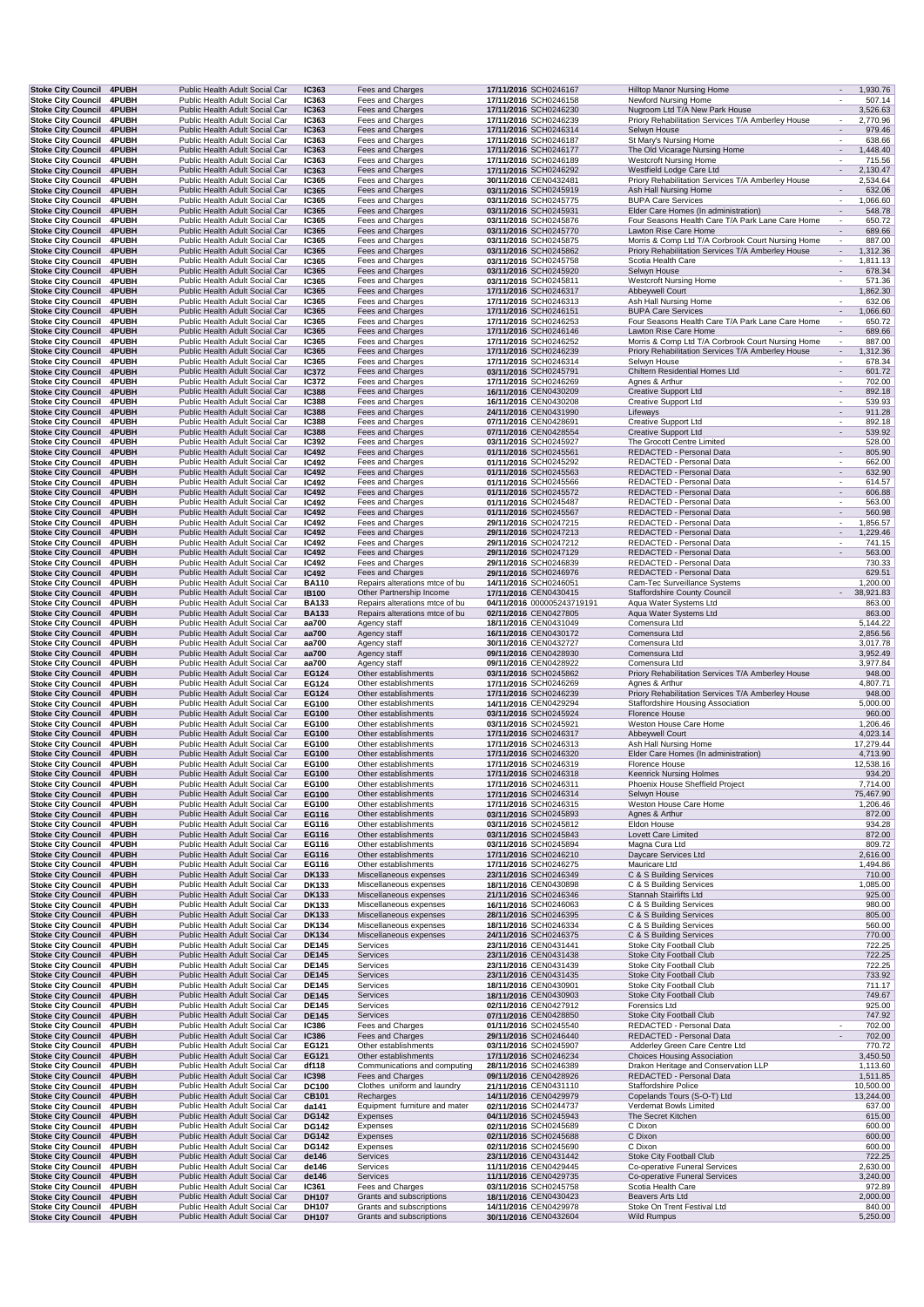|                                                        | Stoke City Council 4PUBH<br>4PUBH | Public Health Adult Social Car                                   | <b>IC363</b><br>IC363        | Fees and Charges                                           | 17/11/2016 SCH0246167                               | Hilltop Manor Nursing Home                                                | 1,930.76                                               |                    |
|--------------------------------------------------------|-----------------------------------|------------------------------------------------------------------|------------------------------|------------------------------------------------------------|-----------------------------------------------------|---------------------------------------------------------------------------|--------------------------------------------------------|--------------------|
| <b>Stoke City Council</b><br><b>Stoke City Council</b> | 4PUBH                             | Public Health Adult Social Car<br>Public Health Adult Social Car | IC363                        | Fees and Charges<br>Fees and Charges                       | 17/11/2016 SCH0246158<br>17/11/2016 SCH0246230      | Newford Nursing Home<br>Nugroom Ltd T/A New Park House                    | 3,526.63                                               | 507.14             |
| <b>Stoke City Council</b>                              | 4PUBH                             | Public Health Adult Social Car                                   | IC363                        | Fees and Charges                                           | 17/11/2016 SCH0246239                               | Priory Rehabilitation Services T/A Amberley House                         | 2,770.96                                               |                    |
| Stoke City Council 4PUBH<br><b>Stoke City Council</b>  | 4PUBH                             | Public Health Adult Social Car<br>Public Health Adult Social Car | IC363<br>IC363               | Fees and Charges<br>Fees and Charges                       | 17/11/2016 SCH0246314<br>17/11/2016 SCH0246187      | Selwyn House<br>St Mary's Nursing Home                                    | $\overline{\phantom{a}}$<br>٠                          | 979.46<br>638.66   |
| Stoke City Council 4PUBH                               |                                   | Public Health Adult Social Car                                   | IC363                        | Fees and Charges                                           | 17/11/2016 SCH0246177                               | The Old Vicarage Nursing Home                                             | $\overline{\phantom{a}}$                               | 1,448.40           |
| <b>Stoke City Council</b><br><b>Stoke City Council</b> | <b>4PUBH</b><br>4PUBH             | Public Health Adult Social Car<br>Public Health Adult Social Car | IC363<br>IC363               | Fees and Charges<br>Fees and Charges                       | 17/11/2016 SCH0246189<br>17/11/2016 SCH0246292      | <b>Westcroft Nursing Home</b><br>Westfield Lodge Care Ltd                 | $\overline{\phantom{a}}$<br>2,130.47<br>$\overline{a}$ | 715.56             |
| Stoke City Council 4PUBH                               |                                   | Public Health Adult Social Car                                   | IC365                        | Fees and Charges                                           | 30/11/2016 CEN0432481                               | Priory Rehabilitation Services T/A Amberley House                         | 2,534.64                                               |                    |
| Stoke City Council 4PUBH<br><b>Stoke City Council</b>  | <b>4PUBH</b>                      | Public Health Adult Social Car<br>Public Health Adult Social Car | <b>IC365</b><br>IC365        | Fees and Charges<br>Fees and Charges                       | 03/11/2016 SCH0245919<br>03/11/2016 SCH0245775      | Ash Hall Nursing Home<br><b>BUPA Care Services</b>                        | 1,066.60<br>$\overline{\phantom{a}}$                   | 632.06             |
| Stoke City Council 4PUBH                               |                                   | Public Health Adult Social Car                                   | IC365                        | Fees and Charges                                           | 03/11/2016 SCH0245931                               | Elder Care Homes (In administration)                                      | $\overline{\phantom{a}}$                               | 548.78             |
| <b>Stoke City Council</b><br><b>Stoke City Council</b> | <b>4PUBH</b><br>4PUBH             | Public Health Adult Social Car<br>Public Health Adult Social Car | IC365<br><b>IC365</b>        | Fees and Charges<br>Fees and Charges                       | 03/11/2016 SCH0245876<br>03/11/2016 SCH0245770      | Four Seasons Health Care T/A Park Lane Care Home<br>Lawton Rise Care Home | $\epsilon$<br>$\mathcal{L}_{\mathcal{A}}$              | 650.72<br>689.66   |
| <b>Stoke City Council</b>                              | 4PUBH                             | Public Health Adult Social Car                                   | IC365                        | Fees and Charges                                           | 03/11/2016 SCH0245875                               | Morris & Comp Ltd T/A Corbrook Court Nursing Home                         |                                                        | 887.00             |
| <b>Stoke City Council</b>                              | 4PUBH                             | Public Health Adult Social Car<br>Public Health Adult Social Car | <b>IC365</b>                 | Fees and Charges                                           | 03/11/2016 SCH0245862                               | Priory Rehabilitation Services T/A Amberley House                         | $\blacksquare$<br>1,312.36                             |                    |
| <b>Stoke City Council</b><br>Stoke City Council 4PUBH  | <b>4PUBH</b>                      | Public Health Adult Social Car                                   | IC365<br>IC365               | Fees and Charges<br>Fees and Charges                       | 03/11/2016 SCH0245758<br>03/11/2016 SCH0245920      | Scotia Health Care<br>Selwyn House                                        | 1,811.13<br>$\overline{\phantom{a}}$                   | 678.34             |
| <b>Stoke City Council</b>                              | <b>4PUBH</b>                      | Public Health Adult Social Car                                   | IC365                        | Fees and Charges                                           | 03/11/2016 SCH0245811                               | <b>Westcroft Nursing Home</b>                                             | $\overline{\phantom{a}}$                               | 571.36             |
| Stoke City Council 4PUBH<br><b>Stoke City Council</b>  | <b>4PUBH</b>                      | Public Health Adult Social Car<br>Public Health Adult Social Car | <b>IC365</b><br>IC365        | Fees and Charges<br>Fees and Charges                       | 17/11/2016 SCH0246317<br>17/11/2016 SCH0246313      | Abbeywell Court<br>Ash Hall Nursing Home                                  | $\overline{\phantom{a}}$                               | 1,862.30<br>632.06 |
| <b>Stoke City Council</b>                              | 4PUBH                             | Public Health Adult Social Car                                   | <b>IC365</b>                 | Fees and Charges                                           | 17/11/2016 SCH0246151                               | <b>BUPA Care Services</b>                                                 | 1,066.60                                               |                    |
| Stoke City Council 4PUBH<br><b>Stoke City Council</b>  | <b>4PUBH</b>                      | Public Health Adult Social Car<br>Public Health Adult Social Car | IC365<br><b>IC365</b>        | Fees and Charges<br>Fees and Charges                       | 17/11/2016 SCH0246253<br>17/11/2016 SCH0246146      | Four Seasons Health Care T/A Park Lane Care Home<br>Lawton Rise Care Home | $\overline{\phantom{a}}$                               | 650.72<br>689.66   |
| <b>Stoke City Council</b>                              | 4PUBH                             | Public Health Adult Social Car                                   | IC365                        | Fees and Charges                                           | 17/11/2016 SCH0246252                               | Morris & Comp Ltd T/A Corbrook Court Nursing Home                         | $\sim$                                                 | 887.00             |
| <b>Stoke City Council</b><br><b>Stoke City Council</b> | 4PUBH<br>4PUBH                    | Public Health Adult Social Car                                   | <b>IC365</b><br>IC365        | Fees and Charges<br>Fees and Charges                       | 17/11/2016 SCH0246239                               | Priory Rehabilitation Services T/A Amberley House                         | $\overline{\phantom{a}}$                               | 1,312.36<br>678.34 |
| <b>Stoke City Council</b>                              | 4PUBH                             | Public Health Adult Social Car<br>Public Health Adult Social Car | <b>IC372</b>                 | Fees and Charges                                           | 17/11/2016 SCH0246314<br>03/11/2016 SCH0245791      | Selwyn House<br>Chiltern Residential Homes Ltd                            | $\overline{\phantom{a}}$                               | 601.72             |
| <b>Stoke City Council</b>                              | <b>4PUBH</b>                      | Public Health Adult Social Car                                   | IC372                        | Fees and Charges                                           | 17/11/2016 SCH0246269                               | Agnes & Arthur                                                            |                                                        | 702.00             |
| <b>Stoke City Council</b><br>Stoke City Council 4PUBH  | 4PUBH                             | Public Health Adult Social Car<br>Public Health Adult Social Car | <b>IC388</b><br><b>IC388</b> | Fees and Charges<br>Fees and Charges                       | 16/11/2016 CEN0430209<br>16/11/2016 CEN0430208      | Creative Support Ltd<br>Creative Support Ltd                              | $\overline{\phantom{a}}$<br>$\overline{\phantom{a}}$   | 892.18<br>539.93   |
| Stoke City Council 4PUBH                               |                                   | Public Health Adult Social Car                                   | <b>IC388</b>                 | Fees and Charges                                           | 24/11/2016 CEN0431990                               | Lifeways                                                                  | $\blacksquare$                                         | 911.28             |
| <b>Stoke City Council</b><br>Stoke City Council 4PUBH  | 4PUBH                             | Public Health Adult Social Car<br>Public Health Adult Social Car | <b>IC388</b><br><b>IC388</b> | Fees and Charges<br>Fees and Charges                       | 07/11/2016 CEN0428691<br>07/11/2016 CEN0428554      | <b>Creative Support Ltd</b><br><b>Creative Support Ltd</b>                | $\overline{\phantom{a}}$<br>$\overline{\phantom{a}}$   | 892.18<br>539.92   |
| Stoke City Council 4PUBH                               |                                   | Public Health Adult Social Car                                   | IC392                        | Fees and Charges                                           | 03/11/2016 SCH0245927                               | The Grocott Centre Limited                                                |                                                        | 528.00             |
| Stoke City Council 4PUBH<br><b>Stoke City Council</b>  | <b>4PUBH</b>                      | Public Health Adult Social Car                                   | <b>IC492</b>                 | Fees and Charges                                           | 01/11/2016 SCH0245561                               | REDACTED - Personal Data                                                  | $\overline{\phantom{a}}$<br>$\overline{\phantom{a}}$   | 805.90<br>662.00   |
| <b>Stoke City Council</b>                              | <b>4PUBH</b>                      | Public Health Adult Social Car<br>Public Health Adult Social Car | IC492<br><b>IC492</b>        | Fees and Charges<br>Fees and Charges                       | 01/11/2016 SCH0245292<br>01/11/2016 SCH0245563      | REDACTED - Personal Data<br>REDACTED - Personal Data                      | $\overline{\phantom{a}}$                               | 632.90             |
| <b>Stoke City Council</b>                              | 4PUBH                             | Public Health Adult Social Car                                   | IC492                        | Fees and Charges                                           | 01/11/2016 SCH0245566                               | REDACTED - Personal Data                                                  | $\overline{\phantom{a}}$                               | 614.57             |
| <b>Stoke City Council</b><br><b>Stoke City Council</b> | 4PUBH<br><b>4PUBH</b>             | Public Health Adult Social Car<br>Public Health Adult Social Car | <b>IC492</b><br>IC492        | Fees and Charges<br>Fees and Charges                       | 01/11/2016 SCH0245572<br>01/11/2016 SCH0245487      | REDACTED - Personal Data<br>REDACTED - Personal Data                      | $\overline{\phantom{a}}$                               | 606.88<br>563.00   |
| <b>Stoke City Council</b>                              | 4PUBH                             | Public Health Adult Social Car                                   | <b>IC492</b>                 | Fees and Charges                                           | 01/11/2016 SCH0245567                               | REDACTED - Personal Data                                                  | $\overline{\phantom{a}}$                               | 560.98             |
| <b>Stoke City Council</b><br>Stoke City Council 4PUBH  | 4PUBH                             | Public Health Adult Social Car<br>Public Health Adult Social Car | <b>IC492</b><br>IC492        | Fees and Charges<br>Fees and Charges                       | 29/11/2016 SCH0247215<br>29/11/2016 SCH0247213      | REDACTED - Personal Data<br>REDACTED - Personal Data                      | $\overline{\phantom{a}}$<br>1,229.46<br>$\blacksquare$ | 1,856.57           |
| Stoke City Council 4PUBH                               |                                   | Public Health Adult Social Car                                   | IC492                        | Fees and Charges                                           | 29/11/2016 SCH0247212                               | REDACTED - Personal Data                                                  | $\overline{\phantom{a}}$                               | 741.15             |
| <b>Stoke City Council</b>                              | 4PUBH                             | Public Health Adult Social Car                                   | <b>IC492</b>                 | Fees and Charges                                           | 29/11/2016 SCH0247129                               | REDACTED - Personal Data                                                  | $\mathcal{L}_{\mathcal{A}}$                            | 563.00             |
| Stoke City Council 4PUBH<br>Stoke City Council 4PUBH   |                                   | Public Health Adult Social Car<br>Public Health Adult Social Car | IC492<br><b>IC492</b>        | Fees and Charges<br>Fees and Charges                       | 29/11/2016 SCH0246839<br>29/11/2016 SCH0246976      | REDACTED - Personal Data<br>REDACTED - Personal Data                      |                                                        | 730.33<br>629.51   |
| <b>Stoke City Council</b>                              | 4PUBH                             | Public Health Adult Social Car                                   | <b>BA110</b>                 | Repairs alterations mtce of bu                             | 14/11/2016 SCH0246051                               | Cam-Tec Surveillance Systems                                              | 1,200.00                                               |                    |
| <b>Stoke City Council</b><br><b>Stoke City Council</b> | 4PUBH<br>4PUBH                    | Public Health Adult Social Car<br>Public Health Adult Social Car | <b>IB100</b><br><b>BA133</b> | Other Partnership Income<br>Repairs alterations mtce of bu | 17/11/2016 CEN0430415<br>04/11/2016 000005243719191 | <b>Staffordshire County Council</b><br>Aqua Water Systems Ltd             | 38,921.83<br>$\sim$                                    | 863.00             |
| <b>Stoke City Council</b>                              | 4PUBH                             | Public Health Adult Social Car                                   | <b>BA133</b>                 | Repairs alterations mtce of bu                             | 02/11/2016 CEN0427805                               | Aqua Water Systems Ltd                                                    |                                                        | 863.00             |
| <b>Stoke City Council</b>                              | <b>4PUBH</b>                      | Public Health Adult Social Car                                   | aa700                        | Agency staff                                               | 18/11/2016 CEN0431049                               | Comensura Ltd                                                             | 5,144.22                                               |                    |
| <b>Stoke City Council</b><br><b>Stoke City Council</b> | 4PUBH<br><b>4PUBH</b>             | Public Health Adult Social Car<br>Public Health Adult Social Car | aa700<br>aa700               | Agency staff<br>Agency staff                               | 16/11/2016 CEN0430172<br>30/11/2016 CEN0432727      | Comensura Ltd<br>Comensura Ltd                                            | 2,856.56<br>3,017.78                                   |                    |
| Stoke City Council 4PUBH                               |                                   | Public Health Adult Social Car                                   | aa700                        | Agency staff                                               | 09/11/2016 CEN0428930                               | Comensura Ltd                                                             | 3,952.49                                               |                    |
| Stoke City Council 4PUBH                               |                                   |                                                                  | aa700                        |                                                            |                                                     |                                                                           |                                                        |                    |
|                                                        |                                   | Public Health Adult Social Car                                   |                              | Agency staff                                               | 09/11/2016 CEN0428922                               | Comensura Ltd                                                             | 3,977.84                                               |                    |
| <b>Stoke City Council</b><br>Stoke City Council 4PUBH  | 4PUBH                             | Public Health Adult Social Car<br>Public Health Adult Social Car | EG124<br>EG124               | Other establishments<br>Other establishments               | 03/11/2016 SCH0245862<br>17/11/2016 SCH0246269      | Priory Rehabilitation Services T/A Amberley House<br>Agnes & Arthur       | 4,807.71                                               | 948.00             |
| Stoke City Council 4PUBH                               |                                   | Public Health Adult Social Car                                   | EG124                        | Other establishments                                       | 17/11/2016 SCH0246239                               | Priory Rehabilitation Services T/A Amberley House                         |                                                        | 948.00             |
| <b>Stoke City Council</b>                              | 4PUBH                             | Public Health Adult Social Car<br>Public Health Adult Social Car | EG100<br>EG100               | Other establishments<br>Other establishments               | 14/11/2016 CEN0429294<br>03/11/2016 SCH0245924      | Staffordshire Housing Association<br><b>Florence House</b>                | 5,000.00                                               | 960.00             |
| Stoke City Council 4PUBH<br><b>Stoke City Council</b>  | 4PUBH                             | Public Health Adult Social Car                                   | EG100                        | Other establishments                                       | 03/11/2016 SCH0245921                               | Weston House Care Home                                                    | 1,206.46                                               |                    |
| <b>Stoke City Council</b>                              | 4PUBH                             | Public Health Adult Social Car                                   | EG100                        | Other establishments                                       | 17/11/2016 SCH0246317                               | Abbeywell Court                                                           | 4,023.14                                               |                    |
| <b>Stoke City Council</b><br><b>Stoke City Council</b> | 4PUBH<br>4PUBH                    | Public Health Adult Social Car<br>Public Health Adult Social Car | EG100<br>EG100               | Other establishments<br>Other establishments               | 17/11/2016 SCH0246313<br>17/11/2016 SCH0246320      | Ash Hall Nursing Home<br>Elder Care Homes (In administration)             | 17,279.44<br>4,713.90                                  |                    |
| Stoke City Council 4PUBH                               |                                   | Public Health Adult Social Car                                   | EG100                        | Other establishments                                       | 17/11/2016 SCH0246319                               | Florence House                                                            | 12,538.16                                              |                    |
| Stoke City Council 4PUBH<br>Stoke City Council 4PUBH   |                                   | Public Health Adult Social Car<br>Public Health Adult Social Car | EG100<br>EG100               | Other establishments<br>Other establishments               | 17/11/2016 SCH0246318<br>17/11/2016 SCH0246311      | <b>Keenrick Nursing Holmes</b><br>Phoenix House Sheffield Project         |                                                        | 934.20<br>7,714.00 |
| <b>Stoke City Council</b>                              | 4PUBH                             | Public Health Adult Social Car                                   | EG100                        | Other establishments                                       | 17/11/2016 SCH0246314                               | Selwyn House                                                              | 75,467.90                                              |                    |
| <b>Stoke City Council</b><br><b>Stoke City Council</b> | 4PUBH<br>4PUBH                    | Public Health Adult Social Car<br>Public Health Adult Social Car | EG100<br>EG116               | Other establishments<br>Other establishments               | 17/11/2016 SCH0246315<br>03/11/2016 SCH0245893      | Weston House Care Home<br>Agnes & Arthur                                  |                                                        | 1,206.46           |
| <b>Stoke City Council</b>                              | 4PUBH                             | Public Health Adult Social Car                                   | EG116                        | Other establishments                                       | 03/11/2016 SCH0245812                               | Eldon House                                                               |                                                        | 872.00<br>934.28   |
| <b>Stoke City Council</b>                              | 4PUBH                             | Public Health Adult Social Car                                   | EG116                        | Other establishments                                       | 03/11/2016 SCH0245843                               | Lovett Care Limited                                                       |                                                        | 872.00             |
| <b>Stoke City Council</b><br><b>Stoke City Council</b> | 4PUBH<br>4PUBH                    | Public Health Adult Social Car<br>Public Health Adult Social Car | EG116<br>EG116               | Other establishments<br>Other establishments               | 03/11/2016 SCH0245894<br>17/11/2016 SCH0246210      | Magna Cura Ltd<br>Daycare Services Ltd                                    | 2,616.00                                               | 809.72             |
| <b>Stoke City Council</b>                              | 4PUBH                             | Public Health Adult Social Car                                   | EG116                        | Other establishments                                       | 17/11/2016 SCH0246275                               | Mauricare Ltd                                                             | 1,494.86                                               |                    |
| <b>Stoke City Council</b><br>Stoke City Council 4PUBH  | 4PUBH                             | Public Health Adult Social Car<br>Public Health Adult Social Car | <b>DK133</b><br>DK133        | Miscellaneous expenses<br>Miscellaneous expenses           | 23/11/2016 SCH0246349<br>18/11/2016 CEN0430898      | C & S Building Services<br>C & S Building Services                        |                                                        | 710.00<br>1,085.00 |
| <b>Stoke City Council</b>                              | 4PUBH                             | Public Health Adult Social Car                                   | <b>DK133</b>                 | Miscellaneous expenses                                     | 21/11/2016 SCH0246346                               | Stannah Stairlifts Ltd                                                    |                                                        | 925.00             |
| <b>Stoke City Council</b><br>Stoke City Council 4PUBH  | 4PUBH                             | Public Health Adult Social Car                                   | DK133                        | Miscellaneous expenses                                     | 16/11/2016 SCH0246063                               | C & S Building Services                                                   |                                                        | 980.00             |
| <b>Stoke City Council</b>                              | <b>4PUBH</b>                      | Public Health Adult Social Car<br>Public Health Adult Social Car | <b>DK133</b><br>DK134        | Miscellaneous expenses<br>Miscellaneous expenses           | 28/11/2016 SCH0246395<br>18/11/2016 SCH0246334      | C & S Building Services<br>C & S Building Services                        |                                                        | 805.00<br>560.00   |
| <b>Stoke City Council</b>                              | 4PUBH                             | Public Health Adult Social Car                                   | DK134                        | Miscellaneous expenses                                     | 24/11/2016 SCH0246375                               | C & S Building Services                                                   |                                                        | 770.00             |
| Stoke City Council 4PUBH<br>Stoke City Council 4PUBH   |                                   | Public Health Adult Social Car<br>Public Health Adult Social Car | <b>DE145</b><br><b>DE145</b> | Services<br>Services                                       | 23/11/2016 CEN0431441<br>23/11/2016 CEN0431438      | Stoke City Football Club<br>Stoke City Football Club                      |                                                        | 722.25<br>722.25   |
| Stoke City Council 4PUBH                               |                                   | Public Health Adult Social Car                                   | <b>DE145</b>                 | Services                                                   | 23/11/2016 CEN0431439                               | Stoke City Football Club                                                  |                                                        | 722.25             |
| <b>Stoke City Council</b><br><b>Stoke City Council</b> | 4PUBH<br>4PUBH                    | Public Health Adult Social Car<br>Public Health Adult Social Car | <b>DE145</b><br><b>DE145</b> | Services<br>Services                                       | 23/11/2016 CEN0431435<br>18/11/2016 CEN0430901      | Stoke City Football Club<br>Stoke City Football Club                      |                                                        | 733.92<br>711.17   |
| <b>Stoke City Council</b>                              | 4PUBH                             | Public Health Adult Social Car                                   | <b>DE145</b>                 | Services                                                   | 18/11/2016 CEN0430903                               | Stoke City Football Club                                                  |                                                        | 749.67             |
| Stoke City Council 4PUBH                               |                                   | Public Health Adult Social Car                                   | <b>DE145</b>                 | Services                                                   | 02/11/2016 CEN0427912                               | Forensics Ltd                                                             |                                                        | 925.00             |
| Stoke City Council 4PUBH<br>Stoke City Council 4PUBH   |                                   | Public Health Adult Social Car<br>Public Health Adult Social Car | <b>DE145</b><br><b>IC386</b> | Services<br>Fees and Charges                               | 07/11/2016 CEN0428850<br>01/11/2016 SCH0245540      | Stoke City Football Club<br>REDACTED - Personal Data                      |                                                        | 747.92<br>702.00   |
| Stoke City Council 4PUBH                               |                                   | Public Health Adult Social Car                                   | <b>IC386</b>                 | Fees and Charges                                           | 29/11/2016 SCH0246440                               | REDACTED - Personal Data                                                  | $\overline{\phantom{a}}$                               | 702.00             |
| <b>Stoke City Council</b><br>Stoke City Council 4PUBH  | <b>4PUBH</b>                      | Public Health Adult Social Car<br>Public Health Adult Social Car | EG121<br>EG121               | Other establishments<br>Other establishments               | 03/11/2016 SCH0245907<br>17/11/2016 SCH0246234      | Adderley Green Care Centre Ltd<br>Choices Housing Association             | 3,450.50                                               | 770.72             |
| Stoke City Council 4PUBH                               |                                   | Public Health Adult Social Car                                   | df118                        | Communications and computing                               | 28/11/2016 SCH0246389                               | Drakon Heritage and Conservation LLP                                      | 1,113.60                                               |                    |
| <b>Stoke City Council</b>                              | 4PUBH                             | Public Health Adult Social Car                                   | <b>IC398</b>                 | Fees and Charges                                           | 09/11/2016 CEN0428926                               | REDACTED - Personal Data                                                  |                                                        | 1,511.85           |
| <b>Stoke City Council</b><br><b>Stoke City Council</b> | 4PUBH<br>4PUBH                    | Public Health Adult Social Car<br>Public Health Adult Social Car | <b>DC100</b><br>CB101        | Clothes uniform and laundry<br>Recharges                   | 21/11/2016 CEN0431110<br>14/11/2016 CEN0429979      | Staffordshire Police<br>Copelands Tours (S-O-T) Ltd                       | 10,500.00<br>13,244.00                                 |                    |
| <b>Stoke City Council</b>                              | 4PUBH                             | Public Health Adult Social Car                                   | da141                        | Equipment furniture and mater                              | 02/11/2016 SCH0244737                               | Verdemat Bowls Limited                                                    |                                                        | 637.00             |
| <b>Stoke City Council</b><br>Stoke City Council 4PUBH  | 4PUBH                             | Public Health Adult Social Car<br>Public Health Adult Social Car | <b>DG142</b><br><b>DG142</b> | Expenses<br>Expenses                                       | 04/11/2016 SCH0245943<br>02/11/2016 SCH0245689      | The Secret Kitchen<br>C Dixon                                             |                                                        | 615.00<br>600.00   |
| <b>Stoke City Council</b>                              | 4PUBH                             | Public Health Adult Social Car                                   | <b>DG142</b>                 | Expenses                                                   | 02/11/2016 SCH0245688                               | C Dixon                                                                   |                                                        | 600.00             |
| <b>Stoke City Council</b>                              | 4PUBH                             | Public Health Adult Social Car                                   | <b>DG142</b>                 | Expenses                                                   | 02/11/2016 SCH0245690                               | C Dixon                                                                   |                                                        | 600.00             |
| Stoke City Council 4PUBH<br><b>Stoke City Council</b>  | 4PUBH                             | Public Health Adult Social Car<br>Public Health Adult Social Car | de146<br>de146               | Services<br>Services                                       | 23/11/2016 CEN0431442<br>11/11/2016 CEN0429445      | Stoke City Football Club<br>Co-operative Funeral Services                 | 2,630.00                                               | 722.25             |
| <b>Stoke City Council</b>                              | 4PUBH                             | Public Health Adult Social Car                                   | de146                        | Services                                                   | 11/11/2016 CEN0429735                               | Co-operative Funeral Services                                             | 3,240.00                                               |                    |
| Stoke City Council 4PUBH<br><b>Stoke City Council</b>  | 4PUBH                             | Public Health Adult Social Car<br>Public Health Adult Social Car | IC361<br><b>DH107</b>        | Fees and Charges<br>Grants and subscriptions               | 03/11/2016 SCH0245758<br>18/11/2016 CEN0430423      | Scotia Health Care<br>Beavers Arts Ltd                                    | 2,000.00                                               | 972.89             |
| <b>Stoke City Council</b><br><b>Stoke City Council</b> | 4PUBH<br>4PUBH                    | Public Health Adult Social Car<br>Public Health Adult Social Car | DH107<br><b>DH107</b>        | Grants and subscriptions<br>Grants and subscriptions       | 14/11/2016 CEN0429978<br>30/11/2016 CEN0432604      | Stoke On Trent Festival Ltd<br><b>Wild Rumpus</b>                         |                                                        | 840.00<br>5,250.00 |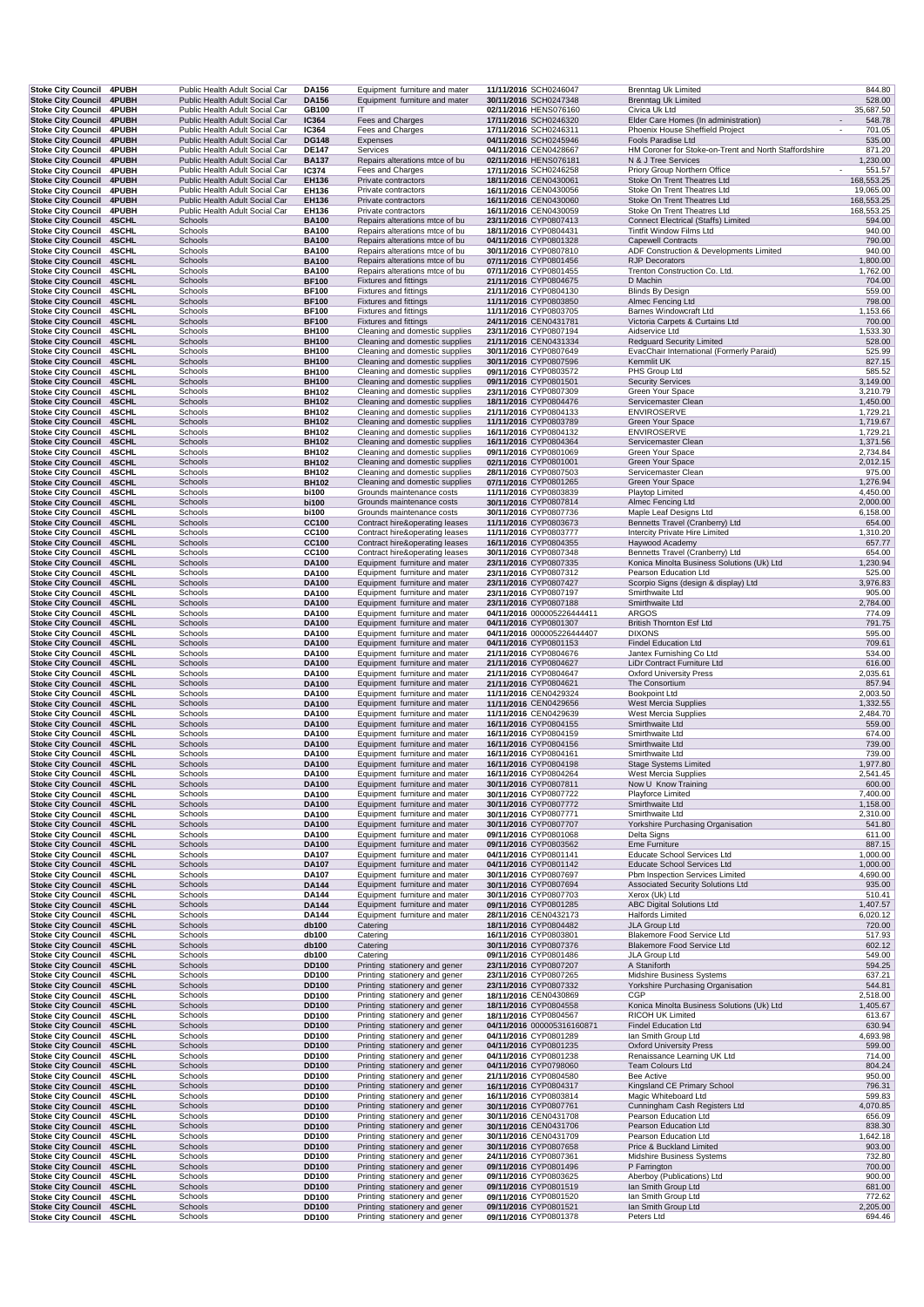| <b>Stoke City Council</b>                              | 4PUBH                        | Public Health Adult Social Car                                   | DA156                        | Equipment furniture and mater                                    | 11/11/2016 SCH0246047                               | <b>Brenntag Uk Limited</b>                                                    | 844.80               |  |
|--------------------------------------------------------|------------------------------|------------------------------------------------------------------|------------------------------|------------------------------------------------------------------|-----------------------------------------------------|-------------------------------------------------------------------------------|----------------------|--|
| <b>Stoke City Council</b><br><b>Stoke City Council</b> | 4PUBH<br>4PUBH               | Public Health Adult Social Car<br>Public Health Adult Social Car | <b>DA156</b><br>GB100        | Equipment furniture and mater<br>IT                              | 30/11/2016 SCH0247348<br>02/11/2016 HENS076160      | <b>Brenntag Uk Limited</b><br>Civica Uk Ltd                                   | 528.00<br>35,687.50  |  |
| <b>Stoke City Council</b>                              | 4PUBH                        | Public Health Adult Social Car                                   | IC364                        | Fees and Charges                                                 | 17/11/2016 SCH0246320                               | Elder Care Homes (In administration)                                          | 548.78               |  |
| <b>Stoke City Council</b>                              | 4PUBH                        | Public Health Adult Social Car                                   | IC364                        | Fees and Charges                                                 | 17/11/2016 SCH0246311                               | Phoenix House Sheffield Project                                               | 701.05               |  |
| <b>Stoke City Council</b><br><b>Stoke City Council</b> | 4PUBH<br><b>4PUBH</b>        | Public Health Adult Social Car<br>Public Health Adult Social Car | <b>DG148</b><br><b>DE147</b> | Expenses<br>Services                                             | 04/11/2016 SCH0245946<br>04/11/2016 CEN0428667      | Fools Paradise Ltd<br>HM Coroner for Stoke-on-Trent and North Staffordshire   | 535.00<br>871.20     |  |
| <b>Stoke City Council</b>                              | 4PUBH                        | Public Health Adult Social Car                                   | <b>BA137</b>                 | Repairs alterations mtce of bu                                   | 02/11/2016 HENS076181                               | N & J Tree Services                                                           | 1,230.00             |  |
| <b>Stoke City Council</b><br><b>Stoke City Council</b> | 4PUBH<br>4PUBH               | Public Health Adult Social Car<br>Public Health Adult Social Car | IC374<br>EH136               | Fees and Charges<br>Private contractors                          | 17/11/2016 SCH0246258<br>18/11/2016 CEN0430061      | Priory Group Northern Office<br>Stoke On Trent Theatres Ltd                   | 551.57<br>168,553.25 |  |
| <b>Stoke City Council</b>                              | 4PUBH                        | Public Health Adult Social Car                                   | EH136                        | Private contractors                                              | 16/11/2016 CEN0430056                               | Stoke On Trent Theatres Ltd                                                   | 19,065.00            |  |
| <b>Stoke City Council</b>                              | 4PUBH                        | Public Health Adult Social Car                                   | EH136                        | Private contractors                                              | 16/11/2016 CEN0430060                               | Stoke On Trent Theatres Ltd                                                   | 168,553.25           |  |
| <b>Stoke City Council</b><br><b>Stoke City Council</b> | 4PUBH<br>4SCHL               | Public Health Adult Social Car<br>Schools                        | EH136<br><b>BA100</b>        | Private contractors<br>Repairs alterations mtce of bu            | 16/11/2016 CEN0430059<br>23/11/2016 CYP0807413      | Stoke On Trent Theatres Ltd<br>Connect Electrical (Staffs) Limited            | 168,553.25<br>594.00 |  |
| <b>Stoke City Council</b>                              | <b>4SCHL</b>                 | Schools                                                          | <b>BA100</b>                 | Repairs alterations mtce of bu                                   | 18/11/2016 CYP0804431                               | Tintfit Window Films Ltd                                                      | 940.00               |  |
| <b>Stoke City Council</b>                              | <b>4SCHL</b>                 | Schools                                                          | <b>BA100</b>                 | Repairs alterations mtce of bu                                   | 04/11/2016 CYP0801328                               | <b>Capewell Contracts</b>                                                     | 790.00               |  |
| <b>Stoke City Council</b><br><b>Stoke City Council</b> | <b>4SCHL</b><br><b>4SCHL</b> | Schools<br>Schools                                               | <b>BA100</b><br><b>BA100</b> | Repairs alterations mtce of bu<br>Repairs alterations mtce of bu | 30/11/2016 CYP0807810<br>07/11/2016 CYP0801456      | ADF Construction & Developments Limited<br><b>RJP Decorators</b>              | 940.00<br>1,800.00   |  |
| <b>Stoke City Council</b>                              | <b>4SCHL</b>                 | Schools                                                          | <b>BA100</b>                 | Repairs alterations mtce of bu                                   | 07/11/2016 CYP0801455                               | Trenton Construction Co. Ltd.                                                 | 1,762.00             |  |
| <b>Stoke City Council</b><br><b>Stoke City Council</b> | 4SCHL<br><b>4SCHL</b>        | Schools<br>Schools                                               | <b>BF100</b><br><b>BF100</b> | Fixtures and fittings<br>Fixtures and fittings                   | 21/11/2016 CYP0804675<br>21/11/2016 CYP0804130      | D Machin<br><b>Blinds By Design</b>                                           | 704.00<br>559.00     |  |
| <b>Stoke City Council</b>                              | 4SCHL                        | Schools                                                          | <b>BF100</b>                 | Fixtures and fittings                                            | 11/11/2016 CYP0803850                               | Almec Fencing Ltd                                                             | 798.00               |  |
| <b>Stoke City Council</b>                              | 4SCHL                        | Schools                                                          | <b>BF100</b>                 | <b>Fixtures and fittings</b>                                     | 11/11/2016 CYP0803705                               | Barnes Windowcraft Ltd                                                        | 1,153.66             |  |
| <b>Stoke City Council</b><br><b>Stoke City Council</b> | <b>4SCHL</b><br><b>4SCHL</b> | Schools<br>Schools                                               | <b>BF100</b><br><b>BH100</b> | Fixtures and fittings<br>Cleaning and domestic supplies          | 24/11/2016 CEN0431781<br>23/11/2016 CYP0807194      | Victoria Carpets & Curtains Ltd<br>Aidservice Ltd                             | 700.00<br>1,533.30   |  |
| <b>Stoke City Council</b>                              | 4SCHL                        | Schools                                                          | <b>BH100</b>                 | Cleaning and domestic supplies                                   | 21/11/2016 CEN0431334                               | <b>Redguard Security Limited</b>                                              | 528.00               |  |
| <b>Stoke City Council</b>                              | <b>4SCHL</b>                 | Schools                                                          | <b>BH100</b>                 | Cleaning and domestic supplies                                   | 30/11/2016 CYP0807649                               | EvacChair International (Formerly Paraid)                                     | 525.99               |  |
| <b>Stoke City Council</b><br><b>Stoke City Council</b> | 4SCHL<br>4SCHL               | Schools<br>Schools                                               | <b>BH100</b><br><b>BH100</b> | Cleaning and domestic supplies<br>Cleaning and domestic supplies | 30/11/2016 CYP0807596<br>09/11/2016 CYP0803572      | Kemmlit UK<br>PHS Group Ltd                                                   | 827.15<br>585.52     |  |
| <b>Stoke City Council</b>                              | 4SCHL                        | Schools                                                          | <b>BH100</b>                 | Cleaning and domestic supplies                                   | 09/11/2016 CYP0801501                               | <b>Security Services</b>                                                      | 3,149.00             |  |
| <b>Stoke City Council</b>                              | <b>4SCHL</b>                 | Schools                                                          | <b>BH102</b>                 | Cleaning and domestic supplies                                   | 23/11/2016 CYP0807309                               | Green Your Space                                                              | 3,210.79             |  |
| <b>Stoke City Council</b><br><b>Stoke City Council</b> | <b>4SCHL</b><br>4SCHL        | Schools<br>Schools                                               | <b>BH102</b><br><b>BH102</b> | Cleaning and domestic supplies<br>Cleaning and domestic supplies | 18/11/2016 CYP0804476<br>21/11/2016 CYP0804133      | Servicemaster Clean<br><b>ENVIROSERVE</b>                                     | 1,450.00<br>1,729.21 |  |
| <b>Stoke City Council</b>                              | 4SCHL                        | Schools                                                          | <b>BH102</b>                 | Cleaning and domestic supplies                                   | 11/11/2016 CYP0803789                               | Green Your Space                                                              | 1,719.67             |  |
| <b>Stoke City Council</b><br><b>Stoke City Council</b> | 4SCHL                        | Schools<br>Schools                                               | <b>BH102</b><br><b>BH102</b> | Cleaning and domestic supplies<br>Cleaning and domestic supplies | 16/11/2016 CYP0804132<br>16/11/2016 CYP0804364      | <b>ENVIROSERVE</b><br>Servicemaster Clean                                     | 1,729.21<br>1,371.56 |  |
| <b>Stoke City Council</b>                              | <b>4SCHL</b><br><b>4SCHL</b> | Schools                                                          | <b>BH102</b>                 | Cleaning and domestic supplies                                   | 09/11/2016 CYP0801069                               | Green Your Space                                                              | 2,734.84             |  |
| <b>Stoke City Council</b>                              | <b>4SCHL</b>                 | Schools                                                          | <b>BH102</b>                 | Cleaning and domestic supplies                                   | 02/11/2016 CYP0801001                               | Green Your Space                                                              | 2,012.15             |  |
| <b>Stoke City Council</b><br><b>Stoke City Council</b> | 4SCHL<br>4SCHL               | Schools<br>Schools                                               | <b>BH102</b><br><b>BH102</b> | Cleaning and domestic supplies<br>Cleaning and domestic supplies | 28/11/2016 CYP0807503<br>07/11/2016 CYP0801265      | Servicemaster Clean<br>Green Your Space                                       | 975.00<br>1,276.94   |  |
| <b>Stoke City Council</b>                              | 4SCHL                        | Schools                                                          | bi100                        | Grounds maintenance costs                                        | 11/11/2016 CYP0803839                               | Playtop Limited                                                               | 4,450.00             |  |
| <b>Stoke City Council</b>                              | 4SCHL                        | Schools                                                          | bi100                        | Grounds maintenance costs                                        | 30/11/2016 CYP0807814                               | Almec Fencing Ltd                                                             | 2,000.00             |  |
| <b>Stoke City Council</b><br><b>Stoke City Council</b> | <b>4SCHL</b><br>4SCHL        | Schools<br>Schools                                               | bi100<br>CC100               | Grounds maintenance costs<br>Contract hire&operating leases      | 30/11/2016 CYP0807736<br>11/11/2016 CYP0803673      | Maple Leaf Designs Ltd<br>Bennetts Travel (Cranberry) Ltd                     | 6,158.00<br>654.00   |  |
| <b>Stoke City Council</b>                              | 4SCHL                        | Schools                                                          | CC100                        | Contract hire&operating leases                                   | 11/11/2016 CYP0803777                               | Intercity Private Hire Limited                                                | 1,310.20             |  |
| <b>Stoke City Council</b>                              | <b>4SCHL</b>                 | Schools                                                          | CC100                        | Contract hire&operating leases                                   | 16/11/2016 CYP0804355                               | Haywood Academy                                                               | 657.77               |  |
| <b>Stoke City Council</b><br><b>Stoke City Council</b> | <b>4SCHL</b><br>4SCHL        | Schools<br>Schools                                               | CC100<br><b>DA100</b>        | Contract hire&operating leases<br>Equipment furniture and mater  | 30/11/2016 CYP0807348<br>23/11/2016 CYP0807335      | Bennetts Travel (Cranberry) Ltd<br>Konica Minolta Business Solutions (Uk) Ltd | 654.00<br>1,230.94   |  |
| <b>Stoke City Council</b>                              | <b>4SCHL</b>                 | Schools                                                          | DA100                        | Equipment furniture and mater                                    | 23/11/2016 CYP0807312                               | Pearson Education Ltd                                                         | 525.00               |  |
| <b>Stoke City Council</b>                              | 4SCHL                        | Schools                                                          | <b>DA100</b>                 | Equipment furniture and mater                                    | 23/11/2016 CYP0807427                               | Scorpio Signs (design & display) Ltd                                          | 3,976.83             |  |
| <b>Stoke City Council</b><br><b>Stoke City Council</b> | 4SCHL<br><b>4SCHL</b>        | Schools<br>Schools                                               | <b>DA100</b><br><b>DA100</b> | Equipment furniture and mater<br>Equipment furniture and mater   | 23/11/2016 CYP0807197<br>23/11/2016 CYP0807188      | Smirthwaite Ltd<br>Smirthwaite Ltd                                            | 905.00<br>2,784.00   |  |
| <b>Stoke City Council</b>                              | 4SCHL                        | Schools                                                          | DA100                        | Equipment furniture and mater                                    | 04/11/2016 000005226444411                          | ARGOS                                                                         | 774.09               |  |
| <b>Stoke City Council</b>                              | 4SCHL                        | Schools                                                          | <b>DA100</b><br><b>DA100</b> | Equipment furniture and mater                                    | 04/11/2016 CYP0801307                               | <b>British Thornton Esf Ltd</b><br><b>DIXONS</b>                              | 791.75               |  |
| <b>Stoke City Council</b><br><b>Stoke City Council</b> | <b>4SCHL</b><br>4SCHL        | Schools<br>Schools                                               | <b>DA100</b>                 | Equipment furniture and mater<br>Equipment furniture and mater   | 04/11/2016 000005226444407<br>04/11/2016 CYP0801153 | <b>Findel Education Ltd</b>                                                   | 595.00<br>709.61     |  |
| <b>Stoke City Council</b>                              | 4SCHL                        | Schools                                                          | <b>DA100</b>                 | Equipment furniture and mater                                    | 21/11/2016 CYP0804676                               | Jantex Furnishing Co Ltd                                                      | 534.00               |  |
| <b>Stoke City Council</b><br><b>Stoke City Council</b> | <b>4SCHL</b><br><b>4SCHL</b> | Schools<br>Schools                                               | <b>DA100</b><br>DA100        | Equipment furniture and mater                                    | 21/11/2016 CYP0804627<br>21/11/2016 CYP0804647      | LiDr Contract Furniture Ltd<br><b>Oxford University Press</b>                 | 616.00<br>2,035.61   |  |
| <b>Stoke City Council</b>                              | 4SCHL                        | Schools                                                          | <b>DA100</b>                 | Equipment furniture and mater<br>Equipment furniture and mater   | 21/11/2016 CYP0804621                               | The Consortium                                                                | 857.94               |  |
| <b>Stoke City Council</b>                              | 4SCHL                        | Schools                                                          | <b>DA100</b>                 | Equipment furniture and mater                                    | 11/11/2016 CEN0429324                               | Bookpoint Ltd                                                                 | 2,003.50             |  |
| <b>Stoke City Council</b><br><b>Stoke City Council</b> | <b>4SCHL</b><br>4SCHL        | Schools<br>Schools                                               | <b>DA100</b><br><b>DA100</b> | Equipment furniture and mater<br>Equipment furniture and mater   | 11/11/2016 CEN0429656<br>11/11/2016 CEN0429639      | <b>West Mercia Supplies</b><br><b>West Mercia Supplies</b>                    | 1,332.55<br>2,484.70 |  |
| <b>Stoke City Council</b>                              | <b>4SCHL</b>                 | Schools                                                          | <b>DA100</b>                 | Equipment furniture and mater                                    | 16/11/2016 CYP0804155                               | Smirthwaite Ltd                                                               | 559.00               |  |
| <b>Stoke City Council</b>                              | <b>4SCHL</b>                 | Schools                                                          | DA100                        | Equipment furniture and mater                                    | 16/11/2016 CYP0804159                               | Smirthwaite Ltd                                                               | 674.00               |  |
| <b>Stoke City Council</b><br><b>Stoke City Council</b> | <b>4SCHL</b><br>4SCHL        | Schools<br>Schools                                               | <b>DA100</b><br><b>DA100</b> | Equipment furniture and mater<br>Equipment furniture and mater   | 16/11/2016 CYP0804156<br>16/11/2016 CYP0804161      | Smirthwaite Ltd<br>Smirthwaite Ltd                                            | 739.00<br>739.00     |  |
| <b>Stoke City Council</b>                              | <b>4SCHL</b>                 | Schools                                                          | <b>DA100</b>                 | Equipment furniture and mater                                    | 16/11/2016 CYP0804198                               | <b>Stage Systems Limited</b>                                                  | 1,977.80             |  |
| Stoke City Council 4SCHL                               |                              | Schools                                                          | <b>DA100</b>                 | Equipment furniture and mater                                    | 16/11/2016 CYP0804264<br>30/11/2016 CYP0807811      | <b>West Mercia Supplies</b>                                                   | 2,541.45             |  |
| <b>Stoke City Council</b><br><b>Stoke City Council</b> | 4SCHL<br>4SCHL               | Schools<br>Schools                                               | DA100<br><b>DA100</b>        | Equipment furniture and mater<br>Equipment furniture and mater   | 30/11/2016 CYP0807722                               | Now U Know Training<br>Playforce Limited                                      | 600.00<br>7,400.00   |  |
| <b>Stoke City Council</b>                              | 4SCHL                        | Schools                                                          | <b>DA100</b>                 | Equipment furniture and mater                                    | 30/11/2016 CYP0807772                               | Smirthwaite Ltd                                                               | 1,158.00             |  |
| <b>Stoke City Council</b>                              | 4SCHL                        | Schools                                                          | DA100                        | Equipment furniture and mater                                    | 30/11/2016 CYP0807771                               | Smirthwaite Ltd<br>Yorkshire Purchasing Organisation                          | 2,310.00             |  |
| <b>Stoke City Council</b><br><b>Stoke City Council</b> | 4SCHL<br><b>4SCHL</b>        | Schools<br>Schools                                               | DA100<br>DA100               | Equipment furniture and mater<br>Equipment furniture and mater   | 30/11/2016 CYP0807707<br>09/11/2016 CYP0801068      | Delta Signs                                                                   | 541.80<br>611.00     |  |
| <b>Stoke City Council</b>                              | 4SCHL                        | Schools                                                          | <b>DA100</b>                 | Equipment furniture and mater                                    | 09/11/2016 CYP0803562                               | Eme Furniture                                                                 | 887.15               |  |
| <b>Stoke City Council</b><br><b>Stoke City Council</b> | <b>4SCHL</b><br>4SCHL        | Schools<br>Schools                                               | DA107<br><b>DA107</b>        | Equipment furniture and mater<br>Equipment furniture and mater   | 04/11/2016 CYP0801141<br>04/11/2016 CYP0801142      | Educate School Services Ltd<br><b>Educate School Services Ltd</b>             | 1,000.00<br>1,000.00 |  |
| <b>Stoke City Council</b>                              | 4SCHL                        | Schools                                                          | DA107                        | Equipment furniture and mater                                    | 30/11/2016 CYP0807697                               | Pbm Inspection Services Limited                                               | 4,690.00             |  |
| <b>Stoke City Council</b>                              | <b>4SCHL</b>                 | Schools                                                          | <b>DA144</b>                 | Equipment furniture and mater                                    | 30/11/2016 CYP0807694                               | <b>Associated Security Solutions Ltd</b>                                      | 935.00               |  |
| <b>Stoke City Council</b><br><b>Stoke City Council</b> | <b>4SCHL</b><br>4SCHL        | Schools<br>Schools                                               | <b>DA144</b><br><b>DA144</b> | Equipment furniture and mater<br>Equipment furniture and mater   | 30/11/2016 CYP0807703<br>09/11/2016 CYP0801285      | Xerox (Uk) Ltd<br><b>ABC Digital Solutions Ltd</b>                            | 510.41<br>1,407.57   |  |
| <b>Stoke City Council</b>                              | <b>4SCHL</b>                 | Schools                                                          | <b>DA144</b>                 | Equipment furniture and mater                                    | 28/11/2016 CEN0432173                               | <b>Halfords Limited</b>                                                       | 6,020.12             |  |
| <b>Stoke City Council</b><br><b>Stoke City Council</b> | 4SCHL<br><b>4SCHL</b>        | Schools<br>Schools                                               | db100<br>db100               | Catering<br>Catering                                             | 18/11/2016 CYP0804482<br>16/11/2016 CYP0803801      | JLA Group Ltd<br>Blakemore Food Service Ltd                                   | 720.00<br>517.93     |  |
| <b>Stoke City Council</b>                              | 4SCHL                        | Schools                                                          | db100                        | Catering                                                         | 30/11/2016 CYP0807376                               | Blakemore Food Service Ltd                                                    | 602.12               |  |
| <b>Stoke City Council</b>                              | <b>4SCHL</b>                 | Schools                                                          | db100                        | Catering                                                         | 09/11/2016 CYP0801486                               | JLA Group Ltd                                                                 | 549.00               |  |
| <b>Stoke City Council</b><br><b>Stoke City Council</b> | 4SCHL<br><b>4SCHL</b>        | Schools<br>Schools                                               | <b>DD100</b><br>DD100        | Printing stationery and gener<br>Printing stationery and gener   | 23/11/2016 CYP0807207<br>23/11/2016 CYP0807265      | A Staniforth<br>Midshire Business Systems                                     | 594.25<br>637.21     |  |
| <b>Stoke City Council</b>                              | 4SCHL                        | Schools                                                          | <b>DD100</b>                 | Printing stationery and gener                                    | 23/11/2016 CYP0807332                               | Yorkshire Purchasing Organisation                                             | 544.81               |  |
| <b>Stoke City Council</b>                              | 4SCHL                        | Schools                                                          | DD100                        | Printing stationery and gener                                    | 18/11/2016 CEN0430869                               | CGP                                                                           | 2,518.00             |  |
| <b>Stoke City Council</b><br><b>Stoke City Council</b> | <b>4SCHL</b><br><b>4SCHL</b> | Schools<br>Schools                                               | DD100<br><b>DD100</b>        | Printing stationery and gener<br>Printing stationery and gener   | 18/11/2016 CYP0804558<br>18/11/2016 CYP0804567      | Konica Minolta Business Solutions (Uk) Ltd<br>RICOH UK Limited                | 1,405.67<br>613.67   |  |
| <b>Stoke City Council</b>                              | <b>4SCHL</b>                 | Schools                                                          | <b>DD100</b>                 | Printing stationery and gener                                    | 04/11/2016 000005316160871                          | <b>Findel Education Ltd</b>                                                   | 630.94               |  |
| <b>Stoke City Council</b>                              | <b>4SCHL</b>                 | Schools                                                          | DD100                        | Printing stationery and gener                                    | 04/11/2016 CYP0801289                               | lan Smith Group Ltd                                                           | 4,693.98<br>599.00   |  |
| <b>Stoke City Council</b><br><b>Stoke City Council</b> | <b>4SCHL</b><br><b>4SCHL</b> | Schools<br>Schools                                               | <b>DD100</b><br>DD100        | Printing stationery and gener<br>Printing stationery and gener   | 04/11/2016 CYP0801235<br>04/11/2016 CYP0801238      | <b>Oxford University Press</b><br>Renaissance Learning UK Ltd                 | 714.00               |  |
| <b>Stoke City Council</b>                              | 4SCHL                        | Schools                                                          | DD100                        | Printing stationery and gener                                    | 04/11/2016 CYP0798060                               | Team Colours Ltd                                                              | 804.24               |  |
| <b>Stoke City Council</b>                              | 4SCHL                        | Schools                                                          | <b>DD100</b>                 | Printing stationery and gener                                    | 21/11/2016 CYP0804580                               | Bee Active                                                                    | 950.00               |  |
| <b>Stoke City Council</b><br><b>Stoke City Council</b> | 4SCHL<br><b>4SCHL</b>        | Schools<br>Schools                                               | <b>DD100</b><br>DD100        | Printing stationery and gener<br>Printing stationery and gener   | 16/11/2016 CYP0804317<br>16/11/2016 CYP0803814      | Kingsland CE Primary School<br>Magic Whiteboard Ltd                           | 796.31<br>599.83     |  |
| <b>Stoke City Council</b>                              | <b>4SCHL</b>                 | Schools                                                          | <b>DD100</b>                 | Printing stationery and gener                                    | 30/11/2016 CYP0807761                               | Cunningham Cash Registers Ltd                                                 | 4,070.85             |  |
| <b>Stoke City Council</b><br><b>Stoke City Council</b> | 4SCHL<br>4SCHL               | Schools<br>Schools                                               | <b>DD100</b><br>DD100        | Printing stationery and gener                                    | 30/11/2016 CEN0431708<br>30/11/2016 CEN0431706      | Pearson Education Ltd<br>Pearson Education Ltd                                | 656.09<br>838.30     |  |
| <b>Stoke City Council</b>                              | <b>4SCHL</b>                 | Schools                                                          | <b>DD100</b>                 | Printing stationery and gener<br>Printing stationery and gener   | 30/11/2016 CEN0431709                               | Pearson Education Ltd                                                         | 1,642.18             |  |
| <b>Stoke City Council</b>                              | 4SCHL                        | Schools                                                          | <b>DD100</b>                 | Printing stationery and gener                                    | 30/11/2016 CYP0807658                               | Price & Buckland Limited                                                      | 903.00               |  |
| <b>Stoke City Council</b><br><b>Stoke City Council</b> | 4SCHL<br><b>4SCHL</b>        | Schools<br>Schools                                               | DD100<br><b>DD100</b>        | Printing stationery and gener<br>Printing stationery and gener   | 24/11/2016 CYP0807361<br>09/11/2016 CYP0801496      | Midshire Business Systems<br>P Farrington                                     | 732.80<br>700.00     |  |
| <b>Stoke City Council</b>                              | 4SCHL                        | Schools                                                          | DD100                        | Printing stationery and gener                                    | 09/11/2016 CYP0803625                               | Aberboy (Publications) Ltd                                                    | 900.00               |  |
| <b>Stoke City Council</b>                              | <b>4SCHL</b>                 | Schools                                                          | DD100                        | Printing stationery and gener                                    | 09/11/2016 CYP0801519                               | lan Smith Group Ltd                                                           | 681.00               |  |
| <b>Stoke City Council</b><br><b>Stoke City Council</b> | 4SCHL<br>4SCHL               | Schools<br>Schools                                               | DD100<br><b>DD100</b>        | Printing stationery and gener<br>Printing stationery and gener   | 09/11/2016 CYP0801520<br>09/11/2016 CYP0801521      | lan Smith Group Ltd<br>Ian Smith Group Ltd                                    | 772.62<br>2,205.00   |  |
| <b>Stoke City Council</b>                              | 4SCHL                        | Schools                                                          | <b>DD100</b>                 | Printing stationery and gener                                    | 09/11/2016 CYP0801378                               | Peters Ltd                                                                    | 694.46               |  |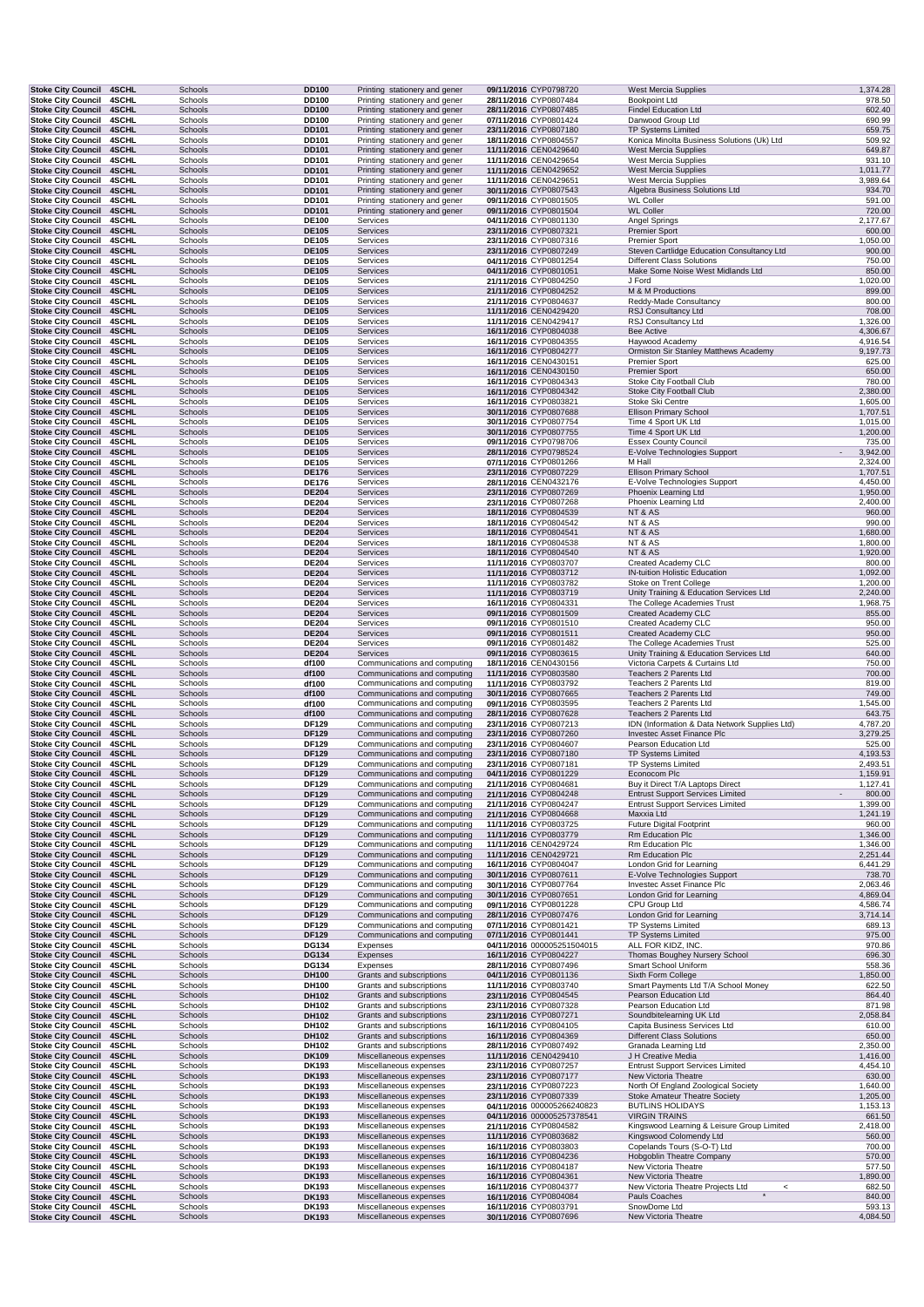| <b>Stoke City Council</b>                              | 4SCHL                        | Schools            | DD100                        | Printing stationery and gener                                  | 09/11/2016 CYP0798720                               | <b>West Mercia Supplies</b>                                                             | 1,374.28             |
|--------------------------------------------------------|------------------------------|--------------------|------------------------------|----------------------------------------------------------------|-----------------------------------------------------|-----------------------------------------------------------------------------------------|----------------------|
| <b>Stoke City Council</b><br><b>Stoke City Council</b> | <b>4SCHL</b><br>4SCHL        | Schools<br>Schools | DD100<br><b>DD100</b>        | Printing stationery and gener<br>Printing stationery and gener | 28/11/2016 CYP0807484<br>28/11/2016 CYP0807485      | <b>Bookpoint Ltd</b><br><b>Findel Education Ltd</b>                                     | 978.50<br>602.40     |
| <b>Stoke City Council</b>                              | 4SCHL                        | Schools            | DD100                        | Printing stationery and gener                                  | 07/11/2016 CYP0801424                               | Danwood Group Ltd                                                                       | 690.99               |
| <b>Stoke City Council</b>                              | <b>4SCHL</b>                 | Schools            | <b>DD101</b>                 | Printing stationery and gener                                  | 23/11/2016 CYP0807180                               | TP Systems Limited                                                                      | 659.75               |
| <b>Stoke City Council</b><br><b>Stoke City Council</b> | <b>4SCHL</b><br>4SCHL        | Schools<br>Schools | DD101<br><b>DD101</b>        | Printing stationery and gener<br>Printing stationery and gener | 18/11/2016 CYP0804557<br>11/11/2016 CEN0429640      | Konica Minolta Business Solutions (Uk) Ltd<br><b>West Mercia Supplies</b>               | 509.92<br>649.87     |
| <b>Stoke City Council</b>                              | 4SCHL                        | Schools            | DD101                        | Printing stationery and gener                                  | 11/11/2016 CEN0429654                               | <b>West Mercia Supplies</b>                                                             | 931.10               |
| <b>Stoke City Council</b><br><b>Stoke City Council</b> | 4SCHL<br>4SCHL               | Schools<br>Schools | <b>DD101</b><br>DD101        | Printing stationery and gener<br>Printing stationery and gener | 11/11/2016 CEN0429652<br>11/11/2016 CEN0429651      | <b>West Mercia Supplies</b><br><b>West Mercia Supplies</b>                              | 1,011.77<br>3,989.64 |
| <b>Stoke City Council</b>                              | 4SCHL                        | Schools            | <b>DD101</b>                 | Printing stationery and gener                                  | 30/11/2016 CYP0807543                               | Algebra Business Solutions Ltd                                                          | 934.70               |
| <b>Stoke City Council</b>                              | <b>4SCHL</b>                 | Schools            | DD101                        | Printing stationery and gener                                  | 09/11/2016 CYP0801505                               | <b>WL Coller</b>                                                                        | 591.00               |
| <b>Stoke City Council</b><br><b>Stoke City Council</b> | 4SCHL<br>4SCHL               | Schools<br>Schools | <b>DD101</b><br><b>DE100</b> | Printing stationery and gener<br>Services                      | 09/11/2016 CYP0801504<br>04/11/2016 CYP0801130      | <b>WL Coller</b><br>Angel Springs                                                       | 720.00<br>2,177.67   |
| <b>Stoke City Council</b>                              | 4SCHL                        | Schools            | <b>DE105</b>                 | Services                                                       | 23/11/2016 CYP0807321                               | Premier Sport                                                                           | 600.00               |
| <b>Stoke City Council</b>                              | 4SCHL                        | Schools            | <b>DE105</b>                 | Services                                                       | 23/11/2016 CYP0807316                               | <b>Premier Sport</b>                                                                    | 1,050.00             |
| <b>Stoke City Council</b><br><b>Stoke City Council</b> | 4SCHL<br>4SCHL               | Schools<br>Schools | <b>DE105</b><br><b>DE105</b> | Services<br>Services                                           | 23/11/2016 CYP0807249<br>04/11/2016 CYP0801254      | Steven Cartlidge Education Consultancy Ltd<br><b>Different Class Solutions</b>          | 900.00<br>750.00     |
| <b>Stoke City Council</b>                              | 4SCHL                        | Schools            | <b>DE105</b>                 | Services                                                       | 04/11/2016 CYP0801051                               | Make Some Noise West Midlands Ltd                                                       | 850.00               |
| <b>Stoke City Council</b>                              | 4SCHL                        | Schools            | <b>DE105</b>                 | Services                                                       | 21/11/2016 CYP0804250                               | J Ford                                                                                  | 1,020.00             |
| <b>Stoke City Council</b><br><b>Stoke City Council</b> | 4SCHL<br><b>4SCHL</b>        | Schools<br>Schools | <b>DE105</b><br><b>DE105</b> | Services<br>Services                                           | 21/11/2016 CYP0804252<br>21/11/2016 CYP0804637      | M & M Productions<br>Reddy-Made Consultancy                                             | 899.00<br>800.00     |
| <b>Stoke City Council</b>                              | 4SCHL                        | Schools            | <b>DE105</b>                 | Services                                                       | 11/11/2016 CEN0429420                               | RSJ Consultancy Ltd                                                                     | 708.00               |
| <b>Stoke City Council</b>                              | 4SCHL                        | Schools            | DE105                        | Services                                                       | 11/11/2016 CEN0429417                               | RSJ Consultancy Ltd                                                                     | 1,326.00             |
| <b>Stoke City Council</b><br><b>Stoke City Council</b> | 4SCHL<br>4SCHL               | Schools<br>Schools | <b>DE105</b><br><b>DE105</b> | Services<br>Services                                           | 16/11/2016 CYP0804038<br>16/11/2016 CYP0804355      | Bee Active<br>Haywood Academy                                                           | 4,306.67<br>4,916.54 |
| <b>Stoke City Council</b>                              | 4SCHL                        | Schools            | <b>DE105</b>                 | Services                                                       | 16/11/2016 CYP0804277                               | Ormiston Sir Stanley Matthews Academy                                                   | 9,197.73             |
| <b>Stoke City Council</b>                              | 4SCHL                        | Schools            | <b>DE105</b>                 | Services                                                       | 16/11/2016 CEN0430151                               | <b>Premier Sport</b>                                                                    | 625.00<br>650.00     |
| <b>Stoke City Council</b><br><b>Stoke City Council</b> | 4SCHL<br><b>4SCHL</b>        | Schools<br>Schools | <b>DE105</b><br>DE105        | Services<br>Services                                           | 16/11/2016 CEN0430150<br>16/11/2016 CYP0804343      | <b>Premier Sport</b><br>Stoke City Football Club                                        | 780.00               |
| <b>Stoke City Council</b>                              | 4SCHL                        | Schools            | <b>DE105</b>                 | Services                                                       | 16/11/2016 CYP0804342                               | Stoke City Football Club                                                                | 2,380.00             |
| <b>Stoke City Council</b><br><b>Stoke City Council</b> | <b>4SCHL</b><br>4SCHL        | Schools<br>Schools | <b>DE105</b><br><b>DE105</b> | Services<br>Services                                           | 16/11/2016 CYP0803821<br>30/11/2016 CYP0807688      | Stoke Ski Centre<br><b>Ellison Primary School</b>                                       | 1,605.00<br>1,707.51 |
| <b>Stoke City Council</b>                              | <b>4SCHL</b>                 | Schools            | <b>DE105</b>                 | Services                                                       | 30/11/2016 CYP0807754                               | Time 4 Sport UK Ltd                                                                     | 1,015.00             |
| <b>Stoke City Council</b>                              | 4SCHL                        | Schools            | <b>DE105</b>                 | Services                                                       | 30/11/2016 CYP0807755                               | Time 4 Sport UK Ltd                                                                     | 1,200.00             |
| <b>Stoke City Council</b>                              | 4SCHL                        | Schools            | DE105<br><b>DE105</b>        | Services                                                       | 09/11/2016 CYP0798706                               | <b>Essex County Council</b><br>E-Volve Technologies Support<br>$\overline{\phantom{a}}$ | 735.00<br>3,942.00   |
| <b>Stoke City Council</b><br><b>Stoke City Council</b> | 4SCHL<br>4SCHL               | Schools<br>Schools | <b>DE105</b>                 | Services<br>Services                                           | 28/11/2016 CYP0798524<br>07/11/2016 CYP0801266      | M Hall                                                                                  | 2,324.00             |
| <b>Stoke City Council</b>                              | 4SCHL                        | Schools            | <b>DE176</b>                 | Services                                                       | 23/11/2016 CYP0807229                               | <b>Ellison Primary School</b>                                                           | 1,707.51             |
| <b>Stoke City Council</b><br><b>Stoke City Council</b> | <b>4SCHL</b><br><b>4SCHL</b> | Schools<br>Schools | <b>DE176</b><br><b>DE204</b> | Services<br>Services                                           | 28/11/2016 CEN0432176<br>23/11/2016 CYP0807269      | E-Volve Technologies Support<br>Phoenix Learning Ltd                                    | 4,450.00<br>1,950.00 |
| <b>Stoke City Council</b>                              | 4SCHL                        | Schools            | <b>DE204</b>                 | Services                                                       | 23/11/2016 CYP0807268                               | Phoenix Learning Ltd                                                                    | 2,400.00             |
| <b>Stoke City Council</b>                              | <b>4SCHL</b>                 | Schools            | <b>DE204</b>                 | Services                                                       | 18/11/2016 CYP0804539                               | NT & AS                                                                                 | 960.00               |
| <b>Stoke City Council</b><br><b>Stoke City Council</b> | <b>4SCHL</b><br>4SCHL        | Schools<br>Schools | <b>DE204</b><br><b>DE204</b> | Services<br>Services                                           | 18/11/2016 CYP0804542<br>18/11/2016 CYP0804541      | NT & AS<br>NT & AS                                                                      | 990.00<br>1,680.00   |
| <b>Stoke City Council</b>                              | <b>4SCHL</b>                 | Schools            | <b>DE204</b>                 | Services                                                       | 18/11/2016 CYP0804538                               | NT & AS                                                                                 | 1,800.00             |
| <b>Stoke City Council</b>                              | 4SCHL                        | Schools            | <b>DE204</b>                 | Services                                                       | 18/11/2016 CYP0804540                               | NT & AS                                                                                 | 1,920.00             |
| <b>Stoke City Council</b><br><b>Stoke City Council</b> | 4SCHL<br>4SCHL               | Schools<br>Schools | <b>DE204</b><br><b>DE204</b> | Services<br>Services                                           | 11/11/2016 CYP0803707<br>11/11/2016 CYP0803712      | Created Academy CLC<br>IN-tuition Holistic Education                                    | 800.00<br>1,092.00   |
| <b>Stoke City Council</b>                              | <b>4SCHL</b>                 | Schools            | <b>DE204</b>                 | Services                                                       | 11/11/2016 CYP0803782                               | Stoke on Trent College                                                                  | 1,200.00             |
| <b>Stoke City Council</b>                              | 4SCHL                        | Schools            | <b>DE204</b>                 | Services                                                       | 11/11/2016 CYP0803719                               | Unity Training & Education Services Ltd                                                 | 2,240.00             |
| <b>Stoke City Council</b><br><b>Stoke City Council</b> | <b>4SCHL</b><br>4SCHL        | Schools<br>Schools | <b>DE204</b><br><b>DE204</b> | Services<br>Services                                           | 16/11/2016 CYP0804331<br>09/11/2016 CYP0801509      | The College Academies Trust<br>Created Academy CLC                                      | 1,968.75<br>855.00   |
| <b>Stoke City Council</b>                              | <b>4SCHL</b>                 | Schools            | <b>DE204</b>                 | Services                                                       | 09/11/2016 CYP0801510                               | Created Academy CLC                                                                     | 950.00               |
| <b>Stoke City Council</b>                              | 4SCHL                        | Schools            | <b>DE204</b>                 | Services                                                       | 09/11/2016 CYP0801511                               | Created Academy CLC                                                                     | 950.00               |
| <b>Stoke City Council</b><br><b>Stoke City Council</b> | 4SCHL<br>4SCHL               | Schools<br>Schools | <b>DE204</b><br><b>DE204</b> | Services<br>Services                                           | 09/11/2016 CYP0801482<br>09/11/2016 CYP0803615      | The College Academies Trust<br>Unity Training & Education Services Ltd                  | 525.00<br>640.00     |
| <b>Stoke City Council</b>                              | <b>4SCHL</b>                 | Schools            | df100                        | Communications and computing                                   | 18/11/2016 CEN0430156                               | Victoria Carpets & Curtains Ltd                                                         | 750.00               |
| <b>Stoke City Council</b>                              | 4SCHL                        | Schools            | df100                        | Communications and computing                                   | 11/11/2016 CYP0803580                               | Teachers 2 Parents Ltd                                                                  | 700.00               |
| <b>Stoke City Council</b><br><b>Stoke City Council</b> | 4SCHL<br>4SCHL               | Schools<br>Schools | df100<br>df100               | Communications and computing<br>Communications and computing   | 11/11/2016 CYP0803792<br>30/11/2016 CYP0807665      | Teachers 2 Parents Ltd<br>Teachers 2 Parents Ltd                                        | 819.00<br>749.00     |
| <b>Stoke City Council</b>                              | <b>4SCHL</b>                 | Schools            | df100                        | Communications and computing                                   | 09/11/2016 CYP0803595                               | Teachers 2 Parents Ltd                                                                  | 1,545.00             |
| <b>Stoke City Council</b>                              | 4SCHL                        | Schools            | df100                        | Communications and computing                                   | 28/11/2016 CYP0807628                               | Teachers 2 Parents Ltd                                                                  | 643.75               |
| <b>Stoke City Council</b><br><b>Stoke City Council</b> | <b>4SCHL</b><br>4SCHL        | Schools<br>Schools | DF129<br><b>DF129</b>        | Communications and computing<br>Communications and computing   | 23/11/2016 CYP0807213<br>23/11/2016 CYP0807260      | IDN (Information & Data Network Supplies Ltd)<br>Investec Asset Finance Plc             | 4,787.20<br>3,279.25 |
| <b>Stoke City Council</b>                              | 4SCHL                        | Schools            | <b>DF129</b>                 | Communications and computing                                   | 23/11/2016 CYP0804607                               | Pearson Education Ltd                                                                   | 525.00               |
| <b>Stoke City Council</b>                              | 4SCHL                        | Schools            | <b>DF129</b>                 | Communications and computing                                   | 23/11/2016 CYP0807180                               | <b>TP Systems Limited</b>                                                               | 4,193.53             |
| <b>Stoke City Council</b><br>Stoke City Council 4SCHL  | <b>4SCHL</b>                 | Schools<br>Schools | DF129<br><b>DF129</b>        | Communications and computing<br>Communications and computing   | 23/11/2016 CYP0807181<br>04/11/2016 CYP0801229      | <b>TP Systems Limited</b>                                                               | 2,493.51<br>1,159.91 |
| <b>Stoke City Council</b>                              | 4SCHL                        |                    |                              |                                                                |                                                     |                                                                                         |                      |
| <b>Stoke City Council</b>                              |                              | Schools            | DF129                        | Communications and computing                                   | 21/11/2016 CYP0804681                               | Econocom Plc                                                                            | 1,127.41             |
|                                                        | <b>4SCHL</b>                 | Schools            | <b>DF129</b>                 | Communications and computing                                   | 21/11/2016 CYP0804248                               | Buy it Direct T/A Laptops Direct<br><b>Entrust Support Services Limited</b>             | 800.00               |
| <b>Stoke City Council</b>                              | 4SCHL                        | Schools            | DF129                        | Communications and computing                                   | 21/11/2016 CYP0804247                               | <b>Entrust Support Services Limited</b>                                                 | 1,399.00             |
| <b>Stoke City Council</b><br><b>Stoke City Council</b> | 4SCHL<br>4SCHL               | Schools<br>Schools | <b>DF129</b><br>DF129        | Communications and computing<br>Communications and computing   | 21/11/2016 CYP0804668<br>11/11/2016 CYP0803725      | Maxxia Ltd<br><b>Future Digital Footprint</b>                                           | 1,241.19<br>960.00   |
| <b>Stoke City Council</b>                              | 4SCHL                        | Schools            | <b>DF129</b>                 | Communications and computing                                   | 11/11/2016 CYP0803779                               | Rm Education Plc                                                                        | 1,346.00             |
| <b>Stoke City Council</b>                              | 4SCHL                        | Schools            | <b>DF129</b>                 | Communications and computing                                   | 11/11/2016 CEN0429724                               | Rm Education Plc                                                                        | 1,346.00             |
| <b>Stoke City Council</b><br><b>Stoke City Council</b> | 4SCHL<br>4SCHL               | Schools<br>Schools | <b>DF129</b><br><b>DF129</b> | Communications and computing<br>Communications and computing   | 11/11/2016 CEN0429721<br>16/11/2016 CYP0804047      | Rm Education Plc<br>London Grid for Learning                                            | 2,251.44<br>6,441.29 |
| <b>Stoke City Council</b>                              | 4SCHL                        | Schools            | <b>DF129</b>                 | Communications and computing                                   | 30/11/2016 CYP0807611                               | E-Volve Technologies Support                                                            | 738.70               |
| <b>Stoke City Council</b>                              | 4SCHL                        | Schools            | DF129                        | Communications and computing                                   | 30/11/2016 CYP0807764                               | Investec Asset Finance Plc                                                              | 2,063.46             |
| <b>Stoke City Council</b><br><b>Stoke City Council</b> | 4SCHL<br>4SCHL               | Schools<br>Schools | <b>DF129</b><br>DF129        | Communications and computing<br>Communications and computing   | 30/11/2016 CYP0807651<br>09/11/2016 CYP0801228      | London Grid for Learning<br>CPU Group Ltd                                               | 4,869.04<br>4,586.74 |
| <b>Stoke City Council</b>                              | 4SCHL                        | Schools            | <b>DF129</b>                 | Communications and computing                                   | 28/11/2016 CYP0807476                               | London Grid for Learning                                                                | 3,714.14             |
| <b>Stoke City Council</b><br><b>Stoke City Council</b> | 4SCHL<br><b>4SCHL</b>        | Schools<br>Schools | DF129                        | Communications and computing<br>Communications and computing   | 07/11/2016 CYP0801421<br>07/11/2016 CYP0801441      | <b>TP Systems Limited</b><br><b>TP Systems Limited</b>                                  | 689.13<br>975.00     |
| <b>Stoke City Council</b>                              | 4SCHL                        | Schools            | <b>DF129</b><br><b>DG134</b> | Expenses                                                       | 04/11/2016 000005251504015                          | ALL FOR KIDZ, INC.                                                                      | 970.86               |
| <b>Stoke City Council</b>                              | 4SCHL                        | Schools            | DG134                        | Expenses                                                       | 16/11/2016 CYP0804227                               | Thomas Boughey Nursery School                                                           | 696.30               |
| <b>Stoke City Council</b>                              | 4SCHL                        | Schools            | DG134                        | Expenses                                                       | 28/11/2016 CYP0807496                               | Smart School Uniform<br>Sixth Form College                                              | 558.36               |
| <b>Stoke City Council</b><br><b>Stoke City Council</b> | 4SCHL<br><b>4SCHL</b>        | Schools<br>Schools | DH100<br>DH100               | Grants and subscriptions<br>Grants and subscriptions           | 04/11/2016 CYP0801136<br>11/11/2016 CYP0803740      | Smart Payments Ltd T/A School Money                                                     | 1,850.00<br>622.50   |
| <b>Stoke City Council</b>                              | 4SCHL                        | Schools            | DH102                        | Grants and subscriptions                                       | 23/11/2016 CYP0804545                               | Pearson Education Ltd                                                                   | 864.40               |
| <b>Stoke City Council</b>                              | 4SCHL                        | Schools            | DH102                        | Grants and subscriptions                                       | 23/11/2016 CYP0807328                               | Pearson Education Ltd                                                                   | 871.98               |
| <b>Stoke City Council</b><br><b>Stoke City Council</b> | 4SCHL<br>4SCHL               | Schools<br>Schools | DH102<br>DH102               | Grants and subscriptions<br>Grants and subscriptions           | 23/11/2016 CYP0807271<br>16/11/2016 CYP0804105      | Soundbitelearning UK Ltd<br>Capita Business Services Ltd                                | 2,058.84<br>610.00   |
| <b>Stoke City Council</b>                              | <b>4SCHL</b>                 | Schools            | DH102                        | Grants and subscriptions                                       | 16/11/2016 CYP0804369                               | <b>Different Class Solutions</b>                                                        | 650.00               |
| <b>Stoke City Council</b>                              | 4SCHL                        | Schools            | DH102                        | Grants and subscriptions                                       | 28/11/2016 CYP0807492                               | Granada Learning Ltd                                                                    | 2,350.00             |
| <b>Stoke City Council</b><br><b>Stoke City Council</b> | 4SCHL<br>4SCHL               | Schools<br>Schools | <b>DK109</b><br>DK193        | Miscellaneous expenses<br>Miscellaneous expenses               | 11/11/2016 CEN0429410<br>23/11/2016 CYP0807257      | J H Creative Media<br><b>Entrust Support Services Limited</b>                           | 1,416.00<br>4,454.10 |
| <b>Stoke City Council</b>                              | <b>4SCHL</b>                 | Schools            | <b>DK193</b>                 | Miscellaneous expenses                                         | 23/11/2016 CYP0807177                               | New Victoria Theatre                                                                    | 630.00               |
| <b>Stoke City Council</b>                              | 4SCHL                        | Schools            | DK193                        | Miscellaneous expenses                                         | 23/11/2016 CYP0807223                               | North Of England Zoological Society                                                     | 1,640.00             |
| <b>Stoke City Council</b><br><b>Stoke City Council</b> | 4SCHL<br>4SCHL               | Schools<br>Schools | <b>DK193</b><br>DK193        | Miscellaneous expenses<br>Miscellaneous expenses               | 23/11/2016 CYP0807339<br>04/11/2016 000005266240823 | <b>Stoke Amateur Theatre Society</b><br><b>BUTLINS HOLIDAYS</b>                         | 1,205.00<br>1,153.13 |
| <b>Stoke City Council</b>                              | 4SCHL                        | Schools            | <b>DK193</b>                 | Miscellaneous expenses                                         | 04/11/2016 000005257378541                          | <b>VIRGIN TRAINS</b>                                                                    | 661.50               |
| <b>Stoke City Council</b>                              | 4SCHL                        | Schools            | DK193                        | Miscellaneous expenses                                         | 21/11/2016 CYP0804582                               | Kingswood Learning & Leisure Group Limited                                              | 2,418.00             |
| <b>Stoke City Council</b><br><b>Stoke City Council</b> | <b>4SCHL</b><br>4SCHL        | Schools<br>Schools | <b>DK193</b><br><b>DK193</b> | Miscellaneous expenses<br>Miscellaneous expenses               | 11/11/2016 CYP0803682<br>16/11/2016 CYP0803803      | Kingswood Colomendy Ltd<br>Copelands Tours (S-O-T) Ltd                                  | 560.00<br>700.00     |
| <b>Stoke City Council</b>                              | 4SCHL                        | Schools            | <b>DK193</b>                 | Miscellaneous expenses                                         | 16/11/2016 CYP0804236                               | Hobgoblin Theatre Company                                                               | 570.00               |
| <b>Stoke City Council</b>                              | 4SCHL<br>4SCHL               | Schools<br>Schools | DK193<br><b>DK193</b>        | Miscellaneous expenses<br>Miscellaneous expenses               | 16/11/2016 CYP0804187<br>16/11/2016 CYP0804361      | New Victoria Theatre<br>New Victoria Theatre                                            | 577.50<br>1,890.00   |
| <b>Stoke City Council</b><br><b>Stoke City Council</b> | 4SCHL                        | Schools            | DK193                        | Miscellaneous expenses                                         | 16/11/2016 CYP0804377                               | New Victoria Theatre Projects Ltd<br>$\,<$                                              | 682.50               |
| <b>Stoke City Council</b><br><b>Stoke City Council</b> | 4SCHL<br>4SCHL               | Schools<br>Schools | <b>DK193</b><br><b>DK193</b> | Miscellaneous expenses<br>Miscellaneous expenses               | 16/11/2016 CYP0804084<br>16/11/2016 CYP0803791      | Pauls Coaches<br>$\star$<br>SnowDome Ltd                                                | 840.00<br>593.13     |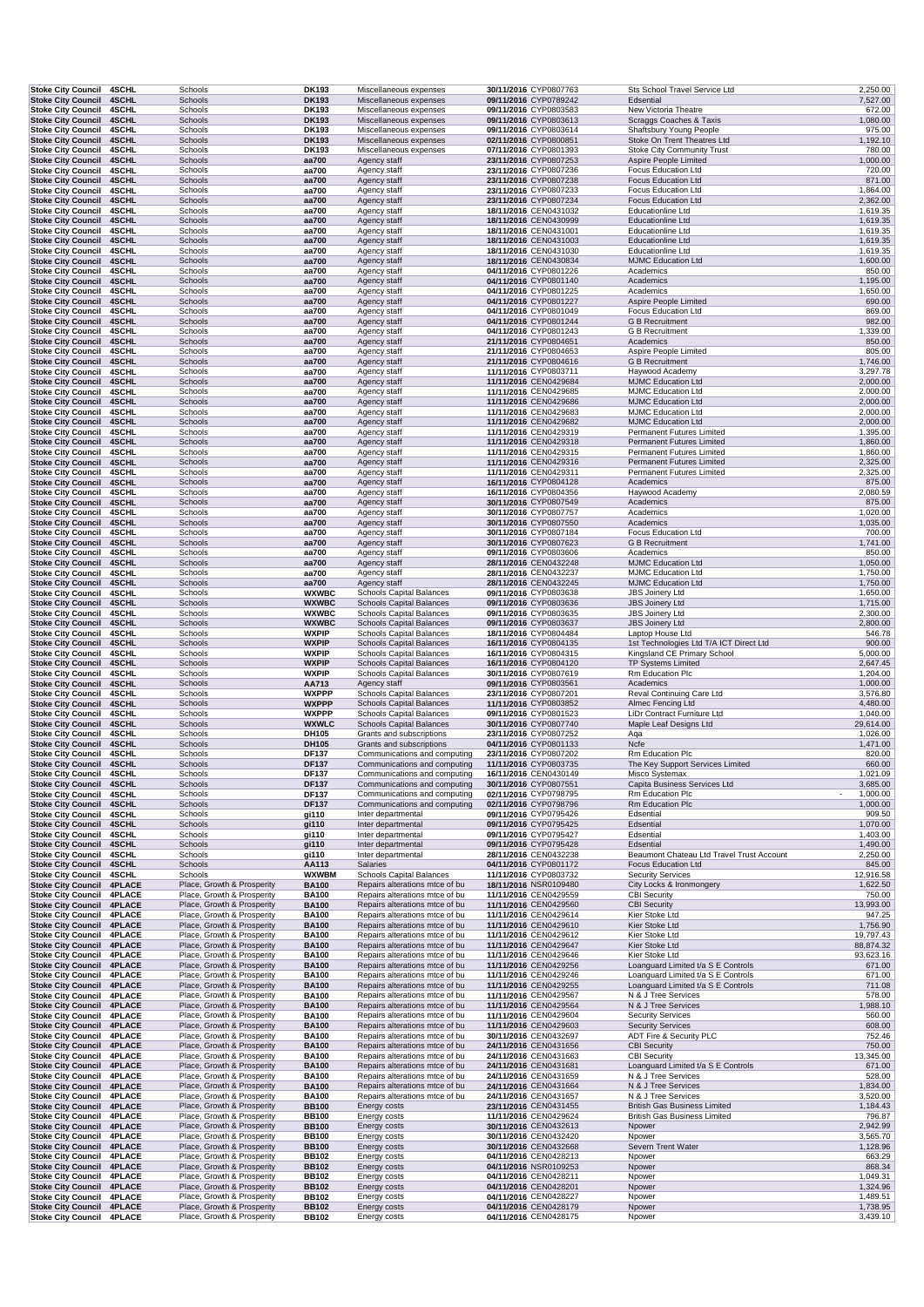| <b>Stoke City Council</b>                                     | 4SCHL                        | Schools                                                  | DK193                        | Miscellaneous expenses                                             | 30/11/2016 CYP0807763                          | Sts School Travel Service Ltd                                           | 2,250.00             |
|---------------------------------------------------------------|------------------------------|----------------------------------------------------------|------------------------------|--------------------------------------------------------------------|------------------------------------------------|-------------------------------------------------------------------------|----------------------|
| <b>Stoke City Council</b>                                     | 4SCHL                        | Schools                                                  | <b>DK193</b>                 | Miscellaneous expenses                                             | 09/11/2016 CYP0789242                          | Edsential                                                               | 7,527.00             |
| <b>Stoke City Council</b><br><b>Stoke City Council</b>        | 4SCHL<br>4SCHL               | Schools<br>Schools                                       | DK193<br><b>DK193</b>        | Miscellaneous expenses<br>Miscellaneous expenses                   | 09/11/2016 CYP0803583<br>09/11/2016 CYP0803613 | New Victoria Theatre<br>Scraggs Coaches & Taxis                         | 672.00<br>1,080.00   |
| Stoke City Council 4SCHL                                      |                              | Schools                                                  | <b>DK193</b>                 | Miscellaneous expenses                                             | 09/11/2016 CYP0803614                          | Shaftsbury Young People                                                 | 975.00               |
| <b>Stoke City Council</b>                                     | <b>4SCHL</b>                 | Schools                                                  | <b>DK193</b>                 | Miscellaneous expenses                                             | 02/11/2016 CYP0800851                          | Stoke On Trent Theatres Ltd                                             | 1,192.10             |
| Stoke City Council 4SCHL                                      |                              | Schools                                                  | DK193                        | Miscellaneous expenses                                             | 07/11/2016 CYP0801393                          | <b>Stoke City Community Trust</b>                                       | 780.00               |
| <b>Stoke City Council</b>                                     | <b>4SCHL</b><br>4SCHL        | Schools                                                  | aa700                        | Agency staff                                                       | 23/11/2016 CYP0807253                          | Aspire People Limited                                                   | 1,000.00<br>720.00   |
| <b>Stoke City Council</b><br><b>Stoke City Council</b>        | <b>4SCHL</b>                 | Schools<br>Schools                                       | aa700<br>aa700               | Agency staff<br>Agency staff                                       | 23/11/2016 CYP0807236<br>23/11/2016 CYP0807238 | <b>Focus Education Ltd</b><br><b>Focus Education Ltd</b>                | 871.00               |
| <b>Stoke City Council</b>                                     | <b>4SCHL</b>                 | Schools                                                  | aa700                        | Agency staff                                                       | 23/11/2016 CYP0807233                          | <b>Focus Education Ltd</b>                                              | 1,864.00             |
| <b>Stoke City Council</b>                                     | <b>4SCHL</b>                 | Schools                                                  | aa700                        | Agency staff                                                       | 23/11/2016 CYP0807234                          | <b>Focus Education Ltd</b>                                              | 2,362.00             |
| <b>Stoke City Council</b>                                     | 4SCHL                        | Schools                                                  | aa700                        | Agency staff                                                       | 18/11/2016 CEN0431032                          | <b>Educationline Ltd</b>                                                | 1,619.35             |
| <b>Stoke City Council</b>                                     | 4SCHL<br>4SCHL               | Schools                                                  | aa700                        | Agency staff                                                       | 18/11/2016 CEN0430999                          | <b>Educationline Ltd</b><br><b>Educationline Ltd</b>                    | 1,619.35<br>1,619.35 |
| <b>Stoke City Council</b><br><b>Stoke City Council</b>        | 4SCHL                        | Schools<br>Schools                                       | aa700<br>aa700               | Agency staff<br>Agency staff                                       | 18/11/2016 CEN0431001<br>18/11/2016 CEN0431003 | <b>Educationline Ltd</b>                                                | 1,619.35             |
| <b>Stoke City Council</b>                                     | <b>4SCHL</b>                 | Schools                                                  | aa700                        | Agency staff                                                       | 18/11/2016 CEN0431030                          | <b>Educationline Ltd</b>                                                | 1,619.35             |
| <b>Stoke City Council</b>                                     | 4SCHL                        | Schools                                                  | aa700                        | Agency staff                                                       | 18/11/2016 CEN0430834                          | <b>MJMC Education Ltd</b>                                               | 1,600.00             |
| <b>Stoke City Council</b>                                     | <b>4SCHL</b>                 | Schools                                                  | aa700                        | Agency staff                                                       | 04/11/2016 CYP0801226                          | Academics                                                               | 850.00               |
| Stoke City Council 4SCHL<br>Stoke City Council 4SCHL          |                              | Schools<br>Schools                                       | aa700<br>aa700               | Agency staff<br>Agency staff                                       | 04/11/2016 CYP0801140<br>04/11/2016 CYP0801225 | Academics<br>Academics                                                  | 1,195.00<br>1,650.00 |
| <b>Stoke City Council</b>                                     | <b>4SCHL</b>                 | Schools                                                  | aa700                        | Agency staff                                                       | 04/11/2016 CYP0801227                          | Aspire People Limited                                                   | 690.00               |
| Stoke City Council 4SCHL                                      |                              | Schools                                                  | aa700                        | Agency staff                                                       | 04/11/2016 CYP0801049                          | <b>Focus Education Ltd</b>                                              | 869.00               |
| <b>Stoke City Council</b>                                     | <b>4SCHL</b>                 | Schools                                                  | aa700                        | Agency staff                                                       | 04/11/2016 CYP0801244                          | <b>G B Recruitment</b>                                                  | 982.00               |
| <b>Stoke City Council</b>                                     | 4SCHL                        | Schools                                                  | aa700                        | Agency staff                                                       | 04/11/2016 CYP0801243                          | G B Recruitment                                                         | 1,339.00<br>850.00   |
| <b>Stoke City Council</b><br><b>Stoke City Council</b>        | 4SCHL<br><b>4SCHL</b>        | Schools<br>Schools                                       | aa700<br>aa700               | Agency staff<br>Agency staff                                       | 21/11/2016 CYP0804651<br>21/11/2016 CYP0804653 | Academics<br>Aspire People Limited                                      | 805.00               |
| <b>Stoke City Council</b>                                     | 4SCHL                        | Schools                                                  | aa700                        | Agency staff                                                       | 21/11/2016 CYP0804616                          | <b>G B Recruitment</b>                                                  | 1,746.00             |
| <b>Stoke City Council</b>                                     | <b>4SCHL</b>                 | Schools                                                  | aa700                        | Agency staff                                                       | 11/11/2016 CYP0803711                          | Haywood Academy                                                         | 3,297.78             |
| <b>Stoke City Council</b>                                     | <b>4SCHL</b>                 | Schools                                                  | aa700                        | Agency staff                                                       | 11/11/2016 CEN0429684                          | <b>MJMC Education Ltd</b>                                               | 2,000.00             |
| <b>Stoke City Council</b><br>Stoke City Council 4SCHL         | <b>4SCHL</b>                 | Schools                                                  | aa700                        | Agency staff                                                       | 11/11/2016 CEN0429685                          | <b>MJMC Education Ltd</b>                                               | 2,000.00             |
| <b>Stoke City Council</b>                                     | <b>4SCHL</b>                 | Schools<br>Schools                                       | aa700<br>aa700               | Agency staff<br>Agency staff                                       | 11/11/2016 CEN0429686<br>11/11/2016 CEN0429683 | <b>MJMC Education Ltd</b><br><b>MJMC Education Ltd</b>                  | 2,000.00<br>2,000.00 |
| <b>Stoke City Council</b>                                     | 4SCHL                        | Schools                                                  | aa700                        | Agency staff                                                       | 11/11/2016 CEN0429682                          | <b>MJMC Education Ltd</b>                                               | 2,000.00             |
| Stoke City Council 4SCHL                                      |                              | Schools                                                  | aa700                        | Agency staff                                                       | 11/11/2016 CEN0429319                          | Permanent Futures Limited                                               | 1,395.00             |
| <b>Stoke City Council</b>                                     | 4SCHL                        | Schools                                                  | aa700                        | Agency staff                                                       | 11/11/2016 CEN0429318                          | Permanent Futures Limited                                               | 1,860.00             |
| <b>Stoke City Council</b><br><b>Stoke City Council</b>        | <b>4SCHL</b><br><b>4SCHL</b> | Schools<br>Schools                                       | aa700<br>aa700               | Agency staff<br>Agency staff                                       | 11/11/2016 CEN0429315<br>11/11/2016 CEN0429316 | Permanent Futures Limited<br>Permanent Futures Limited                  | 1,860.00<br>2,325.00 |
| <b>Stoke City Council</b>                                     | 4SCHL                        | Schools                                                  | aa700                        | Agency staff                                                       | 11/11/2016 CEN0429311                          | Permanent Futures Limited                                               | 2,325.00             |
| <b>Stoke City Council</b>                                     | 4SCHL                        | Schools                                                  | aa700                        | Agency staff                                                       | 16/11/2016 CYP0804128                          | Academics                                                               | 875.00               |
| <b>Stoke City Council</b>                                     | <b>4SCHL</b>                 | Schools                                                  | aa700                        | Agency staff                                                       | 16/11/2016 CYP0804356                          | Haywood Academy                                                         | 2,080.59             |
| <b>Stoke City Council</b>                                     | 4SCHL                        | Schools                                                  | aa700                        | Agency staff                                                       | 30/11/2016 CYP0807549                          | Academics<br>Academics                                                  | 875.00               |
| <b>Stoke City Council</b><br><b>Stoke City Council</b>        | 4SCHL<br><b>4SCHL</b>        | Schools<br>Schools                                       | aa700<br>aa700               | Agency staff<br>Agency staff                                       | 30/11/2016 CYP0807757<br>30/11/2016 CYP0807550 | Academics                                                               | 1,020.00<br>1,035.00 |
| <b>Stoke City Council</b>                                     | <b>4SCHL</b>                 | Schools                                                  | aa700                        | Agency staff                                                       | 30/11/2016 CYP0807184                          | <b>Focus Education Ltd</b>                                              | 700.00               |
| <b>Stoke City Council</b>                                     | <b>4SCHL</b>                 | Schools                                                  | aa700                        | Agency staff                                                       | 30/11/2016 CYP0807623                          | <b>G B Recruitment</b>                                                  | 1,741.00             |
| <b>Stoke City Council</b>                                     | <b>4SCHL</b>                 | Schools                                                  | aa700                        | Agency staff                                                       | 09/11/2016 CYP0803606                          | Academics                                                               | 850.00               |
| <b>Stoke City Council</b><br><b>Stoke City Council</b>        | <b>4SCHL</b><br><b>4SCHL</b> | Schools<br>Schools                                       | aa700<br>aa700               | Agency staff<br>Agency staff                                       | 28/11/2016 CEN0432248<br>28/11/2016 CEN0432237 | <b>MJMC Education Ltd</b><br><b>MJMC Education Ltd</b>                  | 1,050.00<br>1,750.00 |
| <b>Stoke City Council</b>                                     | <b>4SCHL</b>                 | Schools                                                  | aa700                        | Agency staff                                                       | 28/11/2016 CEN0432245                          | <b>MJMC Education Ltd</b>                                               | 1,750.00             |
| <b>Stoke City Council</b>                                     | 4SCHL                        | Schools                                                  | <b>WXWBC</b>                 | <b>Schools Capital Balances</b>                                    | 09/11/2016 CYP0803638                          | <b>JBS Joinery Ltd</b>                                                  | 1,650.00             |
| <b>Stoke City Council</b>                                     | <b>4SCHL</b>                 | Schools                                                  | <b>WXWBC</b>                 | <b>Schools Capital Balances</b>                                    | 09/11/2016 CYP0803636                          | <b>JBS Joinery Ltd</b>                                                  | 1,715.00             |
| <b>Stoke City Council</b>                                     | 4SCHL                        | Schools                                                  | <b>WXWBC</b>                 | <b>Schools Capital Balances</b>                                    | 09/11/2016 CYP0803635                          | <b>JBS Joinery Ltd</b>                                                  | 2,300.00             |
| <b>Stoke City Council</b><br><b>Stoke City Council</b>        | <b>4SCHL</b><br><b>4SCHL</b> | Schools<br>Schools                                       | <b>WXWBC</b><br><b>WXPIP</b> | <b>Schools Capital Balances</b><br><b>Schools Capital Balances</b> | 09/11/2016 CYP0803637<br>18/11/2016 CYP0804484 | <b>JBS Joinery Ltd</b><br>Laptop House Ltd                              | 2,800.00<br>546.78   |
| <b>Stoke City Council</b>                                     | <b>4SCHL</b>                 | Schools                                                  | <b>WXPIP</b>                 | <b>Schools Capital Balances</b>                                    | 16/11/2016 CYP0804135                          | 1st Technologies Ltd T/A ICT Direct Ltd                                 | 900.00               |
| <b>Stoke City Council</b>                                     | <b>4SCHL</b>                 | Schools                                                  | <b>WXPIP</b>                 | <b>Schools Capital Balances</b>                                    | 16/11/2016 CYP0804315                          | Kingsland CE Primary School                                             | 5,000.00             |
| <b>Stoke City Council</b>                                     | <b>4SCHL</b>                 | Schools                                                  | <b>WXPIP</b>                 | <b>Schools Capital Balances</b>                                    | 16/11/2016 CYP0804120                          | TP Systems Limited                                                      | 2,647.45             |
| <b>Stoke City Council</b>                                     | 4SCHL                        | Schools                                                  | <b>WXPIP</b>                 | <b>Schools Capital Balances</b>                                    | 30/11/2016 CYP0807619                          | Rm Education Plc                                                        | 1,204.00             |
| <b>Stoke City Council</b><br><b>Stoke City Council</b>        | 4SCHL<br><b>4SCHL</b>        | Schools<br>Schools                                       | AA713<br><b>WXPPP</b>        | Agency staff<br><b>Schools Capital Balances</b>                    | 09/11/2016 CYP0803561<br>23/11/2016 CYP0807201 | Academics<br>Reval Continuing Care Ltd                                  | 1,000.00<br>3,576.80 |
| <b>Stoke City Council</b>                                     | <b>4SCHL</b>                 | Schools                                                  | <b>WXPPP</b>                 | <b>Schools Capital Balances</b>                                    | 11/11/2016 CYP0803852                          | Almec Fencing Ltd                                                       | 4,480.00             |
| <b>Stoke City Council</b>                                     | 4SCHL                        | Schools                                                  | <b>WXPPP</b>                 | <b>Schools Capital Balances</b>                                    | 09/11/2016 CYP0801523                          | LiDr Contract Furniture Ltd                                             | 1,040.00             |
| <b>Stoke City Council</b>                                     | 4SCHL                        | Schools                                                  | <b>WXWLC</b>                 | <b>Schools Capital Balances</b>                                    | 30/11/2016 CYP0807740                          | Maple Leaf Designs Ltd                                                  | 29,614.00            |
| <b>Stoke City Council</b><br><b>Stoke City Council</b>        | 4SCHL<br>4SCHL               | Schools<br>Schools                                       | DH105<br>DH105               | Grants and subscriptions<br>Grants and subscriptions               | 23/11/2016 CYP0807252<br>04/11/2016 CYP0801133 | Aqa<br>Ncfe                                                             | 1,026.00<br>1,471.00 |
| <b>Stoke City Council</b>                                     | <b>4SCHL</b>                 | Schools                                                  | <b>DF137</b>                 | Communications and computing                                       | 23/11/2016 CYP0807202                          | Rm Education Plc                                                        | 820.00               |
| Stoke City Council 4SCHL                                      |                              | Schools                                                  | <b>DF137</b>                 | Communications and computing                                       | 11/11/2016 CYP0803735                          | The Key Support Services Limited                                        | 660.00               |
| Stoke City Council 4SCHL                                      |                              | Schools                                                  | <b>DF137</b>                 | Communications and computing                                       | 16/11/2016 CEN0430149                          | Misco Systemax                                                          | 1,021.09             |
| <b>Stoke City Council</b>                                     | 4SCHL                        | Schools                                                  | <b>DF137</b>                 | Communications and computing                                       | 30/11/2016 CYP0807551                          | Capita Business Services Ltd                                            | 3,685.00             |
| <b>Stoke City Council</b><br><b>Stoke City Council</b>        | 4SCHL<br>4SCHL               | Schools<br>Schools                                       | <b>DF137</b><br><b>DF137</b> | Communications and computing<br>Communications and computing       | 02/11/2016 CYP0798795<br>02/11/2016 CYP0798796 | <b>Rm Education Plc</b><br>Rm Education Plc                             | 1,000.00<br>1,000.00 |
| <b>Stoke City Council</b>                                     | <b>4SCHL</b>                 | Schools                                                  | gi110                        | Inter departmental                                                 | 09/11/2016 CYP0795426                          | Edsential                                                               | 909.50               |
| <b>Stoke City Council</b>                                     | <b>4SCHL</b>                 | Schools                                                  | gi110                        | Inter departmental                                                 | 09/11/2016 CYP0795425                          | Edsential                                                               | 1,070.00             |
| <b>Stoke City Council</b>                                     | <b>4SCHL</b>                 | Schools                                                  | gi110                        | Inter departmental                                                 | 09/11/2016 CYP0795427                          | Edsential                                                               | 1,403.00             |
| <b>Stoke City Council</b><br><b>Stoke City Council</b>        | <b>4SCHL</b>                 | Schools                                                  | gi110                        | Inter departmental                                                 | 09/11/2016 CYP0795428                          | Edsential                                                               | 1,490.00             |
| <b>Stoke City Council</b>                                     | <b>4SCHL</b><br>4SCHL        | Schools<br>Schools                                       | gi110<br>AA113               | Inter departmental<br>Salaries                                     | 28/11/2016 CEN0432238<br>04/11/2016 CYP0801172 | Beaumont Chateau Ltd Travel Trust Account<br><b>Focus Education Ltd</b> | 2,250.00<br>845.00   |
| Stoke City Council 4SCHL                                      |                              | Schools                                                  | <b>WXWBM</b>                 | <b>Schools Capital Balances</b>                                    | 11/11/2016 CYP0803732                          | <b>Security Services</b>                                                | 12,916.58            |
| <b>Stoke City Council 4PLACE</b>                              |                              | Place, Growth & Prosperity                               | <b>BA100</b>                 | Repairs alterations mtce of bu                                     | 18/11/2016 NSR0109480                          | City Locks & Ironmongery                                                | 1,622.50             |
| <b>Stoke City Council</b>                                     | <b>4PLACE</b>                | Place, Growth & Prosperity<br>Place, Growth & Prosperity | <b>BA100</b>                 | Repairs alterations mtce of bu<br>Repairs alterations mtce of bu   | 11/11/2016 CEN0429559<br>11/11/2016 CEN0429560 | <b>CBI Security</b>                                                     | 750.00               |
| Stoke City Council 4PLACE<br>Stoke City Council 4PLACE        |                              | Place, Growth & Prosperity                               | <b>BA100</b><br><b>BA100</b> | Repairs alterations mtce of bu                                     | 11/11/2016 CEN0429614                          | <b>CBI Security</b><br>Kier Stoke Ltd                                   | 13,993.00<br>947.25  |
| <b>Stoke City Council</b>                                     | <b>4PLACE</b>                | Place, Growth & Prosperity                               | <b>BA100</b>                 | Repairs alterations mtce of bu                                     | 11/11/2016 CEN0429610                          | Kier Stoke Ltd                                                          | 1,756.90             |
| Stoke City Council 4PLACE                                     |                              | Place, Growth & Prosperity                               | <b>BA100</b>                 | Repairs alterations mtce of bu                                     | 11/11/2016 CEN0429612                          | Kier Stoke Ltd                                                          | 19,797.43            |
| Stoke City Council 4PLACE                                     |                              | Place, Growth & Prosperity                               | <b>BA100</b>                 | Repairs alterations mtce of bu                                     | 11/11/2016 CEN0429647                          | Kier Stoke Ltd                                                          | 88,874.32            |
| <b>Stoke City Council</b><br><b>Stoke City Council 4PLACE</b> | <b>4PLACE</b>                | Place, Growth & Prosperity<br>Place, Growth & Prosperity | <b>BA100</b><br><b>BA100</b> | Repairs alterations mtce of bu<br>Repairs alterations mtce of bu   | 11/11/2016 CEN0429646<br>11/11/2016 CEN0429256 | Kier Stoke Ltd<br>Loanguard Limited t/a S E Controls                    | 93,623.16<br>671.00  |
| Stoke City Council 4PLACE                                     |                              | Place, Growth & Prosperity                               | <b>BA100</b>                 | Repairs alterations mtce of bu                                     | 11/11/2016 CEN0429246                          | Loanguard Limited t/a S E Controls                                      | 671.00               |
| <b>Stoke City Council</b>                                     | <b>4PLACE</b>                | Place, Growth & Prosperity                               | <b>BA100</b>                 | Repairs alterations mtce of bu                                     | 11/11/2016 CEN0429255                          | Loanguard Limited t/a S E Controls                                      | 711.08               |
| Stoke City Council 4PLACE                                     |                              | Place, Growth & Prosperity                               | <b>BA100</b>                 | Repairs alterations mtce of bu                                     | 11/11/2016 CEN0429567                          | N & J Tree Services                                                     | 578.00               |
| <b>Stoke City Council 4PLACE</b>                              |                              | Place, Growth & Prosperity                               | <b>BA100</b>                 | Repairs alterations mtce of bu                                     | 11/11/2016 CEN0429564                          | N & J Tree Services                                                     | 1,988.10             |
| Stoke City Council 4PLACE<br>Stoke City Council 4PLACE        |                              | Place, Growth & Prosperity<br>Place, Growth & Prosperity | <b>BA100</b><br><b>BA100</b> | Repairs alterations mtce of bu<br>Repairs alterations mtce of bu   | 11/11/2016 CEN0429604<br>11/11/2016 CEN0429603 | <b>Security Services</b><br><b>Security Services</b>                    | 560.00<br>608.00     |
| Stoke City Council 4PLACE                                     |                              |                                                          |                              |                                                                    |                                                |                                                                         |                      |
| Stoke City Council 4PLACE                                     |                              |                                                          |                              |                                                                    |                                                |                                                                         |                      |
|                                                               |                              | Place, Growth & Prosperity<br>Place, Growth & Prosperity | <b>BA100</b><br><b>BA100</b> | Repairs alterations mtce of bu<br>Repairs alterations mtce of bu   | 30/11/2016 CEN0432697<br>24/11/2016 CEN0431656 | ADT Fire & Security PLC<br><b>CBI Security</b>                          | 752.46<br>750.00     |
| Stoke City Council 4PLACE                                     |                              | Place, Growth & Prosperity                               | <b>BA100</b>                 | Repairs alterations mtce of bu                                     | 24/11/2016 CEN0431663                          | <b>CBI Security</b>                                                     | 13,345.00            |
| Stoke City Council 4PLACE                                     |                              | Place, Growth & Prosperity                               | <b>BA100</b>                 | Repairs alterations mtce of bu                                     | 24/11/2016 CEN0431681                          | Loanguard Limited t/a S E Controls                                      | 671.00               |
| Stoke City Council 4PLACE                                     |                              | Place, Growth & Prosperity                               | <b>BA100</b>                 | Repairs alterations mtce of bu                                     | 24/11/2016 CEN0431659                          | N & J Tree Services                                                     | 528.00               |
| <b>Stoke City Council 4PLACE</b><br>Stoke City Council 4PLACE |                              | Place, Growth & Prosperity<br>Place, Growth & Prosperity | <b>BA100</b><br><b>BA100</b> | Repairs alterations mtce of bu<br>Repairs alterations mtce of bu   | 24/11/2016 CEN0431664<br>24/11/2016 CEN0431657 | N & J Tree Services<br>N & J Tree Services                              | 1,834.00<br>3,520.00 |
| <b>Stoke City Council</b>                                     | <b>4PLACE</b>                | Place, Growth & Prosperity                               | <b>BB100</b>                 | Energy costs                                                       | 23/11/2016 CEN0431455                          | <b>British Gas Business Limited</b>                                     | 1,184.43             |
| Stoke City Council 4PLACE                                     |                              | Place, Growth & Prosperity                               | <b>BB100</b>                 | Energy costs                                                       | 11/11/2016 CEN0429624                          | <b>British Gas Business Limited</b>                                     | 796.87               |
| <b>Stoke City Council</b>                                     | <b>4PLACE</b>                | Place, Growth & Prosperity                               | <b>BB100</b>                 | Energy costs                                                       | 30/11/2016 CEN0432613                          | Npower                                                                  | 2,942.99             |
| Stoke City Council 4PLACE                                     |                              | Place, Growth & Prosperity                               | <b>BB100</b>                 | Energy costs                                                       | 30/11/2016 CEN0432420                          | Npower                                                                  | 3,565.70             |
| <b>Stoke City Council 4PLACE</b><br>Stoke City Council 4PLACE |                              | Place, Growth & Prosperity<br>Place, Growth & Prosperity | <b>BB100</b><br><b>BB102</b> | Energy costs<br>Energy costs                                       | 30/11/2016 CEN0432668<br>04/11/2016 CEN0428213 | Severn Trent Water<br>Npower                                            | 1,128.96<br>663.29   |
| Stoke City Council 4PLACE                                     |                              | Place, Growth & Prosperity                               | <b>BB102</b>                 | Energy costs                                                       | 04/11/2016 NSR0109253                          | Npower                                                                  | 868.34               |
| <b>Stoke City Council</b>                                     | <b>4PLACE</b>                | Place, Growth & Prosperity                               | <b>BB102</b>                 | Energy costs                                                       | 04/11/2016 CEN0428211                          | Npower                                                                  | 1,049.31             |
| Stoke City Council 4PLACE                                     |                              | Place, Growth & Prosperity                               | <b>BB102</b>                 | Energy costs                                                       | 04/11/2016 CEN0428201                          | Npower                                                                  | 1,324.96             |
| Stoke City Council 4PLACE<br><b>Stoke City Council 4PLACE</b> |                              | Place, Growth & Prosperity<br>Place, Growth & Prosperity | <b>BB102</b><br><b>BB102</b> | Energy costs<br>Energy costs                                       | 04/11/2016 CEN0428227<br>04/11/2016 CEN0428179 | Npower<br>Npower                                                        | 1,489.51<br>1,738.95 |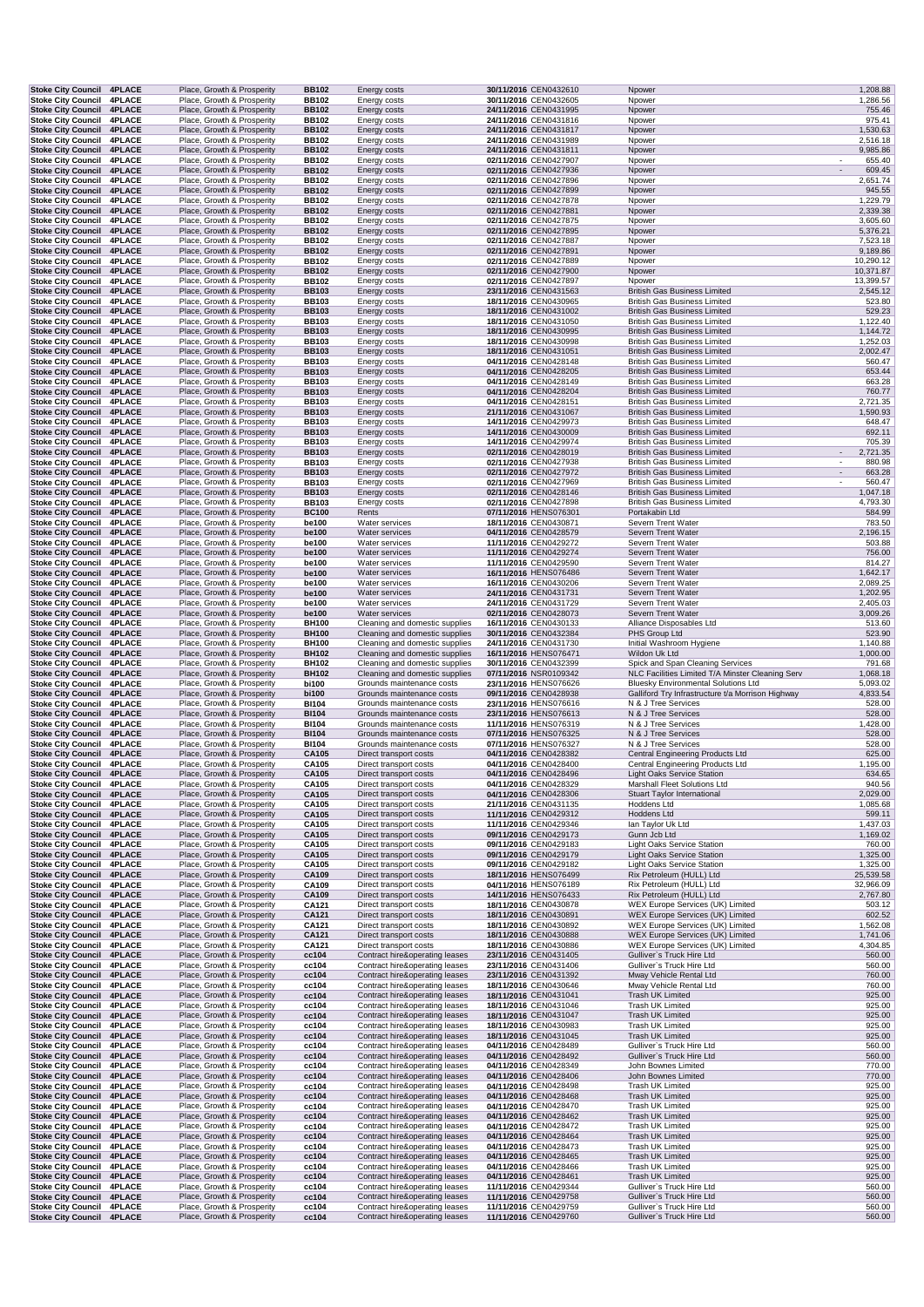| <b>Stoke City Council</b>                                     | <b>4PLACE</b>                  | Place, Growth & Prosperity                               | <b>BB102</b>                 | Energy costs                                                     | 30/11/2016 CEN0432610                          | Npower                                                                     | 1,208.88                 |
|---------------------------------------------------------------|--------------------------------|----------------------------------------------------------|------------------------------|------------------------------------------------------------------|------------------------------------------------|----------------------------------------------------------------------------|--------------------------|
| <b>Stoke City Council</b>                                     | <b>4PLACE</b>                  | Place, Growth & Prosperity                               | BB102                        | Energy costs                                                     | 30/11/2016 CEN0432605                          | Npower                                                                     | 1,286.56                 |
| <b>Stoke City Council</b>                                     | <b>4PLACE</b>                  | Place, Growth & Prosperity                               | <b>BB102</b>                 | Energy costs                                                     | 24/11/2016 CEN0431995                          | Npower                                                                     | 755.46                   |
| <b>Stoke City Council</b><br><b>Stoke City Council</b>        | <b>4PLACE</b><br><b>4PLACE</b> | Place, Growth & Prosperity<br>Place, Growth & Prosperity | <b>BB102</b><br><b>BB102</b> | Energy costs<br>Energy costs                                     | 24/11/2016 CEN0431816<br>24/11/2016 CEN0431817 | Npower<br>Npower                                                           | 975.41<br>1,530.63       |
| <b>Stoke City Council</b>                                     | <b>4PLACE</b>                  | Place, Growth & Prosperity                               | <b>BB102</b>                 | Energy costs                                                     | 24/11/2016 CEN0431989                          | Npower                                                                     | 2,516.18                 |
| <b>Stoke City Council</b>                                     | <b>4PLACE</b>                  | Place, Growth & Prosperity                               | <b>BB102</b>                 | Energy costs                                                     | 24/11/2016 CEN0431811                          | Npower                                                                     | 9,985.86                 |
| <b>Stoke City Council</b>                                     | <b>4PLACE</b>                  | Place, Growth & Prosperity                               | <b>BB102</b>                 | Energy costs                                                     | 02/11/2016 CEN0427907                          | Npower                                                                     | 655.40                   |
| <b>Stoke City Council</b><br><b>Stoke City Council</b>        | <b>4PLACE</b><br><b>4PLACE</b> | Place, Growth & Prosperity<br>Place, Growth & Prosperity | <b>BB102</b><br><b>BB102</b> | Energy costs                                                     | 02/11/2016 CEN0427936<br>02/11/2016 CEN0427896 | Npower<br>Npower                                                           | 609.45<br>2,651.74       |
| <b>Stoke City Council</b>                                     | <b>4PLACE</b>                  | Place, Growth & Prosperity                               | <b>BB102</b>                 | <b>Energy costs</b><br>Energy costs                              | 02/11/2016 CEN0427899                          | Npower                                                                     | 945.55                   |
| <b>Stoke City Council</b>                                     | <b>4PLACE</b>                  | Place, Growth & Prosperity                               | <b>BB102</b>                 | Energy costs                                                     | 02/11/2016 CEN0427878                          | Npower                                                                     | 1,229.79                 |
| <b>Stoke City Council</b>                                     | <b>4PLACE</b>                  | Place, Growth & Prosperity                               | <b>BB102</b>                 | Energy costs                                                     | 02/11/2016 CEN0427881                          | Npower                                                                     | 2,339.38                 |
| <b>Stoke City Council</b>                                     | <b>4PLACE</b>                  | Place, Growth & Prosperity                               | <b>BB102</b>                 | Energy costs                                                     | 02/11/2016 CEN0427875                          | Npower                                                                     | 3,605.60                 |
| <b>Stoke City Council</b><br><b>Stoke City Council</b>        | <b>4PLACE</b><br><b>4PLACE</b> | Place, Growth & Prosperity<br>Place, Growth & Prosperity | <b>BB102</b><br><b>BB102</b> | Energy costs<br>Energy costs                                     | 02/11/2016 CEN0427895<br>02/11/2016 CEN0427887 | Npower<br>Npower                                                           | 5,376.21<br>7,523.18     |
| <b>Stoke City Council 4PLACE</b>                              |                                | Place, Growth & Prosperity                               | <b>BB102</b>                 | Energy costs                                                     | 02/11/2016 CEN0427891                          | Npower                                                                     | 9,189.86                 |
| Stoke City Council 4PLACE                                     |                                | Place, Growth & Prosperity                               | <b>BB102</b>                 | Energy costs                                                     | 02/11/2016 CEN0427889                          | Npower                                                                     | 10,290.12                |
| <b>Stoke City Council</b>                                     | <b>4PLACE</b>                  | Place, Growth & Prosperity                               | <b>BB102</b>                 | Energy costs                                                     | 02/11/2016 CEN0427900                          | Npower                                                                     | 10,371.87                |
| <b>Stoke City Council</b>                                     | <b>4PLACE</b>                  | Place, Growth & Prosperity                               | <b>BB102</b>                 | Energy costs                                                     | 02/11/2016 CEN0427897                          | Npower                                                                     | 13,399.57                |
| <b>Stoke City Council</b><br><b>Stoke City Council</b>        | 4PLACE<br><b>4PLACE</b>        | Place, Growth & Prosperity<br>Place, Growth & Prosperity | <b>BB103</b><br><b>BB103</b> | Energy costs<br>Energy costs                                     | 23/11/2016 CEN0431563<br>18/11/2016 CEN0430965 | <b>British Gas Business Limited</b><br><b>British Gas Business Limited</b> | 2,545.12<br>523.80       |
| <b>Stoke City Council</b>                                     | <b>4PLACE</b>                  | Place, Growth & Prosperity                               | <b>BB103</b>                 | Energy costs                                                     | 18/11/2016 CEN0431002                          | <b>British Gas Business Limited</b>                                        | 529.23                   |
| <b>Stoke City Council</b>                                     | <b>4PLACE</b>                  | Place, Growth & Prosperity                               | <b>BB103</b>                 | Energy costs                                                     | 18/11/2016 CEN0431050                          | <b>British Gas Business Limited</b>                                        | 1,122.40                 |
| <b>Stoke City Council</b>                                     | <b>4PLACE</b>                  | Place, Growth & Prosperity                               | <b>BB103</b>                 | Energy costs                                                     | 18/11/2016 CEN0430995                          | <b>British Gas Business Limited</b>                                        | 1,144.72                 |
| <b>Stoke City Council</b>                                     | <b>4PLACE</b>                  | Place, Growth & Prosperity                               | <b>BB103</b>                 | Energy costs                                                     | 18/11/2016 CEN0430998                          | <b>British Gas Business Limited</b>                                        | 1,252.03                 |
| <b>Stoke City Council</b><br><b>Stoke City Council</b>        | <b>4PLACE</b><br><b>4PLACE</b> | Place, Growth & Prosperity<br>Place, Growth & Prosperity | <b>BB103</b><br><b>BB103</b> | Energy costs<br><b>Energy costs</b>                              | 18/11/2016 CEN0431051<br>04/11/2016 CEN0428148 | <b>British Gas Business Limited</b><br><b>British Gas Business Limited</b> | 2,002.47<br>560.47       |
| <b>Stoke City Council</b>                                     | <b>4PLACE</b>                  | Place, Growth & Prosperity                               | <b>BB103</b>                 | Energy costs                                                     | 04/11/2016 CEN0428205                          | <b>British Gas Business Limited</b>                                        | 653.44                   |
| <b>Stoke City Council</b>                                     | <b>4PLACE</b>                  | Place, Growth & Prosperity                               | <b>BB103</b>                 | Energy costs                                                     | 04/11/2016 CEN0428149                          | <b>British Gas Business Limited</b>                                        | 663.28                   |
| <b>Stoke City Council</b>                                     | <b>4PLACE</b>                  | Place, Growth & Prosperity                               | <b>BB103</b>                 | Energy costs                                                     | 04/11/2016 CEN0428204                          | <b>British Gas Business Limited</b>                                        | 760.77                   |
| <b>Stoke City Council</b>                                     | <b>4PLACE</b>                  | Place, Growth & Prosperity                               | <b>BB103</b>                 | <b>Energy costs</b>                                              | 04/11/2016 CEN0428151                          | <b>British Gas Business Limited</b>                                        | 2,721.35                 |
| <b>Stoke City Council</b>                                     | <b>4PLACE</b>                  | Place, Growth & Prosperity<br>Place, Growth & Prosperity | <b>BB103</b>                 | Energy costs                                                     | 21/11/2016 CEN0431067<br>14/11/2016 CEN0429973 | <b>British Gas Business Limited</b><br><b>British Gas Business Limited</b> | 1,590.93                 |
| <b>Stoke City Council</b><br><b>Stoke City Council</b>        | <b>4PLACE</b><br><b>4PLACE</b> | Place, Growth & Prosperity                               | <b>BB103</b><br><b>BB103</b> | Energy costs<br>Energy costs                                     | 14/11/2016 CEN0430009                          | <b>British Gas Business Limited</b>                                        | 648.47<br>692.11         |
| <b>Stoke City Council</b>                                     | <b>4PLACE</b>                  | Place, Growth & Prosperity                               | <b>BB103</b>                 | Energy costs                                                     | 14/11/2016 CEN0429974                          | <b>British Gas Business Limited</b>                                        | 705.39                   |
| <b>Stoke City Council</b>                                     | <b>4PLACE</b>                  | Place, Growth & Prosperity                               | <b>BB103</b>                 | Energy costs                                                     | 02/11/2016 CEN0428019                          | <b>British Gas Business Limited</b>                                        | $\mathbf{r}$<br>2,721.35 |
| <b>Stoke City Council</b>                                     | <b>4PLACE</b>                  | Place, Growth & Prosperity                               | <b>BB103</b>                 | <b>Energy costs</b>                                              | 02/11/2016 CEN0427938                          | <b>British Gas Business Limited</b>                                        | 880.98                   |
| <b>Stoke City Council</b>                                     | <b>4PLACE</b>                  | Place, Growth & Prosperity                               | <b>BB103</b>                 | Energy costs                                                     | 02/11/2016 CEN0427972                          | <b>British Gas Business Limited</b>                                        | 663.28                   |
| <b>Stoke City Council</b><br><b>Stoke City Council</b>        | <b>4PLACE</b><br><b>4PLACE</b> | Place, Growth & Prosperity<br>Place, Growth & Prosperity | <b>BB103</b><br><b>BB103</b> | Energy costs                                                     | 02/11/2016 CEN0427969<br>02/11/2016 CEN0428146 | <b>British Gas Business Limited</b><br><b>British Gas Business Limited</b> | 560.47<br>1,047.18       |
| <b>Stoke City Council 4PLACE</b>                              |                                | Place, Growth & Prosperity                               | <b>BB103</b>                 | Energy costs<br>Energy costs                                     | 02/11/2016 CEN0427898                          | <b>British Gas Business Limited</b>                                        | 4,793.30                 |
| <b>Stoke City Council 4PLACE</b>                              |                                | Place, Growth & Prosperity                               | <b>BC100</b>                 | Rents                                                            | 07/11/2016 HENS076301                          | Portakabin Ltd                                                             | 584.99                   |
| <b>Stoke City Council</b>                                     | <b>4PLACE</b>                  | Place, Growth & Prosperity                               | be100                        | Water services                                                   | 18/11/2016 CEN0430871                          | Severn Trent Water                                                         | 783.50                   |
| <b>Stoke City Council</b>                                     | 4PLACE                         | Place, Growth & Prosperity                               | be100                        | Water services                                                   | 04/11/2016 CEN0428579                          | Severn Trent Water                                                         | 2,196.15                 |
| <b>Stoke City Council</b>                                     | <b>4PLACE</b>                  | Place, Growth & Prosperity                               | be100                        | Water services                                                   | 11/11/2016 CEN0429272                          | Severn Trent Water                                                         | 503.88                   |
| <b>Stoke City Council</b><br><b>Stoke City Council</b>        | <b>4PLACE</b><br><b>4PLACE</b> | Place, Growth & Prosperity<br>Place, Growth & Prosperity | be100<br>be100               | Water services<br>Water services                                 | 11/11/2016 CEN0429274<br>11/11/2016 CEN0429590 | Severn Trent Water<br>Severn Trent Water                                   | 756.00<br>814.27         |
| <b>Stoke City Council</b>                                     | 4PLACE                         | Place, Growth & Prosperity                               | be100                        | Water services                                                   | 16/11/2016 HENS076486                          | Severn Trent Water                                                         | 1,642.17                 |
| <b>Stoke City Council</b>                                     | <b>4PLACE</b>                  | Place, Growth & Prosperity                               | be100                        | Water services                                                   | 16/11/2016 CEN0430206                          | Severn Trent Water                                                         | 2,089.25                 |
| <b>Stoke City Council</b>                                     | <b>4PLACE</b>                  | Place, Growth & Prosperity                               | be100                        | Water services                                                   | 24/11/2016 CEN0431731                          | Severn Trent Water                                                         | 1,202.95                 |
| <b>Stoke City Council</b>                                     | <b>4PLACE</b>                  | Place, Growth & Prosperity                               | be100                        | Water services                                                   | 24/11/2016 CEN0431729                          | Severn Trent Water                                                         | 2,405.03                 |
| <b>Stoke City Council</b>                                     | <b>4PLACE</b>                  | Place, Growth & Prosperity                               | be100                        | Water services                                                   | 02/11/2016 CEN0428073                          | Severn Trent Water                                                         | 3,009.26                 |
| <b>Stoke City Council</b><br>Stoke City Council 4PLACE        | <b>4PLACE</b>                  | Place, Growth & Prosperity                               | <b>BH100</b>                 | Cleaning and domestic supplies                                   | 16/11/2016 CEN0430133                          | Alliance Disposables Ltd                                                   | 513.60                   |
|                                                               |                                |                                                          |                              |                                                                  |                                                |                                                                            |                          |
|                                                               |                                | Place, Growth & Prosperity                               | <b>BH100</b>                 | Cleaning and domestic supplies                                   | 30/11/2016 CEN0432384                          | PHS Group Ltd                                                              | 523.90                   |
| Stoke City Council 4PLACE                                     | <b>4PLACE</b>                  | Place, Growth & Prosperity                               | <b>BH100</b>                 | Cleaning and domestic supplies                                   | 24/11/2016 CEN0431730                          | Initial Washroom Hygiene<br>Wildon Uk Ltd                                  | 1,140.88                 |
| <b>Stoke City Council</b><br>Stoke City Council 4PLACE        |                                | Place, Growth & Prosperity<br>Place, Growth & Prosperity | <b>BH102</b><br><b>BH102</b> | Cleaning and domestic supplies<br>Cleaning and domestic supplies | 16/11/2016 HENS076471<br>30/11/2016 CEN0432399 | Spick and Span Cleaning Services                                           | 1,000.00<br>791.68       |
| <b>Stoke City Council</b>                                     | <b>4PLACE</b>                  | Place, Growth & Prosperity                               | <b>BH102</b>                 | Cleaning and domestic supplies                                   | 07/11/2016 NSR0109342                          | NLC Facilities Limited T/A Minster Cleaning Serv                           | 1,068.18                 |
| <b>Stoke City Council</b>                                     | <b>4PLACE</b>                  | Place, Growth & Prosperity                               | bi100                        | Grounds maintenance costs                                        | 23/11/2016 HENS076626                          | <b>Bluesky Environmental Solutions Ltd</b>                                 | 5,093.02                 |
| <b>Stoke City Council</b>                                     | <b>4PLACE</b>                  | Place, Growth & Prosperity                               | bi100                        | Grounds maintenance costs                                        | 09/11/2016 CEN0428938                          | Galliford Try Infrastructure t/a Morrison Highway                          | 4,833.54                 |
| <b>Stoke City Council</b>                                     | <b>4PLACE</b>                  | Place, Growth & Prosperity                               | <b>BI104</b>                 | Grounds maintenance costs                                        | 23/11/2016 HENS076616                          | N & J Tree Services                                                        | 528.00                   |
| <b>Stoke City Council</b><br><b>Stoke City Council</b>        | <b>4PLACE</b><br><b>4PLACE</b> | Place, Growth & Prosperity<br>Place, Growth & Prosperity | <b>BI104</b><br><b>BI104</b> | Grounds maintenance costs<br>Grounds maintenance costs           | 23/11/2016 HENS076613<br>11/11/2016 HENS076319 | N & J Tree Services<br>N & J Tree Services                                 | 528.00<br>1,428.00       |
| <b>Stoke City Council 4PLACE</b>                              |                                | Place, Growth & Prosperity                               | <b>BI104</b>                 | Grounds maintenance costs                                        | 07/11/2016 HENS076325                          | N & J Tree Services                                                        | 528.00                   |
| Stoke City Council 4PLACE                                     |                                | Place, Growth & Prosperity                               | <b>BI104</b>                 | Grounds maintenance costs                                        | 07/11/2016 HENS076327                          | N & J Tree Services                                                        | 528.00                   |
| <b>Stoke City Council 4PLACE</b>                              |                                | Place, Growth & Prosperity                               | CA105                        | Direct transport costs                                           | 04/11/2016 CEN0428382                          | <b>Central Engineering Products Ltd</b>                                    | 625.00                   |
| Stoke City Council 4PLACE                                     |                                | Place, Growth & Prosperity                               | CA105                        | Direct transport costs                                           | 04/11/2016 CEN0428400                          | Central Engineering Products Ltd                                           | 1,195.00                 |
| Stoke City Council 4PLACE<br>Stoke City Council 4PLACE        |                                | Place, Growth & Prosperity                               | CA105                        | Direct transport costs                                           | 04/11/2016 CEN0428496<br>04/11/2016 CEN0428329 | <b>Light Oaks Service Station</b>                                          | 634.65                   |
| <b>Stoke City Council</b>                                     | <b>4PLACE</b>                  | Place, Growth & Prosperity<br>Place, Growth & Prosperity | CA105<br><b>CA105</b>        | Direct transport costs<br>Direct transport costs                 | 04/11/2016 CEN0428306                          | Marshall Fleet Solutions Ltd<br><b>Stuart Taylor International</b>         | 940.56<br>2,029.00       |
| <b>Stoke City Council</b>                                     | <b>4PLACE</b>                  | Place, Growth & Prosperity                               | CA105                        | Direct transport costs                                           | 21/11/2016 CEN0431135                          | Hoddens Ltd                                                                | 1,085.68                 |
| <b>Stoke City Council</b>                                     | <b>4PLACE</b>                  | Place, Growth & Prosperity                               | CA105                        | Direct transport costs                                           | 11/11/2016 CEN0429312                          | Hoddens Ltd                                                                | 599.11                   |
| <b>Stoke City Council</b>                                     | <b>4PLACE</b>                  | Place, Growth & Prosperity                               | CA105                        | Direct transport costs                                           | 11/11/2016 CEN0429346                          | lan Taylor Uk Ltd                                                          | 1,437.03                 |
| <b>Stoke City Council</b>                                     | <b>4PLACE</b>                  | Place, Growth & Prosperity                               | CA105                        | Direct transport costs                                           | 09/11/2016 CEN0429173                          | Gunn Jcb Ltd                                                               | 1,169.02                 |
| <b>Stoke City Council</b><br><b>Stoke City Council</b>        | <b>4PLACE</b><br><b>4PLACE</b> | Place, Growth & Prosperity<br>Place, Growth & Prosperity | CA105<br>CA105               | Direct transport costs<br>Direct transport costs                 | 09/11/2016 CEN0429183<br>09/11/2016 CEN0429179 | <b>Light Oaks Service Station</b><br><b>Light Oaks Service Station</b>     | 760.00<br>1,325.00       |
| Stoke City Council 4PLACE                                     |                                | Place, Growth & Prosperity                               | <b>CA105</b>                 | Direct transport costs                                           | 09/11/2016 CEN0429182                          | Light Oaks Service Station                                                 | 1,325.00                 |
| <b>Stoke City Council 4PLACE</b>                              |                                | Place, Growth & Prosperity                               | CA109                        | Direct transport costs                                           | 18/11/2016 HENS076499                          | Rix Petroleum (HULL) Ltd                                                   | 25,539.58                |
| Stoke City Council 4PLACE                                     |                                | Place, Growth & Prosperity                               | CA109                        | Direct transport costs                                           | 04/11/2016 HENS076189                          | Rix Petroleum (HULL) Ltd                                                   | 32,966.09                |
| Stoke City Council 4PLACE                                     |                                | Place, Growth & Prosperity                               | CA109                        | Direct transport costs                                           | 14/11/2016 HENS076433                          | Rix Petroleum (HULL) Ltd                                                   | 2,767.80                 |
| <b>Stoke City Council</b><br><b>Stoke City Council</b>        | <b>4PLACE</b><br><b>4PLACE</b> | Place, Growth & Prosperity<br>Place, Growth & Prosperity | CA121<br>CA121               | Direct transport costs<br>Direct transport costs                 | 18/11/2016 CEN0430878<br>18/11/2016 CEN0430891 | WEX Europe Services (UK) Limited<br>WEX Europe Services (UK) Limited       | 503.12<br>602.52         |
| <b>Stoke City Council</b>                                     | <b>4PLACE</b>                  | Place, Growth & Prosperity                               | CA121                        | Direct transport costs                                           | 18/11/2016 CEN0430892                          | WEX Europe Services (UK) Limited                                           | 1,562.08                 |
| <b>Stoke City Council 4PLACE</b>                              |                                | Place, Growth & Prosperity                               | <b>CA121</b>                 | Direct transport costs                                           | 18/11/2016 CEN0430888                          | <b>WEX Europe Services (UK) Limited</b>                                    | 1,741.06                 |
| <b>Stoke City Council</b>                                     | <b>4PLACE</b>                  | Place, Growth & Prosperity                               | CA121                        | Direct transport costs                                           | 18/11/2016 CEN0430886                          | WEX Europe Services (UK) Limited                                           | 4,304.85                 |
| <b>Stoke City Council</b>                                     | <b>4PLACE</b>                  | Place, Growth & Prosperity                               | cc104                        | Contract hire&operating leases                                   | 23/11/2016 CEN0431405                          | Gulliver's Truck Hire Ltd                                                  | 560.00                   |
| <b>Stoke City Council</b><br><b>Stoke City Council</b>        | <b>4PLACE</b><br><b>4PLACE</b> | Place, Growth & Prosperity<br>Place, Growth & Prosperity | cc104<br>cc104               | Contract hire&operating leases<br>Contract hire&operating leases | 23/11/2016 CEN0431406<br>23/11/2016 CEN0431392 | Gulliver's Truck Hire Ltd<br>Mway Vehicle Rental Ltd                       | 560.00<br>760.00         |
| Stoke City Council 4PLACE                                     |                                | Place, Growth & Prosperity                               | cc104                        | Contract hire&operating leases                                   | 18/11/2016 CEN0430646                          | Mway Vehicle Rental Ltd                                                    | 760.00                   |
| <b>Stoke City Council 4PLACE</b>                              |                                | Place, Growth & Prosperity                               | cc104                        | Contract hire&operating leases                                   | 18/11/2016 CEN0431041                          | Trash UK Limited                                                           | 925.00                   |
| Stoke City Council 4PLACE                                     |                                | Place, Growth & Prosperity                               | cc104                        | Contract hire&operating leases                                   | 18/11/2016 CEN0431046                          | Trash UK Limited                                                           | 925.00                   |
| Stoke City Council 4PLACE                                     |                                | Place, Growth & Prosperity                               | cc104                        | Contract hire&operating leases                                   | 18/11/2016 CEN0431047                          | Trash UK Limited                                                           | 925.00                   |
| <b>Stoke City Council</b><br><b>Stoke City Council 4PLACE</b> | <b>4PLACE</b>                  | Place, Growth & Prosperity<br>Place, Growth & Prosperity | cc104<br>cc104               | Contract hire&operating leases<br>Contract hire&operating leases | 18/11/2016 CEN0430983<br>18/11/2016 CEN0431045 | Trash UK Limited<br>Trash UK Limited                                       | 925.00<br>925.00         |
| <b>Stoke City Council</b>                                     | <b>4PLACE</b>                  | Place, Growth & Prosperity                               | cc104                        | Contract hire&operating leases                                   | 04/11/2016 CEN0428489                          | Gulliver's Truck Hire Ltd                                                  | 560.00                   |
| <b>Stoke City Council</b>                                     | 4PLACE                         | Place, Growth & Prosperity                               | cc104                        | Contract hire&operating leases                                   | 04/11/2016 CEN0428492                          | Gulliver's Truck Hire Ltd                                                  | 560.00                   |
| <b>Stoke City Council 4PLACE</b>                              |                                | Place, Growth & Prosperity                               | cc104                        | Contract hire&operating leases                                   | 04/11/2016 CEN0428349                          | John Bownes Limited                                                        | 770.00                   |
| <b>Stoke City Council</b>                                     | <b>4PLACE</b>                  | Place, Growth & Prosperity                               | cc104                        | Contract hire&operating leases                                   | 04/11/2016 CEN0428406                          | John Bownes Limited                                                        | 770.00                   |
| <b>Stoke City Council</b>                                     | <b>4PLACE</b>                  | Place, Growth & Prosperity                               | cc104                        | Contract hire&operating leases                                   | 04/11/2016 CEN0428498                          | Trash UK Limited                                                           | 925.00                   |
| <b>Stoke City Council</b><br>Stoke City Council 4PLACE        | 4PLACE                         | Place, Growth & Prosperity<br>Place, Growth & Prosperity | cc104<br>cc104               | Contract hire&operating leases<br>Contract hire&operating leases | 04/11/2016 CEN0428468<br>04/11/2016 CEN0428470 | Trash UK Limited<br>Trash UK Limited                                       | 925.00<br>925.00         |
| Stoke City Council 4PLACE                                     |                                | Place, Growth & Prosperity                               | cc104                        | Contract hire&operating leases                                   | 04/11/2016 CEN0428462                          | Trash UK Limited                                                           | 925.00                   |
| <b>Stoke City Council 4PLACE</b>                              |                                | Place, Growth & Prosperity                               | cc104                        | Contract hire&operating leases                                   | 04/11/2016 CEN0428472                          | Trash UK Limited                                                           | 925.00                   |
| Stoke City Council 4PLACE                                     |                                | Place, Growth & Prosperity                               | cc104                        | Contract hire&operating leases                                   | 04/11/2016 CEN0428464                          | Trash UK Limited                                                           | 925.00                   |
| <b>Stoke City Council</b>                                     | <b>4PLACE</b>                  | Place, Growth & Prosperity                               | cc104                        | Contract hire&operating leases                                   | 04/11/2016 CEN0428473                          | Trash UK Limited                                                           | 925.00                   |
| <b>Stoke City Council</b><br><b>Stoke City Council</b>        | 4PLACE<br><b>4PLACE</b>        | Place, Growth & Prosperity<br>Place, Growth & Prosperity | cc104<br>cc104               | Contract hire&operating leases<br>Contract hire&operating leases | 04/11/2016 CEN0428465<br>04/11/2016 CEN0428466 | Trash UK Limited<br>Trash UK Limited                                       | 925.00<br>925.00         |
| <b>Stoke City Council</b>                                     | <b>4PLACE</b>                  | Place, Growth & Prosperity                               | cc104                        | Contract hire&operating leases                                   | 04/11/2016 CEN0428461                          | Trash UK Limited                                                           | 925.00                   |
| <b>Stoke City Council</b>                                     | <b>4PLACE</b>                  | Place, Growth & Prosperity                               | cc104                        | Contract hire&operating leases                                   | 11/11/2016 CEN0429344                          | Gulliver's Truck Hire Ltd                                                  | 560.00                   |
| <b>Stoke City Council</b><br><b>Stoke City Council</b>        | <b>4PLACE</b><br><b>4PLACE</b> | Place, Growth & Prosperity<br>Place, Growth & Prosperity | cc104<br>cc104               | Contract hire&operating leases<br>Contract hire&operating leases | 11/11/2016 CEN0429758<br>11/11/2016 CEN0429759 | Gulliver's Truck Hire Ltd<br>Gulliver's Truck Hire Ltd                     | 560.00<br>560.00         |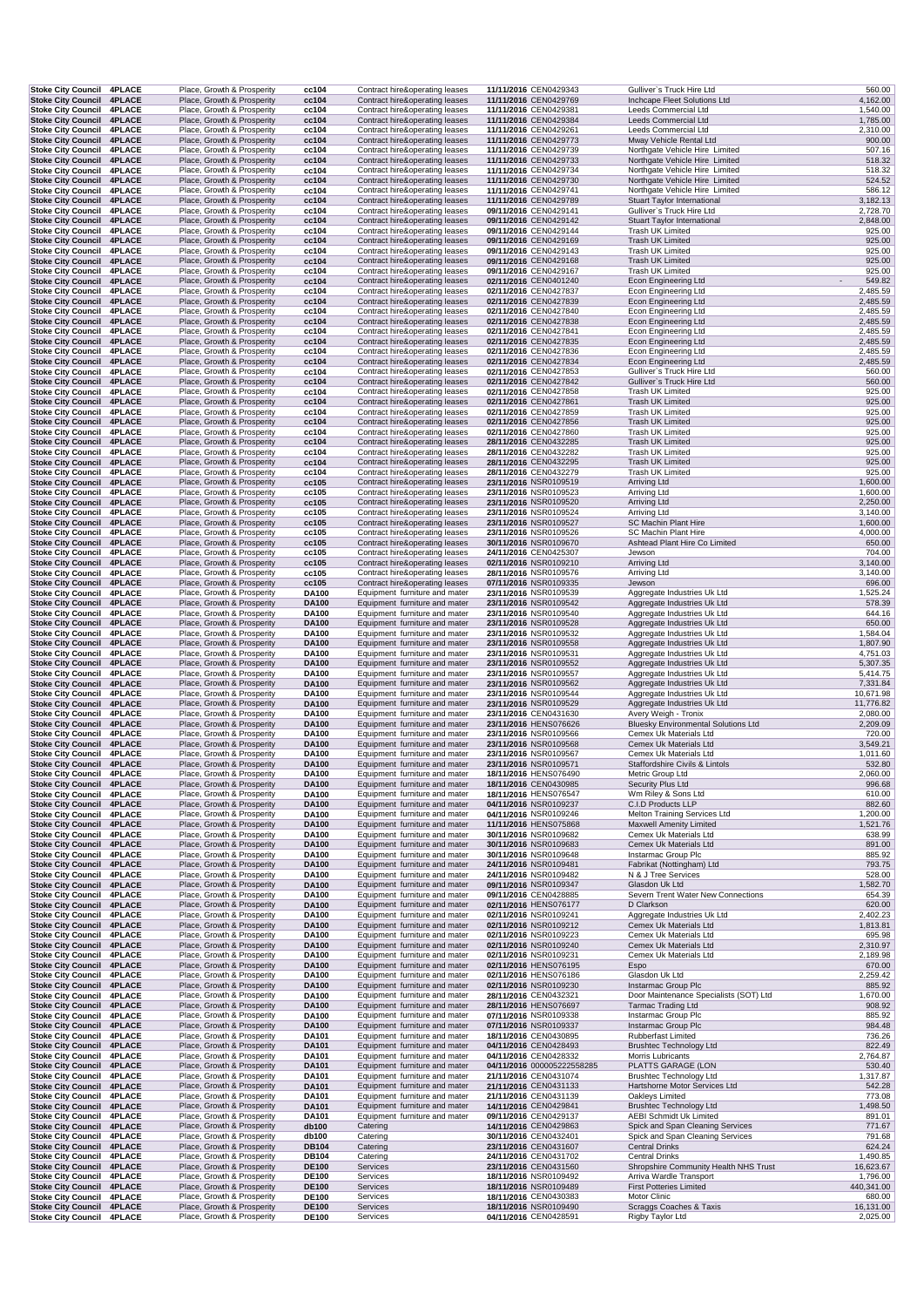| Stoke City Council 4PLACE                                     |               |  | Place, Growth & Prosperity                               | cc104                        | Contract hire&operating leases                                   | 11/11/2016 CEN0429343                          | Gulliver's Truck Hire Ltd                                          | 560.00               |
|---------------------------------------------------------------|---------------|--|----------------------------------------------------------|------------------------------|------------------------------------------------------------------|------------------------------------------------|--------------------------------------------------------------------|----------------------|
| Stoke City Council 4PLACE                                     |               |  | Place, Growth & Prosperity                               | cc104                        | Contract hire&operating leases                                   | 11/11/2016 CEN0429769                          | Inchcape Fleet Solutions Ltd                                       | 4,162.00             |
| Stoke City Council 4PLACE<br><b>Stoke City Council 4PLACE</b> |               |  | Place, Growth & Prosperity<br>Place, Growth & Prosperity | cc104<br>cc104               | Contract hire&operating leases<br>Contract hire&operating leases | 11/11/2016 CEN0429381<br>11/11/2016 CEN0429384 | Leeds Commercial Ltd<br>Leeds Commercial Ltd                       | 1,540.00<br>1,785.00 |
| <b>Stoke City Council</b>                                     | <b>4PLACE</b> |  | Place, Growth & Prosperity                               | cc104                        | Contract hire&operating leases                                   | 11/11/2016 CEN0429261                          | Leeds Commercial Ltd                                               | 2,310.00             |
| Stoke City Council 4PLACE                                     |               |  | Place, Growth & Prosperity                               | cc104                        | Contract hire&operating leases                                   | 11/11/2016 CEN0429773                          | Mway Vehicle Rental Ltd                                            | 900.00               |
| Stoke City Council 4PLACE                                     |               |  | Place, Growth & Prosperity                               | cc104                        | Contract hire&operating leases                                   | 11/11/2016 CEN0429739                          | Northgate Vehicle Hire Limited                                     | 507.16               |
| Stoke City Council 4PLACE                                     |               |  | Place, Growth & Prosperity                               | cc104                        | Contract hire&operating leases                                   | 11/11/2016 CEN0429733                          | Northgate Vehicle Hire Limited                                     | 518.32               |
| Stoke City Council 4PLACE                                     |               |  | Place, Growth & Prosperity                               | cc104                        | Contract hire&operating leases                                   | 11/11/2016 CEN0429734                          | Northgate Vehicle Hire Limited                                     | 518.32               |
| Stoke City Council 4PLACE<br>Stoke City Council 4PLACE        |               |  | Place, Growth & Prosperity                               | cc104                        | Contract hire&operating leases<br>Contract hire&operating leases | 11/11/2016 CEN0429730                          | Northgate Vehicle Hire Limited                                     | 524.52               |
| Stoke City Council 4PLACE                                     |               |  | Place, Growth & Prosperity<br>Place, Growth & Prosperity | cc104<br>cc104               | Contract hire&operating leases                                   | 11/11/2016 CEN0429741<br>11/11/2016 CEN0429789 | Northgate Vehicle Hire Limited<br>Stuart Taylor International      | 586.12<br>3,182.13   |
| Stoke City Council 4PLACE                                     |               |  | Place, Growth & Prosperity                               | cc104                        | Contract hire&operating leases                                   | 09/11/2016 CEN0429141                          | Gulliver's Truck Hire Ltd                                          | 2,728.70             |
| Stoke City Council 4PLACE                                     |               |  | Place, Growth & Prosperity                               | cc104                        | Contract hire&operating leases                                   | 09/11/2016 CEN0429142                          | Stuart Taylor International                                        | 2,848.00             |
| Stoke City Council 4PLACE                                     |               |  | Place, Growth & Prosperity                               | cc104                        | Contract hire&operating leases                                   | 09/11/2016 CEN0429144                          | Trash UK Limited                                                   | 925.00               |
| Stoke City Council 4PLACE                                     |               |  | Place, Growth & Prosperity                               | cc104                        | Contract hire&operating leases                                   | 09/11/2016 CEN0429169                          | Trash UK Limited                                                   | 925.00               |
| Stoke City Council 4PLACE                                     |               |  | Place, Growth & Prosperity                               | cc104                        | Contract hire&operating leases                                   | 09/11/2016 CEN0429143                          | Trash UK Limited                                                   | 925.00               |
| <b>Stoke City Council</b><br>Stoke City Council 4PLACE        | <b>4PLACE</b> |  | Place, Growth & Prosperity<br>Place, Growth & Prosperity | cc104<br>cc104               | Contract hire&operating leases<br>Contract hire&operating leases | 09/11/2016 CEN0429168<br>09/11/2016 CEN0429167 | Trash UK Limited<br>Trash UK Limited                               | 925.00<br>925.00     |
| Stoke City Council 4PLACE                                     |               |  | Place, Growth & Prosperity                               | cc104                        | Contract hire&operating leases                                   | 02/11/2016 CEN0401240                          | Econ Engineering Ltd                                               | 549.82               |
| Stoke City Council 4PLACE                                     |               |  | Place, Growth & Prosperity                               | cc104                        | Contract hire&operating leases                                   | 02/11/2016 CEN0427837                          | Econ Engineering Ltd                                               | 2,485.59             |
| Stoke City Council 4PLACE                                     |               |  | Place, Growth & Prosperity                               | cc104                        | Contract hire&operating leases                                   | 02/11/2016 CEN0427839                          | <b>Econ Engineering Ltd</b>                                        | 2,485.59             |
| Stoke City Council 4PLACE                                     |               |  | Place, Growth & Prosperity                               | cc104                        | Contract hire&operating leases                                   | 02/11/2016 CEN0427840                          | <b>Econ Engineering Ltd</b>                                        | 2,485.59             |
| Stoke City Council 4PLACE                                     |               |  | Place, Growth & Prosperity                               | cc104                        | Contract hire&operating leases                                   | 02/11/2016 CEN0427838                          | <b>Econ Engineering Ltd</b>                                        | 2,485.59             |
| Stoke City Council 4PLACE                                     |               |  | Place, Growth & Prosperity                               | cc104                        | Contract hire&operating leases<br>Contract hire&operating leases | 02/11/2016 CEN0427841                          | <b>Econ Engineering Ltd</b><br><b>Econ Engineering Ltd</b>         | 2,485.59<br>2,485.59 |
| Stoke City Council 4PLACE<br>Stoke City Council 4PLACE        |               |  | Place, Growth & Prosperity<br>Place, Growth & Prosperity | cc104<br>cc104               | Contract hire&operating leases                                   | 02/11/2016 CEN0427835<br>02/11/2016 CEN0427836 | <b>Econ Engineering Ltd</b>                                        | 2,485.59             |
| <b>Stoke City Council 4PLACE</b>                              |               |  | Place, Growth & Prosperity                               | cc104                        | Contract hire&operating leases                                   | 02/11/2016 CEN0427834                          | <b>Econ Engineering Ltd</b>                                        | 2,485.59             |
| Stoke City Council 4PLACE                                     |               |  | Place, Growth & Prosperity                               | cc104                        | Contract hire&operating leases                                   | 02/11/2016 CEN0427853                          | Gulliver's Truck Hire Ltd                                          | 560.00               |
| <b>Stoke City Council</b>                                     | <b>4PLACE</b> |  | Place, Growth & Prosperity                               | cc104                        | Contract hire&operating leases                                   | 02/11/2016 CEN0427842                          | Gulliver's Truck Hire Ltd                                          | 560.00               |
| Stoke City Council 4PLACE                                     |               |  | Place, Growth & Prosperity                               | cc104                        | Contract hire&operating leases                                   | 02/11/2016 CEN0427858                          | Trash UK Limited                                                   | 925.00               |
| Stoke City Council 4PLACE                                     |               |  | Place, Growth & Prosperity                               | cc104                        | Contract hire&operating leases                                   | 02/11/2016 CEN0427861                          | Trash UK Limited<br>Trash UK Limited                               | 925.00               |
| Stoke City Council 4PLACE<br>Stoke City Council 4PLACE        |               |  | Place, Growth & Prosperity<br>Place, Growth & Prosperity | cc104<br>cc104               | Contract hire&operating leases<br>Contract hire&operating leases | 02/11/2016 CEN0427859<br>02/11/2016 CEN0427856 | <b>Trash UK Limited</b>                                            | 925.00<br>925.00     |
| Stoke City Council 4PLACE                                     |               |  | Place, Growth & Prosperity                               | cc104                        | Contract hire&operating leases                                   | 02/11/2016 CEN0427860                          | Trash UK Limited                                                   | 925.00               |
| Stoke City Council 4PLACE                                     |               |  | Place, Growth & Prosperity                               | cc104                        | Contract hire&operating leases                                   | 28/11/2016 CEN0432285                          | Trash UK Limited                                                   | 925.00               |
| Stoke City Council 4PLACE                                     |               |  | Place, Growth & Prosperity                               | cc104                        | Contract hire&operating leases                                   | 28/11/2016 CEN0432282                          | Trash UK Limited                                                   | 925.00               |
| <b>Stoke City Council</b>                                     | <b>4PLACE</b> |  | Place, Growth & Prosperity                               | cc104                        | Contract hire&operating leases                                   | 28/11/2016 CEN0432295                          | <b>Trash UK Limited</b>                                            | 925.00               |
| Stoke City Council 4PLACE                                     |               |  | Place, Growth & Prosperity                               | cc104                        | Contract hire&operating leases                                   | 28/11/2016 CEN0432279                          | Trash UK Limited                                                   | 925.00               |
| <b>Stoke City Council 4PLACE</b><br>Stoke City Council 4PLACE |               |  | Place, Growth & Prosperity<br>Place, Growth & Prosperity | cc105                        | Contract hire&operating leases<br>Contract hire&operating leases | 23/11/2016 NSR0109519<br>23/11/2016 NSR0109523 | <b>Arriving Ltd</b><br>Arriving Ltd                                | 1,600.00<br>1,600.00 |
| Stoke City Council 4PLACE                                     |               |  | Place, Growth & Prosperity                               | cc105<br>cc105               | Contract hire&operating leases                                   | 23/11/2016 NSR0109520                          | <b>Arriving Ltd</b>                                                | 2,250.00             |
| Stoke City Council 4PLACE                                     |               |  | Place, Growth & Prosperity                               | cc105                        | Contract hire&operating leases                                   | 23/11/2016 NSR0109524                          | <b>Arriving Ltd</b>                                                | 3,140.00             |
| <b>Stoke City Council</b>                                     | <b>4PLACE</b> |  | Place, Growth & Prosperity                               | cc105                        | Contract hire&operating leases                                   | 23/11/2016 NSR0109527                          | SC Machin Plant Hire                                               | 1,600.00             |
| Stoke City Council 4PLACE                                     |               |  | Place, Growth & Prosperity                               | cc105                        | Contract hire&operating leases                                   | 23/11/2016 NSR0109526                          | SC Machin Plant Hire                                               | 4,000.00             |
| Stoke City Council 4PLACE                                     |               |  | Place, Growth & Prosperity                               | cc105                        | Contract hire&operating leases                                   | 30/11/2016 NSR0109670                          | Ashtead Plant Hire Co Limited                                      | 650.00               |
| Stoke City Council 4PLACE                                     |               |  | Place, Growth & Prosperity                               | cc105                        | Contract hire&operating leases                                   | 24/11/2016 CEN0425307                          | Jewson                                                             | 704.00               |
| Stoke City Council 4PLACE<br><b>Stoke City Council</b>        | <b>4PLACE</b> |  | Place, Growth & Prosperity<br>Place, Growth & Prosperity | cc105<br>cc105               | Contract hire&operating leases<br>Contract hire&operating leases | 02/11/2016 NSR0109210<br>28/11/2016 NSR0109576 | Arriving Ltd<br>Arriving Ltd                                       | 3,140.00<br>3,140.00 |
| Stoke City Council 4PLACE                                     |               |  | Place, Growth & Prosperity                               | cc105                        | Contract hire&operating leases                                   | 07/11/2016 NSR0109335                          | Jewson                                                             | 696.00               |
| Stoke City Council 4PLACE                                     |               |  | Place, Growth & Prosperity                               | DA100                        | Equipment furniture and mater                                    | 23/11/2016 NSR0109539                          | Aggregate Industries Uk Ltd                                        | 1,525.24             |
| Stoke City Council 4PLACE                                     |               |  | Place, Growth & Prosperity                               | <b>DA100</b>                 | Equipment furniture and mater                                    | 23/11/2016 NSR0109542                          | Aggregate Industries Uk Ltd                                        | 578.39               |
| Stoke City Council 4PLACE                                     |               |  | Place, Growth & Prosperity                               | DA100                        | Equipment furniture and mater                                    | 23/11/2016 NSR0109540                          | Aggregate Industries Uk Ltd                                        | 644.16               |
| Stoke City Council 4PLACE                                     |               |  | Place, Growth & Prosperity                               | <b>DA100</b>                 | Equipment furniture and mater                                    | 23/11/2016 NSR0109528                          | Aggregate Industries Uk Ltd                                        | 650.00               |
| <b>Stoke City Council</b><br>Stoke City Council 4PLACE        | <b>4PLACE</b> |  | Place, Growth & Prosperity<br>Place, Growth & Prosperity | DA100<br><b>DA100</b>        | Equipment furniture and mater<br>Equipment furniture and mater   | 23/11/2016 NSR0109532<br>23/11/2016 NSR0109558 | Aggregate Industries Uk Ltd<br>Aggregate Industries Uk Ltd         | 1,584.04<br>1,807.90 |
| Stoke City Council 4PLACE                                     |               |  | Place, Growth & Prosperity                               | <b>DA100</b>                 | Equipment furniture and mater                                    | 23/11/2016 NSR0109531                          | Aggregate Industries Uk Ltd                                        | 4,751.03             |
| Stoke City Council 4PLACE                                     |               |  | Place, Growth & Prosperity                               | <b>DA100</b>                 | Equipment furniture and mater                                    | 23/11/2016 NSR0109552                          | Aggregate Industries Uk Ltd                                        | 5,307.35             |
| Stoke City Council 4PLACE                                     |               |  | Place, Growth & Prosperity                               | DA100                        | Equipment furniture and mater                                    | 23/11/2016 NSR0109557                          | Aggregate Industries Uk Ltd                                        | 5,414.75             |
| Stoke City Council 4PLACE                                     |               |  | Place, Growth & Prosperity                               | <b>DA100</b>                 | Equipment furniture and mater                                    | 23/11/2016 NSR0109562                          | Aggregate Industries Uk Ltd                                        | 7,331.84             |
| <b>Stoke City Council</b>                                     | <b>4PLACE</b> |  | Place, Growth & Prosperity                               | DA100                        | Equipment furniture and mater                                    | 23/11/2016 NSR0109544                          | Aggregate Industries Uk Ltd                                        | 10,671.98            |
| Stoke City Council 4PLACE                                     |               |  | Place, Growth & Prosperity                               | <b>DA100</b>                 | Equipment furniture and mater                                    | 23/11/2016 NSR0109529                          | Aggregate Industries Uk Ltd                                        | 11,776.82            |
| Stoke City Council 4PLACE<br>Stoke City Council 4PLACE        |               |  | Place, Growth & Prosperity<br>Place, Growth & Prosperity | DA100<br><b>DA100</b>        | Equipment furniture and mater<br>Equipment furniture and mater   | 23/11/2016 CEN0431630<br>23/11/2016 HENS076626 | Avery Weigh - Tronix<br><b>Bluesky Environmental Solutions Ltd</b> | 2,080.00<br>2,209.09 |
| Stoke City Council 4PLACE                                     |               |  | Place, Growth & Prosperity                               | DA100                        | Equipment furniture and mater                                    | 23/11/2016 NSR0109566                          | Cemex Uk Materials Ltd                                             | 720.00               |
| Stoke City Council 4PLACE                                     |               |  | Place, Growth & Prosperity                               | DA100                        | Equipment furniture and mater                                    | 23/11/2016 NSR0109568                          | Cemex Uk Materials Ltd                                             | 3,549.21             |
| Stoke City Council 4PLACE                                     |               |  | Place, Growth & Prosperity                               | DA100                        | Equipment furniture and mater                                    | 23/11/2016 NSR0109567                          | Cemex Uk Materials Ltd                                             | 1,011.60             |
| Stoke City Council 4PLACE                                     |               |  | Place, Growth & Prosperity                               | <b>DA100</b>                 | Equipment furniture and mater                                    | 23/11/2016 NSR0109571                          | Staffordshire Civils & Lintols                                     | 532.80               |
| Stoke City Council 4PLACE                                     |               |  | Place, Growth & Prosperity                               | DA100                        | Equipment furniture and mater                                    | 18/11/2016 HENS076490                          | Metric Group Ltd                                                   | 2,060.00             |
| Stoke City Council 4PLACE<br>Stoke City Council 4PLACE        |               |  | Place, Growth & Prosperity<br>Place, Growth & Prosperity | <b>DA100</b><br><b>DA100</b> | Equipment furniture and mater<br>Equipment furniture and mater   | 18/11/2016 CEN0430985<br>18/11/2016 HENS076547 | Security Plus Ltd<br>Wm Riley & Sons Ltd                           | 996.68<br>610.00     |
| Stoke City Council 4PLACE                                     |               |  | Place, Growth & Prosperity                               | DA100                        | Equipment furniture and mater                                    | 04/11/2016 NSR0109237                          | C.I.D Products LLP                                                 | 882.60               |
| <b>Stoke City Council 4PLACE</b>                              |               |  | Place, Growth & Prosperity                               | DA100                        | Equipment furniture and mater                                    |                                                |                                                                    |                      |
| Stoke City Council 4PLACE                                     |               |  | Place, Growth & Prosperity                               |                              |                                                                  | 04/11/2016 NSR0109246                          |                                                                    |                      |
| Stoke City Council 4PLACE                                     |               |  |                                                          | DA100                        | Equipment furniture and mater                                    | 11/11/2016 HENS075868                          | Melton Training Services Ltd<br>Maxwell Amenity Limited            | 1,200.00<br>1,521.76 |
| Stoke City Council 4PLACE                                     |               |  | Place, Growth & Prosperity                               | DA100                        | Equipment furniture and mater                                    | 30/11/2016 NSR0109682                          | Cemex Uk Materials Ltd                                             | 638.99               |
| Stoke City Council 4PLACE<br>Stoke City Council 4PLACE        |               |  | Place, Growth & Prosperity                               | DA100                        | Equipment furniture and mater                                    | 30/11/2016 NSR0109683                          | Cemex Uk Materials Ltd                                             | 891.00               |
| Stoke City Council 4PLACE                                     |               |  | Place, Growth & Prosperity                               | <b>DA100</b>                 | Equipment furniture and mater                                    | 30/11/2016 NSR0109648                          | Instarmac Group Plc                                                | 885.92               |
|                                                               |               |  | Place, Growth & Prosperity                               | <b>DA100</b><br>DA100        | Equipment furniture and mater                                    | 24/11/2016 NSR0109481<br>24/11/2016 NSR0109482 | Fabrikat (Nottingham) Ltd<br>N & J Tree Services                   | 793.75               |
| Stoke City Council 4PLACE                                     |               |  | Place, Growth & Prosperity<br>Place, Growth & Prosperity | DA100                        | Equipment furniture and mater<br>Equipment furniture and mater   | 09/11/2016 NSR0109347                          | Glasdon Uk Ltd                                                     | 528.00<br>1,582.70   |
| Stoke City Council 4PLACE                                     |               |  | Place, Growth & Prosperity                               | DA100                        | Equipment furniture and mater                                    | 09/11/2016 CEN0428885                          | Severn Trent Water New Connections                                 | 654.39               |
| Stoke City Council 4PLACE                                     |               |  | Place, Growth & Prosperity                               | DA100                        | Equipment furniture and mater                                    | 02/11/2016 HENS076177                          | D Clarkson                                                         | 620.00               |
| Stoke City Council 4PLACE                                     |               |  | Place, Growth & Prosperity                               | DA100                        | Equipment furniture and mater                                    | 02/11/2016 NSR0109241                          | Aggregate Industries Uk Ltd                                        | 2,402.23             |
| Stoke City Council 4PLACE                                     |               |  | Place, Growth & Prosperity                               | DA100                        | Equipment furniture and mater                                    | 02/11/2016 NSR0109212                          | Cemex Uk Materials Ltd                                             | 1,813.81             |
| Stoke City Council 4PLACE<br>Stoke City Council 4PLACE        |               |  | Place, Growth & Prosperity<br>Place, Growth & Prosperity | DA100<br>DA100               | Equipment furniture and mater<br>Equipment furniture and mater   | 02/11/2016 NSR0109223<br>02/11/2016 NSR0109240 | Cemex Uk Materials Ltd<br>Cemex Uk Materials Ltd                   | 695.98<br>2,310.97   |
| Stoke City Council 4PLACE                                     |               |  | Place, Growth & Prosperity                               | DA100                        | Equipment furniture and mater                                    | 02/11/2016 NSR0109231                          | Cemex Uk Materials Ltd                                             | 2,189.98             |
| Stoke City Council 4PLACE                                     |               |  | Place, Growth & Prosperity                               | <b>DA100</b>                 | Equipment furniture and mater                                    | 02/11/2016 HENS076195                          | Espo                                                               | 670.00               |
| Stoke City Council 4PLACE                                     |               |  | Place, Growth & Prosperity                               | DA100                        | Equipment furniture and mater                                    | 02/11/2016 HENS076186                          | Glasdon Uk Ltd                                                     | 2,259.42             |
| Stoke City Council 4PLACE                                     |               |  | Place, Growth & Prosperity                               | <b>DA100</b>                 | Equipment furniture and mater                                    | 02/11/2016 NSR0109230                          | Instarmac Group Plc                                                | 885.92               |
| Stoke City Council 4PLACE                                     |               |  | Place, Growth & Prosperity                               | DA100                        | Equipment furniture and mater                                    | 28/11/2016 CEN0432321                          | Door Maintenance Specialists (SOT) Ltd                             | 1,670.00             |
| <b>Stoke City Council</b>                                     | 4PLACE        |  | Place, Growth & Prosperity                               | <b>DA100</b>                 | Equipment furniture and mater                                    | 28/11/2016 HENS076697                          | <b>Tarmac Trading Ltd</b>                                          | 908.92               |
| Stoke City Council 4PLACE<br><b>Stoke City Council</b>        | 4PLACE        |  | Place, Growth & Prosperity<br>Place, Growth & Prosperity | DA100<br>DA100               | Equipment furniture and mater<br>Equipment furniture and mater   | 07/11/2016 NSR0109338<br>07/11/2016 NSR0109337 | Instarmac Group Plc<br>Instarmac Group Plc                         | 885.92<br>984.48     |
| Stoke City Council 4PLACE                                     |               |  | Place, Growth & Prosperity                               | DA101                        | Equipment furniture and mater                                    | 18/11/2016 CEN0430895                          | Rubberfast Limited                                                 | 736.26               |
| Stoke City Council 4PLACE                                     |               |  | Place, Growth & Prosperity                               | <b>DA101</b>                 | Equipment furniture and mater                                    | 04/11/2016 CEN0428493                          | <b>Brushtec Technology Ltd</b>                                     | 822.49               |
| Stoke City Council 4PLACE                                     |               |  | Place, Growth & Prosperity                               | DA101                        | Equipment furniture and mater                                    | 04/11/2016 CEN0428332                          | Morris Lubricants                                                  | 2,764.87             |
| Stoke City Council 4PLACE                                     |               |  | Place, Growth & Prosperity                               | <b>DA101</b>                 | Equipment furniture and mater                                    | 04/11/2016 000005222558285                     | PLATTS GARAGE (LON                                                 | 530.40               |
| Stoke City Council 4PLACE                                     |               |  | Place, Growth & Prosperity                               | <b>DA101</b>                 | Equipment furniture and mater                                    | 21/11/2016 CEN0431074                          | <b>Brushtec Technology Ltd</b>                                     | 1,317.87             |
| <b>Stoke City Council</b><br>Stoke City Council 4PLACE        | <b>4PLACE</b> |  | Place, Growth & Prosperity<br>Place, Growth & Prosperity | DA101<br>DA101               | Equipment furniture and mater<br>Equipment furniture and mater   | 21/11/2016 CEN0431133<br>21/11/2016 CEN0431139 | Hartshorne Motor Services Ltd<br>Oakleys Limited                   | 542.28<br>773.08     |
| <b>Stoke City Council 4PLACE</b>                              |               |  | Place, Growth & Prosperity                               | <b>DA101</b>                 | Equipment furniture and mater                                    | 14/11/2016 CEN0429841                          | <b>Brushtec Technology Ltd</b>                                     | 1,498.50             |
| Stoke City Council 4PLACE                                     |               |  | Place, Growth & Prosperity                               | DA101                        | Equipment furniture and mater                                    | 09/11/2016 CEN0429137                          | <b>AEBI Schmidt Uk Limited</b>                                     | 891.01               |
| Stoke City Council 4PLACE                                     |               |  | Place, Growth & Prosperity                               | db100                        | Catering                                                         | 14/11/2016 CEN0429863                          | Spick and Span Cleaning Services                                   | 771.67               |
| Stoke City Council 4PLACE                                     |               |  | Place, Growth & Prosperity                               | db100                        | Catering                                                         | 30/11/2016 CEN0432401                          | Spick and Span Cleaning Services                                   | 791.68               |
| Stoke City Council 4PLACE<br>Stoke City Council 4PLACE        |               |  | Place, Growth & Prosperity<br>Place, Growth & Prosperity | <b>DB104</b><br><b>DB104</b> | Catering<br>Catering                                             | 23/11/2016 CEN0431607<br>24/11/2016 CEN0431702 | <b>Central Drinks</b><br><b>Central Drinks</b>                     | 624.24<br>1,490.85   |
| Stoke City Council 4PLACE                                     |               |  | Place, Growth & Prosperity                               | <b>DE100</b>                 | Services                                                         | 23/11/2016 CEN0431560                          | Shropshire Community Health NHS Trust                              | 16,623.67            |
| Stoke City Council 4PLACE                                     |               |  | Place, Growth & Prosperity                               | <b>DE100</b>                 | Services                                                         | 18/11/2016 NSR0109492                          | Arriva Wardle Transport                                            | 1,796.00             |
| Stoke City Council 4PLACE                                     |               |  | Place, Growth & Prosperity                               | <b>DE100</b>                 | Services                                                         | 18/11/2016 NSR0109489                          | <b>First Potteries Limited</b>                                     | 440,341.00           |
| Stoke City Council 4PLACE<br>Stoke City Council 4PLACE        |               |  | Place, Growth & Prosperity<br>Place, Growth & Prosperity | <b>DE100</b><br><b>DE100</b> | Services<br>Services                                             | 18/11/2016 CEN0430383<br>18/11/2016 NSR0109490 | Motor Clinic<br>Scraggs Coaches & Taxis                            | 680.00<br>16,131.00  |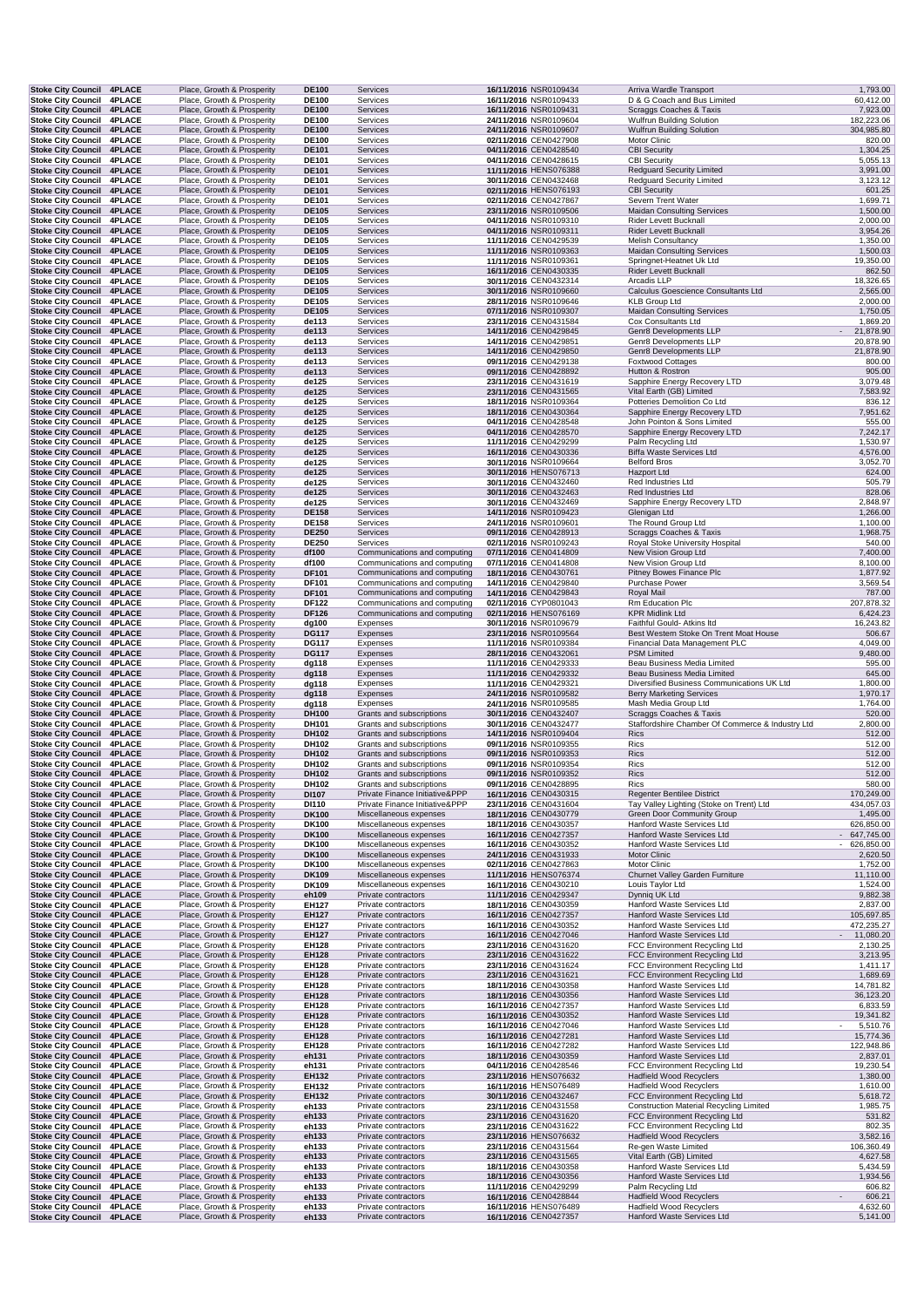|                                                                      | <b>Stoke City Council 4PLACE</b> | Place, Growth & Prosperity                               | <b>DE100</b>                 | Services                                             | 16/11/2016 NSR0109434                          | Arriva Wardle Transport                                                         | 1,793.00                        |
|----------------------------------------------------------------------|----------------------------------|----------------------------------------------------------|------------------------------|------------------------------------------------------|------------------------------------------------|---------------------------------------------------------------------------------|---------------------------------|
| <b>Stoke City Council</b>                                            | <b>4PLACE</b>                    | Place, Growth & Prosperity                               | <b>DE100</b>                 | Services                                             | 16/11/2016 NSR0109433                          | D & G Coach and Bus Limited                                                     | 60,412.00                       |
| <b>Stoke City Council 4PLACE</b>                                     |                                  | Place, Growth & Prosperity                               | <b>DE100</b>                 | Services                                             | 16/11/2016 NSR0109431                          | Scraggs Coaches & Taxis                                                         | 7,923.00                        |
| <b>Stoke City Council</b><br><b>Stoke City Council</b>               | <b>4PLACE</b><br><b>4PLACE</b>   | Place, Growth & Prosperity<br>Place, Growth & Prosperity | <b>DE100</b><br><b>DE100</b> | Services<br>Services                                 | 24/11/2016 NSR0109604<br>24/11/2016 NSR0109607 | <b>Wulfrun Building Solution</b><br><b>Wulfrun Building Solution</b>            | 182,223.06<br>304,985.80        |
| Stoke City Council 4PLACE                                            |                                  | Place, Growth & Prosperity                               | <b>DE100</b>                 | Services                                             | 02/11/2016 CEN0427908                          | Motor Clinic                                                                    | 820.00                          |
| Stoke City Council 4PLACE                                            |                                  | Place, Growth & Prosperity                               | <b>DE101</b>                 | Services                                             | 04/11/2016 CEN0428540                          | <b>CBI Security</b>                                                             | 1,304.25                        |
| <b>Stoke City Council 4PLACE</b>                                     |                                  | Place, Growth & Prosperity                               | <b>DE101</b>                 | Services                                             | 04/11/2016 CEN0428615                          | <b>CBI Security</b>                                                             | 5,055.13                        |
| Stoke City Council 4PLACE                                            |                                  | Place, Growth & Prosperity                               | <b>DE101</b>                 | Services                                             | 11/11/2016 HENS076388                          | <b>Redquard Security Limited</b>                                                | 3,991.00                        |
| Stoke City Council 4PLACE                                            |                                  | Place, Growth & Prosperity                               | <b>DE101</b>                 | Services                                             | 30/11/2016 CEN0432468                          | <b>Redguard Security Limited</b>                                                | 3,123.12                        |
| <b>Stoke City Council</b>                                            | <b>4PLACE</b>                    | Place, Growth & Prosperity                               | <b>DE101</b>                 | Services                                             | 02/11/2016 HENS076193                          | <b>CBI Security</b>                                                             | 601.25                          |
| Stoke City Council 4PLACE                                            |                                  | Place, Growth & Prosperity                               | DE101                        | Services                                             | 02/11/2016 CEN0427867                          | Severn Trent Water                                                              | 1,699.71                        |
| Stoke City Council 4PLACE                                            |                                  | Place, Growth & Prosperity                               | <b>DE105</b><br><b>DE105</b> | Services                                             | 23/11/2016 NSR0109506                          | <b>Maidan Consulting Services</b>                                               | 1,500.00<br>2,000.00            |
| <b>Stoke City Council</b><br>Stoke City Council 4PLACE               | <b>4PLACE</b>                    | Place, Growth & Prosperity<br>Place, Growth & Prosperity | <b>DE105</b>                 | Services<br>Services                                 | 04/11/2016 NSR0109310<br>04/11/2016 NSR0109311 | Rider Levett Bucknall<br><b>Rider Levett Bucknall</b>                           | 3,954.26                        |
| <b>Stoke City Council</b>                                            | <b>4PLACE</b>                    | Place, Growth & Prosperity                               | <b>DE105</b>                 | Services                                             | 11/11/2016 CEN0429539                          | <b>Melish Consultancy</b>                                                       | 1,350.00                        |
| <b>Stoke City Council</b>                                            | <b>4PLACE</b>                    | Place, Growth & Prosperity                               | <b>DE105</b>                 | Services                                             | 11/11/2016 NSR0109363                          | <b>Maidan Consulting Services</b>                                               | 1,500.03                        |
| <b>Stoke City Council 4PLACE</b>                                     |                                  | Place, Growth & Prosperity                               | <b>DE105</b>                 | Services                                             | 11/11/2016 NSR0109361                          | Springnet-Heatnet Uk Ltd                                                        | 19,350.00                       |
| <b>Stoke City Council 4PLACE</b>                                     |                                  | Place, Growth & Prosperity                               | <b>DE105</b>                 | Services                                             | 16/11/2016 CEN0430335                          | Rider Levett Bucknall                                                           | 862.50                          |
| Stoke City Council 4PLACE                                            |                                  | Place, Growth & Prosperity                               | <b>DE105</b>                 | Services                                             | 30/11/2016 CEN0432314                          | Arcadis LLP                                                                     | 18,326.65                       |
| <b>Stoke City Council 4PLACE</b>                                     |                                  | Place, Growth & Prosperity                               | <b>DE105</b>                 | Services                                             | 30/11/2016 NSR0109660                          | Calculus Goescience Consultants Ltd                                             | 2,565.00                        |
| Stoke City Council 4PLACE                                            |                                  | Place, Growth & Prosperity                               | <b>DE105</b>                 | Services                                             | 28/11/2016 NSR0109646                          | <b>KLB Group Ltd</b>                                                            | 2,000.00                        |
| <b>Stoke City Council</b>                                            | <b>4PLACE</b>                    | Place, Growth & Prosperity                               | <b>DE105</b>                 | Services                                             | 07/11/2016 NSR0109307                          | <b>Maidan Consulting Services</b>                                               | 1,750.05                        |
| Stoke City Council 4PLACE<br><b>Stoke City Council 4PLACE</b>        |                                  | Place, Growth & Prosperity<br>Place, Growth & Prosperity | de113<br>de113               | Services<br>Services                                 | 23/11/2016 CEN0431584<br>14/11/2016 CEN0429845 | Cox Consultants Ltd<br>Genr8 Developments LLP                                   | 1,869.20<br>$\sim$<br>21,878.90 |
| <b>Stoke City Council 4PLACE</b>                                     |                                  | Place, Growth & Prosperity                               | de113                        | Services                                             | 14/11/2016 CEN0429851                          | Genr8 Developments LLP                                                          | 20,878.90                       |
| <b>Stoke City Council 4PLACE</b>                                     |                                  | Place, Growth & Prosperity                               | de113                        | Services                                             | 14/11/2016 CEN0429850                          | Genr8 Developments LLP                                                          | 21,878.90                       |
| Stoke City Council 4PLACE                                            |                                  | Place, Growth & Prosperity                               | de113                        | Services                                             | 09/11/2016 CEN0429138                          | <b>Foxtwood Cottages</b>                                                        | 800.00                          |
| <b>Stoke City Council</b>                                            | <b>4PLACE</b>                    | Place, Growth & Prosperity                               | de113                        | Services                                             | 09/11/2016 CEN0428892                          | Hutton & Rostron                                                                | 905.00                          |
| Stoke City Council 4PLACE                                            |                                  | Place, Growth & Prosperity                               | de125                        | Services                                             | 23/11/2016 CEN0431619                          | Sapphire Energy Recovery LTD                                                    | 3,079.48                        |
| Stoke City Council 4PLACE                                            |                                  | Place, Growth & Prosperity                               | de125                        | Services                                             | 23/11/2016 CEN0431565                          | Vital Earth (GB) Limited                                                        | 7,583.92                        |
| <b>Stoke City Council 4PLACE</b>                                     |                                  | Place, Growth & Prosperity                               | de125                        | Services                                             | 18/11/2016 NSR0109364                          | Potteries Demolition Co Ltd                                                     | 836.12                          |
| Stoke City Council 4PLACE                                            |                                  | Place, Growth & Prosperity                               | de125                        | Services                                             | 18/11/2016 CEN0430364                          | Sapphire Energy Recovery LTD                                                    | 7,951.62                        |
| Stoke City Council 4PLACE<br>Stoke City Council 4PLACE               |                                  | Place, Growth & Prosperity                               | de125                        | Services                                             | 04/11/2016 CEN0428548                          | John Pointon & Sons Limited                                                     | 555.00                          |
| <b>Stoke City Council</b>                                            | <b>4PLACE</b>                    | Place, Growth & Prosperity<br>Place, Growth & Prosperity | de125<br>de125               | Services<br>Services                                 | 04/11/2016 CEN0428570<br>11/11/2016 CEN0429299 | Sapphire Energy Recovery LTD<br>Palm Recycling Ltd                              | 7,242.17<br>1,530.97            |
| Stoke City Council 4PLACE                                            |                                  | Place, Growth & Prosperity                               | de125                        | Services                                             | 16/11/2016 CEN0430336                          | <b>Biffa Waste Services Ltd</b>                                                 | 4,576.00                        |
| Stoke City Council 4PLACE                                            |                                  | Place, Growth & Prosperity                               | de125                        | Services                                             | 30/11/2016 NSR0109664                          | <b>Belford Bros</b>                                                             | 3,052.70                        |
| <b>Stoke City Council 4PLACE</b>                                     |                                  | Place, Growth & Prosperity                               | de125                        | Services                                             | 30/11/2016 HENS076713                          | Hazport Ltd                                                                     | 624.00                          |
| <b>Stoke City Council</b>                                            | <b>4PLACE</b>                    | Place, Growth & Prosperity                               | de125                        | Services                                             | 30/11/2016 CEN0432460                          | Red Industries Ltd                                                              | 505.79                          |
| <b>Stoke City Council</b>                                            | <b>4PLACE</b>                    | Place, Growth & Prosperity                               | de125                        | Services                                             | 30/11/2016 CEN0432463                          | Red Industries Ltd                                                              | 828.06                          |
| <b>Stoke City Council</b>                                            | <b>4PLACE</b>                    | Place, Growth & Prosperity                               | de125                        | Services                                             | 30/11/2016 CEN0432469                          | Sapphire Energy Recovery LTD                                                    | 2,848.97                        |
| <b>Stoke City Council</b>                                            | <b>4PLACE</b>                    | Place, Growth & Prosperity                               | <b>DE158</b>                 | Services                                             | 14/11/2016 NSR0109423                          | Glenigan Ltd                                                                    | 1,266.00                        |
| Stoke City Council 4PLACE                                            |                                  | Place, Growth & Prosperity                               | <b>DE158</b>                 | Services                                             | 24/11/2016 NSR0109601                          | The Round Group Ltd                                                             | 1,100.00                        |
| <b>Stoke City Council 4PLACE</b>                                     |                                  | Place, Growth & Prosperity                               | <b>DE250</b>                 | Services                                             | 09/11/2016 CEN0428913                          | Scraggs Coaches & Taxis                                                         | 1,968.75<br>540.00              |
| <b>Stoke City Council 4PLACE</b><br><b>Stoke City Council 4PLACE</b> |                                  | Place, Growth & Prosperity<br>Place, Growth & Prosperity | <b>DE250</b><br>df100        | Services<br>Communications and computing             | 02/11/2016 NSR0109243<br>07/11/2016 CEN0414809 | Royal Stoke University Hospital<br>New Vision Group Ltd                         | 7,400.00                        |
| <b>Stoke City Council</b>                                            | <b>4PLACE</b>                    | Place, Growth & Prosperity                               | df100                        | Communications and computing                         | 07/11/2016 CEN0414808                          | New Vision Group Ltd                                                            | 8,100.00                        |
| <b>Stoke City Council 4PLACE</b>                                     |                                  | Place, Growth & Prosperity                               | DF101                        | Communications and computing                         | 18/11/2016 CEN0430761                          | Pitney Bowes Finance Plc                                                        | 1,877.92                        |
| Stoke City Council 4PLACE                                            |                                  | Place, Growth & Prosperity                               | DF101                        | Communications and computing                         | 14/11/2016 CEN0429840                          | <b>Purchase Power</b>                                                           | 3,569.54                        |
| <b>Stoke City Council 4PLACE</b>                                     |                                  | Place, Growth & Prosperity                               | <b>DF101</b>                 | Communications and computing                         | 14/11/2016 CEN0429843                          | Royal Mail                                                                      | 787.00                          |
| <b>Stoke City Council 4PLACE</b>                                     |                                  | Place, Growth & Prosperity                               | <b>DF122</b>                 | Communications and computing                         | 02/11/2016 CYP0801043                          | Rm Education Plc                                                                | 207,878.32                      |
| <b>Stoke City Council 4PLACE</b>                                     |                                  | Place, Growth & Prosperity                               | <b>DF126</b>                 | Communications and computing                         | 02/11/2016 HENS076169                          | <b>KPR Midlink Ltd</b>                                                          | 6,424.23                        |
| Stoke City Council 4PLACE                                            |                                  | Place, Growth & Prosperity                               | dg100                        | Expenses                                             | 30/11/2016 NSR0109679                          | Faithful Gould- Atkins Itd                                                      | 16,243.82                       |
| <b>Stoke City Council</b>                                            | <b>4PLACE</b>                    | Place, Growth & Prosperity                               | <b>DG117</b>                 | Expenses                                             | 23/11/2016 NSR0109564                          | Best Western Stoke On Trent Moat House                                          | 506.67                          |
| Stoke City Council 4PLACE<br><b>Stoke City Council 4PLACE</b>        |                                  | Place, Growth & Prosperity                               | <b>DG117</b>                 | Expenses                                             | 11/11/2016 NSR0109384                          | Financial Data Management PLC                                                   | 4,049.00                        |
|                                                                      |                                  |                                                          |                              |                                                      |                                                |                                                                                 |                                 |
|                                                                      |                                  | Place, Growth & Prosperity                               | <b>DG117</b>                 | Expenses                                             | 28/11/2016 CEN0432061                          | <b>PSM Limited</b>                                                              | 9,480.00                        |
| <b>Stoke City Council 4PLACE</b>                                     |                                  | Place, Growth & Prosperity                               | dg118                        | Expenses                                             | 11/11/2016 CEN0429333                          | Beau Business Media Limited                                                     | 595.00                          |
| Stoke City Council 4PLACE                                            |                                  | Place, Growth & Prosperity                               | dg118                        | Expenses<br>Expenses                                 | 11/11/2016 CEN0429332<br>11/11/2016 CEN0429321 | Beau Business Media Limited                                                     | 645.00                          |
| Stoke City Council 4PLACE<br><b>Stoke City Council</b>               | <b>4PLACE</b>                    | Place, Growth & Prosperity<br>Place, Growth & Prosperity | dg118<br>dg118               | Expenses                                             | 24/11/2016 NSR0109582                          | Diversified Business Communications UK Ltd<br><b>Berry Marketing Services</b>   | 1,800.00<br>1,970.17            |
| Stoke City Council 4PLACE                                            |                                  | Place, Growth & Prosperity                               | dg118                        | Expenses                                             | 24/11/2016 NSR0109585                          | Mash Media Group Ltd                                                            | 1,764.00                        |
| <b>Stoke City Council 4PLACE</b>                                     |                                  | Place, Growth & Prosperity                               | DH100                        | Grants and subscriptions                             | 30/11/2016 CEN0432407                          | Scraggs Coaches & Taxis                                                         | 520.00                          |
| <b>Stoke City Council 4PLACE</b>                                     |                                  | Place, Growth & Prosperity                               | <b>DH101</b>                 | Grants and subscriptions                             | 30/11/2016 CEN0432477                          | Staffordshire Chamber Of Commerce & Industry Ltd                                | 2,800.00                        |
| Stoke City Council 4PLACE                                            |                                  | Place, Growth & Prosperity                               | DH102                        | Grants and subscriptions                             | 14/11/2016 NSR0109404                          | <b>Rics</b>                                                                     | 512.00                          |
| Stoke City Council 4PLACE                                            |                                  | Place, Growth & Prosperity                               | DH102                        | Grants and subscriptions                             | 09/11/2016 NSR0109355                          | Rics                                                                            | 512.00                          |
| <b>Stoke City Council</b>                                            | <b>4PLACE</b>                    | Place, Growth & Prosperity                               | DH102                        | Grants and subscriptions                             | 09/11/2016 NSR0109353                          | Rics                                                                            | 512.00                          |
| Stoke City Council 4PLACE                                            |                                  | Place, Growth & Prosperity                               | DH102                        | Grants and subscriptions                             | 09/11/2016 NSR0109354                          | Rics                                                                            | 512.00                          |
| <b>Stoke City Council 4PLACE</b>                                     |                                  | Place, Growth & Prosperity                               | DH102                        | Grants and subscriptions<br>Grants and subscriptions | 09/11/2016 NSR0109352<br>09/11/2016 CEN0428895 | Rics                                                                            | 512.00                          |
| Stoke City Council 4PLACE<br><b>Stoke City Council 4PLACE</b>        |                                  | Place, Growth & Prosperity<br>Place, Growth & Prosperity | DH102<br>DI107               | Private Finance Initiative&PPP                       | 16/11/2016 CEN0430315                          | Rics<br><b>Regenter Bentilee District</b>                                       | 580.00<br>170,249.00            |
| Stoke City Council 4PLACE                                            |                                  | Place, Growth & Prosperity                               | DI110                        | Private Finance Initiative&PPP                       | 23/11/2016 CEN0431604                          | Tay Valley Lighting (Stoke on Trent) Ltd                                        | 434,057.03                      |
| <b>Stoke City Council</b>                                            | <b>4PLACE</b>                    | Place, Growth & Prosperity                               | <b>DK100</b>                 | Miscellaneous expenses                               | 18/11/2016 CEN0430779                          | Green Door Community Group                                                      | 1,495.00                        |
| Stoke City Council 4PLACE                                            |                                  | Place, Growth & Prosperity                               | DK100                        | Miscellaneous expenses                               | 18/11/2016 CEN0430357                          | Hanford Waste Services Ltd                                                      | 626,850.00                      |
| Stoke City Council 4PLACE                                            |                                  | Place, Growth & Prosperity                               | <b>DK100</b>                 | Miscellaneous expenses                               | 16/11/2016 CEN0427357                          | Hanford Waste Services Ltd                                                      | 647,745.00                      |
| <b>Stoke City Council</b>                                            | <b>4PLACE</b>                    | Place, Growth & Prosperity                               | DK100                        | Miscellaneous expenses                               | 16/11/2016 CEN0430352                          | Hanford Waste Services Ltd                                                      | $-626,850.00$                   |
| <b>Stoke City Council 4PLACE</b>                                     |                                  | Place, Growth & Prosperity                               | <b>DK100</b>                 | Miscellaneous expenses                               | 24/11/2016 CEN0431933                          | Motor Clinic                                                                    | 2,620.50                        |
| <b>Stoke City Council 4PLACE</b>                                     |                                  | Place, Growth & Prosperity                               | <b>DK100</b>                 | Miscellaneous expenses                               | 02/11/2016 CEN0427863                          | Motor Clinic                                                                    | 1,752.00                        |
| <b>Stoke City Council</b><br>Stoke City Council 4PLACE               | <b>4PLACE</b>                    | Place, Growth & Prosperity<br>Place, Growth & Prosperity | <b>DK109</b><br>DK109        | Miscellaneous expenses<br>Miscellaneous expenses     | 11/11/2016 HENS076374<br>16/11/2016 CEN0430210 | Churnet Valley Garden Furniture<br>Louis Taylor Ltd                             | 11,110.00<br>1,524.00           |
| <b>Stoke City Council 4PLACE</b>                                     |                                  | Place, Growth & Prosperity                               | eh109                        | Private contractors                                  | 11/11/2016 CEN0429347                          | Dynniq UK Ltd                                                                   | 9,882.38                        |
| Stoke City Council 4PLACE                                            |                                  | Place, Growth & Prosperity                               | EH127                        | Private contractors                                  | 18/11/2016 CEN0430359                          | Hanford Waste Services Ltd                                                      | 2,837.00                        |
| <b>Stoke City Council 4PLACE</b>                                     |                                  | Place, Growth & Prosperity                               | EH127                        | Private contractors                                  | 16/11/2016 CEN0427357                          | Hanford Waste Services Ltd                                                      | 105,697.85                      |
| Stoke City Council 4PLACE                                            |                                  | Place, Growth & Prosperity                               | EH127                        | Private contractors                                  | 16/11/2016 CEN0430352                          | Hanford Waste Services Ltd                                                      | 472,235.27                      |
| <b>Stoke City Council</b>                                            | <b>4PLACE</b>                    | Place, Growth & Prosperity                               | <b>EH127</b>                 | Private contractors                                  | 16/11/2016 CEN0427046                          | Hanford Waste Services Ltd                                                      | 11,080.20                       |
| Stoke City Council 4PLACE                                            |                                  | Place, Growth & Prosperity                               | EH128                        | Private contractors                                  | 23/11/2016 CEN0431620                          | FCC Environment Recycling Ltd                                                   | 2,130.25                        |
| <b>Stoke City Council</b>                                            | <b>4PLACE</b>                    | Place, Growth & Prosperity                               | <b>EH128</b>                 | Private contractors                                  | 23/11/2016 CEN0431622                          | FCC Environment Recycling Ltd                                                   | 3,213.95                        |
| Stoke City Council 4PLACE                                            |                                  | Place, Growth & Prosperity                               | <b>EH128</b>                 | Private contractors                                  | 23/11/2016 CEN0431624                          | FCC Environment Recycling Ltd                                                   | 1,411.17                        |
| <b>Stoke City Council 4PLACE</b>                                     |                                  | Place, Growth & Prosperity                               | EH128                        | Private contractors                                  | 23/11/2016 CEN0431621                          | FCC Environment Recycling Ltd                                                   | 1,689.69                        |
| <b>Stoke City Council</b>                                            | <b>4PLACE</b><br><b>4PLACE</b>   | Place, Growth & Prosperity                               | EH128                        | Private contractors                                  | 18/11/2016 CEN0430358                          | Hanford Waste Services Ltd                                                      | 14,781.82                       |
| <b>Stoke City Council</b><br><b>Stoke City Council</b>               | <b>4PLACE</b>                    | Place, Growth & Prosperity<br>Place, Growth & Prosperity | <b>EH128</b><br><b>EH128</b> | Private contractors<br>Private contractors           | 18/11/2016 CEN0430356<br>16/11/2016 CEN0427357 | Hanford Waste Services Ltd<br>Hanford Waste Services Ltd                        | 36,123.20<br>6,833.59           |
| Stoke City Council 4PLACE                                            |                                  | Place, Growth & Prosperity                               | <b>EH128</b>                 | Private contractors                                  | 16/11/2016 CEN0430352                          | Hanford Waste Services Ltd                                                      | 19,341.82                       |
| Stoke City Council 4PLACE                                            |                                  | Place, Growth & Prosperity                               | <b>EH128</b>                 | Private contractors                                  | 16/11/2016 CEN0427046                          | Hanford Waste Services Ltd                                                      | 5,510.76                        |
| Stoke City Council 4PLACE                                            |                                  | Place, Growth & Prosperity                               | EH128                        | Private contractors                                  | 16/11/2016 CEN0427281                          | Hanford Waste Services Ltd                                                      | 15,774.36                       |
| Stoke City Council 4PLACE                                            |                                  | Place, Growth & Prosperity                               | EH128                        | Private contractors                                  | 16/11/2016 CEN0427282                          | Hanford Waste Services Ltd                                                      | 122,948.86                      |
| Stoke City Council 4PLACE                                            |                                  | Place, Growth & Prosperity                               | eh131                        | Private contractors                                  | 18/11/2016 CEN0430359                          | Hanford Waste Services Ltd                                                      | 2,837.01                        |
| <b>Stoke City Council</b>                                            | <b>4PLACE</b>                    | Place, Growth & Prosperity                               | eh131                        | Private contractors                                  | 04/11/2016 CEN0428546                          | FCC Environment Recycling Ltd                                                   | 19,230.54                       |
| <b>Stoke City Council 4PLACE</b>                                     |                                  | Place, Growth & Prosperity                               | <b>EH132</b>                 | Private contractors                                  | 23/11/2016 HENS076632                          | <b>Hadfield Wood Recyclers</b>                                                  | 1,380.00                        |
| Stoke City Council 4PLACE                                            |                                  | Place, Growth & Prosperity                               | EH132                        | Private contractors                                  | 16/11/2016 HENS076489                          | <b>Hadfield Wood Recyclers</b>                                                  | 1,610.00                        |
| Stoke City Council 4PLACE<br>Stoke City Council 4PLACE               |                                  | Place, Growth & Prosperity<br>Place, Growth & Prosperity | EH132<br>eh133               | Private contractors<br>Private contractors           | 30/11/2016 CEN0432467<br>23/11/2016 CEN0431558 | FCC Environment Recycling Ltd<br><b>Construction Material Recycling Limited</b> | 5,618.72<br>1,985.75            |
| Stoke City Council 4PLACE                                            |                                  | Place, Growth & Prosperity                               | eh133                        | Private contractors                                  | 23/11/2016 CEN0431620                          | FCC Environment Recycling Ltd                                                   | 531.82                          |
| <b>Stoke City Council</b>                                            | <b>4PLACE</b>                    | Place, Growth & Prosperity                               | eh133                        | Private contractors                                  | 23/11/2016 CEN0431622                          | FCC Environment Recycling Ltd                                                   | 802.35                          |
| Stoke City Council 4PLACE                                            |                                  | Place, Growth & Prosperity                               | eh133                        | Private contractors                                  | 23/11/2016 HENS076632                          | <b>Hadfield Wood Recyclers</b>                                                  | 3,582.16                        |
| Stoke City Council 4PLACE                                            |                                  | Place, Growth & Prosperity                               | eh133                        | Private contractors                                  | 23/11/2016 CEN0431564                          | Re-gen Waste Limited                                                            | 106,360.49                      |
| Stoke City Council 4PLACE                                            |                                  | Place, Growth & Prosperity                               | eh133                        | Private contractors                                  | 23/11/2016 CEN0431565                          | Vital Earth (GB) Limited                                                        | 4,627.58                        |
| Stoke City Council 4PLACE                                            |                                  | Place, Growth & Prosperity                               | eh133                        | Private contractors                                  | 18/11/2016 CEN0430358                          | Hanford Waste Services Ltd                                                      | 5,434.59                        |
| Stoke City Council 4PLACE                                            |                                  | Place, Growth & Prosperity                               | eh133                        | Private contractors                                  | 18/11/2016 CEN0430356                          | Hanford Waste Services Ltd                                                      | 1,934.56                        |
| Stoke City Council 4PLACE                                            |                                  | Place, Growth & Prosperity                               | eh133                        | Private contractors                                  | 11/11/2016 CEN0429299                          | Palm Recycling Ltd                                                              | 606.82                          |
| Stoke City Council 4PLACE<br>Stoke City Council 4PLACE               |                                  | Place, Growth & Prosperity<br>Place, Growth & Prosperity | eh133<br>eh133               | Private contractors<br>Private contractors           | 16/11/2016 CEN0428844<br>16/11/2016 HENS076489 | <b>Hadfield Wood Recyclers</b><br><b>Hadfield Wood Recyclers</b>                | 606.21<br>4,632.60              |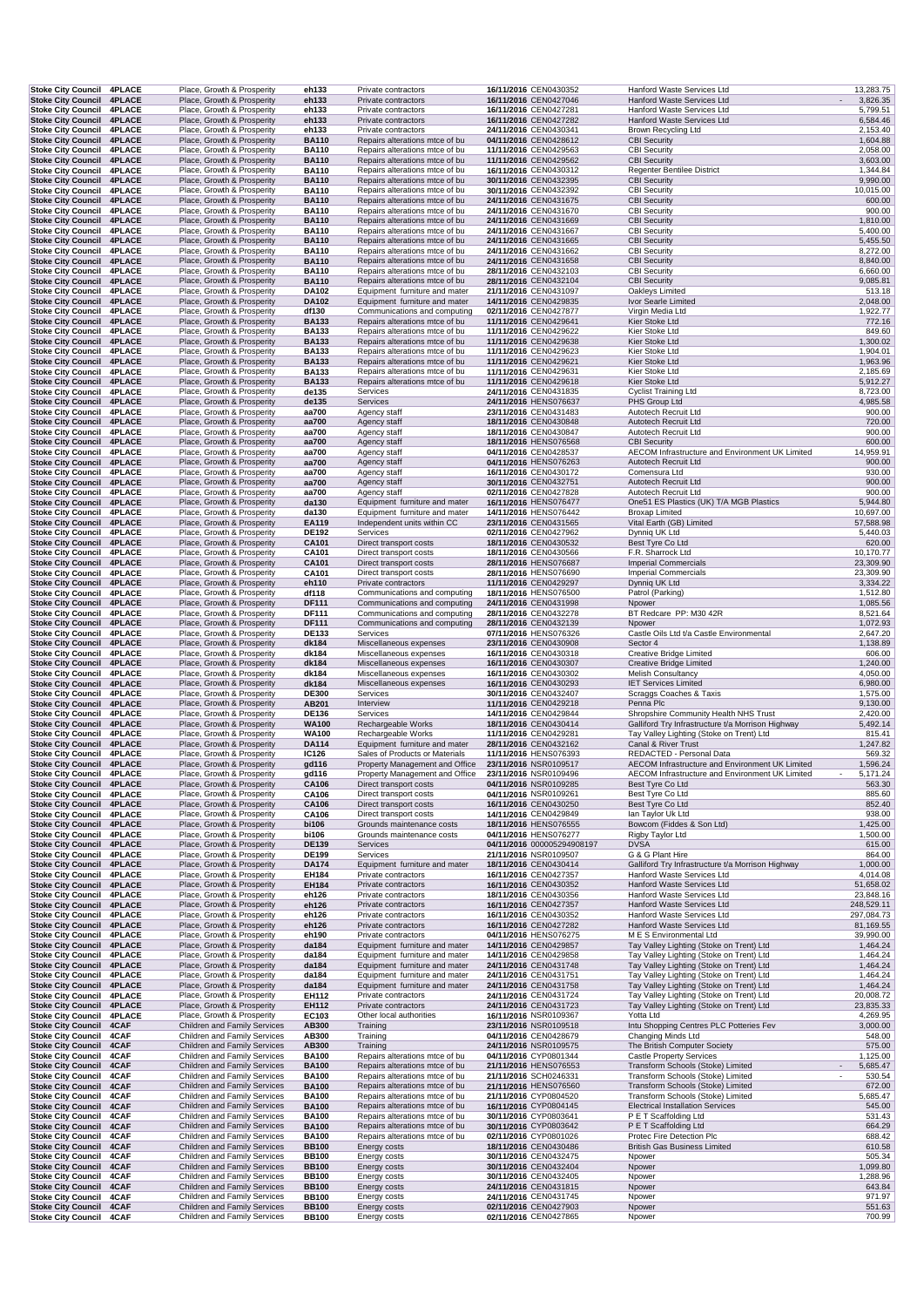| <b>Stoke City Council 4PLACE</b>                              | Stoke City Council 4PLACE | Place, Growth & Prosperity                                   | eh133                        | Private contractors                                              | 16/11/2016 CEN0430352                          | Hanford Waste Services Ltd                                          | 13,283.75             |
|---------------------------------------------------------------|---------------------------|--------------------------------------------------------------|------------------------------|------------------------------------------------------------------|------------------------------------------------|---------------------------------------------------------------------|-----------------------|
|                                                               |                           | Place, Growth & Prosperity                                   | eh133                        | Private contractors                                              | 16/11/2016 CEN0427046                          | Hanford Waste Services Ltd                                          | 3,826.35              |
| Stoke City Council 4PLACE                                     |                           | Place, Growth & Prosperity                                   | eh133                        | Private contractors                                              | 16/11/2016 CEN0427281                          | Hanford Waste Services Ltd                                          | 5,799.51              |
| <b>Stoke City Council</b><br>Stoke City Council 4PLACE        | <b>4PLACE</b>             | Place, Growth & Prosperity<br>Place, Growth & Prosperity     | eh133<br>eh133               | Private contractors<br>Private contractors                       | 16/11/2016 CEN0427282<br>24/11/2016 CEN0430341 | Hanford Waste Services Ltd<br>Brown Recycling Ltd                   | 6,584.46<br>2,153.40  |
| Stoke City Council 4PLACE                                     |                           | Place, Growth & Prosperity                                   | <b>BA110</b>                 | Repairs alterations mtce of bu                                   | 04/11/2016 CEN0428612                          | <b>CBI Security</b>                                                 | 1,604.88              |
| Stoke City Council 4PLACE                                     |                           | Place, Growth & Prosperity                                   | <b>BA110</b>                 | Repairs alterations mtce of bu                                   | 11/11/2016 CEN0429563                          | <b>CBI Security</b>                                                 | 2,058.00              |
| <b>Stoke City Council 4PLACE</b>                              |                           | Place, Growth & Prosperity                                   | <b>BA110</b>                 | Repairs alterations mtce of bu                                   | 11/11/2016 CEN0429562                          | <b>CBI Security</b>                                                 | 3,603.00              |
| Stoke City Council 4PLACE                                     |                           | Place, Growth & Prosperity                                   | <b>BA110</b>                 | Repairs alterations mtce of bu                                   | 16/11/2016 CEN0430312                          | <b>Regenter Bentilee District</b>                                   | 1,344.84              |
| Stoke City Council 4PLACE                                     |                           | Place, Growth & Prosperity                                   | <b>BA110</b>                 | Repairs alterations mtce of bu                                   | 30/11/2016 CEN0432395                          | <b>CBI Security</b>                                                 | 9,990.00              |
| <b>Stoke City Council</b>                                     | <b>4PLACE</b>             | Place, Growth & Prosperity                                   | <b>BA110</b>                 | Repairs alterations mtce of bu                                   | 30/11/2016 CEN0432392                          | <b>CBI Security</b>                                                 | 10,015.00             |
| Stoke City Council 4PLACE                                     |                           | Place, Growth & Prosperity                                   | <b>BA110</b>                 | Repairs alterations mtce of bu                                   | 24/11/2016 CEN0431675                          | <b>CBI Security</b>                                                 | 600.00                |
| Stoke City Council 4PLACE                                     |                           | Place, Growth & Prosperity                                   | <b>BA110</b>                 | Repairs alterations mtce of bu                                   | 24/11/2016 CEN0431670                          | <b>CBI Security</b>                                                 | 900.00                |
| <b>Stoke City Council 4PLACE</b>                              |                           | Place, Growth & Prosperity                                   | <b>BA110</b>                 | Repairs alterations mtce of bu                                   | 24/11/2016 CEN0431669                          | <b>CBI Security</b>                                                 | 1,810.00              |
| Stoke City Council 4PLACE<br><b>Stoke City Council 4PLACE</b> |                           | Place, Growth & Prosperity<br>Place, Growth & Prosperity     | <b>BA110</b><br><b>BA110</b> | Repairs alterations mtce of bu<br>Repairs alterations mtce of bu | 24/11/2016 CEN0431667<br>24/11/2016 CEN0431665 | <b>CBI Security</b><br><b>CBI Security</b>                          | 5,400.00<br>5,455.50  |
| Stoke City Council 4PLACE                                     |                           | Place, Growth & Prosperity                                   | <b>BA110</b>                 | Repairs alterations mtce of bu                                   | 24/11/2016 CEN0431662                          | <b>CBI Security</b>                                                 | 8,272.00              |
| Stoke City Council 4PLACE                                     |                           | Place, Growth & Prosperity                                   | <b>BA110</b>                 | Repairs alterations mtce of bu                                   | 24/11/2016 CEN0431658                          | <b>CBI Security</b>                                                 | 8,840.00              |
| Stoke City Council 4PLACE                                     |                           | Place, Growth & Prosperity                                   | <b>BA110</b>                 | Repairs alterations mtce of bu                                   | 28/11/2016 CEN0432103                          | <b>CBI Security</b>                                                 | 6,660.00              |
| Stoke City Council 4PLACE                                     |                           | Place, Growth & Prosperity                                   | <b>BA110</b>                 | Repairs alterations mtce of bu                                   | 28/11/2016 CEN0432104                          | <b>CBI Security</b>                                                 | 9,085.81              |
| Stoke City Council 4PLACE                                     |                           | Place, Growth & Prosperity                                   | DA102                        | Equipment furniture and mater                                    | 21/11/2016 CEN0431097                          | Oakleys Limited                                                     | 513.18                |
| <b>Stoke City Council 4PLACE</b>                              |                           | Place, Growth & Prosperity                                   | DA102                        | Equipment furniture and mater                                    | 14/11/2016 CEN0429835                          | Ivor Searle Limited                                                 | 2,048.00              |
| <b>Stoke City Council</b>                                     | <b>4PLACE</b>             | Place, Growth & Prosperity                                   | df130                        | Communications and computing                                     | 02/11/2016 CEN0427877                          | Virgin Media Ltd                                                    | 1,922.77              |
| Stoke City Council 4PLACE                                     |                           | Place, Growth & Prosperity                                   | <b>BA133</b>                 | Repairs alterations mtce of bu                                   | 11/11/2016 CEN0429641                          | Kier Stoke Ltd<br>Kier Stoke Ltd                                    | 772.16                |
| Stoke City Council 4PLACE<br><b>Stoke City Council 4PLACE</b> |                           | Place, Growth & Prosperity<br>Place, Growth & Prosperity     | <b>BA133</b><br><b>BA133</b> | Repairs alterations mtce of bu<br>Repairs alterations mtce of bu | 11/11/2016 CEN0429622<br>11/11/2016 CEN0429638 | Kier Stoke Ltd                                                      | 849.60<br>1,300.02    |
| Stoke City Council 4PLACE                                     |                           | Place, Growth & Prosperity                                   | <b>BA133</b>                 | Repairs alterations mtce of bu                                   | 11/11/2016 CEN0429623                          | Kier Stoke Ltd                                                      | 1,904.01              |
| Stoke City Council 4PLACE                                     |                           | Place, Growth & Prosperity                                   | <b>BA133</b>                 | Repairs alterations mtce of bu                                   | 11/11/2016 CEN0429621                          | Kier Stoke Ltd                                                      | 1,963.96              |
| Stoke City Council 4PLACE                                     |                           | Place, Growth & Prosperity                                   | <b>BA133</b>                 | Repairs alterations mtce of bu                                   | 11/11/2016 CEN0429631                          | Kier Stoke Ltd                                                      | 2,185.69              |
| Stoke City Council 4PLACE                                     |                           | Place, Growth & Prosperity                                   | <b>BA133</b>                 | Repairs alterations mtce of bu                                   | 11/11/2016 CEN0429618                          | Kier Stoke Ltd                                                      | 5,912.27              |
| Stoke City Council 4PLACE                                     |                           | Place, Growth & Prosperity                                   | de135                        | Services                                                         | 24/11/2016 CEN0431835                          | Cyclist Training Ltd                                                | 8,723.00              |
| Stoke City Council 4PLACE                                     |                           | Place, Growth & Prosperity                                   | de135                        | Services                                                         | 24/11/2016 HENS076637                          | PHS Group Ltd                                                       | 4,985.58              |
| Stoke City Council 4PLACE                                     |                           | Place, Growth & Prosperity                                   | aa700                        | Agency staff                                                     | 23/11/2016 CEN0431483                          | Autotech Recruit Ltd                                                | 900.00                |
| Stoke City Council 4PLACE                                     |                           | Place, Growth & Prosperity                                   | aa700                        | Agency staff                                                     | 18/11/2016 CEN0430848                          | Autotech Recruit Ltd                                                | 720.00                |
| Stoke City Council 4PLACE                                     |                           | Place, Growth & Prosperity                                   | aa700                        | Agency staff                                                     | 18/11/2016 CEN0430847                          | Autotech Recruit Ltd                                                | 900.00                |
| <b>Stoke City Council</b>                                     | <b>4PLACE</b>             | Place, Growth & Prosperity                                   | aa700                        | Agency staff                                                     | 18/11/2016 HENS076568                          | <b>CBI Security</b>                                                 | 600.00                |
| Stoke City Council 4PLACE                                     |                           | Place, Growth & Prosperity                                   | aa700                        | Agency staff                                                     | 04/11/2016 CEN0428537                          | AECOM Infrastructure and Environment UK Limited                     | 14,959.91             |
| Stoke City Council 4PLACE                                     |                           | Place, Growth & Prosperity                                   | aa700                        | Agency staff                                                     | 04/11/2016 HENS076263                          | Autotech Recruit Ltd                                                | 900.00                |
| Stoke City Council 4PLACE                                     |                           | Place, Growth & Prosperity                                   | aa700                        | Agency staff                                                     | 16/11/2016 CEN0430172                          | Comensura Ltd                                                       | 930.00<br>900.00      |
| Stoke City Council 4PLACE<br>Stoke City Council 4PLACE        |                           | Place, Growth & Prosperity                                   | aa700<br>aa700               | Agency staff                                                     | 30/11/2016 CEN0432751<br>02/11/2016 CEN0427828 | Autotech Recruit Ltd                                                | 900.00                |
| <b>Stoke City Council</b>                                     | <b>4PLACE</b>             | Place, Growth & Prosperity<br>Place, Growth & Prosperity     | da130                        | Agency staff<br>Equipment furniture and mater                    | 16/11/2016 HENS076477                          | Autotech Recruit Ltd<br>One51 ES Plastics (UK) T/A MGB Plastics     | 5,944.80              |
| Stoke City Council 4PLACE                                     |                           | Place, Growth & Prosperity                                   | da130                        | Equipment furniture and mater                                    | 14/11/2016 HENS076442                          | <b>Broxap Limited</b>                                               | 10,697.00             |
| Stoke City Council 4PLACE                                     |                           | Place, Growth & Prosperity                                   | EA119                        | Independent units within CC                                      | 23/11/2016 CEN0431565                          | Vital Earth (GB) Limited                                            | 57,588.98             |
| Stoke City Council 4PLACE                                     |                           | Place, Growth & Prosperity                                   | <b>DE192</b>                 | Services                                                         | 02/11/2016 CEN0427962                          | Dynniq UK Ltd                                                       | 5,440.03              |
| Stoke City Council 4PLACE                                     |                           | Place, Growth & Prosperity                                   | CA101                        | Direct transport costs                                           | 18/11/2016 CEN0430532                          | Best Tyre Co Ltd                                                    | 620.00                |
| Stoke City Council 4PLACE                                     |                           | Place, Growth & Prosperity                                   | CA101                        | Direct transport costs                                           | 18/11/2016 CEN0430566                          | F.R. Sharrock Ltd                                                   | 10,170.77             |
| <b>Stoke City Council</b>                                     | <b>4PLACE</b>             | Place, Growth & Prosperity                                   | CA101                        | Direct transport costs                                           | 28/11/2016 HENS076687                          | <b>Imperial Commercials</b>                                         | 23,309.90             |
| Stoke City Council 4PLACE                                     |                           | Place, Growth & Prosperity                                   | CA101                        | Direct transport costs                                           | 28/11/2016 HENS076690                          | <b>Imperial Commercials</b>                                         | 23,309.90             |
| Stoke City Council 4PLACE                                     |                           | Place, Growth & Prosperity                                   | eh110                        | Private contractors                                              | 11/11/2016 CEN0429297                          | Dynniq UK Ltd                                                       | 3,334.22              |
| Stoke City Council 4PLACE                                     |                           | Place, Growth & Prosperity                                   | df118                        | Communications and computing                                     | 18/11/2016 HENS076500                          | Patrol (Parking)                                                    | 1,512.80              |
| <b>Stoke City Council 4PLACE</b>                              |                           | Place, Growth & Prosperity                                   | <b>DF111</b>                 | Communications and computing                                     | 24/11/2016 CEN0431998                          | Npower                                                              | 1,085.56              |
| Stoke City Council 4PLACE                                     |                           | Place, Growth & Prosperity                                   | <b>DF111</b>                 | Communications and computing                                     | 28/11/2016 CEN0432278                          | BT Redcare PP: M30 42R                                              | 8,521.64              |
| Stoke City Council 4PLACE                                     |                           | Place, Growth & Prosperity                                   | <b>DF111</b>                 | Communications and computing                                     | 28/11/2016 CEN0432139                          | Npower                                                              | 1,072.93              |
| Stoke City Council 4PLACE<br>Stoke City Council 4PLACE        |                           | Place, Growth & Prosperity<br>Place, Growth & Prosperity     | DE133<br>dk184               | Services<br>Miscellaneous expenses                               | 07/11/2016 HENS076326<br>23/11/2016 CEN0430908 | Castle Oils Ltd t/a Castle Environmental<br>Sector 4                | 2,647.20<br>1,138.89  |
| Stoke City Council 4PLACE                                     |                           | Place, Growth & Prosperity                                   | dk184                        | Miscellaneous expenses                                           | 16/11/2016 CEN0430318                          | Creative Bridge Limited                                             | 606.00                |
| Stoke City Council 4PLACE                                     |                           | Place, Growth & Prosperity                                   | dk184                        | Miscellaneous expenses                                           | 16/11/2016 CEN0430307                          | <b>Creative Bridge Limited</b>                                      | 1,240.00              |
| Stoke City Council 4PLACE                                     |                           | Place, Growth & Prosperity                                   | dk184                        | Miscellaneous expenses                                           | 16/11/2016 CEN0430302                          | Melish Consultancy                                                  | 4,050.00              |
| Stoke City Council 4PLACE                                     |                           | Place, Growth & Prosperity                                   | dk184                        | Miscellaneous expenses                                           | 16/11/2016 CEN0430293                          | <b>IET Services Limited</b>                                         | 6,980.00              |
| Stoke City Council 4PLACE                                     |                           | Place, Growth & Prosperity                                   | <b>DE300</b>                 | Services                                                         | 30/11/2016 CEN0432407                          | Scraggs Coaches & Taxis                                             | 1,575.00              |
| Stoke City Council 4PLACE                                     |                           | Place, Growth & Prosperity                                   | AB201                        | Interview                                                        | 11/11/2016 CEN0429218                          | Penna Plc                                                           | 9,130.00              |
| Stoke City Council 4PLACE                                     |                           | Place, Growth & Prosperity                                   | <b>DE136</b>                 | Services                                                         | 14/11/2016 CEN0429844                          | Shropshire Community Health NHS Trust                               | 2,420.00              |
| <b>Stoke City Council 4PLACE</b>                              |                           | Place, Growth & Prosperity                                   | <b>WA100</b>                 | Rechargeable Works                                               | 18/11/2016 CEN0430414                          | Galliford Try Infrastructure t/a Morrison Highway                   | 5,492.14              |
| Stoke City Council 4PLACE                                     |                           |                                                              | <b>WA100</b>                 | Rechargeable Works                                               | 11/11/2016 CEN0429281                          | Tay Valley Lighting (Stoke on Trent) Ltd                            | 815.41                |
|                                                               |                           | Place, Growth & Prosperity                                   |                              | Equipment furniture and mater                                    |                                                |                                                                     |                       |
| Stoke City Council 4PLACE                                     |                           | Place, Growth & Prosperity                                   | <b>DA114</b>                 |                                                                  | 28/11/2016 CEN0432162                          | Canal & River Trust                                                 | 1,247.82              |
| Stoke City Council 4PLACE                                     |                           | Place, Growth & Prosperity                                   | IC126                        | Sales of Products or Materials                                   | 11/11/2016 HENS076393                          | REDACTED - Personal Data                                            | 569.32                |
| Stoke City Council 4PLACE                                     |                           | Place, Growth & Prosperity                                   | gd116                        | Property Management and Office                                   | 23/11/2016 NSR0109517                          | AECOM Infrastructure and Environment UK Limited                     | 1,596.24              |
| Stoke City Council 4PLACE                                     |                           | Place, Growth & Prosperity                                   | gd116                        | Property Management and Office                                   | 23/11/2016 NSR0109496                          | AECOM Infrastructure and Environment UK Limited                     | 5,171.24              |
| <b>Stoke City Council 4PLACE</b>                              |                           | Place, Growth & Prosperity                                   | CA106                        | Direct transport costs                                           | 04/11/2016 NSR0109285                          | Best Tyre Co Ltd                                                    | 563.30                |
| Stoke City Council 4PLACE                                     |                           | Place, Growth & Prosperity                                   | <b>CA106</b>                 | Direct transport costs                                           | 04/11/2016 NSR0109261                          | Best Tyre Co Ltd                                                    | 885.60                |
| Stoke City Council 4PLACE                                     |                           | Place, Growth & Prosperity                                   | CA106                        | Direct transport costs                                           | 16/11/2016 CEN0430250                          | Best Tyre Co Ltd                                                    | 852.40                |
| <b>Stoke City Council</b>                                     | <b>4PLACE</b>             | Place, Growth & Prosperity                                   | CA106                        | Direct transport costs                                           | 14/11/2016 CEN0429849                          | lan Taylor Uk Ltd<br>Bowcom (Fiddes & Son Ltd)                      | 938.00                |
| <b>Stoke City Council</b><br>Stoke City Council 4PLACE        | <b>4PLACE</b>             | Place, Growth & Prosperity<br>Place, Growth & Prosperity     | bi106<br>bi106               | Grounds maintenance costs<br>Grounds maintenance costs           | 18/11/2016 HENS076555<br>04/11/2016 HENS076277 | Rigby Taylor Ltd                                                    | 1,425.00<br>1,500.00  |
| Stoke City Council 4PLACE                                     |                           | Place, Growth & Prosperity                                   | <b>DE139</b>                 | Services                                                         | 04/11/2016 000005294908197                     | <b>DVSA</b>                                                         | 615.00                |
| Stoke City Council 4PLACE                                     |                           | Place, Growth & Prosperity                                   | <b>DE199</b>                 | Services                                                         | 21/11/2016 NSR0109507                          | G & G Plant Hire                                                    | 864.00                |
| Stoke City Council 4PLACE                                     |                           | Place, Growth & Prosperity                                   | <b>DA174</b>                 | Equipment furniture and mater                                    | 18/11/2016 CEN0430414                          | Galliford Try Infrastructure t/a Morrison Highway                   | 1,000.00              |
| <b>Stoke City Council</b>                                     | <b>4PLACE</b>             | Place, Growth & Prosperity                                   | EH184                        | Private contractors                                              | 16/11/2016 CEN0427357                          | Hanford Waste Services Ltd                                          | 4,014.08              |
| <b>Stoke City Council</b>                                     | <b>4PLACE</b>             | Place, Growth & Prosperity                                   | EH184                        | Private contractors                                              | 16/11/2016 CEN0430352                          | Hanford Waste Services Ltd                                          | 51,658.02             |
| Stoke City Council 4PLACE                                     |                           | Place, Growth & Prosperity                                   | eh126                        | Private contractors                                              | 18/11/2016 CEN0430356                          | Hanford Waste Services Ltd                                          | 23,848.16             |
| Stoke City Council 4PLACE                                     |                           | Place, Growth & Prosperity                                   | eh126                        | Private contractors                                              | 16/11/2016 CEN0427357                          | Hanford Waste Services Ltd                                          | 248,529.11            |
| Stoke City Council 4PLACE                                     |                           | Place, Growth & Prosperity                                   | eh126                        | Private contractors                                              | 16/11/2016 CEN0430352                          | Hanford Waste Services Ltd                                          | 297,084.73            |
| <b>Stoke City Council 4PLACE</b>                              |                           | Place, Growth & Prosperity                                   | eh126                        | Private contractors                                              | 16/11/2016 CEN0427282                          | Hanford Waste Services Ltd                                          | 81,169.55             |
| Stoke City Council 4PLACE<br><b>Stoke City Council</b>        | <b>4PLACE</b>             | Place, Growth & Prosperity<br>Place, Growth & Prosperity     | eh190<br>da184               | Private contractors<br>Equipment furniture and mater             | 04/11/2016 HENS076275<br>14/11/2016 CEN0429857 | M E S Environmental Ltd<br>Tay Valley Lighting (Stoke on Trent) Ltd | 39,990.00<br>1,464.24 |
| Stoke City Council 4PLACE                                     |                           | Place, Growth & Prosperity                                   | da184                        | Equipment furniture and mater                                    | 14/11/2016 CEN0429858                          | Tay Valley Lighting (Stoke on Trent) Ltd                            | 1,464.24              |
| Stoke City Council 4PLACE                                     |                           | Place, Growth & Prosperity                                   | da184                        | Equipment furniture and mater                                    | 24/11/2016 CEN0431748                          | Tay Valley Lighting (Stoke on Trent) Ltd                            | 1,464.24              |
| <b>Stoke City Council</b>                                     | <b>4PLACE</b>             | Place, Growth & Prosperity                                   | da184                        | Equipment furniture and mater                                    | 24/11/2016 CEN0431751                          | Tay Valley Lighting (Stoke on Trent) Ltd                            | 1,464.24              |
| <b>Stoke City Council</b>                                     | <b>4PLACE</b>             | Place, Growth & Prosperity                                   | da184                        | Equipment furniture and mater                                    | 24/11/2016 CEN0431758                          | Tay Valley Lighting (Stoke on Trent) Ltd                            | 1,464.24              |
| Stoke City Council 4PLACE                                     |                           | Place, Growth & Prosperity                                   | <b>EH112</b>                 | Private contractors                                              | 24/11/2016 CEN0431724                          | Tay Valley Lighting (Stoke on Trent) Ltd                            | 20,008.72             |
| <b>Stoke City Council</b>                                     | <b>4PLACE</b>             | Place, Growth & Prosperity                                   | <b>EH112</b>                 | Private contractors                                              | 24/11/2016 CEN0431723                          | Tay Valley Lighting (Stoke on Trent) Ltd                            | 23,835.33             |
| Stoke City Council 4PLACE                                     |                           | Place, Growth & Prosperity                                   | EC103                        | Other local authorities                                          | 16/11/2016 NSR0109367                          | Yotta Ltd                                                           | 4,269.95              |
| Stoke City Council 4CAF                                       |                           | Children and Family Services                                 | AB300                        | Training                                                         | 23/11/2016 NSR0109518                          | Intu Shopping Centres PLC Potteries Fev                             | 3,000.00              |
| <b>Stoke City Council</b><br><b>Stoke City Council</b>        | 4CAF<br>4CAF              | Children and Family Services<br>Children and Family Services | AB300<br>AB300               | Training<br>Training                                             | 04/11/2016 CEN0428679<br>24/11/2016 NSR0109575 | Changing Minds Ltd<br>The British Computer Society                  | 548.00<br>575.00      |
| <b>Stoke City Council</b>                                     | 4CAF                      | Children and Family Services                                 | <b>BA100</b>                 | Repairs alterations mtce of bu                                   | 04/11/2016 CYP0801344                          | <b>Castle Property Services</b>                                     | 1,125.00              |
| <b>Stoke City Council</b>                                     | 4CAF                      | Children and Family Services                                 | <b>BA100</b>                 | Repairs alterations mtce of bu                                   | 21/11/2016 HENS076553                          | Transform Schools (Stoke) Limited                                   | 5,685.47              |
| <b>Stoke City Council</b>                                     | 4CAF                      | Children and Family Services                                 | <b>BA100</b>                 | Repairs alterations mtce of bu                                   | 21/11/2016 SCH0246331                          | Transform Schools (Stoke) Limited                                   | 530.54                |
| <b>Stoke City Council</b>                                     | 4CAF                      | Children and Family Services                                 | <b>BA100</b>                 | Repairs alterations mtce of bu                                   | 21/11/2016 HENS076560                          | Transform Schools (Stoke) Limited                                   | 672.00                |
| <b>Stoke City Council</b>                                     | 4CAF                      | Children and Family Services                                 | <b>BA100</b>                 | Repairs alterations mtce of bu                                   | 21/11/2016 CYP0804520                          | Transform Schools (Stoke) Limited                                   | 5,685.47              |
| <b>Stoke City Council</b>                                     | 4CAF                      | Children and Family Services                                 | <b>BA100</b>                 | Repairs alterations mtce of bu                                   | 16/11/2016 CYP0804145                          | <b>Electrical Installation Services</b>                             | 545.00                |
| <b>Stoke City Council</b>                                     | 4CAF                      | Children and Family Services                                 | <b>BA100</b>                 | Repairs alterations mtce of bu                                   | 30/11/2016 CYP0803641                          | P E T Scaffolding Ltd                                               | 531.43                |
| <b>Stoke City Council</b>                                     | 4CAF                      | Children and Family Services                                 | <b>BA100</b>                 | Repairs alterations mtce of bu                                   | 30/11/2016 CYP0803642                          | P E T Scaffolding Ltd                                               | 664.29                |
| <b>Stoke City Council</b>                                     | 4CAF                      | Children and Family Services                                 | <b>BA100</b>                 | Repairs alterations mtce of bu                                   | 02/11/2016 CYP0801026                          | Protec Fire Detection Plc                                           | 688.42                |
| <b>Stoke City Council</b>                                     | 4CAF                      | Children and Family Services                                 | <b>BB100</b>                 | Energy costs                                                     | 18/11/2016 CEN0430486                          | <b>British Gas Business Limited</b>                                 | 610.58                |
| <b>Stoke City Council</b>                                     | 4CAF                      | Children and Family Services                                 | <b>BB100</b>                 | Energy costs                                                     | 30/11/2016 CEN0432475                          | Npower                                                              | 505.34                |
| Stoke City Council 4CAF                                       |                           | Children and Family Services                                 | <b>BB100</b>                 | Energy costs                                                     | 30/11/2016 CEN0432404                          | Npower                                                              | 1,099.80              |
| <b>Stoke City Council</b><br><b>Stoke City Council</b>        | 4CAF<br>4CAF              | Children and Family Services<br>Children and Family Services | <b>BB100</b><br><b>BB100</b> | Energy costs<br>Energy costs                                     | 30/11/2016 CEN0432405<br>24/11/2016 CEN0431815 | Npower<br>Npower                                                    | 1,288.96<br>643.84    |
| <b>Stoke City Council</b>                                     | 4CAF                      | Children and Family Services                                 | <b>BB100</b>                 | Energy costs                                                     | 24/11/2016 CEN0431745                          | Npower                                                              | 971.97                |
| <b>Stoke City Council</b><br>Stoke City Council 4CAF          | 4CAF                      | Children and Family Services<br>Children and Family Services | <b>BB100</b><br><b>BB100</b> | Energy costs<br>Energy costs                                     | 02/11/2016 CEN0427903<br>02/11/2016 CEN0427865 | Npower<br>Npower                                                    | 551.63<br>700.99      |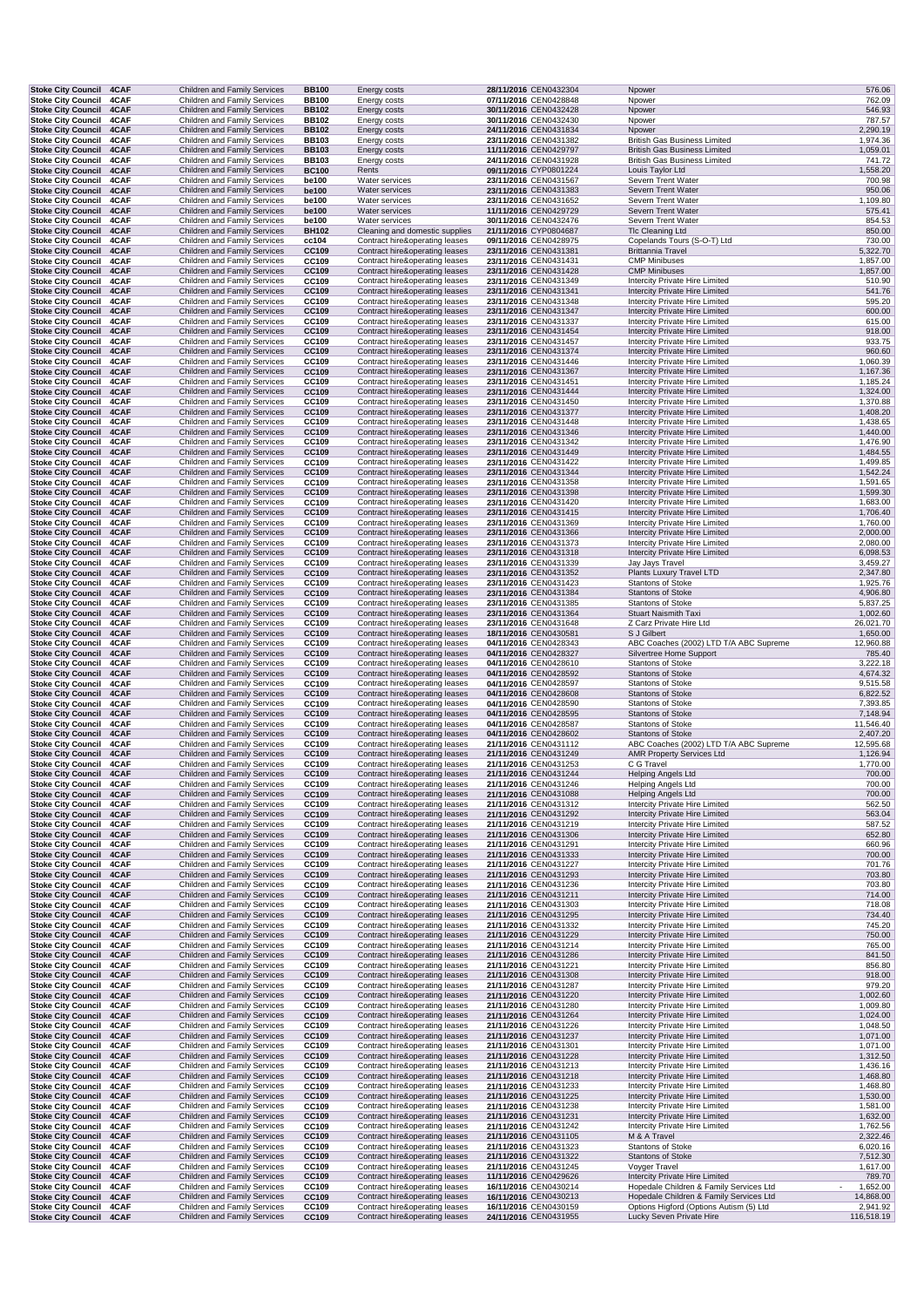| <b>Stoke City Council</b>                              | 4CAF         | Children and Family Services                                        | <b>BB100</b>                 | Energy costs                                                     | 28/11/2016 CEN0432304                          | Npower                                                                                                | 576.06                |
|--------------------------------------------------------|--------------|---------------------------------------------------------------------|------------------------------|------------------------------------------------------------------|------------------------------------------------|-------------------------------------------------------------------------------------------------------|-----------------------|
| <b>Stoke City Council</b>                              | 4CAF         | Children and Family Services                                        | <b>BB100</b>                 | Energy costs                                                     | 07/11/2016 CEN0428848                          | Npower                                                                                                | 762.09                |
| <b>Stoke City Council</b><br><b>Stoke City Council</b> | 4CAF<br>4CAF | <b>Children and Family Services</b><br>Children and Family Services | <b>BB102</b><br><b>BB102</b> | Energy costs<br>Energy costs                                     | 30/11/2016 CEN0432428<br>30/11/2016 CEN0432430 | Npower<br>Npower                                                                                      | 546.93<br>787.57      |
| <b>Stoke City Council</b>                              | 4CAF         | Children and Family Services                                        | <b>BB102</b>                 | Energy costs                                                     | 24/11/2016 CEN0431834                          | Npower                                                                                                | 2,290.19              |
| Stoke City Council 4CAF                                |              | Children and Family Services                                        | <b>BB103</b>                 | Energy costs                                                     | 23/11/2016 CEN0431382                          | <b>British Gas Business Limited</b>                                                                   | 1,974.36              |
| Stoke City Council 4CAF                                |              | Children and Family Services                                        | <b>BB103</b>                 | Energy costs                                                     | 11/11/2016 CEN0429797                          | <b>British Gas Business Limited</b>                                                                   | 1,059.01              |
| <b>Stoke City Council</b><br><b>Stoke City Council</b> | 4CAF<br>4CAF | Children and Family Services<br>Children and Family Services        | <b>BB103</b><br><b>BC100</b> | Energy costs<br>Rents                                            | 24/11/2016 CEN0431928<br>09/11/2016 CYP0801224 | British Gas Business Limited<br>Louis Taylor Ltd                                                      | 741.72<br>1,558.20    |
| <b>Stoke City Council</b>                              | 4CAF         | Children and Family Services                                        | be100                        | Water services                                                   | 23/11/2016 CEN0431567                          | Severn Trent Water                                                                                    | 700.98                |
| <b>Stoke City Council</b>                              | 4CAF         | Children and Family Services                                        | be100                        | Water services                                                   | 23/11/2016 CEN0431383                          | Severn Trent Water                                                                                    | 950.06                |
| <b>Stoke City Council</b><br><b>Stoke City Council</b> | 4CAF<br>4CAF | Children and Family Services<br>Children and Family Services        | be100<br>be100               | Water services<br>Water services                                 | 23/11/2016 CEN0431652<br>11/11/2016 CEN0429729 | Severn Trent Water<br>Severn Trent Water                                                              | 1,109.80<br>575.41    |
| <b>Stoke City Council</b>                              | 4CAF         | Children and Family Services                                        | be100                        | Water services                                                   | 30/11/2016 CEN0432476                          | Severn Trent Water                                                                                    | 854.53                |
| <b>Stoke City Council</b>                              | 4CAF         | Children and Family Services                                        | <b>BH102</b>                 | Cleaning and domestic supplies                                   | 21/11/2016 CYP0804687                          | <b>TIc Cleaning Ltd</b>                                                                               | 850.00                |
| <b>Stoke City Council</b><br><b>Stoke City Council</b> | 4CAF<br>4CAF | Children and Family Services<br><b>Children and Family Services</b> | cc104<br>CC109               | Contract hire&operating leases                                   | 09/11/2016 CEN0428975<br>23/11/2016 CEN0431381 | Copelands Tours (S-O-T) Ltd<br><b>Brittannia Travel</b>                                               | 730.00<br>5,322.70    |
| <b>Stoke City Council</b>                              | 4CAF         | Children and Family Services                                        | CC109                        | Contract hire&operating leases<br>Contract hire&operating leases | 23/11/2016 CEN0431431                          | <b>CMP Minibuses</b>                                                                                  | 1,857.00              |
| <b>Stoke City Council</b>                              | 4CAF         | <b>Children and Family Services</b>                                 | CC109                        | Contract hire&operating leases                                   | 23/11/2016 CEN0431428                          | <b>CMP Minibuses</b>                                                                                  | 1,857.00              |
| <b>Stoke City Council</b>                              | 4CAF         | Children and Family Services                                        | CC109                        | Contract hire&operating leases                                   | 23/11/2016 CEN0431349                          | Intercity Private Hire Limited                                                                        | 510.90                |
| <b>Stoke City Council</b><br><b>Stoke City Council</b> | 4CAF<br>4CAF | Children and Family Services<br>Children and Family Services        | CC109<br>CC109               | Contract hire&operating leases<br>Contract hire&operating leases | 23/11/2016 CEN0431341<br>23/11/2016 CEN0431348 | Intercity Private Hire Limited<br>Intercity Private Hire Limited                                      | 541.76<br>595.20      |
| <b>Stoke City Council</b>                              | 4CAF         | Children and Family Services                                        | CC109                        | Contract hire&operating leases                                   | 23/11/2016 CEN0431347                          | Intercity Private Hire Limited                                                                        | 600.00                |
| <b>Stoke City Council</b>                              | 4CAF         | Children and Family Services                                        | CC109                        | Contract hire&operating leases                                   | 23/11/2016 CEN0431337                          | Intercity Private Hire Limited                                                                        | 615.00                |
| <b>Stoke City Council</b>                              | 4CAF         | <b>Children and Family Services</b><br>Children and Family Services | CC109                        | Contract hire&operating leases                                   | 23/11/2016 CEN0431454                          | Intercity Private Hire Limited                                                                        | 918.00<br>933.75      |
| <b>Stoke City Council</b><br><b>Stoke City Council</b> | 4CAF<br>4CAF | Children and Family Services                                        | CC109<br>CC109               | Contract hire&operating leases<br>Contract hire&operating leases | 23/11/2016 CEN0431457<br>23/11/2016 CEN0431374 | Intercity Private Hire Limited<br>Intercity Private Hire Limited                                      | 960.60                |
| <b>Stoke City Council</b>                              | 4CAF         | Children and Family Services                                        | CC109                        | Contract hire&operating leases                                   | 23/11/2016 CEN0431446                          | Intercity Private Hire Limited                                                                        | 1,060.39              |
| <b>Stoke City Council</b>                              | 4CAF         | Children and Family Services                                        | CC109                        | Contract hire&operating leases                                   | 23/11/2016 CEN0431367                          | Intercity Private Hire Limited                                                                        | 1,167.36              |
| <b>Stoke City Council</b><br>Stoke City Council 4CAF   | 4CAF         | Children and Family Services<br><b>Children and Family Services</b> | CC109<br>CC109               | Contract hire&operating leases<br>Contract hire&operating leases | 23/11/2016 CEN0431451<br>23/11/2016 CEN0431444 | Intercity Private Hire Limited<br>Intercity Private Hire Limited                                      | 1,185.24<br>1,324.00  |
| Stoke City Council 4CAF                                |              | Children and Family Services                                        | CC109                        | Contract hire&operating leases                                   | 23/11/2016 CEN0431450                          | Intercity Private Hire Limited                                                                        | 1,370.88              |
| <b>Stoke City Council</b>                              | 4CAF         | Children and Family Services                                        | CC109                        | Contract hire&operating leases                                   | 23/11/2016 CEN0431377                          | Intercity Private Hire Limited                                                                        | 1,408.20              |
| <b>Stoke City Council</b><br><b>Stoke City Council</b> | 4CAF<br>4CAF | Children and Family Services<br><b>Children and Family Services</b> | CC109<br>CC109               | Contract hire&operating leases<br>Contract hire&operating leases | 23/11/2016 CEN0431448<br>23/11/2016 CEN0431346 | Intercity Private Hire Limited<br>Intercity Private Hire Limited                                      | 1,438.65<br>1,440.00  |
| <b>Stoke City Council</b>                              | 4CAF         | Children and Family Services                                        | CC109                        | Contract hire&operating leases                                   | 23/11/2016 CEN0431342                          | Intercity Private Hire Limited                                                                        | 1,476.90              |
| <b>Stoke City Council</b>                              | 4CAF         | Children and Family Services                                        | CC109                        | Contract hire&operating leases                                   | 23/11/2016 CEN0431449                          | Intercity Private Hire Limited                                                                        | 1,484.55              |
| <b>Stoke City Council</b>                              | 4CAF         | Children and Family Services                                        | CC109                        | Contract hire&operating leases                                   | 23/11/2016 CEN0431422                          | Intercity Private Hire Limited                                                                        | 1,499.85              |
| <b>Stoke City Council</b><br><b>Stoke City Council</b> | 4CAF<br>4CAF | Children and Family Services<br>Children and Family Services        | CC109<br>CC109               | Contract hire&operating leases<br>Contract hire&operating leases | 23/11/2016 CEN0431344<br>23/11/2016 CEN0431358 | <b>Intercity Private Hire Limited</b><br>Intercity Private Hire Limited                               | 1,542.24<br>1,591.65  |
| <b>Stoke City Council</b>                              | 4CAF         | <b>Children and Family Services</b>                                 | CC109                        | Contract hire&operating leases                                   | 23/11/2016 CEN0431398                          | <b>Intercity Private Hire Limited</b>                                                                 | 1,599.30              |
| <b>Stoke City Council</b>                              | 4CAF         | Children and Family Services                                        | CC109                        | Contract hire&operating leases                                   | 23/11/2016 CEN0431420                          | Intercity Private Hire Limited                                                                        | 1,683.00              |
| Stoke City Council 4CAF<br><b>Stoke City Council</b>   | 4CAF         | Children and Family Services<br>Children and Family Services        | CC109<br>CC109               | Contract hire&operating leases<br>Contract hire&operating leases | 23/11/2016 CEN0431415<br>23/11/2016 CEN0431369 | Intercity Private Hire Limited<br><b>Intercity Private Hire Limited</b>                               | 1,706.40<br>1,760.00  |
| <b>Stoke City Council</b>                              | 4CAF         | Children and Family Services                                        | CC109                        | Contract hire&operating leases                                   | 23/11/2016 CEN0431366                          | <b>Intercity Private Hire Limited</b>                                                                 | 2,000.00              |
| <b>Stoke City Council</b>                              | 4CAF         | Children and Family Services                                        | CC109                        | Contract hire&operating leases                                   | 23/11/2016 CEN0431373                          | Intercity Private Hire Limited                                                                        | 2,080.00              |
| <b>Stoke City Council</b>                              | 4CAF         | Children and Family Services                                        | CC109                        | Contract hire&operating leases                                   | 23/11/2016 CEN0431318                          | Intercity Private Hire Limited                                                                        | 6,098.53              |
| <b>Stoke City Council</b><br><b>Stoke City Council</b> | 4CAF<br>4CAF | Children and Family Services<br><b>Children and Family Services</b> | CC109<br>CC109               | Contract hire&operating leases<br>Contract hire&operating leases | 23/11/2016 CEN0431339<br>23/11/2016 CEN0431352 | Jay Jays Travel<br>Plants Luxury Travel LTD                                                           | 3,459.27<br>2,347.80  |
| <b>Stoke City Council</b>                              | 4CAF         | Children and Family Services                                        | CC109                        | Contract hire&operating leases                                   | 23/11/2016 CEN0431423                          | <b>Stantons of Stoke</b>                                                                              | 1,925.76              |
| <b>Stoke City Council</b>                              | 4CAF         | Children and Family Services                                        | CC109                        | Contract hire&operating leases                                   | 23/11/2016 CEN0431384                          | <b>Stantons of Stoke</b>                                                                              | 4,906.80              |
| <b>Stoke City Council</b><br><b>Stoke City Council</b> | 4CAF<br>4CAF | Children and Family Services<br><b>Children and Family Services</b> | CC109<br>CC109               | Contract hire&operating leases<br>Contract hire&operating leases | 23/11/2016 CEN0431385<br>23/11/2016 CEN0431364 | Stantons of Stoke<br><b>Stuart Naismith Taxi</b>                                                      | 5,837.25<br>1,002.60  |
| <b>Stoke City Council</b>                              | 4CAF         | Children and Family Services                                        | CC109                        | Contract hire&operating leases                                   | 23/11/2016 CEN0431648                          | Z Carz Private Hire Ltd                                                                               | 26,021.70             |
| <b>Stoke City Council</b>                              | 4CAF         | Children and Family Services                                        | CC109                        | Contract hire&operating leases                                   | 18/11/2016 CEN0430581                          | S J Gilbert                                                                                           | 1,650.00              |
| Stoke City Council 4CAF                                |              | Children and Family Services                                        | CC109                        | Contract hire&operating leases                                   | 04/11/2016 CEN0428343                          | ABC Coaches (2002) LTD T/A ABC Supreme                                                                | 12,960.88             |
| Stoke City Council 4CAF<br><b>Stoke City Council</b>   | 4CAF         | Children and Family Services<br>Children and Family Services        | CC109<br>CC109               | Contract hire&operating leases<br>Contract hire&operating leases | 04/11/2016 CEN0428327<br>04/11/2016 CEN0428610 | Silvertree Home Support<br>Stantons of Stoke                                                          | 785.40<br>3,222.18    |
| <b>Stoke City Council</b>                              | 4CAF         | <b>Children and Family Services</b>                                 | CC109                        | Contract hire&operating leases                                   | 04/11/2016 CEN0428592                          | <b>Stantons of Stoke</b>                                                                              | 4,674.32              |
| <b>Stoke City Council</b>                              | 4CAF         | Children and Family Services                                        | CC109                        | Contract hire&operating leases                                   | 04/11/2016 CEN0428597                          | <b>Stantons of Stoke</b>                                                                              | 9,515.58              |
| <b>Stoke City Council</b><br><b>Stoke City Council</b> | 4CAF<br>4CAF | Children and Family Services<br>Children and Family Services        | CC109<br>CC109               | Contract hire&operating leases<br>Contract hire&operating leases | 04/11/2016 CEN0428608<br>04/11/2016 CEN0428590 | <b>Stantons of Stoke</b><br>Stantons of Stoke                                                         | 6,822.52<br>7,393.85  |
| <b>Stoke City Council</b>                              | 4CAF         | Children and Family Services                                        | CC109                        | Contract hire&operating leases                                   | 04/11/2016 CEN0428595                          | <b>Stantons of Stoke</b>                                                                              | 7,148.94              |
| <b>Stoke City Council</b>                              | 4CAF         | Children and Family Services                                        | CC109                        | Contract hire&operating leases                                   | 04/11/2016 CEN0428587                          | <b>Stantons of Stoke</b>                                                                              | 11,546.40             |
| <b>Stoke City Council</b>                              | 4CAF<br>4CAF | Children and Family Services                                        | CC109<br>CC109               | Contract hire&operating leases                                   | 04/11/2016 CEN0428602                          | <b>Stantons of Stoke</b>                                                                              | 2,407.20              |
| <b>Stoke City Council</b><br>Stoke City Council 4CAF   |              | Children and Family Services<br>Children and Family Services        | CC109                        | Contract hire&operating leases<br>Contract hire&operating leases | 21/11/2016 CEN0431112<br>21/11/2016 CEN0431249 | ABC Coaches (2002) LTD T/A ABC Supreme<br><b>AMR Property Services Ltd</b>                            | 12,595.68<br>1,126.94 |
| Stoke City Council 4CAF                                |              | Children and Family Services                                        | CC109                        | Contract hire&operating leases                                   | 21/11/2016 CEN0431253                          | C G Travel                                                                                            | 1,770.00              |
| Stoke City Council 4CAF                                |              | Children and Family Services                                        | CC109                        | Contract hire&operating leases                                   | 21/11/2016 CEN0431244                          | <b>Helping Angels Ltd</b>                                                                             | 700.00                |
| <b>Stoke City Council</b><br><b>Stoke City Council</b> | 4CAF<br>4CAF | Children and Family Services<br>Children and Family Services        | CC109<br>CC109               | Contract hire&operating leases<br>Contract hire&operating leases | 21/11/2016 CEN0431246<br>21/11/2016 CEN0431088 | <b>Helping Angels Ltd</b><br>Helping Angels Ltd                                                       | 700.00<br>700.00      |
| <b>Stoke City Council</b>                              | 4CAF         | Children and Family Services                                        | CC109                        | Contract hire&operating leases                                   | 21/11/2016 CEN0431312                          | Intercity Private Hire Limited                                                                        | 562.50                |
| <b>Stoke City Council</b>                              | 4CAF         | Children and Family Services                                        | CC109                        | Contract hire&operating leases                                   | 21/11/2016 CEN0431292                          | Intercity Private Hire Limited                                                                        | 563.04                |
| <b>Stoke City Council</b><br><b>Stoke City Council</b> | 4CAF         | Children and Family Services                                        | CC109                        | Contract hire&operating leases                                   | 21/11/2016 CEN0431219<br>21/11/2016 CEN0431306 | Intercity Private Hire Limited                                                                        | 587.52<br>652.80      |
| <b>Stoke City Council</b>                              | 4CAF<br>4CAF | Children and Family Services<br>Children and Family Services        | CC109<br>CC109               | Contract hire&operating leases<br>Contract hire&operating leases | 21/11/2016 CEN0431291                          | Intercity Private Hire Limited<br><b>Intercity Private Hire Limited</b>                               | 660.96                |
| <b>Stoke City Council</b>                              | 4CAF         | Children and Family Services                                        | CC109                        | Contract hire&operating leases                                   | 21/11/2016 CEN0431333                          | Intercity Private Hire Limited                                                                        | 700.00                |
| <b>Stoke City Council</b>                              | 4CAF         | Children and Family Services                                        | CC109                        | Contract hire&operating leases                                   | 21/11/2016 CEN0431227                          | Intercity Private Hire Limited                                                                        | 701.76                |
| <b>Stoke City Council</b><br><b>Stoke City Council</b> | 4CAF<br>4CAF | Children and Family Services<br>Children and Family Services        | CC109<br>CC109               | Contract hire&operating leases<br>Contract hire&operating leases | 21/11/2016 CEN0431293<br>21/11/2016 CEN0431236 | Intercity Private Hire Limited<br>Intercity Private Hire Limited                                      | 703.80<br>703.80      |
| Stoke City Council 4CAF                                |              | <b>Children and Family Services</b>                                 | CC109                        | Contract hire&operating leases                                   | 21/11/2016 CEN0431211                          | Intercity Private Hire Limited                                                                        | 714.00                |
| <b>Stoke City Council</b>                              | 4CAF         | Children and Family Services                                        | CC109                        | Contract hire&operating leases                                   | 21/11/2016 CEN0431303                          | Intercity Private Hire Limited                                                                        | 718.08                |
| <b>Stoke City Council</b><br><b>Stoke City Council</b> | 4CAF<br>4CAF | Children and Family Services<br>Children and Family Services        | CC109<br>CC109               | Contract hire&operating leases<br>Contract hire&operating leases | 21/11/2016 CEN0431295<br>21/11/2016 CEN0431332 | Intercity Private Hire Limited<br>Intercity Private Hire Limited                                      | 734.40<br>745.20      |
| <b>Stoke City Council</b>                              | 4CAF         | Children and Family Services                                        | CC109                        | Contract hire&operating leases                                   | 21/11/2016 CEN0431229                          | Intercity Private Hire Limited                                                                        | 750.00                |
| <b>Stoke City Council</b>                              | 4CAF         | Children and Family Services                                        | CC109                        | Contract hire&operating leases                                   | 21/11/2016 CEN0431214                          | Intercity Private Hire Limited                                                                        | 765.00                |
| <b>Stoke City Council</b><br><b>Stoke City Council</b> | 4CAF<br>4CAF | Children and Family Services<br>Children and Family Services        | CC109<br>CC109               | Contract hire&operating leases<br>Contract hire&operating leases | 21/11/2016 CEN0431286<br>21/11/2016 CEN0431221 | Intercity Private Hire Limited<br>Intercity Private Hire Limited                                      | 841.50<br>856.80      |
| <b>Stoke City Council</b>                              | 4CAF         | Children and Family Services                                        | CC109                        | Contract hire&operating leases                                   | 21/11/2016 CEN0431308                          | Intercity Private Hire Limited                                                                        | 918.00                |
| <b>Stoke City Council</b>                              | 4CAF         | Children and Family Services                                        | CC109                        | Contract hire&operating leases                                   | 21/11/2016 CEN0431287                          | Intercity Private Hire Limited                                                                        | 979.20                |
| <b>Stoke City Council</b>                              | 4CAF         | Children and Family Services                                        | CC109                        | Contract hire&operating leases                                   | 21/11/2016 CEN0431220                          | Intercity Private Hire Limited                                                                        | 1,002.60              |
| <b>Stoke City Council</b><br><b>Stoke City Council</b> | 4CAF<br>4CAF | Children and Family Services<br>Children and Family Services        | CC109<br>CC109               | Contract hire&operating leases<br>Contract hire&operating leases | 21/11/2016 CEN0431280<br>21/11/2016 CEN0431264 | <b>Intercity Private Hire Limited</b><br>Intercity Private Hire Limited                               | 1,009.80<br>1,024.00  |
| <b>Stoke City Council</b>                              | 4CAF         | Children and Family Services                                        | CC109                        | Contract hire&operating leases                                   | 21/11/2016 CEN0431226                          | Intercity Private Hire Limited                                                                        | 1,048.50              |
| <b>Stoke City Council</b>                              | 4CAF         | Children and Family Services                                        | CC109                        | Contract hire&operating leases                                   | 21/11/2016 CEN0431237                          | <b>Intercity Private Hire Limited</b>                                                                 | 1,071.00              |
| <b>Stoke City Council</b><br><b>Stoke City Council</b> | 4CAF<br>4CAF | Children and Family Services<br>Children and Family Services        | CC109<br>CC109               | Contract hire&operating leases<br>Contract hire&operating leases | 21/11/2016 CEN0431301<br>21/11/2016 CEN0431228 | Intercity Private Hire Limited<br>Intercity Private Hire Limited                                      | 1,071.00<br>1,312.50  |
| <b>Stoke City Council</b>                              | 4CAF         | Children and Family Services                                        | CC109                        | Contract hire&operating leases                                   | 21/11/2016 CEN0431213                          | Intercity Private Hire Limited                                                                        | 1,436.16              |
| <b>Stoke City Council</b>                              | 4CAF         | Children and Family Services                                        | CC109                        | Contract hire&operating leases                                   | 21/11/2016 CEN0431218                          | <b>Intercity Private Hire Limited</b>                                                                 | 1,468.80              |
| <b>Stoke City Council</b>                              | 4CAF         | Children and Family Services                                        | CC109                        | Contract hire&operating leases                                   | 21/11/2016 CEN0431233                          | Intercity Private Hire Limited                                                                        | 1,468.80              |
| <b>Stoke City Council</b><br><b>Stoke City Council</b> | 4CAF<br>4CAF | Children and Family Services<br>Children and Family Services        | CC109<br>CC109               | Contract hire&operating leases<br>Contract hire&operating leases | 21/11/2016 CEN0431225<br>21/11/2016 CEN0431238 | Intercity Private Hire Limited<br>Intercity Private Hire Limited                                      | 1,530.00<br>1,581.00  |
| <b>Stoke City Council</b>                              | 4CAF         | Children and Family Services                                        | CC109                        | Contract hire&operating leases                                   | 21/11/2016 CEN0431231                          | Intercity Private Hire Limited                                                                        | 1,632.00              |
| <b>Stoke City Council</b>                              | 4CAF         | Children and Family Services                                        | CC109                        | Contract hire&operating leases                                   | 21/11/2016 CEN0431242                          | Intercity Private Hire Limited                                                                        | 1,762.56              |
| <b>Stoke City Council</b><br><b>Stoke City Council</b> | 4CAF<br>4CAF | Children and Family Services<br>Children and Family Services        | CC109<br>CC109               | Contract hire&operating leases<br>Contract hire&operating leases | 21/11/2016 CEN0431105<br>21/11/2016 CEN0431323 | M & A Travel<br><b>Stantons of Stoke</b>                                                              | 2,322.46<br>6,020.16  |
| <b>Stoke City Council</b>                              | 4CAF         | Children and Family Services                                        | CC109                        | Contract hire&operating leases                                   | 21/11/2016 CEN0431322                          | <b>Stantons of Stoke</b>                                                                              | 7,512.30              |
| <b>Stoke City Council</b>                              | 4CAF         | Children and Family Services                                        | CC109                        | Contract hire&operating leases                                   | 21/11/2016 CEN0431245                          | Voyger Travel                                                                                         | 1,617.00              |
| <b>Stoke City Council</b><br><b>Stoke City Council</b> | 4CAF<br>4CAF | Children and Family Services<br>Children and Family Services        | CC109<br>CC109               | Contract hire&operating leases<br>Contract hire&operating leases | 11/11/2016 CEN0429626<br>16/11/2016 CEN0430214 | Intercity Private Hire Limited<br>Hopedale Children & Family Services Ltd<br>$\overline{\phantom{a}}$ | 789.70<br>1,652.00    |
| <b>Stoke City Council</b>                              | 4CAF         | Children and Family Services                                        | CC109                        | Contract hire&operating leases                                   | 16/11/2016 CEN0430213                          | Hopedale Children & Family Services Ltd                                                               | 14,868.00             |
| <b>Stoke City Council</b>                              | 4CAF         | Children and Family Services                                        | CC109                        | Contract hire&operating leases                                   | 16/11/2016 CEN0430159                          | Options Higford (Options Autism (5) Ltd                                                               | 2,941.92              |
| <b>Stoke City Council</b>                              | 4CAF         | Children and Family Services                                        | CC109                        | Contract hire&operating leases                                   | 24/11/2016 CEN0431955                          | Lucky Seven Private Hire                                                                              | 116,518.19            |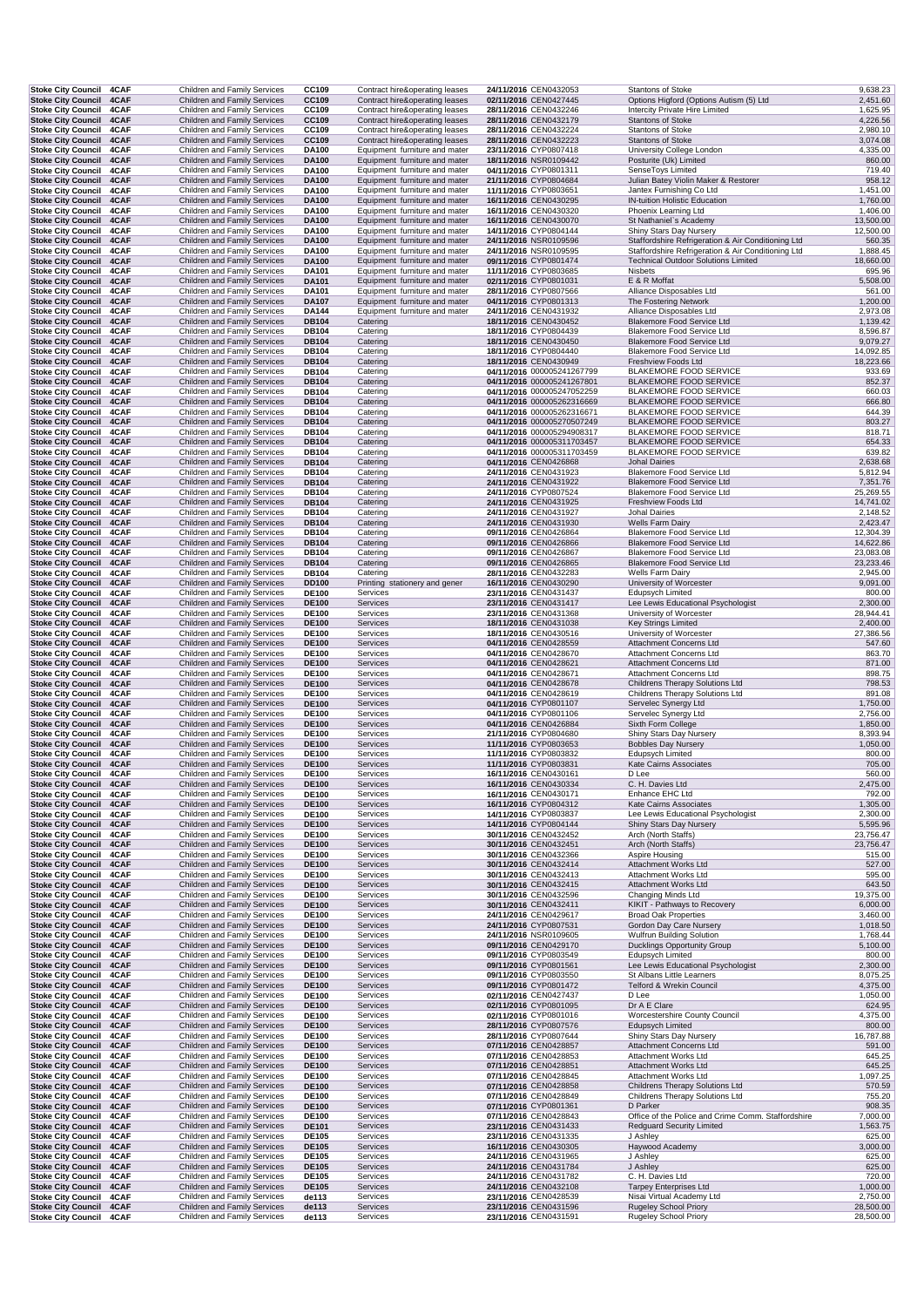| <b>Stoke City Council</b>                                   | 4CAF         | Children and Family Services                                        | CC109                        | Contract hire&operating leases                                   | 24/11/2016 CEN0432053                                    | <b>Stantons of Stoke</b>                                                      | 9,638.23              |
|-------------------------------------------------------------|--------------|---------------------------------------------------------------------|------------------------------|------------------------------------------------------------------|----------------------------------------------------------|-------------------------------------------------------------------------------|-----------------------|
| <b>Stoke City Council</b>                                   | 4CAF         | Children and Family Services                                        | CC109                        | Contract hire&operating leases                                   | 02/11/2016 CEN0427445                                    | Options Higford (Options Autism (5) Ltd                                       | 2,451.60              |
| <b>Stoke City Council</b><br><b>Stoke City Council</b>      | 4CAF<br>4CAF | Children and Family Services<br><b>Children and Family Services</b> | CC109<br>CC109               | Contract hire&operating leases<br>Contract hire&operating leases | 28/11/2016 CEN0432246<br>28/11/2016 CEN0432179           | Intercity Private Hire Limited<br><b>Stantons of Stoke</b>                    | 1,625.95<br>4,226.56  |
| Stoke City Council 4CAF                                     |              | Children and Family Services                                        | CC109                        | Contract hire&operating leases                                   | 28/11/2016 CEN0432224                                    | Stantons of Stoke                                                             | 2,980.10              |
| Stoke City Council 4CAF                                     |              | Children and Family Services                                        | CC109                        | Contract hire&operating leases                                   | 28/11/2016 CEN0432223                                    | <b>Stantons of Stoke</b>                                                      | 3,074.08              |
| Stoke City Council 4CAF                                     |              | Children and Family Services                                        | <b>DA100</b>                 | Equipment furniture and mater                                    | 23/11/2016 CYP0807418                                    | University College London                                                     | 4,335.00              |
| Stoke City Council 4CAF                                     | 4CAF         | Children and Family Services<br>Children and Family Services        | <b>DA100</b>                 | Equipment furniture and mater                                    | 18/11/2016 NSR0109442                                    | Posturite (Uk) Limited                                                        | 860.00<br>719.40      |
| <b>Stoke City Council</b><br><b>Stoke City Council</b>      | 4CAF         | <b>Children and Family Services</b>                                 | DA100<br><b>DA100</b>        | Equipment furniture and mater<br>Equipment furniture and mater   | 04/11/2016 CYP0801311<br>21/11/2016 CYP0804684           | SenseToys Limited<br>Julian Batey Violin Maker & Restorer                     | 958.12                |
| Stoke City Council 4CAF                                     |              | Children and Family Services                                        | <b>DA100</b>                 | Equipment furniture and mater                                    | 11/11/2016 CYP0803651                                    | Jantex Furnishing Co Ltd                                                      | 1,451.00              |
| Stoke City Council 4CAF                                     |              | Children and Family Services                                        | DA100                        | Equipment furniture and mater                                    | 16/11/2016 CEN0430295                                    | IN-tuition Holistic Education                                                 | 1,760.00              |
| <b>Stoke City Council</b>                                   | 4CAF         | Children and Family Services                                        | DA100                        | Equipment furniture and mater                                    | 16/11/2016 CEN0430320                                    | Phoenix Learning Ltd                                                          | 1,406.00              |
| <b>Stoke City Council</b>                                   | 4CAF         | Children and Family Services                                        | <b>DA100</b>                 | Equipment furniture and mater                                    | 16/11/2016 CEN0430070                                    | St Nathaniel's Academy                                                        | 13,500.00             |
| <b>Stoke City Council</b><br><b>Stoke City Council</b>      | 4CAF<br>4CAF | Children and Family Services<br>Children and Family Services        | <b>DA100</b><br><b>DA100</b> | Equipment furniture and mater<br>Equipment furniture and mater   | 14/11/2016 CYP0804144<br>24/11/2016 NSR0109596           | Shiny Stars Day Nursery<br>Staffordshire Refrigeration & Air Conditioning Ltd | 12,500.00<br>560.35   |
| <b>Stoke City Council</b>                                   | 4CAF         | Children and Family Services                                        | DA100                        | Equipment furniture and mater                                    | 24/11/2016 NSR0109595                                    | Staffordshire Refrigeration & Air Conditioning Ltd                            | 1,888.45              |
| Stoke City Council 4CAF                                     |              | <b>Children and Family Services</b>                                 | <b>DA100</b>                 | Equipment furniture and mater                                    | 09/11/2016 CYP0801474                                    | <b>Technical Outdoor Solutions Limited</b>                                    | 18,660.00             |
| Stoke City Council 4CAF                                     |              | Children and Family Services                                        | DA101                        | Equipment furniture and mater                                    | 11/11/2016 CYP0803685                                    | <b>Nisbets</b>                                                                | 695.96                |
| Stoke City Council 4CAF                                     |              | <b>Children and Family Services</b>                                 | <b>DA101</b>                 | Equipment furniture and mater                                    | 02/11/2016 CYP0801031                                    | E & R Moffat                                                                  | 5,508.00              |
| Stoke City Council 4CAF<br><b>Stoke City Council</b>        | 4CAF         | Children and Family Services<br>Children and Family Services        | DA101<br><b>DA107</b>        | Equipment furniture and mater                                    | 28/11/2016 CYP0807566                                    | Alliance Disposables Ltd<br>The Fostering Network                             | 561.00<br>1,200.00    |
| <b>Stoke City Council</b>                                   | 4CAF         | Children and Family Services                                        | <b>DA144</b>                 | Equipment furniture and mater<br>Equipment furniture and mater   | 04/11/2016 CYP0801313<br>24/11/2016 CEN0431932           | Alliance Disposables Ltd                                                      | 2,973.08              |
| <b>Stoke City Council</b>                                   | 4CAF         | Children and Family Services                                        | <b>DB104</b>                 | Catering                                                         | 18/11/2016 CEN0430452                                    | Blakemore Food Service Ltd                                                    | 1,139.42              |
| Stoke City Council 4CAF                                     |              | Children and Family Services                                        | <b>DB104</b>                 | Catering                                                         | 18/11/2016 CYP0804439                                    | Blakemore Food Service Ltd                                                    | 8,596.87              |
| Stoke City Council 4CAF                                     |              | <b>Children and Family Services</b>                                 | <b>DB104</b>                 | Catering                                                         | 18/11/2016 CEN0430450                                    | <b>Blakemore Food Service Ltd</b>                                             | 9,079.27              |
| <b>Stoke City Council</b>                                   | 4CAF         | Children and Family Services                                        | <b>DB104</b>                 | Catering                                                         | 18/11/2016 CYP0804440                                    | Blakemore Food Service Ltd                                                    | 14,092.85             |
| <b>Stoke City Council</b><br><b>Stoke City Council</b>      | 4CAF<br>4CAF | <b>Children and Family Services</b><br>Children and Family Services | <b>DB104</b><br><b>DB104</b> | Catering<br>Catering                                             | 18/11/2016 CEN0430949<br>04/11/2016 000005241267799      | Freshview Foods Ltd<br><b>BLAKEMORE FOOD SERVICE</b>                          | 18,223.66<br>933.69   |
| Stoke City Council 4CAF                                     |              | Children and Family Services                                        | <b>DB104</b>                 | Catering                                                         | 04/11/2016 000005241267801                               | <b>BLAKEMORE FOOD SERVICE</b>                                                 | 852.37                |
| Stoke City Council 4CAF                                     |              | Children and Family Services                                        | <b>DB104</b>                 | Catering                                                         | 04/11/2016 000005247052259                               | <b>BLAKEMORE FOOD SERVICE</b>                                                 | 660.03                |
| Stoke City Council 4CAF                                     |              | <b>Children and Family Services</b>                                 | <b>DB104</b>                 | Catering                                                         | 04/11/2016 000005262316669                               | <b>BLAKEMORE FOOD SERVICE</b>                                                 | 666.80                |
| Stoke City Council 4CAF                                     |              | Children and Family Services                                        | <b>DB104</b>                 | Catering                                                         | 04/11/2016 000005262316671                               | <b>BLAKEMORE FOOD SERVICE</b>                                                 | 644.39                |
| <b>Stoke City Council</b>                                   | 4CAF         | Children and Family Services                                        | <b>DB104</b>                 | Catering                                                         | 04/11/2016 000005270507249                               | <b>BLAKEMORE FOOD SERVICE</b>                                                 | 803.27                |
| Stoke City Council 4CAF<br>Stoke City Council 4CAF          |              | Children and Family Services<br>Children and Family Services        | DB104<br><b>DB104</b>        | Catering<br>Catering                                             | 04/11/2016 000005294908317<br>04/11/2016 000005311703457 | BLAKEMORE FOOD SERVICE<br><b>BLAKEMORE FOOD SERVICE</b>                       | 818.71<br>654.33      |
| <b>Stoke City Council</b>                                   | 4CAF         | Children and Family Services                                        | <b>DB104</b>                 | Catering                                                         | 04/11/2016 000005311703459                               | <b>BLAKEMORE FOOD SERVICE</b>                                                 | 639.82                |
| <b>Stoke City Council 4CAF</b>                              |              | <b>Children and Family Services</b>                                 | <b>DB104</b>                 | Catering                                                         | 04/11/2016 CEN0426868                                    | <b>Johal Dairies</b>                                                          | 2,638.68              |
| <b>Stoke City Council</b>                                   | 4CAF         | Children and Family Services                                        | <b>DB104</b>                 | Catering                                                         | 24/11/2016 CEN0431923                                    | Blakemore Food Service Ltd                                                    | 5,812.94              |
| <b>Stoke City Council</b>                                   | 4CAF         | Children and Family Services                                        | <b>DB104</b>                 | Catering                                                         | 24/11/2016 CEN0431922                                    | Blakemore Food Service Ltd                                                    | 7,351.76              |
| <b>Stoke City Council</b>                                   | 4CAF<br>4CAF | Children and Family Services                                        | <b>DB104</b><br><b>DB104</b> | Catering                                                         | 24/11/2016 CYP0807524                                    | Blakemore Food Service Ltd<br>Freshview Foods Ltd                             | 25,269.55             |
| <b>Stoke City Council</b><br>Stoke City Council 4CAF        |              | Children and Family Services<br>Children and Family Services        | <b>DB104</b>                 | Catering<br>Catering                                             | 24/11/2016 CEN0431925<br>24/11/2016 CEN0431927           | Johal Dairies                                                                 | 14,741.02<br>2,148.52 |
| Stoke City Council 4CAF                                     |              | Children and Family Services                                        | <b>DB104</b>                 | Catering                                                         | 24/11/2016 CEN0431930                                    | Wells Farm Dairy                                                              | 2,423.47              |
| Stoke City Council 4CAF                                     |              | Children and Family Services                                        | <b>DB104</b>                 | Catering                                                         | 09/11/2016 CEN0426864                                    | Blakemore Food Service Ltd                                                    | 12,304.39             |
| <b>Stoke City Council 4CAF</b>                              |              | Children and Family Services                                        | <b>DB104</b>                 | Catering                                                         | 09/11/2016 CEN0426866                                    | Blakemore Food Service Ltd                                                    | 14,622.86             |
| <b>Stoke City Council</b>                                   | 4CAF         | Children and Family Services                                        | <b>DB104</b>                 | Catering                                                         | 09/11/2016 CEN0426867                                    | Blakemore Food Service Ltd                                                    | 23,083.08             |
| <b>Stoke City Council</b>                                   | 4CAF         | Children and Family Services                                        | <b>DB104</b>                 | Catering                                                         | 09/11/2016 CEN0426865                                    | Blakemore Food Service Ltd                                                    | 23,233.46             |
| <b>Stoke City Council</b><br>Stoke City Council 4CAF        | 4CAF         | Children and Family Services<br><b>Children and Family Services</b> | <b>DB104</b><br><b>DD100</b> | Catering<br>Printing stationery and gener                        | 28/11/2016 CEN0432283<br>16/11/2016 CEN0430290           | Wells Farm Dairy<br>University of Worcester                                   | 2,945.00<br>9,091.00  |
| <b>Stoke City Council</b>                                   | 4CAF         | Children and Family Services                                        | <b>DE100</b>                 | Services                                                         | 23/11/2016 CEN0431437                                    | <b>Edupsych Limited</b>                                                       | 800.00                |
| <b>Stoke City Council</b>                                   | 4CAF         | Children and Family Services                                        | <b>DE100</b>                 | Services                                                         | 23/11/2016 CEN0431417                                    | Lee Lewis Educational Psychologist                                            | 2,300.00              |
| <b>Stoke City Council</b>                                   | 4CAF         | Children and Family Services                                        | <b>DE100</b>                 | Services                                                         | 23/11/2016 CEN0431368                                    | University of Worcester                                                       | 28,944.41             |
| <b>Stoke City Council</b>                                   | 4CAF         | <b>Children and Family Services</b>                                 | <b>DE100</b>                 | Services                                                         | 18/11/2016 CEN0431038                                    | <b>Key Strings Limited</b>                                                    | 2,400.00              |
| Stoke City Council 4CAF                                     |              | Children and Family Services                                        | <b>DE100</b>                 | Services                                                         | 18/11/2016 CEN0430516                                    | University of Worcester                                                       | 27,386.56             |
| Stoke City Council 4CAF<br>Stoke City Council 4CAF          |              | Children and Family Services<br>Children and Family Services        | <b>DE100</b><br><b>DE100</b> | Services<br>Services                                             | 04/11/2016 CEN0428559<br>04/11/2016 CEN0428670           | Attachment Concerns Ltd<br>Attachment Concerns Ltd                            | 547.60<br>863.70      |
| <b>Stoke City Council</b>                                   | 4CAF         | Children and Family Services                                        | <b>DE100</b>                 | Services                                                         | 04/11/2016 CEN0428621                                    | Attachment Concerns Ltd                                                       | 871.00                |
| <b>Stoke City Council</b>                                   | 4CAF         | Children and Family Services                                        | <b>DE100</b>                 | Services                                                         | 04/11/2016 CEN0428671                                    | Attachment Concerns Ltd                                                       | 898.75                |
| <b>Stoke City Council</b>                                   | 4CAF         | <b>Children and Family Services</b>                                 | <b>DE100</b>                 | Services                                                         | 04/11/2016 CEN0428678                                    | <b>Childrens Therapy Solutions Ltd</b>                                        | 798.53                |
| Stoke City Council 4CAF                                     |              | Children and Family Services                                        | <b>DE100</b>                 | Services                                                         | 04/11/2016 CEN0428619                                    | Childrens Therapy Solutions Ltd                                               | 891.08                |
| Stoke City Council 4CAF                                     |              | Children and Family Services                                        | <b>DE100</b>                 | Services                                                         | 04/11/2016 CYP0801107                                    | Servelec Synergy Ltd                                                          | 1,750.00              |
| Stoke City Council 4CAF<br>Stoke City Council 4CAF          |              | Children and Family Services<br>Children and Family Services        | <b>DE100</b><br><b>DE100</b> | Services<br>Services                                             | 04/11/2016 CYP0801106<br>04/11/2016 CEN0426884           | Servelec Synergy Ltd<br>Sixth Form College                                    | 2,756.00<br>1,850.00  |
| <b>Stoke City Council</b>                                   | 4CAF         | Children and Family Services                                        | <b>DE100</b>                 | Services                                                         | 21/11/2016 CYP0804680                                    | Shiny Stars Day Nursery                                                       | 8,393.94              |
| <b>Stoke City Council</b>                                   | 4CAF         | <b>Children and Family Services</b>                                 | <b>DE100</b>                 | Services                                                         | 11/11/2016 CYP0803653                                    | Bobbles Day Nursery                                                           | 1,050.00              |
| Stoke City Council 4CAF                                     |              | Children and Family Services                                        | <b>DE100</b>                 | Services                                                         | 11/11/2016 CYP0803832                                    | Edupsych Limited                                                              | 800.00                |
| Stoke City Council 4CAF                                     |              | <b>Children and Family Services</b>                                 | <b>DE100</b>                 | Services                                                         | 11/11/2016 CYP0803831                                    | Kate Cairns Associates                                                        | 705.00                |
| Stoke City Council 4CAF                                     |              | Children and Family Services<br><b>Children and Family Services</b> | <b>DE100</b>                 | Services                                                         | 16/11/2016 CEN0430161<br>16/11/2016 CEN0430334           | D Lee                                                                         | 560.00                |
| <b>Stoke City Council 4CAF</b><br><b>Stoke City Council</b> | 4CAF         | <b>Children and Family Services</b>                                 | <b>DE100</b><br><b>DE100</b> | Services<br>Services                                             | 16/11/2016 CEN0430171                                    | C. H. Davies Ltd<br>Enhance EHC Ltd                                           | 2,475.00<br>792.00    |
| <b>Stoke City Council</b>                                   | 4CAF         | Children and Family Services                                        | <b>DE100</b>                 | Services                                                         | 16/11/2016 CYP0804312                                    | Kate Cairns Associates                                                        | 1,305.00              |
| <b>Stoke City Council</b>                                   | 4CAF         | Children and Family Services                                        | <b>DE100</b>                 | Services                                                         | 14/11/2016 CYP0803837                                    | Lee Lewis Educational Psychologist                                            | 2,300.00              |
| <b>Stoke City Council</b>                                   | 4CAF         | Children and Family Services                                        | <b>DE100</b>                 | Services                                                         | 14/11/2016 CYP0804144                                    | Shiny Stars Day Nursery                                                       | 5,595.96              |
| <b>Stoke City Council</b>                                   | 4CAF         | Children and Family Services                                        | <b>DE100</b>                 | Services                                                         | 30/11/2016 CEN0432452                                    | Arch (North Staffs)                                                           | 23,756.47             |
| <b>Stoke City Council</b><br><b>Stoke City Council</b>      | 4CAF<br>4CAF | <b>Children and Family Services</b><br>Children and Family Services | <b>DE100</b><br><b>DE100</b> | Services<br>Services                                             | 30/11/2016 CEN0432451<br>30/11/2016 CEN0432366           | Arch (North Staffs)<br>Aspire Housing                                         | 23,756.47<br>515.00   |
| <b>Stoke City Council</b>                                   | 4CAF         | <b>Children and Family Services</b>                                 | <b>DE100</b>                 | Services                                                         | 30/11/2016 CEN0432414                                    | Attachment Works Ltd                                                          | 527.00                |
| <b>Stoke City Council</b>                                   | 4CAF         | Children and Family Services                                        | <b>DE100</b>                 | Services                                                         | 30/11/2016 CEN0432413                                    | Attachment Works Ltd                                                          | 595.00                |
| <b>Stoke City Council</b>                                   | 4CAF         | Children and Family Services                                        | <b>DE100</b>                 | Services                                                         | 30/11/2016 CEN0432415                                    | Attachment Works Ltd                                                          | 643.50                |
| <b>Stoke City Council</b>                                   | 4CAF         | Children and Family Services                                        | <b>DE100</b>                 | Services                                                         | 30/11/2016 CEN0432596                                    | Changing Minds Ltd                                                            | 19,375.00             |
| <b>Stoke City Council</b>                                   | 4CAF         | <b>Children and Family Services</b><br>Children and Family Services | <b>DE100</b>                 | Services                                                         | 30/11/2016 CEN0432411<br>24/11/2016 CEN0429617           | KIKIT - Pathways to Recovery                                                  | 6,000.00              |
| <b>Stoke City Council</b><br><b>Stoke City Council</b>      | 4CAF<br>4CAF | <b>Children and Family Services</b>                                 | <b>DE100</b><br><b>DE100</b> | Services<br>Services                                             | 24/11/2016 CYP0807531                                    | <b>Broad Oak Properties</b><br>Gordon Day Care Nursery                        | 3,460.00<br>1,018.50  |
| <b>Stoke City Council</b>                                   | 4CAF         | Children and Family Services                                        | <b>DE100</b>                 | Services                                                         | 24/11/2016 NSR0109605                                    | Wulfrun Building Solution                                                     | 1,768.44              |
| <b>Stoke City Council</b>                                   | 4CAF         | Children and Family Services                                        | <b>DE100</b>                 | Services                                                         | 09/11/2016 CEN0429170                                    | <b>Ducklings Opportunity Group</b>                                            | 5,100.00              |
| <b>Stoke City Council</b>                                   | 4CAF         | Children and Family Services                                        | <b>DE100</b>                 | Services                                                         | 09/11/2016 CYP0803549                                    | <b>Edupsych Limited</b>                                                       | 800.00                |
| <b>Stoke City Council</b>                                   | 4CAF         | <b>Children and Family Services</b>                                 | <b>DE100</b>                 | Services                                                         | 09/11/2016 CYP0801561                                    | Lee Lewis Educational Psychologist                                            | 2,300.00              |
| <b>Stoke City Council</b><br><b>Stoke City Council</b>      | 4CAF<br>4CAF | Children and Family Services<br>Children and Family Services        | <b>DE100</b><br><b>DE100</b> | Services                                                         | 09/11/2016 CYP0803550<br>09/11/2016 CYP0801472           | St Albans Little Learners<br>Telford & Wrekin Council                         | 8,075.25<br>4,375.00  |
| <b>Stoke City Council</b>                                   | 4CAF         | Children and Family Services                                        | <b>DE100</b>                 | Services<br>Services                                             | 02/11/2016 CEN0427437                                    | D Lee                                                                         | 1,050.00              |
| <b>Stoke City Council</b>                                   | 4CAF         | Children and Family Services                                        | <b>DE100</b>                 | Services                                                         | 02/11/2016 CYP0801095                                    | Dr A E Clare                                                                  | 624.95                |
| <b>Stoke City Council</b>                                   | 4CAF         | Children and Family Services                                        | <b>DE100</b>                 | Services                                                         | 02/11/2016 CYP0801016                                    | Worcestershire County Council                                                 | 4,375.00              |
| Stoke City Council 4CAF                                     |              | <b>Children and Family Services</b>                                 | <b>DE100</b>                 | Services                                                         | 28/11/2016 CYP0807576                                    | <b>Edupsych Limited</b>                                                       | 800.00                |
| Stoke City Council 4CAF                                     |              | Children and Family Services                                        | <b>DE100</b>                 | Services<br>Services                                             | 28/11/2016 CYP0807644                                    | Shiny Stars Day Nursery<br>Attachment Concerns Ltd                            | 16,787.88             |
| <b>Stoke City Council</b><br><b>Stoke City Council</b>      | 4CAF<br>4CAF | Children and Family Services<br>Children and Family Services        | <b>DE100</b><br><b>DE100</b> | Services                                                         | 07/11/2016 CEN0428857<br>07/11/2016 CEN0428853           | Attachment Works Ltd                                                          | 591.00<br>645.25      |
| <b>Stoke City Council</b>                                   | 4CAF         | Children and Family Services                                        | <b>DE100</b>                 | Services                                                         | 07/11/2016 CEN0428851                                    | Attachment Works Ltd                                                          | 645.25                |
| <b>Stoke City Council</b>                                   | 4CAF         | Children and Family Services                                        | <b>DE100</b>                 | Services                                                         | 07/11/2016 CEN0428845                                    | Attachment Works Ltd                                                          | 1,097.25              |
| <b>Stoke City Council</b>                                   | 4CAF         | Children and Family Services                                        | <b>DE100</b>                 | Services                                                         | 07/11/2016 CEN0428858                                    | <b>Childrens Therapy Solutions Ltd</b>                                        | 570.59                |
| <b>Stoke City Council</b>                                   | 4CAF         | Children and Family Services                                        | <b>DE100</b>                 | Services                                                         | 07/11/2016 CEN0428849                                    | Childrens Therapy Solutions Ltd                                               | 755.20                |
| <b>Stoke City Council</b><br><b>Stoke City Council</b>      | 4CAF<br>4CAF | Children and Family Services<br>Children and Family Services        | <b>DE100</b><br><b>DE100</b> | Services<br>Services                                             | 07/11/2016 CYP0801361<br>07/11/2016 CEN0428843           | D Parker<br>Office of the Police and Crime Comm. Staffordshire                | 908.35<br>7,000.00    |
| <b>Stoke City Council</b>                                   | 4CAF         | <b>Children and Family Services</b>                                 | <b>DE101</b>                 | Services                                                         | 23/11/2016 CEN0431433                                    | <b>Redquard Security Limited</b>                                              | 1,563.75              |
| <b>Stoke City Council</b>                                   | 4CAF         | Children and Family Services                                        | <b>DE105</b>                 | Services                                                         | 23/11/2016 CEN0431335                                    | J Ashley                                                                      | 625.00                |
| <b>Stoke City Council</b>                                   | 4CAF         | <b>Children and Family Services</b>                                 | <b>DE105</b>                 | Services                                                         | 16/11/2016 CEN0430305                                    | Haywood Academy                                                               | 3,000.00              |
| <b>Stoke City Council</b>                                   | 4CAF         | Children and Family Services                                        | <b>DE105</b>                 | Services                                                         | 24/11/2016 CEN0431965                                    | J Ashley                                                                      | 625.00                |
| <b>Stoke City Council</b><br><b>Stoke City Council</b>      | 4CAF<br>4CAF | Children and Family Services<br>Children and Family Services        | <b>DE105</b><br><b>DE105</b> | Services<br>Services                                             | 24/11/2016 CEN0431784<br>24/11/2016 CEN0431782           | J Ashley<br>C. H. Davies Ltd                                                  | 625.00<br>720.00      |
| <b>Stoke City Council</b>                                   | 4CAF         | <b>Children and Family Services</b>                                 | <b>DE105</b>                 | Services                                                         | 24/11/2016 CEN0432108                                    | <b>Tarpey Enterprises Ltd</b>                                                 | 1,000.00              |
| <b>Stoke City Council</b>                                   | 4CAF         | Children and Family Services                                        | de113                        | Services                                                         | 23/11/2016 CEN0428539                                    | Nisai Virtual Academy Ltd                                                     | 2,750.00              |
| <b>Stoke City Council</b>                                   | 4CAF         | <b>Children and Family Services</b>                                 | de113                        | Services                                                         | 23/11/2016 CEN0431596                                    | <b>Rugeley School Priory</b>                                                  | 28,500.00             |
| <b>Stoke City Council</b>                                   | 4CAF         | Children and Family Services                                        | de113                        | Services                                                         | 23/11/2016 CEN0431591                                    | <b>Rugeley School Priory</b>                                                  | 28,500.00             |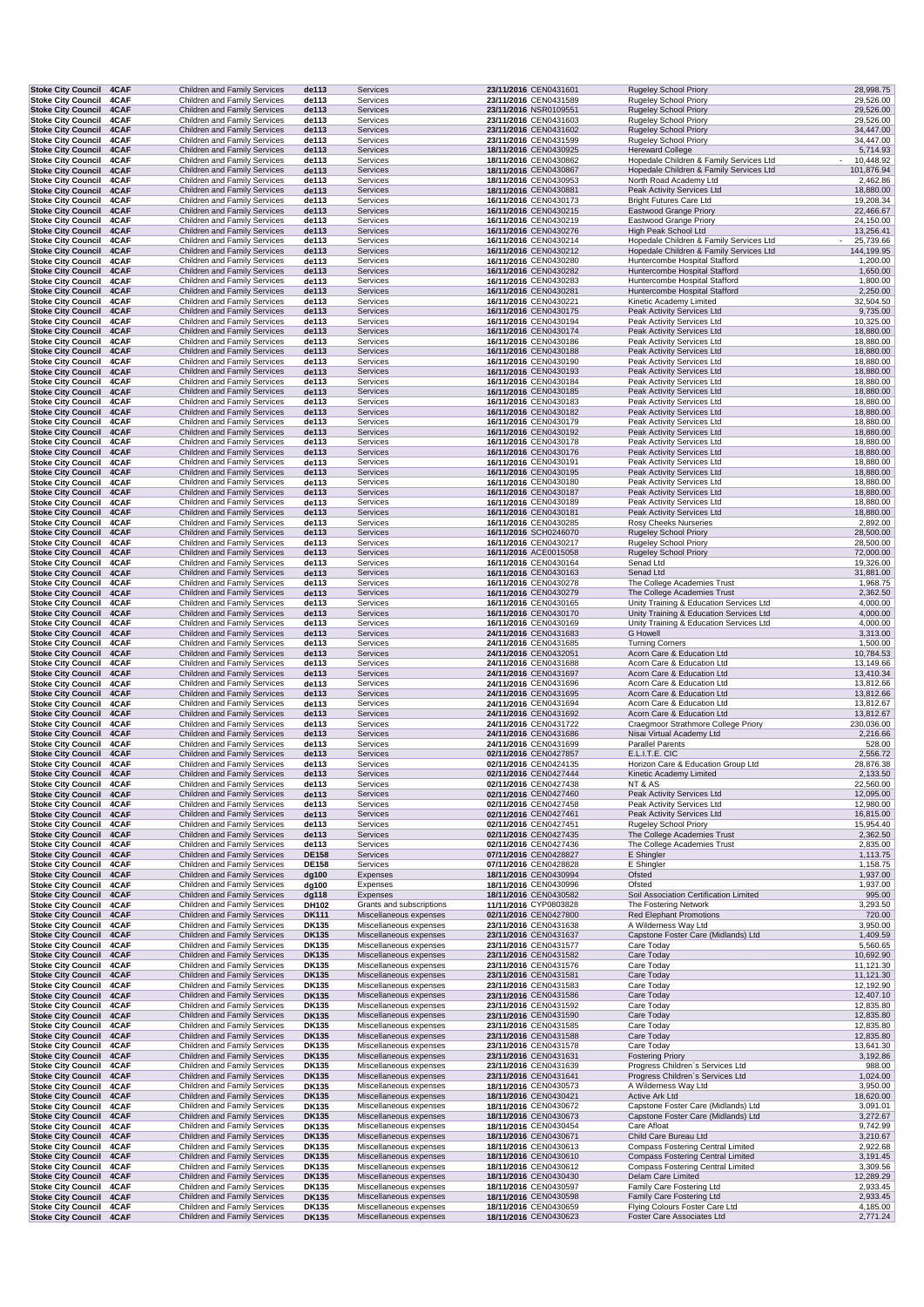| <b>Stoke City Council</b>                              | 4CAF         | <b>Children and Family Services</b>                                 | de113                 | Services                                         | 23/11/2016 CEN0431601                          | Rugeley School Priory                                                              | 28,998.75              |
|--------------------------------------------------------|--------------|---------------------------------------------------------------------|-----------------------|--------------------------------------------------|------------------------------------------------|------------------------------------------------------------------------------------|------------------------|
| <b>Stoke City Council</b>                              | 4CAF         | Children and Family Services                                        | de113                 | Services                                         | 23/11/2016 CEN0431589                          | <b>Rugeley School Priory</b>                                                       | 29,526.00              |
| <b>Stoke City Council</b>                              | 4CAF         | <b>Children and Family Services</b>                                 | de113                 | Services                                         | 23/11/2016 NSR0109551                          | <b>Rugeley School Priory</b>                                                       | 29,526.00              |
| <b>Stoke City Council</b>                              | 4CAF         | Children and Family Services                                        | de113                 | Services                                         | 23/11/2016 CEN0431603                          | <b>Rugeley School Priory</b>                                                       | 29,526.00              |
| <b>Stoke City Council</b>                              | 4CAF         | <b>Children and Family Services</b>                                 | de113                 | Services                                         | 23/11/2016 CEN0431602                          | <b>Rugeley School Priory</b>                                                       | 34,447.00              |
| <b>Stoke City Council</b>                              | 4CAF         | Children and Family Services                                        | de113                 | Services                                         | 23/11/2016 CEN0431599                          | Rugeley School Priory                                                              | 34,447.00              |
| <b>Stoke City Council</b>                              | 4CAF         | Children and Family Services                                        | de113                 | Services                                         | 18/11/2016 CEN0430925                          | <b>Hereward College</b>                                                            | 5,714.93<br>10,448.92  |
| <b>Stoke City Council</b><br><b>Stoke City Council</b> | 4CAF<br>4CAF | Children and Family Services<br>Children and Family Services        | de113<br>de113        | Services<br>Services                             | 18/11/2016 CEN0430862<br>18/11/2016 CEN0430867 | Hopedale Children & Family Services Ltd<br>Hopedale Children & Family Services Ltd | 101,876.94             |
| <b>Stoke City Council</b>                              | 4CAF         | Children and Family Services                                        | de113                 | Services                                         | 18/11/2016 CEN0430953                          | North Road Academy Ltd                                                             | 2,462.86               |
| <b>Stoke City Council</b>                              | 4CAF         | <b>Children and Family Services</b>                                 | de113                 | Services                                         | 18/11/2016 CEN0430881                          | Peak Activity Services Ltd                                                         | 18,880.00              |
| <b>Stoke City Council</b>                              | 4CAF         | Children and Family Services                                        | de113                 | Services                                         | 16/11/2016 CEN0430173                          | <b>Bright Futures Care Ltd</b>                                                     | 19,208.34              |
| <b>Stoke City Council</b>                              | 4CAF         | Children and Family Services                                        | de113                 | Services                                         | 16/11/2016 CEN0430215                          | Eastwood Grange Priory                                                             | 22,466.67              |
| <b>Stoke City Council</b>                              | 4CAF         | Children and Family Services                                        | de113                 | Services                                         | 16/11/2016 CEN0430219                          | <b>Eastwood Grange Priory</b>                                                      | 24,150.00              |
| <b>Stoke City Council</b>                              | 4CAF         | <b>Children and Family Services</b>                                 | de113                 | Services                                         | 16/11/2016 CEN0430276                          | High Peak School Ltd                                                               | 13,256.41              |
| <b>Stoke City Council</b>                              | 4CAF         | Children and Family Services                                        | de113                 | Services                                         | 16/11/2016 CEN0430214                          | Hopedale Children & Family Services Ltd                                            | 25,739.66              |
| <b>Stoke City Council</b>                              | 4CAF         | <b>Children and Family Services</b>                                 | de113                 | Services                                         | 16/11/2016 CEN0430212                          | Hopedale Children & Family Services Ltd                                            | 144,199.95             |
| <b>Stoke City Council</b><br><b>Stoke City Council</b> | 4CAF<br>4CAF | Children and Family Services<br><b>Children and Family Services</b> | de113<br>de113        | Services<br>Services                             | 16/11/2016 CEN0430280<br>16/11/2016 CEN0430282 | Huntercombe Hospital Stafford<br>Huntercombe Hospital Stafford                     | 1,200.00<br>1,650.00   |
| <b>Stoke City Council</b>                              | 4CAF         | Children and Family Services                                        | de113                 | Services                                         | 16/11/2016 CEN0430283                          | Huntercombe Hospital Stafford                                                      | 1,800.00               |
| Stoke City Council 4CAF                                |              | <b>Children and Family Services</b>                                 | de113                 | Services                                         | 16/11/2016 CEN0430281                          | Huntercombe Hospital Stafford                                                      | 2,250.00               |
| <b>Stoke City Council</b>                              | 4CAF         | Children and Family Services                                        | de113                 | Services                                         | 16/11/2016 CEN0430221                          | Kinetic Academy Limited                                                            | 32,504.50              |
| <b>Stoke City Council</b>                              | 4CAF         | Children and Family Services                                        | de113                 | Services                                         | 16/11/2016 CEN0430175                          | Peak Activity Services Ltd                                                         | 9,735.00               |
| <b>Stoke City Council</b>                              | 4CAF         | Children and Family Services                                        | de113                 | Services                                         | 16/11/2016 CEN0430194                          | Peak Activity Services Ltd                                                         | 10,325.00              |
| <b>Stoke City Council</b>                              | 4CAF         | Children and Family Services                                        | de113                 | Services                                         | 16/11/2016 CEN0430174                          | Peak Activity Services Ltd                                                         | 18,880.00              |
| <b>Stoke City Council</b>                              | 4CAF         | Children and Family Services                                        | de113                 | Services                                         | 16/11/2016 CEN0430186                          | Peak Activity Services Ltd                                                         | 18,880.00              |
| <b>Stoke City Council</b><br><b>Stoke City Council</b> | 4CAF<br>4CAF | <b>Children and Family Services</b><br>Children and Family Services | de113<br>de113        | Services<br>Services                             | 16/11/2016 CEN0430188<br>16/11/2016 CEN0430190 | Peak Activity Services Ltd<br>Peak Activity Services Ltd                           | 18,880.00<br>18,880.00 |
| <b>Stoke City Council</b>                              | 4CAF         | Children and Family Services                                        | de113                 | Services                                         | 16/11/2016 CEN0430193                          | Peak Activity Services Ltd                                                         | 18,880.00              |
| <b>Stoke City Council</b>                              | 4CAF         | Children and Family Services                                        | de113                 | Services                                         | 16/11/2016 CEN0430184                          | Peak Activity Services Ltd                                                         | 18,880.00              |
| <b>Stoke City Council</b>                              | 4CAF         | Children and Family Services                                        | de113                 | Services                                         | 16/11/2016 CEN0430185                          | Peak Activity Services Ltd                                                         | 18,880.00              |
| <b>Stoke City Council</b>                              | 4CAF         | Children and Family Services                                        | de113                 | Services                                         | 16/11/2016 CEN0430183                          | Peak Activity Services Ltd                                                         | 18,880.00              |
| <b>Stoke City Council</b>                              | 4CAF         | <b>Children and Family Services</b>                                 | de113                 | Services                                         | 16/11/2016 CEN0430182                          | Peak Activity Services Ltd                                                         | 18,880.00              |
| <b>Stoke City Council</b>                              | 4CAF         | Children and Family Services                                        | de113                 | Services                                         | 16/11/2016 CEN0430179                          | Peak Activity Services Ltd                                                         | 18,880.00              |
| <b>Stoke City Council</b>                              | 4CAF         | Children and Family Services                                        | de113                 | Services                                         | 16/11/2016 CEN0430192                          | Peak Activity Services Ltd                                                         | 18,880.00              |
| <b>Stoke City Council</b><br><b>Stoke City Council</b> | 4CAF<br>4CAF | <b>Children and Family Services</b><br>Children and Family Services | de113<br>de113        | Services<br>Services                             | 16/11/2016 CEN0430178<br>16/11/2016 CEN0430176 | Peak Activity Services Ltd<br>Peak Activity Services Ltd                           | 18,880.00<br>18,880.00 |
| <b>Stoke City Council</b>                              | 4CAF         | Children and Family Services                                        | de113                 | Services                                         | 16/11/2016 CEN0430191                          | Peak Activity Services Ltd                                                         | 18,880.00              |
| <b>Stoke City Council</b>                              | 4CAF         | <b>Children and Family Services</b>                                 | de113                 | Services                                         | 16/11/2016 CEN0430195                          | Peak Activity Services Ltd                                                         | 18,880.00              |
| <b>Stoke City Council</b>                              | 4CAF         | Children and Family Services                                        | de113                 | Services                                         | 16/11/2016 CEN0430180                          | Peak Activity Services Ltd                                                         | 18,880.00              |
| <b>Stoke City Council</b>                              | 4CAF         | <b>Children and Family Services</b>                                 | de113                 | Services                                         | 16/11/2016 CEN0430187                          | Peak Activity Services Ltd                                                         | 18,880.00              |
| <b>Stoke City Council</b>                              | 4CAF         | Children and Family Services                                        | de113                 | Services                                         | 16/11/2016 CEN0430189                          | Peak Activity Services Ltd                                                         | 18,880.00              |
| <b>Stoke City Council</b>                              | 4CAF         | <b>Children and Family Services</b>                                 | de113                 | Services                                         | 16/11/2016 CEN0430181                          | Peak Activity Services Ltd                                                         | 18,880.00              |
| <b>Stoke City Council</b>                              | 4CAF         | Children and Family Services                                        | de113                 | Services                                         | 16/11/2016 CEN0430285                          | Rosy Cheeks Nurseries                                                              | 2,892.00               |
| <b>Stoke City Council</b><br>Stoke City Council 4CAF   | 4CAF         | <b>Children and Family Services</b>                                 | de113                 | Services                                         | 16/11/2016 SCH0246070                          | <b>Rugeley School Priory</b>                                                       | 28,500.00              |
| <b>Stoke City Council</b>                              | 4CAF         | Children and Family Services<br>Children and Family Services        | de113<br>de113        | Services<br>Services                             | 16/11/2016 CEN0430217<br>16/11/2016 ACE0015058 | <b>Rugeley School Priory</b><br>Rugeley School Priory                              | 28,500.00<br>72,000.00 |
| <b>Stoke City Council</b>                              | 4CAF         | Children and Family Services                                        | de113                 | Services                                         | 16/11/2016 CEN0430164                          | Senad Ltd                                                                          | 19,326.00              |
| <b>Stoke City Council</b>                              | 4CAF         | <b>Children and Family Services</b>                                 | de113                 | Services                                         | 16/11/2016 CEN0430163                          | Senad Ltd                                                                          | 31,881.00              |
| <b>Stoke City Council</b>                              | 4CAF         | Children and Family Services                                        | de113                 | Services                                         | 16/11/2016 CEN0430278                          | The College Academies Trust                                                        | 1,968.75               |
| <b>Stoke City Council</b>                              | 4CAF         | Children and Family Services                                        | de113                 | Services                                         | 16/11/2016 CEN0430279                          | The College Academies Trust                                                        | 2,362.50               |
| <b>Stoke City Council</b>                              | 4CAF         | Children and Family Services                                        | de113                 | Services                                         | 16/11/2016 CEN0430165                          | Unity Training & Education Services Ltd                                            | 4,000.00               |
| <b>Stoke City Council</b>                              | 4CAF         | <b>Children and Family Services</b>                                 | de113                 | Services                                         | 16/11/2016 CEN0430170                          | Unity Training & Education Services Ltd                                            | 4,000.00               |
| <b>Stoke City Council</b>                              | 4CAF         | Children and Family Services                                        | de113                 | Services                                         | 16/11/2016 CEN0430169                          | Unity Training & Education Services Ltd                                            | 4,000.00               |
| <b>Stoke City Council</b><br><b>Stoke City Council</b> | 4CAF<br>4CAF | <b>Children and Family Services</b><br>Children and Family Services | de113<br>de113        | Services<br>Services                             | 24/11/2016 CEN0431683<br>24/11/2016 CEN0431685 | <b>G</b> Howell<br><b>Turning Corners</b>                                          | 3,313.00<br>1,500.00   |
| <b>Stoke City Council</b>                              | 4CAF         | Children and Family Services                                        | de113                 | Services                                         | 24/11/2016 CEN0432051                          | Acorn Care & Education Ltd                                                         | 10,784.53              |
| <b>Stoke City Council</b>                              | 4CAF         | Children and Family Services                                        | de113                 | Services                                         | 24/11/2016 CEN0431688                          | Acorn Care & Education Ltd                                                         | 13,149.66              |
| <b>Stoke City Council</b>                              | 4CAF         | Children and Family Services                                        | de113                 | Services                                         | 24/11/2016 CEN0431697                          | Acorn Care & Education Ltd                                                         | 13,410.34              |
| <b>Stoke City Council</b>                              | 4CAF         | Children and Family Services                                        | de113                 | Services                                         | 24/11/2016 CEN0431696                          | Acorn Care & Education Ltd                                                         | 13,812.66              |
| <b>Stoke City Council</b>                              | 4CAF         | Children and Family Services                                        | de113                 | Services                                         | 24/11/2016 CEN0431695                          | Acorn Care & Education Ltd                                                         | 13,812.66              |
| <b>Stoke City Council</b>                              | 4CAF         | Children and Family Services                                        | de113                 | Services                                         | 24/11/2016 CEN0431694                          | Acorn Care & Education Ltd                                                         | 13,812.67              |
| <b>Stoke City Council</b>                              | 4CAF         | Children and Family Services                                        | de113                 | Services                                         | 24/11/2016 CEN0431692                          | Acorn Care & Education Ltd                                                         | 13,812.67              |
| <b>Stoke City Council</b>                              | 4CAF         | Children and Family Services                                        | de113                 | Services                                         | 24/11/2016 CEN0431722                          | Craegmoor Strathmore College Priory                                                | 230,036.00             |
| <b>Stoke City Council</b><br><b>Stoke City Council</b> | 4CAF<br>4CAF | Children and Family Services<br>Children and Family Services        | de113<br>de113        | Services<br>Services                             | 24/11/2016 CEN0431686<br>24/11/2016 CEN0431699 | Nisai Virtual Academy Ltd<br><b>Parallel Parents</b>                               | 2,216.66<br>528.00     |
| <b>Stoke City Council</b>                              | 4CAF         | <b>Children and Family Services</b>                                 | de113                 | Services                                         | 02/11/2016 CEN0427857                          | E.L.I.T.E. CIC                                                                     | 2,556.72               |
| <b>Stoke City Council</b>                              | 4CAF         | Children and Family Services                                        | de113                 | Services                                         | 02/11/2016 CEN0424135                          | Horizon Care & Education Group Ltd                                                 | 28,876.38              |
| Stoke City Council 4CAF                                |              | Children and Family Services                                        | de113                 | Services                                         | 02/11/2016 CEN0427444                          | Kinetic Academy Limited                                                            | 2,133.50               |
| Stoke City Council 4CAF                                |              | Children and Family Services                                        | de113                 | Services                                         | 02/11/2016 CEN0427438                          | NT & AS                                                                            | 22,560.00              |
| Stoke City Council 4CAF                                |              | <b>Children and Family Services</b>                                 | de113                 | Services                                         | 02/11/2016 CEN0427460                          | Peak Activity Services Ltd                                                         | 12,095.00              |
| <b>Stoke City Council</b>                              | 4CAF         | Children and Family Services                                        | de113                 | Services                                         | 02/11/2016 CEN0427458                          | Peak Activity Services Ltd                                                         | 12,980.00              |
| <b>Stoke City Council</b>                              | 4CAF         | Children and Family Services                                        | de113                 | Services                                         | 02/11/2016 CEN0427461                          | Peak Activity Services Ltd                                                         | 16,815.00              |
| <b>Stoke City Council</b><br><b>Stoke City Council</b> | 4CAF<br>4CAF | Children and Family Services<br>Children and Family Services        | de113<br>de113        | Services<br>Services                             | 02/11/2016 CEN0427451<br>02/11/2016 CEN0427435 | Rugeley School Priory<br>The College Academies Trust                               | 15,954.40<br>2,362.50  |
| <b>Stoke City Council</b>                              | 4CAF         | Children and Family Services                                        | de113                 | Services                                         | 02/11/2016 CEN0427436                          | The College Academies Trust                                                        | 2,835.00               |
| <b>Stoke City Council</b>                              | 4CAF         | <b>Children and Family Services</b>                                 | <b>DE158</b>          | Services                                         |                                                |                                                                                    |                        |
| <b>Stoke City Council</b>                              | 4CAF         |                                                                     |                       |                                                  |                                                |                                                                                    |                        |
| <b>Stoke City Council</b>                              | 4CAF         | Children and Family Services                                        | <b>DE158</b>          | Services                                         | 07/11/2016 CEN0428827<br>07/11/2016 CEN0428828 | E Shingler<br>E Shingler                                                           | 1,113.75<br>1,158.75   |
| <b>Stoke City Council</b>                              |              | Children and Family Services                                        | dg100                 | Expenses                                         | 18/11/2016 CEN0430994                          | Ofsted                                                                             | 1,937.00               |
|                                                        | 4CAF         | Children and Family Services                                        | dg100                 | Expenses                                         | 18/11/2016 CEN0430996                          | Ofsted                                                                             | 1,937.00               |
| <b>Stoke City Council</b>                              | 4CAF         | Children and Family Services                                        | dg118                 | Expenses                                         | 18/11/2016 CEN0430582                          | Soil Association Certification Limited                                             | 995.00                 |
| <b>Stoke City Council</b>                              | 4CAF         | Children and Family Services                                        | DH102                 | Grants and subscriptions                         | 11/11/2016 CYP0803828                          | The Fostering Network                                                              | 3,293.50               |
| Stoke City Council 4CAF                                |              | Children and Family Services                                        | <b>DK111</b>          | Miscellaneous expenses                           | 02/11/2016 CEN0427800                          | <b>Red Elephant Promotions</b>                                                     | 720.00                 |
| <b>Stoke City Council</b>                              | 4CAF         | Children and Family Services                                        | DK135                 | Miscellaneous expenses                           | 23/11/2016 CEN0431638                          | A Wilderness Way Ltd                                                               | 3,950.00               |
| <b>Stoke City Council</b><br><b>Stoke City Council</b> | 4CAF<br>4CAF | Children and Family Services<br>Children and Family Services        | <b>DK135</b><br>DK135 | Miscellaneous expenses<br>Miscellaneous expenses | 23/11/2016 CEN0431637<br>23/11/2016 CEN0431577 | Capstone Foster Care (Midlands) Ltd<br>Care Today                                  | 1,409.59<br>5,560.65   |
| <b>Stoke City Council</b>                              | 4CAF         | Children and Family Services                                        | <b>DK135</b>          | Miscellaneous expenses                           | 23/11/2016 CEN0431582                          | Care Today                                                                         | 10,692.90              |
| <b>Stoke City Council</b>                              | 4CAF         | Children and Family Services                                        | DK135                 | Miscellaneous expenses                           | 23/11/2016 CEN0431576                          | Care Today                                                                         | 11,121.30              |
| <b>Stoke City Council</b>                              | 4CAF         | Children and Family Services                                        | <b>DK135</b>          | Miscellaneous expenses                           | 23/11/2016 CEN0431581                          | Care Today                                                                         | 11,121.30              |
| <b>Stoke City Council</b>                              | 4CAF         | Children and Family Services                                        | DK135                 | Miscellaneous expenses                           | 23/11/2016 CEN0431583                          | Care Today                                                                         | 12,192.90              |
| <b>Stoke City Council</b>                              | 4CAF         | Children and Family Services                                        | <b>DK135</b>          | Miscellaneous expenses                           | 23/11/2016 CEN0431586                          | Care Today                                                                         | 12,407.10              |
| <b>Stoke City Council</b>                              | 4CAF         | Children and Family Services                                        | DK135                 | Miscellaneous expenses                           | 23/11/2016 CEN0431592                          | Care Today                                                                         | 12,835.80              |
| <b>Stoke City Council</b><br><b>Stoke City Council</b> | 4CAF<br>4CAF | Children and Family Services<br>Children and Family Services        | <b>DK135</b>          | Miscellaneous expenses<br>Miscellaneous expenses | 23/11/2016 CEN0431590                          | Care Today<br>Care Today                                                           | 12,835.80              |
| <b>Stoke City Council</b>                              | 4CAF         | <b>Children and Family Services</b>                                 | DK135<br><b>DK135</b> | Miscellaneous expenses                           | 23/11/2016 CEN0431585<br>23/11/2016 CEN0431588 | Care Today                                                                         | 12,835.80<br>12,835.80 |
| <b>Stoke City Council</b>                              | 4CAF         | Children and Family Services                                        | DK135                 | Miscellaneous expenses                           | 23/11/2016 CEN0431578                          | Care Today                                                                         | 13,641.30              |
| <b>Stoke City Council</b>                              | 4CAF         | Children and Family Services                                        | <b>DK135</b>          | Miscellaneous expenses                           | 23/11/2016 CEN0431631                          | <b>Fostering Priory</b>                                                            | 3,192.86               |
| <b>Stoke City Council</b>                              | 4CAF         | Children and Family Services                                        | DK135                 | Miscellaneous expenses                           | 23/11/2016 CEN0431639                          | Progress Children's Services Ltd                                                   | 988.00                 |
| <b>Stoke City Council</b>                              | 4CAF         | <b>Children and Family Services</b>                                 | <b>DK135</b>          | Miscellaneous expenses                           | 23/11/2016 CEN0431641                          | Progress Children's Services Ltd                                                   | 1,024.00               |
| <b>Stoke City Council</b>                              | 4CAF         | Children and Family Services                                        | DK135                 | Miscellaneous expenses                           | 18/11/2016 CEN0430573                          | A Wilderness Way Ltd                                                               | 3,950.00               |
| <b>Stoke City Council</b><br><b>Stoke City Council</b> | 4CAF<br>4CAF | <b>Children and Family Services</b><br>Children and Family Services | <b>DK135</b><br>DK135 | Miscellaneous expenses<br>Miscellaneous expenses | 18/11/2016 CEN0430421<br>18/11/2016 CEN0430672 | Active Ark Ltd<br>Capstone Foster Care (Midlands) Ltd                              | 18,620.00<br>3,091.01  |
| <b>Stoke City Council</b>                              | 4CAF         | Children and Family Services                                        | <b>DK135</b>          | Miscellaneous expenses                           | 18/11/2016 CEN0430673                          | Capstone Foster Care (Midlands) Ltd                                                | 3,272.67               |
| <b>Stoke City Council</b>                              | 4CAF         | Children and Family Services                                        | DK135                 | Miscellaneous expenses                           | 18/11/2016 CEN0430454                          | Care Afloat                                                                        | 9,742.99               |
| <b>Stoke City Council</b>                              | 4CAF         | <b>Children and Family Services</b>                                 | <b>DK135</b>          | Miscellaneous expenses                           | 18/11/2016 CEN0430671                          | Child Care Bureau Ltd                                                              | 3,210.67               |
| <b>Stoke City Council</b>                              | 4CAF         | Children and Family Services                                        | DK135                 | Miscellaneous expenses                           | 18/11/2016 CEN0430613                          | Compass Fostering Central Limited                                                  | 2,922.68               |
| <b>Stoke City Council</b>                              | 4CAF         | Children and Family Services                                        | <b>DK135</b>          | Miscellaneous expenses                           | 18/11/2016 CEN0430610                          | <b>Compass Fostering Central Limited</b>                                           | 3,191.45               |
| <b>Stoke City Council</b>                              | 4CAF         | Children and Family Services                                        | DK135                 | Miscellaneous expenses                           | 18/11/2016 CEN0430612                          | Compass Fostering Central Limited                                                  | 3,309.56               |
| <b>Stoke City Council</b>                              | 4CAF         | Children and Family Services                                        | <b>DK135</b>          | Miscellaneous expenses                           | 18/11/2016 CEN0430430                          | Delam Care Limited                                                                 | 12,289.29              |
| <b>Stoke City Council</b>                              | 4CAF         | Children and Family Services                                        | DK135                 | Miscellaneous expenses                           | 18/11/2016 CEN0430597                          | Family Care Fostering Ltd                                                          | 2,933.45               |
| <b>Stoke City Council</b><br><b>Stoke City Council</b> | 4CAF<br>4CAF | Children and Family Services<br>Children and Family Services        | <b>DK135</b><br>DK135 | Miscellaneous expenses<br>Miscellaneous expenses | 18/11/2016 CEN0430598<br>18/11/2016 CEN0430659 | Family Care Fostering Ltd<br>Flying Colours Foster Care Ltd                        | 2,933.45<br>4,185.00   |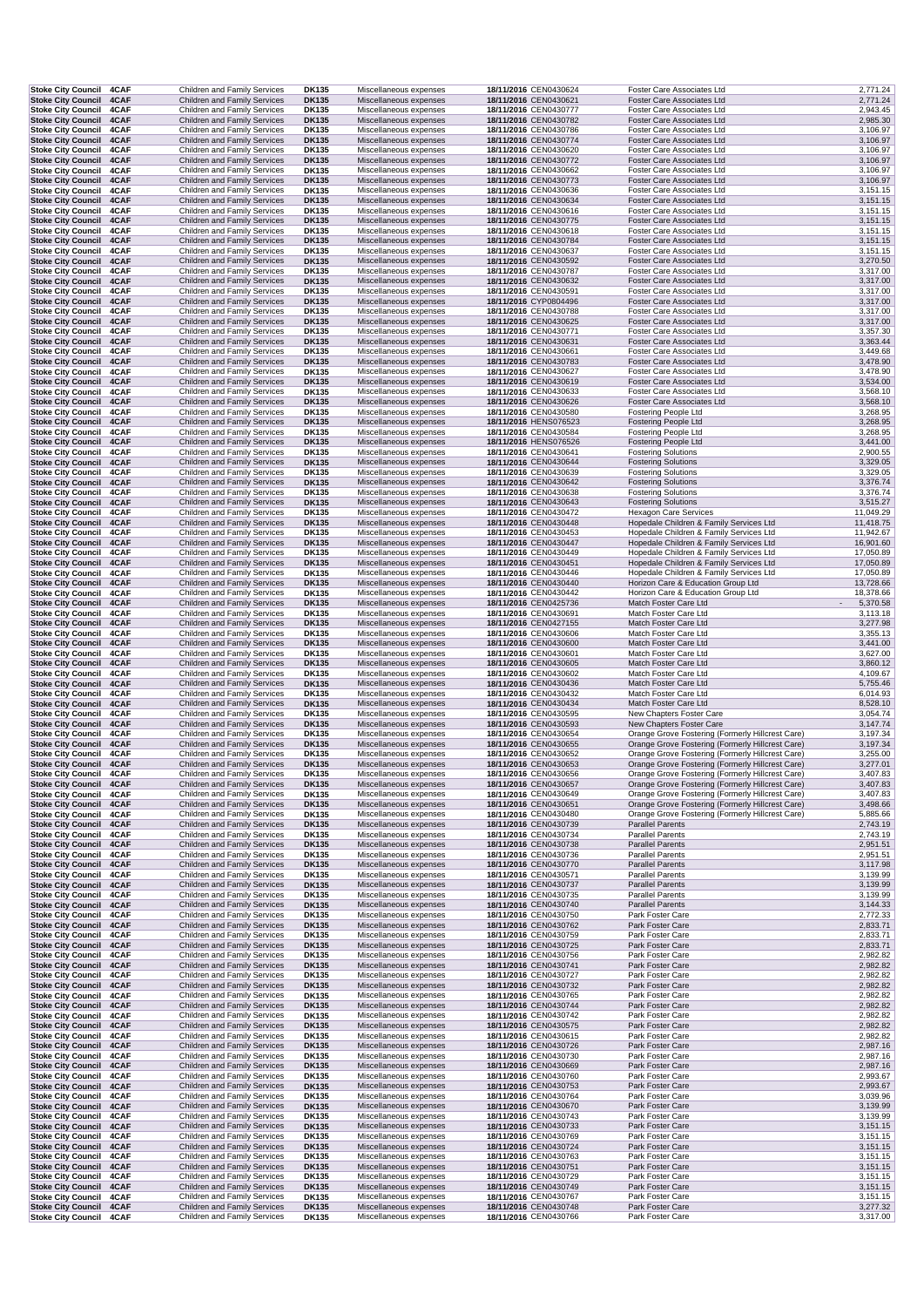| <b>Stoke City Council</b>                                 | 4CAF         | Children and Family Services                                               | DK135                        | Miscellaneous expenses                           | 18/11/2016 CEN0430624                          | Foster Care Associates Ltd                                                                           | 2,771.24             |  |
|-----------------------------------------------------------|--------------|----------------------------------------------------------------------------|------------------------------|--------------------------------------------------|------------------------------------------------|------------------------------------------------------------------------------------------------------|----------------------|--|
| <b>Stoke City Council</b>                                 | 4CAF         | Children and Family Services                                               | <b>DK135</b>                 | Miscellaneous expenses                           | 18/11/2016 CEN0430621                          | Foster Care Associates Ltd                                                                           | 2,771.24             |  |
| <b>Stoke City Council</b>                                 | 4CAF         | Children and Family Services                                               | DK135                        | Miscellaneous expenses                           | 18/11/2016 CEN0430777                          | Foster Care Associates Ltd                                                                           | 2,943.45             |  |
| <b>Stoke City Council</b>                                 | 4CAF         | Children and Family Services                                               | <b>DK135</b>                 | Miscellaneous expenses                           | 18/11/2016 CEN0430782                          | Foster Care Associates Ltd                                                                           | 2,985.30             |  |
| Stoke City Council 4CAF                                   |              | Children and Family Services                                               | DK135                        | Miscellaneous expenses                           | 18/11/2016 CEN0430786                          | Foster Care Associates Ltd                                                                           | 3,106.97             |  |
| <b>Stoke City Council 4CAF</b>                            |              | <b>Children and Family Services</b>                                        | <b>DK135</b>                 | Miscellaneous expenses                           | 18/11/2016 CEN0430774                          | Foster Care Associates Ltd                                                                           | 3,106.97             |  |
| Stoke City Council 4CAF                                   |              | Children and Family Services                                               | DK135                        | Miscellaneous expenses                           | 18/11/2016 CEN0430620                          | Foster Care Associates Ltd                                                                           | 3,106.97             |  |
| <b>Stoke City Council</b>                                 | 4CAF         | Children and Family Services                                               | <b>DK135</b>                 | Miscellaneous expenses                           | 18/11/2016 CEN0430772                          | Foster Care Associates Ltd                                                                           | 3,106.97             |  |
| Stoke City Council 4CAF<br><b>Stoke City Council</b>      |              | Children and Family Services<br><b>Children and Family Services</b>        | DK135                        | Miscellaneous expenses                           | 18/11/2016 CEN0430662<br>18/11/2016 CEN0430773 | Foster Care Associates Ltd                                                                           | 3,106.97             |  |
| <b>Stoke City Council</b>                                 | 4CAF         | Children and Family Services                                               | <b>DK135</b>                 | Miscellaneous expenses                           | 18/11/2016 CEN0430636                          | Foster Care Associates Ltd<br>Foster Care Associates Ltd                                             | 3,106.97<br>3,151.15 |  |
| <b>Stoke City Council</b>                                 | 4CAF<br>4CAF | <b>Children and Family Services</b>                                        | <b>DK135</b><br><b>DK135</b> | Miscellaneous expenses<br>Miscellaneous expenses | 18/11/2016 CEN0430634                          | Foster Care Associates Ltd                                                                           | 3,151.15             |  |
| <b>Stoke City Council</b>                                 | 4CAF         | Children and Family Services                                               | DK135                        | Miscellaneous expenses                           | 18/11/2016 CEN0430616                          | Foster Care Associates Ltd                                                                           | 3,151.15             |  |
| <b>Stoke City Council</b>                                 | 4CAF         | Children and Family Services                                               | <b>DK135</b>                 | Miscellaneous expenses                           | 18/11/2016 CEN0430775                          | Foster Care Associates Ltd                                                                           | 3,151.15             |  |
| <b>Stoke City Council</b>                                 | 4CAF         | Children and Family Services                                               | DK135                        | Miscellaneous expenses                           | 18/11/2016 CEN0430618                          | Foster Care Associates Ltd                                                                           | 3,151.15             |  |
| <b>Stoke City Council</b>                                 | 4CAF         | <b>Children and Family Services</b>                                        | <b>DK135</b>                 | Miscellaneous expenses                           | 18/11/2016 CEN0430784                          | Foster Care Associates Ltd                                                                           | 3,151.15             |  |
| Stoke City Council 4CAF                                   |              | Children and Family Services                                               | DK135                        | Miscellaneous expenses                           | 18/11/2016 CEN0430637                          | Foster Care Associates Ltd                                                                           | 3,151.15             |  |
| <b>Stoke City Council 4CAF</b>                            |              | <b>Children and Family Services</b>                                        | <b>DK135</b>                 | Miscellaneous expenses                           | 18/11/2016 CEN0430592                          | Foster Care Associates Ltd                                                                           | 3,270.50             |  |
| <b>Stoke City Council</b>                                 | 4CAF         | Children and Family Services                                               | DK135                        | Miscellaneous expenses                           | 18/11/2016 CEN0430787                          | Foster Care Associates Ltd                                                                           | 3,317.00             |  |
| <b>Stoke City Council</b>                                 | 4CAF         | Children and Family Services                                               | <b>DK135</b>                 | Miscellaneous expenses                           | 18/11/2016 CEN0430632                          | Foster Care Associates Ltd                                                                           | 3,317.00             |  |
| <b>Stoke City Council</b>                                 | 4CAF         | Children and Family Services                                               | DK135                        | Miscellaneous expenses                           | 18/11/2016 CEN0430591                          | Foster Care Associates Ltd                                                                           | 3,317.00             |  |
| <b>Stoke City Council 4CAF</b>                            |              | Children and Family Services                                               | <b>DK135</b>                 | Miscellaneous expenses                           | 18/11/2016 CYP0804496                          | Foster Care Associates Ltd                                                                           | 3,317.00             |  |
| Stoke City Council 4CAF                                   |              | Children and Family Services                                               | DK135                        | Miscellaneous expenses                           | 18/11/2016 CEN0430788                          | Foster Care Associates Ltd                                                                           | 3,317.00             |  |
| <b>Stoke City Council 4CAF</b>                            |              | <b>Children and Family Services</b>                                        | <b>DK135</b>                 | Miscellaneous expenses                           | 18/11/2016 CEN0430625                          | Foster Care Associates Ltd                                                                           | 3,317.00<br>3,357.30 |  |
| Stoke City Council 4CAF<br><b>Stoke City Council</b>      | 4CAF         | Children and Family Services<br>Children and Family Services               | DK135<br><b>DK135</b>        | Miscellaneous expenses<br>Miscellaneous expenses | 18/11/2016 CEN0430771<br>18/11/2016 CEN0430631 | Foster Care Associates Ltd<br>Foster Care Associates Ltd                                             | 3,363.44             |  |
| <b>Stoke City Council</b>                                 | 4CAF         | Children and Family Services                                               | DK135                        | Miscellaneous expenses                           | 18/11/2016 CEN0430661                          | Foster Care Associates Ltd                                                                           | 3,449.68             |  |
| <b>Stoke City Council</b>                                 | 4CAF         | <b>Children and Family Services</b>                                        | <b>DK135</b>                 | Miscellaneous expenses                           | 18/11/2016 CEN0430783                          | Foster Care Associates Ltd                                                                           | 3,478.90             |  |
| Stoke City Council 4CAF                                   |              | Children and Family Services                                               | DK135                        | Miscellaneous expenses                           | 18/11/2016 CEN0430627                          | Foster Care Associates Ltd                                                                           | 3,478.90             |  |
| <b>Stoke City Council 4CAF</b>                            |              | Children and Family Services                                               | <b>DK135</b>                 | Miscellaneous expenses                           | 18/11/2016 CEN0430619                          | Foster Care Associates Ltd                                                                           | 3,534.00             |  |
| Stoke City Council 4CAF                                   |              | Children and Family Services                                               | DK135                        | Miscellaneous expenses                           | 18/11/2016 CEN0430633                          | Foster Care Associates Ltd                                                                           | 3,568.10             |  |
| <b>Stoke City Council 4CAF</b>                            |              | Children and Family Services                                               | <b>DK135</b>                 | Miscellaneous expenses                           | 18/11/2016 CEN0430626                          | Foster Care Associates Ltd                                                                           | 3,568.10             |  |
| <b>Stoke City Council</b>                                 | 4CAF         | Children and Family Services                                               | DK135                        | Miscellaneous expenses                           | 18/11/2016 CEN0430580                          | Fostering People Ltd                                                                                 | 3,268.95             |  |
| Stoke City Council 4CAF                                   |              | Children and Family Services                                               | <b>DK135</b>                 | Miscellaneous expenses                           | 18/11/2016 HENS076523                          | <b>Fostering People Ltd</b>                                                                          | 3,268.95             |  |
| Stoke City Council 4CAF                                   |              | Children and Family Services                                               | DK135                        | Miscellaneous expenses                           | 18/11/2016 CEN0430584                          | Fostering People Ltd                                                                                 | 3,268.95             |  |
| <b>Stoke City Council 4CAF</b>                            |              | Children and Family Services                                               | <b>DK135</b>                 | Miscellaneous expenses                           | 18/11/2016 HENS076526                          | <b>Fostering People Ltd</b>                                                                          | 3,441.00             |  |
| <b>Stoke City Council</b>                                 | 4CAF         | Children and Family Services                                               | DK135                        | Miscellaneous expenses                           | 18/11/2016 CEN0430641                          | <b>Fostering Solutions</b>                                                                           | 2,900.55             |  |
| <b>Stoke City Council</b>                                 | 4CAF         | Children and Family Services                                               | <b>DK135</b>                 | Miscellaneous expenses                           | 18/11/2016 CEN0430644                          | <b>Fostering Solutions</b>                                                                           | 3,329.05             |  |
| <b>Stoke City Council</b>                                 | 4CAF         | Children and Family Services                                               | <b>DK135</b>                 | Miscellaneous expenses<br>Miscellaneous expenses | 18/11/2016 CEN0430639                          | <b>Fostering Solutions</b><br><b>Fostering Solutions</b>                                             | 3,329.05<br>3,376.74 |  |
| <b>Stoke City Council</b><br>Stoke City Council 4CAF      | 4CAF         | <b>Children and Family Services</b><br>Children and Family Services        | <b>DK135</b><br>DK135        | Miscellaneous expenses                           | 18/11/2016 CEN0430642<br>18/11/2016 CEN0430638 | <b>Fostering Solutions</b>                                                                           | 3,376.74             |  |
| Stoke City Council 4CAF                                   |              | <b>Children and Family Services</b>                                        | <b>DK135</b>                 | Miscellaneous expenses                           | 18/11/2016 CEN0430643                          | <b>Fostering Solutions</b>                                                                           | 3,515.27             |  |
| <b>Stoke City Council</b>                                 | 4CAF         | Children and Family Services                                               | DK135                        | Miscellaneous expenses                           | 18/11/2016 CEN0430472                          | Hexagon Care Services                                                                                | 11,049.29            |  |
| Stoke City Council 4CAF                                   |              | <b>Children and Family Services</b>                                        | <b>DK135</b>                 | Miscellaneous expenses                           | 18/11/2016 CEN0430448                          | Hopedale Children & Family Services Ltd                                                              | 11,418.75            |  |
| <b>Stoke City Council</b>                                 | 4CAF         | Children and Family Services                                               | DK135                        | Miscellaneous expenses                           | 18/11/2016 CEN0430453                          | Hopedale Children & Family Services Ltd                                                              | 11,942.67            |  |
| <b>Stoke City Council</b>                                 | 4CAF         | <b>Children and Family Services</b>                                        | <b>DK135</b>                 | Miscellaneous expenses                           | 18/11/2016 CEN0430447                          | Hopedale Children & Family Services Ltd                                                              | 16,901.60            |  |
| Stoke City Council 4CAF                                   |              | Children and Family Services                                               | DK135                        | Miscellaneous expenses                           | 18/11/2016 CEN0430449                          | Hopedale Children & Family Services Ltd                                                              | 17,050.89            |  |
| <b>Stoke City Council</b>                                 | 4CAF         | Children and Family Services                                               | <b>DK135</b>                 | Miscellaneous expenses                           | 18/11/2016 CEN0430451                          | Hopedale Children & Family Services Ltd                                                              | 17,050.89            |  |
| <b>Stoke City Council</b>                                 | 4CAF         | Children and Family Services                                               | DK135                        | Miscellaneous expenses                           | 18/11/2016 CEN0430446                          | Hopedale Children & Family Services Ltd                                                              | 17,050.89            |  |
| <b>Stoke City Council</b>                                 | 4CAF         | <b>Children and Family Services</b>                                        | <b>DK135</b>                 | Miscellaneous expenses                           | 18/11/2016 CEN0430440                          | Horizon Care & Education Group Ltd                                                                   | 13,728.66            |  |
| <b>Stoke City Council</b>                                 | 4CAF         | Children and Family Services                                               | DK135                        | Miscellaneous expenses                           | 18/11/2016 CEN0430442                          | Horizon Care & Education Group Ltd                                                                   | 18,378.66            |  |
| <b>Stoke City Council</b>                                 | 4CAF         | <b>Children and Family Services</b>                                        | <b>DK135</b>                 | Miscellaneous expenses                           | 18/11/2016 CEN0425736                          | Match Foster Care Ltd                                                                                | 5,370.58             |  |
| <b>Stoke City Council</b>                                 | 4CAF         | Children and Family Services                                               | DK135                        | Miscellaneous expenses                           | 18/11/2016 CEN0430691                          | Match Foster Care Ltd                                                                                | 3,113.18             |  |
| <b>Stoke City Council 4CAF</b>                            |              | <b>Children and Family Services</b>                                        | <b>DK135</b>                 | Miscellaneous expenses                           | 18/11/2016 CEN0427155                          | Match Foster Care Ltd                                                                                | 3,277.98             |  |
| Stoke City Council 4CAF                                   |              | Children and Family Services                                               | DK135                        | Miscellaneous expenses                           | 18/11/2016 CEN0430606                          | Match Foster Care Ltd                                                                                | 3,355.13             |  |
| <b>Stoke City Council 4CAF</b><br>Stoke City Council 4CAF |              | <b>Children and Family Services</b><br>Children and Family Services        | <b>DK135</b><br>DK135        | Miscellaneous expenses<br>Miscellaneous expenses | 18/11/2016 CEN0430600<br>18/11/2016 CEN0430601 | Match Foster Care Ltd<br>Match Foster Care Ltd                                                       | 3,441.00<br>3,627.00 |  |
| <b>Stoke City Council</b>                                 | 4CAF         | Children and Family Services                                               | <b>DK135</b>                 | Miscellaneous expenses                           | 18/11/2016 CEN0430605                          | Match Foster Care Ltd                                                                                | 3,860.12             |  |
| Stoke City Council 4CAF                                   |              | Children and Family Services                                               | DK135                        | Miscellaneous expenses                           | 18/11/2016 CEN0430602                          | Match Foster Care Ltd                                                                                | 4,109.67             |  |
| <b>Stoke City Council</b>                                 | 4CAF         | Children and Family Services                                               | <b>DK135</b>                 | Miscellaneous expenses                           | 18/11/2016 CEN0430436                          | Match Foster Care Ltd                                                                                | 5,755.46             |  |
| Stoke City Council 4CAF                                   |              | Children and Family Services                                               | DK135                        | Miscellaneous expenses                           | 18/11/2016 CEN0430432                          | Match Foster Care Ltd                                                                                | 6,014.93             |  |
| <b>Stoke City Council</b>                                 | 4CAF         | <b>Children and Family Services</b>                                        | <b>DK135</b>                 | Miscellaneous expenses                           | 18/11/2016 CEN0430434                          | Match Foster Care Ltd                                                                                | 8,528.10             |  |
| <b>Stoke City Council</b>                                 | 4CAF         | Children and Family Services                                               | DK135                        | Miscellaneous expenses                           | 18/11/2016 CEN0430595                          | New Chapters Foster Care                                                                             | 3,054.74             |  |
| <b>Stoke City Council</b>                                 | 4CAF         | Children and Family Services                                               | <b>DK135</b>                 | Miscellaneous expenses                           | 18/11/2016 CEN0430593                          | New Chapters Foster Care                                                                             | 3,147.74             |  |
| <b>Stoke City Council</b>                                 | 4CAF         | Children and Family Services                                               | DK135                        | Miscellaneous expenses                           | 18/11/2016 CEN0430654                          | Orange Grove Fostering (Formerly Hillcrest Care)                                                     | 3,197.34             |  |
| <b>Stoke City Council</b>                                 | 4CAF         | Children and Family Services                                               | <b>DK135</b>                 | Miscellaneous expenses                           | 18/11/2016 CEN0430655                          | Orange Grove Fostering (Formerly Hillcrest Care)                                                     | 3,197.34             |  |
| Stoke City Council 4CAF                                   |              | Children and Family Services                                               | DK135                        | Miscellaneous expenses                           | 18/11/2016 CEN0430652                          | Orange Grove Fostering (Formerly Hillcrest Care)                                                     | 3,255.00             |  |
| <b>Stoke City Council 4CAF</b>                            |              | <b>Children and Family Services</b>                                        | <b>DK135</b>                 | Miscellaneous expenses                           | 18/11/2016 CEN0430653                          | Orange Grove Fostering (Formerly Hillcrest Care)                                                     | 3,277.01             |  |
| Stoke City Council 4CAF                                   |              | Children and Family Services                                               | DK135                        | Miscellaneous expenses                           | 18/11/2016 CEN0430656                          | Orange Grove Fostering (Formerly Hillcrest Care)                                                     | 3,407.83             |  |
| <b>Stoke City Council</b>                                 | 4CAF         | Children and Family Services                                               | <b>DK135</b>                 | Miscellaneous expenses                           | 18/11/2016 CEN0430657                          | Orange Grove Fostering (Formerly Hillcrest Care)                                                     | 3,407.83             |  |
| <b>Stoke City Council</b><br><b>Stoke City Council</b>    | 4CAF<br>4CAF | <b>Children and Family Services</b><br><b>Children and Family Services</b> | <b>DK135</b><br><b>DK135</b> | Miscellaneous expenses<br>Miscellaneous expenses | 18/11/2016 CEN0430649<br>18/11/2016 CEN0430651 | Orange Grove Fostering (Formerly Hillcrest Care)<br>Orange Grove Fostering (Formerly Hillcrest Care) | 3,407.83<br>3,498.66 |  |
| <b>Stoke City Council</b>                                 | 4CAF         | Children and Family Services                                               | DK135                        | Miscellaneous expenses                           | 18/11/2016 CEN0430480                          | Orange Grove Fostering (Formerly Hillcrest Care)                                                     | 5,885.66             |  |
| <b>Stoke City Council</b>                                 | 4CAF         | <b>Children and Family Services</b>                                        | <b>DK135</b>                 | Miscellaneous expenses                           | 18/11/2016 CEN0430739                          | <b>Parallel Parents</b>                                                                              | 2,743.19             |  |
| <b>Stoke City Council</b>                                 | 4CAF         | Children and Family Services                                               | DK135                        | Miscellaneous expenses                           | 18/11/2016 CEN0430734                          | <b>Parallel Parents</b>                                                                              | 2,743.19             |  |
| <b>Stoke City Council</b>                                 | 4CAF         | Children and Family Services                                               | <b>DK135</b>                 | Miscellaneous expenses                           | 18/11/2016 CEN0430738                          | <b>Parallel Parents</b>                                                                              | 2,951.51             |  |
| <b>Stoke City Council</b>                                 | 4CAF         | Children and Family Services                                               | DK135                        | Miscellaneous expenses                           | 18/11/2016 CEN0430736                          | <b>Parallel Parents</b>                                                                              | 2,951.51             |  |
| <b>Stoke City Council</b>                                 | 4CAF         | <b>Children and Family Services</b>                                        | <b>DK135</b>                 | Miscellaneous expenses                           | 18/11/2016 CEN0430770                          | <b>Parallel Parents</b>                                                                              | 3,117.98             |  |
| <b>Stoke City Council</b>                                 | 4CAF         | Children and Family Services                                               | DK135                        | Miscellaneous expenses                           | 18/11/2016 CEN0430571                          | <b>Parallel Parents</b>                                                                              | 3,139.99             |  |
| <b>Stoke City Council 4CAF</b>                            |              | Children and Family Services                                               | <b>DK135</b>                 | Miscellaneous expenses                           | 18/11/2016 CEN0430737                          | <b>Parallel Parents</b>                                                                              | 3,139.99             |  |
| Stoke City Council 4CAF                                   |              | Children and Family Services                                               | DK135                        | Miscellaneous expenses                           | 18/11/2016 CEN0430735                          | <b>Parallel Parents</b>                                                                              | 3,139.99             |  |
| <b>Stoke City Council</b>                                 | 4CAF         | Children and Family Services                                               | <b>DK135</b>                 | Miscellaneous expenses                           | 18/11/2016 CEN0430740                          | <b>Parallel Parents</b>                                                                              | 3,144.33             |  |
| <b>Stoke City Council</b><br><b>Stoke City Council</b>    | 4CAF         | Children and Family Services<br>Children and Family Services               | DK135<br><b>DK135</b>        | Miscellaneous expenses                           | 18/11/2016 CEN0430750                          | Park Foster Care                                                                                     | 2,772.33<br>2,833.71 |  |
| <b>Stoke City Council 4CAF</b>                            | 4CAF         | Children and Family Services                                               | DK135                        | Miscellaneous expenses<br>Miscellaneous expenses | 18/11/2016 CEN0430762<br>18/11/2016 CEN0430759 | Park Foster Care<br>Park Foster Care                                                                 | 2,833.71             |  |
| <b>Stoke City Council</b>                                 | 4CAF         | Children and Family Services                                               | DK135                        | Miscellaneous expenses                           | 18/11/2016 CEN0430725                          | Park Foster Care                                                                                     | 2,833.71             |  |
| <b>Stoke City Council</b>                                 | 4CAF         | Children and Family Services                                               | DK135                        | Miscellaneous expenses                           | 18/11/2016 CEN0430756                          | Park Foster Care                                                                                     | 2,982.82             |  |
| <b>Stoke City Council</b>                                 | 4CAF         | Children and Family Services                                               | <b>DK135</b>                 | Miscellaneous expenses                           | 18/11/2016 CEN0430741                          | Park Foster Care                                                                                     | 2,982.82             |  |
| <b>Stoke City Council</b>                                 | 4CAF         | Children and Family Services                                               | DK135                        | Miscellaneous expenses                           | 18/11/2016 CEN0430727                          | Park Foster Care                                                                                     | 2,982.82             |  |
| <b>Stoke City Council</b>                                 |              |                                                                            |                              |                                                  |                                                |                                                                                                      | 2,982.82             |  |
| <b>Stoke City Council</b>                                 | 4CAF         | <b>Children and Family Services</b>                                        | <b>DK135</b>                 | Miscellaneous expenses                           | 18/11/2016 CEN0430732                          | Park Foster Care                                                                                     |                      |  |
|                                                           | 4CAF         | Children and Family Services                                               | DK135                        | Miscellaneous expenses                           | 18/11/2016 CEN0430765                          | Park Foster Care                                                                                     | 2,982.82             |  |
| <b>Stoke City Council</b>                                 | 4CAF         | Children and Family Services                                               | <b>DK135</b>                 | Miscellaneous expenses                           | 18/11/2016 CEN0430744                          | Park Foster Care                                                                                     | 2,982.82             |  |
| <b>Stoke City Council</b>                                 | 4CAF         | Children and Family Services                                               | DK135                        | Miscellaneous expenses                           | 18/11/2016 CEN0430742                          | Park Foster Care                                                                                     | 2,982.82             |  |
| Stoke City Council 4CAF                                   |              | Children and Family Services                                               | <b>DK135</b>                 | Miscellaneous expenses                           | 18/11/2016 CEN0430575                          | Park Foster Care                                                                                     | 2,982.82             |  |
| <b>Stoke City Council</b>                                 | 4CAF         | Children and Family Services                                               | DK135                        | Miscellaneous expenses                           | 18/11/2016 CEN0430615                          | Park Foster Care                                                                                     | 2,982.82             |  |
| <b>Stoke City Council</b>                                 | 4CAF         | Children and Family Services                                               | <b>DK135</b>                 | Miscellaneous expenses                           | 18/11/2016 CEN0430726                          | Park Foster Care                                                                                     | 2,987.16             |  |
| <b>Stoke City Council</b>                                 | 4CAF<br>4CAF | Children and Family Services<br>Children and Family Services               | DK135<br><b>DK135</b>        | Miscellaneous expenses                           | 18/11/2016 CEN0430730<br>18/11/2016 CEN0430669 | Park Foster Care<br>Park Foster Care                                                                 | 2,987.16             |  |
| <b>Stoke City Council</b><br><b>Stoke City Council</b>    | 4CAF         | Children and Family Services                                               | DK135                        | Miscellaneous expenses<br>Miscellaneous expenses | 18/11/2016 CEN0430760                          | Park Foster Care                                                                                     | 2,987.16<br>2,993.67 |  |
| <b>Stoke City Council</b>                                 | 4CAF         | <b>Children and Family Services</b>                                        | <b>DK135</b>                 | Miscellaneous expenses                           | 18/11/2016 CEN0430753                          | Park Foster Care                                                                                     | 2,993.67             |  |
| <b>Stoke City Council</b>                                 | 4CAF         | Children and Family Services                                               | DK135                        | Miscellaneous expenses                           | 18/11/2016 CEN0430764                          | Park Foster Care                                                                                     | 3,039.96             |  |
| <b>Stoke City Council</b>                                 | 4CAF         | Children and Family Services                                               | <b>DK135</b>                 | Miscellaneous expenses                           | 18/11/2016 CEN0430670                          | Park Foster Care                                                                                     | 3,139.99             |  |
| <b>Stoke City Council</b>                                 | 4CAF         | Children and Family Services                                               | DK135                        | Miscellaneous expenses                           | 18/11/2016 CEN0430743                          | Park Foster Care                                                                                     | 3,139.99             |  |
| <b>Stoke City Council</b>                                 | 4CAF         | Children and Family Services                                               | <b>DK135</b>                 | Miscellaneous expenses                           | 18/11/2016 CEN0430733                          | Park Foster Care                                                                                     | 3,151.15             |  |
| <b>Stoke City Council</b>                                 | 4CAF         | Children and Family Services                                               | DK135                        | Miscellaneous expenses                           | 18/11/2016 CEN0430769                          | Park Foster Care                                                                                     | 3,151.15             |  |
| <b>Stoke City Council</b>                                 | 4CAF         | <b>Children and Family Services</b>                                        | <b>DK135</b>                 | Miscellaneous expenses                           | 18/11/2016 CEN0430724                          | Park Foster Care                                                                                     | 3,151.15             |  |
| <b>Stoke City Council</b>                                 | 4CAF         | Children and Family Services                                               | DK135                        | Miscellaneous expenses                           | 18/11/2016 CEN0430763                          | Park Foster Care                                                                                     | 3,151.15             |  |
| <b>Stoke City Council</b>                                 | 4CAF         | Children and Family Services                                               | <b>DK135</b>                 | Miscellaneous expenses                           | 18/11/2016 CEN0430751                          | Park Foster Care                                                                                     | 3,151.15             |  |
| Stoke City Council 4CAF                                   |              | Children and Family Services<br>Children and Family Services               | DK135                        | Miscellaneous expenses<br>Miscellaneous expenses | 18/11/2016 CEN0430729                          | Park Foster Care<br>Park Foster Care                                                                 | 3,151.15<br>3,151.15 |  |
| <b>Stoke City Council</b><br><b>Stoke City Council</b>    | 4CAF<br>4CAF | Children and Family Services                                               | <b>DK135</b><br>DK135        | Miscellaneous expenses                           | 18/11/2016 CEN0430749<br>18/11/2016 CEN0430767 | Park Foster Care                                                                                     | 3,151.15             |  |
| <b>Stoke City Council</b>                                 | 4CAF         | <b>Children and Family Services</b>                                        | <b>DK135</b>                 | Miscellaneous expenses                           | 18/11/2016 CEN0430748                          | Park Foster Care                                                                                     | 3,277.32<br>3,317.00 |  |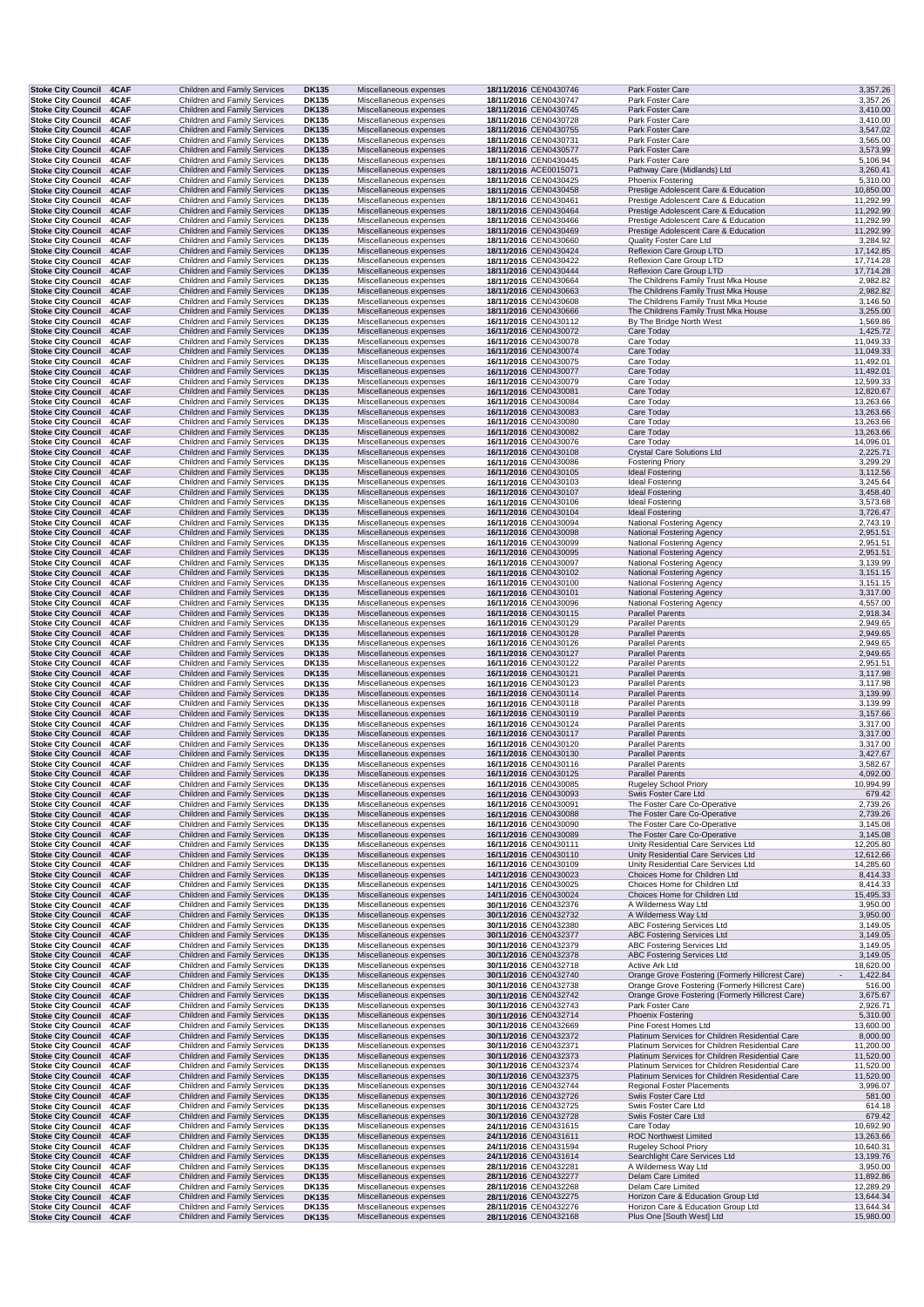| Stoke City Council 4CAF                                |              | <b>Children and Family Services</b>                                 | <b>DK135</b>                 | Miscellaneous expenses                           | 18/11/2016 CEN0430746                          | Park Foster Care                                                                                     | 3,357.26               |
|--------------------------------------------------------|--------------|---------------------------------------------------------------------|------------------------------|--------------------------------------------------|------------------------------------------------|------------------------------------------------------------------------------------------------------|------------------------|
| <b>Stoke City Council</b>                              | 4CAF<br>4CAF | Children and Family Services                                        | DK135                        | Miscellaneous expenses<br>Miscellaneous expenses | 18/11/2016 CEN0430747                          | Park Foster Care                                                                                     | 3,357.26               |
| <b>Stoke City Council</b><br><b>Stoke City Council</b> | 4CAF         | Children and Family Services<br>Children and Family Services        | <b>DK135</b><br><b>DK135</b> | Miscellaneous expenses                           | 18/11/2016 CEN0430745<br>18/11/2016 CEN0430728 | Park Foster Care<br>Park Foster Care                                                                 | 3,410.00<br>3,410.00   |
| <b>Stoke City Council</b>                              | 4CAF         | <b>Children and Family Services</b>                                 | <b>DK135</b>                 | Miscellaneous expenses                           | 18/11/2016 CEN0430755                          | Park Foster Care                                                                                     | 3,547.02               |
| <b>Stoke City Council</b>                              | 4CAF         | Children and Family Services                                        | DK135                        | Miscellaneous expenses                           | 18/11/2016 CEN0430731                          | Park Foster Care                                                                                     | 3,565.00               |
| Stoke City Council 4CAF                                |              | <b>Children and Family Services</b>                                 | <b>DK135</b>                 | Miscellaneous expenses                           | 18/11/2016 CEN0430577                          | Park Foster Care                                                                                     | 3,573.99               |
| <b>Stoke City Council</b><br><b>Stoke City Council</b> | 4CAF<br>4CAF | Children and Family Services<br>Children and Family Services        | DK135<br><b>DK135</b>        | Miscellaneous expenses<br>Miscellaneous expenses | 18/11/2016 CEN0430445<br>18/11/2016 ACE0015071 | Park Foster Care<br>Pathway Care (Midlands) Ltd                                                      | 5,106.94<br>3,260.41   |
| <b>Stoke City Council</b>                              | 4CAF         | Children and Family Services                                        | DK135                        | Miscellaneous expenses                           | 18/11/2016 CEN0430425                          | Phoenix Fostering                                                                                    | 5,310.00               |
| <b>Stoke City Council</b>                              | 4CAF         | Children and Family Services                                        | <b>DK135</b>                 | Miscellaneous expenses                           | 18/11/2016 CEN0430458                          | Prestige Adolescent Care & Education                                                                 | 10,850.00              |
| <b>Stoke City Council</b>                              | 4CAF         | Children and Family Services                                        | DK135                        | Miscellaneous expenses                           | 18/11/2016 CEN0430461                          | Prestige Adolescent Care & Education                                                                 | 11,292.99              |
| <b>Stoke City Council</b><br><b>Stoke City Council</b> | 4CAF<br>4CAF | Children and Family Services<br>Children and Family Services        | <b>DK135</b><br>DK135        | Miscellaneous expenses<br>Miscellaneous expenses | 18/11/2016 CEN0430464<br>18/11/2016 CEN0430466 | Prestige Adolescent Care & Education<br>Prestige Adolescent Care & Education                         | 11,292.99<br>11,292.99 |
| <b>Stoke City Council</b>                              | 4CAF         | Children and Family Services                                        | <b>DK135</b>                 | Miscellaneous expenses                           | 18/11/2016 CEN0430469                          | Prestige Adolescent Care & Education                                                                 | 11,292.99              |
| <b>Stoke City Council</b>                              | 4CAF         | Children and Family Services                                        | DK135                        | Miscellaneous expenses                           | 18/11/2016 CEN0430660                          | Quality Foster Care Ltd                                                                              | 3,284.92               |
| <b>Stoke City Council</b>                              | 4CAF         | <b>Children and Family Services</b>                                 | <b>DK135</b>                 | Miscellaneous expenses                           | 18/11/2016 CEN0430424                          | Reflexion Care Group LTD                                                                             | 17,142.85              |
| <b>Stoke City Council</b>                              | 4CAF         | Children and Family Services                                        | <b>DK135</b>                 | Miscellaneous expenses                           | 18/11/2016 CEN0430422                          | Reflexion Care Group LTD                                                                             | 17,714.28              |
| Stoke City Council 4CAF<br>Stoke City Council 4CAF     |              | Children and Family Services<br>Children and Family Services        | <b>DK135</b><br>DK135        | Miscellaneous expenses<br>Miscellaneous expenses | 18/11/2016 CEN0430444<br>18/11/2016 CEN0430664 | Reflexion Care Group LTD<br>The Childrens Family Trust Mka House                                     | 17,714.28<br>2,982.82  |
| Stoke City Council 4CAF                                |              | <b>Children and Family Services</b>                                 | <b>DK135</b>                 | Miscellaneous expenses                           | 18/11/2016 CEN0430663                          | The Childrens Family Trust Mka House                                                                 | 2,982.82               |
| <b>Stoke City Council</b>                              | 4CAF         | Children and Family Services                                        | DK135                        | Miscellaneous expenses                           | 18/11/2016 CEN0430608                          | The Childrens Family Trust Mka House                                                                 | 3,146.50               |
| <b>Stoke City Council</b>                              | 4CAF         | Children and Family Services                                        | <b>DK135</b>                 | Miscellaneous expenses                           | 18/11/2016 CEN0430666                          | The Childrens Family Trust Mka House                                                                 | 3,255.00               |
| <b>Stoke City Council</b>                              | 4CAF         | Children and Family Services<br>Children and Family Services        | DK135                        | Miscellaneous expenses                           | 16/11/2016 CEN0430112                          | By The Bridge North West<br>Care Today                                                               | 1,569.86               |
| <b>Stoke City Council</b><br><b>Stoke City Council</b> | 4CAF<br>4CAF | Children and Family Services                                        | <b>DK135</b><br>DK135        | Miscellaneous expenses<br>Miscellaneous expenses | 16/11/2016 CEN0430072<br>16/11/2016 CEN0430078 | Care Today                                                                                           | 1,425.72<br>11,049.33  |
| <b>Stoke City Council</b>                              | 4CAF         | <b>Children and Family Services</b>                                 | <b>DK135</b>                 | Miscellaneous expenses                           | 16/11/2016 CEN0430074                          | Care Today                                                                                           | 11,049.33              |
| <b>Stoke City Council</b>                              | 4CAF         | Children and Family Services                                        | <b>DK135</b>                 | Miscellaneous expenses                           | 16/11/2016 CEN0430075                          | Care Today                                                                                           | 11,492.01              |
| <b>Stoke City Council</b>                              | 4CAF         | <b>Children and Family Services</b>                                 | <b>DK135</b>                 | Miscellaneous expenses                           | 16/11/2016 CEN0430077                          | Care Today                                                                                           | 11,492.01              |
| <b>Stoke City Council</b><br><b>Stoke City Council</b> | 4CAF<br>4CAF | Children and Family Services<br>Children and Family Services        | DK135<br><b>DK135</b>        | Miscellaneous expenses<br>Miscellaneous expenses | 16/11/2016 CEN0430079<br>16/11/2016 CEN0430081 | Care Today<br>Care Today                                                                             | 12,599.33<br>12,820.67 |
| <b>Stoke City Council</b>                              | 4CAF         | Children and Family Services                                        | <b>DK135</b>                 | Miscellaneous expenses                           | 16/11/2016 CEN0430084                          | Care Today                                                                                           | 13,263.66              |
| <b>Stoke City Council</b>                              | 4CAF         | <b>Children and Family Services</b>                                 | <b>DK135</b>                 | Miscellaneous expenses                           | 16/11/2016 CEN0430083                          | Care Today                                                                                           | 13,263.66              |
| <b>Stoke City Council</b>                              | 4CAF         | Children and Family Services                                        | DK135                        | Miscellaneous expenses                           | 16/11/2016 CEN0430080                          | Care Today                                                                                           | 13,263.66              |
| <b>Stoke City Council</b>                              | 4CAF         | <b>Children and Family Services</b>                                 | <b>DK135</b>                 | Miscellaneous expenses                           | 16/11/2016 CEN0430082                          | Care Today                                                                                           | 13,263.66              |
| Stoke City Council 4CAF<br><b>Stoke City Council</b>   | 4CAF         | Children and Family Services<br>Children and Family Services        | DK135<br><b>DK135</b>        | Miscellaneous expenses<br>Miscellaneous expenses | 16/11/2016 CEN0430076<br>16/11/2016 CEN0430108 | Care Today<br><b>Crystal Care Solutions Ltd</b>                                                      | 14,096.01<br>2,225.71  |
| <b>Stoke City Council</b>                              | 4CAF         | Children and Family Services                                        | <b>DK135</b>                 | Miscellaneous expenses                           | 16/11/2016 CEN0430086                          | <b>Fostering Priory</b>                                                                              | 3,299.29               |
| <b>Stoke City Council</b>                              | 4CAF         | <b>Children and Family Services</b>                                 | <b>DK135</b>                 | Miscellaneous expenses                           | 16/11/2016 CEN0430105                          | <b>Ideal Fostering</b>                                                                               | 3,112.56               |
| <b>Stoke City Council</b>                              | 4CAF         | Children and Family Services                                        | <b>DK135</b>                 | Miscellaneous expenses                           | 16/11/2016 CEN0430103                          | <b>Ideal Fostering</b>                                                                               | 3,245.64               |
| <b>Stoke City Council</b><br><b>Stoke City Council</b> | 4CAF<br>4CAF | Children and Family Services                                        | <b>DK135</b><br><b>DK135</b> | Miscellaneous expenses                           | 16/11/2016 CEN0430107<br>16/11/2016 CEN0430106 | <b>Ideal Fostering</b>                                                                               | 3,458.40<br>3,573.68   |
| <b>Stoke City Council</b>                              | 4CAF         | Children and Family Services<br>Children and Family Services        | <b>DK135</b>                 | Miscellaneous expenses<br>Miscellaneous expenses | 16/11/2016 CEN0430104                          | <b>Ideal Fostering</b><br><b>Ideal Fostering</b>                                                     | 3,726.47               |
| <b>Stoke City Council</b>                              | 4CAF         | Children and Family Services                                        | <b>DK135</b>                 | Miscellaneous expenses                           | 16/11/2016 CEN0430094                          | National Fostering Agency                                                                            | 2,743.19               |
| Stoke City Council 4CAF                                |              | <b>Children and Family Services</b>                                 | <b>DK135</b>                 | Miscellaneous expenses                           | 16/11/2016 CEN0430098                          | <b>National Fostering Agency</b>                                                                     | 2,951.51               |
| Stoke City Council 4CAF                                |              | Children and Family Services                                        | DK135                        | Miscellaneous expenses                           | 16/11/2016 CEN0430099                          | National Fostering Agency                                                                            | 2,951.51               |
| <b>Stoke City Council</b><br><b>Stoke City Council</b> | 4CAF<br>4CAF | Children and Family Services<br>Children and Family Services        | <b>DK135</b><br>DK135        | Miscellaneous expenses<br>Miscellaneous expenses | 16/11/2016 CEN0430095<br>16/11/2016 CEN0430097 | National Fostering Agency<br>National Fostering Agency                                               | 2,951.51<br>3,139.99   |
| <b>Stoke City Council</b>                              | 4CAF         | Children and Family Services                                        | <b>DK135</b>                 | Miscellaneous expenses                           | 16/11/2016 CEN0430102                          | National Fostering Agency                                                                            | 3,151.15               |
| <b>Stoke City Council</b>                              | 4CAF         | Children and Family Services                                        | <b>DK135</b>                 | Miscellaneous expenses                           | 16/11/2016 CEN0430100                          | National Fostering Agency                                                                            | 3,151.15               |
| <b>Stoke City Council</b>                              | 4CAF         | Children and Family Services                                        | <b>DK135</b>                 | Miscellaneous expenses                           | 16/11/2016 CEN0430101                          | <b>National Fostering Agency</b>                                                                     | 3,317.00               |
| <b>Stoke City Council</b><br><b>Stoke City Council</b> | 4CAF<br>4CAF | Children and Family Services                                        | DK135<br><b>DK135</b>        | Miscellaneous expenses                           | 16/11/2016 CEN0430096                          | National Fostering Agency                                                                            | 4,557.00               |
| <b>Stoke City Council</b>                              | 4CAF         | Children and Family Services<br>Children and Family Services        | <b>DK135</b>                 | Miscellaneous expenses<br>Miscellaneous expenses | 16/11/2016 CEN0430115<br>16/11/2016 CEN0430129 | <b>Parallel Parents</b><br><b>Parallel Parents</b>                                                   | 2,918.34<br>2,949.65   |
| <b>Stoke City Council</b>                              | 4CAF         | <b>Children and Family Services</b>                                 | <b>DK135</b>                 | Miscellaneous expenses                           | 16/11/2016 CEN0430128                          | <b>Parallel Parents</b>                                                                              | 2,949.65               |
| <b>Stoke City Council</b>                              | 4CAF         | Children and Family Services                                        | DK135                        | Miscellaneous expenses                           | 16/11/2016 CEN0430126                          | <b>Parallel Parents</b>                                                                              | 2,949.65               |
| Stoke City Council 4CAF                                |              | Children and Family Services                                        | <b>DK135</b>                 | Miscellaneous expenses                           | 16/11/2016 CEN0430127                          | <b>Parallel Parents</b>                                                                              | 2,949.65               |
| Stoke City Council 4CAF<br><b>Stoke City Council</b>   | 4CAF         | Children and Family Services<br>Children and Family Services        | DK135<br><b>DK135</b>        | Miscellaneous expenses<br>Miscellaneous expenses | 16/11/2016 CEN0430122<br>16/11/2016 CEN0430121 | <b>Parallel Parents</b><br><b>Parallel Parents</b>                                                   | 2,951.51<br>3,117.98   |
| <b>Stoke City Council</b>                              | 4CAF         | Children and Family Services                                        | DK135                        | Miscellaneous expenses                           | 16/11/2016 CEN0430123                          | <b>Parallel Parents</b>                                                                              | 3,117.98               |
| <b>Stoke City Council</b>                              | 4CAF         | <b>Children and Family Services</b>                                 | <b>DK135</b>                 | Miscellaneous expenses                           | 16/11/2016 CEN0430114                          | <b>Parallel Parents</b>                                                                              | 3,139.99               |
| <b>Stoke City Council</b>                              | 4CAF         | Children and Family Services                                        | DK135                        | Miscellaneous expenses                           | 16/11/2016 CEN0430118                          | <b>Parallel Parents</b>                                                                              | 3,139.99               |
| <b>Stoke City Council</b><br><b>Stoke City Council</b> | 4CAF<br>4CAF | Children and Family Services<br>Children and Family Services        | <b>DK135</b><br>DK135        | Miscellaneous expenses<br>Miscellaneous expenses | 16/11/2016 CEN0430119<br>16/11/2016 CEN0430124 | <b>Parallel Parents</b><br><b>Parallel Parents</b>                                                   | 3,157.66<br>3,317.00   |
| <b>Stoke City Council</b>                              | 4CAF         | Children and Family Services                                        | <b>DK135</b>                 | Miscellaneous expenses                           | 16/11/2016 CEN0430117                          | <b>Parallel Parents</b>                                                                              | 3,317.00               |
| <b>Stoke City Council</b>                              | 4CAF         | Children and Family Services                                        | DK135                        | Miscellaneous expenses                           | 16/11/2016 CEN0430120                          | <b>Parallel Parents</b>                                                                              | 3,317.00               |
| <b>Stoke City Council</b>                              | 4CAF         | <b>Children and Family Services</b>                                 | <b>DK135</b>                 | Miscellaneous expenses                           | 16/11/2016 CEN0430130                          | <b>Parallel Parents</b>                                                                              | 3,427.67               |
| Stoke City Council 4CAF                                |              | Children and Family Services                                        | DK135                        | Miscellaneous expenses                           | 16/11/2016 CEN0430116                          | <b>Parallel Parents</b>                                                                              | 3,582.67               |
| Stoke City Council 4CAF<br>Stoke City Council 4CAF     |              | Children and Family Services<br>Children and Family Services        | <b>DK135</b><br><b>DK135</b> | Miscellaneous expenses<br>Miscellaneous expenses | 16/11/2016 CEN0430125<br>16/11/2016 CEN0430085 | <b>Parallel Parents</b><br><b>Rugeley School Priory</b>                                              | 4,092.00<br>10,994.99  |
| Stoke City Council 4CAF                                |              | <b>Children and Family Services</b>                                 | <b>DK135</b>                 | Miscellaneous expenses                           | 16/11/2016 CEN0430093                          | Swiis Foster Care Ltd                                                                                | 679.42                 |
| <b>Stoke City Council</b>                              | 4CAF         | Children and Family Services                                        | DK135                        | Miscellaneous expenses                           | 16/11/2016 CEN0430091                          | The Foster Care Co-Operative                                                                         | 2,739.26               |
| <b>Stoke City Council</b>                              | 4CAF         | Children and Family Services                                        | <b>DK135</b>                 | Miscellaneous expenses                           | 16/11/2016 CEN0430088                          | The Foster Care Co-Operative                                                                         | 2,739.26               |
| <b>Stoke City Council</b><br><b>Stoke City Council</b> | 4CAF<br>4CAF | Children and Family Services<br>Children and Family Services        | DK135<br><b>DK135</b>        | Miscellaneous expenses<br>Miscellaneous expenses | 16/11/2016 CEN0430090<br>16/11/2016 CEN0430089 | The Foster Care Co-Operative<br>The Foster Care Co-Operative                                         | 3,145.08<br>3,145.08   |
| <b>Stoke City Council</b>                              | 4CAF         | Children and Family Services                                        | DK135                        | Miscellaneous expenses                           | 16/11/2016 CEN0430111                          | Unity Residential Care Services Ltd                                                                  | 12,205.80              |
| <b>Stoke City Council</b>                              | 4CAF         | Children and Family Services                                        | <b>DK135</b>                 | Miscellaneous expenses                           | 16/11/2016 CEN0430110                          | Unity Residential Care Services Ltd                                                                  | 12,612.66              |
| <b>Stoke City Council</b>                              | 4CAF         | Children and Family Services                                        | <b>DK135</b>                 | Miscellaneous expenses                           | 16/11/2016 CEN0430109                          | Unity Residential Care Services Ltd                                                                  | 14,285.60              |
| <b>Stoke City Council</b><br><b>Stoke City Council</b> | 4CAF<br>4CAF | Children and Family Services<br>Children and Family Services        | <b>DK135</b><br>DK135        | Miscellaneous expenses<br>Miscellaneous expenses | 14/11/2016 CEN0430023<br>14/11/2016 CEN0430025 | Choices Home for Children Ltd<br>Choices Home for Children Ltd                                       | 8,414.33<br>8,414.33   |
| <b>Stoke City Council</b>                              | 4CAF         | Children and Family Services                                        | <b>DK135</b>                 | Miscellaneous expenses                           | 14/11/2016 CEN0430024                          | Choices Home for Children Ltd                                                                        | 15,495.33              |
| <b>Stoke City Council</b>                              | 4CAF         | Children and Family Services                                        | DK135                        | Miscellaneous expenses                           | 30/11/2016 CEN0432376                          | A Wilderness Way Ltd                                                                                 | 3,950.00               |
| <b>Stoke City Council</b>                              | 4CAF         | <b>Children and Family Services</b>                                 | <b>DK135</b>                 | Miscellaneous expenses                           | 30/11/2016 CEN0432732                          | A Wilderness Way Ltd                                                                                 | 3,950.00               |
| <b>Stoke City Council</b>                              | 4CAF         | Children and Family Services                                        | DK135                        | Miscellaneous expenses                           | 30/11/2016 CEN0432380                          | ABC Fostering Services Ltd                                                                           | 3,149.05               |
| <b>Stoke City Council</b><br><b>Stoke City Council</b> | 4CAF<br>4CAF | Children and Family Services<br>Children and Family Services        | <b>DK135</b><br>DK135        | Miscellaneous expenses<br>Miscellaneous expenses | 30/11/2016 CEN0432377<br>30/11/2016 CEN0432379 | ABC Fostering Services Ltd<br><b>ABC Fostering Services Ltd</b>                                      | 3,149.05<br>3,149.05   |
| <b>Stoke City Council</b>                              | 4CAF         | Children and Family Services                                        | <b>DK135</b>                 | Miscellaneous expenses                           | 30/11/2016 CEN0432378                          | <b>ABC Fostering Services Ltd</b>                                                                    | 3,149.05               |
| <b>Stoke City Council</b>                              | 4CAF         | Children and Family Services                                        | DK135                        | Miscellaneous expenses                           | 30/11/2016 CEN0432718                          | Active Ark Ltd                                                                                       | 18,620.00              |
| <b>Stoke City Council</b>                              | 4CAF         | <b>Children and Family Services</b>                                 | <b>DK135</b>                 | Miscellaneous expenses                           | 30/11/2016 CEN0432740                          | Orange Grove Fostering (Formerly Hillcrest Care)<br>$\overline{\phantom{a}}$                         | 1,422.84               |
| <b>Stoke City Council</b><br><b>Stoke City Council</b> | 4CAF<br>4CAF | Children and Family Services<br>Children and Family Services        | <b>DK135</b><br><b>DK135</b> | Miscellaneous expenses<br>Miscellaneous expenses | 30/11/2016 CEN0432738<br>30/11/2016 CEN0432742 | Orange Grove Fostering (Formerly Hillcrest Care)<br>Orange Grove Fostering (Formerly Hillcrest Care) | 516.00<br>3,675.67     |
| <b>Stoke City Council</b>                              | 4CAF         | Children and Family Services                                        | <b>DK135</b>                 | Miscellaneous expenses                           | 30/11/2016 CEN0432743                          | Park Foster Care                                                                                     | 2,926.71               |
| <b>Stoke City Council</b>                              | 4CAF         | Children and Family Services                                        | <b>DK135</b>                 | Miscellaneous expenses                           | 30/11/2016 CEN0432714                          | Phoenix Fostering                                                                                    | 5,310.00               |
| <b>Stoke City Council</b>                              | 4CAF         | Children and Family Services                                        | DK135                        | Miscellaneous expenses                           | 30/11/2016 CEN0432669                          | Pine Forest Homes Ltd                                                                                | 13,600.00              |
| Stoke City Council 4CAF<br>Stoke City Council 4CAF     |              | <b>Children and Family Services</b><br>Children and Family Services | <b>DK135</b><br><b>DK135</b> | Miscellaneous expenses<br>Miscellaneous expenses | 30/11/2016 CEN0432372<br>30/11/2016 CEN0432371 | Platinum Services for Children Residential Care<br>Platinum Services for Children Residential Care   | 8,000.00<br>11,200.00  |
| <b>Stoke City Council</b>                              | 4CAF         | Children and Family Services                                        | <b>DK135</b>                 | Miscellaneous expenses                           | 30/11/2016 CEN0432373                          | Platinum Services for Children Residential Care                                                      | 11,520.00              |
| <b>Stoke City Council</b>                              | 4CAF         | Children and Family Services                                        | DK135                        | Miscellaneous expenses                           | 30/11/2016 CEN0432374                          | Platinum Services for Children Residential Care                                                      | 11,520.00              |
| <b>Stoke City Council</b>                              | 4CAF         | Children and Family Services                                        | <b>DK135</b>                 | Miscellaneous expenses                           | 30/11/2016 CEN0432375                          | Platinum Services for Children Residential Care                                                      | 11,520.00              |
| <b>Stoke City Council</b>                              | 4CAF         | Children and Family Services                                        | DK135                        | Miscellaneous expenses                           | 30/11/2016 CEN0432744                          | Regional Foster Placements                                                                           | 3,996.07               |
| <b>Stoke City Council</b><br><b>Stoke City Council</b> | 4CAF<br>4CAF | <b>Children and Family Services</b><br>Children and Family Services | <b>DK135</b><br>DK135        | Miscellaneous expenses<br>Miscellaneous expenses | 30/11/2016 CEN0432726<br>30/11/2016 CEN0432725 | Swiis Foster Care Ltd<br>Swiis Foster Care Ltd                                                       | 581.00<br>614.18       |
| <b>Stoke City Council</b>                              | 4CAF         | Children and Family Services                                        | <b>DK135</b>                 | Miscellaneous expenses                           | 30/11/2016 CEN0432728                          | Swiis Foster Care Ltd                                                                                | 679.42                 |
| <b>Stoke City Council</b>                              | 4CAF         | Children and Family Services                                        | DK135                        | Miscellaneous expenses                           | 24/11/2016 CEN0431615                          | Care Today                                                                                           | 10,692.90              |
| <b>Stoke City Council</b>                              | 4CAF         | Children and Family Services                                        | <b>DK135</b>                 | Miscellaneous expenses                           | 24/11/2016 CEN0431611                          | <b>ROC Northwest Limited</b>                                                                         | 13,263.66              |
| <b>Stoke City Council</b><br>Stoke City Council 4CAF   | 4CAF         | Children and Family Services<br>Children and Family Services        | <b>DK135</b><br><b>DK135</b> | Miscellaneous expenses<br>Miscellaneous expenses | 24/11/2016 CEN0431594<br>24/11/2016 CEN0431614 | Rugeley School Priory<br>Searchlight Care Services Ltd                                               | 10,640.31<br>13,199.76 |
| <b>Stoke City Council</b>                              | 4CAF         | Children and Family Services                                        | DK135                        | Miscellaneous expenses                           | 28/11/2016 CEN0432281                          | A Wilderness Way Ltd                                                                                 | 3,950.00               |
| <b>Stoke City Council</b>                              | 4CAF         | Children and Family Services                                        | <b>DK135</b>                 | Miscellaneous expenses                           | 28/11/2016 CEN0432277                          | Delam Care Limited                                                                                   | 11,892.86              |
| <b>Stoke City Council</b>                              | 4CAF         | Children and Family Services                                        | DK135                        | Miscellaneous expenses                           | 28/11/2016 CEN0432268                          | Delam Care Limited                                                                                   | 12,289.29              |
| <b>Stoke City Council</b><br><b>Stoke City Council</b> | 4CAF<br>4CAF | Children and Family Services<br>Children and Family Services        | <b>DK135</b><br>DK135        | Miscellaneous expenses<br>Miscellaneous expenses | 28/11/2016 CEN0432275<br>28/11/2016 CEN0432276 | Horizon Care & Education Group Ltd<br>Horizon Care & Education Group Ltd                             | 13,644.34<br>13,644.34 |
| <b>Stoke City Council</b>                              | 4CAF         | <b>Children and Family Services</b>                                 | <b>DK135</b>                 | Miscellaneous expenses                           | 28/11/2016 CEN0432168                          | Plus One [South West] Ltd                                                                            | 15,980.00              |
|                                                        |              |                                                                     |                              |                                                  |                                                |                                                                                                      |                        |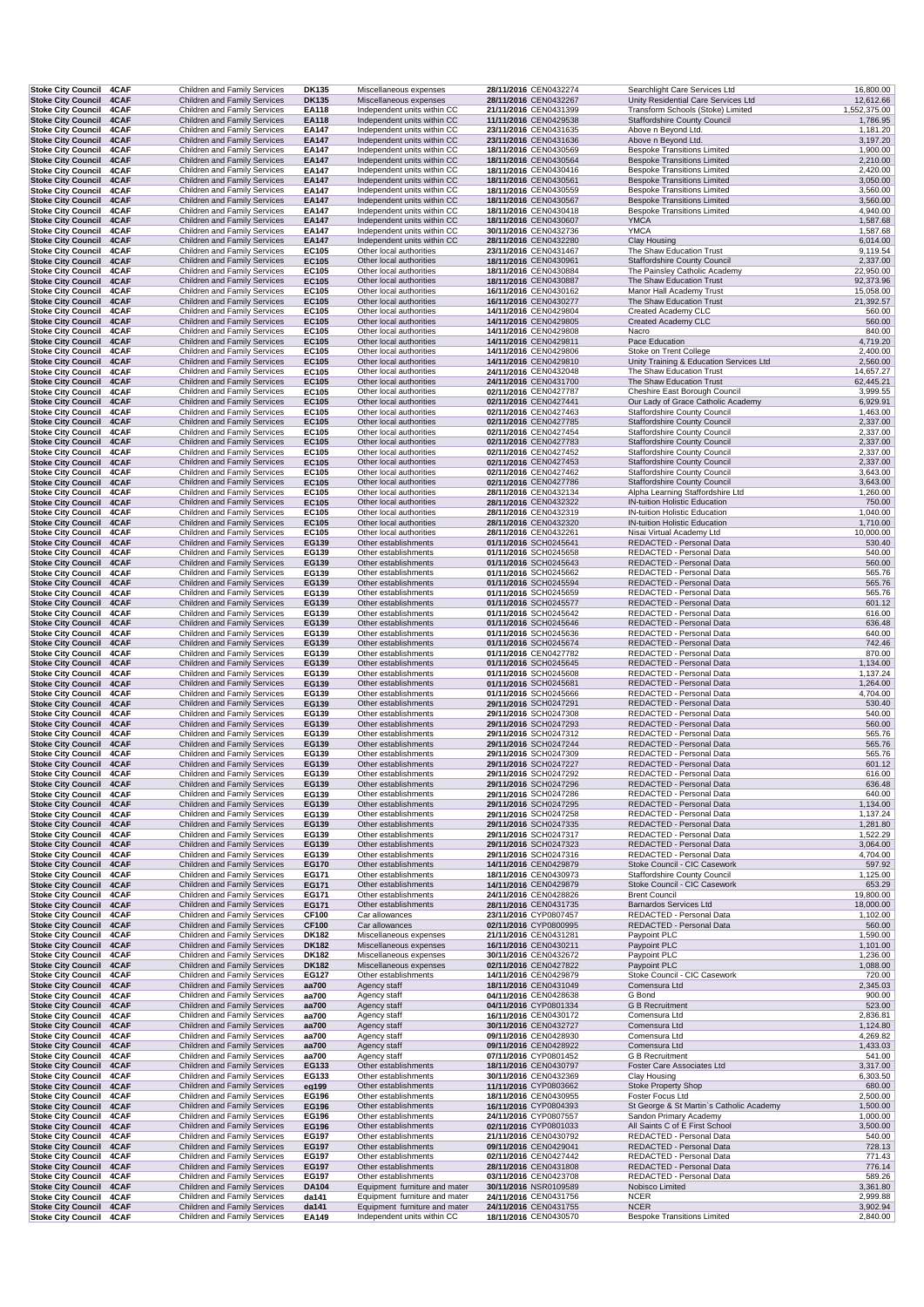| Stoke City Council 4CAF                                                | Children and Family Services                                         | DK135                        | Miscellaneous expenses                                     | 28/11/2016 CEN0432274                          | Searchlight Care Services Ltd                                              | 16,800.00                 |
|------------------------------------------------------------------------|----------------------------------------------------------------------|------------------------------|------------------------------------------------------------|------------------------------------------------|----------------------------------------------------------------------------|---------------------------|
| <b>Stoke City Council</b><br>4CAF<br><b>Stoke City Council</b><br>4CAF | Children and Family Services<br>Children and Family Services         | <b>DK135</b><br>EA118        | Miscellaneous expenses<br>Independent units within CC      | 28/11/2016 CEN0432267<br>21/11/2016 CEN0431399 | Unity Residential Care Services Ltd<br>Transform Schools (Stoke) Limited   | 12,612.66<br>1,552,375.00 |
| <b>Stoke City Council</b><br>4CAF                                      | <b>Children and Family Services</b>                                  | EA118                        | Independent units within CC                                | 11/11/2016 CEN0429538                          | <b>Staffordshire County Council</b>                                        | 1,786.95                  |
| Stoke City Council 4CAF<br><b>Stoke City Council</b><br>4CAF           | Children and Family Services<br>Children and Family Services         | <b>EA147</b><br><b>EA147</b> | Independent units within CC<br>Independent units within CC | 23/11/2016 CEN0431635<br>23/11/2016 CEN0431636 | Above n Beyond Ltd.<br>Above n Beyond Ltd.                                 | 1,181.20<br>3,197.20      |
| Stoke City Council 4CAF                                                | Children and Family Services                                         | <b>EA147</b>                 | Independent units within CC                                | 18/11/2016 CEN0430569                          | <b>Bespoke Transitions Limited</b>                                         | 1,900.00                  |
| <b>Stoke City Council 4CAF</b><br>4CAF<br><b>Stoke City Council</b>    | Children and Family Services<br>Children and Family Services         | <b>EA147</b><br>EA147        | Independent units within CC<br>Independent units within CC | 18/11/2016 CEN0430564<br>18/11/2016 CEN0430416 | <b>Bespoke Transitions Limited</b><br><b>Bespoke Transitions Limited</b>   | 2,210.00<br>2,420.00      |
| Stoke City Council 4CAF                                                | <b>Children and Family Services</b>                                  | EA147                        | Independent units within CC                                | 18/11/2016 CEN0430561                          | <b>Bespoke Transitions Limited</b>                                         | 3,050.00                  |
| <b>Stoke City Council 4CAF</b><br><b>Stoke City Council 4CAF</b>       | Children and Family Services<br>Children and Family Services         | <b>EA147</b><br><b>EA147</b> | Independent units within CC<br>Independent units within CC | 18/11/2016 CEN0430559<br>18/11/2016 CEN0430567 | <b>Bespoke Transitions Limited</b><br><b>Bespoke Transitions Limited</b>   | 3,560.00<br>3,560.00      |
| 4CAF<br><b>Stoke City Council</b>                                      | Children and Family Services                                         | <b>EA147</b>                 | Independent units within CC                                | 18/11/2016 CEN0430418                          | <b>Bespoke Transitions Limited</b>                                         | 4,940.00                  |
| 4CAF<br><b>Stoke City Council</b><br><b>Stoke City Council</b><br>4CAF | Children and Family Services<br>Children and Family Services         | <b>EA147</b><br><b>EA147</b> | Independent units within CC<br>Independent units within CC | 18/11/2016 CEN0430607<br>30/11/2016 CEN0432736 | <b>YMCA</b><br><b>YMCA</b>                                                 | 1,587.68<br>1,587.68      |
| <b>Stoke City Council</b><br>4CAF                                      | Children and Family Services                                         | <b>EA147</b>                 | Independent units within CC                                | 28/11/2016 CEN0432280                          | Clay Housing                                                               | 6,014.00                  |
| Stoke City Council 4CAF                                                | Children and Family Services<br>Children and Family Services         | EC105                        | Other local authorities                                    | 23/11/2016 CEN0431467                          | The Shaw Education Trust                                                   | 9,119.54                  |
| <b>Stoke City Council 4CAF</b><br>Stoke City Council 4CAF              | Children and Family Services                                         | <b>EC105</b><br>EC105        | Other local authorities<br>Other local authorities         | 18/11/2016 CEN0430961<br>18/11/2016 CEN0430884 | <b>Staffordshire County Council</b><br>The Painsley Catholic Academy       | 2,337.00<br>22,950.00     |
| Stoke City Council 4CAF                                                | Children and Family Services                                         | EC105                        | Other local authorities                                    | 18/11/2016 CEN0430887                          | The Shaw Education Trust                                                   | 92,373.96                 |
| Stoke City Council 4CAF<br><b>Stoke City Council</b><br>4CAF           | <b>Children and Family Services</b><br>Children and Family Services  | EC105<br>EC105               | Other local authorities<br>Other local authorities         | 16/11/2016 CEN0430162<br>16/11/2016 CEN0430277 | Manor Hall Academy Trust<br>The Shaw Education Trust                       | 15,058.00<br>21,392.57    |
| Stoke City Council 4CAF                                                | Children and Family Services                                         | EC105                        | Other local authorities                                    | 14/11/2016 CEN0429804                          | Created Academy CLC                                                        | 560.00                    |
| Stoke City Council 4CAF<br><b>Stoke City Council</b><br>4CAF           | Children and Family Services<br>Children and Family Services         | EC105<br>EC105               | Other local authorities<br>Other local authorities         | 14/11/2016 CEN0429805<br>14/11/2016 CEN0429808 | Created Academy CLC<br>Nacro                                               | 560.00<br>840.00          |
| <b>Stoke City Council</b><br>4CAF                                      | <b>Children and Family Services</b>                                  | EC105                        | Other local authorities                                    | 14/11/2016 CEN0429811                          | Pace Education                                                             | 4,719.20                  |
| <b>Stoke City Council</b><br>4CAF<br><b>Stoke City Council</b><br>4CAF | Children and Family Services<br>Children and Family Services         | EC105<br>EC105               | Other local authorities                                    | 14/11/2016 CEN0429806<br>14/11/2016 CEN0429810 | Stoke on Trent College<br>Unity Training & Education Services Ltd          | 2,400.00<br>2,560.00      |
| Stoke City Council 4CAF                                                | Children and Family Services                                         | EC105                        | Other local authorities<br>Other local authorities         | 24/11/2016 CEN0432048                          | The Shaw Education Trust                                                   | 14,657.27                 |
| <b>Stoke City Council 4CAF</b>                                         | Children and Family Services                                         | EC105                        | Other local authorities                                    | 24/11/2016 CEN0431700                          | The Shaw Education Trust                                                   | 62,445.21                 |
| Stoke City Council 4CAF<br><b>Stoke City Council 4CAF</b>              | Children and Family Services<br><b>Children and Family Services</b>  | EC105<br>EC105               | Other local authorities<br>Other local authorities         | 02/11/2016 CEN0427787<br>02/11/2016 CEN0427441 | Cheshire East Borough Council<br>Our Lady of Grace Catholic Academy        | 3,999.55<br>6,929.91      |
| Stoke City Council 4CAF                                                | Children and Family Services                                         | EC105                        | Other local authorities                                    | 02/11/2016 CEN0427463                          | Staffordshire County Council                                               | 1,463.00                  |
| <b>Stoke City Council</b><br>4CAF<br>Stoke City Council 4CAF           | <b>Children and Family Services</b><br>Children and Family Services  | EC105<br>EC105               | Other local authorities<br>Other local authorities         | 02/11/2016 CEN0427785<br>02/11/2016 CEN0427454 | <b>Staffordshire County Council</b><br><b>Staffordshire County Council</b> | 2,337.00<br>2,337.00      |
| Stoke City Council 4CAF                                                | Children and Family Services                                         | <b>EC105</b>                 | Other local authorities                                    | 02/11/2016 CEN0427783                          | <b>Staffordshire County Council</b>                                        | 2,337.00                  |
| 4CAF<br><b>Stoke City Council</b><br><b>Stoke City Council 4CAF</b>    | Children and Family Services<br>Children and Family Services         | EC105<br>EC105               | Other local authorities<br>Other local authorities         | 02/11/2016 CEN0427452<br>02/11/2016 CEN0427453 | Staffordshire County Council<br><b>Staffordshire County Council</b>        | 2,337.00<br>2,337.00      |
| <b>Stoke City Council</b><br>4CAF                                      | Children and Family Services                                         | EC105                        | Other local authorities                                    | 02/11/2016 CEN0427462                          | <b>Staffordshire County Council</b>                                        | 3,643.00                  |
| <b>Stoke City Council</b><br>4CAF                                      | Children and Family Services                                         | EC105                        | Other local authorities                                    | 02/11/2016 CEN0427786                          | Staffordshire County Council                                               | 3,643.00                  |
| <b>Stoke City Council</b><br>4CAF<br><b>Stoke City Council</b><br>4CAF | Children and Family Services<br>Children and Family Services         | EC105<br>EC105               | Other local authorities<br>Other local authorities         | 28/11/2016 CEN0432134<br>28/11/2016 CEN0432322 | Alpha Learning Staffordshire Ltd<br><b>IN-tuition Holistic Education</b>   | 1,260.00<br>750.00        |
| Stoke City Council 4CAF                                                | Children and Family Services                                         | EC105                        | Other local authorities                                    | 28/11/2016 CEN0432319                          | IN-tuition Holistic Education                                              | 1,040.00                  |
| <b>Stoke City Council 4CAF</b><br>Stoke City Council 4CAF              | Children and Family Services<br>Children and Family Services         | EC105<br>EC105               | Other local authorities<br>Other local authorities         | 28/11/2016 CEN0432320<br>28/11/2016 CEN0432261 | <b>IN-tuition Holistic Education</b><br>Nisai Virtual Academy Ltd          | 1,710.00<br>10,000.00     |
| <b>Stoke City Council 4CAF</b>                                         | Children and Family Services                                         | EG139                        | Other establishments                                       | 01/11/2016 SCH0245641                          | REDACTED - Personal Data                                                   | 530.40                    |
| <b>Stoke City Council</b><br>4CAF<br><b>Stoke City Council</b><br>4CAF | Children and Family Services<br>Children and Family Services         | EG139<br>EG139               | Other establishments<br>Other establishments               | 01/11/2016 SCH0245658<br>01/11/2016 SCH0245643 | REDACTED - Personal Data<br>REDACTED - Personal Data                       | 540.00<br>560.00          |
| Stoke City Council 4CAF                                                | Children and Family Services                                         | EG139                        | Other establishments                                       | 01/11/2016 SCH0245662                          | REDACTED - Personal Data                                                   | 565.76                    |
| Stoke City Council 4CAF<br><b>Stoke City Council</b><br>4CAF           | <b>Children and Family Services</b><br>Children and Family Services  | EG139<br>EG139               | Other establishments<br>Other establishments               | 01/11/2016 SCH0245594<br>01/11/2016 SCH0245659 | REDACTED - Personal Data<br>REDACTED - Personal Data                       | 565.76<br>565.76          |
| <b>Stoke City Council</b><br>4CAF                                      | Children and Family Services                                         | EG139                        | Other establishments                                       | 01/11/2016 SCH0245577                          | REDACTED - Personal Data                                                   | 601.12                    |
| <b>Stoke City Council</b><br>4CAF                                      | Children and Family Services                                         | EG139                        | Other establishments                                       | 01/11/2016 SCH0245642                          | REDACTED - Personal Data                                                   | 616.00                    |
| <b>Stoke City Council</b><br>4CAF<br>Stoke City Council 4CAF           | <b>Children and Family Services</b><br>Children and Family Services  | EG139<br>EG139               | Other establishments<br>Other establishments               | 01/11/2016 SCH0245646<br>01/11/2016 SCH0245636 | REDACTED - Personal Data<br>REDACTED - Personal Data                       | 636.48<br>640.00          |
| <b>Stoke City Council 4CAF</b>                                         | Children and Family Services                                         | EG139                        | Other establishments                                       | 01/11/2016 SCH0245674                          | REDACTED - Personal Data                                                   | 742.46                    |
| Stoke City Council 4CAF<br><b>Stoke City Council 4CAF</b>              | Children and Family Services<br>Children and Family Services         | EG139<br>EG139               | Other establishments<br>Other establishments               | 01/11/2016 CEN0427782<br>01/11/2016 SCH0245645 | REDACTED - Personal Data<br>REDACTED - Personal Data                       | 870.00<br>1,134.00        |
| <b>Stoke City Council</b><br>4CAF                                      | Children and Family Services                                         | EG139                        | Other establishments                                       | 01/11/2016 SCH0245608                          | REDACTED - Personal Data                                                   | 1,137.24                  |
| <b>Stoke City Council</b><br>4CAF<br>Stoke City Council 4CAF           | Children and Family Services<br>Children and Family Services         | EG139<br>EG139               | Other establishments<br>Other establishments               | 01/11/2016 SCH0245681<br>01/11/2016 SCH0245666 | REDACTED - Personal Data<br>REDACTED - Personal Data                       | 1,264.00<br>4,704.00      |
| <b>Stoke City Council 4CAF</b>                                         | Children and Family Services                                         | EG139                        | Other establishments                                       | 29/11/2016 SCH0247291                          | REDACTED - Personal Data                                                   | 530.40                    |
| Stoke City Council 4CAF<br><b>Stoke City Council</b><br>4CAF           | Children and Family Services<br><b>Children and Family Services</b>  | EG139<br>EG139               | Other establishments<br>Other establishments               | 29/11/2016 SCH0247308<br>29/11/2016 SCH0247293 | REDACTED - Personal Data<br>REDACTED - Personal Data                       | 540.00<br>560.00          |
| <b>Stoke City Council</b><br>4CAF                                      | Children and Family Services                                         | EG139                        | Other establishments                                       | 29/11/2016 SCH0247312                          | REDACTED - Personal Data                                                   | 565.76                    |
| <b>Stoke City Council</b><br>4CAF                                      | <b>Children and Family Services</b><br>Children and Family Services  | EG139<br>EG139               | Other establishments                                       | 29/11/2016 SCH0247244                          | REDACTED - Personal Data                                                   | 565.76                    |
| Stoke City Council 4CAF<br><b>Stoke City Council 4CAF</b>              | Children and Family Services                                         | EG139                        | Other establishments<br>Other establishments               | 29/11/2016 SCH0247309<br>29/11/2016 SCH0247227 | REDACTED - Personal Data<br>REDACTED - Personal Data                       | 565.76<br>601.12          |
| Stoke City Council 4CAF                                                | Children and Family Services                                         | EG139                        | Other establishments                                       | 29/11/2016 SCH0247292                          | REDACTED - Personal Data                                                   | 616.00                    |
| <b>Stoke City Council 4CAF</b><br><b>Stoke City Council</b><br>4CAF    | Children and Family Services<br><b>Children and Family Services</b>  | EG139<br>EG139               | Other establishments<br>Other establishments               | 29/11/2016 SCH0247296<br>29/11/2016 SCH0247286 | REDACTED - Personal Data<br>REDACTED - Personal Data                       | 636.48<br>640.00          |
| <b>Stoke City Council</b><br>4CAF                                      | Children and Family Services                                         | EG139                        | Other establishments                                       | 29/11/2016 SCH0247295                          | REDACTED - Personal Data                                                   | 1,134.00                  |
| <b>Stoke City Council</b><br>4CAF<br><b>Stoke City Council</b><br>4CAF | Children and Family Services<br>Children and Family Services         | EG139<br>EG139               | Other establishments<br>Other establishments               | 29/11/2016 SCH0247258<br>29/11/2016 SCH0247335 | REDACTED - Personal Data<br>REDACTED - Personal Data                       | 1,137.24<br>1,281.80      |
| <b>Stoke City Council</b><br>4CAF                                      | Children and Family Services                                         | EG139                        | Other establishments                                       | 29/11/2016 SCH0247317                          | REDACTED - Personal Data                                                   | 1,522.29                  |
| <b>Stoke City Council</b><br>4CAF<br><b>Stoke City Council</b>         | Children and Family Services                                         | EG139                        | Other establishments                                       | 29/11/2016 SCH0247323                          | REDACTED - Personal Data                                                   | 3,064.00                  |
| 4CAF<br><b>Stoke City Council</b>                                      | Children and Family Services<br>Children and Family Services<br>4CAF | EG139<br><b>EG170</b>        | Other establishments<br>Other establishments               | 29/11/2016 SCH0247316<br>14/11/2016 CEN0429879 | REDACTED - Personal Data<br>Stoke Council - CIC Casework                   | 4,704.00<br>597.92        |
| Stoke City Council 4CAF                                                | Children and Family Services                                         | EG171                        | Other establishments                                       | 18/11/2016 CEN0430973                          | Staffordshire County Council                                               | 1,125.00                  |
| Stoke City Council 4CAF<br><b>Stoke City Council</b><br>4CAF           | Children and Family Services<br>Children and Family Services         | EG171<br>EG171               | Other establishments<br>Other establishments               | 14/11/2016 CEN0429879<br>24/11/2016 CEN0428826 | Stoke Council - CIC Casework<br><b>Brent Council</b>                       | 653.29<br>19,800.00       |
| <b>Stoke City Council</b><br>4CAF                                      | <b>Children and Family Services</b>                                  | EG171                        | Other establishments                                       | 28/11/2016 CEN0431735                          | Barnardos Services Ltd                                                     | 18,000.00                 |
| <b>Stoke City Council</b><br>4CAF<br><b>Stoke City Council</b><br>4CAF | <b>Children and Family Services</b><br>Children and Family Services  | CF100<br><b>CF100</b>        | Car allowances<br>Car allowances                           | 23/11/2016 CYP0807457<br>02/11/2016 CYP0800995 | REDACTED - Personal Data<br>REDACTED - Personal Data                       | 1,102.00<br>560.00        |
| Stoke City Council 4CAF                                                | <b>Children and Family Services</b>                                  | <b>DK182</b>                 | Miscellaneous expenses                                     | 21/11/2016 CEN0431281                          | Paypoint PLC                                                               | 1,590.00                  |
| <b>Stoke City Council</b><br>4CAF<br><b>Stoke City Council</b><br>4CAF | Children and Family Services<br>Children and Family Services         | <b>DK182</b><br>DK182        | Miscellaneous expenses<br>Miscellaneous expenses           | 16/11/2016 CEN0430211<br>30/11/2016 CEN0432672 | Paypoint PLC<br>Paypoint PLC                                               | 1,101.00<br>1,236.00      |
| <b>Stoke City Council</b><br>4CAF                                      | Children and Family Services                                         | <b>DK182</b>                 | Miscellaneous expenses                                     | 02/11/2016 CEN0427822                          | Paypoint PLC                                                               | 1,088.00                  |
| <b>Stoke City Council</b><br>4CAF                                      | Children and Family Services                                         | EG127                        | Other establishments                                       | 14/11/2016 CEN0429879                          | Stoke Council - CIC Casework                                               | 720.00                    |
| <b>Stoke City Council</b><br>4CAF<br><b>Stoke City Council</b><br>4CAF | Children and Family Services<br>Children and Family Services         | aa700<br>aa700               | Agency staff<br>Agency staff                               | 18/11/2016 CEN0431049<br>04/11/2016 CEN0428638 | Comensura Ltd<br>G Bond                                                    | 2,345.03<br>900.00        |
| <b>Stoke City Council</b><br>4CAF                                      | Children and Family Services                                         | aa700                        | Agency staff                                               | 04/11/2016 CYP0801334                          | <b>G B Recruitment</b>                                                     | 523.00                    |
| <b>Stoke City Council</b><br>4CAF<br>Stoke City Council 4CAF           | Children and Family Services<br>Children and Family Services         | aa700<br>aa700               | Agency staff<br>Agency staff                               | 16/11/2016 CEN0430172<br>30/11/2016 CEN0432727 | Comensura Ltd<br>Comensura Ltd                                             | 2,836.81<br>1,124.80      |
| <b>Stoke City Council</b><br>4CAF                                      | Children and Family Services                                         | aa700                        | Agency staff                                               | 09/11/2016 CEN0428930                          | Comensura Ltd                                                              | 4,269.82                  |
| <b>Stoke City Council</b><br>4CAF<br>Stoke City Council 4CAF           | Children and Family Services<br>Children and Family Services         | aa700<br>aa700               | Agency staff<br>Agency staff                               | 09/11/2016 CEN0428922<br>07/11/2016 CYP0801452 | Comensura Ltd<br>G B Recruitment                                           | 1,433.03<br>541.00        |
| <b>Stoke City Council</b><br>4CAF                                      | Children and Family Services                                         | EG133                        | Other establishments                                       | 18/11/2016 CEN0430797                          | Foster Care Associates Ltd                                                 | 3,317.00                  |
| <b>Stoke City Council</b><br>4CAF<br>4CAF<br><b>Stoke City Council</b> | <b>Children and Family Services</b><br>Children and Family Services  | EG133<br>eg199               | Other establishments<br>Other establishments               | 30/11/2016 CEN0432369<br>11/11/2016 CYP0803662 | Clay Housing<br><b>Stoke Property Shop</b>                                 | 6,303.50<br>680.00        |
| <b>Stoke City Council</b><br>4CAF                                      | Children and Family Services                                         | EG196                        | Other establishments                                       | 18/11/2016 CEN0430955                          | Foster Focus Ltd                                                           | 2,500.00                  |
| <b>Stoke City Council</b><br>4CAF                                      | Children and Family Services                                         | EG196                        | Other establishments                                       | 16/11/2016 CYP0804393                          | St George & St Martin's Catholic Academy                                   | 1,500.00                  |
| <b>Stoke City Council</b><br>4CAF<br><b>Stoke City Council</b><br>4CAF | Children and Family Services<br><b>Children and Family Services</b>  | EG196<br>EG196               | Other establishments<br>Other establishments               | 24/11/2016 CYP0807557<br>02/11/2016 CYP0801033 | Sandon Primary Academy<br>All Saints C of E First School                   | 1,000.00<br>3,500.00      |
| Stoke City Council 4CAF                                                | Children and Family Services                                         | EG197                        | Other establishments                                       | 21/11/2016 CEN0430792                          | REDACTED - Personal Data                                                   | 540.00                    |
| <b>Stoke City Council</b><br>4CAF<br><b>Stoke City Council</b><br>4CAF | Children and Family Services<br>Children and Family Services         | <b>EG197</b><br>EG197        | Other establishments<br>Other establishments               | 09/11/2016 CEN0429041<br>02/11/2016 CEN0427442 | REDACTED - Personal Data<br>REDACTED - Personal Data                       | 728.13<br>771.43          |
| <b>Stoke City Council</b><br>4CAF                                      | Children and Family Services                                         | EG197                        | Other establishments                                       | 28/11/2016 CEN0431808                          | REDACTED - Personal Data                                                   | 776.14                    |
| <b>Stoke City Council</b><br>4CAF<br><b>Stoke City Council</b><br>4CAF | Children and Family Services<br>Children and Family Services         | EG197<br>DA104               | Other establishments<br>Equipment furniture and mater      | 03/11/2016 CEN0423708<br>30/11/2016 NSR0109589 | REDACTED - Personal Data<br>Nobisco Limited                                | 589.26<br>3,361.80        |
| Stoke City Council 4CAF                                                | Children and Family Services                                         | da141                        | Equipment furniture and mater                              | 24/11/2016 CEN0431756                          | <b>NCER</b>                                                                | 2,999.88                  |
| <b>Stoke City Council</b><br>4CAF                                      | <b>Children and Family Services</b>                                  | da141                        | Equipment furniture and mater                              | 24/11/2016 CEN0431755                          | <b>NCER</b>                                                                | 3,902.94                  |
| <b>Stoke City Council</b><br>4CAF                                      | Children and Family Services                                         | EA149                        | Independent units within CC                                | 18/11/2016 CEN0430570                          | <b>Bespoke Transitions Limited</b>                                         | 2,840.00                  |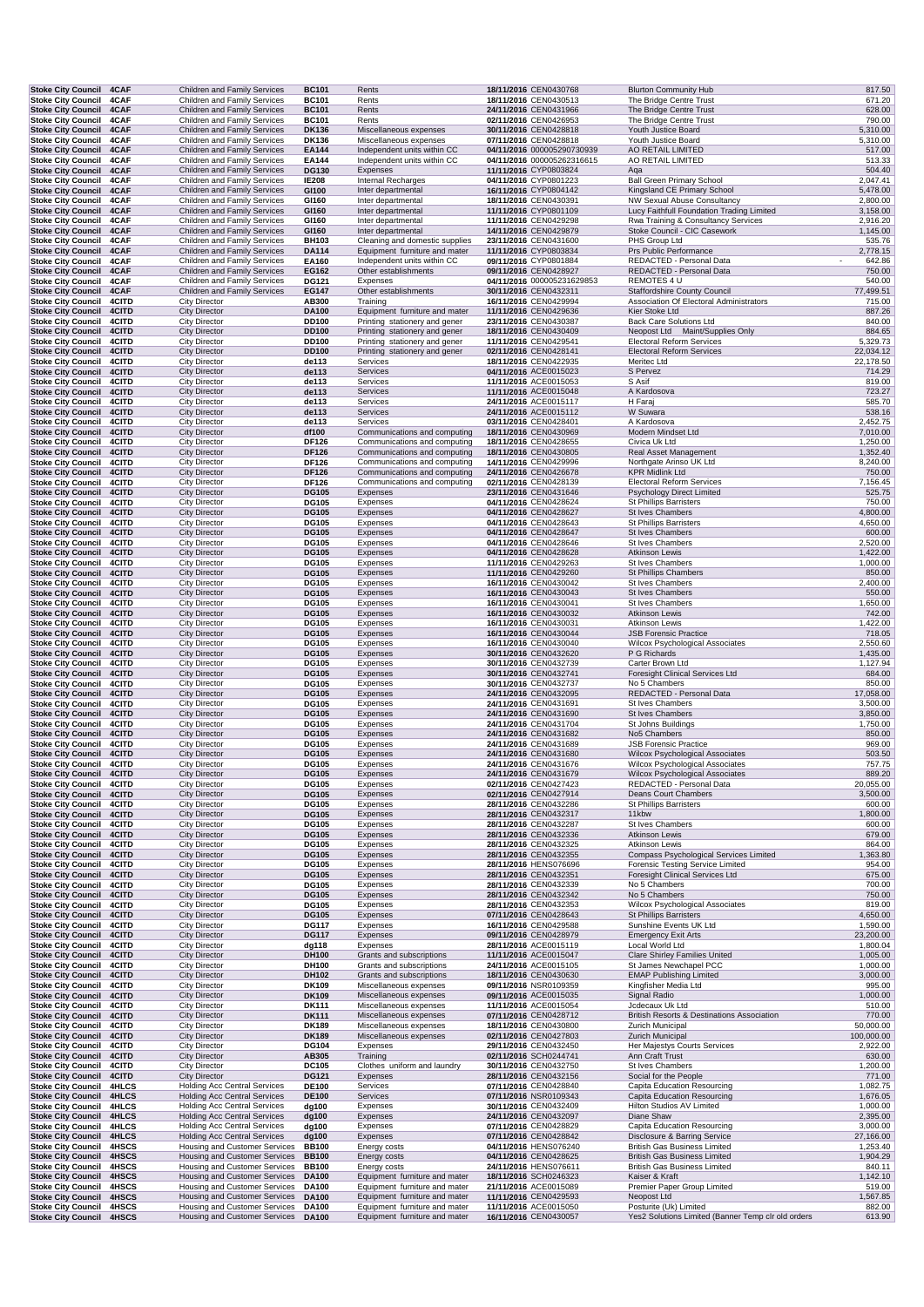| <b>Stoke City Council 4CAF</b>                              |                       | <b>Children and Family Services</b>                                        | <b>BC101</b>                 | Rents                                                          | 18/11/2016 CEN0430768                               | <b>Blurton Community Hub</b>                                                     | 817.50                |
|-------------------------------------------------------------|-----------------------|----------------------------------------------------------------------------|------------------------------|----------------------------------------------------------------|-----------------------------------------------------|----------------------------------------------------------------------------------|-----------------------|
| <b>Stoke City Council</b><br><b>Stoke City Council</b>      | 4CAF<br>4CAF          | Children and Family Services<br>Children and Family Services               | <b>BC101</b><br><b>BC101</b> | Rents<br>Rents                                                 | 18/11/2016 CEN0430513<br>24/11/2016 CEN0431966      | The Bridge Centre Trust<br>The Bridge Centre Trust                               | 671.20<br>628.00      |
| <b>Stoke City Council</b>                                   | 4CAF                  | Children and Family Services                                               | <b>BC101</b>                 | Rents                                                          | 02/11/2016 CEN0426953                               | The Bridge Centre Trust                                                          | 790.00                |
| <b>Stoke City Council</b>                                   | 4CAF                  | <b>Children and Family Services</b>                                        | <b>DK136</b>                 | Miscellaneous expenses                                         | 30/11/2016 CEN0428818                               | Youth Justice Board                                                              | 5,310.00              |
| Stoke City Council 4CAF                                     |                       | Children and Family Services                                               | <b>DK136</b>                 | Miscellaneous expenses                                         | 07/11/2016 CEN0428818                               | Youth Justice Board                                                              | 5,310.00              |
| <b>Stoke City Council</b>                                   | 4CAF                  | Children and Family Services                                               | EA144                        | Independent units within CC                                    | 04/11/2016 000005290730939                          | AO RETAIL LIMITED<br>AO RETAIL LIMITED                                           | 517.00                |
| <b>Stoke City Council</b><br><b>Stoke City Council</b>      | 4CAF<br>4CAF          | Children and Family Services<br>Children and Family Services               | EA144<br><b>DG130</b>        | Independent units within CC<br>Expenses                        | 04/11/2016 000005262316615<br>11/11/2016 CYP0803824 | Aqa                                                                              | 513.33<br>504.40      |
| <b>Stoke City Council</b>                                   | 4CAF                  | Children and Family Services                                               | <b>IE208</b>                 | <b>Internal Recharges</b>                                      | 04/11/2016 CYP0801223                               | <b>Ball Green Primary School</b>                                                 | 2,047.41              |
| <b>Stoke City Council</b>                                   | 4CAF                  | Children and Family Services                                               | GI100                        | Inter departmental                                             | 16/11/2016 CYP0804142                               | Kingsland CE Primary School                                                      | 5,478.00              |
| Stoke City Council 4CAF                                     |                       | Children and Family Services                                               | GI160                        | Inter departmental                                             | 18/11/2016 CEN0430391                               | <b>NW Sexual Abuse Consultancy</b>                                               | 2,800.00              |
| <b>Stoke City Council 4CAF</b><br><b>Stoke City Council</b> | 4CAF                  | Children and Family Services<br>Children and Family Services               | GI160<br>GI160               | Inter departmental<br>Inter departmental                       | 11/11/2016 CYP0801109<br>11/11/2016 CEN0429298      | Lucy Faithfull Foundation Trading Limited<br>Rwa Training & Consultancy Services | 3,158.00<br>2,916.20  |
| <b>Stoke City Council</b>                                   | 4CAF                  | Children and Family Services                                               | GI160                        | Inter departmental                                             | 14/11/2016 CEN0429879                               | Stoke Council - CIC Casework                                                     | 1,145.00              |
| <b>Stoke City Council</b>                                   | 4CAF                  | Children and Family Services                                               | <b>BH103</b>                 | Cleaning and domestic supplies                                 | 23/11/2016 CEN0431600                               | PHS Group Ltd                                                                    | 535.76                |
| <b>Stoke City Council</b>                                   | 4CAF                  | <b>Children and Family Services</b>                                        | <b>DA114</b>                 | Equipment furniture and mater                                  | 11/11/2016 CYP0803834                               | Prs Public Performance                                                           | 2,778.15              |
| Stoke City Council 4CAF                                     |                       | Children and Family Services<br>Children and Family Services               | EA160                        | Independent units within CC<br>Other establishments            | 09/11/2016 CYP0801884<br>09/11/2016 CEN0428927      | REDACTED - Personal Data<br>REDACTED - Personal Data                             | 642.86<br>750.00      |
| <b>Stoke City Council 4CAF</b><br>Stoke City Council 4CAF   |                       | Children and Family Services                                               | EG162<br>DG121               | Expenses                                                       | 04/11/2016 000005231629853                          | REMOTES 4 U                                                                      | 540.00                |
| <b>Stoke City Council 4CAF</b>                              |                       | <b>Children and Family Services</b>                                        | <b>EG147</b>                 | Other establishments                                           | 30/11/2016 CEN0432311                               | <b>Staffordshire County Council</b>                                              | 77,499.51             |
| <b>Stoke City Council</b>                                   | 4CITD                 | City Director                                                              | AB300                        | Training                                                       | 16/11/2016 CEN0429994                               | Association Of Electoral Administrators                                          | 715.00                |
| <b>Stoke City Council</b>                                   | 4CITD                 | <b>City Director</b>                                                       | <b>DA100</b>                 | Equipment furniture and mater                                  | 11/11/2016 CEN0429636                               | Kier Stoke Ltd                                                                   | 887.26                |
| Stoke City Council 4CITD<br>Stoke City Council 4CITD        |                       | <b>City Director</b><br><b>City Director</b>                               | <b>DD100</b><br><b>DD100</b> | Printing stationery and gener<br>Printing stationery and gener | 23/11/2016 CEN0430387<br>18/11/2016 CEN0430409      | <b>Back Care Solutions Ltd</b><br>Neopost Ltd Maint/Supplies Only                | 840.00<br>884.65      |
| <b>Stoke City Council</b>                                   | 4CITD                 | <b>City Director</b>                                                       | <b>DD100</b>                 | Printing stationery and gener                                  | 11/11/2016 CEN0429541                               | <b>Electoral Reform Services</b>                                                 | 5,329.73              |
| <b>Stoke City Council</b>                                   | 4CITD                 | <b>City Director</b>                                                       | <b>DD100</b>                 | Printing stationery and gener                                  | 02/11/2016 CEN0428141                               | <b>Electoral Reform Services</b>                                                 | 22,034.12             |
| <b>Stoke City Council</b>                                   | 4CITD                 | <b>City Director</b>                                                       | de113                        | Services                                                       | 18/11/2016 CEN0422935                               | Meritec Ltd                                                                      | 22,178.50             |
| <b>Stoke City Council</b>                                   | 4CITD                 | <b>City Director</b>                                                       | de113                        | Services                                                       | 04/11/2016 ACE0015023                               | S Pervez                                                                         | 714.29                |
| <b>Stoke City Council</b><br><b>Stoke City Council</b>      | <b>4CITD</b><br>4CITD | <b>City Director</b><br><b>City Director</b>                               | de113<br>de113               | Services<br>Services                                           | 11/11/2016 ACE0015053<br>11/11/2016 ACE0015048      | S Asif<br>A Kardosova                                                            | 819.00<br>723.27      |
| <b>Stoke City Council</b>                                   | <b>4CITD</b>          | <b>City Director</b>                                                       | de113                        | Services                                                       | 24/11/2016 ACE0015117                               | H Faraj                                                                          | 585.70                |
| <b>Stoke City Council</b>                                   | 4CITD                 | <b>City Director</b>                                                       | de113                        | Services                                                       | 24/11/2016 ACE0015112                               | W Suwara                                                                         | 538.16                |
| <b>Stoke City Council</b>                                   | <b>4CITD</b>          | <b>City Director</b>                                                       | de113                        | Services                                                       | 03/11/2016 CEN0428401                               | A Kardosova                                                                      | 2,452.75              |
| <b>Stoke City Council</b><br>Stoke City Council 4CITD       | 4CITD                 | <b>City Director</b><br><b>City Director</b>                               | df100<br><b>DF126</b>        | Communications and computing<br>Communications and computing   | 18/11/2016 CEN0430969<br>18/11/2016 CEN0428655      | Modern Mindset Ltd<br>Civica Uk Ltd                                              | 7,010.00<br>1,250.00  |
| Stoke City Council 4CITD                                    |                       | <b>City Director</b>                                                       | <b>DF126</b>                 | Communications and computing                                   | 18/11/2016 CEN0430805                               | Real Asset Management                                                            | 1,352.40              |
| <b>Stoke City Council</b>                                   | <b>4CITD</b>          | <b>City Director</b>                                                       | <b>DF126</b>                 | Communications and computing                                   | 14/11/2016 CEN0429996                               | Northgate Arinso UK Ltd                                                          | 8,240.00              |
| <b>Stoke City Council</b>                                   | 4CITD                 | <b>City Director</b>                                                       | <b>DF126</b>                 | Communications and computing                                   | 24/11/2016 CEN0426678                               | <b>KPR Midlink Ltd</b>                                                           | 750.00                |
| <b>Stoke City Council</b>                                   | 4CITD                 | <b>City Director</b>                                                       | <b>DF126</b>                 | Communications and computing                                   | 02/11/2016 CEN0428139                               | <b>Electoral Reform Services</b>                                                 | 7,156.45              |
| <b>Stoke City Council</b><br><b>Stoke City Council</b>      | 4CITD<br>4CITD        | <b>City Director</b><br><b>City Director</b>                               | <b>DG105</b><br><b>DG105</b> | Expenses<br>Expenses                                           | 23/11/2016 CEN0431646<br>04/11/2016 CEN0428624      | Psychology Direct Limited<br><b>St Phillips Barristers</b>                       | 525.75<br>750.00      |
| <b>Stoke City Council</b>                                   | 4CITD                 | <b>City Director</b>                                                       | <b>DG105</b>                 | Expenses                                                       | 04/11/2016 CEN0428627                               | St Ives Chambers                                                                 | 4,800.00              |
| <b>Stoke City Council</b>                                   | 4CITD                 | <b>City Director</b>                                                       | <b>DG105</b>                 | Expenses                                                       | 04/11/2016 CEN0428643                               | <b>St Phillips Barristers</b>                                                    | 4,650.00              |
| <b>Stoke City Council 4CITD</b>                             |                       | <b>City Director</b>                                                       | <b>DG105</b>                 | Expenses                                                       | 04/11/2016 CEN0428647                               | St Ives Chambers                                                                 | 600.00                |
| Stoke City Council 4CITD                                    |                       | <b>City Director</b><br><b>City Director</b>                               | <b>DG105</b><br><b>DG105</b> | Expenses<br>Expenses                                           | 04/11/2016 CEN0428646<br>04/11/2016 CEN0428628      | St Ives Chambers<br>Atkinson Lewis                                               | 2,520.00<br>1,422.00  |
| <b>Stoke City Council</b><br><b>Stoke City Council</b>      | 4CITD<br><b>4CITD</b> | <b>City Director</b>                                                       | <b>DG105</b>                 | Expenses                                                       | 11/11/2016 CEN0429263                               | St Ives Chambers                                                                 | 1,000.00              |
| Stoke City Council 4CITD                                    |                       | <b>City Director</b>                                                       | <b>DG105</b>                 | Expenses                                                       | 11/11/2016 CEN0429260                               | <b>St Phillips Chambers</b>                                                      | 850.00                |
| <b>Stoke City Council</b>                                   | <b>4CITD</b>          | <b>City Director</b>                                                       | <b>DG105</b>                 | Expenses                                                       | 16/11/2016 CEN0430042                               | St Ives Chambers                                                                 | 2,400.00              |
| <b>Stoke City Council</b>                                   | 4CITD                 | <b>City Director</b>                                                       | <b>DG105</b>                 | Expenses                                                       | 16/11/2016 CEN0430043                               | St Ives Chambers                                                                 | 550.00                |
| <b>Stoke City Council</b><br><b>Stoke City Council</b>      | 4CITD<br>4CITD        | <b>City Director</b><br><b>City Director</b>                               | DG105<br><b>DG105</b>        | Expenses<br>Expenses                                           | 16/11/2016 CEN0430041<br>16/11/2016 CEN0430032      | <b>St Ives Chambers</b><br>Atkinson Lewis                                        | 1,650.00<br>742.00    |
| <b>Stoke City Council</b>                                   | 4CITD                 | <b>City Director</b>                                                       | DG105                        | Expenses                                                       | 16/11/2016 CEN0430031                               | <b>Atkinson Lewis</b>                                                            | 1,422.00              |
| <b>Stoke City Council</b>                                   | 4CITD                 | <b>City Director</b>                                                       | <b>DG105</b>                 | Expenses                                                       | 16/11/2016 CEN0430044                               | <b>JSB Forensic Practice</b>                                                     | 718.05                |
| Stoke City Council 4CITD                                    |                       | <b>City Director</b>                                                       | <b>DG105</b>                 | Expenses                                                       | 16/11/2016 CEN0430040                               | Wilcox Psychological Associates                                                  | 2,550.60              |
| <b>Stoke City Council</b><br><b>Stoke City Council</b>      | 4CITD<br><b>4CITD</b> | <b>City Director</b><br><b>City Director</b>                               | <b>DG105</b><br><b>DG105</b> | Expenses<br>Expenses                                           | 30/11/2016 CEN0432620<br>30/11/2016 CEN0432739      | P G Richards<br>Carter Brown Ltd                                                 | 1,435.00<br>1,127.94  |
| <b>Stoke City Council</b>                                   | 4CITD                 | <b>City Director</b>                                                       | <b>DG105</b>                 | Expenses                                                       | 30/11/2016 CEN0432741                               | <b>Foresight Clinical Services Ltd</b>                                           | 684.00                |
| <b>Stoke City Council</b>                                   | 4CITD                 | <b>City Director</b>                                                       | <b>DG105</b>                 | Expenses                                                       | 30/11/2016 CEN0432737                               | No 5 Chambers                                                                    | 850.00                |
| Stoke City Council 4CITD                                    |                       | <b>City Director</b>                                                       | <b>DG105</b>                 | Expenses                                                       | 24/11/2016 CEN0432095                               | REDACTED - Personal Data                                                         | 17,058.00             |
| Stoke City Council 4CITD                                    |                       | <b>City Director</b>                                                       | <b>DG105</b>                 | Expenses                                                       | 24/11/2016 CEN0431691                               | St Ives Chambers                                                                 | 3,500.00              |
| <b>Stoke City Council</b><br><b>Stoke City Council</b>      | 4CITD<br>4CITD        | <b>City Director</b><br><b>City Director</b>                               | <b>DG105</b><br>DG105        | Expenses<br>Expenses                                           | 24/11/2016 CEN0431690<br>24/11/2016 CEN0431704      | St Ives Chambers<br>St Johns Buildings                                           | 3,850.00<br>1,750.00  |
| <b>Stoke City Council</b>                                   | 4CITD                 | <b>City Director</b>                                                       | <b>DG105</b>                 | Expenses                                                       | 24/11/2016 CEN0431682                               | No5 Chambers                                                                     | 850.00                |
| <b>Stoke City Council</b>                                   | 4CITD                 | <b>City Director</b>                                                       | <b>DG105</b>                 | Expenses                                                       | 24/11/2016 CEN0431689                               | <b>JSB Forensic Practice</b>                                                     | 969.00                |
| <b>Stoke City Council 4CITD</b>                             |                       | <b>City Director</b>                                                       | <b>DG105</b>                 | Expenses                                                       | 24/11/2016 CEN0431680                               | <b>Wilcox Psychological Associates</b>                                           | 503.50                |
| Stoke City Council 4CITD<br>Stoke City Council 4CITD        |                       | <b>City Director</b><br><b>City Director</b>                               | <b>DG105</b><br><b>DG105</b> | Expenses<br>Expenses                                           | 24/11/2016 CEN0431676<br>24/11/2016 CEN0431679      | Wilcox Psychological Associates<br>Wilcox Psychological Associates               | 757.75<br>889.20      |
| Stoke City Council 4CITD                                    |                       | City Director                                                              | <b>DG105</b>                 | Expenses                                                       | 02/11/2016 CEN0427423                               | REDACTED - Personal Data                                                         | 20,055.00             |
| Stoke City Council 4CITD                                    |                       | <b>City Director</b>                                                       | <b>DG105</b>                 | Expenses                                                       | 02/11/2016 CEN0427914                               | Deans Court Chambers                                                             | 3,500.00              |
| <b>Stoke City Council</b>                                   | 4CITD                 | <b>City Director</b>                                                       | DG105                        | Expenses                                                       | 28/11/2016 CEN0432286                               | <b>St Phillips Barristers</b>                                                    | 600.00                |
| <b>Stoke City Council</b>                                   | 4CITD                 | <b>City Director</b>                                                       | <b>DG105</b>                 | Expenses                                                       | 28/11/2016 CEN0432317                               | 11kbw                                                                            | 1,800.00              |
| Stoke City Council 4CITD<br><b>Stoke City Council</b>       | 4CITD                 | <b>City Director</b><br><b>City Director</b>                               | <b>DG105</b><br><b>DG105</b> | Expenses<br>Expenses                                           | 28/11/2016 CEN0432287<br>28/11/2016 CEN0432336      | St Ives Chambers<br><b>Atkinson Lewis</b>                                        | 600.00<br>679.00      |
| <b>Stoke City Council</b>                                   | 4CITD                 | <b>City Director</b>                                                       | <b>DG105</b>                 | Expenses                                                       | 28/11/2016 CEN0432325                               | Atkinson Lewis                                                                   | 864.00                |
| <b>Stoke City Council</b>                                   | 4CITD                 | <b>City Director</b>                                                       | <b>DG105</b>                 | Expenses                                                       | 28/11/2016 CEN0432355                               | Compass Psychological Services Limited                                           | 1,363.80              |
| <b>Stoke City Council</b>                                   | 4CITD                 | <b>City Director</b>                                                       | <b>DG105</b>                 | Expenses                                                       | 28/11/2016 HENS076696                               | Forensic Testing Service Limited                                                 | 954.00                |
| <b>Stoke City Council</b><br>Stoke City Council 4CITD       | 4CITD                 | <b>City Director</b><br><b>City Director</b>                               | <b>DG105</b><br><b>DG105</b> | Expenses<br>Expenses                                           | 28/11/2016 CEN0432351<br>28/11/2016 CEN0432339      | <b>Foresight Clinical Services Ltd</b><br>No 5 Chambers                          | 675.00<br>700.00      |
| Stoke City Council 4CITD                                    |                       | <b>City Director</b>                                                       | <b>DG105</b>                 | Expenses                                                       | 28/11/2016 CEN0432342                               | No 5 Chambers                                                                    | 750.00                |
| <b>Stoke City Council</b>                                   | 4CITD                 | <b>City Director</b>                                                       | <b>DG105</b>                 | Expenses                                                       | 28/11/2016 CEN0432353                               | Wilcox Psychological Associates                                                  | 819.00                |
| Stoke City Council 4CITD                                    |                       | <b>City Director</b>                                                       | <b>DG105</b>                 | Expenses                                                       | 07/11/2016 CEN0428643                               | <b>St Phillips Barristers</b>                                                    | 4,650.00              |
| Stoke City Council 4CITD                                    |                       | <b>City Director</b>                                                       | <b>DG117</b>                 | Expenses<br>Expenses                                           | 16/11/2016 CEN0429588                               | Sunshine Events UK Ltd<br><b>Emergency Exit Arts</b>                             | 1,590.00<br>23,200.00 |
| <b>Stoke City Council</b><br>Stoke City Council 4CITD       | 4CITD                 | <b>City Director</b><br><b>City Director</b>                               | <b>DG117</b><br>dg118        | Expenses                                                       | 09/11/2016 CEN0428979<br>28/11/2016 ACE0015119      | Local World Ltd                                                                  | 1,800.04              |
| <b>Stoke City Council</b>                                   | 4CITD                 | <b>City Director</b>                                                       | DH100                        | Grants and subscriptions                                       | 11/11/2016 ACE0015047                               | <b>Clare Shirley Families United</b>                                             | 1,005.00              |
| <b>Stoke City Council</b>                                   | 4CITD                 | <b>City Director</b>                                                       | DH100                        | Grants and subscriptions                                       | 24/11/2016 ACE0015105                               | St James Newchapel PCC                                                           | 1,000.00              |
| <b>Stoke City Council</b>                                   | 4CITD                 | <b>City Director</b>                                                       | DH102                        | Grants and subscriptions                                       | 18/11/2016 CEN0430630                               | <b>EMAP Publishing Limited</b>                                                   | 3,000.00              |
| <b>Stoke City Council</b><br><b>Stoke City Council</b>      | 4CITD<br>4CITD        | <b>City Director</b><br><b>City Director</b>                               | DK109<br><b>DK109</b>        | Miscellaneous expenses<br>Miscellaneous expenses               | 09/11/2016 NSR0109359<br>09/11/2016 ACE0015035      | Kingfisher Media Ltd<br>Signal Radio                                             | 995.00<br>1,000.00    |
| Stoke City Council 4CITD                                    |                       | <b>City Director</b>                                                       | <b>DK111</b>                 | Miscellaneous expenses                                         | 11/11/2016 ACE0015054                               | Jcdecaux Uk Ltd                                                                  | 510.00                |
| Stoke City Council 4CITD                                    |                       | <b>City Director</b>                                                       | <b>DK111</b>                 | Miscellaneous expenses                                         | 07/11/2016 CEN0428712                               | British Resorts & Destinations Association                                       | 770.00                |
| Stoke City Council 4CITD                                    |                       | <b>City Director</b>                                                       | <b>DK189</b>                 | Miscellaneous expenses                                         | 18/11/2016 CEN0430800                               | Zurich Municipal                                                                 | 50,000.00             |
| Stoke City Council 4CITD                                    |                       | <b>City Director</b>                                                       | <b>DK189</b>                 | Miscellaneous expenses                                         | 02/11/2016 CEN0427803                               | <b>Zurich Municipal</b>                                                          | 100,000.00            |
| Stoke City Council 4CITD<br><b>Stoke City Council</b>       | 4CITD                 | <b>City Director</b><br><b>City Director</b>                               | <b>DG104</b><br>AB305        | Expenses<br>Training                                           | 29/11/2016 CEN0432450<br>02/11/2016 SCH0244741      | Her Majestys Courts Services<br>Ann Craft Trust                                  | 2,922.00<br>630.00    |
| Stoke City Council 4CITD                                    |                       | <b>City Director</b>                                                       | <b>DC105</b>                 | Clothes uniform and laundry                                    | 30/11/2016 CEN0432750                               | St Ives Chambers                                                                 | 1,200.00              |
| Stoke City Council 4CITD                                    |                       | <b>City Director</b>                                                       | <b>DG121</b>                 | Expenses                                                       | 28/11/2016 CEN0432156                               | Social for the People                                                            | 771.00                |
| <b>Stoke City Council</b>                                   | <b>4HLCS</b>          | <b>Holding Acc Central Services</b>                                        | <b>DE100</b>                 | Services                                                       | 07/11/2016 CEN0428840                               | Capita Education Resourcing                                                      | 1,082.75              |
| Stoke City Council 4HLCS<br><b>Stoke City Council</b>       | <b>4HLCS</b>          | <b>Holding Acc Central Services</b><br><b>Holding Acc Central Services</b> | <b>DE100</b><br>dg100        | Services<br>Expenses                                           | 07/11/2016 NSR0109343<br>30/11/2016 CEN0432409      | <b>Capita Education Resourcing</b><br>Hilton Studios AV Limited                  | 1,676.05<br>1,000.00  |
| <b>Stoke City Council</b>                                   | 4HLCS                 | <b>Holding Acc Central Services</b>                                        | dg100                        | Expenses                                                       | 24/11/2016 CEN0432097                               | Diane Shaw                                                                       | 2,395.00              |
| Stoke City Council 4HLCS                                    |                       | <b>Holding Acc Central Services</b>                                        | dg100                        | Expenses                                                       | 07/11/2016 CEN0428829                               | Capita Education Resourcing                                                      | 3,000.00              |
| <b>Stoke City Council</b>                                   | 4HLCS                 | <b>Holding Acc Central Services</b>                                        | dg100                        | Expenses                                                       | 07/11/2016 CEN0428842                               | Disclosure & Barring Service                                                     | 27,166.00             |
| <b>Stoke City Council</b>                                   | 4HSCS                 | <b>Housing and Customer Services</b>                                       | <b>BB100</b>                 | Energy costs                                                   | 04/11/2016 HENS076240                               | <b>British Gas Business Limited</b>                                              | 1,253.40              |
| Stoke City Council 4HSCS<br>Stoke City Council 4HSCS        |                       | Housing and Customer Services<br>Housing and Customer Services             | <b>BB100</b><br><b>BB100</b> | Energy costs<br>Energy costs                                   | 04/11/2016 CEN0428625<br>24/11/2016 HENS076611      | <b>British Gas Business Limited</b><br><b>British Gas Business Limited</b>       | 1,904.29<br>840.11    |
| Stoke City Council 4HSCS                                    |                       | Housing and Customer Services                                              | <b>DA100</b>                 | Equipment furniture and mater                                  | 18/11/2016 SCH0246323                               | Kaiser & Kraft                                                                   | 1,142.10              |
| <b>Stoke City Council</b>                                   | 4HSCS                 | Housing and Customer Services                                              | <b>DA100</b>                 | Equipment furniture and mater                                  | 21/11/2016 ACE0015089                               | Premier Paper Group Limited                                                      | 519.00                |
| <b>Stoke City Council</b>                                   | 4HSCS                 | Housing and Customer Services                                              | <b>DA100</b>                 | Equipment furniture and mater                                  | 11/11/2016 CEN0429593                               | Neopost Ltd                                                                      | 1,567.85              |
| <b>Stoke City Council</b><br><b>Stoke City Council</b>      | 4HSCS<br>4HSCS        | Housing and Customer Services<br>Housing and Customer Services             | DA100<br><b>DA100</b>        | Equipment furniture and mater<br>Equipment furniture and mater | 11/11/2016 ACE0015050<br>16/11/2016 CEN0430057      | Posturite (Uk) Limited<br>Yes2 Solutions Limited (Banner Temp clr old orders     | 882.00<br>613.90      |
|                                                             |                       |                                                                            |                              |                                                                |                                                     |                                                                                  |                       |